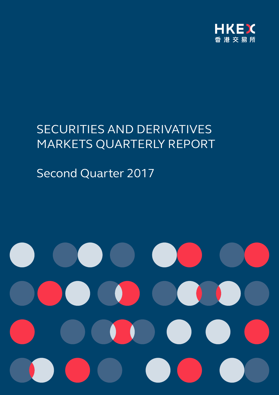

# SECURITIES AND DERIVATIVES MARKETS QUARTERLY REPORT

# Second Quarter 2017

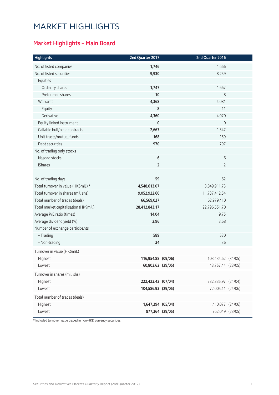# MARKET HIGHLIGHTS

### **Market Highlights – Main Board**

| <b>Highlights</b>                      | 2nd Quarter 2017   | 2nd Quarter 2016   |  |
|----------------------------------------|--------------------|--------------------|--|
| No. of listed companies                | 1,746              | 1,666              |  |
| No. of listed securities               | 9,930              | 8,259              |  |
| Equities                               |                    |                    |  |
| Ordinary shares                        | 1,747              | 1,667              |  |
| Preference shares                      | 10                 | 8                  |  |
| Warrants                               | 4,368              | 4,081              |  |
| Equity                                 | 8                  | 11                 |  |
| Derivative                             | 4,360              | 4,070              |  |
| Equity linked instrument               | $\mathbf 0$        | 0                  |  |
| Callable bull/bear contracts           | 2,667              | 1,547              |  |
| Unit trusts/mutual funds               | 168                | 159                |  |
| Debt securities                        | 970                | 797                |  |
| No. of trading only stocks             |                    |                    |  |
| Nasdaq stocks                          | $\bf 6$            | 6                  |  |
| <b>iShares</b>                         | $\overline{2}$     | $\overline{2}$     |  |
|                                        |                    |                    |  |
| No. of trading days                    | 59                 | 62                 |  |
| Total turnover in value (HK\$mil.) *   | 4,548,613.07       | 3,849,911.73       |  |
| Total turnover in shares (mil. shs)    | 9,052,922.60       | 11,737,412.54      |  |
| Total number of trades (deals)         | 66,569,027         | 62,979,410         |  |
| Total market capitalisation (HK\$mil.) | 28,412,843.17      | 22,796,551.70      |  |
| Average P/E ratio (times)              | 14.04              | 9.75               |  |
| Average dividend yield (%)             | 2.96               | 3.68               |  |
| Number of exchange participants        |                    |                    |  |
| - Trading                              | 589                | 530                |  |
| - Non-trading                          | 34                 | 36                 |  |
| Turnover in value (HK\$mil.)           |                    |                    |  |
| Highest                                | 116,954.88 (09/06) | 103,134.62 (31/05) |  |
| Lowest                                 | 60,803.62 (29/05)  | 43,757.44 (23/05)  |  |
| Turnover in shares (mil. shs)          |                    |                    |  |
| Highest                                | 222,423.42 (07/04) | 232,335.97 (21/04) |  |
| Lowest                                 | 104,586.93 (29/05) | 72,005.11 (24/06)  |  |
| Total number of trades (deals)         |                    |                    |  |
| Highest                                | 1,647,294 (05/04)  | 1,410,077 (24/06)  |  |
| Lowest                                 | 877,364 (29/05)    | 762,049 (23/05)    |  |
|                                        |                    |                    |  |

\* Included turnover value traded in non-HKD currency securities.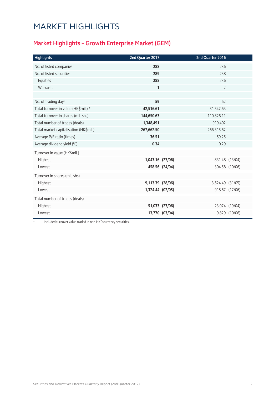# MARKET HIGHLIGHTS

### **Market Highlights – Growth Enterprise Market (GEM)**

| <b>Highlights</b>                      | 2nd Quarter 2017 |                | 2nd Quarter 2016 |                |
|----------------------------------------|------------------|----------------|------------------|----------------|
| No. of listed companies                | 288              |                | 236              |                |
| No. of listed securities               | 289              |                | 238              |                |
| Equities                               | 288              |                | 236              |                |
| Warrants                               | $\mathbf{1}$     |                | $\overline{2}$   |                |
|                                        |                  |                |                  |                |
| No. of trading days                    | 59               |                | 62               |                |
| Total turnover in value (HK\$mil.) *   | 42,516.61        |                | 31,547.63        |                |
| Total turnover in shares (mil. shs)    | 144,650.63       |                | 110,826.11       |                |
| Total number of trades (deals)         | 1,348,491        |                | 919,402          |                |
| Total market capitalisation (HK\$mil.) | 267,662.50       |                | 266,315.62       |                |
| Average P/E ratio (times)              | 36.51            |                | 59.25            |                |
| Average dividend yield (%)             | 0.34             |                | 0.29             |                |
| Turnover in value (HK\$mil.)           |                  |                |                  |                |
| Highest                                | 1,043.16 (27/06) |                |                  | 831.48 (13/04) |
| Lowest                                 |                  | 458.56 (24/04) |                  | 304.58 (10/06) |
| Turnover in shares (mil. shs)          |                  |                |                  |                |
| Highest                                | 9,113.39 (28/06) |                | 3,624.49 (31/05) |                |
| Lowest                                 | 1,324.44 (02/05) |                |                  | 918.67 (17/06) |
| Total number of trades (deals)         |                  |                |                  |                |
| Highest                                |                  | 51,033 (27/06) |                  | 23,074 (19/04) |
| Lowest                                 |                  | 13,770 (03/04) |                  | 9,829 (10/06)  |
|                                        |                  |                |                  |                |

Included turnover value traded in non-HKD currency securities.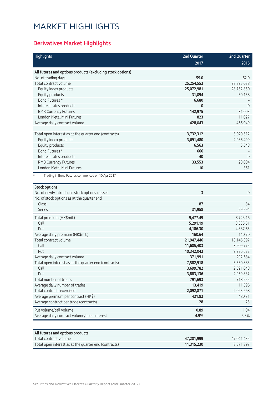# MARKET HIGHLIGHTS

### **Derivatives Market Highlights**

| <b>Highlights</b>                                          | <b>2nd Quarter</b> | <b>2nd Quarter</b> |
|------------------------------------------------------------|--------------------|--------------------|
|                                                            | 2017               | 2016               |
| All futures and options products (excluding stock options) |                    |                    |
| No. of trading days                                        | 59.0               | 62.0               |
| Total contract volume                                      | 25,254,553         | 28,895,038         |
| Equity index products                                      | 25,072,981         | 28,752,850         |
| Equity products                                            | 31,094             | 50,158             |
| Bond Futures *                                             | 6,680              |                    |
| Interest rates products                                    | 0                  | $\mathbf{0}$       |
| <b>RMB Currency Futures</b>                                | 142,975            | 81,003             |
| London Metal Mini Futures                                  | 823                | 11,027             |
| Average daily contract volume                              | 428,043            | 466,049            |
|                                                            |                    |                    |
| Total open interest as at the quarter end (contracts)      | 3,732,312          | 3,020,512          |
| Equity index products                                      | 3,691,480          | 2,986,499          |
| Equity products                                            | 6,563              | 5,648              |
| Bond Futures *                                             | 666                |                    |
| Interest rates products                                    | 40                 | $\mathbf{0}$       |
| <b>RMB Currency Futures</b>                                | 33,553             | 28,004             |
| London Metal Mini Futures                                  | 10                 | 361                |
| Trading in Bond Futures commenced on 10 Apr 2017           |                    |                    |
|                                                            |                    |                    |
| <b>Stock options</b>                                       |                    |                    |
| No. of newly introduced stock options classes              | 3                  | $\mathbf{0}$       |
| No. of stock options as at the quarter end                 |                    |                    |
| Class                                                      | 87                 | 84                 |
| <b>Series</b>                                              | 31,958             | 29,594             |
| Total premium (HK\$mil.)                                   | 9,477.49           | 8,723.16           |
| Call                                                       | 5,291.19           | 3,835.51           |
| Put                                                        | 4,186.30           | 4,887.65           |
| Average daily premium (HK\$mil.)                           | 160.64             | 140.70             |
| Total contract volume                                      | 21,947,446         | 18,146,397         |
| Call                                                       | 11,605,403         | 8,909,775          |
| Put                                                        | 10,342,043         | 9,236,622          |
| Average daily contract volume                              | 371,991            | 292,684            |
| Total open interest as at the quarter end (contracts)      | 7,582,918          | 5,550,885          |
| Call                                                       | 3,699,782          | 2,591,048          |
| Put                                                        | 3,883,136          | 2,959,837          |
| Total number of trades                                     | 791,693            | 718,955            |
| Average daily number of trades                             | 13,419             | 11,596             |
| Total contracts exercised                                  | 2,092,871          | 2,093,668          |
| Average premium per contract (HK\$)                        | 431.83             | 480.71             |
| Average contract per trade (contracts)                     | 28                 | 25                 |
| Put volume/call volume                                     | 0.89               | 1.04               |
| Average daily contract volume/open interest                | 4.9%               | 5.3%               |
|                                                            |                    |                    |
|                                                            |                    |                    |
| All futures and options products                           |                    |                    |
| Total contract volume                                      | 47,201,999         | 47,041,435         |

Total open interest as at the quarter end (contracts) **11,315,230** 8,571,397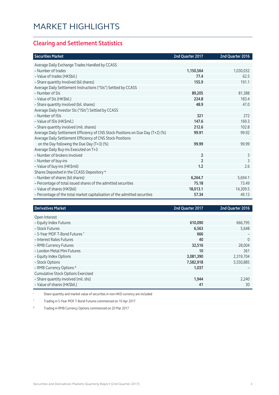### **Clearing and Settlement Statistics**

| <b>Securities Market</b>                                                        | 2nd Quarter 2017 | 2nd Quarter 2016 |
|---------------------------------------------------------------------------------|------------------|------------------|
| Average Daily Exchange Trades Handled by CCASS                                  |                  |                  |
| - Number of trades                                                              | 1,150,564        | 1,030,032        |
| - Value of trades (HK\$bil.)                                                    | 77.4             | 62.5             |
| - Share quantity Involved (bil shares)                                          | 155.9            | 191.1            |
| Average Daily Settlement Instructions ("SIs") Settled by CCASS                  |                  |                  |
| - Number of SIs                                                                 | 89,205           | 81,388           |
| - Value of SIs (HK\$bil.)                                                       | 224.8            | 183.4            |
| - Share quantity involved (bil. shares)                                         | 48.9             | 47.0             |
| Average Daily Investor SIs ("ISIs") Settled by CCASS                            |                  |                  |
| - Number of ISIs                                                                | 321              | 272              |
| - Value of ISIs (HK\$mil.)                                                      | 147.6            | 169.3            |
| - Share quantity involved (mil. shares)                                         | 212.6            | 102.8            |
| Average Daily Settlement Efficiency of CNS Stock Positions on Due Day (T+2) (%) | 99.91            | 99.92            |
| Average Daily Settlement Efficiency of CNS Stock Positions                      |                  |                  |
| on the Day following the Due Day (T+3) (%)                                      | 99.99            | 99.99            |
| Average Daily Buy-ins Executed on T+3                                           |                  |                  |
| - Number of brokers involved                                                    | $\overline{2}$   | 3                |
| - Number of buy-ins                                                             | $\overline{2}$   | 3                |
| - Value of buy-ins (HK\$mil)                                                    | 1.2              | 2.6              |
| Shares Deposited in the CCASS Depository *                                      |                  |                  |
| - Number of shares (bil shares)                                                 | 6,264.7          | 5,694.1          |
| - Percentage of total issued shares of the admitted securities                  | 75.18            | 73.49            |
| - Value of shares (HK\$bil)                                                     | 18,013.1         | 14,309.5         |
| - Percentage of the total market capitalisation of the admitted securities      | 57.34            | 49.13            |

| <b>Derivatives Market</b>                 | 2nd Quarter 2017 | 2nd Quarter 2016 |
|-------------------------------------------|------------------|------------------|
| Open Interest                             |                  |                  |
| - Equity Index Futures                    | 610,090          | 666,795          |
| - Stock Futures                           | 6,563            | 5,648            |
| - 5-Year MOF T-Bond Futures ^             | 666              |                  |
| - Interest Rates Futures                  | 40               | $\Omega$         |
| - RMB Currency Futures                    | 32,516           | 28,004           |
| - London Metal Mini Futures               | 10               | 361              |
| - Equity Index Options                    | 3,081,390        | 2,319,704        |
| - Stock Options                           | 7,582,918        | 5,550,885        |
| - RMB Currency Options #                  | 1,037            |                  |
| <b>Cumulative Stock Options Exercised</b> |                  |                  |
| - Share quantity involved (mil. shs)      | 1,944            | 2,240            |
| - Value of shares (HK\$bil.)              | 41               | 30               |

\* Share quantity and market value of securities in non-HKD currency are included

^ Trading in 5-Year MOF T-Bond Futures commenced on 10 Apr 2017

Trading in RMB Currency Options commenced on 20 Mar 2017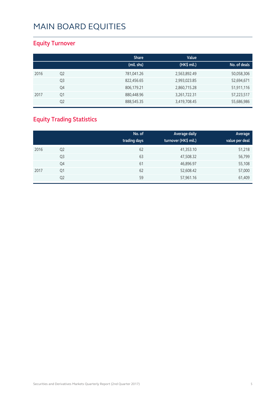### **Equity Turnover**

|      |                | <b>Share</b> | Value        |              |
|------|----------------|--------------|--------------|--------------|
|      |                | (mil. shs)   | (HK\$ mil.)  | No. of deals |
| 2016 | Q <sub>2</sub> | 781,041.26   | 2,563,892.49 | 50,058,306   |
|      | Q <sub>3</sub> | 822,456.65   | 2,993,023.85 | 52,694,671   |
|      | Q4             | 806,179.21   | 2,860,715.28 | 51,911,116   |
| 2017 | Q1             | 880,448.96   | 3,261,722.31 | 57,223,517   |
|      | Q <sub>2</sub> | 888,545.35   | 3,419,708.45 | 55,686,986   |

### **Equity Trading Statistics**

|      |                | No. of<br>trading days | Average daily<br>turnover (HK\$ mil.) | Average<br>value per deal |
|------|----------------|------------------------|---------------------------------------|---------------------------|
| 2016 | Q <sub>2</sub> | 62                     | 41,353.10                             | 51,218                    |
|      | Q3             | 63                     | 47,508.32                             | 56,799                    |
|      | Q4             | 61                     | 46,896.97                             | 55,108                    |
| 2017 | Q1             | 62                     | 52,608.42                             | 57,000                    |
|      | Q <sub>2</sub> | 59                     | 57,961.16                             | 61,409                    |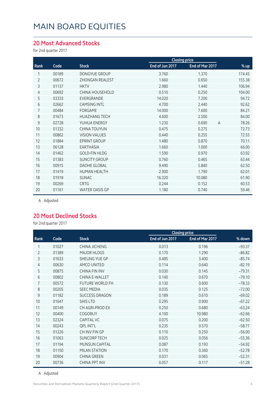#### **20 Most Advanced Stocks**

for 2nd quarter 2017

|                |       |                        | <b>Closing price</b> |                 |                         |
|----------------|-------|------------------------|----------------------|-----------------|-------------------------|
| Rank           | Code  | <b>Stock</b>           | End of Jun 2017      | End of Mar 2017 | % up                    |
| 1              | 00189 | DONGYUE GROUP          | 3.760                | 1.370           | 174.45                  |
| $\overline{2}$ | 00672 | <b>ZHONGAN REALEST</b> | 1.660                | 0.650           | 155.38                  |
| 3              | 01137 | <b>HKTV</b>            | 2.980                | 1.440           | 106.94                  |
| $\overline{4}$ | 00692 | <b>CHINA HOUSEHOLD</b> | 0.510                | 0.250           | 104.00                  |
| 5              | 03333 | EVERGRANDE             | 14.020               | 7.200           | 94.72                   |
| 6              | 02662 | <b>CAMSING INTL</b>    | 4.700                | 2.440           | 92.62                   |
| 7              | 00484 | <b>FORGAME</b>         | 14.000               | 7.600           | 84.21                   |
| 8              | 01673 | <b>HUAZHANG TECH</b>   | 4.600                | 2.500           | 84.00                   |
| 9              | 02728 | YUHUA ENERGY           | 1.230                | 0.690           | 78.26<br>$\overline{A}$ |
| 10             | 01332 | <b>CHINA TOUYUN</b>    | 0.475                | 0.275           | 72.73                   |
| 11             | 00862 | <b>VISION VALUES</b>   | 0.440                | 0.255           | 72.55                   |
| 12             | 01884 | <b>EPRINT GROUP</b>    | 1.480                | 0.870           | 70.11                   |
| 13             | 06128 | <b>EARTHASIA</b>       | 1.660                | 1.000           | 66.00                   |
| 14             | 01462 | <b>GOLD-FIN HLDG</b>   | 1.590                | 0.970           | 63.92                   |
| 15             | 01383 | <b>SUNCITY GROUP</b>   | 0.760                | 0.465           | 63.44                   |
| 16             | 00915 | <b>DAOHE GLOBAL</b>    | 9.490                | 5.840           | 62.50                   |
| 17             | 01419 | <b>HUMAN HEALTH</b>    | 2.900                | 1.790           | 62.01                   |
| 18             | 01918 | <b>SUNAC</b>           | 16.320               | 10.080          | 61.90                   |
| 19             | 00269 | <b>CRTG</b>            | 0.244                | 0.152           | 60.53                   |
| 20             | 01161 | <b>WATER OASIS GP</b>  | 1.180                | 0.740           | 59.46                   |

A Adjusted

#### **20 Most Declined Stocks**

for 2nd quarter 2017

|                |       |                        |                 | <b>Closing price</b> |          |
|----------------|-------|------------------------|-----------------|----------------------|----------|
| Rank           | Code  | <b>Stock</b>           | End of Jun 2017 | End of Mar 2017      | % down   |
| 1              | 01027 | CHINA JICHENG          | 0.013           | 0.196                | $-93.37$ |
| $\overline{2}$ | 01389 | <b>MAJOR HLDGS</b>     | 0.170           | 1.290                | $-86.82$ |
| 3              | 01633 | SHEUNG YUE GP          | 0.485           | 3.400                | $-85.74$ |
| 4              | 00630 | AMCO UNITED            | 0.114           | 0.640                | $-82.19$ |
| 5              | 00875 | <b>CHINA FIN INV</b>   | 0.030           | 0.145                | $-79.31$ |
| 6              | 00802 | <b>CHINA E-WALLET</b>  | 0.140           | 0.670                | $-79.10$ |
| 7              | 00572 | <b>FUTURE WORLD FH</b> | 0.130           | 0.600                | $-78.33$ |
| 8              | 00205 | <b>SEEC MEDIA</b>      | 0.035           | 0.125                | $-72.00$ |
| 9              | 01182 | <b>SUCCESS DRAGON</b>  | 0.189           | 0.610                | $-69.02$ |
| 10             | 01647 | <b>SHIS LTD</b>        | 0.295           | 0.900                | $-67.22$ |
| 11             | 00149 | CH AGRI-PROD EX        | 0.250           | 0.680                | $-63.24$ |
| 12             | 00400 | <b>COGOBUY</b>         | 4.100           | 10.980               | $-62.66$ |
| 13             | 02324 | <b>CAPITAL VC</b>      | 0.075           | 0.200                | $-62.50$ |
| 14             | 00243 | <b>QPL INT'L</b>       | 0.235           | 0.570                | $-58.77$ |
| 15             | 01226 | CH INV FIN GP          | 0.110           | 0.250                | $-56.00$ |
| 16             | 01063 | <b>SUNCORP TECH</b>    | 0.025           | 0.056                | $-55.36$ |
| 17             | 01194 | <b>MUNSUN CAPITAL</b>  | 0.087           | 0.193                | $-54.92$ |
| 18             | 01150 | <b>MILAN STATION</b>   | 0.170           | 0.360                | $-52.78$ |
| 19             | 00904 | <b>CHINA GREEN</b>     | 0.031           | 0.065                | $-52.31$ |
| 20             | 00736 | <b>CHINA PPT INV</b>   | 0.057           | 0.117                | $-51.28$ |

A Adjusted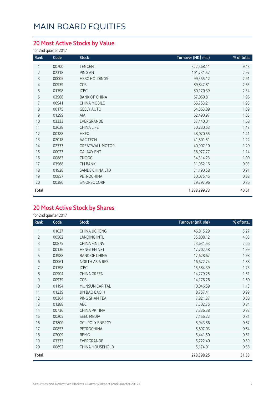### **20 Most Active Stocks by Value**

for 2nd quarter 2017

| Rank           | Code  | <b>Stock</b>           | Turnover (HK\$ mil.) | % of total |
|----------------|-------|------------------------|----------------------|------------|
| 1              | 00700 | <b>TENCENT</b>         | 322,568.11           | 9.43       |
| $\overline{2}$ | 02318 | PING AN                | 101,731.57           | 2.97       |
| 3              | 00005 | HSBC HOLDINGS          | 99,355.12            | 2.91       |
| 4              | 00939 | CCB                    | 89,847.81            | 2.63       |
| 5              | 01398 | <b>ICBC</b>            | 80,170.39            | 2.34       |
| 6              | 03988 | <b>BANK OF CHINA</b>   | 67,060.81            | 1.96       |
| $\overline{7}$ | 00941 | <b>CHINA MOBILE</b>    | 66,753.21            | 1.95       |
| 8              | 00175 | <b>GEELY AUTO</b>      | 64,563.89            | 1.89       |
| 9              | 01299 | AIA                    | 62,490.97            | 1.83       |
| 10             | 03333 | EVERGRANDE             | 57,440.01            | 1.68       |
| 11             | 02628 | <b>CHINA LIFE</b>      | 50,230.53            | 1.47       |
| 12             | 00388 | <b>HKEX</b>            | 48,070.55            | 1.41       |
| 13             | 02018 | AAC TECH               | 41,801.51            | 1.22       |
| 14             | 02333 | <b>GREATWALL MOTOR</b> | 40,907.10            | 1.20       |
| 15             | 00027 | <b>GALAXY ENT</b>      | 38,977.77            | 1.14       |
| 16             | 00883 | <b>CNOOC</b>           | 34,314.23            | 1.00       |
| 17             | 03968 | <b>CM BANK</b>         | 31,952.16            | 0.93       |
| 18             | 01928 | SANDS CHINA LTD        | 31,190.58            | 0.91       |
| 19             | 00857 | PETROCHINA             | 30,075.45            | 0.88       |
| 20             | 00386 | SINOPEC CORP           | 29,297.96            | 0.86       |
| Total          |       |                        | 1,388,799.73         | 40.61      |

### **20 Most Active Stock by Shares**

for 2nd quarter 2017

| Rank           | Code  | <b>Stock</b>           | Turnover (mil. shs) | % of total |
|----------------|-------|------------------------|---------------------|------------|
| 1              | 01027 | CHINA JICHENG          | 46,815.29           | 5.27       |
| $\overline{2}$ | 00582 | <b>LANDING INTL</b>    | 35,808.12           | 4.03       |
| 3              | 00875 | <b>CHINA FIN INV</b>   | 23,631.53           | 2.66       |
| 4              | 00136 | <b>HENGTEN NET</b>     | 17,702.48           | 1.99       |
| 5              | 03988 | <b>BANK OF CHINA</b>   | 17,628.67           | 1.98       |
| 6              | 00061 | NORTH ASIA RES         | 16,672.74           | 1.88       |
| $\overline{7}$ | 01398 | <b>ICBC</b>            | 15,584.39           | 1.75       |
| 8              | 00904 | <b>CHINA GREEN</b>     | 14,279.25           | 1.61       |
| 9              | 00939 | <b>CCB</b>             | 14,176.26           | 1.60       |
| 10             | 01194 | <b>MUNSUN CAPITAL</b>  | 10,046.59           | 1.13       |
| 11             | 01239 | JIN BAO BAO H          | 8,757.41            | 0.99       |
| 12             | 00364 | PING SHAN TEA          | 7,821.37            | 0.88       |
| 13             | 01288 | ABC                    | 7,502.75            | 0.84       |
| 14             | 00736 | <b>CHINA PPT INV</b>   | 7,336.38            | 0.83       |
| 15             | 00205 | <b>SEEC MEDIA</b>      | 7,156.22            | 0.81       |
| 16             | 03800 | <b>GCL-POLY ENERGY</b> | 5,943.86            | 0.67       |
| 17             | 00857 | PETROCHINA             | 5,697.03            | 0.64       |
| 18             | 02009 | <b>BBMG</b>            | 5,441.50            | 0.61       |
| 19             | 03333 | EVERGRANDE             | 5,222.40            | 0.59       |
| 20             | 00692 | <b>CHINA HOUSEHOLD</b> | 5,174.01            | 0.58       |
| Total          |       |                        | 278,398.25          | 31.33      |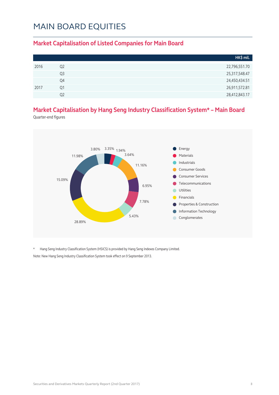#### **Market Capitalisation of Listed Companies for Main Board**

|      |                | HK\$ mil.     |
|------|----------------|---------------|
| 2016 | Q <sub>2</sub> | 22,796,551.70 |
|      | Q3             | 25,317,548.47 |
|      | Q4             | 24,450,434.51 |
| 2017 | Ο1             | 26,911,572.81 |
|      | O2             | 28,412,843.17 |

### **Market Capitalisation by Hang Seng Industry Classification System\* – Main Board**

Quarter-end figures



\* Hang Seng Industry Classification System (HSICS) is provided by Hang Seng Indexes Company Limited. Note: New Hang Seng Industry Classification System took effect on 9 September 2013.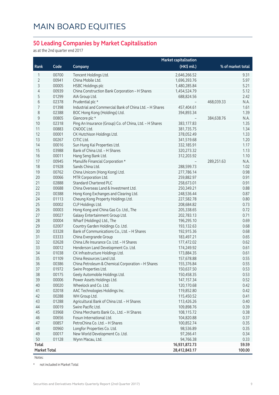#### **50 Leading Companies by Market Capitalisation**

as at the 2nd quarter end 2017

|                     | <b>Market capitalisation</b> |                                                         |               |                    |
|---------------------|------------------------------|---------------------------------------------------------|---------------|--------------------|
| Rank                | Code                         | Company                                                 | (HK\$ mil.)   | % of market total  |
| 1                   | 00700                        | Tencent Holdings Ltd.                                   | 2,646,266.52  | 9.31               |
| $\overline{2}$      | 00941                        | China Mobile Ltd.                                       | 1,696,393.76  | 5.97               |
| 3                   | 00005                        | <b>HSBC Holdings plc</b>                                | 1,480,285.84  | 5.21               |
| 4                   | 00939                        | China Construction Bank Corporation - H Shares          | 1,454,524.79  | 5.12               |
| 5                   | 01299                        | AIA Group Ltd.                                          | 688,824.56    | 2.42               |
| 6                   | 02378                        | Prudential plc *                                        |               | 468,039.33<br>N.A. |
| 7                   | 01398                        | Industrial and Commercial Bank of China Ltd. - H Shares | 457,404.61    | 1.61               |
| 8                   | 02388                        | BOC Hong Kong (Holdings) Ltd.                           | 394,893.34    | 1.39               |
| $\mathsf 9$         | 00805                        | Glencore plc *                                          |               | 384,638.76<br>N.A. |
| 10                  | 02318                        | Ping An Insurance (Group) Co. of China, Ltd. - H Shares | 383,177.83    | 1.35               |
| 11                  | 00883                        | CNOOC Ltd.                                              | 381,735.75    | 1.34               |
| 12                  | 00001                        | CK Hutchison Holdings Ltd.                              | 378,052.49    | 1.33               |
| 13                  | 00267                        | CITIC Ltd.                                              | 341,519.68    | 1.20               |
| 14                  | 00016                        | Sun Hung Kai Properties Ltd.                            | 332,185.91    | 1.17               |
| 15                  | 03988                        | Bank of China Ltd. - H Shares                           | 320,273.32    | 1.13               |
| 16                  | 00011                        | Hang Seng Bank Ltd.                                     | 312,203.92    | 1.10               |
| 17                  | 00945                        | Manulife Financial Corporation *                        |               | 289,251.63<br>N.A. |
| 18                  | 01928                        | Sands China Ltd.                                        | 288,599.73    | 1.02               |
| 19                  | 00762                        | China Unicom (Hong Kong) Ltd.                           | 277,786.14    | 0.98               |
| 20                  | 00066                        | MTR Corporation Ltd.                                    | 259,882.97    | 0.91               |
| 21                  | 02888                        | <b>Standard Chartered PLC</b>                           | 258,673.01    | 0.91               |
| 22                  | 00688                        | China Overseas Land & Investment Ltd.                   | 250,349.21    | 0.88               |
| 23                  | 00388                        | Hong Kong Exchanges and Clearing Ltd.                   | 248,536.44    | 0.87               |
| 24                  | 01113                        | Cheung Kong Property Holdings Ltd.                      | 227,582.78    | 0.80               |
| 25                  | 00002                        | CLP Holdings Ltd.                                       | 208,684.82    | 0.73               |
| 26                  | 00003                        | Hong Kong and China Gas Co. Ltd., The                   | 205,338.65    | 0.72               |
| 27                  | 00027                        | Galaxy Entertainment Group Ltd.                         | 202,783.13    | 0.71               |
| 28                  | 00004                        | Wharf (Holdings) Ltd., The                              | 196,295.10    | 0.69               |
| 29                  | 02007                        | Country Garden Holdings Co. Ltd.                        | 193,132.63    | 0.68               |
| 30                  | 03328                        | Bank of Communications Co., Ltd. - H Shares             | 192,915.36    | 0.68               |
| 31                  | 03333                        | China Evergrande Group                                  | 183,497.21    | 0.65               |
| 32                  | 02628                        | China Life Insurance Co. Ltd. - H Shares                | 177,472.02    | 0.62               |
| 33                  | 00012                        | Henderson Land Development Co. Ltd.                     | 174,249.92    | 0.61               |
| 34                  | 01038                        | CK Infrastructure Holdings Ltd.                         | 173,884.35    | 0.61               |
| 35                  | 01109                        | China Resources Land Ltd.                               | 157,678.88    | 0.55               |
| 36                  | 00386                        | China Petroleum & Chemical Corporation - H Shares       | 155,376.84    | 0.55               |
| 37                  | 01972                        | Swire Properties Ltd.                                   | 150,637.50    | 0.53               |
| 38                  | 00175                        | Geely Automobile Holdings Ltd.                          | 150,458.35    | 0.53               |
| 39                  | 00006                        | Power Assets Holdings Ltd.                              | 147, 157. 34  | 0.52               |
| 40                  | 00020                        | Wheelock and Co. Ltd.                                   | 120,170.68    | 0.42               |
| 41                  | 02018                        | AAC Technologies Holdings Inc.                          | 119,852.80    | 0.42               |
| 42                  | 00288                        | WH Group Ltd.                                           | 115,450.52    | 0.41               |
| 43                  | 01288                        | Agricultural Bank of China Ltd. - H Shares              | 113,426.26    | 0.40               |
| 44                  | 00019                        | Swire Pacific Ltd.                                      | 109,898.76    | 0.39               |
| 45                  | 03968                        | China Merchants Bank Co., Ltd. - H Shares               | 108,115.72    | 0.38               |
| 46                  | 00656                        | Fosun International Ltd.                                | 104,820.88    | 0.37               |
| 47                  | 00857                        | PetroChina Co. Ltd. - H Shares                          | 100,852.74    | 0.35               |
| 48                  | 00960                        | Longfor Properties Co. Ltd.                             | 98,536.89     | 0.35               |
| 49                  | 00017                        | New World Development Co. Ltd.                          | 97,266.41     | 0.34               |
| 50                  | 01128                        | Wynn Macau, Ltd.                                        | 94,766.38     | 0.33               |
| Total               |                              |                                                         | 16,931,872.73 | 59.59              |
| <b>Market Total</b> |                              |                                                         | 28,412,843.17 | 100.00             |

Notes:

\* not included in Market Total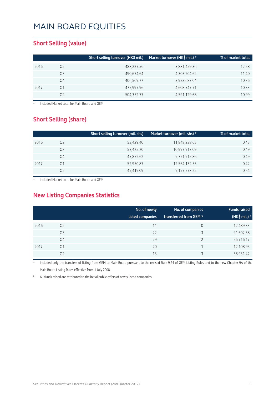#### **Short Selling (value)**

|      |    | Short selling turnover (HK\$ mil.) | Market turnover (HK\$ mil.) * | % of market total |
|------|----|------------------------------------|-------------------------------|-------------------|
| 2016 | Q2 | 488,227.56                         | 3,881,459.36                  | 12.58             |
|      | Q3 | 490,674.64                         | 4,303,204.62                  | 11.40             |
|      | Q4 | 406,569.77                         | 3,923,687.04                  | 10.36             |
| 2017 | Q1 | 475,997.96                         | 4,608,747.71                  | 10.33             |
|      | Q2 | 504,352.77                         | 4,591,129.68                  | 10.99             |

**Included Market total for Main Board and GEM** 

#### **Short Selling (share)**

|      |    | Short selling turnover (mil. shs) | Market turnover (mil. shs) * | % of market total |
|------|----|-----------------------------------|------------------------------|-------------------|
| 2016 | Q2 | 53,429.40                         | 11,848,238.65                | 0.45              |
|      | Q3 | 53,475.70                         | 10,997,917.09                | 0.49              |
|      | Q4 | 47,872.62                         | 9,721,915.86                 | 0.49              |
| 2017 | Ο1 | 52,950.87                         | 12,564,132.55                | 0.42              |
|      | Q2 | 49,419.09                         | 9,197,573.22                 | 0.54              |

Included Market total for Main Board and GEM

### **New Listing Companies Statistics**

|      |                | No. of newly<br>listed companies | No. of companies<br>transferred from GEM * | <b>Funds raised</b><br>(HK\$ mil.) <sup>#</sup> |
|------|----------------|----------------------------------|--------------------------------------------|-------------------------------------------------|
| 2016 | Q <sub>2</sub> | 11                               | 0                                          | 12,489.33                                       |
|      | Q3             | 22                               | 3                                          | 91,602.58                                       |
|      | Q4             | 29                               | ำ                                          | 56,716.17                                       |
| 2017 | Q1             | 20                               |                                            | 12,108.95                                       |
|      | Q2             | 13                               | 3                                          | 38,931.42                                       |

Included only the transfers of listing from GEM to Main Board pursuant to the revised Rule 9.24 of GEM Listing Rules and to the new Chapter 9A of the Main Board Listing Rules effective from 1 July 2008

All funds raised are attributed to the initial public offers of newly listed companies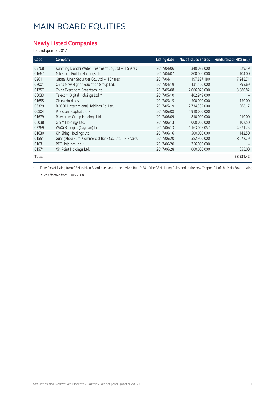#### **Newly Listed Companies**

for 2nd quarter 2017

| Code  | Company                                              | <b>Listing date</b> | No. of issued shares | Funds raised (HK\$ mil.) |
|-------|------------------------------------------------------|---------------------|----------------------|--------------------------|
| 03768 | Kunming Dianchi Water Treatment Co., Ltd. - H Shares | 2017/04/06          | 340,023,000          | 1,329.49                 |
| 01667 | Milestone Builder Holdings Ltd.                      | 2017/04/07          | 800,000,000          | 104.00                   |
| 02611 | Guotai Junan Securities Co., Ltd. - H Shares         | 2017/04/11          | 1,197,827,180        | 17,248.71                |
| 02001 | China New Higher Education Group Ltd.                | 2017/04/19          | 1,431,100,000        | 795.69                   |
| 01257 | China Everbright Greentech Ltd.                      | 2017/05/08          | 2,066,078,000        | 3,380.82                 |
| 06033 | Telecom Digital Holdings Ltd. *                      | 2017/05/10          | 402,949,000          |                          |
| 01655 | Okura Holdings Ltd.                                  | 2017/05/15          | 500,000,000          | 150.00                   |
| 03329 | BOCOM International Holdings Co. Ltd.                | 2017/05/19          | 2,734,392,000        | 1,968.17                 |
| 00804 | Pinestone Captial Ltd. *                             | 2017/06/08          | 4,910,000,000        |                          |
| 01679 | Risecomm Group Holdings Ltd.                         | 2017/06/09          | 810,000,000          | 210.00                   |
| 06038 | G & M Holdings Ltd.                                  | 2017/06/13          | 1,000,000,000        | 102.50                   |
| 02269 | WuXi Biologics (Cayman) Inc.                         | 2017/06/13          | 1,163,065,057        | 4,571.75                 |
| 01630 | Kin Shing Holdings Ltd.                              | 2017/06/16          | 1,500,000,000        | 142.50                   |
| 01551 | Guangzhou Rural Commercial Bank Co., Ltd. - H Shares | 2017/06/20          | 1,582,900,000        | 8,072.79                 |
| 01631 | REF Holdings Ltd. *                                  | 2017/06/20          | 256,000,000          |                          |
| 01571 | Xin Point Holdings Ltd.                              | 2017/06/28          | 1,000,000,000        | 855.00                   |
| Total |                                                      |                     |                      | 38,931.42                |

\* Transfers of listing from GEM to Main Board pursuant to the revised Rule 9.24 of the GEM Listing Rules and to the new Chapter 9A of the Main Board Listing Rules effective from 1 July 2008.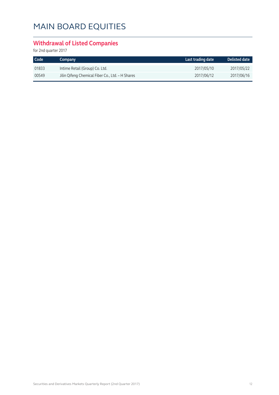### **Withdrawal of Listed Companies**

for 2nd quarter 2017

| Code <sup>1</sup> | Company                                          | Last trading date | Delisted date |
|-------------------|--------------------------------------------------|-------------------|---------------|
| 01833             | Intime Retail (Group) Co. Ltd.                   | 2017/05/10        | 2017/05/22    |
| 00549             | Jilin Qifeng Chemical Fiber Co., Ltd. - H Shares | 2017/06/12        | 2017/06/16    |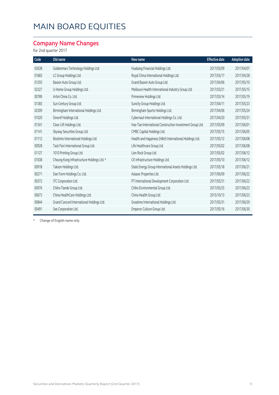### **Company Name Changes**

for 2nd quarter 2017

| Code  | Old name                                   | New name                                                  | <b>Effective date</b> | <b>Adoption date</b> |
|-------|--------------------------------------------|-----------------------------------------------------------|-----------------------|----------------------|
| 03638 | Goldenmars Technology Holdings Ltd.        | Huabang Financial Holdings Ltd.                           | 2017/03/09            | 2017/04/07           |
| 01683 | LC Group Holdings Ltd.                     | Royal China International Holdings Ltd.                   | 2017/03/17            | 2017/04/28           |
| 01293 | Baoxin Auto Group Ltd.                     | Grand Baoxin Auto Group Ltd.                              | 2017/04/06            | 2017/05/10           |
| 02327 | U-Home Group Holdings Ltd.                 | Meilleure Health International Industry Group Ltd.        | 2017/03/21            | 2017/05/15           |
| 00789 | Artini China Co. Ltd.                      | Primeview Holdings Ltd.                                   | 2017/03/14            | 2017/05/19           |
| 01383 | Sun Century Group Ltd.                     | Suncity Group Holdings Ltd.                               | 2017/04/11            | 2017/05/23           |
| 02309 | Birmingham International Holdings Ltd.     | Birmingham Sports Holdings Ltd.                           | 2017/04/06            | 2017/05/24           |
| 01020 | Sinoref Holdings Ltd.                      | Cybernaut International Holdings Co. Ltd.                 | 2017/04/20            | 2017/05/31           |
| 01341 | Clear Lift Holdings Ltd.                   | Hao Tian International Construction Investment Group Ltd. | 2017/05/09            | 2017/06/01           |
| 01141 | Skyway Securities Group Ltd.               | CMBC Capital Holdings Ltd.                                | 2017/05/15            | 2017/06/05           |
| 01112 | Biostime International Holdings Ltd.       | Health and Happiness (H&H) International Holdings Ltd.    | 2017/05/12            | 2017/06/08           |
| 00928 | Tack Fiori International Group Ltd.        | Life Healthcare Group Ltd.                                | 2017/05/02            | 2017/06/08           |
| 01127 | 1010 Printing Group Ltd.                   | Lion Rock Group Ltd.                                      | 2017/05/02            | 2017/06/12           |
| 01038 | Cheung Kong Infrastructure Holdings Ltd. * | CK Infrastructure Holdings Ltd.                           | 2017/05/10            | 2017/06/12           |
| 00918 | Takson Holdings Ltd.                       | State Energy Group International Assets Holdings Ltd.     | 2017/05/18            | 2017/06/21           |
| 00271 | Dan Form Holdings Co. Ltd.                 | Asiasec Properties Ltd.                                   | 2017/06/09            | 2017/06/22           |
| 00372 | ITC Corporation Ltd.                       | PT International Development Corporation Ltd.             | 2017/05/31            | 2017/06/22           |
| 00976 | Chiho-Tiande Group Ltd.                    | Chiho Environmental Group Ltd.                            | 2017/05/25            | 2017/06/23           |
| 00673 | China HealthCare Holdings Ltd.             | China Health Group Ltd.                                   | 2015/10/13            | 2017/06/23           |
| 00844 | Grand Concord International Holdings Ltd.  | Greatime International Holdings Ltd.                      | 2017/05/31            | 2017/06/29           |
| 00491 | See Corporation Ltd.                       | Emperor Culture Group Ltd.                                | 2017/05/16            | 2017/06/30           |

\* Change of English name only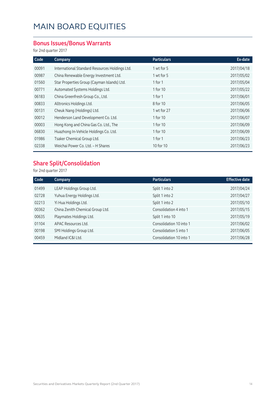#### **Bonus Issues/Bonus Warrants**

for 2nd quarter 2017

| Code  | Company                                        | <b>Particulars</b> | Ex-date    |
|-------|------------------------------------------------|--------------------|------------|
| 00091 | International Standard Resources Holdings Ltd. | 1 wt for 5         | 2017/04/18 |
| 00987 | China Renewable Energy Investment Ltd.         | 1 wt for 5         | 2017/05/02 |
| 01560 | Star Properties Group (Cayman Islands) Ltd.    | 1 for $1$          | 2017/05/04 |
| 00771 | Automated Systems Holdings Ltd.                | 1 for 10           | 2017/05/22 |
| 06183 | China Greenfresh Group Co., Ltd.               | 1 for 1            | 2017/06/01 |
| 00833 | Alltronics Holdings Ltd.                       | 8 for 10           | 2017/06/05 |
| 00131 | Cheuk Nang (Holdings) Ltd.                     | 1 wt for 27        | 2017/06/06 |
| 00012 | Henderson Land Development Co. Ltd.            | 1 for 10           | 2017/06/07 |
| 00003 | Hong Kong and China Gas Co. Ltd., The          | 1 for 10           | 2017/06/09 |
| 06830 | Huazhong In-Vehicle Holdings Co. Ltd.          | 1 for 10           | 2017/06/09 |
| 01986 | Tsaker Chemical Group Ltd.                     | 1 for 1            | 2017/06/23 |
| 02338 | Weichai Power Co. Ltd. - H Shares              | 10 for 10          | 2017/06/23 |

### **Share Split/Consolidation**

for 2nd quarter 2017

| Code  | Company                          | <b>Particulars</b>      | <b>Effective date</b> |
|-------|----------------------------------|-------------------------|-----------------------|
| 01499 | LEAP Holdings Group Ltd.         | Split 1 into 2          | 2017/04/24            |
| 02728 | Yuhua Energy Holdings Ltd.       | Split 1 into 2          | 2017/04/27            |
| 02213 | Yi Hua Holdings Ltd.             | Split 1 into 2          | 2017/05/10            |
| 00362 | China Zenith Chemical Group Ltd. | Consolidation 4 into 1  | 2017/05/15            |
| 00635 | Playmates Holdings Ltd.          | Split 1 into 10         | 2017/05/19            |
| 01104 | APAC Resources Ltd.              | Consolidation 10 into 1 | 2017/06/02            |
| 00198 | SMI Holdings Group Ltd.          | Consolidation 5 into 1  | 2017/06/05            |
| 00459 | Midland IC&I Ltd.                | Consolidation 10 into 1 | 2017/06/28            |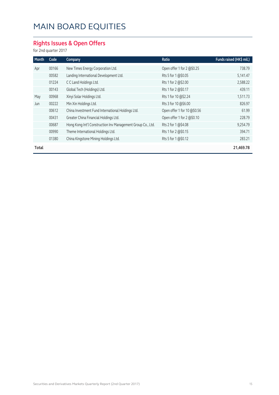### **Rights Issues & Open Offers**

for 2nd quarter 2017

| Month | Code  | Company                                                     | Ratio                       | Funds raised (HK\$ mil.) |
|-------|-------|-------------------------------------------------------------|-----------------------------|--------------------------|
| Apr   | 00166 | New Times Energy Corporation Ltd.                           | Open offer 1 for 2 @\$0.25  | 738.79                   |
|       | 00582 | Landing International Development Ltd.                      | Rts 5 for 1 @\$0.05         | 5,141.47                 |
|       | 01224 | C C Land Holdings Ltd.                                      | Rts 1 for 2 @\$2.00         | 2,588.22                 |
|       | 00143 | Global Tech (Holdings) Ltd.                                 | Rts 1 for 2 @\$0.17         | 439.11                   |
| May   | 00968 | Xinyi Solar Holdings Ltd.                                   | Rts 1 for 10 @\$2.24        | 1,511.73                 |
| Jun   | 00222 | Min Xin Holdings Ltd.                                       | Rts 3 for 10 @\$6.00        | 826.97                   |
|       | 00612 | China Investment Fund International Holdings Ltd.           | Open offer 1 for 10 @\$0.56 | 61.99                    |
|       | 00431 | Greater China Financial Holdings Ltd.                       | Open offer 1 for 2 @\$0.10  | 228.79                   |
|       | 00687 | Hong Kong Int'l Construction Inv Management Group Co., Ltd. | Rts 2 for 1 @\$4.08         | 9,254.79                 |
|       | 00990 | Theme International Holdings Ltd.                           | Rts 1 for 2 @\$0.15         | 394.71                   |
|       | 01380 | China Kingstone Mining Holdings Ltd.                        | Rts 5 for 1 @\$0.12         | 283.21                   |
| Total |       |                                                             |                             | 21,469.78                |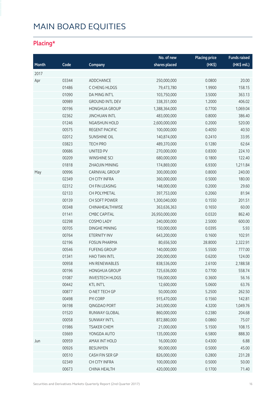### **Placing\***

|       |       |                        | No. of new     | <b>Placing price</b> | <b>Funds raised</b> |
|-------|-------|------------------------|----------------|----------------------|---------------------|
| Month | Code  | Company                | shares placed  | (HK <sup>2</sup> )   | (HK\$ mil.)         |
| 2017  |       |                        |                |                      |                     |
| Apr   | 03344 | ADDCHANCE              | 250,000,000    | 0.0800               | 20.00               |
|       | 01486 | C CHENG HLDGS          | 79,473,780     | 1.9900               | 158.15              |
|       | 01090 | DA MING INT'L          | 103,750,000    | 3.5000               | 363.13              |
|       | 00989 | <b>GROUND INTL DEV</b> | 338,351,000    | 1.2000               | 406.02              |
|       | 00196 | <b>HONGHUA GROUP</b>   | 1,388,364,000  | 0.7700               | 1,069.04            |
|       | 02362 | <b>JINCHUAN INTL</b>   | 483,000,000    | 0.8000               | 386.40              |
|       | 01246 | <b>NGAISHUN HOLD</b>   | 2,600,000,000  | 0.2000               | 520.00              |
|       | 00575 | REGENT PACIFIC         | 100,000,000    | 0.4050               | 40.50               |
|       | 02012 | <b>SUNSHINE OIL</b>    | 140,874,000    | 0.2410               | 33.95               |
|       | 03823 | <b>TECH PRO</b>        | 489,370,000    | 0.1280               | 62.64               |
|       | 00686 | UNITED PV              | 270,000,000    | 0.8300               | 224.10              |
|       | 00209 | <b>WINSHINE SCI</b>    | 680,000,000    | 0.1800               | 122.40              |
|       | 01818 | ZHAOJIN MINING         | 174,869,000    | 6.9300               | 1,211.84            |
| May   | 00996 | CARNIVAL GROUP         | 300,000,000    | 0.8000               | 240.00              |
|       | 02349 | CH CITY INFRA          | 360,000,000    | 0.5000               | 180.00              |
|       | 02312 | CH FIN LEASING         | 148,000,000    | 0.2000               | 29.60               |
|       | 02133 | CH POLYMETAL           | 397,753,000    | 0.2060               | 81.94               |
|       | 00139 | CH SOFT POWER          | 1,300,040,000  | 0.1550               | 201.51              |
|       | 00348 | CHINAHEALTHWISE        | 363,636,363    | 0.1650               | 60.00               |
|       | 01141 | <b>CMBC CAPITAL</b>    | 26,950,000,000 | 0.0320               | 862.40              |
|       | 02298 | COSMO LADY             | 240,000,000    | 2.5000               | 600.00              |
|       | 00705 | <b>DINGHE MINING</b>   | 150,000,000    | 0.0395               | 5.93                |
|       | 00764 | ETERNITY INV           | 643,200,000    | 0.1600               | 102.91              |
|       | 02196 | <b>FOSUN PHARMA</b>    | 80,656,500     | 28.8000              | 2,322.91            |
|       | 00546 | <b>FUFENG GROUP</b>    | 140,000,000    | 5.5500               | 777.00              |
|       | 01341 | <b>HAO TIAN INTL</b>   | 200,000,000    | 0.6200               | 124.00              |
|       | 00958 | HN RENEWABLES          | 838,536,000    | 2.6100               | 2,188.58            |
|       | 00196 | HONGHUA GROUP          | 725,636,000    | 0.7700               | 558.74              |
|       | 01087 | <b>INVESTECH HLDGS</b> | 156,000,000    | 0.3600               | 56.16               |
|       | 00442 | <b>KTL INT'L</b>       | 12,600,000     | 5.0600               | 63.76               |
|       | 00877 | O-NET TECH GP          | 50,000,000     | 5.2500               | 262.50              |
|       | 00498 | PYI CORP               | 915,470,000    | 0.1560               | 142.81              |
|       | 06198 | QINGDAO PORT           | 243,000,000    | 4.3200               | 1,049.76            |
|       | 01520 | RUNWAY GLOBAL          | 860,000,000    | 0.2380               | 204.68              |
|       | 00058 | SUNWAY INT'L           | 872,880,000    | 0.0860               | 75.07               |
|       | 01986 | <b>TSAKER CHEM</b>     | 21,000,000     | 5.1500               | 108.15              |
|       | 03669 | YONGDA AUTO            | 135,000,000    | 6.5800               | 888.30              |
| Jun   | 00959 | AMAX INT HOLD          | 16,000,000     | 0.4300               | 6.88                |
|       | 00926 | <b>BESUNYEN</b>        | 90,000,000     | 0.5000               | 45.00               |
|       | 00510 | CASH FIN SER GP        | 826,000,000    | 0.2800               | 231.28              |
|       | 02349 | CH CITY INFRA          | 100,000,000    | 0.5000               | 50.00               |
|       | 00673 | CHINA HEALTH           | 420,000,000    | 0.1700               | 71.40               |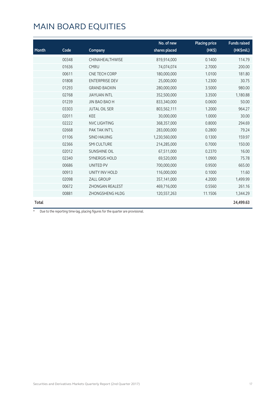| Month        | Code  | Company                | No. of new<br>shares placed | <b>Placing price</b><br>(HK\$) | <b>Funds raised</b><br>(HK\$mil.) |
|--------------|-------|------------------------|-----------------------------|--------------------------------|-----------------------------------|
|              | 00348 | CHINAHEALTHWISE        | 819,914,000                 | 0.1400                         | 114.79                            |
|              | 01636 | <b>CMRU</b>            | 74,074,074                  | 2.7000                         | 200.00                            |
|              | 00611 | CNE TECH CORP          | 180,000,000                 | 1.0100                         | 181.80                            |
|              | 01808 | <b>ENTERPRISE DEV</b>  | 25,000,000                  | 1.2300                         | 30.75                             |
|              | 01293 | <b>GRAND BAOXIN</b>    | 280,000,000                 | 3.5000                         | 980.00                            |
|              | 02768 | <b>JIAYUAN INTL</b>    | 352,500,000                 | 3.3500                         | 1,180.88                          |
|              | 01239 | <b>JIN BAO BAO H</b>   | 833,340,000                 | 0.0600                         | 50.00                             |
|              | 03303 | <b>JUTAL OIL SER</b>   | 803,562,111                 | 1.2000                         | 964.27                            |
|              | 02011 | <b>KEE</b>             | 30,000,000                  | 1.0000                         | 30.00                             |
|              | 02222 | <b>NVC LIGHTING</b>    | 368,357,000                 | 0.8000                         | 294.69                            |
|              | 02668 | PAK TAK INT'L          | 283,000,000                 | 0.2800                         | 79.24                             |
|              | 01106 | <b>SINO HAIJING</b>    | 1,230,560,000               | 0.1300                         | 159.97                            |
|              | 02366 | <b>SMI CULTURE</b>     | 214,285,000                 | 0.7000                         | 150.00                            |
|              | 02012 | <b>SUNSHINE OIL</b>    | 67,511,000                  | 0.2370                         | 16.00                             |
|              | 02340 | <b>SYNERGIS HOLD</b>   | 69,520,000                  | 1.0900                         | 75.78                             |
|              | 00686 | UNITED PV              | 700,000,000                 | 0.9500                         | 665.00                            |
|              | 00913 | UNITY INV HOLD         | 116,000,000                 | 0.1000                         | 11.60                             |
|              | 02098 | ZALL GROUP             | 357,141,000                 | 4.2000                         | 1,499.99                          |
|              | 00672 | <b>ZHONGAN REALEST</b> | 469,716,000                 | 0.5560                         | 261.16                            |
|              | 00881 | <b>ZHONGSHENG HLDG</b> | 120,557,263                 | 11.1506                        | 1,344.29                          |
| <b>Total</b> |       |                        |                             |                                | 24,499.63                         |

\* Due to the reporting time-lag, placing figures for the quarter are provisional.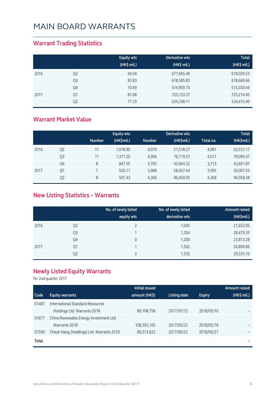#### **Warrant Trading Statistics**

|      |                | <b>Equity wts</b><br>(HK\$ mil.) | <b>Derivative wts</b><br>(HK\$ mil.) | <b>Total</b><br>(HK\$ mil.) |
|------|----------------|----------------------------------|--------------------------------------|-----------------------------|
| 2016 | Q <sub>2</sub> | 64.04                            | 677,965.49                           | 678,029.53                  |
|      | Q <sub>3</sub> | 83.83                            | 618,585.83                           | 618,669.66                  |
|      | Q4             | 70.69                            | 514,959.75                           | 515,030.44                  |
| 2017 | Q1             | 81.08                            | 725,133.37                           | 725,214.45                  |
|      | Q <sub>2</sub> | 77.29                            | 534,338.11                           | 534,415.40                  |

#### **Warrant Market Value**

|      |                |               | <b>Equity wts</b> |               | <b>Derivative wts</b> |           | <b>Total</b> |
|------|----------------|---------------|-------------------|---------------|-----------------------|-----------|--------------|
|      |                | <b>Number</b> | (HK\$mil.)        | <b>Number</b> | (HK\$mil.)            | Total no. | (HK\$mil.)   |
| 2016 | Q <sub>2</sub> | 11            | 1.018.90          | 4.070         | 51,518.27             | 4.081     | 52,537.17    |
|      | Q <sub>3</sub> | 11            | 1,371.20          | 4.006         | 76.719.27             | 4,017     | 78,090.47    |
|      | Q4             | 8             | 847.55            | 3,705         | 42,844.32             | 3,713     | 43,691.87    |
| 2017 | Q1             |               | 550.11            | 3,988         | 58,457.44             | 3,995     | 59,007.55    |
|      | Q <sub>2</sub> | 8             | 507.43            | 4,360         | 96,450.95             | 4,368     | 96,958.38    |

### **New Listing Statistics – Warrants**

|      |                | No. of newly listed<br>equity wts | No. of newly listed<br>derivative wts | Amount raised<br>(HK\$mil.) |
|------|----------------|-----------------------------------|---------------------------------------|-----------------------------|
| 2016 | Q <sub>2</sub> |                                   | 1,045                                 | 21,652.05                   |
|      | Q <sub>3</sub> |                                   | 1,354                                 | 28,479.35                   |
|      | Q4             | 0                                 | 1,200                                 | 23,813.28                   |
| 2017 | Q1             |                                   | 1,502                                 | 26,809.66                   |
|      | Q <sub>2</sub> |                                   | 1,532                                 | 29,325.10                   |

### **Newly Listed Equity Warrants**

for 2nd quarter 2017

|       |                                          | <b>Initial issued</b> |                     |               | <b>Amount raised</b>     |
|-------|------------------------------------------|-----------------------|---------------------|---------------|--------------------------|
| Code  | <b>Equity warrants</b>                   | amount (HK\$)         | <b>Listing date</b> | <b>Expiry</b> | $(HK\$ mil.)             |
| 01487 | International Standard Resources         |                       |                     |               |                          |
|       | Holdings Ltd. Warrants 2018              | 89,108,758            | 2017/05/12          | 2018/05/10    |                          |
| 01677 | China Renewable Energy Investment Ltd.   |                       |                     |               |                          |
|       | Warrants 2018                            | 108,393,105           | 2017/05/22          | 2018/05/18    |                          |
| 01590 | Cheuk Nang (Holdings) Ltd. Warrants 2018 | 86,574,822            | 2017/06/22          | 2018/06/21    |                          |
| Total |                                          |                       |                     |               | $\overline{\phantom{a}}$ |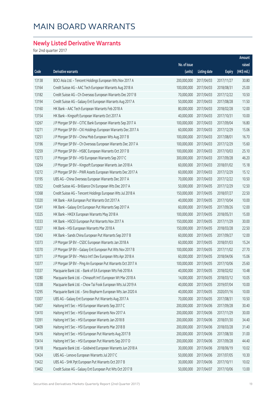### **Newly Listed Derivative Warrants**

for 2nd quarter 2017

|       |                                                              |              |                     |               | Amount      |
|-------|--------------------------------------------------------------|--------------|---------------------|---------------|-------------|
|       |                                                              | No. of issue |                     |               | raised      |
| Code  | Derivative warrants                                          | (units)      | <b>Listing date</b> | <b>Expiry</b> | (HK\$ mil.) |
| 13138 | BOCI Asia Ltd. - Tencent Holdings European Wts Nov 2017 A    | 200,000,000  | 2017/04/03          | 2017/11/27    | 30.80       |
| 13164 | Credit Suisse AG - AAC Tech European Warrants Aug 2018 A     | 100,000,000  | 2017/04/03          | 2018/08/31    | 25.00       |
| 13182 | Credit Suisse AG - Ch Overseas European Warrants Dec 2017 B  | 70,000,000   | 2017/04/03          | 2017/12/22    | 10.50       |
| 13194 | Credit Suisse AG - Galaxy Ent European Warrants Aug 2017 A   | 50,000,000   | 2017/04/03          | 2017/08/28    | 11.50       |
| 13160 | HK Bank - AAC Tech European Warrants Feb 2018 A              | 80,000,000   | 2017/04/03          | 2018/02/28    | 12.00       |
| 13154 | HK Bank - Kingsoft European Warrants Oct 2017 A              | 40,000,000   | 2017/04/03          | 2017/10/31    | 10.00       |
| 13267 | J P Morgan SP BV - CITIC Bank European Warrants Sep 2017 A   | 100,000,000  | 2017/04/03          | 2017/09/04    | 16.80       |
| 13271 | J P Morgan SP BV - CKI Holdings European Warrants Dec 2017 A | 60,000,000   | 2017/04/03          | 2017/12/29    | 15.06       |
| 13251 | J P Morgan SP BV - China Mob European Wts Aug 2017 B         | 100,000,000  | 2017/04/03          | 2017/08/01    | 16.70       |
| 13196 | J P Morgan SP BV - Ch Overseas European Warrants Dec 2017 A  | 100,000,000  | 2017/04/03          | 2017/12/29    | 15.60       |
| 13259 | J P Morgan SP BV - HSBC European Warrants Oct 2017 B         | 100,000,000  | 2017/04/03          | 2017/10/03    | 25.10       |
| 13273 | J P Morgan SP BV - HSI European Warrants Sep 2017 C          | 300,000,000  | 2017/04/03          | 2017/09/28    | 46.20       |
| 13264 | J P Morgan SP BV - Kingsoft European Warrants Jan 2018 A     | 60,000,000   | 2017/04/03          | 2018/01/02    | 15.18       |
| 13272 | J P Morgan SP BV - PWR Assets European Warrants Dec 2017 A   | 60,000,000   | 2017/04/03          | 2017/12/29    | 15.12       |
| 13195 | UBS AG - China Overseas European Warrants Dec 2017 A         | 70,000,000   | 2017/04/03          | 2017/12/22    | 10.50       |
| 13352 | Credit Suisse AG - Brilliance Chi European Wts Dec 2017 A    | 50,000,000   | 2017/04/05          | 2017/12/29    | 12.50       |
| 13368 | Credit Suisse AG - Tencent Holdings European Wts Jul 2018 A  | 150,000,000  | 2017/04/05          | 2018/07/27    | 22.50       |
| 13320 | HK Bank - AIA European Put Warrants Oct 2017 A               | 40,000,000   | 2017/04/05          | 2017/10/04    | 10.00       |
| 13341 | HK Bank - Galaxy Ent European Put Warrants Sep 2017 A        | 60,000,000   | 2017/04/05          | 2017/09/26    | 12.00       |
| 13325 | HK Bank - HKEX European Warrants May 2018 A                  | 100,000,000  | 2017/04/05          | 2018/05/31    | 15.00       |
| 13333 | HK Bank - HSCEI European Put Warrants Nov 2017 A             | 150,000,000  | 2017/04/05          | 2017/11/29    | 30.00       |
| 13327 | HK Bank - HSI European Warrants Mar 2018 A                   | 150,000,000  | 2017/04/05          | 2018/03/28    | 22.50       |
| 13343 | HK Bank - Sands China European Put Warrants Sep 2017 B       | 60,000,000   | 2017/04/05          | 2017/09/27    | 12.00       |
| 13373 | J P Morgan SP BV - CSDC European Warrants Jan 2018 A         | 60,000,000   | 2017/04/05          | 2018/01/03    | 15.24       |
| 13370 | J P Morgan SP BV - Galaxy Ent European Put Wts Nov 2017 B    | 100,000,000  | 2017/04/05          | 2017/11/02    | 27.70       |
| 13371 | J P Morgan SP BV - Melco Int'l Dev European Wts Apr 2018 A   | 60,000,000   | 2017/04/05          | 2018/04/06    | 15.06       |
| 13377 | J P Morgan SP BV - Ping An European Put Warrants Oct 2017 A  | 100,000,000  | 2017/04/05          | 2017/10/06    | 25.60       |
| 13337 | Macquarie Bank Ltd. - Bank of EA European Wts Feb 2018 A     | 40,000,000   | 2017/04/05          | 2018/02/02    | 10.48       |
| 13280 | Macquarie Bank Ltd. - Chinasoft Int'l European Wt Mar 2018 A | 14,000,000   | 2017/04/05          | 2018/03/12    | 10.05       |
| 13338 | Macquarie Bank Ltd. - Chow Tai Fook European Wts Jul 2019 A  | 40,000,000   | 2017/04/05          | 2019/07/04    | 10.00       |
| 13295 | Macquarie Bank Ltd. - Sino Biopharm European Wts Jan 2020 A  | 40,000,000   | 2017/04/05          | 2020/01/16    | 10.00       |
| 13307 | UBS AG - Galaxy Ent European Put Warrants Aug 2017 A         | 70,000,000   | 2017/04/05          | 2017/08/31    | 10.50       |
| 13407 | Haitong Int'l Sec - HSI European Warrants Sep 2017 C         | 200,000,000  | 2017/04/06          | 2017/09/28    | 30.40       |
| 13410 | Haitong Int'l Sec - HSI European Warrants Nov 2017 A         | 200,000,000  | 2017/04/06          | 2017/11/29    | 30.00       |
| 13391 | Haitong Int'l Sec - HSI European Warrants Jan 2018 B         | 200,000,000  | 2017/04/06          | 2018/01/30    | 34.40       |
| 13409 | Haitong Int'l Sec - HSI European Warrants Mar 2018 B         | 200,000,000  | 2017/04/06          | 2018/03/28    | 31.40       |
| 13416 | Haitong Int'l Sec - HSI European Put Warrants Aug 2017 B     | 200,000,000  | 2017/04/06          | 2017/08/30    | 31.00       |
| 13414 | Haitong Int'l Sec - HSI European Put Warrants Sep 2017 D     | 200,000,000  | 2017/04/06          | 2017/09/28    | 44.40       |
| 13418 | Macquarie Bank Ltd. - Goldwind European Warrants Jun 2018 A  | 30,000,000   | 2017/04/06          | 2018/06/19    | 10.02       |
| 13424 | UBS AG - Lenovo European Warrants Jul 2017 C                 | 50,000,000   | 2017/04/06          | 2017/07/05    | 10.30       |
| 13422 | UBS AG - SHK Ppt European Put Warrants Oct 2017 B            | 30,000,000   | 2017/04/06          | 2017/10/11    | 10.02       |
| 13462 | Credit Suisse AG - Galaxy Ent European Put Wts Oct 2017 B    | 50,000,000   | 2017/04/07          | 2017/10/06    | 13.00       |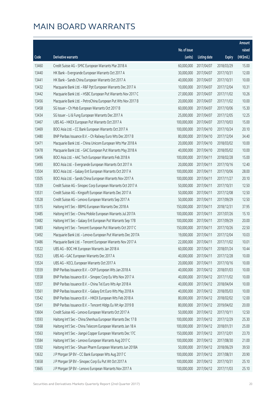|       |                                                              |              |                       |               | Amount     |
|-------|--------------------------------------------------------------|--------------|-----------------------|---------------|------------|
|       |                                                              | No. of issue |                       |               | raised     |
| Code  | Derivative warrants                                          | (units)      | <b>Listing date</b>   | <b>Expiry</b> | (HK\$mil.) |
| 13460 | Credit Suisse AG - SMIC European Warrants Mar 2018 A         | 60,000,000   | 2017/04/07            | 2018/03/29    | 15.00      |
| 13440 | HK Bank - Evergrande European Warrants Oct 2017 A            | 30,000,000   | 2017/04/07            | 2017/10/31    | 12.00      |
| 13441 | HK Bank - Sands China European Warrants Oct 2017 A           | 40,000,000   | 2017/04/07            | 2017/10/31    | 10.00      |
| 13432 | Macquarie Bank Ltd. - R&F Ppt European Warrants Dec 2017 A   | 10,000,000   | 2017/04/07            | 2017/12/04    | 10.31      |
| 13442 | Macquarie Bank Ltd. - HSBC European Put Warrants Nov 2017 C  | 27,000,000   | 2017/04/07            | 2017/11/02    | 10.26      |
| 13456 | Macquarie Bank Ltd. - PetroChina European Put Wts Nov 2017 B | 20,000,000   | 2017/04/07            | 2017/11/02    | 10.00      |
| 13458 | SG Issuer - Ch Mob European Warrants Oct 2017 B              | 60,000,000   | 2017/04/07            | 2017/10/06    | 15.30      |
| 13434 | SG Issuer - Li & Fung European Warrants Dec 2017 A           | 25,000,000   | 2017/04/07            | 2017/12/05    | 12.25      |
| 13467 | UBS AG - HKEX European Put Warrants Oct 2017 A               | 100,000,000  | 2017/04/07            | 2017/10/03    | 15.00      |
| 13469 | BOCI Asia Ltd. - CC Bank European Warrants Oct 2017 A        | 100,000,000  | 2017/04/10            | 2017/10/24    | 20.10      |
| 13480 | BNP Paribas Issuance B.V. - Ch Railway Euro Wts Dec 2017 B   | 80,000,000   | 2017/04/10            | 2017/12/04    | 34.40      |
| 13471 | Macquarie Bank Ltd. - China Unicom European Wts Mar 2018 A   | 20,000,000   | 2017/04/10            | 2018/03/02    | 10.00      |
| 13478 | Macquarie Bank Ltd. - GAC European Put Warrants May 2018 A   | 40,000,000   | 2017/04/10            | 2018/05/02    | 10.00      |
| 13496 | BOCI Asia Ltd. - AAC Tech European Warrants Feb 2018 A       | 100,000,000  | 2017/04/11            | 2018/02/28    | 15.00      |
| 13493 | BOCI Asia Ltd. - Evergrande European Warrants Oct 2017 A     | 20,000,000   | 2017/04/11            | 2017/10/16    | 12.40      |
| 13504 | BOCI Asia Ltd. - Galaxy Ent European Warrants Oct 2017 A     | 100,000,000  | 2017/04/11            | 2017/10/06    | 28.00      |
| 13505 | BOCI Asia Ltd. - Sands China European Warrants Nov 2017 A    | 100,000,000  | 2017/04/11            | 2017/11/27    | 20.10      |
| 13539 | Credit Suisse AG - Sinopec Corp European Warrants Oct 2017 A | 50,000,000   | 2017/04/11            | 2017/10/31    | 12.50      |
| 13531 | Credit Suisse AG - Kingsoft European Warrants Dec 2017 A     | 50,000,000   | 2017/04/11            | 2017/12/08    | 12.50      |
| 13528 | Credit Suisse AG - Lenovo European Warrants Sep 2017 A       | 50,000,000   | 2017/04/11            | 2017/09/29    | 12.50      |
| 13515 | Haitong Int'l Sec - BBMG European Warrants Dec 2018 A        | 150,000,000  | 2017/04/11            | 2018/12/31    | 37.95      |
| 13485 | Haitong Int'l Sec - China Mobile European Warrants Jul 2017A | 100,000,000  | 2017/04/11            | 2017/07/26    | 15.10      |
| 13482 | Haitong Int'l Sec - Galaxy Ent European Put Warrants Sep 17B | 100,000,000  | 2017/04/11            | 2017/09/29    | 20.00      |
| 13483 | Haitong Int'l Sec - Tencent European Put Warrants Oct 2017 C | 150,000,000  | 2017/04/11            | 2017/10/26    | 22.50      |
| 13492 | Macquarie Bank Ltd. - Lenovo European Put Warrants Dec 2017A | 19,000,000   | 2017/04/11            | 2017/12/04    | 10.03      |
| 13486 | Macquarie Bank Ltd. - Tencent European Warrants Nov 2017 A   | 22,000,000   | 2017/04/11            | 2017/11/02    | 10.01      |
| 13522 | UBS AG - BOC HK European Warrants Jan 2018 A                 |              | 60,000,000 2017/04/11 | 2018/01/24    | 10.44      |
| 13523 | UBS AG - GAC European Warrants Dec 2017 A                    | 40,000,000   | 2017/04/11            | 2017/12/28    | 10.00      |
| 13524 | UBS AG - KECL European Warrants Oct 2017 A                   | 20,000,000   | 2017/04/11            | 2017/10/16    | 10.00      |
| 13559 | BNP Paribas Issuance B.V. - CKP European Wts Jan 2018 A      | 40,000,000   | 2017/04/12            | 2018/01/03    | 10.00      |
| 13558 | BNP Paribas Issuance B.V. - Sinopec Corp Eu Wts Nov 2017 A   | 40,000,000   | 2017/04/12            | 2017/11/02    | 10.00      |
| 13557 | BNP Paribas Issuance B.V. - China Tel Euro Wts Apr 2018 A    | 40,000,000   | 2017/04/12            | 2018/04/04    | 10.00      |
| 13561 | BNP Paribas Issuance B.V. - Galaxy Ent Euro Wts May 2018 A   | 40,000,000   | 2017/04/12            | 2018/05/03    | 10.00      |
| 13542 | BNP Paribas Issuance B.V. - HKEX European Wts Feb 2018 A     | 80,000,000   | 2017/04/12            | 2018/02/02    | 12.00      |
| 13541 | BNP Paribas Issuance B.V. - Tencent Hldgs Eu Wt Apr 2019 B   | 80,000,000   | 2017/04/12            | 2019/04/02    | 20.00      |
| 13604 | Credit Suisse AG - Lenovo European Warrants Oct 2017 A       | 50,000,000   | 2017/04/12            | 2017/10/11    | 12.50      |
| 13593 | Haitong Int'l Sec - China Shenhua European Warrants Dec 17 B | 100,000,000  | 2017/04/12            | 2017/12/29    | 25.30      |
| 13568 | Haitong Int'l Sec - China Telecom European Warrants Jan 18 A | 100,000,000  | 2017/04/12            | 2018/01/31    | 25.00      |
| 13563 | Haitong Int'l Sec - Jiangxi Copper European Warrants Dec 17C | 150,000,000  | 2017/04/12            | 2017/12/01    | 23.70      |
| 13584 | Haitong Int'l Sec - Lenovo European Warrants Aug 2017 C      | 100,000,000  | 2017/04/12            | 2017/08/30    | 21.00      |
| 13592 | Haitong Int'l Sec - Sihuan Pharm European Warrants Jun 2018A | 50,000,000   | 2017/04/12            | 2018/06/29    | 39.50      |
| 13632 | J P Morgan SP BV - CC Bank European Wts Aug 2017 C           | 100,000,000  | 2017/04/12            | 2017/08/31    | 20.90      |
| 13658 | J P Morgan SP BV - Sinopec Corp Eu Put Wt Oct 2017 A         | 100,000,000  | 2017/04/12            | 2017/10/31    | 25.10      |
| 13665 | J P Morgan SP BV - Lenovo European Warrants Nov 2017 A       | 100,000,000  | 2017/04/12            | 2017/11/03    | 25.10      |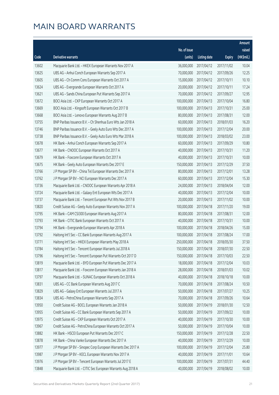|       |                                                              |                        |                     |               | Amount     |
|-------|--------------------------------------------------------------|------------------------|---------------------|---------------|------------|
|       |                                                              | No. of issue           |                     |               | raised     |
| Code  | Derivative warrants                                          | (units)                | <b>Listing date</b> | <b>Expiry</b> | (HK\$mil.) |
| 13602 | Macquarie Bank Ltd. - HKEX European Warrants Nov 2017 A      | 36,000,000             | 2017/04/12          | 2017/11/02    | 10.04      |
| 13625 | UBS AG - Anhui Conch European Warrants Sep 2017 A            | 70,000,000             | 2017/04/12          | 2017/09/26    | 12.25      |
| 13605 | UBS AG - Ch Comm Cons European Warrants Oct 2017 A           | 15,000,000             | 2017/04/12          | 2017/10/11    | 10.10      |
| 13624 | UBS AG - Evergrande European Warrants Oct 2017 A             | 20,000,000             | 2017/04/12          | 2017/10/11    | 17.24      |
| 13621 | UBS AG - Sands China European Put Warrants Sep 2017 A        | 70,000,000             | 2017/04/12          | 2017/09/27    | 12.95      |
| 13672 | BOCI Asia Ltd. - CKP European Warrants Oct 2017 A            | 100,000,000            | 2017/04/13          | 2017/10/04    | 16.80      |
| 13669 | BOCI Asia Ltd. - Kingsoft European Warrants Oct 2017 B       | 100,000,000            | 2017/04/13          | 2017/10/31    | 25.00      |
| 13668 | BOCI Asia Ltd. - Lenovo European Warrants Aug 2017 B         | 80,000,000             | 2017/04/13          | 2017/08/31    | 12.00      |
| 13755 | BNP Paribas Issuance B.V. - Ch Shenhua Euro Wts Jan 2018 A   | 60,000,000             | 2017/04/13          | 2018/01/03    | 16.20      |
| 13746 | BNP Paribas Issuance B.V. - Geely Auto Euro Wts Dec 2017 A   | 100,000,000            | 2017/04/13          | 2017/12/04    | 20.00      |
| 13738 | BNP Paribas Issuance B.V. - Geely Auto Euro Wts Mar 2018 A   | 100,000,000            | 2017/04/13          | 2018/03/02    | 23.00      |
| 13678 | HK Bank - Anhui Conch European Warrants Sep 2017 A           | 60,000,000             | 2017/04/13          | 2017/09/29    | 10.80      |
| 13677 | HK Bank - CNOOC European Warrants Oct 2017 A                 | 40,000,000             | 2017/04/13          | 2017/10/31    | 11.20      |
| 13679 | HK Bank - Foxconn European Warrants Oct 2017 A               | 40,000,000             | 2017/04/13          | 2017/10/31    | 10.00      |
| 13675 | HK Bank - Geely Auto European Warrants Dec 2017 E            | 150,000,000            | 2017/04/13          | 2017/12/29    | 37.50      |
| 13766 | J P Morgan SP BV - China Tel European Warrants Dec 2017 A    | 80,000,000             | 2017/04/13          | 2017/12/01    | 13.28      |
| 13762 | J P Morgan SP BV - NCI European Warrants Dec 2017 A          | 60,000,000             | 2017/04/13          | 2017/12/04    | 15.30      |
| 13736 | Macquarie Bank Ltd. - CNOOC European Warrants Apr 2018 A     | 24,000,000             | 2017/04/13          | 2018/04/04    | 12.00      |
| 13724 | Macquarie Bank Ltd. - Galaxy Ent European Wts Dec 2017 A     | 40,000,000             | 2017/04/13          | 2017/12/04    | 10.00      |
| 13737 | Macquarie Bank Ltd. - Tencent European Put Wts Nov 2017 B    | 20,000,000             | 2017/04/13          | 2017/11/02    | 10.00      |
| 13820 | Credit Suisse AG - Geely Auto European Warrants Nov 2017 A   | 100,000,000            | 2017/04/18          | 2017/11/20    | 19.00      |
| 13795 | HK Bank - CAM CSI300 European Warrants Aug 2017 A            | 80,000,000             | 2017/04/18          | 2017/08/31    | 12.00      |
| 13793 | HK Bank - CITIC Bank European Warrants Oct 2017 A            | 40,000,000             | 2017/04/18          | 2017/10/31    | 10.00      |
| 13794 | HK Bank - Evergrande European Warrants Apr 2018 A            | 100,000,000            | 2017/04/18          | 2018/04/26    | 15.00      |
| 13792 | Haitong Int'l Sec - CC Bank European Warrants Aug 2017 A     | 100,000,000            | 2017/04/18          | 2017/08/24    | 17.00      |
| 13771 | Haitong Int'l Sec - HKEX European Warrants May 2018 A        | 250,000,000            | 2017/04/18          | 2018/05/30    | 37.50      |
| 13784 | Haitong Int'l Sec - Tencent European Warrants Jul 2018 A     | 150,000,000 2017/04/18 |                     | 2018/07/30    | 22.50      |
| 13796 | Haitong Int'l Sec - Tencent European Put Warrants Oct 2017 D | 150,000,000            | 2017/04/18          | 2017/10/03    | 22.50      |
| 13819 | Macquarie Bank Ltd. - BYD European Put Warrants Dec 2017 A   | 18,000,000             | 2017/04/18          | 2017/12/04    | 10.03      |
| 13817 | Macquarie Bank Ltd. - Foxconn European Warrants Jan 2018 A   | 28,000,000             | 2017/04/18          | 2018/01/03    | 10.02      |
| 13797 | Macquarie Bank Ltd. - SUNAC European Warrants Oct 2018 A     | 40,000,000             | 2017/04/18          | 2018/10/18    | 10.00      |
| 13831 | UBS AG - CC Bank European Warrants Aug 2017 C                | 70,000,000             | 2017/04/18          | 2017/08/24    | 10.50      |
| 13829 | UBS AG - Galaxy Ent European Warrants Jul 2017 A             | 50,000,000             | 2017/04/18          | 2017/07/27    | 10.25      |
| 13834 | UBS AG - PetroChina European Warrants Sep 2017 A             | 70,000,000             | 2017/04/18          | 2017/09/26    | 10.64      |
| 13950 | Credit Suisse AG - BOCL European Warrants Jan 2018 A         | 50,000,000             | 2017/04/19          | 2018/01/30    | 12.50      |
| 13955 | Credit Suisse AG - CC Bank European Warrants Sep 2017 A      | 50,000,000             | 2017/04/19          | 2017/09/22    | 10.00      |
| 13975 | Credit Suisse AG - CKP European Warrants Oct 2017 A          | 40,000,000             | 2017/04/19          | 2017/10/30    | 10.00      |
| 13967 | Credit Suisse AG - PetroChina European Warrants Oct 2017 A   | 50,000,000             | 2017/04/19          | 2017/10/04    | 10.00      |
| 13882 | HK Bank - HSCEI European Put Warrants Dec 2017 C             | 150,000,000            | 2017/04/19          | 2017/12/28    | 22.50      |
| 13878 | HK Bank - China Vanke European Warrants Dec 2017 A           | 40,000,000             | 2017/04/19          | 2017/12/29    | 10.00      |
| 13977 | J P Morgan SP BV - Sinopec Corp European Warrants Dec 2017 A | 100,000,000            | 2017/04/19          | 2017/12/04    | 25.80      |
| 13987 | J P Morgan SP BV - KECL European Warrants Nov 2017 A         | 40,000,000             | 2017/04/19          | 2017/11/01    | 10.64      |
| 13976 | J P Morgan SP BV - Tencent European Warrants Jul 2017 E      | 100,000,000            | 2017/04/19          | 2017/07/31    | 44.40      |
| 13848 | Macquarie Bank Ltd. - CITIC Sec European Warrants Aug 2018 A | 40,000,000             | 2017/04/19          | 2018/08/02    | 10.00      |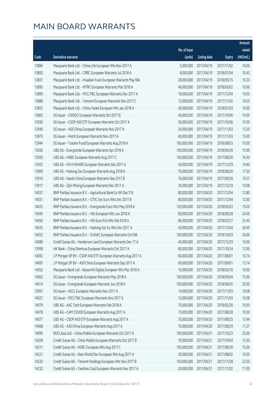|       |                                                               |              |                       |               | Amount     |
|-------|---------------------------------------------------------------|--------------|-----------------------|---------------|------------|
|       |                                                               | No. of issue |                       |               | raised     |
| Code  | Derivative warrants                                           | (units)      | <b>Listing date</b>   | <b>Expiry</b> | (HK\$mil.) |
| 13884 | Macquarie Bank Ltd. - China Life European Wts Nov 2017 A      | 5,000,000    | 2017/04/19            | 2017/11/02    | 10.00      |
| 13850 | Macquarie Bank Ltd. - CRRC European Warrants Jul 2018 A       | 8,000,000    | 2017/04/19            | 2018/07/04    | 10.43      |
| 13837 | Macquarie Bank Ltd. - Huadian Fuxin European Warrants May18A  | 28,000,000   | 2017/04/19            | 2018/05/15    | 10.33      |
| 13895 | Macquarie Bank Ltd. - MTRC European Warrants Mar 2018 A       | 40,000,000   | 2017/04/19            | 2018/03/02    | 10.00      |
| 13899 | Macquarie Bank Ltd. - PICC P&C European Warrants Dec 2017 A   | 18,000,000   | 2017/04/19            | 2017/12/04    | 10.03      |
| 13886 | Macquarie Bank Ltd. - Tencent European Warrants Nov 2017 C    | 12,000,000   | 2017/04/19            | 2017/11/02    | 10.03      |
| 13853 | Macquarie Bank Ltd. - China Vanke European Wts Jan 2018 A     | 40,000,000   | 2017/04/19            | 2018/01/03    | 10.00      |
| 13863 | SG Issuer - CNOOC European Warrants Oct 2017 B                | 40,000,000   | 2017/04/19            | 2017/10/06    | 10.00      |
| 13930 | SG Issuer - CSOP A50 ETF European Warrants Oct 2017 A         | 30,000,000   | 2017/04/19            | 2017/10/06    | 10.50      |
| 13940 | SG Issuer - A50 China European Warrants Nov 2017 A            | 30,000,000   | 2017/04/19            | 2017/11/03    | 13.20      |
| 13875 | SG Issuer - Petch European Warrants Nov 2017 A                | 60,000,000   | 2017/04/19            | 2017/11/03    | 15.00      |
| 13944 | SG Issuer - Tracker Fund European Warrants Aug 2018 A         | 100,000,000  | 2017/04/19            | 2018/08/03    | 15.00      |
| 13926 | UBS AG - Evergrande European Warrants Apr 2018 A              | 100,000,000  | 2017/04/19            | 2018/04/26    | 15.00      |
| 13920 | UBS AG - HSBC European Warrants Aug 2017 C                    | 100,000,000  | 2017/04/19            | 2017/08/30    | 16.30      |
| 13922 | UBS AG - HS H-SHARE European Warrants Dec 2017 A              | 50,000,000   | 2017/04/19            | 2017/12/29    | 14.60      |
| 13909 | UBS AG - Haitong Sec European Warrants Aug 2018 A             | 70,000,000   | 2017/04/19            | 2018/08/20    | 17.50      |
| 13916 | UBS AG - Sands China European Warrants Sep 2017 B             | 70,000,000   | 2017/04/19            | 2017/09/26    | 10.57      |
| 13917 | UBS AG - Zijin Mining European Warrants Dec 2017 A            | 30,000,000   | 2017/04/19            | 2017/12/29    | 10.08      |
| 14037 | BNP Paribas Issuance B.V. - Agricultural Bank Eu Wt Dec17A    | 80,000,000   | 2017/04/20            | 2017/12/04    | 12.80      |
| 14031 | BNP Paribas Issuance B.V. - CITIC Sec Euro Wts Dec 2017 B     | 80,000,000   | 2017/04/20            | 2017/12/04    | 12.00      |
| 14022 | BNP Paribas Issuance B.V. - Evergrande Euro Wts May 2018 A    | 120,000,000  | 2017/04/20            | 2018/05/03    | 19.20      |
| 14045 | BNP Paribas Issuance B.V. - HSI European Wts Jun 2018 A       | 80,000,000   | 2017/04/20            | 2018/06/28    | 24.00      |
| 14050 | BNP Paribas Issuance B.V. - HSI Euro Put Wts Feb 2018 A       | 80,000,000   | 2017/04/20            | 2018/02/27    | 22.40      |
| 14035 | BNP Paribas Issuance B.V. - Haitong Sec Eu Wts Dec 2017 A     | 40,000,000   | 2017/04/20            | 2017/12/04    | 26.00      |
| 14023 | BNP Paribas Issuance B.V. - SUNAC European Warrants Oct18A    | 100,000,000  | 2017/04/20            | 2018/10/03    | 26.00      |
| 14080 | Credit Suisse AG - Henderson Land European Warrants Dec 17 A  | 40,000,000   | 2017/04/20            | 2017/12/29    | 10.00      |
| 13998 | HK Bank - China Shenhua European Warrants Oct 2017 A          |              | 80,000,000 2017/04/20 | 2017/10/24    | 12.00      |
| 14092 | J P Morgan SP BV - CSOP A50 ETF European Warrants Aug 2017 A  | 60,000,000   | 2017/04/20            | 2017/08/01    | 10.14      |
| 14087 | J P Morgan SP BV - A50 China European Warrants Sep 2017 A     | 60,000,000   | 2017/04/20            | 2017/09/01    | 13.74      |
| 14052 | Macquarie Bank Ltd - Skyworth Digital European Wts Mar 2018 A | 10,000,000   | 2017/04/20            | 2018/03/16    | 10.00      |
| 14062 | SG Issuer - Evergrande European Warrants May 2018 A           | 100,000,000  | 2017/04/20            | 2018/05/04    | 15.00      |
| 14014 | SG Issuer - Evergrande European Warrants Jun 2018 A           | 100,000,000  | 2017/04/20            | 2018/06/05    | 25.00      |
| 13997 | SG Issuer - KECL European Warrants Nov 2017 A                 | 14,000,000   | 2017/04/20            | 2017/11/03    | 10.08      |
| 14021 | SG Issuer - PICC P&C European Warrants Nov 2017 A             | 12,000,000   | 2017/04/20            | 2017/11/03    | 10.08      |
| 14079 | UBS AG - AAC Tech European Warrants Feb 2018 A                | 70,000,000   | 2017/04/20            | 2018/02/26    | 10.50      |
| 14078 | UBS AG - CAM CSI300 European Warrants Aug 2017 A              | 70,000,000   | 2017/04/20            | 2017/08/28    | 10.50      |
| 14077 | UBS AG - CSOP A50 ETF European Warrants Aug 2017 A            | 70,000,000   | 2017/04/20            | 2017/08/25    | 13.44      |
| 14068 | UBS AG - A50 China European Warrants Aug 2017 A               | 70,000,000   | 2017/04/20            | 2017/08/29    | 11.27      |
| 14095 | BOCI Asia Ltd. - China Mobile European Warrants Oct 2017 A    | 100,000,000  | 2017/04/21            | 2017/10/23    | 25.00      |
| 14208 | Credit Suisse AG - China Mobile European Warrants Oct 2017 B  | 70,000,000   | 2017/04/21            | 2017/10/04    | 13.30      |
| 14217 | Credit Suisse AG - HSBC European Wts Aug 2017 C               | 100,000,000  | 2017/04/21            | 2017/08/30    | 15.00      |
| 14221 | Credit Suisse AG - New World Dev European Wts Aug 2017 A      | 30,000,000   | 2017/04/21            | 2017/08/02    | 10.05      |
| 14220 | Credit Suisse AG - Tencent Holdings European Wts Nov 2017 B   | 150,000,000  | 2017/04/21            | 2017/11/28    | 22.50      |
| 14232 | Credit Suisse AG - Yanzhou Coal European Warrants Nov 2017 A  | 20,000,000   | 2017/04/21            | 2017/11/02    | 11.00      |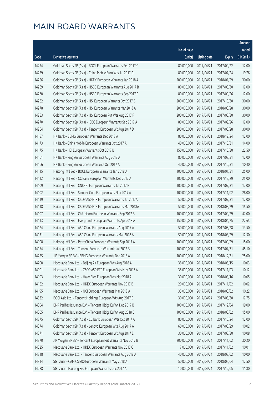|       |                                                              |                        |                     |               | Amount     |
|-------|--------------------------------------------------------------|------------------------|---------------------|---------------|------------|
|       |                                                              | No. of issue           |                     |               | raised     |
| Code  | Derivative warrants                                          | (units)                | <b>Listing date</b> | <b>Expiry</b> | (HK\$mil.) |
| 14274 | Goldman Sachs SP (Asia) - BOCL European Warrants Sep 2017 C  | 80,000,000             | 2017/04/21          | 2017/09/22    | 12.00      |
| 14259 | Goldman Sachs SP (Asia) - China Mobile Euro Wts Jul 2017 D   | 80,000,000             | 2017/04/21          | 2017/07/24    | 19.76      |
| 14256 | Goldman Sachs SP (Asia) - HKEX European Warrants Jan 2018 A  | 200,000,000            | 2017/04/21          | 2018/01/29    | 30.00      |
| 14269 | Goldman Sachs SP (Asia) - HSBC European Warrants Aug 2017 B  | 80,000,000             | 2017/04/21          | 2017/08/30    | 12.00      |
| 14260 | Goldman Sachs SP (Asia) - HSBC European Warrants Sep 2017 C  | 80,000,000             | 2017/04/21          | 2017/09/26    | 12.00      |
| 14282 | Goldman Sachs SP (Asia) - HSI European Warrants Oct 2017 B   | 200,000,000            | 2017/04/21          | 2017/10/30    | 30.00      |
| 14278 | Goldman Sachs SP (Asia) - HSI European Warrants Mar 2018 A   | 200,000,000            | 2017/04/21          | 2018/03/28    | 30.00      |
| 14283 | Goldman Sachs SP (Asia) - HSI European Put Wts Aug 2017 F    | 200,000,000            | 2017/04/21          | 2017/08/30    | 30.00      |
| 14270 | Goldman Sachs Sp (Asia) - ICBC European Warrants Sep 2017 A  | 80,000,000             | 2017/04/21          | 2017/09/26    | 12.00      |
| 14264 | Goldman Sachs SP (Asia) - Tencent European Wt Aug 2017 D     | 200,000,000            | 2017/04/21          | 2017/08/28    | 30.00      |
| 14157 | HK Bank - BBMG European Warrants Dec 2018 A                  | 80,000,000             | 2017/04/21          | 2018/12/24    | 12.00      |
| 14173 | HK Bank - China Mobile European Warrants Oct 2017 A          | 40,000,000             | 2017/04/21          | 2017/10/31    | 14.00      |
| 14175 | HK Bank - HSI European Warrants Oct 2017 B                   | 150,000,000            | 2017/04/21          | 2017/10/30    | 22.50      |
| 14161 | HK Bank - Ping An European Warrants Aug 2017 A               | 80,000,000             | 2017/04/21          | 2017/08/31    | 12.00      |
| 14166 | HK Bank - Ping An European Warrants Oct 2017 A               | 40,000,000             | 2017/04/21          | 2017/10/31    | 10.40      |
| 14115 | Haitong Int'l Sec - BOCL European Warrants Jan 2018 A        | 100,000,000            | 2017/04/21          | 2018/01/31    | 25.00      |
| 14112 | Haitong Int'l Sec - CC Bank European Warrants Dec 2017 A     | 100,000,000            | 2017/04/21          | 2017/12/29    | 25.00      |
| 14109 | Haitong Int'l Sec - CNOOC European Warrants Jul 2017 B       | 100,000,000            | 2017/04/21          | 2017/07/31    | 17.00      |
| 14102 | Haitong Int'l Sec - Sinopec Corp European Wts Nov 2017 A     | 100,000,000            | 2017/04/21          | 2017/11/02    | 28.00      |
| 14119 | Haitong Int'l Sec - CSOP A50 ETF European Warrants Jul 2017A | 50,000,000             | 2017/04/21          | 2017/07/31    | 12.00      |
| 14118 | Haitong Int'l Sec - CSOP A50 ETF European Warrants Mar 2018A | 50,000,000             | 2017/04/21          | 2018/03/29    | 15.50      |
| 14107 | Haitong Int'l Sec - Ch Unicom European Warrants Sep 2017 A   | 100,000,000            | 2017/04/21          | 2017/09/29    | 47.00      |
| 14113 | Haitong Int'l Sec - Evergrande European Warrants Apr 2018 A  | 150,000,000            | 2017/04/21          | 2018/04/25    | 22.65      |
| 14124 | Haitong Int'l Sec - A50 China European Warrants Aug 2017 A   | 50,000,000             | 2017/04/21          | 2017/08/28    | 13.50      |
| 14131 | Haitong Int'l Sec - A50 China European Warrants Mar 2018 A   | 50,000,000             | 2017/04/21          | 2018/03/29    | 12.50      |
| 14108 | Haitong Int'l Sec - PetroChina European Warrants Sep 2017 A  | 100,000,000            | 2017/04/21          | 2017/09/29    | 15.00      |
| 14154 | Haitong Int'l Sec - Tencent European Warrants Jul 2017 B     | 100,000,000 2017/04/21 |                     | 2017/07/31    | 45.10      |
| 14255 | J P Morgan SP BV - BBMG European Warrants Dec 2018 A         | 100,000,000            | 2017/04/21          | 2018/12/31    | 25.00      |
| 14200 | Macquarie Bank Ltd. - Beijing Air European Wts Aug 2018 A    | 38,000,000             | 2017/04/21          | 2018/08/15    | 10.03      |
| 14101 | Macquarie Bank Ltd. - CSOP A50 ETF European Wts Nov 2017 A   | 35,000,000             | 2017/04/21          | 2017/11/03    | 10.12      |
| 14193 | Macquarie Bank Ltd. - Haier Elec European Wts Mar 2018 A     | 30,000,000             | 2017/04/21          | 2018/03/16    | 10.05      |
| 14182 | Macquarie Bank Ltd. - HKEX European Warrants Nov 2017 B      | 20,000,000             | 2017/04/21          | 2017/11/02    | 10.02      |
| 14195 | Macquarie Bank Ltd. - NCI European Warrants Mar 2018 A       | 35,000,000             | 2017/04/21          | 2018/03/02    | 10.22      |
| 14332 | BOCI Asia Ltd. - Tencent Holdings European Wts Aug 2017 C    | 30,000,000             | 2017/04/24          | 2017/08/30    | 12.75      |
| 14304 | BNP Paribas Issuance B.V. - Tencent Hldgs Eu Wt Dec 2017 B   | 100,000,000            | 2017/04/24          | 2017/12/04    | 19.00      |
| 14305 | BNP Paribas Issuance B.V. - Tencent Hldgs Eu Wt Aug 2018 B   | 100,000,000            | 2017/04/24          | 2018/08/02    | 15.00      |
| 14375 | Goldman Sachs SP (Asia) - CC Bank European Wts Oct 2017 A    | 80,000,000             | 2017/04/24          | 2017/10/24    | 12.00      |
| 14374 | Goldman Sachs SP (Asia) - Lenovo European Wts Aug 2017 A     | 60,000,000             | 2017/04/24          | 2017/08/29    | 10.02      |
| 14371 | Goldman Sachs SP (Asia) - Tencent European Wt Aug 2017 E     | 30,000,000             | 2017/04/24          | 2017/08/30    | 10.08      |
| 14370 | J P Morgan SP BV - Tencent European Put Warrants Nov 2017 B  | 200,000,000            | 2017/04/24          | 2017/11/02    | 30.20      |
| 14325 | Macquarie Bank Ltd. - HKEX European Warrants Nov 2017 C      | 7,000,000              | 2017/04/24          | 2017/11/02    | 10.01      |
| 14318 | Macquarie Bank Ltd. - Tencent European Warrants Aug 2018 A   | 40,000,000             | 2017/04/24          | 2018/08/02    | 10.00      |
| 14314 | SG Issuer - CAM CSI300 European Warrants May 2018 A          | 50,000,000             | 2017/04/24          | 2018/05/04    | 12.50      |
| 14288 | SG Issuer - Haitong Sec European Warrants Dec 2017 A         | 10,000,000             | 2017/04/24          | 2017/12/05    | 11.80      |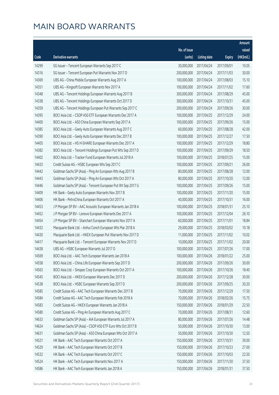|       |                                                               |                        |                     |               | Amount     |
|-------|---------------------------------------------------------------|------------------------|---------------------|---------------|------------|
|       |                                                               | No. of issue           |                     |               | raised     |
| Code  | <b>Derivative warrants</b>                                    | (units)                | <b>Listing date</b> | <b>Expiry</b> | (HK\$mil.) |
| 14299 | SG Issuer - Tencent European Warrants Sep 2017 C              | 30,000,000             | 2017/04/24          | 2017/09/01    | 10.05      |
| 14316 | SG Issuer - Tencent European Put Warrants Nov 2017 D          | 200,000,000            | 2017/04/24          | 2017/11/03    | 30.00      |
| 14369 | UBS AG - China Mobile European Warrants Aug 2017 A            | 100,000,000            | 2017/04/24          | 2017/08/03    | 15.10      |
| 14351 | UBS AG - Kingsoft European Warrants Nov 2017 A                | 100,000,000            | 2017/04/24          | 2017/11/02    | 17.60      |
| 14348 | UBS AG - Tencent Holdings European Warrants Aug 2017 B        | 300,000,000            | 2017/04/24          | 2017/08/29    | 45.00      |
| 14338 | UBS AG - Tencent Holdings European Warrants Oct 2017 D        | 300,000,000            | 2017/04/24          | 2017/10/31    | 45.00      |
| 14359 | UBS AG - Tencent Holdings European Put Warrants Sep 2017 C    | 200,000,000            | 2017/04/24          | 2017/09/26    | 30.00      |
| 14395 | BOCI Asia Ltd. - CSOP A50 ETF European Warrants Dec 2017 A    | 100,000,000            | 2017/04/25          | 2017/12/29    | 24.00      |
| 14400 | BOCI Asia Ltd. - A50 China European Warrants Sep 2017 A       | 100,000,000            | 2017/04/25          | 2017/09/26    | 15.00      |
| 14385 | BOCI Asia Ltd. - Geely Auto European Warrants Aug 2017 C      | 60,000,000             | 2017/04/25          | 2017/08/28    | 42.00      |
| 14390 | BOCI Asia Ltd. - Geely Auto European Warrants Dec 2017 B      | 100,000,000            | 2017/04/25          | 2017/12/27    | 17.50      |
| 14405 | BOCI Asia Ltd. - HS H-SHARE European Warrants Dec 2017 A      | 100,000,000            | 2017/04/25          | 2017/12/29    | 18.80      |
| 14382 | BOCI Asia Ltd. - Tencent Holdings European Put Wts Sep 2017 D | 100,000,000            | 2017/04/25          | 2017/09/29    | 18.50      |
| 14402 | BOCI Asia Ltd. - Tracker Fund European Warrants Jul 2018 A    | 100,000,000            | 2017/04/25          | 2018/07/25    | 15.00      |
| 14433 | Credit Suisse AG - HSBC European Wts Sep 2017 C               | 100,000,000            | 2017/04/25          | 2017/09/21    | 26.00      |
| 14442 | Goldman Sachs SP (Asia) - Ping An European Wts Aug 2017 B     | 80,000,000             | 2017/04/25          | 2017/08/28    | 12.00      |
| 14443 | Goldman Sachs SP (Asia) - Ping An European Wts Oct 2017 A     | 80,000,000             | 2017/04/25          | 2017/10/20    | 12.00      |
| 14446 | Goldman Sachs SP (Asia) - Tencent European Put Wt Sep 2017 G  | 100,000,000            | 2017/04/25          | 2017/09/26    | 15.00      |
| 14409 | HK Bank - Geely Auto European Warrants Nov 2017 B             | 100,000,000            | 2017/04/25          | 2017/11/20    | 15.00      |
| 14406 | HK Bank - PetroChina European Warrants Oct 2017 A             | 40,000,000             | 2017/04/25          | 2017/10/31    | 16.00      |
| 14453 | J P Morgan SP BV - AAC Acoustic European Warrants Jan 2018 A  | 100,000,000            | 2017/04/25          | 2018/01/31    | 25.10      |
| 14452 | J P Morgan SP BV - Lenovo European Warrants Dec 2017 A        | 100,000,000            | 2017/04/25          | 2017/12/04    | 26.10      |
| 14454 | J P Morgan SP BV - Stanchart European Warrants Nov 2017 A     | 60,000,000             | 2017/04/25          | 2017/11/01    | 18.84      |
| 14432 | Macquarie Bank Ltd. - Anhui Conch European Wts Mar 2018 A     | 29,000,000             | 2017/04/25          | 2018/03/02    | 10.18      |
| 14430 | Macquarie Bank Ltd. - HKEX European Put Warrants Nov 2017 D   | 11,000,000             | 2017/04/25          | 2017/11/02    | 10.02      |
| 14417 | Macquarie Bank Ltd. - Tencent European Warrants Nov 2017 D    | 10,000,000             | 2017/04/25          | 2017/11/02    | 20.00      |
| 14438 | UBS AG - HSBC European Warrants Jul 2017 D                    | 100,000,000 2017/04/25 |                     | 2017/07/26    | 17.00      |
| 14569 | BOCI Asia Ltd. - AAC Tech European Warrants Jan 2018 A        | 100,000,000            | 2017/04/26          | 2018/01/22    | 25.00      |
| 14558 | BOCI Asia Ltd. - China Life European Warrants Sep 2017 D      | 200,000,000            | 2017/04/26          | 2017/09/26    | 30.00      |
| 14563 | BOCI Asia Ltd. - Sinopec Corp European Warrants Oct 2017 A    | 100,000,000            | 2017/04/26          | 2017/10/26    | 18.40      |
| 14545 | BOCI Asia Ltd. - HKEX European Warrants Dec 2017 D            | 200,000,000            | 2017/04/26          | 2017/12/28    | 30.00      |
| 14538 | BOCI Asia Ltd. - HSBC European Warrants Sep 2017 D            | 200,000,000            | 2017/04/26          | 2017/09/25    | 30.20      |
| 14585 | Credit Suisse AG - AAC Tech European Warrants Dec 2017 B      | 70,000,000             | 2017/04/26          | 2017/12/29    | 17.50      |
| 14584 | Credit Suisse AG - AAC Tech European Warrants Feb 2018 A      | 70,000,000             | 2017/04/26          | 2018/02/26    | 15.75      |
| 14583 | Credit Suisse AG - HKEX European Warrants Jan 2018 A          | 150,000,000            | 2017/04/26          | 2018/01/29    | 22.50      |
| 14580 | Credit Suisse AG - Ping An European Warrants Aug 2017 C       | 70,000,000             | 2017/04/26          | 2017/08/31    | 12.60      |
| 14633 | Goldman Sachs SP (Asia) - AIA European Warrants Jul 2017 A    | 80,000,000             | 2017/04/26          | 2017/07/26    | 14.48      |
| 14624 | Goldman Sachs SP (Asia) - CSOP A50 ETF Euro Wts Oct 2017 B    | 50,000,000             | 2017/04/26          | 2017/10/30    | 13.00      |
| 14631 | Goldman Sachs SP (Asia) - A50 China European Wts Oct 2017 A   | 50,000,000             | 2017/04/26          | 2017/10/30    | 12.50      |
| 14521 | HK Bank - AAC Tech European Warrants Oct 2017 A               | 150,000,000            | 2017/04/26          | 2017/10/31    | 39.00      |
| 14529 | HK Bank - AAC Tech European Warrants Oct 2017 B               | 150,000,000            | 2017/04/26          | 2017/10/23    | 27.00      |
| 14532 | HK Bank - AAC Tech European Warrants Oct 2017 C               | 150,000,000            | 2017/04/26          | 2017/10/03    | 22.50      |
| 14524 | HK Bank - AAC Tech European Warrants Nov 2017 A               | 150,000,000            | 2017/04/26          | 2017/11/30    | 37.50      |
| 14586 | HK Bank - AAC Tech European Warrants Jan 2018 A               | 150,000,000            | 2017/04/26          | 2018/01/31    | 37.50      |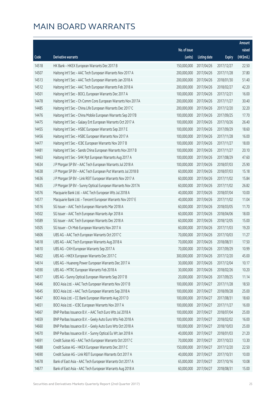|       |                                                              |              |                       |               | Amount     |
|-------|--------------------------------------------------------------|--------------|-----------------------|---------------|------------|
|       |                                                              | No. of issue |                       |               | raised     |
| Code  | Derivative warrants                                          | (units)      | <b>Listing date</b>   | <b>Expiry</b> | (HK\$mil.) |
| 14518 | HK Bank - HKEX European Warrants Dec 2017 B                  | 150,000,000  | 2017/04/26            | 2017/12/27    | 22.50      |
| 14507 | Haitong Int'l Sec - AAC Tech European Warrants Nov 2017 A    | 200,000,000  | 2017/04/26            | 2017/11/28    | 37.80      |
| 14513 | Haitong Int'l Sec - AAC Tech European Warrants Jan 2018 A    | 200,000,000  | 2017/04/26            | 2018/01/30    | 51.40      |
| 14512 | Haitong Int'l Sec - AAC Tech European Warrants Feb 2018 A    | 200,000,000  | 2017/04/26            | 2018/02/27    | 42.20      |
| 14501 | Haitong Int'l Sec - BOCL European Warrants Dec 2017 A        | 100,000,000  | 2017/04/26            | 2017/12/21    | 16.00      |
| 14478 | Haitong Int'l Sec - Ch Comm Cons European Warrants Nov 2017A | 200,000,000  | 2017/04/26            | 2017/11/27    | 30.40      |
| 14485 | Haitong Int'l Sec - China Life European Warrants Dec 2017 C  | 200,000,000  | 2017/04/26            | 2017/12/20    | 32.20      |
| 14476 | Haitong Int'l Sec - China Mobile European Warrants Sep 2017B | 100,000,000  | 2017/04/26            | 2017/09/25    | 17.70      |
| 14475 | Haitong Int'l Sec - Galaxy Ent European Warrants Oct 2017 A  | 100,000,000  | 2017/04/26            | 2017/10/26    | 26.40      |
| 14455 | Haitong Int'l Sec - HSBC European Warrants Sep 2017 E        | 100,000,000  | 2017/04/26            | 2017/09/29    | 18.60      |
| 14456 | Haitong Int'l Sec - HSBC European Warrants Nov 2017 A        | 100,000,000  | 2017/04/26            | 2017/11/28    | 16.00      |
| 14477 | Haitong Int'l Sec - ICBC European Warrants Nov 2017 B        | 100,000,000  | 2017/04/26            | 2017/11/27    | 18.00      |
| 14481 | Haitong Int'l Sec - Sands China European Warrants Nov 2017 B | 100,000,000  | 2017/04/26            | 2017/11/27    | 20.10      |
| 14463 | Haitong Int'l Sec - SHK Ppt European Warrants Aug 2017 A     | 100,000,000  | 2017/04/26            | 2017/08/29    | 47.60      |
| 14634 | J P Morgan SP BV - AAC Tech European Warrants Jul 2018 A     | 100,000,000  | 2017/04/26            | 2018/07/03    | 25.90      |
| 14638 | J P Morgan SP BV - AAC Tech European Put Warrants Jul 2018 B | 60,000,000   | 2017/04/26            | 2018/07/03    | 15.18      |
| 14636 | J P Morgan SP BV - Link REIT European Warrants Nov 2017 A    | 60,000,000   | 2017/04/26            | 2017/11/02    | 15.84      |
| 14635 | J P Morgan SP BV - Sunny Optical European Warrants Nov 2017A | 60,000,000   | 2017/04/26            | 2017/11/02    | 26.82      |
| 14576 | Macquarie Bank Ltd. - AAC Tech European Wts Jul 2018 A       | 40,000,000   | 2017/04/26            | 2018/07/04    | 10.00      |
| 14577 | Macquarie Bank Ltd. - Tencent European Warrants Nov 2017 E   | 40,000,000   | 2017/04/26            | 2017/11/02    | 11.04      |
| 14516 | SG Issuer - AAC Tech European Warrants Mar 2018 A            | 60,000,000   | 2017/04/26            | 2018/03/05    | 11.70      |
| 14502 | SG Issuer - AAC Tech European Warrants Apr 2018 A            | 60,000,000   | 2017/04/26            | 2018/04/06    | 18.00      |
| 14589 | SG Issuer - AAC Tech European Warrants Dec 2018 A            | 60,000,000   | 2017/04/26            | 2018/12/05    | 15.00      |
| 14505 | SG Issuer - Ch Mob European Warrants Nov 2017 A              | 60,000,000   | 2017/04/26            | 2017/11/03    | 19.20      |
| 14606 | UBS AG - AAC Tech European Warrants Oct 2017 C               | 70,000,000   | 2017/04/26            | 2017/10/03    | 11.27      |
| 14618 | UBS AG - AAC Tech European Warrants Aug 2018 A               | 70,000,000   | 2017/04/26            | 2018/08/31    | 17.50      |
| 14610 | UBS AG - CKH European Warrants Sep 2017 A                    |              | 70,000,000 2017/04/26 | 2017/09/29    | 10.99      |
| 14602 | UBS AG - HKEX European Warrants Dec 2017 C                   | 300,000,000  | 2017/04/26            | 2017/12/20    | 45.00      |
| 14614 | UBS AG - Huaneng Power European Warrants Dec 2017 A          | 30,000,000   | 2017/04/26            | 2017/12/04    | 10.17      |
| 14590 | UBS AG - MTRC European Warrants Feb 2018 A                   | 30,000,000   | 2017/04/26            | 2018/02/26    | 10.20      |
| 14617 | UBS AG - Sunny Optical European Warrants Sep 2017 B          | 20,000,000   | 2017/04/26            | 2017/09/25    | 11.14      |
| 14646 | BOCI Asia Ltd. - AAC Tech European Warrants Nov 2017 B       | 100,000,000  | 2017/04/27            | 2017/11/28    | 18.50      |
| 14645 | BOCI Asia Ltd. - AAC Tech European Warrants Sep 2018 A       | 100,000,000  | 2017/04/27            | 2018/09/28    | 25.00      |
| 14647 | BOCI Asia Ltd. - CC Bank European Warrants Aug 2017 D        | 100,000,000  | 2017/04/27            | 2017/08/31    | 18.60      |
| 14651 | BOCI Asia Ltd. - ICBC European Warrants Nov 2017 A           | 100,000,000  | 2017/04/27            | 2017/11/27    | 16.00      |
| 14667 | BNP Paribas Issuance B.V. - AAC Tech Euro Wts Jul 2018 A     | 100,000,000  | 2017/04/27            | 2018/07/04    | 25.00      |
| 14659 | BNP Paribas Issuance B.V. - Geely Auto Euro Wts Feb 2018 A   | 100,000,000  | 2017/04/27            | 2018/02/02    | 16.00      |
| 14660 | BNP Paribas Issuance B.V. - Geely Auto Euro Wts Oct 2018 A   | 100,000,000  | 2017/04/27            | 2018/10/03    | 25.00      |
| 14670 | BNP Paribas Issuance B.V. - Sunny Optical Eu Wt Jan 2018 A   | 40,000,000   | 2017/04/27            | 2018/01/03    | 21.20      |
| 14691 | Credit Suisse AG - AAC Tech European Warrants Oct 2017 C     | 70,000,000   | 2017/04/27            | 2017/10/23    | 13.30      |
| 14688 | Credit Suisse AG - HKEX European Warrants Dec 2017 C         | 150,000,000  | 2017/04/27            | 2017/12/20    | 22.50      |
| 14690 | Credit Suisse AG - Link REIT European Warrants Oct 2017 A    | 40,000,000   | 2017/04/27            | 2017/10/31    | 10.00      |
| 14678 | Bank of East Asia - AAC Tech European Warrants Oct 2017 A    | 65,000,000   | 2017/04/27            | 2017/10/16    | 10.08      |
| 14677 | Bank of East Asia - AAC Tech European Warrants Aug 2018 A    | 60,000,000   | 2017/04/27            | 2018/08/31    | 15.00      |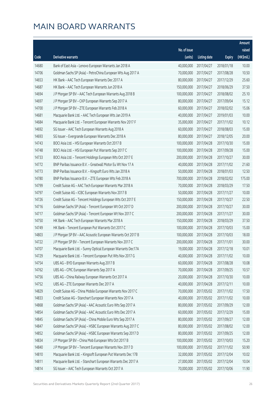|       |                                                              |              |                       |               | Amount     |
|-------|--------------------------------------------------------------|--------------|-----------------------|---------------|------------|
|       |                                                              | No. of issue |                       |               | raised     |
| Code  | <b>Derivative warrants</b>                                   | (units)      | <b>Listing date</b>   | <b>Expiry</b> | (HK\$mil.) |
| 14680 | Bank of East Asia - Lenovo European Warrants Jan 2018 A      | 40,000,000   | 2017/04/27            | 2018/01/18    | 10.00      |
| 14706 | Goldman Sachs SP (Asia) - PetroChina European Wts Aug 2017 A | 70,000,000   | 2017/04/27            | 2017/08/28    | 10.50      |
| 14653 | HK Bank - AAC Tech European Warrants Dec 2017 A              | 80,000,000   | 2017/04/27            | 2017/12/29    | 25.60      |
| 14687 | HK Bank - AAC Tech European Warrants Jun 2018 A              | 150,000,000  | 2017/04/27            | 2018/06/29    | 37.50      |
| 14694 | J P Morgan SP BV - AAC Tech European Warrants Aug 2018 B     | 100,000,000  | 2017/04/27            | 2018/08/02    | 25.10      |
| 14697 | J P Morgan SP BV - CKP European Warrants Sep 2017 A          | 80,000,000   | 2017/04/27            | 2017/09/04    | 15.12      |
| 14700 | J P Morgan SP BV - ZTE European Warrants Feb 2018 A          | 60,000,000   | 2017/04/27            | 2018/02/02    | 15.06      |
| 14681 | Macquarie Bank Ltd. - AAC Tech European Wts Jan 2019 A       | 40,000,000   | 2017/04/27            | 2019/01/03    | 10.00      |
| 14684 | Macquarie Bank Ltd. - Tencent European Warrants Nov 2017 F   | 35,000,000   | 2017/04/27            | 2017/11/02    | 10.12      |
| 14692 | SG Issuer - AAC Tech European Warrants Aug 2018 A            | 60,000,000   | 2017/04/27            | 2018/08/03    | 15.00      |
| 14693 | SG Issuer - Evergrande European Warrants Dec 2018 A          | 80,000,000   | 2017/04/27            | 2018/12/05    | 20.00      |
| 14743 | BOCI Asia Ltd. - HSI European Warrants Oct 2017 B            | 100,000,000  | 2017/04/28            | 2017/10/30    | 15.00      |
| 14748 | BOCI Asia Ltd. - HSI European Put Warrants Sep 2017 C        | 100,000,000  | 2017/04/28            | 2017/09/28    | 15.00      |
| 14733 | BOCI Asia Ltd. - Tencent Holdings European Wts Oct 2017 E    | 200,000,000  | 2017/04/28            | 2017/10/27    | 30.00      |
| 14772 | BNP Paribas Issuance B.V. - Greatwall Motor Eu Wt Nov 17 A   | 40,000,000   | 2017/04/28            | 2017/11/02    | 21.60      |
| 14773 | BNP Paribas Issuance B.V. - Kingsoft Euro Wts Jan 2018 A     | 50,000,000   | 2017/04/28            | 2018/01/03    | 12.50      |
| 14780 | BNP Paribas Issuance B.V. - ZTE European Wts Feb 2018 A      | 700,000,000  | 2017/04/28            | 2018/02/02    | 175.00     |
| 14799 | Credit Suisse AG - AAC Tech European Warrants Mar 2018 A     | 70,000,000   | 2017/04/28            | 2018/03/29    | 17.50      |
| 14797 | Credit Suisse AG - ICBC European Warrants Nov 2017 B         | 50,000,000   | 2017/04/28            | 2017/11/27    | 10.00      |
| 14726 | Credit Suisse AG - Tencent Holdings European Wts Oct 2017 E  | 150,000,000  | 2017/04/28            | 2017/10/27    | 22.50      |
| 14716 | Goldman Sachs SP (Asia) - Tencent European Wt Oct 2017 D     | 200,000,000  | 2017/04/28            | 2017/10/27    | 30.00      |
| 14717 | Goldman Sachs SP (Asia) - Tencent European Wt Nov 2017 C     | 200,000,000  | 2017/04/28            | 2017/11/27    | 30.00      |
| 14750 | HK Bank - AAC Tech European Warrants Mar 2018 A              | 150,000,000  | 2017/04/28            | 2018/03/29    | 37.50      |
| 14749 | HK Bank - Tencent European Put Warrants Oct 2017 C           | 100,000,000  | 2017/04/28            | 2017/10/03    | 15.00      |
| 14803 | J P Morgan SP BV - AAC Acoustic European Warrants Oct 2017 B | 100,000,000  | 2017/04/28            | 2017/10/03    | 18.00      |
| 14722 | J P Morgan SP BV - Tencent European Warrants Nov 2017 C      | 200,000,000  | 2017/04/28            | 2017/11/01    | 30.00      |
| 14707 | Macquarie Bank Ltd. - Sunny Optical European Warrants Dec17A |              | 19,000,000 2017/04/28 | 2017/12/18    | 10.01      |
| 14729 | Macquarie Bank Ltd. - Tencent European Put Wts Nov 2017 G    | 40,000,000   | 2017/04/28            | 2017/11/02    | 10.00      |
| 14754 | UBS AG - BYD European Warrants Aug 2017 B                    | 60,000,000   | 2017/04/28            | 2017/08/28    | 10.08      |
| 14762 | UBS AG - CPIC European Warrants Sep 2017 A                   | 70,000,000   | 2017/04/28            | 2017/09/25    | 10.57      |
| 14756 | UBS AG - China Railway European Warrants Oct 2017 A          | 20,000,000   | 2017/04/28            | 2017/10/30    | 10.00      |
| 14752 | UBS AG - ZTE European Warrants Dec 2017 A                    | 40,000,000   | 2017/04/28            | 2017/12/11    | 10.00      |
| 14829 | Credit Suisse AG - China Mobile European Warrants Nov 2017 C | 70,000,000   | 2017/05/02            | 2017/11/02    | 17.50      |
| 14833 | Credit Suisse AG - Stanchart European Warrants Nov 2017 A    | 40,000,000   | 2017/05/02            | 2017/11/02    | 10.00      |
| 14868 | Goldman Sachs SP (Asia) - AAC Acoustic Euro Wts Sep 2017 A   | 80,000,000   | 2017/05/02            | 2017/09/29    | 12.00      |
| 14854 | Goldman Sachs SP (Asia) - AAC Acoustic Euro Wts Dec 2017 A   | 60,000,000   | 2017/05/02            | 2017/12/29    | 15.00      |
| 14845 | Goldman Sachs SP (Asia) - China Mobile Euro Wts Sep 2017 A   | 80,000,000   | 2017/05/02            | 2017/09/27    | 12.00      |
| 14847 | Goldman Sachs SP (Asia) - HSBC European Warrants Aug 2017 C  | 80,000,000   | 2017/05/02            | 2017/08/02    | 12.00      |
| 14852 | Goldman Sachs SP (Asia) - HSBC European Warrants Sep 2017 D  | 80,000,000   | 2017/05/02            | 2017/09/25    | 12.00      |
| 14834 | J P Morgan SP BV - China Mob European Wts Oct 2017 B         | 100,000,000  | 2017/05/02            | 2017/10/03    | 15.20      |
| 14840 | J P Morgan SP BV - Tencent European Warrants Nov 2017 D      | 100,000,000  | 2017/05/02            | 2017/11/02    | 50.90      |
| 14810 | Macquarie Bank Ltd. - Kingsoft European Put Warrants Dec 17B | 32,000,000   | 2017/05/02            | 2017/12/04    | 10.02      |
| 14811 | Macquarie Bank Ltd. - Stanchart European Warrants Dec 2017 A | 27,000,000   | 2017/05/02            | 2017/12/04    | 10.04      |
| 14814 | SG Issuer - AAC Tech European Warrants Oct 2017 A            | 70,000,000   | 2017/05/02            | 2017/10/06    | 11.90      |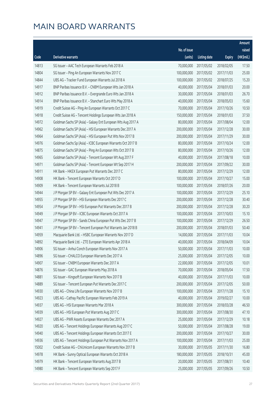|       |                                                              |              |                       |               | Amount     |
|-------|--------------------------------------------------------------|--------------|-----------------------|---------------|------------|
|       |                                                              | No. of issue |                       |               | raised     |
| Code  | <b>Derivative warrants</b>                                   | (units)      | <b>Listing date</b>   | <b>Expiry</b> | (HK\$mil.) |
| 14813 | SG Issuer - AAC Tech European Warrants Feb 2018 A            | 70,000,000   | 2017/05/02            | 2018/02/05    | 17.50      |
| 14804 | SG Issuer - Ping An European Warrants Nov 2017 C             | 100,000,000  | 2017/05/02            | 2017/11/03    | 25.00      |
| 14844 | UBS AG - Tracker Fund European Warrants Jul 2018 A           | 100,000,000  | 2017/05/02            | 2018/07/25    | 15.20      |
| 14917 | BNP Paribas Issuance B.V. - CNBM European Wts Jan 2018 A     | 40,000,000   | 2017/05/04            | 2018/01/03    | 20.00      |
| 14912 | BNP Paribas Issuance B.V. - Evergrande Euro Wts Jan 2018 A   | 30,000,000   | 2017/05/04            | 2018/01/03    | 26.70      |
| 14914 | BNP Paribas Issuance B.V. - Stanchart Euro Wts May 2018 A    | 40,000,000   | 2017/05/04            | 2018/05/03    | 15.60      |
| 14919 | Credit Suisse AG - Ping An European Warrants Oct 2017 C      | 70,000,000   | 2017/05/04            | 2017/10/26    | 10.50      |
| 14918 | Credit Suisse AG - Tencent Holdings European Wts Jan 2018 A  | 150,000,000  | 2017/05/04            | 2018/01/03    | 37.50      |
| 14972 | Goldman Sachs SP (Asia) - Galaxy Ent European Wts Aug 2017 A | 80,000,000   | 2017/05/04            | 2017/08/04    | 12.00      |
| 14962 | Goldman Sachs SP (Asia) - HSI European Warrants Dec 2017 A   | 200,000,000  | 2017/05/04            | 2017/12/28    | 30.00      |
| 14964 | Goldman Sachs SP (Asia) - HSI European Put Wts Nov 2017 B    | 200,000,000  | 2017/05/04            | 2017/11/29    | 30.00      |
| 14976 | Goldman Sachs Sp (Asia) - ICBC European Warrants Oct 2017 B  | 80,000,000   | 2017/05/04            | 2017/10/24    | 12.00      |
| 14875 | Goldman Sachs SP (Asia) - Ping An European Wts Oct 2017 B    | 80,000,000   | 2017/05/04            | 2017/10/26    | 12.00      |
| 14965 | Goldman Sachs SP (Asia) - Tencent European Wt Aug 2017 F     | 40,000,000   | 2017/05/04            | 2017/08/18    | 10.00      |
| 14971 | Goldman Sachs SP (Asia) - Tencent European Wt Sep 2017 H     | 200,000,000  | 2017/05/04            | 2017/09/22    | 30.00      |
| 14911 | HK Bank - HKEX European Put Warrants Dec 2017 C              | 80,000,000   | 2017/05/04            | 2017/12/29    | 12.00      |
| 14908 | HK Bank - Tencent European Warrants Oct 2017 D               | 100,000,000  | 2017/05/04            | 2017/10/27    | 15.00      |
| 14909 | HK Bank - Tencent European Warrants Jul 2018 B               | 100,000,000  | 2017/05/04            | 2018/07/26    | 20.00      |
| 14944 | J P Morgan SP BV - Galaxy Ent European Put Wts Dec 2017 A    | 100,000,000  | 2017/05/04            | 2017/12/29    | 25.10      |
| 14955 | J P Morgan SP BV - HSI European Warrants Dec 2017 C          | 200,000,000  | 2017/05/04            | 2017/12/28    | 30.40      |
| 14954 | J P Morgan SP BV - HSI European Put Warrants Dec 2017 B      | 200,000,000  | 2017/05/04            | 2017/12/28    | 30.20      |
| 14949 | J P Morgan SP BV - ICBC European Warrants Oct 2017 A         | 100,000,000  | 2017/05/04            | 2017/10/03    | 15.10      |
| 14947 | J P Morgan SP BV - Sands China European Put Wts Dec 2017 B   | 100,000,000  | 2017/05/04            | 2017/12/29    | 26.50      |
| 14941 | J P Morgan SP BV - Tencent European Put Warrants Jan 2018 B  | 200,000,000  | 2017/05/04            | 2018/01/03    | 50.40      |
| 14959 | Macquarie Bank Ltd. - HSBC European Warrants Nov 2017 D      | 14,000,000   | 2017/05/04            | 2017/11/03    | 10.04      |
| 14892 | Macquarie Bank Ltd. - ZTE European Warrants Apr 2018 A       | 40,000,000   | 2017/05/04            | 2018/04/09    | 10.04      |
| 14906 | SG Issuer - Anhui Conch European Warrants Nov 2017 A         |              | 50,000,000 2017/05/04 | 2017/11/03    | 10.00      |
| 14896 | SG Issuer - CHALCO European Warrants Dec 2017 A              | 25,000,000   | 2017/05/04            | 2017/12/05    | 10.00      |
| 14907 | SG Issuer - CNBM European Warrants Dec 2017 A                | 22,000,000   | 2017/05/04            | 2017/12/05    | 10.01      |
| 14876 | SG Issuer - GAC European Warrants May 2018 A                 | 70,000,000   | 2017/05/04            | 2018/05/04    | 17.50      |
| 14881 | SG Issuer - Kingsoft European Warrants Nov 2017 B            | 40,000,000   | 2017/05/04            | 2017/11/03    | 10.00      |
| 14889 | SG Issuer - Tencent European Put Warrants Dec 2017 C         | 200,000,000  | 2017/05/04            | 2017/12/05    | 50.00      |
| 14930 | UBS AG - China Life European Warrants Nov 2017 B             | 100,000,000  | 2017/05/04            | 2017/11/28    | 15.10      |
| 14923 | UBS AG - Cathay Pacific European Warrants Feb 2019 A         | 40,000,000   | 2017/05/04            | 2019/02/27    | 10.00      |
| 14937 | UBS AG - HSI European Warrants Mar 2018 A                    | 300,000,000  | 2017/05/04            | 2018/03/28    | 46.50      |
| 14939 | UBS AG - HSI European Put Warrants Aug 2017 C                | 300,000,000  | 2017/05/04            | 2017/08/30    | 47.10      |
| 14927 | UBS AG - PWR Assets European Warrants Dec 2017 A             | 25,000,000   | 2017/05/04            | 2017/12/29    | 10.18      |
| 14920 | UBS AG - Tencent Holdings European Warrants Aug 2017 C       | 50,000,000   | 2017/05/04            | 2017/08/28    | 19.00      |
| 14940 | UBS AG - Tencent Holdings European Warrants Oct 2017 E       | 200,000,000  | 2017/05/04            | 2017/10/27    | 30.00      |
| 14936 | UBS AG - Tencent Holdings European Put Warrants Nov 2017 A   | 100,000,000  | 2017/05/04            | 2017/11/03    | 25.00      |
| 15002 | Credit Suisse AG - ChiUnicom European Warrants Nov 2017 B    | 30,000,000   | 2017/05/05            | 2017/11/30    | 16.80      |
| 14978 | HK Bank - Sunny Optical European Warrants Oct 2018 A         | 180,000,000  | 2017/05/05            | 2018/10/31    | 45.00      |
| 14979 | HK Bank - Tencent European Warrants Aug 2017 B               | 20,000,000   | 2017/05/05            | 2017/08/31    | 10.40      |
| 14980 | HK Bank - Tencent European Warrants Sep 2017 F               | 25,000,000   | 2017/05/05            | 2017/09/26    | 10.50      |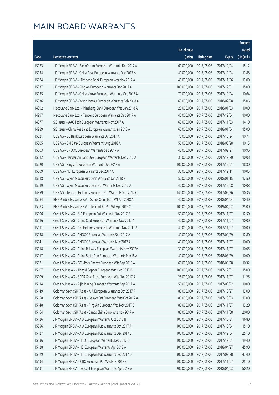|         |                                                              |              |                       |               | Amount     |
|---------|--------------------------------------------------------------|--------------|-----------------------|---------------|------------|
|         |                                                              | No. of issue |                       |               | raised     |
| Code    | Derivative warrants                                          | (units)      | <b>Listing date</b>   | <b>Expiry</b> | (HK\$mil.) |
| 15023   | J P Morgan SP BV - BankComm European Warrants Dec 2017 A     | 60,000,000   | 2017/05/05            | 2017/12/04    | 15.12      |
| 15034   | J P Morgan SP BV - China Coal European Warrants Dec 2017 A   | 40,000,000   | 2017/05/05            | 2017/12/04    | 13.88      |
| 15024   | J P Morgan SP BV - Minsheng Bank European Wts Nov 2017 A     | 40,000,000   | 2017/05/05            | 2017/11/06    | 12.00      |
| 15037   | J P Morgan SP BV - Ping An European Warrants Dec 2017 A      | 100,000,000  | 2017/05/05            | 2017/12/01    | 15.00      |
| 15035   | J P Morgan SP BV - China Vanke European Warrants Oct 2017 A  | 70,000,000   | 2017/05/05            | 2017/10/04    | 10.64      |
| 15036   | J P Morgan SP BV - Wynn Macau European Warrants Feb 2018 A   | 60,000,000   | 2017/05/05            | 2018/02/28    | 15.06      |
| 14992   | Macquarie Bank Ltd. - Minsheng Bank European Wts Jan 2018 A  | 20,000,000   | 2017/05/05            | 2018/01/03    | 10.00      |
| 14997   | Macquarie Bank Ltd. - Tencent European Warrants Dec 2017 A   | 40,000,000   | 2017/05/05            | 2017/12/04    | 10.00      |
| 14977   | SG Issuer - AAC Tech European Warrants Nov 2017 A            | 60,000,000   | 2017/05/05            | 2017/11/03    | 14.10      |
| 14989   | SG Issuer - China Res Land European Warrants Jan 2018 A      | 60,000,000   | 2017/05/05            | 2018/01/04    | 15.00      |
| 15021   | UBS AG - CC Bank European Warrants Oct 2017 A                | 70,000,000   | 2017/05/05            | 2017/10/24    | 10.71      |
| 15005   | UBS AG - CM Bank European Warrants Aug 2018 A                | 50,000,000   | 2017/05/05            | 2018/08/28    | 10.15      |
| 15003   | UBS AG - CNOOC European Warrants Sep 2017 A                  | 40,000,000   | 2017/05/05            | 2017/09/27    | 10.96      |
| 15012   | UBS AG - Henderson Land Dev European Warrants Dec 2017 A     | 35,000,000   | 2017/05/05            | 2017/12/20    | 10.08      |
| 15020   | UBS AG - Kingsoft European Warrants Dec 2017 A               | 100,000,000  | 2017/05/05            | 2017/12/01    | 18.80      |
| 15009   | UBS AG - NCI European Warrants Dec 2017 A                    | 35,000,000   | 2017/05/05            | 2017/12/11    | 10.05      |
| 15018   | UBS AG - Wynn Macau European Warrants Jan 2018 B             | 50,000,000   | 2017/05/05            | 2018/01/15    | 12.50      |
| 15019   | UBS AG - Wynn Macau European Put Warrants Dec 2017 A         | 40,000,000   | 2017/05/05            | 2017/12/08    | 10.08      |
| 14359 # | UBS AG - Tencent Holdings European Put Warrants Sep 2017 C   | 140,000,000  | 2017/05/05            | 2017/09/26    | 10.36      |
| 15084   | BNP Paribas Issuance B.V. - Sands China Euro Wt Apr 2018 A   | 40,000,000   | 2017/05/08            | 2018/04/04    | 10.40      |
| 15083   | BNP Paribas Issuance B.V. - Tencent Eu Put Wt Apr 2019 C     | 100,000,000  | 2017/05/08            | 2019/04/02    | 25.00      |
| 15106   | Credit Suisse AG - AIA European Put Warrants Nov 2017 A      | 50,000,000   | 2017/05/08            | 2017/11/07    | 12.50      |
| 15116   | Credit Suisse AG - China Coal European Warrants Nov 2017 A   | 40,000,000   | 2017/05/08            | 2017/11/07    | 10.00      |
| 15111   | Credit Suisse AG - CKI Holdings European Warrants Nov 2017 A | 40,000,000   | 2017/05/08            | 2017/11/07    | 10.00      |
| 15138   | Credit Suisse AG - CNOOC European Warrants Sep 2017 A        | 40,000,000   | 2017/05/08            | 2017/09/29    | 12.80      |
| 15141   | Credit Suisse AG - CNOOC European Warrants Nov 2017 A        | 40,000,000   | 2017/05/08            | 2017/11/07    | 10.00      |
| 15118   | Credit Suisse AG - China Railway European Warrants Nov 2017A |              | 30,000,000 2017/05/08 | 2017/11/07    | 10.05      |
| 15117   | Credit Suisse AG - China State Con European Warrants Mar18 A | 40,000,000   | 2017/05/08            | 2018/03/29    | 10.00      |
| 15121   | Credit Suisse AG - GCL-Poly Energy European Wts Sep 2018 A   | 60,000,000   | 2017/05/08            | 2018/09/28    | 10.32      |
| 15107   | Credit Suisse AG - Jiangxi Copper European Wts Dec 2017 B    | 100,000,000  | 2017/05/08            | 2017/12/01    | 15.00      |
| 15109   | Credit Suisse AG - SPDR Gold Trust European Wts Nov 2017 A   | 25,000,000   | 2017/05/08            | 2017/11/07    | 11.25      |
| 15114   | Credit Suisse AG - Zijin Mining European Warrants Sep 2017 A | 50,000,000   | 2017/05/08            | 2017/09/22    | 10.00      |
| 15149   | Goldman Sachs SP (Asia) - AIA European Warrants Oct 2017 A   | 80,000,000   | 2017/05/08            | 2017/10/27    | 12.00      |
| 15158   | Goldman Sachs SP (Asia) - Galaxy Ent European Wts Oct 2017 A | 80,000,000   | 2017/05/08            | 2017/10/03    | 12.00      |
| 15148   | Goldman Sachs SP (Asia) - Ping An European Wts Nov 2017 B    | 80,000,000   | 2017/05/08            | 2017/11/27    | 13.20      |
| 15164   | Goldman Sachs SP (Asia) - Sands China Euro Wts Nov 2017 A    | 80,000,000   | 2017/05/08            | 2017/11/08    | 20.00      |
| 15126   | J P Morgan SP BV - AIA European Warrants Oct 2017 B          | 100,000,000  | 2017/05/08            | 2017/10/31    | 16.80      |
| 15056   | J P Morgan SP BV - AIA European Put Warrants Oct 2017 A      | 100,000,000  | 2017/05/08            | 2017/10/04    | 15.10      |
| 15127   | J P Morgan SP BV - AIA European Put Warrants Dec 2017 B      | 100,000,000  | 2017/05/08            | 2017/12/04    | 25.10      |
| 15136   | J P Morgan SP BV - HSBC European Warrants Dec 2017 B         | 100,000,000  | 2017/05/08            | 2017/12/01    | 19.40      |
| 15128   | J P Morgan SP BV - HSI European Warrants Apr 2018 A          | 300,000,000  | 2017/05/08            | 2018/04/27    | 45.90      |
| 15129   | J P Morgan SP BV - HSI European Put Warrants Sep 2017 D      | 300,000,000  | 2017/05/08            | 2017/09/28    | 47.40      |
| 15134   | J P Morgan SP BV - ICBC European Put Wts Nov 2017 B          | 100,000,000  | 2017/05/08            | 2017/11/07    | 25.10      |
| 15131   | J P Morgan SP BV - Tencent European Warrants Apr 2018 A      | 200,000,000  | 2017/05/08            | 2018/04/03    | 50.20      |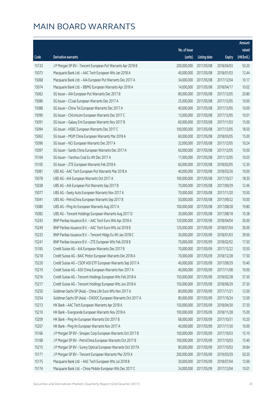|       |                                                              |              |                       |               | Amount     |
|-------|--------------------------------------------------------------|--------------|-----------------------|---------------|------------|
|       |                                                              | No. of issue |                       |               | raised     |
| Code  | Derivative warrants                                          | (units)      | <b>Listing date</b>   | <b>Expiry</b> | (HK\$mil.) |
| 15133 | J P Morgan SP BV - Tencent European Put Warrants Apr 2018 B  | 200,000,000  | 2017/05/08            | 2018/04/03    | 50.20      |
| 15073 | Macquarie Bank Ltd. - AAC Tech European Wts Jan 2018 A       | 40,000,000   | 2017/05/08            | 2018/01/03    | 12.44      |
| 15068 | Macquarie Bank Ltd. - AIA European Put Warrants Dec 2017 A   | 34,000,000   | 2017/05/08            | 2017/12/04    | 10.17      |
| 15074 | Macquarie Bank Ltd. - BBMG European Warrants Apr 2018 A      | 14,000,000   | 2017/05/08            | 2018/04/17    | 10.02      |
| 15062 | SG Issuer - AIA European Put Warrants Dec 2017 B             | 80,000,000   | 2017/05/08            | 2017/12/05    | 20.80      |
| 15086 | SG Issuer - CCoal European Warrants Dec 2017 A               | 25,000,000   | 2017/05/08            | 2017/12/05    | 10.00      |
| 15088 | SG Issuer - China Tel European Warrants Dec 2017 A           | 40,000,000   | 2017/05/08            | 2017/12/05    | 10.00      |
| 15090 | SG Issuer - ChiUnicom European Warrants Dec 2017 C           | 13,000,000   | 2017/05/08            | 2017/12/05    | 10.01      |
| 15091 | SG Issuer - Galaxy Ent European Warrants Nov 2017 B          | 60,000,000   | 2017/05/08            | 2017/11/03    | 15.00      |
| 15094 | SG Issuer - HSBC European Warrants Dec 2017 C                | 100,000,000  | 2017/05/08            | 2017/12/05    | 18.50      |
| 15063 | SG Issuer - MGM China European Warrants Mar 2018 A           | 60,000,000   | 2017/05/08            | 2018/03/05    | 15.00      |
| 15096 | SG Issuer - NCI European Warrants Dec 2017 A                 | 32,000,000   | 2017/05/08            | 2017/12/05    | 10.24      |
| 15097 | SG Issuer - Sands China European Warrants Dec 2017 A         | 60,000,000   | 2017/05/08            | 2017/12/05    | 10.50      |
| 15104 | SG Issuer - Yanzhou Coal Eu Wt Dec 2017 A                    | 17,000,000   | 2017/05/08            | 2017/12/05    | 10.03      |
| 15105 | SG Issuer - ZTE European Warrants Feb 2018 A                 | 60,000,000   | 2017/05/08            | 2018/02/05    | 12.30      |
| 15081 | UBS AG - AAC Tech European Put Warrants Mar 2018 A           | 40,000,000   | 2017/05/08            | 2018/03/26    | 10.00      |
| 15078 | UBS AG - AIA European Warrants Oct 2017 A                    | 100,000,000  | 2017/05/08            | 2017/10/27    | 18.30      |
| 15038 | UBS AG - AIA European Put Warrants Sep 2017 B                | 70,000,000   | 2017/05/08            | 2017/09/29    | 12.46      |
| 15077 | UBS AG - Geely Auto European Warrants Nov 2017 A             | 70,000,000   | 2017/05/08            | 2017/11/20    | 10.50      |
| 15041 | UBS AG - PetroChina European Warrants Sep 2017 B             | 50,000,000   | 2017/05/08            | 2017/09/22    | 10.00      |
| 15080 | UBS AG - Ping An European Warrants Aug 2017 A                | 100,000,000  | 2017/05/08            | 2017/08/28    | 19.80      |
| 15082 | UBS AG - Tencent Holdings European Warrants Aug 2017 D       | 30,000,000   | 2017/05/08            | 2017/08/18    | 10.38      |
| 15243 | BNP Paribas Issuance B.V. - AAC Tech Euro Wts Apr 2018 A     | 120,000,000  | 2017/05/09            | 2018/04/04    | 30.00      |
| 15249 | BNP Paribas Issuance B.V. - AAC Tech Euro Wts Jul 2018 B     | 120,000,000  | 2017/05/09            | 2018/07/04    | 30.00      |
| 15233 | BNP Paribas Issuance B.V. - Tencent Hldgs Eu Wt Jan 2018 C   | 30,000,000   | 2017/05/09            | 2018/01/03    | 39.00      |
| 15241 | BNP Paribas Issuance B.V. - ZTE European Wts Feb 2018 B      | 70,000,000   | 2017/05/09            | 2018/02/02    | 17.50      |
| 15165 | Credit Suisse AG - AIA European Warrants Dec 2017 B          |              | 70,000,000 2017/05/09 | 2017/12/22    | 10.50      |
| 15218 | Credit Suisse AG - BAIC Motor European Warrants Dec 2018 A   | 70,000,000   | 2017/05/09            | 2018/12/28    | 17.50      |
| 15220 | Credit Suisse AG - CSOP A50 ETF European Warrants Sep 2017 A | 40,000,000   | 2017/05/09            | 2017/09/29    | 10.40      |
| 15219 | Credit Suisse AG - A50 China European Warrants Nov 2017 A    | 40,000,000   | 2017/05/09            | 2017/11/08    | 10.00      |
| 15216 | Credit Suisse AG - Tencent Holdings European Wts Feb 2018 A  | 150,000,000  | 2017/05/09            | 2018/02/28    | 37.50      |
| 15217 | Credit Suisse AG - Tencent Holdings European Wts Jun 2018 A  | 150,000,000  | 2017/05/09            | 2018/06/29    | 37.50      |
| 15250 | Goldman Sachs SP (Asia) - China Life Euro Wts Nov 2017 A     | 80,000,000   | 2017/05/09            | 2017/11/21    | 12.00      |
| 15254 | Goldman Sachs SP (Asia) - CNOOC European Warrants Oct 2017 A | 80,000,000   | 2017/05/09            | 2017/10/24    | 12.00      |
| 15213 | HK Bank - AAC Tech European Warrants Apr 2018 A              | 150,000,000  | 2017/05/09            | 2018/04/30    | 37.50      |
| 15210 | HK Bank - Evergrande European Warrants Nov 2018 A            | 100,000,000  | 2017/05/09            | 2018/11/28    | 15.00      |
| 15209 | HK Bank - Ping An European Warrants Oct 2017 B               | 68,000,000   | 2017/05/09            | 2017/10/31    | 10.20      |
| 15207 | HK Bank - Ping An European Warrants Nov 2017 A               | 40,000,000   | 2017/05/09            | 2017/11/30    | 10.00      |
| 15166 | J P Morgan SP BV - Sinopec Corp European Warrants Oct 2017 B | 100,000,000  | 2017/05/09            | 2017/10/03    | 15.10      |
| 15168 | J P Morgan SP BV - PetroChina European Warrants Oct 2017 B   | 100,000,000  | 2017/05/09            | 2017/10/03    | 15.40      |
| 15215 | J P Morgan SP BV - Sunny Optical European Warrants Oct 2017A | 80,000,000   | 2017/05/09            | 2017/10/03    | 39.84      |
| 15171 | J P Morgan SP BV - Tencent European Warrants Mar 2019 A      | 200,000,000  | 2017/05/09            | 2019/03/29    | 50.20      |
| 15175 | Macquarie Bank Ltd. - AAC Tech European Wts Jul 2018 B       | 30,000,000   | 2017/05/09            | 2018/07/04    | 12.69      |
| 15174 | Macquarie Bank Ltd. - China Mobile European Wts Dec 2017 C   | 24,000,000   | 2017/05/09            | 2017/12/04    | 10.01      |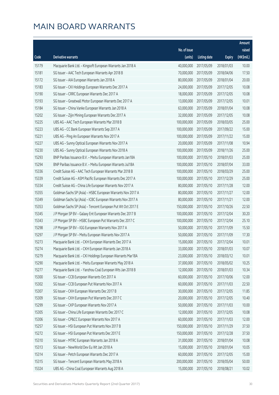|       |                                                              |              |                       |               | Amount     |
|-------|--------------------------------------------------------------|--------------|-----------------------|---------------|------------|
|       |                                                              | No. of issue |                       |               | raised     |
| Code  | <b>Derivative warrants</b>                                   | (units)      | <b>Listing date</b>   | <b>Expiry</b> | (HK\$mil.) |
| 15179 | Macquarie Bank Ltd. - Kingsoft European Warrants Jan 2018 A  | 40,000,000   | 2017/05/09            | 2018/01/03    | 10.00      |
| 15181 | SG Issuer - AAC Tech European Warrants Apr 2018 B            | 70,000,000   | 2017/05/09            | 2018/04/06    | 17.50      |
| 15172 | SG Issuer - AIA European Warrants Jan 2018 A                 | 80,000,000   | 2017/05/09            | 2018/01/04    | 20.00      |
| 15183 | SG Issuer - CKI Holdings European Warrants Dec 2017 A        | 24,000,000   | 2017/05/09            | 2017/12/05    | 10.08      |
| 15190 | SG Issuer - CRRC European Warrants Dec 2017 A                | 18,000,000   | 2017/05/09            | 2017/12/05    | 10.08      |
| 15193 | SG Issuer - Greatwall Motor European Warrants Dec 2017 A     | 13,000,000   | 2017/05/09            | 2017/12/05    | 10.01      |
| 15184 | SG Issuer - China Vanke European Warrants Jan 2018 A         | 63,000,000   | 2017/05/09            | 2018/01/04    | 10.08      |
| 15202 | SG Issuer - Zijin Mining European Warrants Dec 2017 A        | 32,000,000   | 2017/05/09            | 2017/12/05    | 10.08      |
| 15225 | UBS AG - AAC Tech European Warrants Mar 2018 B               | 100,000,000  | 2017/05/09            | 2018/03/05    | 25.00      |
| 15223 | UBS AG - CC Bank European Warrants Sep 2017 A                | 100,000,000  | 2017/05/09            | 2017/09/22    | 15.00      |
| 15221 | UBS AG - Ping An European Warrants Nov 2017 A                | 100,000,000  | 2017/05/09            | 2017/11/22    | 15.00      |
| 15227 | UBS AG - Sunny Optical European Warrants Nov 2017 A          | 20,000,000   | 2017/05/09            | 2017/11/08    | 10.94      |
| 15230 | UBS AG - Sunny Optical European Warrants Nov 2018 A          | 100,000,000  | 2017/05/09            | 2018/11/26    | 25.00      |
| 15293 | BNP Paribas Issuance B.V. - Meitu European Warrants Jan18A   | 100,000,000  | 2017/05/10            | 2018/01/03    | 25.00      |
| 15294 | BNP Paribas Issuance B.V. - Meitu European Warrants Jul18A   | 100,000,000  | 2017/05/10            | 2018/07/04    | 33.00      |
| 15336 | Credit Suisse AG - AAC Tech European Warrants Mar 2018 B     | 100,000,000  | 2017/05/10            | 2018/03/29    | 25.00      |
| 15339 | Credit Suisse AG - ASM Pacific European Warrants Dec 2017 A  | 100,000,000  | 2017/05/10            | 2017/12/29    | 25.00      |
| 15334 | Credit Suisse AG - China Life European Warrants Nov 2017 A   | 80,000,000   | 2017/05/10            | 2017/11/28    | 12.00      |
| 15355 | Goldman Sachs SP (Asia) - HSBC European Warrants Nov 2017 A  | 80,000,000   | 2017/05/10            | 2017/11/27    | 12.00      |
| 15349 | Goldman Sachs Sp (Asia) - ICBC European Warrants Nov 2017 A  | 80,000,000   | 2017/05/10            | 2017/11/21    | 12.00      |
| 15353 | Goldman Sachs SP (Asia) - Tencent European Put Wt Oct 2017 E | 150,000,000  | 2017/05/10            | 2017/10/26    | 22.50      |
| 15345 | J P Morgan SP BV - Galaxy Ent European Warrants Dec 2017 B   | 100,000,000  | 2017/05/10            | 2017/12/04    | 30.20      |
| 15343 | J P Morgan SP BV - HSBC European Put Warrants Dec 2017 C     | 100,000,000  | 2017/05/10            | 2017/12/04    | 25.10      |
| 15298 | J P Morgan SP BV - IGG European Warrants Nov 2017 A          | 50,000,000   | 2017/05/10            | 2017/11/09    | 15.50      |
| 15297 | J P Morgan SP BV - Meitu European Warrants Nov 2017 A        | 50,000,000   | 2017/05/10            | 2017/11/09    | 17.30      |
| 15273 | Macquarie Bank Ltd. - CKH European Warrants Dec 2017 A       | 15,000,000   | 2017/05/10            | 2017/12/04    | 10.01      |
| 15274 | Macquarie Bank Ltd. - CKH European Warrants Jan 2018 A       |              | 33,000,000 2017/05/10 | 2018/01/03    | 10.07      |
| 15279 | Macquarie Bank Ltd. - CKI Holdings European Warrants Mar18A  | 23,000,000   | 2017/05/10            | 2018/03/12    | 10.01      |
| 15290 | Macquarie Bank Ltd. - Meitu European Warrants May 2018 A     | 37,000,000   | 2017/05/10            | 2018/05/02    | 10.25      |
| 15277 | Macquarie Bank Ltd. - Yanzhou Coal European Wts Jan 2018 B   | 12,000,000   | 2017/05/10            | 2018/01/03    | 10.34      |
| 15300 | SG Issuer - CCB European Warrants Oct 2017 A                 | 60,000,000   | 2017/05/10            | 2017/10/06    | 12.00      |
| 15302 | SG Issuer - CCB European Put Warrants Nov 2017 A             | 60,000,000   | 2017/05/10            | 2017/11/03    | 22.50      |
| 15307 | SG Issuer - CKH European Warrants Dec 2017 B                 | 30,000,000   | 2017/05/10            | 2017/12/05    | 11.85      |
| 15309 | SG Issuer - CKH European Put Warrants Dec 2017 C             | 20,000,000   | 2017/05/10            | 2017/12/05    | 10.40      |
| 15299 | SG Issuer - CKP European Warrants Nov 2017 A                 | 50,000,000   | 2017/05/10            | 2017/11/03    | 10.00      |
| 15305 | SG Issuer - China Life European Warrants Dec 2017 C          | 12,000,000   | 2017/05/10            | 2017/12/05    | 10.08      |
| 15306 | SG Issuer - CP&CC European Warrants Nov 2017 A               | 60,000,000   | 2017/05/10            | 2017/11/03    | 12.00      |
| 15257 | SG Issuer - HSI European Put Warrants Nov 2017 B             | 150,000,000  | 2017/05/10            | 2017/11/29    | 37.50      |
| 15272 | SG Issuer - HSI European Put Warrants Dec 2017 E             | 150,000,000  | 2017/05/10            | 2017/12/28    | 37.50      |
| 15310 | SG Issuer - MTRC European Warrants Jan 2018 A                | 31,000,000   | 2017/05/10            | 2018/01/04    | 10.08      |
| 15313 | SG Issuer - NewWorld Dev Eu Wt Jan 2018 A                    | 15,000,000   | 2017/05/10            | 2018/01/04    | 10.05      |
| 15314 | SG Issuer - Petch European Warrants Dec 2017 A               | 60,000,000   | 2017/05/10            | 2017/12/05    | 15.00      |
| 15315 | SG Issuer - Tencent European Warrants May 2018 A             | 200,000,000  | 2017/05/10            | 2018/05/04    | 50.00      |
| 15324 | UBS AG - China Coal European Warrants Aug 2018 A             | 15,000,000   | 2017/05/10            | 2018/08/21    | 10.02      |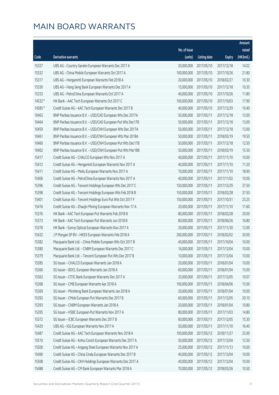|         |                                                              |              |                       |               | Amount     |
|---------|--------------------------------------------------------------|--------------|-----------------------|---------------|------------|
|         |                                                              | No. of issue |                       |               | raised     |
| Code    | Derivative warrants                                          | (units)      | <b>Listing date</b>   | <b>Expiry</b> | (HK\$mil.) |
| 15327   | UBS AG - Country Garden European Warrants Dec 2017 A         | 20,000,000   | 2017/05/10            | 2017/12/18    | 14.02      |
| 15332   | UBS AG - China Mobile European Warrants Oct 2017 A           | 100,000,000  | 2017/05/10            | 2017/10/26    | 21.80      |
| 15317   | UBS AG - Henganintl European Warrants Feb 2018 A             | 20,000,000   | 2017/05/10            | 2018/02/27    | 10.30      |
| 15330   | UBS AG - Hang Seng Bank European Warrants Dec 2017 A         | 15,000,000   | 2017/05/10            | 2017/12/18    | 10.35      |
| 15333   | UBS AG - PetroChina European Warrants Oct 2017 A             | 40,000,000   | 2017/05/10            | 2017/10/26    | 11.80      |
| 14532 # | HK Bank - AAC Tech European Warrants Oct 2017 C              | 100,000,000  | 2017/05/10            | 2017/10/03    | 17.90      |
| 14585 # | Credit Suisse AG - AAC Tech European Warrants Dec 2017 B     | 40,000,000   | 2017/05/10            | 2017/12/29    | 10.40      |
| 10463   | BNP Paribas Issuance B.V. - USD/CAD European Wts Dec 2017A   | 50,000,000   | 2017/05/11            | 2017/12/18    | 13.00      |
| 10464   | BNP Paribas Issuance B.V. - USD/CAD European Put Wts Dec17B  | 50,000,000   | 2017/05/11            | 2017/12/18    | 13.00      |
| 10459   | BNP Paribas Issuance B.V. - USD/CNH European Wts Dec 2017A   | 50,000,000   | 2017/05/11            | 2017/12/18    | 13.00      |
| 10461   | BNP Paribas Issuance B.V. - USD/CNH European Wts Mar 2018A   | 50,000,000   | 2017/05/11            | 2018/03/19    | 19.50      |
| 10460   | BNP Paribas Issuance B.V. - USD/CNH European Put Wts Dec17B  | 50,000,000   | 2017/05/11            | 2017/12/18    | 12.50      |
| 10462   | BNP Paribas Issuance B.V. - USD/CNH European Put Wts Mar18B  | 50,000,000   | 2017/05/11            | 2018/03/19    | 15.50      |
| 15417   | Credit Suisse AG - CHALCO European Wts Nov 2017 A            | 40,000,000   | 2017/05/11            | 2017/11/10    | 10.00      |
| 15412   | Credit Suisse AG - Henganintl European Warrants Nov 2017 A   | 40,000,000   | 2017/05/11            | 2017/11/10    | 11.20      |
| 15411   | Credit Suisse AG - Meitu European Warrants Nov 2017 A        | 70,000,000   | 2017/05/11            | 2017/11/10    | 18.90      |
| 15406   | Credit Suisse AG - PetroChina European Warrants Nov 2017 A   | 40,000,000   | 2017/05/11            | 2017/11/02    | 10.00      |
| 15396   | Credit Suisse AG - Tencent Holdings European Wts Dec 2017 C  | 150,000,000  | 2017/05/11            | 2017/12/29    | 37.50      |
| 15398   | Credit Suisse AG - Tencent Holdings European Wts Feb 2018 B  | 150,000,000  | 2017/05/11            | 2018/02/28    | 37.50      |
| 15401   | Credit Suisse AG - Tencent Holdings Euro Put Wts Oct 2017 F  | 150,000,000  | 2017/05/11            | 2017/10/31    | 23.25      |
| 15416   | Credit Suisse AG - Zhaojin Mining European Warrants Nov 17 A | 20,000,000   | 2017/05/11            | 2017/11/10    | 11.60      |
| 15376   | HK Bank - AAC Tech European Put Warrants Feb 2018 B          | 80,000,000   | 2017/05/11            | 2018/02/28    | 20.00      |
| 15373   | HK Bank - AAC Tech European Put Warrants Jun 2018 B          | 80,000,000   | 2017/05/11            | 2018/06/26    | 16.80      |
| 15378   | HK Bank - Sunny Optical European Warrants Nov 2017 A         | 20,000,000   | 2017/05/11            | 2017/11/30    | 12.00      |
| 15432   | J P Morgan SP BV - HKEX European Warrants Feb 2018 A         | 200,000,000  | 2017/05/11            | 2018/02/02    | 30.00      |
| 15382   | Macquarie Bank Ltd. - China Mobile European Wts Oct 2017 B   | 40,000,000   | 2017/05/11            | 2017/10/04    | 10.00      |
| 15380   | Macquarie Bank Ltd. - CNBM European Warrants Dec 2017 C      |              | 16,000,000 2017/05/11 | 2017/12/04    | 10.00      |
| 15379   | Macquarie Bank Ltd. - Tencent European Put Wts Dec 2017 B    | 10,000,000   | 2017/05/11            | 2017/12/04    | 10.00      |
| 15385   | SG Issuer - CHALCO European Warrants Jan 2018 A              | 20,000,000   | 2017/05/11            | 2018/01/04    | 10.00      |
| 15360   | SG Issuer - BOCL European Warrants Jan 2018 A                | 60,000,000   | 2017/05/11            | 2018/01/04    | 15.00      |
| 15363   | SG Issuer - CITIC Bank European Warrants Dec 2017 A          | 33,000,000   | 2017/05/11            | 2017/12/05    | 10.07      |
| 15368   | SG Issuer - CMB European Warrants Apr 2018 A                 | 100,000,000  | 2017/05/11            | 2018/04/06    | 15.00      |
| 15369   | SG Issuer - Minsheng Bank European Warrants Jan 2018 A       | 20,000,000   | 2017/05/11            | 2018/01/04    | 10.00      |
| 15392   | SG Issuer - CMob European Put Warrants Dec 2017 B            | 60,000,000   | 2017/05/11            | 2017/12/05    | 20.10      |
| 15393   | SG Issuer - CNBM European Warrants Jan 2018 A                | 20,000,000   | 2017/05/11            | 2018/01/04    | 10.80      |
| 15395   | SG Issuer - HSBC European Put Warrants Nov 2017 A            | 80,000,000   | 2017/05/11            | 2017/11/03    | 14.80      |
| 15372   | SG Issuer - ICBC European Warrants Dec 2017 B                | 60,000,000   | 2017/05/11            | 2017/12/05    | 15.30      |
| 15429   | UBS AG - IGG European Warrants Nov 2017 A                    | 50,000,000   | 2017/05/11            | 2017/11/10    | 16.40      |
| 15487   | Credit Suisse AG - AAC Tech European Warrants Nov 2018 A     | 100,000,000  | 2017/05/12            | 2018/11/27    | 25.00      |
| 15510   | Credit Suisse AG - Anhui Conch European Warrants Dec 2017 A  | 50,000,000   | 2017/05/12            | 2017/12/04    | 12.50      |
| 15500   | Credit Suisse AG - Angang Steel European Warrants Nov 2017 A | 25,000,000   | 2017/05/12            | 2017/11/13    | 10.00      |
| 15490   | Credit Suisse AG - China Cinda European Warrants Dec 2017 B  | 40,000,000   | 2017/05/12            | 2017/12/04    | 10.00      |
| 15508   | Credit Suisse AG - CKH Holdings European Warrants Dec 2017 A | 40,000,000   | 2017/05/12            | 2017/12/04    | 10.00      |
| 15488   | Credit Suisse AG - CM Bank European Warrants Mar 2018 A      | 70,000,000   | 2017/05/12            | 2018/03/26    | 10.50      |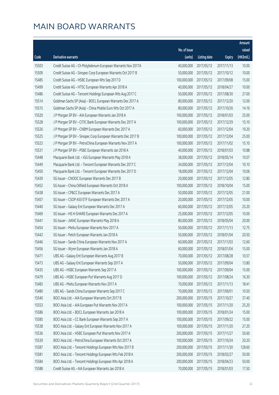|       |                                                              |              |                       |               | Amount     |
|-------|--------------------------------------------------------------|--------------|-----------------------|---------------|------------|
|       |                                                              | No. of issue |                       |               | raised     |
| Code  | <b>Derivative warrants</b>                                   | (units)      | <b>Listing date</b>   | <b>Expiry</b> | (HK\$mil.) |
| 15503 | Credit Suisse AG - Ch Molybdenum European Warrants Nov 2017A | 40,000,000   | 2017/05/12            | 2017/11/13    | 10.00      |
| 15509 | Credit Suisse AG - Sinopec Corp European Warrants Oct 2017 B | 50,000,000   | 2017/05/12            | 2017/10/12    | 10.00      |
| 15485 | Credit Suisse AG - HSBC European Wts Sep 2017 D              | 100,000,000  | 2017/05/12            | 2017/09/08    | 15.00      |
| 15499 | Credit Suisse AG - HTSC European Warrants Apr 2018 A         | 40,000,000   | 2017/05/12            | 2018/04/27    | 10.00      |
| 15486 | Credit Suisse AG - Tencent Holdings European Wts Aug 2017 C  | 50,000,000   | 2017/05/12            | 2017/08/30    | 27.00      |
| 15514 | Goldman Sachs SP (Asia) - BOCL European Warrants Dec 2017 A  | 80,000,000   | 2017/05/12            | 2017/12/20    | 12.00      |
| 15515 | Goldman Sachs SP (Asia) - China Mobile Euro Wts Oct 2017 A   | 80,000,000   | 2017/05/12            | 2017/10/26    | 14.16      |
| 15520 | J P Morgan SP BV - AIA European Warrants Jan 2018 A          | 100,000,000  | 2017/05/12            | 2018/01/03    | 25.00      |
| 15528 | J P Morgan SP BV - CITIC Bank European Warrants Dec 2017 A   | 100,000,000  | 2017/05/12            | 2017/12/29    | 15.10      |
| 15526 | J P Morgan SP BV - CNBM European Warrants Dec 2017 A         | 60,000,000   | 2017/05/12            | 2017/12/04    | 19.20      |
| 15525 | J P Morgan SP BV - Sinopec Corp European Warrants Dec 2017 B | 100,000,000  | 2017/05/12            | 2017/12/04    | 25.00      |
| 15523 | J P Morgan SP BV - PetroChina European Warrants Nov 2017 A   | 100,000,000  | 2017/05/12            | 2017/11/02    | 15.10      |
| 15531 | J P Morgan SP BV - PSBC European Warrants Jan 2018 A         | 40,000,000   | 2017/05/12            | 2018/01/03    | 10.88      |
| 15448 | Macquarie Bank Ltd. - IGG European Warrants May 2018 A       | 38,000,000   | 2017/05/12            | 2018/05/14    | 10.07      |
| 15449 | Macquarie Bank Ltd. - Tencent European Warrants Dec 2017 C   | 34,000,000   | 2017/05/12            | 2017/12/04    | 10.10      |
| 15450 | Macquarie Bank Ltd. - Tencent European Warrants Dec 2017 D   | 18,000,000   | 2017/05/12            | 2017/12/04    | 10.06      |
| 15439 | SG Issuer - CNOOC European Warrants Dec 2017 B               | 20,000,000   | 2017/05/12            | 2017/12/05    | 12.80      |
| 15452 | SG Issuer - China Oilfield European Warrants Oct 2018 A      | 100,000,000  | 2017/05/12            | 2018/10/04    | 15.00      |
| 15438 | SG Issuer - CP&CC European Warrants Dec 2017 A               | 50,000,000   | 2017/05/12            | 2017/12/05    | 21.00      |
| 15457 | SG Issuer - CSOP A50 ETF European Warrants Dec 2017 A        | 20,000,000   | 2017/05/12            | 2017/12/05    | 10.00      |
| 15440 | SG Issuer - Galaxy Ent European Warrants Dec 2017 A          | 60,000,000   | 2017/05/12            | 2017/12/05    | 25.20      |
| 15469 | SG Issuer - HS H-SHARE European Warrants Dec 2017 A          | 25,000,000   | 2017/05/12            | 2017/12/05    | 10.00      |
| 15441 | SG Issuer - JIANC European Warrants May 2018 A               | 80,000,000   | 2017/05/12            | 2018/05/04    | 20.00      |
| 15454 | SG Issuer - Meitu European Warrants Nov 2017 A               | 50,000,000   | 2017/05/12            | 2017/11/13    | 12.75      |
| 15442 | SG Issuer - Petch European Warrants Jan 2018 A               | 50,000,000   | 2017/05/12            | 2018/01/04    | 20.50      |
| 15446 | SG Issuer - Sands China European Warrants Nov 2017 A         | 60,000,000   | 2017/05/12            | 2017/11/03    | 12.60      |
| 15456 | SG Issuer - Wynn European Warrants Jan 2018 A                |              | 60,000,000 2017/05/12 | 2018/01/04    | 15.00      |
| 15471 | UBS AG - Galaxy Ent European Warrants Aug 2017 B             | 70,000,000   | 2017/05/12            | 2017/08/28    | 10.57      |
| 15473 | UBS AG - Galaxy Ent European Warrants Sep 2017 A             | 50,000,000   | 2017/05/12            | 2017/09/04    | 13.80      |
| 15435 | UBS AG - HSBC European Warrants Sep 2017 A                   | 100,000,000  | 2017/05/12            | 2017/09/04    | 15.00      |
| 15479 | UBS AG - HSBC European Put Warrants Aug 2017 D               | 100,000,000  | 2017/05/12            | 2017/08/24    | 16.30      |
| 15483 | UBS AG - Meitu European Warrants Nov 2017 A                  | 70,000,000   | 2017/05/12            | 2017/11/13    | 18.41      |
| 15480 | UBS AG - Sands China European Warrants Sep 2017 C            | 70,000,000   | 2017/05/12            | 2017/09/01    | 10.50      |
| 15540 | BOCI Asia Ltd. - AIA European Warrants Oct 2017 B            | 200,000,000  | 2017/05/15            | 2017/10/27    | 37.40      |
| 15553 | BOCI Asia Ltd. - AIA European Put Warrants Nov 2017 A        | 100,000,000  | 2017/05/15            | 2017/11/20    | 25.20      |
| 15586 | BOCI Asia Ltd. - BOCL European Warrants Jan 2018 A           | 100,000,000  | 2017/05/15            | 2018/01/24    | 15.00      |
| 15585 | BOCI Asia Ltd. - CC Bank European Warrants Sep 2017 A        | 100,000,000  | 2017/05/15            | 2017/09/22    | 15.00      |
| 15538 | BOCI Asia Ltd. - Galaxy Ent European Warrants Nov 2017 A     | 100,000,000  | 2017/05/15            | 2017/11/20    | 27.20      |
| 15536 | BOCI Asia Ltd. - HSBC European Put Warrants Nov 2017 A       | 200,000,000  | 2017/05/15            | 2017/11/27    | 50.60      |
| 15539 | BOCI Asia Ltd. - PetroChina European Warrants Oct 2017 A     | 100,000,000  | 2017/05/15            | 2017/10/24    | 20.20      |
| 15587 | BOCI Asia Ltd. - Tencent Holdings European Wts Nov 2017 B    | 200,000,000  | 2017/05/15            | 2017/11/30    | 128.60     |
| 15581 | BOCI Asia Ltd. - Tencent Holdings European Wts Feb 2018 A    | 200,000,000  | 2017/05/15            | 2018/02/27    | 50.00      |
| 15584 | BOCI Asia Ltd. - Tencent Holdings European Wts Apr 2018 A    | 200,000,000  | 2017/05/15            | 2018/04/23    | 50.00      |
| 15588 | Credit Suisse AG - AIA European Warrants Jan 2018 A          | 70,000,000   | 2017/05/15            | 2018/01/03    | 17.50      |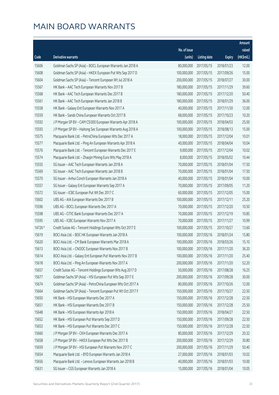|         |                                                              |              |                        |               | Amount     |
|---------|--------------------------------------------------------------|--------------|------------------------|---------------|------------|
|         |                                                              | No. of issue |                        |               | raised     |
| Code    | Derivative warrants                                          | (units)      | <b>Listing date</b>    | <b>Expiry</b> | (HK\$mil.) |
| 15606   | Goldman Sachs SP (Asia) - BOCL European Warrants Jan 2018 A  | 80,000,000   | 2017/05/15             | 2018/01/23    | 12.00      |
| 15608   | Goldman Sachs SP (Asia) - HKEX European Put Wts Sep 2017 D   | 100,000,000  | 2017/05/15             | 2017/09/26    | 15.00      |
| 15604   | Goldman Sachs SP (Asia) - Tencent European Wt Jul 2018 A     | 200,000,000  | 2017/05/15             | 2018/07/27    | 30.00      |
| 15567   | HK Bank - AAC Tech European Warrants Nov 2017 B              | 180,000,000  | 2017/05/15             | 2017/11/29    | 39.60      |
| 15568   | HK Bank - AAC Tech European Warrants Dec 2017 B              | 180,000,000  | 2017/05/15             | 2017/12/20    | 50.40      |
| 15561   | HK Bank - AAC Tech European Warrants Jan 2018 B              | 180,000,000  | 2017/05/15             | 2018/01/29    | 36.00      |
| 15558   | HK Bank - Galaxy Ent European Warrants Nov 2017 A            | 40,000,000   | 2017/05/15             | 2017/11/30    | 12.00      |
| 15559   | HK Bank - Sands China European Warrants Oct 2017 B           | 68,000,000   | 2017/05/15             | 2017/10/23    | 10.20      |
| 15592   | J P Morgan SP BV - CAM CSI300 European Warrants Apr 2018 A   | 100,000,000  | 2017/05/15             | 2018/04/03    | 25.00      |
| 15593   | J P Morgan SP BV - Haitong Sec European Warrants Aug 2018 A  | 100,000,000  | 2017/05/15             | 2018/08/13    | 15.00      |
| 15575   | Macquarie Bank Ltd. - PetroChina European Wts Dec 2017 A     | 18,000,000   | 2017/05/15             | 2017/12/04    | 10.01      |
| 15577   | Macquarie Bank Ltd. - Ping An European Warrants Apr 2018 A   | 40,000,000   | 2017/05/15             | 2018/04/04    | 10.04      |
| 15576   | Macquarie Bank Ltd. - Tencent European Warrants Dec 2017 E   | 9,000,000    | 2017/05/15             | 2017/12/04    | 10.02      |
| 15574   | Macquarie Bank Ltd. - Zhaojin Mining Euro Wts May 2018 A     | 8,000,000    | 2017/05/15             | 2018/05/02    | 10.44      |
| 15555   | SG Issuer - AAC Tech European Warrants Jan 2018 A            | 70,000,000   | 2017/05/15             | 2018/01/04    | 17.50      |
| 15569   | SG Issuer - AAC Tech European Warrants Jan 2018 B            | 70,000,000   | 2017/05/15             | 2018/01/04    | 17.50      |
| 15570   | SG Issuer - Anhui Conch European Warrants Jan 2018 A         | 40,000,000   | 2017/05/15             | 2018/01/04    | 10.00      |
| 15557   | SG Issuer - Galaxy Ent European Warrants Sep 2017 A          | 70,000,000   | 2017/05/15             | 2017/09/05    | 11.20      |
| 15572   | SG Issuer - ICBC European Put Wt Dec 2017 C                  | 60,000,000   | 2017/05/15             | 2017/12/05    | 15.00      |
| 15602   | UBS AG - AIA European Warrants Dec 2017 B                    | 100,000,000  | 2017/05/15             | 2017/12/11    | 25.20      |
| 15596   | UBS AG - BOCL European Warrants Dec 2017 A                   | 70,000,000   | 2017/05/15             | 2017/12/20    | 10.50      |
| 15598   | UBS AG - CITIC Bank European Warrants Dec 2017 A             | 70,000,000   | 2017/05/15             | 2017/12/19    | 10.85      |
| 15595   | UBS AG - ICBC European Warrants Nov 2017 A                   | 70,000,000   | 2017/05/15             | 2017/11/27    | 10.99      |
| 14726 # | Credit Suisse AG - Tencent Holdings European Wts Oct 2017 E  | 100,000,000  | 2017/05/15             | 2017/10/27    | 13.60      |
| 15619   | BOCI Asia Ltd. - BOC HK European Warrants Jan 2018 A         | 100,000,000  | 2017/05/16             | 2018/01/24    | 15.80      |
| 15620   | BOCI Asia Ltd. - CM Bank European Warrants Mar 2018 A        | 100,000,000  | 2017/05/16             | 2018/03/26    | 15.10      |
| 15613   | BOCI Asia Ltd. - CNOOC European Warrants Nov 2017 B          |              | 100,000,000 2017/05/16 | 2017/11/20    | 36.20      |
| 15614   | BOCI Asia Ltd. - Galaxy Ent European Put Warrants Nov 2017 B | 100,000,000  | 2017/05/16             | 2017/11/20    | 25.40      |
| 15618   | BOCI Asia Ltd. - Ping An European Warrants Nov 2017 A        | 200,000,000  | 2017/05/16             | 2017/11/20    | 52.20      |
| 15657   | Credit Suisse AG - Tencent Holdings European Wts Aug 2017 D  | 50,000,000   | 2017/05/16             | 2017/08/28    | 16.25      |
| 15677   | Goldman Sachs SP (Asia) - HSI European Put Wts Sep 2017 E    | 200,000,000  | 2017/05/16             | 2017/09/28    | 30.00      |
| 15674   | Goldman Sachs SP (Asia) - PetroChina European Wts Oct 2017 A | 80,000,000   | 2017/05/16             | 2017/10/26    | 12.00      |
| 15664   | Goldman Sachs SP (Asia) - Tencent European Put Wt Oct 2017 F | 150,000,000  | 2017/05/16             | 2017/10/27    | 22.50      |
| 15650   | HK Bank - HSI European Warrants Dec 2017 A                   | 150,000,000  | 2017/05/16             | 2017/12/28    | 22.50      |
| 15651   | HK Bank - HSI European Warrants Dec 2017 B                   | 150,000,000  | 2017/05/16             | 2017/12/28    | 25.50      |
| 15648   | HK Bank - HSI European Warrants Apr 2018 A                   | 150,000,000  | 2017/05/16             | 2018/04/27    | 22.50      |
| 15652   | HK Bank - HSI European Put Warrants Sep 2017 D               | 150,000,000  | 2017/05/16             | 2017/09/28    | 22.50      |
| 15653   | HK Bank - HSI European Put Warrants Dec 2017 C               | 150,000,000  | 2017/05/16             | 2017/12/28    | 22.50      |
| 15660   | J P Morgan SP BV - CKH European Warrants Dec 2017 A          | 80,000,000   | 2017/05/16             | 2017/12/29    | 20.32      |
| 15658   | J P Morgan SP BV - HKEX European Put Wts Dec 2017 B          | 200,000,000  | 2017/05/16             | 2017/12/29    | 30.80      |
| 15659   | J P Morgan SP BV - HSI European Put Warrants Nov 2017 C      | 200,000,000  | 2017/05/16             | 2017/11/29    | 50.40      |
| 15654   | Macquarie Bank Ltd. - BYD European Warrants Jan 2018 A       | 27,000,000   | 2017/05/16             | 2018/01/03    | 10.02      |
| 15656   | Macquarie Bank Ltd. - Lenovo European Warrants Jan 2018 B    | 40,000,000   | 2017/05/16             | 2018/01/03    | 10.00      |
| 15631   | SG Issuer - CGS European Warrants Jan 2018 A                 | 15,000,000   | 2017/05/16             | 2018/01/04    | 10.05      |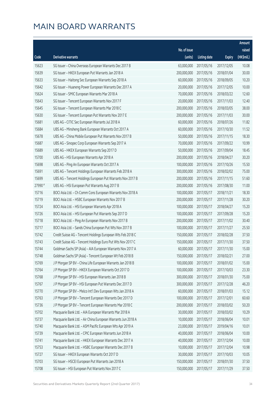|         |                                                              |              |                       |               | Amount     |
|---------|--------------------------------------------------------------|--------------|-----------------------|---------------|------------|
|         |                                                              | No. of issue |                       |               | raised     |
| Code    | Derivative warrants                                          | (units)      | <b>Listing date</b>   | <b>Expiry</b> | (HK\$mil.) |
| 15623   | SG Issuer - China Overseas European Warrants Dec 2017 B      | 63,000,000   | 2017/05/16            | 2017/12/05    | 10.08      |
| 15639   | SG Issuer - HKEX European Put Warrants Jan 2018 A            | 200,000,000  | 2017/05/16            | 2018/01/04    | 30.00      |
| 15633   | SG Issuer - Haitong Sec European Warrants Sep 2018 A         | 60,000,000   | 2017/05/16            | 2018/09/05    | 10.20      |
| 15642   | SG Issuer - Huaneng Power European Warrants Dec 2017 A       | 20,000,000   | 2017/05/16            | 2017/12/05    | 10.00      |
| 15624   | SG Issuer - SMIC European Warrants Mar 2018 A                | 70,000,000   | 2017/05/16            | 2018/03/22    | 12.60      |
| 15643   | SG Issuer - Tencent European Warrants Nov 2017 F             | 20,000,000   | 2017/05/16            | 2017/11/03    | 12.40      |
| 15645   | SG Issuer - Tencent European Warrants Mar 2018 C             | 200,000,000  | 2017/05/16            | 2018/03/05    | 38.00      |
| 15630   | SG Issuer - Tencent European Put Warrants Nov 2017 E         | 200,000,000  | 2017/05/16            | 2017/11/03    | 30.00      |
| 15681   | UBS AG - CITIC Sec European Warrants Jul 2018 A              | 60,000,000   | 2017/05/16            | 2018/07/26    | 11.82      |
| 15684   | UBS AG - Minsheng Bank European Warrants Oct 2017 A          | 60,000,000   | 2017/05/16            | 2017/10/30    | 11.52      |
| 15678   | UBS AG - China Mobile European Put Warrants Nov 2017 B       | 50,000,000   | 2017/05/16            | 2017/11/15    | 18.30      |
| 15687   | UBS AG - Sinopec Corp European Warrants Sep 2017 A           | 70,000,000   | 2017/05/16            | 2017/09/22    | 10.99      |
| 15689   | UBS AG - HKEX European Warrants Sep 2017 D                   | 50,000,000   | 2017/05/16            | 2017/09/04    | 18.45      |
| 15700   | UBS AG - HSI European Warrants Apr 2018 A                    | 200,000,000  | 2017/05/16            | 2018/04/27    | 30.20      |
| 15698   | UBS AG - Ping An European Warrants Oct 2017 A                | 100,000,000  | 2017/05/16            | 2017/10/26    | 15.50      |
| 15691   | UBS AG - Tencent Holdings European Warrants Feb 2018 A       | 300,000,000  | 2017/05/16            | 2018/02/02    | 75.00      |
| 15699   | UBS AG - Tencent Holdings European Put Warrants Nov 2017 B   | 200,000,000  | 2017/05/16            | 2017/11/15    | 51.60      |
| 27990 # | UBS AG - HSI European Put Warrants Aug 2017 B                | 200,000,000  | 2017/05/16            | 2017/08/30    | 11.00      |
| 15716   | BOCI Asia Ltd. - Ch Comm Cons European Warrants Nov 2018 A   | 100,000,000  | 2017/05/17            | 2018/11/21    | 18.30      |
| 15719   | BOCI Asia Ltd. - HSBC European Warrants Nov 2017 B           | 200,000,000  | 2017/05/17            | 2017/11/28    | 30.20      |
| 15724   | BOCI Asia Ltd. - HSI European Warrants Apr 2018 A            | 100,000,000  | 2017/05/17            | 2018/04/27    | 15.20      |
| 15726   | BOCI Asia Ltd. - HSI European Put Warrants Sep 2017 D        | 100,000,000  | 2017/05/17            | 2017/09/28    | 15.20      |
| 15718   | BOCI Asia Ltd. - Ping An European Warrants Nov 2017 B        | 200,000,000  | 2017/05/17            | 2017/11/02    | 30.40      |
| 15717   | BOCI Asia Ltd. - Sands China European Put Wts Nov 2017 B     | 100,000,000  | 2017/05/17            | 2017/11/27    | 25.50      |
| 15742   | Credit Suisse AG - Tencent Holdings European Wts Feb 2018 C  | 150,000,000  | 2017/05/17            | 2018/02/28    | 37.50      |
| 15743   | Credit Suisse AG - Tencent Holdings Euro Put Wts Nov 2017 C  | 150,000,000  | 2017/05/17            | 2017/11/30    | 37.50      |
| 15744   | Goldman Sachs SP (Asia) - AIA European Warrants Nov 2017 A   |              | 60,000,000 2017/05/17 | 2017/11/30    | 15.00      |
| 15748   | Goldman Sachs SP (Asia) - Tencent European Wt Feb 2018 B     | 150,000,000  | 2017/05/17            | 2018/02/21    | 27.00      |
| 15769   | J P Morgan SP BV - China Life European Warrants Jan 2018 B   | 100,000,000  | 2017/05/17            | 2018/01/02    | 15.00      |
| 15764   | J P Morgan SP BV - HKEX European Warrants Oct 2017 D         | 100,000,000  | 2017/05/17            | 2017/10/03    | 23.30      |
| 15768   | J P Morgan SP BV - HSI European Warrants Jan 2018 B          | 300,000,000  | 2017/05/17            | 2018/01/30    | 75.00      |
| 15767   | J P Morgan SP BV - HSI European Put Warrants Dec 2017 D      | 300,000,000  | 2017/05/17            | 2017/12/28    | 46.20      |
| 15770   | J P Morgan SP BV - Melco Int'l Dev European Wts Jan 2018 A   | 60,000,000   | 2017/05/17            | 2018/01/03    | 15.12      |
| 15763   | J P Morgan SP BV - Tencent European Warrants Dec 2017 D      | 100,000,000  | 2017/05/17            | 2017/12/01    | 60.60      |
| 15736   | J P Morgan SP BV - Tencent European Warrants Mar 2018 C      | 200,000,000  | 2017/05/17            | 2018/03/02    | 50.20      |
| 15702   | Macquarie Bank Ltd. - AIA European Warrants Mar 2018 A       | 30,000,000   | 2017/05/17            | 2018/03/02    | 10.29      |
| 15737   | Macquarie Bank Ltd. - Air China European Warrants Jun 2018 A | 10,000,000   | 2017/05/17            | 2018/06/04    | 10.01      |
| 15740   | Macquarie Bank Ltd. - ASM Pacific European Wts Apr 2019 A    | 23,000,000   | 2017/05/17            | 2019/04/16    | 10.01      |
| 15739   | Macquarie Bank Ltd. - CPIC European Warrants Jun 2018 A      | 40,000,000   | 2017/05/17            | 2018/06/04    | 10.00      |
| 15741   | Macquarie Bank Ltd. - HKEX European Warrants Dec 2017 A      | 40,000,000   | 2017/05/17            | 2017/12/04    | 10.00      |
| 15753   | Macquarie Bank Ltd. - HSBC European Warrants Dec 2017 B      | 10,000,000   | 2017/05/17            | 2017/12/04    | 10.98      |
| 15727   | SG Issuer - HKEX European Warrants Oct 2017 D                | 30,000,000   | 2017/05/17            | 2017/10/03    | 10.05      |
| 15703   | SG Issuer - HSCEI European Put Warrants Jan 2018 A           | 150,000,000  | 2017/05/17            | 2018/01/30    | 37.50      |
| 15708   | SG Issuer - HSI European Put Warrants Nov 2017 C             | 150,000,000  | 2017/05/17            | 2017/11/29    | 37.50      |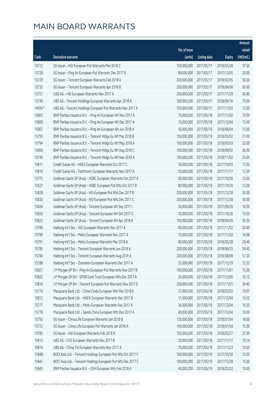|         |                                                               |                        |                     |               | Amount     |
|---------|---------------------------------------------------------------|------------------------|---------------------|---------------|------------|
|         |                                                               | No. of issue           |                     |               | raised     |
| Code    | Derivative warrants                                           | (units)                | <b>Listing date</b> | <b>Expiry</b> | (HK\$mil.) |
| 15712   | SG Issuer - HSI European Put Warrants Mar 2018 C              | 150,000,000            | 2017/05/17          | 2018/03/28    | 37.50      |
| 15728   | SG Issuer - Ping An European Put Warrants Dec 2017 B          | 80,000,000             | 2017/05/17          | 2017/12/05    | 20.00      |
| 15729   | SG Issuer - Tencent European Warrants Feb 2018 A              | 200,000,000            | 2017/05/17          | 2018/02/05    | 50.00      |
| 15732   | SG Issuer - Tencent European Warrants Apr 2018 B              | 200,000,000            | 2017/05/17          | 2018/04/06    | 50.00      |
| 15751   | UBS AG - HSI European Warrants Nov 2017 A                     | 200,000,000            | 2017/05/17          | 2017/11/29    | 30.80      |
| 15749   | UBS AG - Tencent Holdings European Warrants Apr 2018 A        | 300,000,000            | 2017/05/17          | 2018/04/16    | 75.00      |
| 14936 # | UBS AG - Tencent Holdings European Put Warrants Nov 2017 A    | 150,000,000            | 2017/05/17          | 2017/11/03    | 12.00      |
| 15803   | BNP Paribas Issuance B.V. - Ping An European Wt Nov 2017 A    | 70,000,000             | 2017/05/18          | 2017/11/02    | 10.50      |
| 15800   | BNP Paribas Issuance B.V. - Ping An European Wt Dec 2017 A    | 70,000,000             | 2017/05/18          | 2017/12/04    | 12.60      |
| 15807   | BNP Paribas Issuance B.V. - Ping An European Wt Jun 2018 A    | 50,000,000             | 2017/05/18          | 2018/06/04    | 13.00      |
| 15793   | BNP Paribas Issuance B.V. - Tencent Hldgs Eu Wt Mar 2018 B    | 100,000,000            | 2017/05/18          | 2018/03/02    | 21.00      |
| 15794   | BNP Paribas Issuance B.V. - Tencent Hldgs Eu Wt May 2018 A    | 100,000,000            | 2017/05/18          | 2018/05/03    | 22.00      |
| 15809   | BNP Paribas Issuance B.V. - Tencent Hldgs Eu Wt Aug 2018 C    | 100,000,000            | 2017/05/18          | 2018/08/02    | 26.00      |
| 15799   | BNP Paribas Issuance B.V. - Tencent Hldgs Eu Wt Nov 2018 A    | 100,000,000            | 2017/05/18          | 2018/11/02    | 25.00      |
| 15811   | Credit Suisse AG - HKEX European Warrants Oct 2017 C          | 50,000,000             | 2017/05/18          | 2017/10/03    | 12.50      |
| 15810   | Credit Suisse AG - Techtronic European Warrants Nov 2017 A    | 50,000,000             | 2017/05/18          | 2017/11/17    | 12.50      |
| 15775   | Goldman Sachs SP (Asia) - HSBC European Warrants Oct 2017 A   | 80,000,000             | 2017/05/18          | 2017/10/26    | 12.00      |
| 15827   | Goldman Sachs SP (Asia) - HSBC European Put Wts Oct 2017 B    | 80,000,000             | 2017/05/18          | 2017/10/26    | 12.00      |
| 15828   | Goldman Sachs SP (Asia) - HSI European Put Wts Dec 2017 B     | 200,000,000            | 2017/05/18          | 2017/12/28    | 30.00      |
| 15830   | Goldman Sachs SP (Asia) - HSI European Put Wts Dec 2017 C     | 200,000,000            | 2017/05/18          | 2017/12/28    | 30.00      |
| 15824   | Goldman Sachs SP (Asia) - Tencent European Wt Sep 2017 I      | 30,000,000             | 2017/05/18          | 2017/09/26    | 10.50      |
| 15826   | Goldman Sachs SP (Asia) - Tencent European Wt Oct 2017 G      | 30,000,000             | 2017/05/18          | 2017/10/26    | 10.50      |
| 15823   | Goldman Sachs SP (Asia) - Tencent European Wt Apr 2018 A      | 150,000,000            | 2017/05/18          | 2018/04/26    | 39.30      |
| 15786   | Haitong Int'l Sec - IGG European Warrants Nov 2017 A          | 80,000,000             | 2017/05/18          | 2017/11/02    | 20.00      |
| 15789   | Haitong Int'l Sec - Meitu European Warrants Nov 2017 A        | 70,000,000             | 2017/05/18          | 2017/11/02    | 14.98      |
| 15791   | Haitong Int'l Sec - Meitu European Warrants Mar 2018 A        | 80,000,000             | 2017/05/18          | 2018/03/28    | 28.40      |
| 15785   | Haitong Int'l Sec - Tencent European Warrants Jun 2018 A      | 200,000,000 2017/05/18 |                     | 2018/06/25    | 39.40      |
| 15784   | Haitong Int'l Sec - Tencent European Warrants Aug 2018 A      | 200,000,000            | 2017/05/18          | 2018/08/08    | 57.20      |
| 15788   | Haitong Int'l Sec - Zoomlion European Warrants Dec 2017 A     | 25,000,000             | 2017/05/18          | 2017/12/29    | 12.23      |
| 15821   | J P Morgan SP BV - Ping An European Put Warrants Nov 2017 B   | 100,000,000            | 2017/05/18          | 2017/11/01    | 15.00      |
| 15822   | J P Morgan SP BV - SPDR Gold Trust European Wts Dec 2017 A    | 20,000,000             | 2017/05/18          | 2017/12/05    | 10.12      |
| 15816   | J P Morgan SP BV - Tencent European Put Warrants Nov 2017 E   | 200,000,000            | 2017/05/18          | 2017/11/01    | 30.40      |
| 15776   | Macquarie Bank Ltd. - China Cinda European Wts Mar 2018 A     | 27,000,000             | 2017/05/18          | 2018/03/02    | 10.07      |
| 15812   | Macquarie Bank Ltd. - HKEX European Warrants Dec 2017 B       | 11,500,000             | 2017/05/18          | 2017/12/04    | 10.02      |
| 15777   | Macquarie Bank Ltd. - Meitu European Warrants Dec 2017 A      | 36,000,000             | 2017/05/18          | 2017/12/04    | 10.30      |
| 15778   | Macquarie Bank Ltd. - Sands China European Wts Dec 2017 A     | 40,000,000             | 2017/05/18          | 2017/12/04    | 10.00      |
| 15792   | SG Issuer - China Life European Warrants Jan 2018 B           | 120,000,000            | 2017/05/18          | 2018/01/04    | 18.00      |
| 15772   | SG Issuer - China Life European Put Warrants Jan 2018 A       | 100,000,000            | 2017/05/18          | 2018/01/04    | 15.00      |
| 15783   | SG Issuer - HSI European Warrants Feb 2018 B                  | 150,000,000            | 2017/05/18          | 2018/02/27    | 37.50      |
| 15813   | UBS AG - CGS European Warrants Nov 2017 B                     | 20,000,000             | 2017/05/18          | 2017/11/17    | 10.14      |
| 15814   | UBS AG - China Tel European Warrants Nov 2017 A               | 70,000,000             | 2017/05/18          | 2017/11/23    | 10.50      |
| 15848   | BOCI Asia Ltd. - Tencent Holdings European Put Wts Oct 2017 F | 100,000,000            | 2017/05/19          | 2017/10/26    | 15.00      |
| 15847   | BOCI Asia Ltd. - Tencent Holdings European Put Wts Dec 2017 C | 100,000,000            | 2017/05/19          | 2017/12/28    | 15.00      |
| 15843   | BNP Paribas Issuance B.V. - CKH European Wts Feb 2018 A       | 40,000,000             | 2017/05/19          | 2018/02/02    | 10.00      |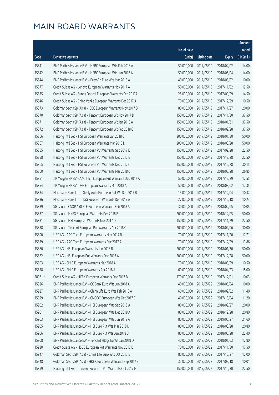|        |                                                              |                        |                     |               | Amount     |
|--------|--------------------------------------------------------------|------------------------|---------------------|---------------|------------|
|        |                                                              | No. of issue           |                     |               | raised     |
| Code   | Derivative warrants                                          | (units)                | <b>Listing date</b> | <b>Expiry</b> | (HK\$mil.) |
| 15841  | BNP Paribas Issuance B.V. - HSBC European Wts Feb 2018 A     | 50,000,000             | 2017/05/19          | 2018/02/02    | 14.00      |
| 15842  | BNP Paribas Issuance B.V. - HSBC European Wts Jun 2018 A     | 50,000,000             | 2017/05/19          | 2018/06/04    | 14.00      |
| 15844  | BNP Paribas Issuance B.V. - PetroCh Euro Wts Mar 2018 A      | 40,000,000             | 2017/05/19          | 2018/03/02    | 10.00      |
| 15877  | Credit Suisse AG - Lenovo European Warrants Nov 2017 A       | 50,000,000             | 2017/05/19          | 2017/11/02    | 12.50      |
| 15875  | Credit Suisse AG - Sunny Optical European Warrants Sep 2017A | 25,000,000             | 2017/05/19          | 2017/09/29    | 14.50      |
| 15846  | Credit Suisse AG - China Vanke European Warrants Dec 2017 A  | 70,000,000             | 2017/05/19          | 2017/12/29    | 10.50      |
| 15873  | Goldman Sachs Sp (Asia) - ICBC European Warrants Nov 2017 B  | 80,000,000             | 2017/05/19          | 2017/11/27    | 20.00      |
| 15870  | Goldman Sachs SP (Asia) - Tencent European Wt Nov 2017 D     | 150,000,000            | 2017/05/19          | 2017/11/30    | 37.50      |
| 15871  | Goldman Sachs SP (Asia) - Tencent European Wt Jan 2018 A     | 150,000,000            | 2017/05/19          | 2018/01/31    | 37.50      |
| 15872  | Goldman Sachs SP (Asia) - Tencent European Wt Feb 2018 C     | 150,000,000            | 2017/05/19          | 2018/02/28    | 37.50      |
| 15866  | Haitong Int'l Sec - HSI European Warrants Jan 2018 C         | 200,000,000            | 2017/05/19          | 2018/01/30    | 50.00      |
| 15867  | Haitong Int'l Sec - HSI European Warrants Mar 2018 D         | 200,000,000            | 2017/05/19          | 2018/03/28    | 50.00      |
| 15855  | Haitong Int'l Sec - HSI European Put Warrants Sep 2017 E     | 150,000,000            | 2017/05/19          | 2017/09/28    | 22.50      |
| 15858  | Haitong Int'l Sec - HSI European Put Warrants Dec 2017 B     | 150,000,000            | 2017/05/19          | 2017/12/28    | 22.50      |
| 15865  | Haitong Int'l Sec - HSI European Put Warrants Dec 2017 C     | 150,000,000            | 2017/05/19          | 2017/12/28    | 30.15      |
| 15860  | Haitong Int'l Sec - HSI European Put Warrants Mar 2018 C     | 150,000,000            | 2017/05/19          | 2018/03/28    | 26.85      |
| 15851  | J P Morgan SP BV - AAC Tech European Put Warrants Dec 2017 A | 50,000,000             | 2017/05/19          | 2017/12/29    | 12.55      |
| 15854  | J P Morgan SP BV - IGG European Warrants Mar 2018 A          | 50,000,000             | 2017/05/19          | 2018/03/02    | 17.35      |
| 15834  | Macquarie Bank Ltd. - Geely Auto European Put Ws Dec 2017 B  | 15,000,000             | 2017/05/19          | 2017/12/04    | 10.47      |
| 15836  | Macquarie Bank Ltd. - IGG European Warrants Dec 2017 A       | 27,000,000             | 2017/05/19          | 2017/12/18    | 10.23      |
| 15839  | SG Issuer - CSOP A50 ETF European Warrants Feb 2018 A        | 30,000,000             | 2017/05/19          | 2018/02/05    | 10.05      |
| 15837  | SG Issuer - HKEX European Warrants Dec 2018 B                | 200,000,000            | 2017/05/19          | 2018/12/05    | 50.00      |
| 15831  | SG Issuer - HSI European Warrants Nov 2017 D                 | 150,000,000            | 2017/05/19          | 2017/11/29    | 22.50      |
| 15838  | SG Issuer - Tencent European Put Warrants Apr 2018 C         | 200,000,000            | 2017/05/19          | 2018/04/06    | 30.00      |
| 15890  | UBS AG - AAC Tech European Warrants Nov 2017 B               | 70,000,000             | 2017/05/19          | 2017/11/20    | 17.71      |
| 15879  | UBS AG - AAC Tech European Warrants Dec 2017 A               | 70,000,000             | 2017/05/19          | 2017/12/29    | 13.86      |
| 15880  | UBS AG - HSI European Warrants Jan 2018 B                    | 200,000,000 2017/05/19 |                     | 2018/01/30    | 50.00      |
| 15882  | UBS AG - HSI European Put Warrants Dec 2017 A                | 200,000,000            | 2017/05/19          | 2017/12/28    | 50.00      |
| 15893  | UBS AG - SMIC European Warrants Mar 2018 A                   | 70,000,000             | 2017/05/19          | 2018/03/29    | 10.50      |
| 15878  | UBS AG - SMIC European Warrants Apr 2018 A                   | 60,000,000             | 2017/05/19          | 2018/04/23    | 15.00      |
| 28061# | Credit Suisse AG - HKEX European Warrants Dec 2017 B         | 170,000,000            | 2017/05/19          | 2017/12/01    | 10.03      |
| 15926  | BNP Paribas Issuance B.V. - CC Bank Euro Wts Jun 2018 A      | 40,000,000             | 2017/05/22          | 2018/06/04    | 10.00      |
| 15927  | BNP Paribas Issuance B.V. - China Life Euro Wts Feb 2018 A   | 60,000,000             | 2017/05/22          | 2018/02/02    | 11.40      |
| 15929  | BNP Paribas Issuance B.V. - CNOOC European Wts Oct 2017 C    | 40,000,000             | 2017/05/22          | 2017/10/04    | 11.20      |
| 15902  | BNP Paribas Issuance B.V. - HSI European Wts Sep 2018 A      | 80,000,000             | 2017/05/22          | 2018/09/27    | 20.00      |
| 15901  | BNP Paribas Issuance B.V. - HSI European Wts Dec 2018 A      | 80,000,000             | 2017/05/22          | 2018/12/28    | 20.80      |
| 15903  | BNP Paribas Issuance B.V. - HSI European Wts Jun 2019 A      | 80,000,000             | 2017/05/22          | 2019/06/27    | 21.60      |
| 15905  | BNP Paribas Issuance B.V. - HSI Euro Put Wts Mar 2018 D      | 80,000,000             | 2017/05/22          | 2018/03/28    | 20.80      |
| 15906  | BNP Paribas Issuance B.V. - HSI Euro Put Wts Jun 2018 B      | 80,000,000             | 2017/05/22          | 2018/06/28    | 22.40      |
| 15908  | BNP Paribas Issuance B.V. - Tencent Hldgs Eu Wt Jan 2018 D   | 40,000,000             | 2017/05/22          | 2018/01/03    | 12.80      |
| 15930  | Credit Suisse AG - HSBC European Put Warrants Nov 2017 B     | 70,000,000             | 2017/05/22          | 2017/11/30    | 17.50      |
| 15947  | Goldman Sachs SP (Asia) - China Life Euro Wts Oct 2017 B     | 80,000,000             | 2017/05/22          | 2017/10/27    | 12.00      |
| 15948  | Goldman Sachs SP (Asia) - HKEX European Warrants Sep 2017 E  | 35,000,000             | 2017/05/22          | 2017/09/18    | 10.01      |
| 15899  | Haitong Int'l Sec - Tencent European Put Warrants Oct 2017 E | 150,000,000            | 2017/05/22          | 2017/10/30    | 22.50      |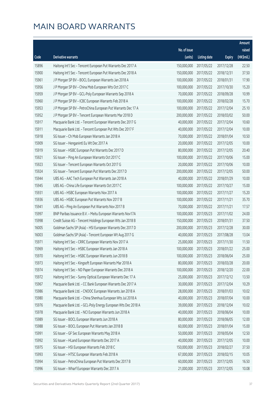|       |                                                               |                        |                     |               | Amount     |
|-------|---------------------------------------------------------------|------------------------|---------------------|---------------|------------|
|       |                                                               | No. of issue           |                     |               | raised     |
| Code  | Derivative warrants                                           | (units)                | <b>Listing date</b> | <b>Expiry</b> | (HK\$mil.) |
| 15896 | Haitong Int'l Sec - Tencent European Put Warrants Dec 2017 A  | 150,000,000            | 2017/05/22          | 2017/12/28    | 22.50      |
| 15900 | Haitong Int'l Sec - Tencent European Put Warrants Dec 2018 A  | 150,000,000            | 2017/05/22          | 2018/12/31    | 37.50      |
| 15961 | J P Morgan SP BV - BOCL European Warrants Jan 2018 A          | 100,000,000            | 2017/05/22          | 2018/01/31    | 17.90      |
| 15956 | J P Morgan SP BV - China Mob European Wts Oct 2017 C          | 100,000,000            | 2017/05/22          | 2017/10/30    | 15.20      |
| 15959 | J P Morgan SP BV - GCL-Poly European Warrants Sep 2018 A      | 70,000,000             | 2017/05/22          | 2018/09/28    | 10.99      |
| 15960 | J P Morgan SP BV - ICBC European Warrants Feb 2018 A          | 100,000,000            | 2017/05/22          | 2018/02/28    | 15.70      |
| 15953 | J P Morgan SP BV - PetroChina European Put Warrants Dec 17 A  | 100,000,000            | 2017/05/22          | 2017/12/04    | 25.10      |
| 15952 | J P Morgan SP BV - Tencent European Warrants Mar 2018 D       | 200,000,000            | 2017/05/22          | 2018/03/02    | 50.00      |
| 15917 | Macquarie Bank Ltd. - Tencent European Warrants Dec 2017 G    | 40,000,000             | 2017/05/22          | 2017/12/04    | 10.60      |
| 15911 | Macquarie Bank Ltd. - Tencent European Put Wts Dec 2017 F     | 40,000,000             | 2017/05/22          | 2017/12/04    | 10.00      |
| 15918 | SG Issuer - Ch Mob European Warrants Jan 2018 A               | 70,000,000             | 2017/05/22          | 2018/01/04    | 10.50      |
| 15909 | SG Issuer - Henganintl Eu Wt Dec 2017 A                       | 20,000,000             | 2017/05/22          | 2017/12/05    | 10.00      |
| 15919 | SG Issuer - HSBC European Put Warrants Dec 2017 D             | 80,000,000             | 2017/05/22          | 2017/12/05    | 20.40      |
| 15921 | SG Issuer - Ping An European Warrants Oct 2017 C              | 100,000,000            | 2017/05/22          | 2017/10/06    | 15.00      |
| 15923 | SG Issuer - Tencent European Warrants Oct 2017 G              | 20,000,000             | 2017/05/22          | 2017/10/06    | 10.00      |
| 15924 | SG Issuer - Tencent European Put Warrants Dec 2017 D          | 200,000,000            | 2017/05/22          | 2017/12/05    | 50.00      |
| 15944 | UBS AG - AAC Tech European Put Warrants Jan 2018 A            | 40,000,000             | 2017/05/22          | 2018/01/29    | 10.00      |
| 15945 | UBS AG - China Life European Warrants Oct 2017 C              | 100,000,000            | 2017/05/22          | 2017/10/27    | 15.00      |
| 15931 | UBS AG - HSBC European Warrants Nov 2017 A                    | 100,000,000            | 2017/05/22          | 2017/11/27    | 15.20      |
| 15936 | UBS AG - HSBC European Put Warrants Nov 2017 B                | 100,000,000            | 2017/05/22          | 2017/11/21    | 35.70      |
| 15941 | UBS AG - Ping An European Put Warrants Nov 2017 B             | 70,000,000             | 2017/05/22          | 2017/11/21    | 17.57      |
| 15997 | BNP Paribas Issuance B.V. - Meitu European Warrants Nov17A    | 100,000,000            | 2017/05/23          | 2017/11/02    | 24.00      |
| 15998 | Credit Suisse AG - Tencent Holdings European Wts Jan 2018 B   | 150,000,000            | 2017/05/23          | 2018/01/31    | 37.50      |
| 16005 | Goldman Sachs SP (Asia) - HSI European Warrants Dec 2017 D    | 200,000,000            | 2017/05/23          | 2017/12/28    | 30.00      |
| 16003 | Goldman Sachs SP (Asia) - Tencent European Wt Aug 2017 G      | 40,000,000             | 2017/05/23          | 2017/08/28    | 13.04      |
| 15971 | Haitong Int'l Sec - CRRC European Warrants Nov 2017 A         | 25,000,000             | 2017/05/23          | 2017/11/30    | 11.50      |
| 15969 | Haitong Int'l Sec - HSBC European Warrants Jan 2018 A         | 100,000,000 2017/05/23 |                     | 2018/01/22    | 25.00      |
| 15970 | Haitong Int'l Sec - HSBC European Warrants Jun 2018 B         | 100,000,000            | 2017/05/23          | 2018/06/04    | 25.00      |
| 15973 | Haitong Int'l Sec - Kingsoft European Warrants Mar 2018 A     | 80,000,000             | 2017/05/23          | 2018/03/28    | 20.00      |
| 15974 | Haitong Int'l Sec - ND Paper European Warrants Dec 2018 A     | 100,000,000            | 2017/05/23          | 2018/12/20    | 22.00      |
| 15972 | Haitong Int'l Sec - Sunny Optical European Warrants Dec 17 A  | 25,000,000             | 2017/05/23          | 2017/12/12    | 13.50      |
| 15967 | Macquarie Bank Ltd. - CC Bank European Warrants Dec 2017 A    | 30,000,000             | 2017/05/23          | 2017/12/04    | 10.29      |
| 15986 | Macquarie Bank Ltd. - CNOOC European Warrants Jan 2018 A      | 28,000,000             | 2017/05/23          | 2018/01/03    | 10.02      |
| 15980 | Macquarie Bank Ltd. - China Shenhua European Wts Jul 2018 A   | 40,000,000             | 2017/05/23          | 2018/07/04    | 10.00      |
| 15976 | Macquarie Bank Ltd. - GCL-Poly Energy European Wts Dec 2018 A | 39,000,000             | 2017/05/23          | 2018/12/04    | 10.02      |
| 15978 | Macquarie Bank Ltd. - NCI European Warrants Jun 2018 A        | 40,000,000             | 2017/05/23          | 2018/06/04    | 10.00      |
| 15989 | SG Issuer - BOCL European Warrants Jun 2018 A                 | 80,000,000             | 2017/05/23          | 2018/06/05    | 12.00      |
| 15988 | SG Issuer - BOCL European Put Warrants Jan 2018 B             | 60,000,000             | 2017/05/23          | 2018/01/04    | 15.00      |
| 15991 | SG Issuer - GF Sec European Warrants May 2018 A               | 50,000,000             | 2017/05/23          | 2018/05/04    | 12.50      |
| 15992 | SG Issuer - HLand European Warrants Dec 2017 A                | 40,000,000             | 2017/05/23          | 2017/12/05    | 10.00      |
| 15975 | SG Issuer - HSI European Warrants Feb 2018 C                  | 150,000,000            | 2017/05/23          | 2018/02/27    | 37.50      |
| 15993 | SG Issuer - HTSC European Warrants Feb 2018 A                 | 67,000,000             | 2017/05/23          | 2018/02/15    | 10.05      |
| 15994 | SG Issuer - PetroChina European Put Warrants Dec 2017 B       | 60,000,000             | 2017/05/23          | 2017/12/05    | 16.50      |
| 15996 | SG Issuer - Wharf European Warrants Dec 2017 A                | 21,000,000             | 2017/05/23          | 2017/12/05    | 10.08      |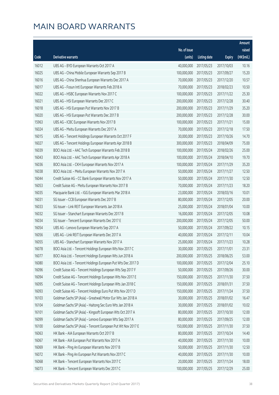|       |                                                               |              |                       |               | Amount     |
|-------|---------------------------------------------------------------|--------------|-----------------------|---------------|------------|
|       |                                                               | No. of issue |                       |               | raised     |
| Code  | Derivative warrants                                           | (units)      | <b>Listing date</b>   | <b>Expiry</b> | (HK\$mil.) |
| 16012 | UBS AG - BYD European Warrants Oct 2017 A                     | 40,000,000   | 2017/05/23            | 2017/10/03    | 10.16      |
| 16025 | UBS AG - China Mobile European Warrants Sep 2017 B            | 100,000,000  | 2017/05/23            | 2017/09/27    | 15.20      |
| 16016 | UBS AG - China Shenhua European Warrants Dec 2017 A           | 70,000,000   | 2017/05/23            | 2017/12/20    | 10.57      |
| 16017 | UBS AG - Fosun Intl European Warrants Feb 2018 A              | 70,000,000   | 2017/05/23            | 2018/02/23    | 10.50      |
| 16022 | UBS AG - HSBC European Warrants Nov 2017 C                    | 100,000,000  | 2017/05/23            | 2017/11/22    | 25.30      |
| 16021 | UBS AG - HSI European Warrants Dec 2017 C                     | 200,000,000  | 2017/05/23            | 2017/12/28    | 30.40      |
| 16018 | UBS AG - HSI European Put Warrants Nov 2017 B                 | 200,000,000  | 2017/05/23            | 2017/11/29    | 35.20      |
| 16020 | UBS AG - HSI European Put Warrants Dec 2017 B                 | 200,000,000  | 2017/05/23            | 2017/12/28    | 30.00      |
| 15963 | UBS AG - ICBC European Warrants Nov 2017 B                    | 100,000,000  | 2017/05/23            | 2017/11/21    | 15.00      |
| 16024 | UBS AG - Meitu European Warrants Dec 2017 A                   | 70,000,000   | 2017/05/23            | 2017/12/18    | 17.50      |
| 16015 | UBS AG - Tencent Holdings European Warrants Oct 2017 F        | 30,000,000   | 2017/05/23            | 2017/10/26    | 14.70      |
| 16027 | UBS AG - Tencent Holdings European Warrants Apr 2018 B        | 300,000,000  | 2017/05/23            | 2018/04/09    | 75.00      |
| 16039 | BOCI Asia Ltd. - AAC Tech European Warrants Feb 2018 B        | 100,000,000  | 2017/05/24            | 2018/02/26    | 25.00      |
| 16043 | BOCI Asia Ltd. - AAC Tech European Warrants Apr 2018 A        | 100,000,000  | 2017/05/24            | 2018/04/10    | 19.70      |
| 16036 | BOCI Asia Ltd. - CKH European Warrants Nov 2017 A             | 100,000,000  | 2017/05/24            | 2017/11/29    | 35.20      |
| 16038 | BOCI Asia Ltd. - Meitu European Warrants Nov 2017 A           | 50,000,000   | 2017/05/24            | 2017/11/27    | 12.50      |
| 16044 | Credit Suisse AG - CC Bank European Warrants Nov 2017 A       | 50,000,000   | 2017/05/24            | 2017/11/30    | 12.50      |
| 16053 | Credit Suisse AG - Meitu European Warrants Nov 2017 B         | 70,000,000   | 2017/05/24            | 2017/11/23    | 18.20      |
| 16035 | Macquarie Bank Ltd. - IGG European Warrants Mar 2018 A        | 23,000,000   | 2017/05/24            | 2018/03/16    | 10.01      |
| 16031 | SG Issuer - CCB European Warrants Dec 2017 B                  | 80,000,000   | 2017/05/24            | 2017/12/05    | 20.00      |
| 16033 | SG Issuer - Link REIT European Warrants Jan 2018 A            | 25,000,000   | 2017/05/24            | 2018/01/04    | 10.00      |
| 16032 | SG Issuer - Stanchart European Warrants Dec 2017 B            | 16,000,000   | 2017/05/24            | 2017/12/05    | 10.08      |
| 16034 | SG Issuer - Tencent European Warrants Dec 2017 E              | 200,000,000  | 2017/05/24            | 2017/12/05    | 50.00      |
| 16054 | UBS AG - Lenovo European Warrants Sep 2017 A                  | 50,000,000   | 2017/05/24            | 2017/09/22    | 10.15      |
| 16056 | UBS AG - Link REIT European Warrants Dec 2017 A               | 40,000,000   | 2017/05/24            | 2017/12/11    | 10.04      |
| 16055 | UBS AG - Stanchart European Warrants Nov 2017 A               | 25,000,000   | 2017/05/24            | 2017/11/23    | 10.28      |
| 16078 | BOCI Asia Ltd. - Tencent Holdings European Wts Nov 2017 C     |              | 30,000,000 2017/05/25 | 2017/11/01    | 23.31      |
| 16077 | BOCI Asia Ltd. - Tencent Holdings European Wts Jun 2018 A     | 200,000,000  | 2017/05/25            | 2018/06/25    | 53.00      |
| 16080 | BOCI Asia Ltd. - Tencent Holdings European Put Wts Dec 2017 D | 100,000,000  | 2017/05/25            | 2017/12/04    | 25.10      |
| 16096 | Credit Suisse AG - Tencent Holdings European Wts Sep 2017 F   | 50,000,000   | 2017/05/25            | 2017/09/26    | 30.00      |
| 16094 | Credit Suisse AG - Tencent Holdings European Wts Nov 2017 E   | 150,000,000  | 2017/05/25            | 2017/11/30    | 37.50      |
| 16095 | Credit Suisse AG - Tencent Holdings European Wts Jan 2018 C   | 150,000,000  | 2017/05/25            | 2018/01/31    | 37.50      |
| 16093 | Credit Suisse AG - Tencent Holdings Euro Put Wts Nov 2017 D   | 150,000,000  | 2017/05/25            | 2017/11/24    | 37.50      |
| 16103 | Goldman Sachs SP (Asia) - Greatwall Motor Eur Wts Jan 2018 A  | 30,000,000   | 2017/05/25            | 2018/01/02    | 16.47      |
| 16104 | Goldman Sachs SP (Asia) - Haitong Sec Euro Wts Jan 2018 A     | 30,000,000   | 2017/05/25            | 2018/01/02    | 10.02      |
| 16101 | Goldman Sachs SP (Asia) - Kingsoft European Wts Oct 2017 A    | 80,000,000   | 2017/05/25            | 2017/10/30    | 12.00      |
| 16099 | Goldman Sachs SP (Asia) - Lenovo European Wts Sep 2017 A      | 80,000,000   | 2017/05/25            | 2017/09/25    | 12.00      |
| 16100 | Goldman Sachs SP (Asia) - Tencent European Put Wt Nov 2017 E  | 150,000,000  | 2017/05/25            | 2017/11/30    | 37.50      |
| 16063 | HK Bank - AIA European Warrants Oct 2017 B                    | 80,000,000   | 2017/05/25            | 2017/10/24    | 14.40      |
| 16067 | HK Bank - AIA European Put Warrants Nov 2017 A                | 40,000,000   | 2017/05/25            | 2017/11/30    | 10.00      |
| 16069 | HK Bank - Ping An European Warrants Nov 2017 B                | 50,000,000   | 2017/05/25            | 2017/11/30    | 12.50      |
| 16072 | HK Bank - Ping An European Put Warrants Nov 2017 C            | 40,000,000   | 2017/05/25            | 2017/11/30    | 10.00      |
| 16068 | HK Bank - Tencent European Warrants Nov 2017 C                | 20,000,000   | 2017/05/25            | 2017/11/24    | 18.00      |
| 16073 | HK Bank - Tencent European Warrants Dec 2017 C                | 100,000,000  | 2017/05/25            | 2017/12/29    | 25.00      |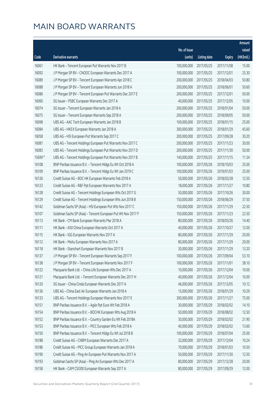|         |                                                              |              |                       |               | Amount     |
|---------|--------------------------------------------------------------|--------------|-----------------------|---------------|------------|
|         |                                                              | No. of issue |                       |               | raised     |
| Code    | <b>Derivative warrants</b>                                   | (units)      | <b>Listing date</b>   | <b>Expiry</b> | (HK\$mil.) |
| 16061   | HK Bank - Tencent European Put Warrants Nov 2017 B           | 100,000,000  | 2017/05/25            | 2017/11/08    | 15.00      |
| 16092   | J P Morgan SP BV - CNOOC European Warrants Dec 2017 A        | 100,000,000  | 2017/05/25            | 2017/12/01    | 25.30      |
| 16089   | J P Morgan SP BV - Tencent European Warrants Apr 2018 C      | 200,000,000  | 2017/05/25            | 2018/04/03    | 50.80      |
| 16088   | J P Morgan SP BV - Tencent European Warrants Jun 2018 A      | 200,000,000  | 2017/05/25            | 2018/06/01    | 50.60      |
| 16086   | J P Morgan SP BV - Tencent European Put Warrants Dec 2017 E  | 200,000,000  | 2017/05/25            | 2017/12/01    | 50.00      |
| 16060   | SG Issuer - PSBC European Warrants Dec 2017 A                | 40,000,000   | 2017/05/25            | 2017/12/05    | 10.00      |
| 16074   | SG Issuer - Tencent European Warrants Jan 2018 A             | 200,000,000  | 2017/05/25            | 2018/01/04    | 50.00      |
| 16075   | SG Issuer - Tencent European Warrants Sep 2018 A             | 200,000,000  | 2017/05/25            | 2018/09/05    | 50.00      |
| 16098   | UBS AG - AAC Tech European Warrants Jan 2018 B               | 100,000,000  | 2017/05/25            | 2018/01/15    | 25.00      |
| 16084   | UBS AG - HKEX European Warrants Jan 2018 A                   | 300,000,000  | 2017/05/25            | 2018/01/29    | 45.60      |
| 16058   | UBS AG - HSI European Put Warrants Sep 2017 C                | 200,000,000  | 2017/05/25            | 2017/09/28    | 30.20      |
| 16081   | UBS AG - Tencent Holdings European Put Warrants Nov 2017 C   | 200,000,000  | 2017/05/25            | 2017/11/23    | 30.00      |
| 16083   | UBS AG - Tencent Holdings European Put Warrants Nov 2017 D   | 200,000,000  | 2017/05/25            | 2017/11/30    | 50.00      |
| 15699 # | UBS AG - Tencent Holdings European Put Warrants Nov 2017 B   | 140,000,000  | 2017/05/25            | 2017/11/15    | 11.34      |
| 16108   | BNP Paribas Issuance B.V. - Tencent Hldgs Eu Wt Oct 2018 A   | 100,000,000  | 2017/05/26            | 2018/10/03    | 25.00      |
| 16109   | BNP Paribas Issuance B.V. - Tencent Hldgs Eu Wt Jan 2019 C   | 100,000,000  | 2017/05/26            | 2019/01/03    | 25.00      |
| 16126   | Credit Suisse AG - BOC HK European Warrants Feb 2018 A       | 50,000,000   | 2017/05/26            | 2018/02/28    | 12.50      |
| 16123   | Credit Suisse AG - R&F Ppt European Warrants Nov 2017 A      | 18,000,000   | 2017/05/26            | 2017/11/27    | 10.80      |
| 16128   | Credit Suisse AG - Tencent Holdings European Wts Oct 2017 G  | 50,000,000   | 2017/05/26            | 2017/10/26    | 30.00      |
| 16129   | Credit Suisse AG - Tencent Holdings European Wts Jun 2018 B  | 150,000,000  | 2017/05/26            | 2018/06/29    | 37.50      |
| 16142   | Goldman Sachs SP (Asia) - HSI European Put Wts Nov 2017 C    | 150,000,000  | 2017/05/26            | 2017/11/29    | 22.50      |
| 16107   | Goldman Sachs SP (Asia) - Tencent European Put Wt Nov 2017 F | 150,000,000  | 2017/05/26            | 2017/11/23    | 22.50      |
| 16113   | HK Bank - CM Bank European Warrants Mar 2018 A               | 80,000,000   | 2017/05/26            | 2018/03/26    | 14.40      |
| 16111   | HK Bank - A50 China European Warrants Oct 2017 A             | 40,000,000   | 2017/05/26            | 2017/10/27    | 12.00      |
| 16115   | HK Bank - IGG European Warrants Nov 2017 A                   | 80,000,000   | 2017/05/26            | 2017/11/29    | 20.00      |
| 16112   | HK Bank - Meitu European Warrants Nov 2017 A                 | 80,000,000   | 2017/05/26            | 2017/11/29    | 20.00      |
| 16118   | HK Bank - Stanchart European Warrants Nov 2017 B             |              | 30,000,000 2017/05/26 | 2017/11/29    | 13.20      |
| 16137   | J P Morgan SP BV - Tencent European Warrants Sep 2017 F      | 100,000,000  | 2017/05/26            | 2017/09/04    | 53.10      |
| 16138   | J P Morgan SP BV - Tencent European Warrants Nov 2017 F      | 100,000,000  | 2017/05/26            | 2017/11/01    | 38.10      |
| 16122   | Macquarie Bank Ltd. - China Life European Wts Dec 2017 A     | 10,000,000   | 2017/05/26            | 2017/12/04    | 10.00      |
| 16121   | Macquarie Bank Ltd. - Tencent European Warrants Dec 2017 H   | 40,000,000   | 2017/05/26            | 2017/12/04    | 10.00      |
| 16120   | SG Issuer - China Cinda European Warrants Dec 2017 A         | 46,000,000   | 2017/05/26            | 2017/12/05    | 10.12      |
| 16136   | UBS AG - China East Air European Warrants Jan 2018 A         | 15,000,000   | 2017/05/26            | 2018/01/29    | 10.29      |
| 16133   | UBS AG - Tencent Holdings European Warrants Nov 2017 E       | 300,000,000  | 2017/05/26            | 2017/11/27    | 75.00      |
| 16151   | BNP Paribas Issuance B.V. - Agile Ppt Euro Wt Feb 2018 A     | 30,000,000   | 2017/05/29            | 2018/02/02    | 14.10      |
| 16154   | BNP Paribas Issuance B.V. - BOCHK European Wts Aug 2018 A    | 50,000,000   | 2017/05/29            | 2018/08/02    | 12.50      |
| 16152   | BNP Paribas Issuance B.V. - Country Garden Eu Wt Feb 2018A   | 30,000,000   | 2017/05/29            | 2018/02/02    | 21.90      |
| 16153   | BNP Paribas Issuance B.V. - PICC European Wts Feb 2018 A     | 40,000,000   | 2017/05/29            | 2018/02/02    | 13.60      |
| 16150   | BNP Paribas Issuance B.V. - Tencent Hldgs Eu Wt Jul 2018 B   | 100,000,000  | 2017/05/29            | 2018/07/04    | 25.00      |
| 16188   | Credit Suisse AG - CNBM European Warrants Dec 2017 A         | 32,000,000   | 2017/05/29            | 2017/12/04    | 10.24      |
| 16186   | Credit Suisse AG - PICC Group European Warrants Jan 2018 A   | 70,000,000   | 2017/05/29            | 2018/01/03    | 10.50      |
| 16190   | Credit Suisse AG - Ping An European Put Warrants Nov 2017 A  | 50,000,000   | 2017/05/29            | 2017/11/30    | 12.50      |
| 16193   | Goldman Sachs SP (Asia) - Ping An European Wts Dec 2017 A    | 80,000,000   | 2017/05/29            | 2017/12/28    | 20.00      |
| 16158   | HK Bank - CAM CSI300 European Warrants Sep 2017 A            | 80,000,000   | 2017/05/29            | 2017/09/29    | 12.00      |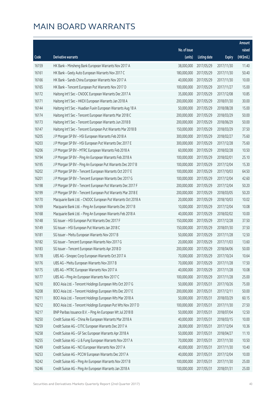|       |                                                               |                        |                     |               | Amount     |
|-------|---------------------------------------------------------------|------------------------|---------------------|---------------|------------|
|       |                                                               | No. of issue           |                     |               | raised     |
| Code  | Derivative warrants                                           | (units)                | <b>Listing date</b> | <b>Expiry</b> | (HK\$mil.) |
| 16159 | HK Bank - Minsheng Bank European Warrants Nov 2017 A          | 38,000,000             | 2017/05/29          | 2017/11/30    | 11.40      |
| 16161 | HK Bank - Geely Auto European Warrants Nov 2017 C             | 180,000,000            | 2017/05/29          | 2017/11/30    | 50.40      |
| 16166 | HK Bank - Sands China European Warrants Nov 2017 A            | 40,000,000             | 2017/05/29          | 2017/11/30    | 10.00      |
| 16165 | HK Bank - Tencent European Put Warrants Nov 2017 D            | 100,000,000            | 2017/05/29          | 2017/11/27    | 15.00      |
| 16172 | Haitong Int'l Sec - CNOOC European Warrants Dec 2017 A        | 35,000,000             | 2017/05/29          | 2017/12/08    | 10.85      |
| 16171 | Haitong Int'l Sec - HKEX European Warrants Jan 2018 A         | 200,000,000            | 2017/05/29          | 2018/01/30    | 30.00      |
| 16144 | Haitong Int'l Sec - Huadian Fuxin European Warrants Aug 18 A  | 50,000,000             | 2017/05/29          | 2018/08/28    | 15.00      |
| 16174 | Haitong Int'l Sec - Tencent European Warrants Mar 2018 C      | 200,000,000            | 2017/05/29          | 2018/03/29    | 50.00      |
| 16173 | Haitong Int'l Sec - Tencent European Warrants Jun 2018 B      | 200,000,000            | 2017/05/29          | 2018/06/29    | 50.00      |
| 16147 | Haitong Int'l Sec - Tencent European Put Warrants Mar 2018 B  | 150,000,000            | 2017/05/29          | 2018/03/29    | 37.50      |
| 16205 | J P Morgan SP BV - HSI European Warrants Feb 2018 A           | 300,000,000            | 2017/05/29          | 2018/02/27    | 75.60      |
| 16203 | J P Morgan SP BV - HSI European Put Warrants Dec 2017 E       | 300,000,000            | 2017/05/29          | 2017/12/28    | 75.60      |
| 16206 | J P Morgan SP BV - MTRC European Warrants Feb 2018 A          | 60,000,000             | 2017/05/29          | 2018/02/28    | 10.50      |
| 16194 | J P Morgan SP BV - Ping An European Warrants Feb 2018 A       | 100,000,000            | 2017/05/29          | 2018/02/01    | 25.10      |
| 16195 | J P Morgan SP BV - Ping An European Put Warrants Dec 2017 B   | 100,000,000            | 2017/05/29          | 2017/12/04    | 15.30      |
| 16202 | J P Morgan SP BV - Tencent European Warrants Oct 2017 E       | 100,000,000            | 2017/05/29          | 2017/10/03    | 64.50      |
| 16201 | J P Morgan SP BV - Tencent European Warrants Dec 2017 G       | 100,000,000            | 2017/05/29          | 2017/12/04    | 42.60      |
| 16198 | J P Morgan SP BV - Tencent European Put Warrants Dec 2017 F   | 200,000,000            | 2017/05/29          | 2017/12/04    | 50.20      |
| 16199 | J P Morgan SP BV - Tencent European Put Warrants Mar 2018 E   | 200,000,000            | 2017/05/29          | 2018/03/05    | 50.20      |
| 16170 | Macquarie Bank Ltd. - CNOOC European Put Warrants Oct 2018 A  | 20,000,000             | 2017/05/29          | 2018/10/03    | 10.02      |
| 16169 | Macquarie Bank Ltd. - Ping An European Warrants Dec 2017 B    | 10,000,000             | 2017/05/29          | 2017/12/04    | 10.08      |
| 16168 | Macquarie Bank Ltd. - Ping An European Warrants Feb 2018 A    | 40,000,000             | 2017/05/29          | 2018/02/02    | 10.00      |
| 16148 | SG Issuer - HSI European Put Warrants Dec 2017 F              | 150,000,000            | 2017/05/29          | 2017/12/28    | 37.50      |
| 16149 | SG Issuer - HSI European Put Warrants Jan 2018 C              | 150,000,000            | 2017/05/29          | 2018/01/30    | 37.50      |
| 16181 | SG Issuer - Meitu European Warrants Nov 2017 B                | 50,000,000             | 2017/05/29          | 2017/11/28    | 12.50      |
| 16182 | SG Issuer - Tencent European Warrants Nov 2017 G              | 20,000,000             | 2017/05/29          | 2017/11/03    | 13.60      |
| 16183 | SG Issuer - Tencent European Warrants Apr 2018 D              | 200,000,000 2017/05/29 |                     | 2018/04/06    | 50.00      |
| 16178 | UBS AG - Sinopec Corp European Warrants Oct 2017 A            | 70,000,000             | 2017/05/29          | 2017/10/24    | 10.64      |
| 16176 | UBS AG - Meitu European Warrants Nov 2017 B                   | 70,000,000             | 2017/05/29          | 2017/11/28    | 17.50      |
| 16175 | UBS AG - MTRC European Warrants Nov 2017 A                    | 40,000,000             | 2017/05/29          | 2017/11/28    | 10.08      |
| 16177 | UBS AG - Ping An European Warrants Nov 2017 C                 | 100,000,000            | 2017/05/29          | 2017/11/28    | 25.00      |
| 16210 | BOCI Asia Ltd. - Tencent Holdings European Wts Oct 2017 G     | 50,000,000             | 2017/05/31          | 2017/10/26    | 75.00      |
| 16208 | BOCI Asia Ltd. - Tencent Holdings European Wts Dec 2017 E     | 200,000,000            | 2017/05/31          | 2017/12/11    | 50.00      |
| 16211 | BOCI Asia Ltd. - Tencent Holdings European Wts Mar 2018 A     | 50,000,000             | 2017/05/31          | 2018/03/29    | 60.15      |
| 16212 | BOCI Asia Ltd. - Tencent Holdings European Put Wts Nov 2017 D | 100,000,000            | 2017/05/31          | 2017/11/30    | 27.50      |
| 16217 | BNP Paribas Issuance B.V. - Ping An European Wt Jul 2018 B    | 50,000,000             | 2017/05/31          | 2018/07/04    | 12.50      |
| 16250 | Credit Suisse AG - China Re European Warrants Mar 2018 A      | 40,000,000             | 2017/05/31          | 2018/03/15    | 10.00      |
| 16259 | Credit Suisse AG - CITIC European Warrants Dec 2017 A         | 28,000,000             | 2017/05/31          | 2017/12/04    | 10.36      |
| 16258 | Credit Suisse AG - GF Sec European Warrants Apr 2018 A        | 50,000,000             | 2017/05/31          | 2018/04/27    | 11.10      |
| 16255 | Credit Suisse AG - Li & Fung European Warrants Nov 2017 A     | 70,000,000             | 2017/05/31          | 2017/11/30    | 10.50      |
| 16249 | Credit Suisse AG - NCI European Warrants Nov 2017 A           | 40,000,000             | 2017/05/31          | 2017/11/30    | 10.40      |
| 16253 | Credit Suisse AG - PCCW European Warrants Dec 2017 A          | 40,000,000             | 2017/05/31          | 2017/12/04    | 10.00      |
| 16242 | Credit Suisse AG - Ping An European Warrants Nov 2017 B       | 100,000,000            | 2017/05/31          | 2017/11/30    | 25.00      |
| 16246 | Credit Suisse AG - Ping An European Warrants Jan 2018 A       | 100,000,000            | 2017/05/31          | 2018/01/31    | 25.00      |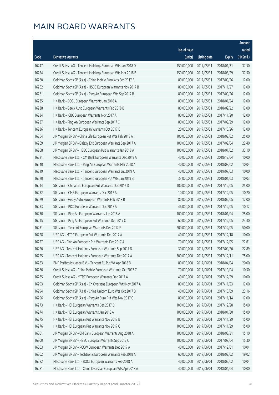|       |                                                               |              |                       |               | Amount     |
|-------|---------------------------------------------------------------|--------------|-----------------------|---------------|------------|
|       |                                                               | No. of issue |                       |               | raised     |
| Code  | Derivative warrants                                           | (units)      | <b>Listing date</b>   | <b>Expiry</b> | (HK\$mil.) |
| 16247 | Credit Suisse AG - Tencent Holdings European Wts Jan 2018 D   | 150,000,000  | 2017/05/31            | 2018/01/31    | 37.50      |
| 16254 | Credit Suisse AG - Tencent Holdings European Wts Mar 2018 B   | 150,000,000  | 2017/05/31            | 2018/03/29    | 37.50      |
| 16260 | Goldman Sachs SP (Asia) - China Mobile Euro Wts Sep 2017 B    | 80,000,000   | 2017/05/31            | 2017/09/26    | 12.00      |
| 16262 | Goldman Sachs SP (Asia) - HSBC European Warrants Nov 2017 B   | 80,000,000   | 2017/05/31            | 2017/11/27    | 12.00      |
| 16261 | Goldman Sachs SP (Asia) - Ping An European Wts Sep 2017 B     | 80,000,000   | 2017/05/31            | 2017/09/26    | 12.00      |
| 16235 | HK Bank - BOCL European Warrants Jan 2018 A                   | 80,000,000   | 2017/05/31            | 2018/01/24    | 12.00      |
| 16238 | HK Bank - Geely Auto European Warrants Feb 2018 B             | 80,000,000   | 2017/05/31            | 2018/02/22    | 12.00      |
| 16234 | HK Bank - ICBC European Warrants Nov 2017 A                   | 80,000,000   | 2017/05/31            | 2017/11/20    | 12.00      |
| 16237 | HK Bank - Ping An European Warrants Sep 2017 C                | 80,000,000   | 2017/05/31            | 2017/09/29    | 12.00      |
| 16236 | HK Bank - Tencent European Warrants Oct 2017 E                | 20,000,000   | 2017/05/31            | 2017/10/26    | 12.00      |
| 16264 | J P Morgan SP BV - China Life European Put Wts Feb 2018 A     | 100,000,000  | 2017/05/31            | 2018/02/02    | 25.00      |
| 16269 | J P Morgan SP BV - Galaxy Ent European Warrants Sep 2017 A    | 100,000,000  | 2017/05/31            | 2017/09/04    | 22.40      |
| 16268 | J P Morgan SP BV - HSBC European Put Warrants Jan 2018 A      | 100,000,000  | 2017/05/31            | 2018/01/02    | 33.10      |
| 16221 | Macquarie Bank Ltd. - CM Bank European Warrants Dec 2018 A    | 40,000,000   | 2017/05/31            | 2018/12/04    | 10.00      |
| 16240 | Macquarie Bank Ltd. - Ping An European Warrants Mar 2018 A    | 40,000,000   | 2017/05/31            | 2018/03/02    | 10.04      |
| 16219 | Macquarie Bank Ltd. - Tencent European Warrants Jul 2019 A    | 40,000,000   | 2017/05/31            | 2019/07/03    | 10.00      |
| 16220 | Macquarie Bank Ltd. - Tencent European Put Wts Jan 2018 B     | 33,000,000   | 2017/05/31            | 2018/01/03    | 10.03      |
| 16214 | SG Issuer - China Life European Put Warrants Dec 2017 D       | 100,000,000  | 2017/05/31            | 2017/12/05    | 25.00      |
| 16232 | SG Issuer - CMB European Warrants Dec 2017 A                  | 10,000,000   | 2017/05/31            | 2017/12/05    | 10.20      |
| 16229 | SG Issuer - Geely Auto European Warrants Feb 2018 B           | 80,000,000   | 2017/05/31            | 2018/02/05    | 12.00      |
| 16233 | SG Issuer - PICC European Warrants Dec 2017 A                 | 46,000,000   | 2017/05/31            | 2017/12/05    | 10.12      |
| 16230 | SG Issuer - Ping An European Warrants Jan 2018 A              | 100,000,000  | 2017/05/31            | 2018/01/04    | 25.00      |
| 16215 | SG Issuer - Ping An European Put Warrants Dec 2017 C          | 60,000,000   | 2017/05/31            | 2017/12/05    | 23.40      |
| 16231 | SG Issuer - Tencent European Warrants Dec 2017 F              | 200,000,000  | 2017/05/31            | 2017/12/05    | 50.00      |
| 16228 | UBS AG - MTRC European Put Warrants Dec 2017 A                | 40,000,000   | 2017/05/31            | 2017/12/18    | 10.00      |
| 16227 | UBS AG - Ping An European Put Warrants Dec 2017 A             | 70,000,000   | 2017/05/31            | 2017/12/05    | 22.61      |
| 16226 | UBS AG - Tencent Holdings European Warrants Sep 2017 D        |              | 30,000,000 2017/05/31 | 2017/09/26    | 22.89      |
| 16225 | UBS AG - Tencent Holdings European Warrants Dec 2017 A        | 300,000,000  | 2017/05/31            | 2017/12/11    | 75.00      |
| 16283 | BNP Paribas Issuance B.V. - Tencent Eu Put Wt Apr 2018 B      | 80,000,000   | 2017/06/01            | 2018/04/04    | 20.00      |
| 16286 | Credit Suisse AG - China Mobile European Warrants Oct 2017 C  | 70,000,000   | 2017/06/01            | 2017/10/04    | 10.50      |
| 16285 | Credit Suisse AG - MTRC European Warrants Dec 2017 A          | 40,000,000   | 2017/06/01            | 2017/12/29    | 10.00      |
| 16293 | Goldman Sachs SP (Asia) - Ch Overseas European Wts Nov 2017 A | 80,000,000   | 2017/06/01            | 2017/11/23    | 12.00      |
| 16294 | Goldman Sachs SP (Asia) - China Unicom Euro Wts Oct 2017 B    | 40,000,000   | 2017/06/01            | 2017/10/09    | 23.16      |
| 16296 | Goldman Sachs SP (Asia) - Ping An Euro Put Wts Nov 2017 C     | 80,000,000   | 2017/06/01            | 2017/11/14    | 12.00      |
| 16273 | HK Bank - HSI European Warrants Dec 2017 D                    | 100,000,000  | 2017/06/01            | 2017/12/28    | 15.00      |
| 16274 | HK Bank - HSI European Warrants Jan 2018 A                    | 100,000,000  | 2017/06/01            | 2018/01/30    | 15.00      |
| 16275 | HK Bank - HSI European Put Warrants Nov 2017 B                | 100,000,000  | 2017/06/01            | 2017/11/29    | 15.00      |
| 16276 | HK Bank - HSI European Put Warrants Nov 2017 C                | 100,000,000  | 2017/06/01            | 2017/11/29    | 15.00      |
| 16301 | J P Morgan SP BV - CM Bank European Warrants Aug 2018 A       | 100,000,000  | 2017/06/01            | 2018/08/31    | 15.10      |
| 16300 | J P Morgan SP BV - HSBC European Warrants Sep 2017 C          | 100,000,000  | 2017/06/01            | 2017/09/04    | 15.30      |
| 16303 | J P Morgan SP BV - PCCW European Warrants Dec 2017 A          | 40,000,000   | 2017/06/01            | 2017/12/01    | 10.04      |
| 16302 | J P Morgan SP BV - Techtronic European Warrants Feb 2018 A    | 60,000,000   | 2017/06/01            | 2018/02/02    | 19.02      |
| 16282 | Macquarie Bank Ltd. - BOCL European Warrants Feb 2018 A       | 40,000,000   | 2017/06/01            | 2018/02/02    | 10.04      |
| 16281 | Macquarie Bank Ltd. - China Overseas European Wts Apr 2018 A  | 40,000,000   | 2017/06/01            | 2018/04/04    | 10.00      |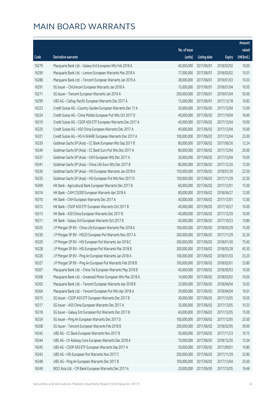|       |                                                               |                        |                     |               | Amount     |
|-------|---------------------------------------------------------------|------------------------|---------------------|---------------|------------|
|       |                                                               | No. of issue           |                     |               | raised     |
| Code  | Derivative warrants                                           | (units)                | <b>Listing date</b> | <b>Expiry</b> | (HK\$mil.) |
| 16279 | Macquarie Bank Ltd. - Galaxy Ent European Wts Feb 2018 A      | 40,000,000             | 2017/06/01          | 2018/02/02    | 10.00      |
| 16290 | Macquarie Bank Ltd. - Lenovo European Warrants Mar 2018 A     | 17,000,000             | 2017/06/01          | 2018/03/02    | 10.01      |
| 16288 | Macquarie Bank Ltd. - Tencent European Warrants Jan 2019 A    | 38,000,000             | 2017/06/01          | 2019/01/03    | 10.03      |
| 16291 | SG Issuer - ChiUnicom European Warrants Jan 2018 A            | 15,000,000             | 2017/06/01          | 2018/01/04    | 10.05      |
| 16271 | SG Issuer - Tencent European Warrants Jan 2019 A              | 200,000,000            | 2017/06/01          | 2019/01/04    | 50.00      |
| 16299 | UBS AG - Cathay Pacific European Warrants Dec 2017 A          | 15,000,000             | 2017/06/01          | 2017/12/18    | 10.83      |
| 16323 | Credit Suisse AG - Country Garden European Warrants Dec 17 A  | 20,000,000             | 2017/06/02          | 2017/12/04    | 13.00      |
| 16324 | Credit Suisse AG - China Mobile European Put Wts Oct 2017 D   | 40,000,000             | 2017/06/02          | 2017/10/04    | 16.00      |
| 16319 | Credit Suisse AG - CSOP A50 ETF European Warrants Dec 2017 A  | 40,000,000             | 2017/06/02          | 2017/12/04    | 10.00      |
| 16320 | Credit Suisse AG - A50 China European Warrants Dec 2017 A     | 40,000,000             | 2017/06/02          | 2017/12/04    | 10.00      |
| 16321 | Credit Suisse AG - HS H-SHARE European Warrants Dec 2017 A    | 100,000,000            | 2017/06/02          | 2017/12/04    | 25.00      |
| 16339 | Goldman Sachs SP (Asia) - CC Bank European Wts Sep 2017 B     | 80,000,000             | 2017/06/02          | 2017/09/26    | 12.24      |
| 16340 | Goldman Sachs SP (Asia) - CC Bank Euro Put Wts Dec 2017 A     | 80,000,000             | 2017/06/02          | 2017/12/04    | 20.00      |
| 16337 | Goldman Sachs SP (Asia) - CKH European Wts Dec 2017 A         | 30,000,000             | 2017/06/02          | 2017/12/04    | 10.05      |
| 16341 | Goldman Sachs SP (Asia) - China Life Euro Wts Dec 2017 B      | 80,000,000             | 2017/06/02          | 2017/12/20    | 12.00      |
| 16336 | Goldman Sachs SP (Asia) - HSI European Warrants Jan 2018 A    | 150,000,000            | 2017/06/02          | 2018/01/30    | 22.50      |
| 16335 | Goldman Sachs SP (Asia) - HSI European Put Wts Nov 2017 D     | 150,000,000            | 2017/06/02          | 2017/11/29    | 22.50      |
| 16309 | HK Bank - Agricultural Bank European Warrants Dec 2017 B      | 60,000,000             | 2017/06/02          | 2017/12/01    | 15.00      |
| 16314 | HK Bank - CAM CSI300 European Warrants Apr 2018 A             | 80,000,000             | 2017/06/02          | 2018/04/27    | 12.00      |
| 16310 | HK Bank - CKH European Warrants Dec 2017 A                    | 40,000,000             | 2017/06/02          | 2017/12/01    | 12.00      |
| 16312 | HK Bank - CSOP A50 ETF European Warrants Oct 2017 B           | 40,000,000             | 2017/06/02          | 2017/10/27    | 10.00      |
| 16313 | HK Bank - A50 China European Warrants Dec 2017 B              | 40,000,000             | 2017/06/02          | 2017/12/29    | 10.00      |
| 16311 | HK Bank - Galaxy Ent European Warrants Oct 2017 B             | 60,000,000             | 2017/06/02          | 2017/10/23    | 10.80      |
| 16325 | J P Morgan SP BV - China Life European Warrants Mar 2018 A    | 100,000,000            | 2017/06/02          | 2018/03/29    | 15.00      |
| 16330 | J P Morgan SP BV - HSCEI European Put Warrants Nov 2017 A     | 200,000,000            | 2017/06/02          | 2017/11/29    | 32.20      |
| 16329 | J P Morgan SP BV - HSI European Put Warrants Jan 2018 C       | 300,000,000            | 2017/06/02          | 2018/01/30    | 75.60      |
| 16328 | J P Morgan SP BV - HSI European Put Warrants Mar 2018 B       | 300,000,000 2017/06/02 |                     | 2018/03/28    | 45.30      |
| 16326 | J P Morgan SP BV - Ping An European Warrants Jan 2018 A       | 100,000,000            | 2017/06/02          | 2018/01/03    | 25.20      |
| 16327 | J P Morgan SP BV - Ping An European Put Warrants Feb 2018 B   | 100,000,000            | 2017/06/02          | 2018/02/01    | 33.80      |
| 16307 | Macquarie Bank Ltd. - China Tel European Warrants May 2018 B  | 40,000,000             | 2017/06/02          | 2018/05/03    | 10.00      |
| 16306 | Macquarie Bank Ltd. - Greatwall Motor European Wts Mar 2018 A | 14,000,000             | 2017/06/02          | 2018/03/02    | 10.05      |
| 16305 | Macquarie Bank Ltd. - Tencent European Warrants Apr 2018 B    | 32,000,000             | 2017/06/02          | 2018/04/04    | 10.02      |
| 16304 | Macquarie Bank Ltd. - Tencent European Put Wts Apr 2018 A     | 29,000,000             | 2017/06/02          | 2018/04/04    | 10.01      |
| 16315 | SG Issuer - CSOP A50 ETF European Warrants Dec 2017 B         | 30,000,000             | 2017/06/02          | 2017/12/05    | 10.05      |
| 16317 | SG Issuer - A50 China European Warrants Dec 2017 A            | 35,000,000             | 2017/06/02          | 2017/12/05    | 10.33      |
| 16318 | SG Issuer - Galaxy Ent European Put Warrants Dec 2017 B       | 60,000,000             | 2017/06/02          | 2017/12/05    | 15.00      |
| 16334 | SG Issuer - Ping An European Warrants Dec 2017 D              | 100,000,000            | 2017/06/02          | 2017/12/05    | 25.00      |
| 16308 | SG Issuer - Tencent European Warrants Feb 2018 B              | 200,000,000            | 2017/06/02          | 2018/02/05    | 39.00      |
| 16342 | UBS AG - CC Bank European Warrants Nov 2017 B                 | 50,000,000             | 2017/06/02          | 2017/11/23    | 10.75      |
| 16344 | UBS AG - Ch Railway Cons European Warrants Dec 2018 A         | 70,000,000             | 2017/06/02          | 2018/12/20    | 12.04      |
| 16345 | UBS AG - CSOP A50 ETF European Warrants Sep 2017 A            | 50,000,000             | 2017/06/02          | 2017/09/01    | 10.80      |
| 16343 | UBS AG - HSI European Put Warrants Nov 2017 C                 | 200,000,000            | 2017/06/02          | 2017/11/29    | 32.80      |
| 16348 | UBS AG - Ping An European Warrants Dec 2017 B                 | 100,000,000            | 2017/06/02          | 2017/12/04    | 25.00      |
| 16349 | BOCI Asia Ltd. - CM Bank European Warrants Dec 2017 A         | 20,000,000             | 2017/06/05          | 2017/12/05    | 19.48      |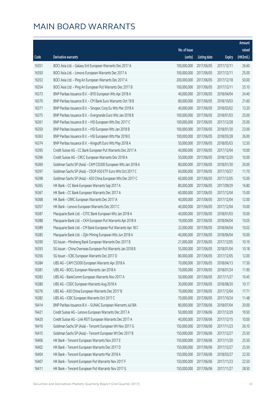|       |                                                              |              |                       |               | Amount     |
|-------|--------------------------------------------------------------|--------------|-----------------------|---------------|------------|
|       |                                                              | No. of issue |                       |               | raised     |
| Code  | <b>Derivative warrants</b>                                   | (units)      | <b>Listing date</b>   | <b>Expiry</b> | (HK\$mil.) |
| 16351 | BOCI Asia Ltd. - Galaxy Ent European Warrants Dec 2017 A     | 100,000,000  | 2017/06/05            | 2017/12/11    | 26.60      |
| 16350 | BOCI Asia Ltd. - Lenovo European Warrants Dec 2017 A         | 100,000,000  | 2017/06/05            | 2017/12/11    | 25.00      |
| 16353 | BOCI Asia Ltd. - Ping An European Warrants Dec 2017 A        | 200,000,000  | 2017/06/05            | 2017/12/18    | 50.00      |
| 16354 | BOCI Asia Ltd. - Ping An European Put Warrants Dec 2017 B    | 100,000,000  | 2017/06/05            | 2017/12/11    | 25.10      |
| 16373 | BNP Paribas Issuance B.V. - BYD European Wts Apr 2018 A      | 40,000,000   | 2017/06/05            | 2018/04/04    | 24.40      |
| 16370 | BNP Paribas Issuance B.V. - CM Bank Euro Warrants Oct 18 B   | 80,000,000   | 2017/06/05            | 2018/10/03    | 21.60      |
| 16371 | BNP Paribas Issuance B.V. - Sinopec Corp Eu Wts Mar 2018 A   | 40,000,000   | 2017/06/05            | 2018/03/02    | 13.20      |
| 16375 | BNP Paribas Issuance B.V. - Evergrande Euro Wts Jan 2018 B   | 100,000,000  | 2017/06/05            | 2018/01/03    | 25.00      |
| 16361 | BNP Paribas Issuance B.V. - HSI European Wts Dec 2017 C      | 100,000,000  | 2017/06/05            | 2017/12/28    | 25.00      |
| 16359 | BNP Paribas Issuance B.V. - HSI European Wts Jan 2018 B      | 100,000,000  | 2017/06/05            | 2018/01/30    | 23.00      |
| 16363 | BNP Paribas Issuance B.V. - HSI European Wts Mar 2018 E      | 100,000,000  | 2017/06/05            | 2018/03/28    | 26.00      |
| 16374 | BNP Paribas Issuance B.V. - Kingsoft Euro Wts May 2018 A     | 50,000,000   | 2017/06/05            | 2018/05/03    | 12.50      |
| 16395 | Credit Suisse AG - CC Bank European Put Warrants Dec 2017 A  | 40,000,000   | 2017/06/05            | 2017/12/04    | 10.00      |
| 16396 | Credit Suisse AG - CRCC European Warrants Dec 2018 A         | 50,000,000   | 2017/06/05            | 2018/12/20    | 10.00      |
| 16369 | Goldman Sachs SP (Asia) - CAM CSI300 European Wts Jan 2018 A | 80,000,000   | 2017/06/05            | 2018/01/30    | 20.00      |
| 16397 | Goldman Sachs SP (Asia) - CSOP A50 ETF Euro Wts Oct 2017 C   | 60,000,000   | 2017/06/05            | 2017/10/27    | 11.70      |
| 16398 | Goldman Sachs SP (Asia) - A50 China European Wts Dec 2017 C  | 60,000,000   | 2017/06/05            | 2017/12/05    | 15.00      |
| 16365 | HK Bank - CC Bank European Warrants Sep 2017 A               | 80,000,000   | 2017/06/05            | 2017/09/29    | 16.80      |
| 16367 | HK Bank - CC Bank European Warrants Dec 2017 A               | 60,000,000   | 2017/06/05            | 2017/12/04    | 15.00      |
| 16368 | HK Bank - CRRC European Warrants Dec 2017 A                  | 40,000,000   | 2017/06/05            | 2017/12/04    | 12.00      |
| 16357 | HK Bank - Lenovo European Warrants Dec 2017 C                | 40,000,000   | 2017/06/05            | 2017/12/04    | 10.00      |
| 16387 | Macquarie Bank Ltd. - CITIC Bank European Wts Jan 2018 A     | 40,000,000   | 2017/06/05            | 2018/01/03    | 10.00      |
| 16388 | Macquarie Bank Ltd. - CKH European Put Warrants Apr 2018 A   | 19,000,000   | 2017/06/05            | 2018/04/04    | 10.05      |
| 16389 | Macquarie Bank Ltd. - CM Bank European Put Warrants Apr 18 C | 32,000,000   | 2017/06/05            | 2018/04/04    | 10.02      |
| 16385 | Macquarie Bank Ltd. - Zijin Mining European Wts Jun 2018 A   | 40,000,000   | 2017/06/05            | 2018/06/04    | 10.00      |
| 16390 | SG Issuer - Minsheng Bank European Warrants Dec 2017 B       | 21,000,000   | 2017/06/05            | 2017/12/05    | 10.19      |
| 16393 | SG Issuer - China Overseas European Put Warrants Jan 2018 B  |              | 55,000,000 2017/06/05 | 2018/01/04    | 10.18      |
| 16356 | SG Issuer - ICBC European Warrants Dec 2017 D                | 80,000,000   | 2017/06/05            | 2017/12/05    | 12.00      |
| 16384 | UBS AG - CAM CSI300 European Warrants Apr 2018 A             | 70,000,000   | 2017/06/05            | 2018/04/13    | 17.50      |
| 16381 | UBS AG - BOCL European Warrants Jan 2018 A                   | 70,000,000   | 2017/06/05            | 2018/01/24    | 11.90      |
| 16383 | UBS AG - BankComm European Warrants Nov 2017 A               | 50,000,000   | 2017/06/05            | 2017/11/27    | 10.45      |
| 16380 | UBS AG - CSDC European Warrants Aug 2018 A                   | 30,000,000   | 2017/06/05            | 2018/08/20    | 10.17      |
| 16376 | UBS AG - A50 China European Warrants Dec 2017 B              | 70,000,000   | 2017/06/05            | 2017/12/04    | 17.71      |
| 16382 | UBS AG - ICBC European Warrants Oct 2017 C                   | 70,000,000   | 2017/06/05            | 2017/10/24    | 11.48      |
| 16414 | BNP Paribas Issuance B.V. - SUNAC European Warrants Jul18A   | 80,000,000   | 2017/06/06            | 2018/07/04    | 20.00      |
| 16421 | Credit Suisse AG - Lenovo European Warrants Dec 2017 A       | 50,000,000   | 2017/06/06            | 2017/12/29    | 19.50      |
| 16420 | Credit Suisse AG - Link REIT European Warrants Dec 2017 A    | 40,000,000   | 2017/06/06            | 2017/12/15    | 10.00      |
| 16416 | Goldman Sachs SP (Asia) - Tencent European Wt Nov 2017 G     | 150,000,000  | 2017/06/06            | 2017/11/23    | 26.10      |
| 16415 | Goldman Sachs SP (Asia) - Tencent European Wt Dec 2017 B     | 150,000,000  | 2017/06/06            | 2017/12/27    | 25.50      |
| 16406 | HK Bank - Tencent European Warrants Nov 2017 E               | 150,000,000  | 2017/06/06            | 2017/11/20    | 25.50      |
| 16402 | HK Bank - Tencent European Warrants Dec 2017 D               | 150,000,000  | 2017/06/06            | 2017/12/27    | 25.50      |
| 16404 | HK Bank - Tencent European Warrants Mar 2018 A               | 150,000,000  | 2017/06/06            | 2018/03/27    | 22.50      |
| 16407 | HK Bank - Tencent European Put Warrants Nov 2017 F           | 150,000,000  | 2017/06/06            | 2017/11/23    | 22.50      |
| 16411 | HK Bank - Tencent European Put Warrants Nov 2017 G           | 150,000,000  | 2017/06/06            | 2017/11/27    | 28.50      |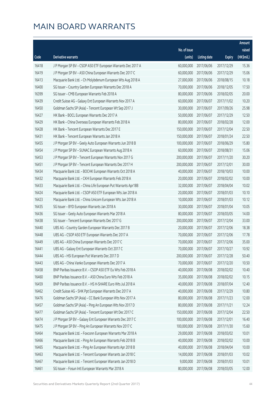|       |                                                               |              |                       |               | Amount     |
|-------|---------------------------------------------------------------|--------------|-----------------------|---------------|------------|
|       |                                                               | No. of issue |                       |               | raised     |
| Code  | <b>Derivative warrants</b>                                    | (units)      | <b>Listing date</b>   | <b>Expiry</b> | (HK\$mil.) |
| 16418 | J P Morgan SP BV - CSOP A50 ETF European Warrants Dec 2017 A  | 60,000,000   | 2017/06/06            | 2017/12/29    | 15.36      |
| 16419 | J P Morgan SP BV - A50 China European Warrants Dec 2017 C     | 60,000,000   | 2017/06/06            | 2017/12/29    | 15.06      |
| 16413 | Macquarie Bank Ltd. - Ch Molybdenum European Wts Aug 2018 A   | 27,000,000   | 2017/06/06            | 2018/08/15    | 10.18      |
| 16400 | SG Issuer - Country Garden European Warrants Dec 2018 A       | 70,000,000   | 2017/06/06            | 2018/12/05    | 17.50      |
| 16399 | SG Issuer - CMB European Warrants Feb 2018 A                  | 80,000,000   | 2017/06/06            | 2018/02/05    | 20.00      |
| 16439 | Credit Suisse AG - Galaxy Ent European Warrants Nov 2017 A    | 60,000,000   | 2017/06/07            | 2017/11/02    | 10.20      |
| 16450 | Goldman Sachs SP (Asia) - Tencent European Wt Sep 2017 J      | 30,000,000   | 2017/06/07            | 2017/09/26    | 25.98      |
| 16427 | HK Bank - BOCL European Warrants Dec 2017 A                   | 50,000,000   | 2017/06/07            | 2017/12/29    | 12.50      |
| 16429 | HK Bank - China Overseas European Warrants Feb 2018 A         | 80,000,000   | 2017/06/07            | 2018/02/28    | 12.00      |
| 16428 | HK Bank - Tencent European Warrants Dec 2017 E                | 150,000,000  | 2017/06/07            | 2017/12/04    | 22.50      |
| 16431 | HK Bank - Tencent European Warrants Jan 2018 A                | 150,000,000  | 2017/06/07            | 2018/01/24    | 22.50      |
| 16455 | J P Morgan SP BV - Geely Auto European Warrants Jun 2018 B    | 100,000,000  | 2017/06/07            | 2018/06/29    | 15.80      |
| 16454 | J P Morgan SP BV - SUNAC European Warrants Aug 2018 A         | 60,000,000   | 2017/06/07            | 2018/08/31    | 15.06      |
| 16453 | J P Morgan SP BV - Tencent European Warrants Nov 2017 G       | 200,000,000  | 2017/06/07            | 2017/11/20    | 30.20      |
| 16451 | J P Morgan SP BV - Tencent European Warrants Dec 2017 H       | 200,000,000  | 2017/06/07            | 2017/12/01    | 30.00      |
| 16434 | Macquarie Bank Ltd. - BOCHK European Warrants Oct 2018 A      | 40,000,000   | 2017/06/07            | 2018/10/03    | 10.00      |
| 16432 | Macquarie Bank Ltd. - CKH European Warrants Feb 2018 A        | 20,000,000   | 2017/06/07            | 2018/02/02    | 10.00      |
| 16433 | Macquarie Bank Ltd. - China Life European Put Warrants Apr18B | 32,000,000   | 2017/06/07            | 2018/04/04    | 10.02      |
| 16424 | Macquarie Bank Ltd. - CSOP A50 ETF European Wts Jan 2018 A    | 20,000,000   | 2017/06/07            | 2018/01/03    | 10.10      |
| 16423 | Macquarie Bank Ltd. - China Unicom European Wts Jan 2018 A    | 10,000,000   | 2017/06/07            | 2018/01/03    | 10.12      |
| 16435 | SG Issuer - BYD European Warrants Jan 2018 A                  | 30,000,000   | 2017/06/07            | 2018/01/04    | 10.05      |
| 16436 | SG Issuer - Geely Auto European Warrants Mar 2018 A           | 80,000,000   | 2017/06/07            | 2018/03/05    | 14.00      |
| 16438 | SG Issuer - Tencent European Warrants Dec 2017 G              | 200,000,000  | 2017/06/07            | 2017/12/04    | 33.00      |
| 16440 | UBS AG - Country Garden European Warrants Dec 2017 B          | 20,000,000   | 2017/06/07            | 2017/12/06    | 18.38      |
| 16448 | UBS AG - CSOP A50 ETF European Warrants Dec 2017 A            | 70,000,000   | 2017/06/07            | 2017/12/06    | 17.78      |
| 16449 | UBS AG - A50 China European Warrants Dec 2017 C               | 70,000,000   | 2017/06/07            | 2017/12/06    | 35.00      |
| 16441 | UBS AG - Galaxy Ent European Warrants Oct 2017 C              |              | 70,000,000 2017/06/07 | 2017/10/27    | 10.92      |
| 16444 | UBS AG - HSI European Put Warrants Dec 2017 D                 | 200,000,000  | 2017/06/07            | 2017/12/28    | 50.40      |
| 16443 | UBS AG - China Vanke European Warrants Dec 2017 A             | 70,000,000   | 2017/06/07            | 2017/12/20    | 10.50      |
| 16458 | BNP Paribas Issuance B.V. - CSOP A50 ETF Eu Wts Feb 2018 A    | 40,000,000   | 2017/06/08            | 2018/02/02    | 10.40      |
| 16460 | BNP Paribas Issuance B.V. - A50 China Euro Wts Feb 2018 A     | 35,000,000   | 2017/06/08            | 2018/02/02    | 10.15      |
| 16459 | BNP Paribas Issuance B.V. - HS H-SHARE Euro Wts Jul 2018 A    | 40,000,000   | 2017/06/08            | 2018/07/04    | 12.40      |
| 16462 | Credit Suisse AG - SHK Ppt European Warrants Dec 2017 A       | 40,000,000   | 2017/06/08            | 2017/12/29    | 10.80      |
| 16476 | Goldman Sachs SP (Asia) - CC Bank European Wts Nov 2017 A     | 80,000,000   | 2017/06/08            | 2017/11/23    | 12.00      |
| 16457 | Goldman Sachs SP (Asia) - Ping An European Wts Nov 2017 D     | 80,000,000   | 2017/06/08            | 2017/11/21    | 12.24      |
| 16477 | Goldman Sachs SP (Asia) - Tencent European Wt Dec 2017 C      | 150,000,000  | 2017/06/08            | 2017/12/04    | 22.50      |
| 16474 | J P Morgan SP BV - Galaxy Ent European Warrants Dec 2017 C    | 100,000,000  | 2017/06/08            | 2017/12/01    | 16.40      |
| 16475 | J P Morgan SP BV - Ping An European Warrants Nov 2017 C       | 100,000,000  | 2017/06/08            | 2017/11/30    | 15.60      |
| 16464 | Macquarie Bank Ltd. - Foxconn European Warrants Mar 2018 A    | 29,000,000   | 2017/06/08            | 2018/03/02    | 10.01      |
| 16466 | Macquarie Bank Ltd. - Ping An European Warrants Feb 2018 B    | 40,000,000   | 2017/06/08            | 2018/02/02    | 10.00      |
| 16465 | Macquarie Bank Ltd. - Ping An European Warrants Apr 2018 B    | 40,000,000   | 2017/06/08            | 2018/04/04    | 10.00      |
| 16463 | Macquarie Bank Ltd. - Tencent European Warrants Jan 2018 C    | 14,000,000   | 2017/06/08            | 2018/01/03    | 10.02      |
| 16467 | Macquarie Bank Ltd. - Tencent European Warrants Jan 2018 D    | 9,000,000    | 2017/06/08            | 2018/01/03    | 10.01      |
| 16461 | SG Issuer - Fosun Intl European Warrants Mar 2018 A           | 80,000,000   | 2017/06/08            | 2018/03/05    | 12.00      |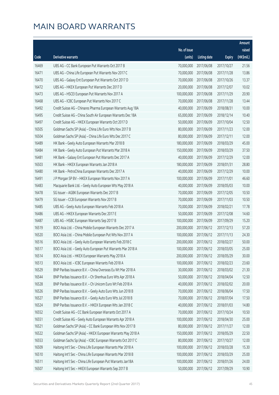|       |                                                              |                        |                     |               | Amount     |
|-------|--------------------------------------------------------------|------------------------|---------------------|---------------|------------|
|       |                                                              | No. of issue           |                     |               | raised     |
| Code  | Derivative warrants                                          | (units)                | <b>Listing date</b> | <b>Expiry</b> | (HK\$mil.) |
| 16469 | UBS AG - CC Bank European Put Warrants Oct 2017 B            | 70,000,000             | 2017/06/08          | 2017/10/27    | 21.56      |
| 16471 | UBS AG - China Life European Put Warrants Nov 2017 C         | 70,000,000             | 2017/06/08          | 2017/11/28    | 13.86      |
| 16470 | UBS AG - Galaxy Ent European Put Warrants Oct 2017 D         | 70,000,000             | 2017/06/08          | 2017/10/26    | 13.37      |
| 16472 | UBS AG - HKEX European Put Warrants Dec 2017 D               | 20,000,000             | 2017/06/08          | 2017/12/07    | 10.02      |
| 16473 | UBS AG - HSCEI European Put Warrants Nov 2017 A              | 100,000,000            | 2017/06/08          | 2017/11/29    | 20.90      |
| 16468 | UBS AG - ICBC European Put Warrants Nov 2017 C               | 70,000,000             | 2017/06/08          | 2017/11/28    | 13.44      |
| 16492 | Credit Suisse AG - Chinares Pharma European Warrants Aug 18A | 40,000,000             | 2017/06/09          | 2018/08/31    | 10.00      |
| 16495 | Credit Suisse AG - China South Air European Warrants Dec 18A | 65,000,000             | 2017/06/09          | 2018/12/14    | 10.40      |
| 16497 | Credit Suisse AG - HKEX European Warrants Oct 2017 D         | 50,000,000             | 2017/06/09          | 2017/10/04    | 12.50      |
| 16505 | Goldman Sachs SP (Asia) - China Life Euro Wts Nov 2017 B     | 80,000,000             | 2017/06/09          | 2017/11/23    | 12.00      |
| 16504 | Goldman Sachs SP (Asia) - China Life Euro Wts Dec 2017 C     | 80,000,000             | 2017/06/09          | 2017/12/11    | 12.00      |
| 16489 | HK Bank - Geely Auto European Warrants Mar 2018 B            | 180,000,000            | 2017/06/09          | 2018/03/29    | 45.00      |
| 16484 | HK Bank - Geely Auto European Put Warrants Mar 2018 A        | 150,000,000            | 2017/06/09          | 2018/03/29    | 37.50      |
| 16481 | HK Bank - Galaxy Ent European Put Warrants Dec 2017 A        | 40,000,000             | 2017/06/09          | 2017/12/29    | 12.00      |
| 16503 | HK Bank - HKEX European Warrants Jan 2018 A                  | 180,000,000            | 2017/06/09          | 2018/01/31    | 28.80      |
| 16480 | HK Bank - PetroChina European Warrants Dec 2017 A            | 40,000,000             | 2017/06/09          | 2017/12/29    | 10.00      |
| 16491 | J P Morgan SP BV - HKEX European Warrants Nov 2017 A         | 100,000,000            | 2017/06/09          | 2017/11/01    | 46.60      |
| 16483 | Macquarie Bank Ltd. - Geely Auto European Wts May 2018 A     | 40,000,000             | 2017/06/09          | 2018/05/03    | 10.00      |
| 16478 | SG Issuer - AGBK European Warrants Dec 2017 B                | 70,000,000             | 2017/06/09          | 2017/12/05    | 10.50      |
| 16479 | SG Issuer - CCB European Warrants Nov 2017 B                 | 70,000,000             | 2017/06/09          | 2017/11/03    | 10.50      |
| 16485 | UBS AG - Geely Auto European Warrants Feb 2018 A             | 70,000,000             | 2017/06/09          | 2018/02/21    | 17.78      |
| 16486 | UBS AG - HKEX European Warrants Dec 2017 E                   | 50,000,000             | 2017/06/09          | 2017/12/08    | 14.60      |
| 16487 | UBS AG - HSBC European Warrants Sep 2017 B                   | 100,000,000            | 2017/06/09          | 2017/09/29    | 15.20      |
| 16519 | BOCI Asia Ltd. - China Mobile European Warrants Dec 2017 A   | 200,000,000            | 2017/06/12          | 2017/12/13    | 57.20      |
| 16520 | BOCI Asia Ltd. - China Mobile European Put Wts Nov 2017 A    | 100,000,000            | 2017/06/12          | 2017/11/13    | 24.30      |
| 16516 | BOCI Asia Ltd. - Geely Auto European Warrants Feb 2018 C     | 200,000,000            | 2017/06/12          | 2018/02/27    | 50.00      |
| 16517 | BOCI Asia Ltd. - Geely Auto European Put Warrants Mar 2018 A | 100,000,000 2017/06/12 |                     | 2018/03/05    | 25.00      |
| 16514 | BOCI Asia Ltd. - HKEX European Warrants May 2018 A           | 200,000,000            | 2017/06/12          | 2018/05/29    | 30.00      |
| 16513 | BOCI Asia Ltd. - ICBC European Warrants Feb 2018 A           | 100,000,000            | 2017/06/12          | 2018/02/23    | 23.60      |
| 16529 | BNP Paribas Issuance B.V. - China Overseas Eu Wt Mar 2018 A  | 30,000,000             | 2017/06/12          | 2018/03/02    | 21.30      |
| 16544 | BNP Paribas Issuance B.V. - Ch Shenhua Euro Wts Apr 2018 A   | 50,000,000             | 2017/06/12          | 2018/04/04    | 12.50      |
| 16528 | BNP Paribas Issuance B.V. - Ch Unicom Euro Wt Feb 2018 A     | 40,000,000             | 2017/06/12          | 2018/02/02    | 20.00      |
| 16526 | BNP Paribas Issuance B.V. - Geely Auto Euro Wts Jun 2018 B   | 70,000,000             | 2017/06/12          | 2018/06/04    | 17.50      |
| 16527 | BNP Paribas Issuance B.V. - Geely Auto Euro Wts Jul 2018 B   | 70,000,000             | 2017/06/12          | 2018/07/04    | 17.50      |
| 16524 | BNP Paribas Issuance B.V. - HKEX European Wts Jan 2018 C     | 40,000,000             | 2017/06/12          | 2018/01/03    | 14.80      |
| 16552 | Credit Suisse AG - CC Bank European Warrants Oct 2017 A      | 70,000,000             | 2017/06/12          | 2017/10/24    | 10.50      |
| 16551 | Credit Suisse AG - Geely Auto European Warrants Apr 2018 A   | 100,000,000            | 2017/06/12          | 2018/04/30    | 25.00      |
| 16521 | Goldman Sachs SP (Asia) - CC Bank European Wts Nov 2017 B    | 80,000,000             | 2017/06/12          | 2017/11/27    | 12.00      |
| 16522 | Goldman Sachs SP (Asia) - HKEX European Warrants May 2018 A  | 150,000,000            | 2017/06/12          | 2018/05/29    | 22.50      |
| 16553 | Goldman Sachs Sp (Asia) - ICBC European Warrants Oct 2017 C  | 80,000,000             | 2017/06/12          | 2017/10/27    | 12.00      |
| 16509 | Haitong Int'l Sec - China Life European Warrants Mar 2018 A  | 100,000,000            | 2017/06/12          | 2018/03/28    | 15.30      |
| 16510 | Haitong Int'l Sec - China Life European Warrants Mar 2018 B  | 100,000,000            | 2017/06/12          | 2018/03/29    | 25.00      |
| 16511 | Haitong Int'l Sec - China Life European Put Warrants Jan18A  | 100,000,000            | 2017/06/12          | 2018/01/26    | 24.00      |
| 16507 | Haitong Int'l Sec - HKEX European Warrants Sep 2017 B        | 50,000,000             | 2017/06/12          | 2017/09/29    | 10.90      |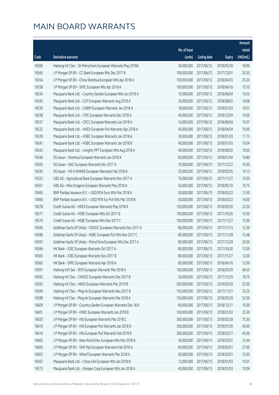|       |                                                              |              |                       |               | Amount     |
|-------|--------------------------------------------------------------|--------------|-----------------------|---------------|------------|
|       |                                                              | No. of issue |                       |               | raised     |
| Code  | <b>Derivative warrants</b>                                   | (units)      | <b>Listing date</b>   | <b>Expiry</b> | (HK\$mil.) |
| 16506 | Haitong Int'l Sec - Sh Petrochem European Warrants May 2018A | 30,000,000   | 2017/06/12            | 2018/05/30    | 18.90      |
| 16560 | J P Morgan SP BV - CC Bank European Wts Dec 2017 B           | 100,000,000  | 2017/06/12            | 2017/12/01    | 20.50      |
| 16554 | J P Morgan SP BV - China Shenhua European Wts Apr 2018 A     | 100,000,000  | 2017/06/12            | 2018/04/03    | 25.20      |
| 16558 | J P Morgan SP BV - SMIC European Wts Apr 2018 A              | 100,000,000  | 2017/06/12            | 2018/04/16    | 15.10      |
| 16534 | Macquarie Bank Ltd. - Country Garden European Wts Jun 2018 A | 10,000,000   | 2017/06/12            | 2018/06/04    | 10.02      |
| 16542 | Macquarie Bank Ltd. - CLP European Warrants Aug 2018 A       | 30,000,000   | 2017/06/12            | 2018/08/02    | 10.08      |
| 16530 | Macquarie Bank Ltd. - CNBM European Warrants Jan 2018 A      | 18,000,000   | 2017/06/12            | 2018/01/03    | 10.01      |
| 16538 | Macquarie Bank Ltd. - CPIC European Warrants Dec 2018 A      | 40,000,000   | 2017/06/12            | 2018/12/04    | 10.00      |
| 16537 | Macquarie Bank Ltd. - CRCC European Warrants Jun 2018 A      | 14,000,000   | 2017/06/12            | 2018/06/04    | 10.07      |
| 16532 | Macquarie Bank Ltd. - HKEX European Put Warrants Apr 2018 A  | 40,000,000   | 2017/06/12            | 2018/04/04    | 10.00      |
| 16539 | Macquarie Bank Ltd. - HSBC European Warrants Jan 2018 A      | 30,000,000   | 2017/06/12            | 2018/01/03    | 11.73      |
| 16541 | Macquarie Bank Ltd. - HSBC European Warrants Jan 2018 B      | 40,000,000   | 2017/06/12            | 2018/01/03    | 10.04      |
| 16543 | Macquarie Bank Ltd. - Longfor PPT European Wts Aug 2018 A    | 40,000,000   | 2017/06/12            | 2018/08/02    | 10.00      |
| 16546 | SG Issuer - Shenhua European Warrants Jan 2018 A             | 60,000,000   | 2017/06/12            | 2018/01/04    | 10.80      |
| 16550 | SG Issuer - GAC European Warrants Dec 2017 A                 | 70,000,000   | 2017/06/12            | 2017/12/22    | 10.50      |
| 16545 | SG Issuer - HS H-SHARE European Warrants Feb 2018 A          | 25,000,000   | 2017/06/12            | 2018/02/05    | 10.13      |
| 16523 | UBS AG - Agricultural Bank European Warrants Nov 2017 A      | 70,000,000   | 2017/06/12            | 2017/11/27    | 10.50      |
| 16561 | UBS AG - Nine Dragons European Warrants May 2018 A           | 50,000,000   | 2017/06/12            | 2018/05/10    | 10.75      |
| 10465 | BNP Paribas Issuance B.V. - USD/YEN Euro Wts Mar 2018 A      | 50,000,000   | 2017/06/13            | 2018/03/22    | 13.50      |
| 10466 | BNP Paribas Issuance B.V. - USD/YEN Eur Put Wts Mar 2018 B   | 50,000,000   | 2017/06/13            | 2018/03/22    | 14.00      |
| 16578 | Credit Suisse AG - HKEX European Warrants May 2018 A         | 150,000,000  | 2017/06/13            | 2018/05/30    | 22.50      |
| 16577 | Credit Suisse AG - HSBC European Wts Oct 2017 B              | 100,000,000  | 2017/06/13            | 2017/10/26    | 15.00      |
| 16576 | Credit Suisse AG - HSBC European Wts Nov 2017 C              | 100,000,000  | 2017/06/13            | 2017/11/27    | 15.00      |
| 16590 | Goldman Sachs SP (Asia) - CNOOC European Warrants Nov 2017 A | 80,000,000   | 2017/06/13            | 2017/11/13    | 13.36      |
| 16588 | Goldman Sachs SP (Asia) - HSBC European Put Wts Nov 2017 C   | 80,000,000   | 2017/06/13            | 2017/11/28    | 12.48      |
| 16591 | Goldman Sachs SP (Asia) - PetroChina European Wts Dec 2017 A | 80,000,000   | 2017/06/13            | 2017/12/28    | 20.00      |
| 16566 | HK Bank - ICBC European Warrants Oct 2017 A                  |              | 80,000,000 2017/06/13 | 2017/10/30    | 12.00      |
| 16565 | HK Bank - ICBC European Warrants Nov 2017 B                  | 80,000,000   | 2017/06/13            | 2017/11/27    | 12.00      |
| 16563 | HK Bank - SMIC European Warrants Apr 2018 A                  | 80,000,000   | 2017/06/13            | 2018/04/16    | 12.00      |
| 16597 | Haitong Int'l Sec - BYD European Warrants Mar 2018 A         | 100,000,000  | 2017/06/13            | 2018/03/29    | 48.50      |
| 16592 | Haitong Int'l Sec - CNOOC European Warrants Dec 2017 B       | 50,000,000   | 2017/06/13            | 2017/12/29    | 18.75      |
| 16593 | Haitong Int'l Sec - HKEX European Warrants Mar 2019 B        | 200,000,000  | 2017/06/13            | 2019/03/29    | 52.00      |
| 16599 | Haitong Int'l Sec - Ping An European Warrants Nov 2017 B     | 150,000,000  | 2017/06/13            | 2017/11/21    | 32.25      |
| 16598 | Haitong Int'l Sec - Ping An European Warrants Mar 2018 A     | 150,000,000  | 2017/06/13            | 2018/03/29    | 52.50      |
| 16609 | J P Morgan SP BV - Country Garden European Warrants Dec 18 A | 60,000,000   | 2017/06/13            | 2018/12/31    | 15.00      |
| 16601 | J P Morgan SP BV - HSBC European Warrants Jan 2018 B         | 100,000,000  | 2017/06/13            | 2018/01/03    | 25.30      |
| 16620 | J P Morgan SP BV - HSI European Warrants Mar 2018 C          | 300,000,000  | 2017/06/13            | 2018/03/28    | 75.30      |
| 16610 | J P Morgan SP BV - HSI European Put Warrants Jan 2018 D      | 300,000,000  | 2017/06/13            | 2018/01/30    | 45.60      |
| 16614 | J P Morgan SP BV - HSI European Put Warrants Feb 2018 B      | 300,000,000  | 2017/06/13            | 2018/02/27    | 45.00      |
| 16605 | J P Morgan SP BV - New World Dev European Wts Mar 2018 A     | 40,000,000   | 2017/06/13            | 2018/03/01    | 12.44      |
| 16604 | J P Morgan SP BV - SHK Ppt European Warrants Feb 2018 A      | 60,000,000   | 2017/06/13            | 2018/02/01    | 27.00      |
| 16603 | J P Morgan SP BV - Wharf European Warrants Mar 2018 A        | 60,000,000   | 2017/06/13            | 2018/03/01    | 15.30      |
| 16567 | Macquarie Bank Ltd. - China Life European Wts Jan 2018 B     | 13,000,000   | 2017/06/13            | 2018/01/03    | 10.01      |
| 16573 | Macquarie Bank Ltd. - Sinopec Corp European Wts Jan 2018 A   | 40,000,000   | 2017/06/13            | 2018/01/03    | 10.04      |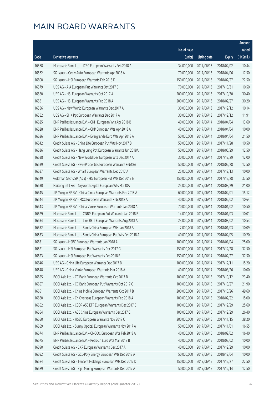|       |                                                               |              |                        |               | Amount     |
|-------|---------------------------------------------------------------|--------------|------------------------|---------------|------------|
|       |                                                               | No. of issue |                        |               | raised     |
| Code  | Derivative warrants                                           | (units)      | <b>Listing date</b>    | <b>Expiry</b> | (HK\$mil.) |
| 16568 | Macquarie Bank Ltd. - ICBC European Warrants Feb 2018 A       | 34,000,000   | 2017/06/13             | 2018/02/02    | 10.44      |
| 16562 | SG Issuer - Geely Auto European Warrants Apr 2018 A           | 70,000,000   | 2017/06/13             | 2018/04/06    | 17.50      |
| 16600 | SG Issuer - HSI European Warrants Feb 2018 D                  | 150,000,000  | 2017/06/13             | 2018/02/27    | 22.50      |
| 16579 | UBS AG - AIA European Put Warrants Oct 2017 B                 | 70,000,000   | 2017/06/13             | 2017/10/31    | 10.50      |
| 16580 | UBS AG - HSI European Warrants Oct 2017 A                     | 200,000,000  | 2017/06/13             | 2017/10/30    | 30.40      |
| 16581 | UBS AG - HSI European Warrants Feb 2018 A                     | 200,000,000  | 2017/06/13             | 2018/02/27    | 30.20      |
| 16586 | UBS AG - New World European Warrants Dec 2017 A               | 30,000,000   | 2017/06/13             | 2017/12/12    | 10.14      |
| 16582 | UBS AG - SHK Ppt European Warrants Dec 2017 A                 | 30,000,000   | 2017/06/13             | 2017/12/12    | 11.91      |
| 16625 | BNP Paribas Issuance B.V. - CKH European Wts Apr 2018 B       | 40,000,000   | 2017/06/14             | 2018/04/04    | 13.60      |
| 16628 | BNP Paribas Issuance B.V. - CKP European Wts Apr 2018 A       | 40,000,000   | 2017/06/14             | 2018/04/04    | 10.00      |
| 16626 | BNP Paribas Issuance B.V. - Evergrande Euro Wts Apr 2018 A    | 50,000,000   | 2017/06/14             | 2018/04/04    | 21.50      |
| 16642 | Credit Suisse AG - China Life European Put Wts Nov 2017 B     | 50,000,000   | 2017/06/14             | 2017/11/28    | 10.50      |
| 16636 | Credit Suisse AG - Hang Lung Ppt European Warrants Jun 2018A  | 50,000,000   | 2017/06/14             | 2018/06/29    | 12.50      |
| 16638 | Credit Suisse AG - New World Dev European Wts Dec 2017 A      | 30,000,000   | 2017/06/14             | 2017/12/29    | 12.00      |
| 16639 | Credit Suisse AG - SwireProperties European Warrants Feb18A   | 50,000,000   | 2017/06/14             | 2018/02/28    | 12.50      |
| 16637 | Credit Suisse AG - Wharf European Warrants Dec 2017 A         | 25,000,000   | 2017/06/14             | 2017/12/13    | 10.00      |
| 16649 | Goldman Sachs SP (Asia) - HSI European Put Wts Dec 2017 E     | 150,000,000  | 2017/06/14             | 2017/12/28    | 37.50      |
| 16630 | Haitong Int'l Sec - SkyworthDigital European Wts Mar18A       | 25,000,000   | 2017/06/14             | 2018/03/29    | 21.00      |
| 16645 | J P Morgan SP BV - China Cinda European Warrants Feb 2018 A   | 60,000,000   | 2017/06/14             | 2018/02/01    | 15.12      |
| 16644 | J P Morgan SP BV - MCC European Warrants Feb 2018 A           | 40,000,000   | 2017/06/14             | 2018/02/02    | 10.64      |
| 16643 | J P Morgan SP BV - China Vanke European Warrants Jan 2018 A   | 70,000,000   | 2017/06/14             | 2018/01/02    | 10.50      |
| 16629 | Macquarie Bank Ltd. - CNBM European Put Warrants Jan 2018 B   | 14,000,000   | 2017/06/14             | 2018/01/03    | 10.01      |
| 16634 | Macquarie Bank Ltd. - Link REIT European Warrants Aug 2018 A  | 23,000,000   | 2017/06/14             | 2018/08/02    | 10.53      |
| 16632 | Macquarie Bank Ltd. - Sands China European Wts Jan 2018 A     | 7,000,000    | 2017/06/14             | 2018/01/03    | 10.09      |
| 16633 | Macquarie Bank Ltd. - Sands China European Put Wts Feb 2018 A | 40,000,000   | 2017/06/14             | 2018/02/05    | 10.20      |
| 16631 | SG Issuer - HSBC European Warrants Jan 2018 A                 | 100,000,000  | 2017/06/14             | 2018/01/04    | 25.00      |
| 16621 | SG Issuer - HSI European Put Warrants Dec 2017 G              |              | 150,000,000 2017/06/14 | 2017/12/28    | 37.50      |
| 16623 | SG Issuer - HSI European Put Warrants Feb 2018 E              | 150,000,000  | 2017/06/14             | 2018/02/27    | 37.50      |
| 16646 | UBS AG - China Life European Warrants Dec 2017 B              | 100,000,000  | 2017/06/14             | 2017/12/11    | 15.20      |
| 16648 | UBS AG - China Vanke European Warrants Mar 2018 A             | 40,000,000   | 2017/06/14             | 2018/03/26    | 10.00      |
| 16655 | BOCI Asia Ltd. - CC Bank European Warrants Oct 2017 B         | 100,000,000  | 2017/06/15             | 2017/10/12    | 23.40      |
| 16657 | BOCI Asia Ltd. - CC Bank European Put Warrants Oct 2017 C     | 100,000,000  | 2017/06/15             | 2017/10/27    | 21.90      |
| 16651 | BOCI Asia Ltd. - China Mobile European Warrants Oct 2017 B    | 200,000,000  | 2017/06/15             | 2017/10/26    | 49.60      |
| 16660 | BOCI Asia Ltd. - Ch Overseas European Warrants Feb 2018 A     | 100,000,000  | 2017/06/15             | 2018/02/22    | 15.00      |
| 16652 | BOCI Asia Ltd. - CSOP A50 ETF European Warrants Dec 2017 B    | 100,000,000  | 2017/06/15             | 2017/12/29    | 25.60      |
| 16654 | BOCI Asia Ltd. - A50 China European Warrants Dec 2017 C       | 100,000,000  | 2017/06/15             | 2017/12/29    | 26.40      |
| 16650 | BOCI Asia Ltd. - HSBC European Warrants Nov 2017 C            | 200,000,000  | 2017/06/15             | 2017/11/15    | 38.20      |
| 16659 | BOCI Asia Ltd. - Sunny Optical European Warrants Nov 2017 A   | 50,000,000   | 2017/06/15             | 2017/11/01    | 16.55      |
| 16674 | BNP Paribas Issuance B.V. - CNOOC European Wts Feb 2018 A     | 40,000,000   | 2017/06/15             | 2018/02/02    | 16.40      |
| 16675 | BNP Paribas Issuance B.V. - PetroCh Euro Wts Mar 2018 B       | 40,000,000   | 2017/06/15             | 2018/03/02    | 10.00      |
| 16690 | Credit Suisse AG - CKP European Warrants Dec 2017 A           | 40,000,000   | 2017/06/15             | 2017/12/29    | 10.00      |
| 16692 | Credit Suisse AG - GCL-Poly Energy European Wts Dec 2018 A    | 50,000,000   | 2017/06/15             | 2018/12/04    | 10.00      |
| 16684 | Credit Suisse AG - Tencent Holdings European Wts Dec 2017 D   | 150,000,000  | 2017/06/15             | 2017/12/27    | 22.50      |
| 16689 | Credit Suisse AG - Zijin Mining European Warrants Dec 2017 A  | 50,000,000   | 2017/06/15             | 2017/12/14    | 12.50      |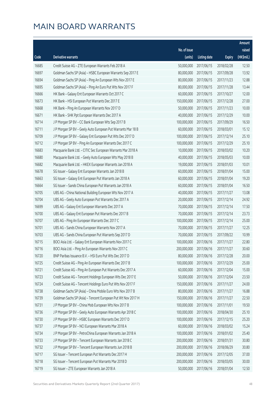|       |                                                              |              |                        |               | Amount     |
|-------|--------------------------------------------------------------|--------------|------------------------|---------------|------------|
|       |                                                              | No. of issue |                        |               | raised     |
| Code  | Derivative warrants                                          | (units)      | <b>Listing date</b>    | <b>Expiry</b> | (HK\$mil.) |
| 16685 | Credit Suisse AG - ZTE European Warrants Feb 2018 A          | 50,000,000   | 2017/06/15             | 2018/02/28    | 12.50      |
| 16697 | Goldman Sachs SP (Asia) - HSBC European Warrants Sep 2017 E  | 80,000,000   | 2017/06/15             | 2017/09/28    | 13.92      |
| 16694 | Goldman Sachs SP (Asia) - Ping An European Wts Nov 2017 E    | 80,000,000   | 2017/06/15             | 2017/11/23    | 12.88      |
| 16695 | Goldman Sachs SP (Asia) - Ping An Euro Put Wts Nov 2017 F    | 80,000,000   | 2017/06/15             | 2017/11/28    | 13.44      |
| 16666 | HK Bank - Galaxy Ent European Warrants Oct 2017 C            | 60,000,000   | 2017/06/15             | 2017/10/27    | 12.00      |
| 16673 | HK Bank - HSI European Put Warrants Dec 2017 E               | 150,000,000  | 2017/06/15             | 2017/12/28    | 27.00      |
| 16668 | HK Bank - Ping An European Warrants Nov 2017 D               | 50,000,000   | 2017/06/15             | 2017/11/23    | 10.00      |
| 16671 | HK Bank - SHK Ppt European Warrants Dec 2017 A               | 40,000,000   | 2017/06/15             | 2017/12/29    | 10.00      |
| 16714 | J P Morgan SP BV - CC Bank European Wts Sep 2017 B           | 100,000,000  | 2017/06/15             | 2017/09/29    | 16.50      |
| 16711 | J P Morgan SP BV - Geely Auto European Put Warrants Mar 18 B | 60,000,000   | 2017/06/15             | 2018/03/01    | 15.12      |
| 16709 | J P Morgan SP BV - Galaxy Ent European Put Wts Dec 2017 D    | 100,000,000  | 2017/06/15             | 2017/12/14    | 25.10      |
| 16712 | J P Morgan SP BV - Ping An European Warrants Dec 2017 C      | 100,000,000  | 2017/06/15             | 2017/12/29    | 25.10      |
| 16683 | Macquarie Bank Ltd. - CITIC Sec European Warrants Mar 2018 A | 10,000,000   | 2017/06/15             | 2018/03/02    | 10.20      |
| 16680 | Macquarie Bank Ltd. - Geely Auto European Wts May 2018 B     | 40,000,000   | 2017/06/15             | 2018/05/03    | 10.00      |
| 16682 | Macquarie Bank Ltd. - HKEX European Warrants Jan 2018 A      | 19,000,000   | 2017/06/15             | 2018/01/03    | 10.01      |
| 16678 | SG Issuer - Galaxy Ent European Warrants Jan 2018 B          | 60,000,000   | 2017/06/15             | 2018/01/04    | 15.00      |
| 16663 | SG Issuer - Galaxy Ent European Put Warrants Jan 2018 A      | 60,000,000   | 2017/06/15             | 2018/01/04    | 19.20      |
| 16664 | SG Issuer - Sands China European Put Warrants Jan 2018 A     | 60,000,000   | 2017/06/15             | 2018/01/04    | 16.50      |
| 16705 | UBS AG - China National Building European Wts Nov 2017 A     | 40,000,000   | 2017/06/15             | 2017/11/27    | 13.08      |
| 16704 | UBS AG - Geely Auto European Put Warrants Dec 2017 A         | 20,000,000   | 2017/06/15             | 2017/12/14    | 24.92      |
| 16699 | UBS AG - Galaxy Ent European Warrants Dec 2017 A             | 70,000,000   | 2017/06/15             | 2017/12/14    | 17.50      |
| 16700 | UBS AG - Galaxy Ent European Put Warrants Dec 2017 B         | 70,000,000   | 2017/06/15             | 2017/12/14    | 23.73      |
| 16707 | UBS AG - Ping An European Warrants Dec 2017 C                | 100,000,000  | 2017/06/15             | 2017/12/14    | 25.00      |
| 16701 | UBS AG - Sands China European Warrants Nov 2017 A            | 70,000,000   | 2017/06/15             | 2017/11/27    | 12.25      |
| 16703 | UBS AG - Sands China European Put Warrants Sep 2017 D        | 70,000,000   | 2017/06/15             | 2017/09/22    | 10.99      |
| 16715 | BOCI Asia Ltd. - Galaxy Ent European Warrants Nov 2017 C     | 100,000,000  | 2017/06/16             | 2017/11/27    | 22.80      |
| 16716 | BOCI Asia Ltd. - Ping An European Warrants Nov 2017 C        |              | 200,000,000 2017/06/16 | 2017/11/27    | 30.60      |
| 16720 | BNP Paribas Issuance B.V. - HSI Euro Put Wts Dec 2017 D      | 80,000,000   | 2017/06/16             | 2017/12/28    | 20.00      |
| 16725 | Credit Suisse AG - Ping An European Warrants Dec 2017 B      | 100,000,000  | 2017/06/16             | 2017/12/29    | 25.00      |
| 16721 | Credit Suisse AG - Ping An European Put Warrants Dec 2017 A  | 60,000,000   | 2017/06/16             | 2017/12/04    | 15.00      |
| 16723 | Credit Suisse AG - Tencent Holdings European Wts Dec 2017 E  | 50,000,000   | 2017/06/16             | 2017/12/04    | 23.50      |
| 16724 | Credit Suisse AG - Tencent Holdings Euro Put Wts Nov 2017 F  | 150,000,000  | 2017/06/16             | 2017/11/27    | 24.00      |
| 16738 | Goldman Sachs SP (Asia) - China Mobile Euro Wts Nov 2017 B   | 80,000,000   | 2017/06/16             | 2017/11/27    | 16.88      |
| 16739 | Goldman Sachs SP (Asia) - Tencent European Put Wt Nov 2017 H | 150,000,000  | 2017/06/16             | 2017/11/27    | 22.50      |
| 16731 | J P Morgan SP BV - China Mob European Wts Nov 2017 B         | 100,000,000  | 2017/06/16             | 2017/11/01    | 19.50      |
| 16736 | J P Morgan SP BV - Geely Auto European Warrants Apr 2018 C   | 100,000,000  | 2017/06/16             | 2018/04/30    | 25.10      |
| 16730 | J P Morgan SP BV - HSBC European Warrants Dec 2017 D         | 100,000,000  | 2017/06/16             | 2017/12/15    | 25.20      |
| 16737 | J P Morgan SP BV - NCI European Warrants Mar 2018 A          | 60,000,000   | 2017/06/16             | 2018/03/02    | 15.24      |
| 16734 | J P Morgan SP BV - PetroChina European Warrants Jan 2018 A   | 100,000,000  | 2017/06/16             | 2018/01/02    | 25.40      |
| 16733 | J P Morgan SP BV - Tencent European Warrants Jan 2018 C      | 200,000,000  | 2017/06/16             | 2018/01/31    | 30.80      |
| 16732 | J P Morgan SP BV - Tencent European Warrants Jun 2018 B      | 200,000,000  | 2017/06/16             | 2018/06/29    | 30.80      |
| 16717 | SG Issuer - Tencent European Put Warrants Dec 2017 H         | 200,000,000  | 2017/06/16             | 2017/12/05    | 37.00      |
| 16718 | SG Issuer - Tencent European Put Warrants Mar 2018 D         | 200,000,000  | 2017/06/16             | 2018/03/05    | 30.00      |
| 16719 | SG Issuer - ZTE European Warrants Jan 2018 A                 | 50,000,000   | 2017/06/16             | 2018/01/04    | 12.50      |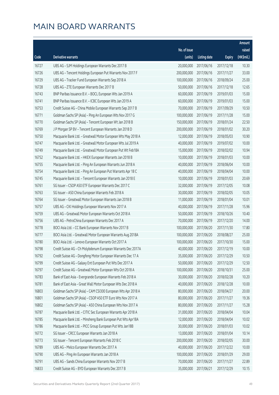|       |                                                               |              |                       |               | Amount     |
|-------|---------------------------------------------------------------|--------------|-----------------------|---------------|------------|
|       |                                                               | No. of issue |                       |               | raised     |
| Code  | Derivative warrants                                           | (units)      | <b>Listing date</b>   | <b>Expiry</b> | (HK\$mil.) |
| 16727 | UBS AG - SJM Holdings European Warrants Dec 2017 B            | 20,000,000   | 2017/06/16            | 2017/12/18    | 10.30      |
| 16726 | UBS AG - Tencent Holdings European Put Warrants Nov 2017 F    | 200,000,000  | 2017/06/16            | 2017/11/27    | 33.00      |
| 16729 | UBS AG - Tracker Fund European Warrants Sep 2018 A            | 100,000,000  | 2017/06/16            | 2018/09/24    | 25.00      |
| 16728 | UBS AG - ZTE European Warrants Dec 2017 B                     | 50,000,000   | 2017/06/16            | 2017/12/18    | 12.65      |
| 16743 | BNP Paribas Issuance B.V. - BOCL European Wts Jan 2019 A      | 60,000,000   | 2017/06/19            | 2019/01/03    | 15.00      |
| 16741 | BNP Paribas Issuance B.V. - ICBC European Wts Jan 2019 A      | 60,000,000   | 2017/06/19            | 2019/01/03    | 15.00      |
| 16753 | Credit Suisse AG - China Mobile European Warrants Sep 2017 B  | 70,000,000   | 2017/06/19            | 2017/09/29    | 10.50      |
| 16771 | Goldman Sachs SP (Asia) - Ping An European Wts Nov 2017 G     | 100,000,000  | 2017/06/19            | 2017/11/28    | 15.00      |
| 16770 | Goldman Sachs SP (Asia) - Tencent European Wt Jan 2018 B      | 150,000,000  | 2017/06/19            | 2018/01/24    | 22.50      |
| 16769 | J P Morgan SP BV - Tencent European Warrants Jan 2018 D       | 200,000,000  | 2017/06/19            | 2018/01/02    | 30.20      |
| 16750 | Macquarie Bank Ltd. - Greatwall Motor European Wts May 2018 A | 12,000,000   | 2017/06/19            | 2018/05/03    | 10.90      |
| 16747 | Macquarie Bank Ltd. - Greatwall Motor European Wts Jul 2019 A | 40,000,000   | 2017/06/19            | 2019/07/02    | 10.00      |
| 16749 | Macquarie Bank Ltd. - Greatwall Motor European Put Wt Feb18A  | 15,000,000   | 2017/06/19            | 2018/02/02    | 10.94      |
| 16752 | Macquarie Bank Ltd. - HKEX European Warrants Jan 2018 B       | 10,000,000   | 2017/06/19            | 2018/01/03    | 10.00      |
| 16755 | Macquarie Bank Ltd. - Ping An European Warrants Jun 2018 A    | 40,000,000   | 2017/06/19            | 2018/06/04    | 10.00      |
| 16754 | Macquarie Bank Ltd. - Ping An European Put Warrants Apr 18 C  | 40,000,000   | 2017/06/19            | 2018/04/04    | 10.00      |
| 16745 | Macquarie Bank Ltd. - Tencent European Warrants Jan 2018 E    | 10,000,000   | 2017/06/19            | 2018/01/03    | 20.69      |
| 16761 | SG Issuer - CSOP A50 ETF European Warrants Dec 2017 C         | 32,000,000   | 2017/06/19            | 2017/12/05    | 10.08      |
| 16763 | SG Issuer - A50 China European Warrants Feb 2018 A            | 30,000,000   | 2017/06/19            | 2018/02/05    | 10.05      |
| 16764 | SG Issuer - Greatwall Motor European Warrants Jan 2018 B      | 11,000,000   | 2017/06/19            | 2018/01/04    | 10.01      |
| 16757 | UBS AG - CKI Holdings European Warrants Nov 2017 A            | 40,000,000   | 2017/06/19            | 2017/11/28    | 15.96      |
| 16759 | UBS AG - Greatwall Motor European Warrants Oct 2018 A         | 50,000,000   | 2017/06/19            | 2018/10/26    | 10.40      |
| 16756 | UBS AG - PetroChina European Warrants Dec 2017 A              | 70,000,000   | 2017/06/19            | 2017/12/20    | 14.00      |
| 16778 | BOCI Asia Ltd. - CC Bank European Warrants Nov 2017 B         | 100,000,000  | 2017/06/20            | 2017/11/30    | 17.80      |
| 16777 | BOCI Asia Ltd. - Greatwall Motor European Warrants Aug 2018A  | 100,000,000  | 2017/06/20            | 2018/08/27    | 25.00      |
| 16780 | BOCI Asia Ltd. - Lenovo European Warrants Oct 2017 A          | 100,000,000  | 2017/06/20            | 2017/10/30    | 15.00      |
| 16798 | Credit Suisse AG - Ch Molybdenum European Warrants Dec 2017A  |              | 40,000,000 2017/06/20 | 2017/12/19    | 10.00      |
| 16792 | Credit Suisse AG - Dongfeng Motor European Warrants Dec 17 A  | 35,000,000   | 2017/06/20            | 2017/12/29    | 10.50      |
| 16799 | Credit Suisse AG - Galaxy Ent European Put Wts Dec 2017 A     | 50,000,000   | 2017/06/20            | 2017/12/29    | 12.50      |
| 16797 | Credit Suisse AG - Greatwall Motor European Wts Oct 2018 A    | 100,000,000  | 2017/06/20            | 2018/10/31    | 25.00      |
| 16783 | Bank of East Asia - Evergrande European Warrants Feb 2018 A   | 30,000,000   | 2017/06/20            | 2018/02/28    | 10.20      |
| 16781 | Bank of East Asia - Great Wall Motor European Wts Dec 2018 A  | 40,000,000   | 2017/06/20            | 2018/12/28    | 10.00      |
| 16803 | Goldman Sachs SP (Asia) - CAM CSI300 European Wts Apr 2018 A  | 80,000,000   | 2017/06/20            | 2018/04/27    | 20.00      |
| 16801 | Goldman Sachs SP (Asia) - CSOP A50 ETF Euro Wts Nov 2017 A    | 80,000,000   | 2017/06/20            | 2017/11/27    | 19.36      |
| 16802 | Goldman Sachs SP (Asia) - A50 China European Wts Nov 2017 A   | 80,000,000   | 2017/06/20            | 2017/11/27    | 15.28      |
| 16787 | Macquarie Bank Ltd. - CITIC Sec European Warrants Apr 2018 A  | 31,000,000   | 2017/06/20            | 2018/04/04    | 10.04      |
| 16785 | Macquarie Bank Ltd. - Minsheng Bank European Put Wts Apr18A   | 12,000,000   | 2017/06/20            | 2018/04/04    | 10.02      |
| 16786 | Macquarie Bank Ltd. - PICC Group European Put Wts Jan18B      | 30,000,000   | 2017/06/20            | 2018/01/03    | 10.02      |
| 16772 | SG Issuer - CRCC European Warrants Jan 2018 A                 | 13,000,000   | 2017/06/20            | 2018/01/04    | 10.14      |
| 16773 | SG Issuer - Tencent European Warrants Feb 2018 C              | 200,000,000  | 2017/06/20            | 2018/02/05    | 30.00      |
| 16789 | UBS AG - Melco European Warrants Dec 2017 A                   | 40,000,000   | 2017/06/20            | 2017/12/22    | 10.00      |
| 16790 | UBS AG - Ping An European Warrants Jan 2018 A                 | 100,000,000  | 2017/06/20            | 2018/01/29    | 29.00      |
| 16791 | UBS AG - Sands China European Warrants Nov 2017 B             | 70,000,000   | 2017/06/20            | 2017/11/27    | 22.89      |
| 16833 | Credit Suisse AG - BYD European Warrants Dec 2017 B           | 35,000,000   | 2017/06/21            | 2017/12/29    | 10.15      |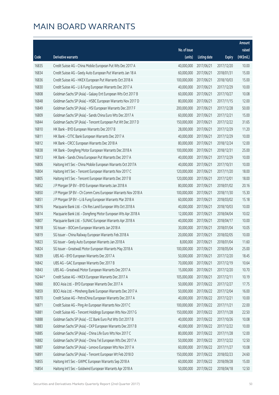|         |                                                              |                        |                     |               | Amount     |
|---------|--------------------------------------------------------------|------------------------|---------------------|---------------|------------|
|         |                                                              | No. of issue           |                     |               | raised     |
| Code    | Derivative warrants                                          | (units)                | <b>Listing date</b> | <b>Expiry</b> | (HK\$mil.) |
| 16835   | Credit Suisse AG - China Mobile European Put Wts Dec 2017 A  | 40,000,000             | 2017/06/21          | 2017/12/20    | 10.00      |
| 16834   | Credit Suisse AG - Geely Auto European Put Warrants Jan 18 A | 60,000,000             | 2017/06/21          | 2018/01/31    | 15.00      |
| 16836   | Credit Suisse AG - HKEX European Put Warrants Oct 2018 A     | 100,000,000            | 2017/06/21          | 2018/10/03    | 15.00      |
| 16830   | Credit Suisse AG - Li & Fung European Warrants Dec 2017 A    | 40,000,000             | 2017/06/21          | 2017/12/29    | 10.00      |
| 16808   | Goldman Sachs SP (Asia) - Galaxy Ent European Wts Oct 2017 B | 60,000,000             | 2017/06/21          | 2017/10/27    | 10.08      |
| 16848   | Goldman Sachs SP (Asia) - HSBC European Warrants Nov 2017 D  | 80,000,000             | 2017/06/21          | 2017/11/15    | 12.00      |
| 16849   | Goldman Sachs SP (Asia) - HSI European Warrants Dec 2017 F   | 200,000,000            | 2017/06/21          | 2017/12/28    | 50.00      |
| 16809   | Goldman Sachs SP (Asia) - Sands China Euro Wts Dec 2017 A    | 60,000,000             | 2017/06/21          | 2017/12/21    | 15.00      |
| 16844   | Goldman Sachs SP (Asia) - Tencent European Put Wt Dec 2017 D | 150,000,000            | 2017/06/21          | 2017/12/22    | 31.65      |
| 16810   | HK Bank - BYD European Warrants Dec 2017 B                   | 28,000,000             | 2017/06/21          | 2017/12/29    | 11.20      |
| 16811   | HK Bank - CITIC Bank European Warrants Dec 2017 A            | 40,000,000             | 2017/06/21          | 2017/12/29    | 10.00      |
| 16812   | HK Bank - CRCC European Warrants Dec 2018 A                  | 80,000,000             | 2017/06/21          | 2018/12/24    | 12.00      |
| 16838   | HK Bank - Dongfeng Motor European Warrants Dec 2018 A        | 100,000,000            | 2017/06/21          | 2018/12/31    | 25.00      |
| 16813   | HK Bank - Sands China European Put Warrants Dec 2017 A       | 40,000,000             | 2017/06/21          | 2017/12/29    | 10.00      |
| 16806   | Haitong Int'l Sec - China Mobile European Warrants Oct 2017A | 40,000,000             | 2017/06/21          | 2017/10/31    | 10.00      |
| 16804   | Haitong Int'l Sec - Tencent European Warrants Nov 2017 C     | 120,000,000            | 2017/06/21          | 2017/11/20    | 18.00      |
| 16805   | Haitong Int'l Sec - Tencent European Warrants Dec 2017 B     | 120,000,000            | 2017/06/21          | 2017/12/01    | 18.00      |
| 16852   | J P Morgan SP BV - BYD European Warrants Jan 2018 A          | 80,000,000             | 2017/06/21          | 2018/01/02    | 20.16      |
| 16850   | J P Morgan SP BV - Ch Comm Cons European Warrants Nov 2018 A | 100,000,000            | 2017/06/21          | 2018/11/30    | 15.30      |
| 16851   | J P Morgan SP BV - Li & Fung European Warrants Mar 2018 A    | 60,000,000             | 2017/06/21          | 2018/03/02    | 15.18      |
| 16816   | Macquarie Bank Ltd. - Chi Res Land European Wts Oct 2018 A   | 40,000,000             | 2017/06/21          | 2018/10/03    | 10.00      |
| 16814   | Macquarie Bank Ltd. - Dongfeng Motor European Wts Apr 2018 A | 12,000,000             | 2017/06/21          | 2018/04/04    | 10.02      |
| 16807   | Macquarie Bank Ltd. - SUNAC European Warrants Apr 2018 A     | 40,000,000             | 2017/06/21          | 2018/04/17    | 10.00      |
| 16818   | SG Issuer - BOCom European Warrants Jan 2018 A               | 30,000,000             | 2017/06/21          | 2018/01/04    | 10.05      |
| 16819   | SG Issuer - China Railway European Warrants Feb 2018 A       | 20,000,000             | 2017/06/21          | 2018/02/05    | 10.00      |
| 16823   | SG Issuer - Geely Auto European Warrants Jan 2018 A          | 8,000,000              | 2017/06/21          | 2018/01/04    | 11.60      |
| 16824   | SG Issuer - Greatwall Motor European Warrants May 2018 A     | 100,000,000 2017/06/21 |                     | 2018/05/04    | 25.00      |
| 16839   | UBS AG - BYD European Warrants Dec 2017 A                    | 50,000,000             | 2017/06/21          | 2017/12/20    | 18.45      |
| 16842   | UBS AG - GAC European Warrants Dec 2017 B                    | 70,000,000             | 2017/06/21          | 2017/12/19    | 10.64      |
| 16843   | UBS AG - Greatwall Motor European Warrants Dec 2017 A        | 15,000,000             | 2017/06/21          | 2017/12/20    | 10.70      |
| 16244 # | Credit Suisse AG - HKEX European Warrants Dec 2017 A         | 105,000,000            | 2017/06/21          | 2017/12/11    | 10.19      |
| 16860   | BOCI Asia Ltd. - BYD European Warrants Dec 2017 A            | 50,000,000             | 2017/06/22          | 2017/12/27    | 17.75      |
| 16859   | BOCI Asia Ltd. - Minsheng Bank European Warrants Dec 2017 A  | 50,000,000             | 2017/06/22          | 2017/12/04    | 16.00      |
| 16870   | Credit Suisse AG - PetroChina European Warrants Dec 2017 A   | 40,000,000             | 2017/06/22          | 2017/12/21    | 10.00      |
| 16871   | Credit Suisse AG - Ping An European Warrants Nov 2017 C      | 100,000,000            | 2017/06/22          | 2017/11/21    | 22.00      |
| 16881   | Credit Suisse AG - Tencent Holdings European Wts Nov 2017 G  | 150,000,000            | 2017/06/22          | 2017/11/28    | 22.50      |
| 16888   | Goldman Sachs SP (Asia) - CC Bank Euro Put Wts Oct 2017 B    | 40,000,000             | 2017/06/22          | 2017/10/26    | 10.08      |
| 16883   | Goldman Sachs SP (Asia) - CKP European Warrants Dec 2017 B   | 40,000,000             | 2017/06/22          | 2017/12/22    | 10.00      |
| 16885   | Goldman Sachs SP (Asia) - China Life Euro Wts Nov 2017 C     | 80,000,000             | 2017/06/22          | 2017/11/28    | 12.00      |
| 16882   | Goldman Sachs SP (Asia) - China Tel European Wts Dec 2017 A  | 50,000,000             | 2017/06/22          | 2017/12/22    | 12.50      |
| 16887   | Goldman Sachs SP (Asia) - Lenovo European Wts Nov 2017 A     | 60,000,000             | 2017/06/22          | 2017/11/27    | 10.08      |
| 16891   | Goldman Sachs SP (Asia) - Tencent European Wt Feb 2018 D     | 150,000,000            | 2017/06/22          | 2018/02/23    | 24.60      |
| 16855   | Haitong Int'l Sec - GWMC European Warrants Sep 2018 A        | 60,000,000             | 2017/06/22          | 2018/09/28    | 15.00      |
| 16854   | Haitong Int'l Sec - Goldwind European Warrants Apr 2018 A    | 50,000,000             | 2017/06/22          | 2018/04/18    | 12.50      |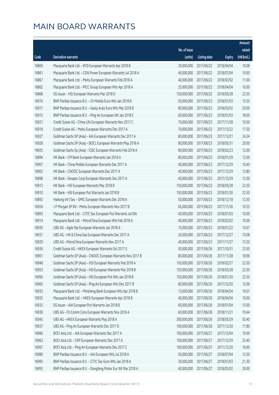|       |                                                              |              |                       |               | Amount     |
|-------|--------------------------------------------------------------|--------------|-----------------------|---------------|------------|
|       |                                                              | No. of issue |                       |               | raised     |
| Code  | Derivative warrants                                          | (units)      | <b>Listing date</b>   | <b>Expiry</b> | (HK\$mil.) |
| 16869 | Macquarie Bank Ltd. - BYD European Warrants Apr 2018 B       | 20,000,000   | 2017/06/22            | 2018/04/04    | 10.08      |
| 16861 | Macquarie Bank Ltd. - CGN Power European Warrants Jul 2018 A | 40,000,000   | 2017/06/22            | 2018/07/04    | 10.00      |
| 16867 | Macquarie Bank Ltd. - Meitu European Warrants Feb 2018 A     | 40,000,000   | 2017/06/22            | 2018/02/02    | 11.00      |
| 16862 | Macquarie Bank Ltd. - PICC Group European Wts Apr 2018 A     | 25,000,000   | 2017/06/22            | 2018/04/04    | 10.00      |
| 16868 | SG Issuer - HSI European Warrants Mar 2018 D                 | 150,000,000  | 2017/06/22            | 2018/03/28    | 22.50      |
| 16916 | BNP Paribas Issuance B.V. - Ch Mobile Euro Wts Jan 2018 B    | 50,000,000   | 2017/06/23            | 2018/01/03    | 15.50      |
| 16917 | BNP Paribas Issuance B.V. - Geely Auto Euro Wts Mar 2018 B   | 80,000,000   | 2017/06/23            | 2018/03/02    | 20.00      |
| 16915 | BNP Paribas Issuance B.V. - Ping An European Wt Jan 2018 C   | 60,000,000   | 2017/06/23            | 2018/01/03    | 18.00      |
| 16921 | Credit Suisse AG - China Life European Warrants Nov 2017 C   | 70,000,000   | 2017/06/23            | 2017/11/28    | 10.50      |
| 16918 | Credit Suisse AG - Meitu European Warrants Dec 2017 A        | 70,000,000   | 2017/06/23            | 2017/12/22    | 17.50      |
| 16927 | Goldman Sachs SP (Asia) - AIA European Warrants Dec 2017 A   | 80,000,000   | 2017/06/23            | 2017/12/21    | 24.24      |
| 16928 | Goldman Sachs SP (Asia) - BOCL European Warrants May 2018 A  | 80,000,000   | 2017/06/23            | 2018/05/31    | 20.00      |
| 16925 | Goldman Sachs Sp (Asia) - ICBC European Warrants Feb 2018 A  | 80,000,000   | 2017/06/23            | 2018/02/23    | 12.00      |
| 16894 | HK Bank - CM Bank European Warrants Jan 2018 A               | 80,000,000   | 2017/06/23            | 2018/01/29    | 12.00      |
| 16907 | HK Bank - China Mobile European Warrants Dec 2017 A          | 40,000,000   | 2017/06/23            | 2017/12/29    | 10.40      |
| 16902 | HK Bank - CNOOC European Warrants Dec 2017 A                 | 40,000,000   | 2017/06/23            | 2017/12/29    | 12.80      |
| 16898 | HK Bank - Sinopec Corp European Warrants Dec 2017 A          | 40,000,000   | 2017/06/23            | 2017/12/29    | 12.00      |
| 16913 | HK Bank - HSI European Warrants Mar 2018 B                   | 150,000,000  | 2017/06/23            | 2018/03/28    | 22.50      |
| 16910 | HK Bank - HSI European Put Warrants Jan 2018 B               | 150,000,000  | 2017/06/23            | 2018/01/30    | 22.50      |
| 16892 | Haitong Int'l Sec - SMIC European Warrants Dec 2018 A        | 50,000,000   | 2017/06/23            | 2018/12/18    | 12.50      |
| 16924 | J P Morgan SP BV - Meitu European Warrants Nov 2017 B        | 65,000,000   | 2017/06/23            | 2017/11/30    | 10.53      |
| 16893 | Macquarie Bank Ltd. - CITIC Sec European Put Warrants Jul18A | 40,000,000   | 2017/06/23            | 2018/07/03    | 10.00      |
| 16914 | Macquarie Bank Ltd. - PetroChina European Wts Feb 2018 A     | 40,000,000   | 2017/06/23            | 2018/02/02    | 10.00      |
| 16930 | UBS AG - Agile Ppt European Warrants Jan 2018 A              | 15,000,000   | 2017/06/23            | 2018/01/22    | 10.67      |
| 16931 | UBS AG - HK & China Gas European Warrants Dec 2017 A         | 20,000,000   | 2017/06/23            | 2017/12/27    | 10.08      |
| 16929 | UBS AG - PetroChina European Warrants Nov 2017 A             | 40,000,000   | 2017/06/23            | 2017/11/27    | 12.20      |
| 16936 | Credit Suisse AG - HKEX European Warrants Oct 2017 E         |              | 50,000,000 2017/06/26 | 2017/10/31    | 23.50      |
| 16961 | Goldman Sachs SP (Asia) - CNOOC European Warrants Nov 2017 B | 80,000,000   | 2017/06/26            | 2017/11/28    | 18.96      |
| 16948 | Goldman Sachs SP (Asia) - HSI European Warrants Feb 2018 A   | 150,000,000  | 2017/06/26            | 2018/02/27    | 22.50      |
| 16953 | Goldman Sachs SP (Asia) - HSI European Warrants Mar 2018 B   | 150,000,000  | 2017/06/26            | 2018/03/28    | 22.50      |
| 16956 | Goldman Sachs SP (Asia) - HSI European Put Wts Jan 2018 B    | 150,000,000  | 2017/06/26            | 2018/01/30    | 22.50      |
| 16960 | Goldman Sachs SP (Asia) - Ping An European Wts Dec 2017 B    | 80,000,000   | 2017/06/26            | 2017/12/20    | 12.00      |
| 16933 | Macquarie Bank Ltd. - Minsheng Bank European Wts Apr 2018 B  | 13,000,000   | 2017/06/26            | 2018/04/04    | 10.01      |
| 16935 | Macquarie Bank Ltd. - HKEX European Warrants Apr 2018 B      | 40,000,000   | 2017/06/26            | 2018/04/04    | 10.00      |
| 16932 | SG Issuer - AIA European Put Warrants Jan 2018 B             | 60,000,000   | 2017/06/26            | 2018/01/04    | 15.00      |
| 16938 | UBS AG - Ch Comm Cons European Warrants Nov 2018 A           | 60,000,000   | 2017/06/26            | 2018/11/21    | 10.44      |
| 16945 | UBS AG - HKEX European Warrants May 2018 A                   | 300,000,000  | 2017/06/26            | 2018/05/29    | 50.40      |
| 16937 | UBS AG - Ping An European Warrants Dec 2017 D                | 100,000,000  | 2017/06/26            | 2017/12/20    | 17.80      |
| 16966 | BOCI Asia Ltd. - AIA European Warrants Dec 2017 A            | 100,000,000  | 2017/06/27            | 2017/12/04    | 19.00      |
| 16963 | BOCI Asia Ltd. - CKP European Warrants Dec 2017 A            | 100,000,000  | 2017/06/27            | 2017/12/29    | 25.40      |
| 16967 | BOCI Asia Ltd. - Ping An European Warrants Dec 2017 C        | 100,000,000  | 2017/06/27            | 2017/12/20    | 16.90      |
| 16989 | BNP Paribas Issuance B.V. - AIA European Wts Jul 2018 A      | 50,000,000   | 2017/06/27            | 2018/07/04    | 12.50      |
| 16995 | BNP Paribas Issuance B.V. - CITIC Sec Euro Wts Jan 2018 A    | 30,000,000   | 2017/06/27            | 2018/01/03    | 21.30      |
| 16993 | BNP Paribas Issuance B.V. - Dongfeng Motor Eur Wt Mar 2018 A | 40,000,000   | 2017/06/27            | 2018/03/02    | 30.00      |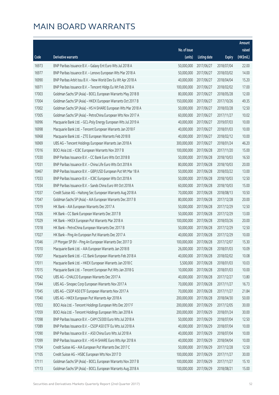|       |                                                               |              |                       |               | Amount     |
|-------|---------------------------------------------------------------|--------------|-----------------------|---------------|------------|
|       |                                                               | No. of issue |                       |               | raised     |
| Code  | Derivative warrants                                           | (units)      | <b>Listing date</b>   | <b>Expiry</b> | (HK\$mil.) |
| 16973 | BNP Paribas Issuance B.V. - Galaxy Ent Euro Wts Jul 2018 A    | 50,000,000   | 2017/06/27            | 2018/07/04    | 22.00      |
| 16977 | BNP Paribas Issuance B.V. - Lenovo European Wts Mar 2018 A    | 50,000,000   | 2017/06/27            | 2018/03/02    | 14.00      |
| 16990 | BNP Paribas Arbit Issu B.V. - New World Dev Eu Wt Apr 2018 A  | 40,000,000   | 2017/06/27            | 2018/04/04    | 15.20      |
| 16971 | BNP Paribas Issuance B.V. - Tencent Hldgs Eu Wt Feb 2018 A    | 100,000,000  | 2017/06/27            | 2018/02/02    | 17.00      |
| 17003 | Goldman Sachs SP (Asia) - BOCL European Warrants May 2018 B   | 80,000,000   | 2017/06/27            | 2018/05/28    | 12.00      |
| 17004 | Goldman Sachs SP (Asia) - HKEX European Warrants Oct 2017 B   | 150,000,000  | 2017/06/27            | 2017/10/26    | 49.35      |
| 17002 | Goldman Sachs SP (Asia) - HS H-SHARE European Wts Mar 2018 A  | 50,000,000   | 2017/06/27            | 2018/03/28    | 12.50      |
| 17005 | Goldman Sachs SP (Asia) - PetroChina European Wts Nov 2017 A  | 60,000,000   | 2017/06/27            | 2017/11/27    | 10.02      |
| 16996 | Macquarie Bank Ltd. - GCL-Poly Energy European Wts Jul 2019 A | 40,000,000   | 2017/06/27            | 2019/07/03    | 10.00      |
| 16998 | Macquarie Bank Ltd. - Tencent European Warrants Jan 2018 F    | 40,000,000   | 2017/06/27            | 2018/01/03    | 10.00      |
| 16968 | Macquarie Bank Ltd. - ZTE European Warrants Feb 2018 B        | 40,000,000   | 2017/06/27            | 2018/02/12    | 10.00      |
| 16969 | UBS AG - Tencent Holdings European Warrants Jan 2018 A        | 300,000,000  | 2017/06/27            | 2018/01/24    | 46.20      |
| 17016 | BOCI Asia Ltd. - ICBC European Warrants Nov 2017 B            | 100,000,000  | 2017/06/28            | 2017/11/20    | 15.00      |
| 17030 | BNP Paribas Issuance B.V. - CC Bank Euro Wts Oct 2018 B       | 50,000,000   | 2017/06/28            | 2018/10/03    | 16.50      |
| 17031 | BNP Paribas Issuance B.V. - China Life Euro Wts Oct 2018 A    | 80,000,000   | 2017/06/28            | 2018/10/03    | 20.00      |
| 10467 | BNP Paribas Issuance B.V. - GBP/USD European Put Wt Mar 18 A  | 50,000,000   | 2017/06/28            | 2018/03/22    | 13.00      |
| 17033 | BNP Paribas Issuance B.V. - ICBC European Wts Oct 2018 A      | 50,000,000   | 2017/06/28            | 2018/10/03    | 12.50      |
| 17034 | BNP Paribas Issuance B.V. - Sands China Euro Wt Oct 2018 A    | 60,000,000   | 2017/06/28            | 2018/10/03    | 15.00      |
| 17037 | Credit Suisse AG - Haitong Sec European Warrants Aug 2018 A   | 70,000,000   | 2017/06/28            | 2018/08/13    | 10.50      |
| 17047 | Goldman Sachs SP (Asia) - AIA European Warrants Dec 2017 B    | 80,000,000   | 2017/06/28            | 2017/12/28    | 20.00      |
| 17019 | HK Bank - AIA European Warrants Dec 2017 A                    | 50,000,000   | 2017/06/28            | 2017/12/29    | 12.50      |
| 17026 | HK Bank - CC Bank European Warrants Dec 2017 B                | 50,000,000   | 2017/06/28            | 2017/12/29    | 13.00      |
| 17029 | HK Bank - HKEX European Put Warrants Mar 2018 A               | 100,000,000  | 2017/06/28            | 2018/03/26    | 20.00      |
| 17018 | HK Bank - PetroChina European Warrants Dec 2017 B             | 50,000,000   | 2017/06/28            | 2017/12/29    | 12.50      |
| 17027 | HK Bank - Ping An European Put Warrants Dec 2017 A            | 40,000,000   | 2017/06/28            | 2017/12/29    | 10.00      |
| 17046 | J P Morgan SP BV - Ping An European Warrants Dec 2017 D       | 100,000,000  | 2017/06/28            | 2017/12/07    | 15.30      |
| 17010 | Macquarie Bank Ltd. - AIA European Warrants Jan 2018 B        |              | 26,000,000 2017/06/28 | 2018/01/03    | 10.09      |
| 17007 | Macquarie Bank Ltd. - CC Bank European Warrants Feb 2018 A    | 40,000,000   | 2017/06/28            | 2018/02/02    | 10.08      |
| 17011 | Macquarie Bank Ltd. - HKEX European Warrants Jan 2018 C       | 5,500,000    | 2017/06/28            | 2018/01/03    | 10.03      |
| 17015 | Macquarie Bank Ltd. - Tencent European Put Wts Jan 2018 G     | 10,000,000   | 2017/06/28            | 2018/01/03    | 10.00      |
| 17042 | UBS AG - CHALCO European Warrants Dec 2017 A                  | 40,000,000   | 2017/06/28            | 2017/12/27    | 13.80      |
| 17044 | UBS AG - Sinopec Corp European Warrants Nov 2017 A            | 70,000,000   | 2017/06/28            | 2017/11/27    | 16.73      |
| 17045 | UBS AG - CSOP A50 ETF European Warrants Nov 2017 A            | 70,000,000   | 2017/06/28            | 2017/11/27    | 21.84      |
| 17040 | UBS AG - HKEX European Put Warrants Apr 2018 A                | 200,000,000  | 2017/06/28            | 2018/04/30    | 50.00      |
| 17053 | BOCI Asia Ltd. - Tencent Holdings European Wts Dec 2017 F     | 200,000,000  | 2017/06/29            | 2017/12/05    | 30.00      |
| 17059 | BOCI Asia Ltd. - Tencent Holdings European Wts Jan 2018 A     | 200,000,000  | 2017/06/29            | 2018/01/24    | 30.00      |
| 17098 | BNP Paribas Issuance B.V. - CAM CSI300 Euro Wts Jul 2018 A    | 50,000,000   | 2017/06/29            | 2018/07/04    | 12.50      |
| 17089 | BNP Paribas Issuance B.V. - CSOP A50 ETF Eu Wts Jul 2018 A    | 40,000,000   | 2017/06/29            | 2018/07/04    | 10.00      |
| 17090 | BNP Paribas Issuance B.V. - A50 China Euro Wts Jul 2018 A     | 40,000,000   | 2017/06/29            | 2018/07/04    | 10.00      |
| 17099 | BNP Paribas Issuance B.V. - HS H-SHARE Euro Wts Apr 2018 A    | 40,000,000   | 2017/06/29            | 2018/04/04    | 10.00      |
| 17104 | Credit Suisse AG - AIA European Put Warrants Dec 2017 C       | 50,000,000   | 2017/06/29            | 2017/12/28    | 12.50      |
| 17105 | Credit Suisse AG - HSBC European Wts Nov 2017 D               | 100,000,000  | 2017/06/29            | 2017/11/27    | 30.00      |
| 17111 | Goldman Sachs SP (Asia) - BOCL European Warrants Nov 2017 B   | 100,000,000  | 2017/06/29            | 2017/11/27    | 15.10      |
| 17113 | Goldman Sachs SP (Asia) - BOCL European Warrants Aug 2018 A   | 100,000,000  | 2017/06/29            | 2018/08/21    | 15.00      |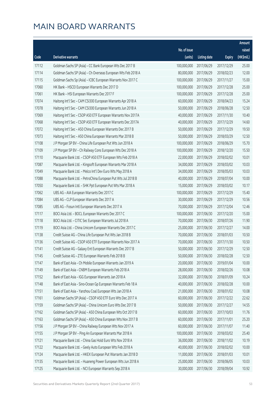|       |                                                               |              |                       |               | Amount     |
|-------|---------------------------------------------------------------|--------------|-----------------------|---------------|------------|
|       |                                                               | No. of issue |                       |               | raised     |
| Code  | <b>Derivative warrants</b>                                    | (units)      | <b>Listing date</b>   | <b>Expiry</b> | (HK\$mil.) |
| 17112 | Goldman Sachs SP (Asia) - CC Bank European Wts Dec 2017 B     | 100,000,000  | 2017/06/29            | 2017/12/29    | 25.00      |
| 17114 | Goldman Sachs SP (Asia) - Ch Overseas European Wts Feb 2018 A | 80,000,000   | 2017/06/29            | 2018/02/23    | 12.00      |
| 17115 | Goldman Sachs Sp (Asia) - ICBC European Warrants Nov 2017 C   | 100,000,000  | 2017/06/29            | 2017/11/27    | 15.00      |
| 17060 | HK Bank - HSCEI European Warrants Dec 2017 D                  | 100,000,000  | 2017/06/29            | 2017/12/28    | 25.00      |
| 17061 | HK Bank - HSI European Warrants Dec 2017 F                    | 100,000,000  | 2017/06/29            | 2017/12/28    | 25.00      |
| 17074 | Haitong Int'l Sec - CAM CSI300 European Warrants Apr 2018 A   | 60,000,000   | 2017/06/29            | 2018/04/23    | 15.24      |
| 17078 | Haitong Int'l Sec - CAM CSI300 European Warrants Jun 2018 A   | 50,000,000   | 2017/06/29            | 2018/06/28    | 12.50      |
| 17069 | Haitong Int'l Sec - CSOP A50 ETF European Warrants Nov 2017A  | 40,000,000   | 2017/06/29            | 2017/11/30    | 10.40      |
| 17068 | Haitong Int'l Sec - CSOP A50 ETF European Warrants Dec 2017A  | 40,000,000   | 2017/06/29            | 2017/12/29    | 14.60      |
| 17072 | Haitong Int'l Sec - A50 China European Warrants Dec 2017 B    | 50,000,000   | 2017/06/29            | 2017/12/29    | 19.50      |
| 17073 | Haitong Int'l Sec - A50 China European Warrants Mar 2018 B    | 50,000,000   | 2017/06/29            | 2018/03/29    | 12.50      |
| 17108 | J P Morgan SP BV - China Life European Put Wts Jun 2018 A     | 100,000,000  | 2017/06/29            | 2018/06/29    | 15.70      |
| 17109 | J P Morgan SP BV - Ch Railway Cons European Wts Dec 2018 A    | 100,000,000  | 2017/06/29            | 2018/12/20    | 15.50      |
| 17110 | Macquarie Bank Ltd. - CSOP A50 ETF European Wts Feb 2018 A    | 22,000,000   | 2017/06/29            | 2018/02/02    | 10.01      |
| 17087 | Macquarie Bank Ltd. - Kingsoft European Warrants Mar 2018 A   | 34,000,000   | 2017/06/29            | 2018/03/02    | 10.03      |
| 17049 | Macquarie Bank Ltd. - Melco Int'l Dev Euro Wts May 2018 A     | 34,000,000   | 2017/06/29            | 2018/05/03    | 10.03      |
| 17088 | Macquarie Bank Ltd. - PetroChina European Put Wts Jul 2018 B  | 40,000,000   | 2017/06/29            | 2018/07/04    | 10.00      |
| 17050 | Macquarie Bank Ltd. - SHK Ppt European Put Wts Mar 2018 A     | 15,000,000   | 2017/06/29            | 2018/03/02    | 10.17      |
| 17062 | UBS AG - AIA European Warrants Dec 2017 C                     | 100,000,000  | 2017/06/29            | 2017/12/29    | 15.40      |
| 17084 | UBS AG - CLP European Warrants Dec 2017 A                     | 30,000,000   | 2017/06/29            | 2017/12/29    | 10.56      |
| 17085 | UBS AG - Fosun Intl European Warrants Dec 2017 A              | 70,000,000   | 2017/06/29            | 2017/12/04    | 12.46      |
| 17117 | BOCI Asia Ltd. - BOCL European Warrants Dec 2017 C            | 100,000,000  | 2017/06/30            | 2017/12/20    | 15.00      |
| 17118 | BOCI Asia Ltd. - CITIC Sec European Warrants Jul 2018 A       | 70,000,000   | 2017/06/30            | 2018/07/26    | 11.90      |
| 17119 | BOCI Asia Ltd. - China Unicom European Warrants Dec 2017 C    | 25,000,000   | 2017/06/30            | 2017/12/27    | 14.00      |
| 17138 | Credit Suisse AG - China Life European Put Wts Jan 2018 B     | 70,000,000   | 2017/06/30            | 2018/01/03    | 10.50      |
| 17136 | Credit Suisse AG - CSOP A50 ETF European Warrants Nov 2017 A  | 70,000,000   | 2017/06/30            | 2017/11/30    | 10.50      |
| 17141 | Credit Suisse AG - Galaxy Ent European Warrants Dec 2017 B    |              | 50,000,000 2017/06/30 | 2017/12/29    | 12.50      |
| 17145 | Credit Suisse AG - ZTE European Warrants Feb 2018 B           | 50,000,000   | 2017/06/30            | 2018/02/28    | 12.50      |
| 17147 | Bank of East Asia - Ch Mobile European Warrants Jan 2019 A    | 20,000,000   | 2017/06/30            | 2019/01/04    | 10.00      |
| 17149 | Bank of East Asia - CNBM European Warrants Feb 2018 A         | 28,000,000   | 2017/06/30            | 2018/02/26    | 10.08      |
| 17152 | Bank of East Asia - IGG European Warrants Jan 2018 A          | 32,000,000   | 2017/06/30            | 2018/01/09    | 10.24      |
| 17148 | Bank of East Asia - Sino-Ocean Gp European Warrants Feb 18 A  | 40,000,000   | 2017/06/30            | 2018/02/28    | 10.00      |
| 17151 | Bank of East Asia - Yanzhou Coal European Wts Jan 2018 A      | 21,000,000   | 2017/06/30            | 2018/01/02    | 10.08      |
| 17161 | Goldman Sachs SP (Asia) - CSOP A50 ETF Euro Wts Dec 2017 A    | 60,000,000   | 2017/06/30            | 2017/12/22    | 22.62      |
| 17159 | Goldman Sachs SP (Asia) - China Unicom Euro Wts Dec 2017 B    | 50,000,000   | 2017/06/30            | 2017/12/27    | 14.55      |
| 17162 | Goldman Sachs SP (Asia) - A50 China European Wts Oct 2017 B   | 60,000,000   | 2017/06/30            | 2017/10/03    | 11.76      |
| 17163 | Goldman Sachs SP (Asia) - A50 China European Wts Nov 2017 B   | 60,000,000   | 2017/06/30            | 2017/11/01    | 25.20      |
| 17156 | J P Morgan SP BV - China Railway European Wts Nov 2017 A      | 60,000,000   | 2017/06/30            | 2017/11/07    | 11.40      |
| 17155 | J P Morgan SP BV - Ping An European Warrants Mar 2018 A       | 100,000,000  | 2017/06/30            | 2018/03/02    | 25.40      |
| 17121 | Macquarie Bank Ltd. - China Gas Hold Euro Wts Nov 2018 A      | 36,000,000   | 2017/06/30            | 2018/11/02    | 10.19      |
| 17122 | Macquarie Bank Ltd. - Geely Auto European Wts Feb 2018 A      | 40,000,000   | 2017/06/30            | 2018/02/02    | 10.00      |
| 17124 | Macquarie Bank Ltd. - HKEX European Put Warrants Jan 2018 D   | 11,000,000   | 2017/06/30            | 2018/01/03    | 10.01      |
| 17135 | Macquarie Bank Ltd. - Huaneng Power European Wts Jun 2018 A   | 25,000,000   | 2017/06/30            | 2018/06/05    | 10.03      |
| 17125 | Macquarie Bank Ltd. - NCI European Warrants Sep 2018 A        | 30,000,000   | 2017/06/30            | 2018/09/04    | 10.92      |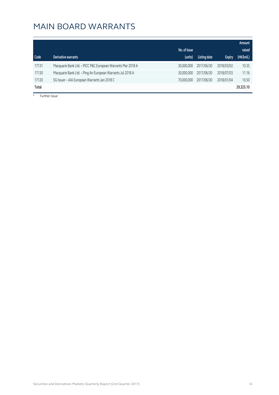|       |                                                             | No. of issue |              |               | Amount<br>raised |
|-------|-------------------------------------------------------------|--------------|--------------|---------------|------------------|
| Code  | Derivative warrants                                         | (units)      | Listing date | <b>Expiry</b> | (HK\$mil.)       |
| 17131 | Macquarie Bank Ltd. - PICC P&C European Warrants Mar 2018 A | 30,000,000   | 2017/06/30   | 2018/03/02    | 10.35            |
| 17130 | Macquarie Bank Ltd. - Ping An European Warrants Jul 2018 A  | 30,000,000   | 2017/06/30   | 2018/07/03    | 11.16            |
| 17120 | SG Issuer - AIA European Warrants Jan 2018 C                | 70,000,000   | 2017/06/30   | 2018/01/04    | 10.50            |
| Total |                                                             |              |              |               | 29,325.10        |

# Further issue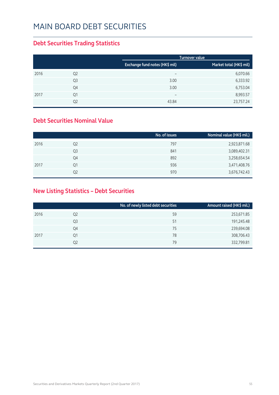#### **Debt Securities Trading Statistics**

|      |                |                                | Turnover value          |
|------|----------------|--------------------------------|-------------------------|
|      |                | Exchange fund notes (HK\$ mil) | Market total (HK\$ mil) |
| 2016 | Q <sub>2</sub> | $\overline{\phantom{m}}$       | 6,070.66                |
|      | Q <sub>3</sub> | 3.00                           | 6,333.92                |
|      | Q4             | 3.00                           | 6,753.04                |
| 2017 | Q1             | $\overline{\phantom{m}}$       | 8,993.57                |
|      | Q <sub>2</sub> | 43.84                          | 23,757.24               |

#### **Debt Securities Nominal Value**

|                | No. of issues | Nominal value (HK\$ mil.) |
|----------------|---------------|---------------------------|
| Q <sub>2</sub> | 797           | 2,923,871.68              |
| Q3             | 841           | 3,089,402.31              |
| Q4             | 892           | 3,258,654.54              |
| Q1             | 936           | 3,471,408.76              |
| Q2             | 970           | 3,676,742.43              |
|                |               |                           |

#### **New Listing Statistics – Debt Securities**

|      |                | No. of newly listed debt securities | Amount raised (HK\$ mil.) |
|------|----------------|-------------------------------------|---------------------------|
| 2016 | Q <sub>2</sub> | 59                                  | 253,671.85                |
|      | Q3             | 51                                  | 191,245.48                |
|      | Q4             | 75                                  | 239,694.08                |
| 2017 | Q1             | 78                                  | 308,706.43                |
|      | Q2             | 79                                  | 332,799.81                |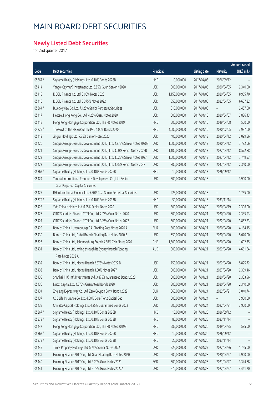#### **Newly Listed Debt Securities**

for 2nd quarter 2017

|         |                                                                          |            |               |                     | <b>Amount raised</b>     |             |
|---------|--------------------------------------------------------------------------|------------|---------------|---------------------|--------------------------|-------------|
| Code    | <b>Debt securities</b>                                                   | Principal  |               | <b>Listing date</b> | <b>Maturity</b>          | (HK\$ mil.) |
| 05367#  | Skyfame Realty (Holdings) Ltd. 0.10% Bonds 2026B                         | <b>HKD</b> | 10,000,000    | 2017/04/03          | 2026/09/12               |             |
| 05414   | Yango (Cayman) Investment Ltd. 6.85% Guar. Senior N2020                  | <b>USD</b> | 300,000,000   | 2017/04/06          | 2020/04/05               | 2,340.00    |
| 05415   | ICBCIL Finance Co. Ltd. 3.00% Notes 2020                                 | <b>USD</b> | 1,150,000,000 | 2017/04/06          | 2020/04/05               | 8,965.70    |
| 05416   | ICBCIL Finance Co. Ltd. 3.375% Notes 2022                                | <b>USD</b> | 850,000,000   | 2017/04/06          | 2022/04/05               | 6,607.32    |
| 05364 # | Blue Skyview Co. Ltd. 7.125% Senior Perpetual Securities                 | <b>USD</b> | 315,000,000   | 2017/04/06          |                          | 2,457.00    |
| 05417   | Hesteel Hong Kong Co., Ltd. 4.25% Guar. Notes 2020                       | <b>USD</b> | 500,000,000   | 2017/04/10          | 2020/04/07               | 3,886.43    |
| 05418   | Hong Kong Mortgage Corporation Ltd., The FR Notes 2019                   | <b>HKD</b> | 500,000,000   | 2017/04/10          | 2019/04/08               | 500.00      |
| 04225 # | The Govt of the HKSAR of the PRC 1.06% Bonds 2020                        | <b>HKD</b> | 4,000,000,000 | 2017/04/10          | 2020/02/05               | 3,997.60    |
| 05419   | Jingrui Holdings Ltd. 7.75% Senior Notes 2020                            | <b>USD</b> | 400,000,000   | 2017/04/13          | 2020/04/12               | 3,099.56    |
| 05420   | Sinopec Group Overseas Development (2017) Ltd. 2.375% Senior Notes 2020B | <b>USD</b> | 1,000,000,000 | 2017/04/13          | 2020/04/12               | 7,782.06    |
| 05421   | Sinopec Group Overseas Development (2017) Ltd. 3.00% Senior Notes 2022B  | <b>USD</b> | 1,100,000,000 | 2017/04/13          | 2022/04/12               | 8,572.88    |
| 05422   | Sinopec Group Overseas Development (2017) Ltd. 3.625% Senior Notes 2027  | <b>USD</b> | 1,000,000,000 | 2017/04/13          | 2027/04/12               | 7,749.53    |
| 05423   | Sinopec Group Overseas Development (2017) Ltd. 4.25% Senior Notes 2047   | <b>USD</b> | 300,000,000   | 2017/04/13          | 2047/04/12               | 2,340.00    |
| 05367 # | Skyfame Realty (Holdings) Ltd. 0.10% Bonds 2026B                         | <b>HKD</b> | 10,000,000    | 2017/04/13          | 2026/09/12               |             |
| 05424   | Yancoal International Resources Development Co., Ltd. Senior             | <b>USD</b> | 500,000,000   | 2017/04/18          |                          | 3,900.00    |
|         | <b>Guar Perpetual Capital Securities</b>                                 |            |               |                     |                          |             |
| 05425   | RH International Finance Ltd. 6.50% Guar Senior Perpetual Securities     | <b>USD</b> | 225,000,000   | 2017/04/18          | $\overline{\phantom{0}}$ | 1,755.00    |
| 05379 # | Skyfame Realty (Holdings) Ltd. 0.10% Bonds 2033B                         | <b>HKD</b> | 50,000,000    | 2017/04/18          | 2033/11/14               |             |
| 05428   | Yida China Holdings Ltd. 6.95% Senior Notes 2020                         | <b>USD</b> | 300,000,000   | 2017/04/20          | 2020/04/19               | 2,306.00    |
| 05426   | CITIC Securities Finance MTN Co., Ltd. 2.75% Guar Notes 2020             | <b>USD</b> | 300,000,000   | 2017/04/21          | 2020/04/20               | 2,335.93    |
| 05427   | CITIC Securities Finance MTN Co., Ltd. 3.25% Guar Notes 2022             | <b>USD</b> | 500,000,000   | 2017/04/21          | 2022/04/20               | 3,882.53    |
| 05429   | Bank of China (Luxembourg) S.A. Floating Rate Notes 2020 A               | <b>EUR</b> | 500,000,000   | 2017/04/21          | 2020/04/20               | 4,164.15    |
| 05430   | Bank of China Ltd., Dubai Branch Floating Rate Notes 2020 B              | <b>USD</b> | 650,000,000   | 2017/04/21          | 2020/04/20               | 5,070.00    |
| 85726   | Bank of China Ltd., Johannesburg Branch 4.88% CNY Notes 2020             | <b>RMB</b> | 1,500,000,000 | 2017/04/21          | 2020/04/20               | 1,692.75    |
| 05431   | Bank of China Ltd., acting through its Sydney branch Floating            | AUD        | 800,000,000   | 2017/04/21          | 2022/04/20               | 4,661.84    |
|         | Rate Notes 2022 A                                                        |            |               |                     |                          |             |
| 05432   | Bank of China Ltd., Macau Branch 2.875% Notes 2022 B                     | <b>USD</b> | 750,000,000   | 2017/04/21          | 2022/04/20               | 5,825.72    |
| 05433   | Bank of China Ltd., Macau Branch 3.50% Notes 2027                        | <b>USD</b> | 300,000,000   | 2017/04/21          | 2027/04/20               | 2,309.46    |
| 05435   | Shanhai (HK) Int'l Investments Ltd. 3.875% Guaranteed Bonds 2020         | <b>USD</b> | 300,000,000   | 2017/04/21          | 2020/04/20               | 2,333.96    |
| 05436   | Nuoxi Capital Ltd. 4.575% Guaranteed Bonds 2020                          | <b>USD</b> | 300,000,000   | 2017/04/21          | 2020/04/20               | 2,340.00    |
| 05434   | Zhejiang Expressway Co. Ltd. Zero Coupon Conv. Bonds 2022                | <b>EUR</b> | 365,000,000   | 2017/04/24          | 2022/04/21               | 3,040.74    |
| 05437   | CCB Life Insurance Co. Ltd. 4.50% Core Tier 2 Capital Sec                | <b>USD</b> | 500,000,000   | 2017/04/24          |                          | 3,900.00    |
| 05438   | Chinalco Capital Holdings Ltd. 4.25% Guaranteed Bonds 2022               | <b>USD</b> | 500,000,000   | 2017/04/24          | 2022/04/21               | 3,900.00    |
| 05367 # | Skyfame Realty (Holdings) Ltd. 0.10% Bonds 2026B                         | <b>HKD</b> | 10,000,000    | 2017/04/25          | 2026/09/12               |             |
| 05379 # | Skyfame Realty (Holdings) Ltd. 0.10% Bonds 2033B                         | <b>HKD</b> | 80,000,000    | 2017/04/25          | 2033/11/14               |             |
| 05447   | Hong Kong Mortgage Corporation Ltd., The FR Notes 2019B                  | <b>HKD</b> | 585,000,000   | 2017/04/26          | 2019/04/25               | 585.00      |
| 05367 # | Skyfame Realty (Holdings) Ltd. 0.10% Bonds 2026B                         | <b>HKD</b> | 10,000,000    | 2017/04/26          | 2026/09/12               |             |
| 05379 # | Skyfame Realty (Holdings) Ltd. 0.10% Bonds 2033B                         | <b>HKD</b> | 20,000,000    | 2017/04/26          | 2033/11/14               |             |
| 05445   | Times Property Holdings Ltd. 5.75% Senior Notes 2022                     | <b>USD</b> | 225,000,000   | 2017/04/27          | 2022/04/26               | 1,755.00    |
| 05439   | Huarong Finance 2017 Co., Ltd. Guar Floating Rate Notes 2020             | <b>USD</b> | 500,000,000   | 2017/04/28          | 2020/04/27               | 3,900.00    |
| 05440   | Huarong Finance 2017 Co., Ltd. 3.20% Guar. Notes 2021                    | SGD        | 600,000,000   | 2017/04/28          | 2021/04/27               | 3,344.88    |
| 05441   | Huarong Finance 2017 Co., Ltd. 3.75% Guar. Notes 2022A                   | <b>USD</b> | 570,000,000   | 2017/04/28          | 2022/04/27               | 4,441.20    |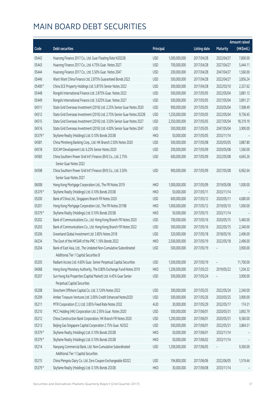|         |                                                                          |            |               |                     |                 | <b>Amount raised</b> |
|---------|--------------------------------------------------------------------------|------------|---------------|---------------------|-----------------|----------------------|
| Code    | <b>Debt securities</b>                                                   | Principal  |               | <b>Listing date</b> | <b>Maturity</b> | (HK\$mil.)           |
| 05442   | Huarong Finance 2017 Co., Ltd. Guar Floating Rate N2022B                 | <b>USD</b> | 1,000,000,000 | 2017/04/28          | 2022/04/27      | 7,800.00             |
| 05443   | Huarong Finance 2017 Co., Ltd. 4.75% Guar. Notes 2027                    | <b>USD</b> | 700,000,000   | 2017/04/28          | 2027/04/27      | 5,444.11             |
| 05444   | Huarong Finance 2017 Co., Ltd. 5.50% Guar. Notes 2047                    | <b>USD</b> | 200,000,000   | 2017/04/28          | 2047/04/27      | 1,560.00             |
| 05446   | Want Want China Finance Ltd. 2.875% Guaranteed Bonds 2022                | <b>USD</b> | 500,000,000   | 2017/04/28          | 2022/04/27      | 3,856.24             |
| 05400 # | China SCE Property Holdings Ltd. 5.875% Senior Notes 2022                | <b>USD</b> | 300,000,000   | 2017/04/28          | 2022/03/10      | 2,327.62             |
| 05448   | Rongshi International Finance Ltd. 2.875% Guar. Notes 2022               | <b>USD</b> | 500,000,000   | 2017/05/05          | 2022/05/04      | 3,881.13             |
| 05449   | Rongshi International Finance Ltd. 3.625% Guar. Notes 2027               | <b>USD</b> | 500,000,000   | 2017/05/05          | 2027/05/04      | 3,891.27             |
| 04511   | State Grid Overseas Investment (2016) Ltd. 2.25% Senior Guar Notes 2020  | <b>USD</b> | 900,000,000   | 2017/05/05          | 2020/05/04      | 7,008.49             |
| 04512   | State Grid Overseas Investment (2016) Ltd. 2.75% Senior Guar Notes 2022B | <b>USD</b> | 1,250,000,000 | 2017/05/05          | 2022/05/04      | 9,736.45             |
| 04515   | State Grid Overseas Investment (2016) Ltd. 3.50% Senior Guar Notes 2027  | <b>USD</b> | 2,350,000,000 | 2017/05/05          | 2027/05/04      | 18,319.19            |
| 04516   | State Grid Overseas Investment (2016) Ltd. 4.00% Senior Guar Notes 2047  | <b>USD</b> | 500,000,000   | 2017/05/05          | 2047/05/04      | 3,900.00             |
| 05379 # | Skyfame Realty (Holdings) Ltd. 0.10% Bonds 2033B                         | <b>HKD</b> | 50,000,000    | 2017/05/05          | 2033/11/14      |                      |
| 04581   | China Minsheng Banking Corp., Ltd. HK Branch 2.50% Notes 2020            | <b>USD</b> | 500,000,000   | 2017/05/08          | 2020/05/05      | 3,887.80             |
| 04518   | SOCAM Development Ltd. 6.25% Senior Notes 2020                           | <b>USD</b> | 200,000,000   | 2017/05/09          | 2020/05/08      | 1,560.00             |
| 04583   | China Southern Power Grid Int'l Finance (BVI) Co., Ltd. 2.75%            | <b>USD</b> | 600,000,000   | 2017/05/09          | 2022/05/08      | 4,665.26             |
|         | Senior Guar Notes 2022                                                   |            |               |                     |                 |                      |
| 04598   | China Southern Power Grid Int'l Finance (BVI) Co., Ltd. 3.50%            | <b>USD</b> | 900,000,000   | 2017/05/09          | 2027/05/08      | 6,962.64             |
|         | Senior Guar Notes 2027                                                   |            |               |                     |                 |                      |
| 06008   | Hong Kong Mortgage Corporation Ltd., The FR Notes 2019                   | <b>HKD</b> | 1,000,000,000 | 2017/05/09          | 2019/05/08      | 1,000.00             |
| 05379 # | Skyfame Realty (Holdings) Ltd. 0.10% Bonds 2033B                         | <b>HKD</b> | 50,000,000    | 2017/05/11          | 2033/11/14      |                      |
| 05200   | Bank of China Ltd., Singapore Branch FR Notes 2020                       | <b>USD</b> | 600,000,000   | 2017/05/12          | 2020/05/11      | 4,680.00             |
| 05201   | Hong Kong Mortgage Corporation Ltd., The FR Notes 2019B                  | <b>HKD</b> | 1,000,000,000 | 2017/05/12          | 2019/05/10      | 1,000.00             |
| 05379 # | Skyfame Realty (Holdings) Ltd. 0.10% Bonds 2033B                         | <b>HKD</b> | 50,000,000    | 2017/05/15          | 2033/11/14      |                      |
| 05202   | Bank of Communications Co., Ltd. Hong Kong Branch FR Notes 2020          | <b>USD</b> | 700,000,000   | 2017/05/16          | 2020/05/15      | 5,460.00             |
| 05203   | Bank of Communications Co., Ltd. Hong Kong Branch FR Notes 2022          | <b>USD</b> | 300,000,000   | 2017/05/16          | 2022/05/15      | 2,340.00             |
| 05206   | Greenland Global Investment Ltd. 3.85% Notes 2018                        | <b>USD</b> | 320,000,000   | 2017/05/18          | 2018/05/16      | 2,496.00             |
| 04234   | The Govt of the HKSAR of the PRC 1.16% Bonds 2022                        | <b>HKD</b> | 2,500,000,000 | 2017/05/19          | 2022/05/18      | 2,496.00             |
| 05204   | Bank of East Asia, Ltd., The Undated Non-Cumulative Subordinated         | <b>USD</b> | 500,000,000   | 2017/05/19          |                 | 3,900.00             |
|         | Additional Tier 1 Capital Securities B                                   |            |               |                     |                 |                      |
| 05205   | Radiant Access Ltd. 4.60% Guar. Senior Perpetual Capital Securities      | <b>USD</b> | 1,500,000,000 | 2017/05/19          |                 | 11,700.00            |
| 04068   | Hong Kong Monetary Authority, The 0.80% Exchange Fund Notes 2019         | <b>HKD</b> | 1,200,000,000 | 2017/05/23          | 2019/05/22      | 1,204.32             |
| 05207   | Sun Hung Kai Properties (Capital Market) Ltd. 4.45% Guar Senior          | <b>USD</b> | 500,000,000   | 2017/05/24          |                 | 3,900.00             |
|         | Perpetual Capital Securities                                             |            |               |                     |                 |                      |
| 05208   | Sinochem Offshore Capital Co. Ltd. 3.124% Notes 2022                     | <b>USD</b> | 300,000,000   | 2017/05/25          | 2022/05/24      | 2,340.00             |
| 05209   | Amber Treasure Ventures Ltd. 3.00% Credit Enhanced Notes2020             | <b>USD</b> | 500,000,000   | 2017/05/26          | 2020/05/25      | 3,900.00             |
| 05211   | MTR Corporation (C.I.) Ltd. 3.85% Fixed Rate Notes 2032                  | <b>AUD</b> | 30,000,000    | 2017/05/29          | 2032/05/17      | 174.31               |
| 05210   | MCC Holding (HK) Corporation Ltd. 2.95% Guar. Notes 2020                 | <b>USD</b> | 500,000,000   | 2017/06/01          | 2020/05/31      | 3,892.79             |
| 05212   | China Construction Bank Corporation, HK Branch FR Notes 2020             | <b>USD</b> | 1,200,000,000 | 2017/06/01          | 2020/05/31      | 9,360.00             |
| 05213   | Beijing Gas Singapore Capital Corporation 2.75% Guar. N2022              | <b>USD</b> | 500,000,000   | 2017/06/01          | 2022/05/31      | 3,864.51             |
| 05379 # | Skyfame Realty (Holdings) Ltd. 0.10% Bonds 2033B                         | <b>HKD</b> | 50,000,000    | 2017/06/01          | 2033/11/14      |                      |
| 05379 # | Skyfame Realty (Holdings) Ltd. 0.10% Bonds 2033B                         | <b>HKD</b> | 50,000,000    | 2017/06/02          | 2033/11/14      |                      |
| 05214   | Nanyang Commercial Bank, Ltd. Non-Cumulative Subordinated                | <b>USD</b> | 1,200,000,000 | 2017/06/05          |                 | 9,360.00             |
|         | Additional Tier 1 Capital Securities                                     |            |               |                     |                 |                      |
| 05215   | China Mengniu Dairy Co. Ltd. Zero Coupon Exchangeable B2022              | <b>USD</b> | 194,800,000   | 2017/06/06          | 2022/06/05      | 1,519.44             |
| 05379 # | Skyfame Realty (Holdings) Ltd. 0.10% Bonds 2033B                         | <b>HKD</b> | 30,000,000    | 2017/06/08          | 2033/11/14      |                      |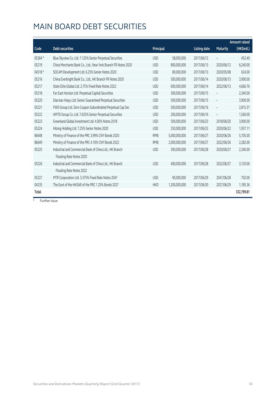|         |                                                               |            |               |                     |                          | Amount raised |
|---------|---------------------------------------------------------------|------------|---------------|---------------------|--------------------------|---------------|
| Code    | <b>Debt securities</b>                                        | Principal  |               | <b>Listing date</b> | <b>Maturity</b>          | (HK\$mil.)    |
| 05364 # | Blue Skyview Co. Ltd. 7.125% Senior Perpetual Securities      | <b>USD</b> | 58,000,000    | 2017/06/12          | $\overline{\phantom{a}}$ | 452.40        |
| 05219   | China Merchants Bank Co., Ltd., New York Branch FR Notes 2020 | <b>USD</b> | 800,000,000   | 2017/06/13          | 2020/06/12               | 6,240.00      |
| 04518#  | SOCAM Development Ltd. 6.25% Senior Notes 2020                | <b>USD</b> | 80,000,000    | 2017/06/13          | 2020/05/08               | 624.00        |
| 05216   | China Everbright Bank Co., Ltd., HK Branch FR Notes 2020      | <b>USD</b> | 500,000,000   | 2017/06/14          | 2020/06/13               | 3,900.00      |
| 05217   | State Elite Global Ltd. 2.75% Fixed Rate Notes 2022           | <b>USD</b> | 600,000,000   | 2017/06/14          | 2022/06/13               | 4,666.76      |
| 05218   | Far East Horizon Ltd. Perpetual Capital Securities            | <b>USD</b> | 300,000,000   | 2017/06/15          |                          | 2,340.00      |
| 05220   | DianJian Haiyu Ltd. Senior Guaranteed Perpetual Securities    | <b>USD</b> | 500,000,000   | 2017/06/15          |                          | 3,900.00      |
| 05221   | FWD Group Ltd. Zero Coupon Subordinated Perpetual Cap Sec     | <b>USD</b> | 500,000,000   | 2017/06/16          | $\overline{\phantom{a}}$ | 2,815.37      |
| 05222   | AMTD Group Co. Ltd. 7.625% Senior Perpetual Securities        | <b>USD</b> | 200,000,000   | 2017/06/16          |                          | 1,560.00      |
| 05223   | Greenland Global Investment Ltd. 4.00% Notes 2018             | <b>USD</b> | 500,000,000   | 2017/06/23          | 2018/06/20               | 3,900.00      |
| 05224   | Hilong Holding Ltd. 7.25% Senior Notes 2020                   | <b>USD</b> | 250,000,000   | 2017/06/23          | 2020/06/22               | 1,937.11      |
| 86648   | Ministry of Finance of the PRC 3.99% CNY Bonds 2020           | <b>RMB</b> | 5,000,000,000 | 2017/06/27          | 2020/06/26               | 5,705.00      |
| 86649   | Ministry of Finance of the PRC 4.10% CNY Bonds 2022           | <b>RMB</b> | 2,000,000,000 | 2017/06/27          | 2022/06/26               | 2,282.00      |
| 05225   | Industrial and Commercial Bank of China Ltd., HK Branch       | <b>USD</b> | 300,000,000   | 2017/06/28          | 2020/06/27               | 2,340.00      |
|         | Floating Rate Notes 2020                                      |            |               |                     |                          |               |
| 05226   | Industrial and Commercial Bank of China Ltd., HK Branch       | <b>USD</b> | 400,000,000   | 2017/06/28          | 2022/06/27               | 3,120.00      |
|         | Floating Rate Notes 2022                                      |            |               |                     |                          |               |
| 05227   | MTR Corporation Ltd. 3.375% Fixed Rate Notes 2047             | <b>USD</b> | 90,000,000    | 2017/06/29          | 2047/06/28               | 702.00        |
| 04235   | The Govt of the HKSAR of the PRC 1.25% Bonds 2027             | <b>HKD</b> | 1,200,000,000 | 2017/06/30          | 2027/06/29               | 1,185.36      |
| Total   |                                                               |            |               |                     |                          | 332,799.81    |

# Further issue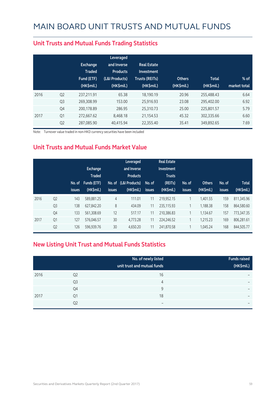|      |                | <b>Exchange</b><br><b>Traded</b><br>Fund (ETF)<br>(HK\$mil.) | Leveraged<br>and Inverse<br><b>Products</b><br>(L&I Products)<br>(HK\$mil.) | <b>Real Estate</b><br>Investment<br><b>Trusts (REITs)</b><br>(HK\$mil.) | <b>Others</b><br>(HK\$mil.) | <b>Total</b><br>(HK\$mil.) | $%$ of<br>market total |
|------|----------------|--------------------------------------------------------------|-----------------------------------------------------------------------------|-------------------------------------------------------------------------|-----------------------------|----------------------------|------------------------|
| 2016 | Q <sub>2</sub> | 237,211.91                                                   | 65.38                                                                       | 18,190.19                                                               | 20.96                       | 255,488.43                 | 6.64                   |
|      | Q <sub>3</sub> | 269.308.99                                                   | 153.00                                                                      | 25.916.93                                                               | 23.08                       | 295,402.00                 | 6.92                   |
|      | Q4             | 200,178.89                                                   | 286.95                                                                      | 25,310.73                                                               | 25.00                       | 225,801.57                 | 5.79                   |
| 2017 | Q1             | 272.667.62                                                   | 8.468.18                                                                    | 21,154.53                                                               | 45.32                       | 302,335.66                 | 6.60                   |
|      | Q <sub>2</sub> | 287,085.90                                                   | 40,415.94                                                                   | 22,355.40                                                               | 35.41                       | 349,892.65                 | 7.69                   |

#### **Unit Trusts and Mutual Funds Trading Statistics**

Note: Turnover value traded in non-HKD currency securities have been included

#### **Unit Trusts and Mutual Funds Market Value**

|      |                | No. of<br><b>issues</b> | Exchange<br><b>Traded</b><br><b>Funds (ETF)</b><br>(HK\$mil.) | No. of<br><b>issues</b> | Leveraged<br>and Inverse<br><b>Products</b><br>(L&I Products)<br>(HK\$mil.) | No. of<br><b>issues</b> | <b>Real Estate</b><br>Investment<br><b>Trusts</b><br>(REITs)<br>(HK\$mil.) | No. of<br><b>issues</b> | <b>Others</b><br>(HK\$mil.) | No. of<br><b>issues</b> | <b>Total</b><br>(HK\$mil.) |
|------|----------------|-------------------------|---------------------------------------------------------------|-------------------------|-----------------------------------------------------------------------------|-------------------------|----------------------------------------------------------------------------|-------------------------|-----------------------------|-------------------------|----------------------------|
| 2016 | Q <sub>2</sub> | 143                     | 589.881.25                                                    | $\overline{4}$          | 111.01                                                                      | 11                      | 219.952.15                                                                 | 1                       | 1.401.55                    | 159                     | 811,345.96                 |
|      | Q <sub>3</sub> | 138                     | 627,842.20                                                    | 8                       | 434.09                                                                      | 11                      | 235,115.93                                                                 | 1                       | 1,188.38                    | 158                     | 864,580.60                 |
|      | Q4             | 133                     | 561,308.69                                                    | 12                      | 517.17                                                                      | 11                      | 210,386.83                                                                 | 1                       | 1,134.67                    | 157                     | 773,347.35                 |
| 2017 | Q <sub>1</sub> | 127                     | 576,046.57                                                    | 30                      | 4,773.28                                                                    | 11                      | 224,246.52                                                                 | 1                       | 1.215.23                    | 169                     | 806.281.61                 |
|      | Q <sub>2</sub> | 126                     | 596,939.76                                                    | 30                      | 4,650.20                                                                    | 11                      | 241,870.58                                                                 | 1                       | 1,045.24                    | 168                     | 844,505.77                 |

#### **New Listing Unit Trust and Mutual Funds Statistics**

|      |                | No. of newly listed<br>unit trust and mutual funds | <b>Funds raised</b><br>(HK\$mil.) |
|------|----------------|----------------------------------------------------|-----------------------------------|
| 2016 | Q <sub>2</sub> | 16                                                 | $\overline{\phantom{0}}$          |
|      | Q <sub>3</sub> | 4                                                  | $\overline{\phantom{0}}$          |
|      | Q4             | 9                                                  | $\overline{\phantom{0}}$          |
| 2017 | Q1             | 18                                                 | $\overline{\phantom{0}}$          |
|      | Q <sub>2</sub> | $\overline{\phantom{0}}$                           | $\overline{\phantom{0}}$          |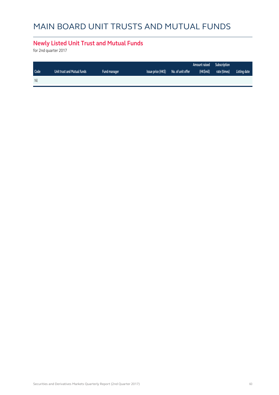# MAIN BOARD UNIT TRUSTS AND MUTUAL FUNDS

#### **Newly Listed Unit Trust and Mutual Funds**

for 2nd quarter 2017

|      |                             |                     |                    |                   | Amount raised | Subscription |              |
|------|-----------------------------|---------------------|--------------------|-------------------|---------------|--------------|--------------|
| Code | Unit trust and Mutual funds | <b>Fund manager</b> | Issue price (HK\$) | No. of unit offer | (HK\$mil)     | rate (times) | Listing date |
| Nil  |                             |                     |                    |                   |               |              |              |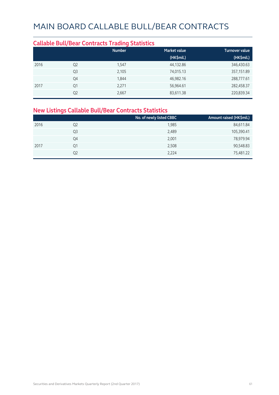#### **Callable Bull/Bear Contracts Trading Statistics Market value Community Community Community** Turnover value  **(HK\$mil.) (HK\$mil.)** 2016 Q2 1,547 44,132.86 346,430.63  $Q3$  2,105 357,151.89 357,151.89 Q4 1,844 46,982.16 288,777.61 2017 Q1 2,271 56,964.61 282,458.37  $Q2$  270,839.34  $Q3$ ,667  $Q4$  83,611.38 220,839.34

#### **New Listings Callable Bull/Bear Contracts Statistics**

|      |                | No. of newly listed CBBC | Amount raised (HK\$mil.) |
|------|----------------|--------------------------|--------------------------|
| 2016 | Q <sub>2</sub> | 1,985                    | 84,611.84                |
|      | Q3             | 2,489                    | 105,390.41               |
|      | Q4             | 2,001                    | 78,979.94                |
| 2017 | Q1             | 2,508                    | 90,548.83                |
|      | Q2             | 2,224                    | 75,481.22                |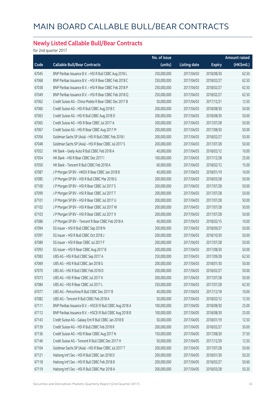#### **Newly Listed Callable Bull/Bear Contracts**

for 2nd quarter 2017

|       |                                                          | No. of issue |                     |               | Amount raised |
|-------|----------------------------------------------------------|--------------|---------------------|---------------|---------------|
| Code  | <b>Callable Bull/Bear Contracts</b>                      | (units)      | <b>Listing date</b> | <b>Expiry</b> | (HK\$mil.)    |
| 67045 | BNP Paribas Issuance B.V. - HSI R Bull CBBC Aug 2018 L   | 250,000,000  | 2017/04/03          | 2018/08/30    | 62.50         |
| 67068 | BNP Paribas Issuance B.V. - HSI R Bear CBBC Feb 2018 C   | 250,000,000  | 2017/04/03          | 2018/02/27    | 62.50         |
| 67038 | BNP Paribas Issuance B.V. - HSI R Bear CBBC Feb 2018 P   | 250,000,000  | 2017/04/03          | 2018/02/27    | 62.50         |
| 67049 | BNP Paribas Issuance B.V. - HSI R Bear CBBC Feb 2018 Q   | 250,000,000  | 2017/04/03          | 2018/02/27    | 62.50         |
| 67062 | Credit Suisse AG - China Mobile R Bear CBBC Dec 2017 B   | 50,000,000   | 2017/04/03          | 2017/12/21    | 12.50         |
| 67060 | Credit Suisse AG - HSI R Bull CBBC Aug 2018 C            | 200,000,000  | 2017/04/03          | 2018/08/30    | 50.00         |
| 67063 | Credit Suisse AG - HSI R Bull CBBC Aug 2018 D            | 200,000,000  | 2017/04/03          | 2018/08/30    | 50.00         |
| 67065 | Credit Suisse AG - HSI R Bear CBBC Jul 2017 A            | 200,000,000  | 2017/04/03          | 2017/07/28    | 50.00         |
| 67067 | Credit Suisse AG - HSI R Bear CBBC Aug 2017 M            | 200,000,000  | 2017/04/03          | 2017/08/30    | 50.00         |
| 67056 | Goldman Sachs SP (Asia) - HSI R Bull CBBC Feb 2018 I     | 200,000,000  | 2017/04/03          | 2018/02/27    | 50.00         |
| 67048 | Goldman Sachs SP (Asia) - HSI R Bear CBBC Jul 2017 S     | 200,000,000  | 2017/04/03          | 2017/07/28    | 50.00         |
| 67052 | HK Bank - Geely Auto R Bull CBBC Feb 2018 A              | 40,000,000   | 2017/04/03          | 2018/02/12    | 10.00         |
| 67054 | HK Bank - HSI R Bear CBBC Dec 2017 I                     | 100,000,000  | 2017/04/03          | 2017/12/28    | 25.00         |
| 67050 | HK Bank - Tencent R Bull CBBC Feb 2018 A                 | 60,000,000   | 2017/04/03          | 2018/02/12    | 15.00         |
| 67087 | J P Morgan SP BV - HKEX R Bear CBBC Jan 2018 B           | 40,000,000   | 2017/04/03          | 2018/01/19    | 10.00         |
| 67085 | J P Morgan SP BV - HSI R Bull CBBC Mar 2018 G            | 200,000,000  | 2017/04/03          | 2018/03/28    | 50.00         |
| 67100 | J P Morgan SP BV - HSI R Bear CBBC Jul 2017 S            | 200,000,000  | 2017/04/03          | 2017/07/28    | 50.00         |
| 67099 | J P Morgan SP BV - HSI R Bear CBBC Jul 2017 T            | 200,000,000  | 2017/04/03          | 2017/07/28    | 50.00         |
| 67101 | J P Morgan SP BV - HSI R Bear CBBC Jul 2017 U            | 200,000,000  | 2017/04/03          | 2017/07/28    | 50.00         |
| 67102 | J P Morgan SP BV - HSI R Bear CBBC Jul 2017 W            | 200,000,000  | 2017/04/03          | 2017/07/28    | 50.00         |
| 67103 | J P Morgan SP BV - HSI R Bear CBBC Jul 2017 X            | 200,000,000  | 2017/04/03          | 2017/07/28    | 50.00         |
| 67086 | J P Morgan SP BV - Tencent R Bear CBBC Feb 2018 A        | 40,000,000   | 2017/04/03          | 2018/02/15    | 10.00         |
| 67094 | SG Issuer - HSI R Bull CBBC Sep 2018 N                   | 200,000,000  | 2017/04/03          | 2018/09/27    | 50.00         |
| 67097 | SG Issuer - HSI R Bull CBBC Oct 2018 J                   | 200,000,000  | 2017/04/03          | 2018/10/30    | 50.00         |
| 67089 | SG Issuer - HSI R Bear CBBC Jul 2017 F                   | 200,000,000  | 2017/04/03          | 2017/07/28    | 50.00         |
| 67093 | SG Issuer - HSI R Bear CBBC Aug 2017 B                   | 200,000,000  | 2017/04/03          | 2017/08/30    | 50.00         |
| 67083 | UBS AG - HSI R Bull CBBC Sep 2017 A                      | 250,000,000  | 2017/04/03          | 2017/09/28    | 62.50         |
| 67069 | UBS AG - HSI R Bull CBBC Jan 2018 G                      | 200,000,000  | 2017/04/03          | 2018/01/30    | 50.00         |
| 67070 | UBS AG - HSI R Bull CBBC Feb 2018 D                      | 200,000,000  | 2017/04/03          | 2018/02/27    | 50.00         |
| 67073 | UBS AG - HSI R Bear CBBC Jul 2017 K                      | 200,000,000  | 2017/04/03          | 2017/07/28    | 50.00         |
| 67084 | UBS AG - HSI R Bear CBBC Jul 2017 L                      | 250,000,000  | 2017/04/03          | 2017/07/28    | 62.50         |
| 67077 | UBS AG - Petrochina R Bull CBBC Dec 2017 B               | 40,000,000   | 2017/04/03          | 2017/12/18    | 10.00         |
| 67082 | UBS AG - Tencent R Bull CBBC Feb 2018 A                  | 50,000,000   | 2017/04/03          | 2018/02/12    | 12.50         |
| 67111 | BNP Paribas Issuance B.V. - HSCEI R Bull CBBC Aug 2018 A | 100,000,000  | 2017/04/05          | 2018/08/30    | 25.00         |
| 67112 | BNP Paribas Issuance B.V. - HSCEI R Bull CBBC Aug 2018 B | 100,000,000  | 2017/04/05          | 2018/08/30    | 25.00         |
| 67143 | Credit Suisse AG - Galaxy Ent R Bull CBBC Jan 2018 B     | 50,000,000   | 2017/04/05          | 2018/01/19    | 12.50         |
| 67139 | Credit Suisse AG - HSI R Bull CBBC Feb 2018 R            | 200,000,000  | 2017/04/05          | 2018/02/27    | 50.00         |
| 67136 | Credit Suisse AG - HSI R Bear CBBC Aug 2017 N            | 150,000,000  | 2017/04/05          | 2017/08/30    | 37.50         |
| 67146 | Credit Suisse AG - Tencent R Bull CBBC Dec 2017 H        | 50,000,000   | 2017/04/05          | 2017/12/29    | 12.50         |
| 67104 | Goldman Sachs SP (Asia) - HSI R Bear CBBC Jul 2017 T     | 200,000,000  | 2017/04/05          | 2017/07/28    | 50.00         |
| 67121 | Haitong Int'l Sec - HSI R Bull CBBC Jan 2018 D           | 200,000,000  | 2017/04/05          | 2018/01/30    | 50.20         |
| 67118 | Haitong Int'l Sec - HSI R Bull CBBC Feb 2018 B           | 200,000,000  | 2017/04/05          | 2018/02/27    | 50.60         |
| 67119 | Haitong Int'l Sec - HSI R Bull CBBC Mar 2018 A           | 200,000,000  | 2017/04/05          | 2018/03/28    | 50.20         |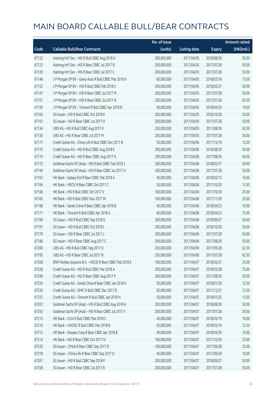|       |                                                          | No. of issue |                     |               | <b>Amount raised</b> |
|-------|----------------------------------------------------------|--------------|---------------------|---------------|----------------------|
| Code  | <b>Callable Bull/Bear Contracts</b>                      | (units)      | <b>Listing date</b> | <b>Expiry</b> | (HK\$mil.)           |
| 67122 | Haitong Int'l Sec - HSI R Bull CBBC Aug 2018 A           | 200,000,000  | 2017/04/05          | 2018/08/30    | 50.20                |
| 67123 | Haitong Int'l Sec - HSI R Bear CBBC Jul 2017 B           | 200,000,000  | 2017/04/05          | 2017/07/28    | 50.00                |
| 67129 | Haitong Int'l Sec - HSI R Bear CBBC Jul 2017 C           | 200,000,000  | 2017/04/05          | 2017/07/28    | 50.00                |
| 67148 | J P Morgan SP BV - Geely Auto R Bull CBBC Mar 2018 A     | 60,000,000   | 2017/04/05          | 2018/03/16    | 15.00                |
| 67152 | JP Morgan SP BV - HSIR Bull CBBC Feb 2018 C              | 200,000,000  | 2017/04/05          | 2018/02/27    | 50.00                |
| 67147 | J P Morgan SP BV - HSI R Bear CBBC Jul 2017 M            | 200,000,000  | 2017/04/05          | 2017/07/28    | 50.00                |
| 67151 | J P Morgan SP BV - HSI R Bear CBBC Jul 2017 N            | 250,000,000  | 2017/04/05          | 2017/07/28    | 62.50                |
| 67150 | J P Morgan SP BV - Tencent R Bull CBBC Apr 2018 B        | 40,000,000   | 2017/04/05          | 2018/04/20    | 10.00                |
| 67163 | SG Issuer - HSI R Bull CBBC Oct 2018 K                   | 200,000,000  | 2017/04/05          | 2018/10/30    | 50.00                |
| 67161 | SG Issuer - HSI R Bear CBBC Jul 2017 H                   | 200,000,000  | 2017/04/05          | 2017/07/28    | 50.00                |
| 67134 | UBS AG - HSI R Bull CBBC Aug 2017 X                      | 250,000,000  | 2017/04/05          | 2017/08/30    | 62.50                |
| 67130 | UBS AG - HSI R Bear CBBC Jul 2017 M                      | 200,000,000  | 2017/04/05          | 2017/07/28    | 50.00                |
| 67177 | Credit Suisse AG - China Life R Bull CBBC Dec 2017 B     | 50,000,000   | 2017/04/06          | 2017/12/14    | 12.50                |
| 67175 | Credit Suisse AG - HSI R Bull CBBC Aug 2018 E            | 200,000,000  | 2017/04/06          | 2018/08/30    | 50.00                |
| 67174 | Credit Suisse AG - HSI R Bear CBBC Aug 2017 O            | 200,000,000  | 2017/04/06          | 2017/08/30    | 50.00                |
| 67172 | Goldman Sachs SP (Asia) - HSI R Bull CBBC Feb 2018 J     | 200,000,000  | 2017/04/06          | 2018/02/27    | 50.00                |
| 67194 | Goldman Sachs SP (Asia) - HSI R Bear CBBC Jul 2017 U     | 200,000,000  | 2017/04/06          | 2017/07/28    | 50.00                |
| 67167 | HK Bank - Galaxy Ent R Bear CBBC Feb 2018 A              | 40,000,000   | 2017/04/06          | 2018/02/12    | 10.00                |
| 67164 | HK Bank - HSCEI R Bear CBBC Oct 2017 C                   | 50,000,000   | 2017/04/06          | 2017/10/30    | 12.50                |
| 67166 | HK Bank - HSI R Bull CBBC Oct 2017 V                     | 100,000,000  | 2017/04/06          | 2017/10/30    | 25.00                |
| 67165 | HK Bank - HSI R Bull CBBC Nov 2017 W                     | 100,000,000  | 2017/04/06          | 2017/11/29    | 25.00                |
| 67168 | HK Bank - Sands China R Bear CBBC Apr 2018 B             | 40,000,000   | 2017/04/06          | 2018/04/23    | 10.00                |
| 67171 | HK Bank - Tencent R Bull CBBC Apr 2018 A                 | 60,000,000   | 2017/04/06          | 2018/04/23    | 15.00                |
| 67190 | SG Issuer - HSI R Bull CBBC Sep 2018 O                   | 200,000,000  | 2017/04/06          | 2018/09/27    | 50.00                |
| 67191 | SG Issuer - HSI R Bull CBBC Oct 2018 L                   | 200,000,000  | 2017/04/06          | 2018/10/30    | 50.00                |
| 67179 | SG Issuer - HSI R Bear CBBC Jul 2017 J                   | 200,000,000  | 2017/04/06          | 2017/07/28    | 50.00                |
| 67186 | SG Issuer - HSI R Bear CBBC Aug 2017 C                   | 200,000,000  | 2017/04/06          | 2017/08/30    | 50.00                |
| 67206 | UBS AG - HSI R Bull CBBC Sep 2017 O                      | 250,000,000  | 2017/04/06          | 2017/09/28    | 62.50                |
| 67195 | UBS AG - HSI R Bear CBBC Jul 2017 N                      | 250,000,000  | 2017/04/06          | 2017/07/28    | 62.50                |
| 67208 | BNP Paribas Issuance B.V. - HSCEI R Bear CBBC Feb 2018 E | 100,000,000  | 2017/04/07          | 2018/02/27    | 25.00                |
| 67228 | Credit Suisse AG - HSI R Bull CBBC Mar 2018 A            | 300,000,000  | 2017/04/07          | 2018/03/28    | 75.00                |
| 67246 | Credit Suisse AG - HSI R Bear CBBC Aug 2017 P            | 200,000,000  | 2017/04/07          | 2017/08/30    | 50.00                |
| 67229 | Credit Suisse AG - Sands China R Bear CBBC Jan 2018 A    | 50,000,000   | 2017/04/07          | 2018/01/26    | 12.50                |
| 67230 | Credit Suisse AG - SMIC R Bull CBBC Dec 2017 B           | 50,000,000   | 2017/04/07          | 2017/12/21    | 12.50                |
| 67231 | Credit Suisse AG - Tencent R Bull CBBC Jan 2018 H        | 50,000,000   | 2017/04/07          | 2018/01/25    | 12.50                |
| 67207 | Goldman Sachs SP (Asia) - HSI R Bull CBBC Aug 2018 A     | 200,000,000  | 2017/04/07          | 2018/08/30    | 50.00                |
| 67255 | Goldman Sachs SP (Asia) - HSI R Bear CBBC Jul 2017 V     | 200,000,000  | 2017/04/07          | 2017/07/28    | 50.00                |
| 67213 | HK Bank - CUni R Bull CBBC Mar 2018 C                    | 40,000,000   | 2017/04/07          | 2018/03/19    | 10.00                |
| 67210 | HK Bank - CNOOC R Bull CBBC Mar 2018 B                   | 50,000,000   | 2017/04/07          | 2018/03/19    | 12.50                |
| 67212 | HK Bank - Sinopec Corp R Bear CBBC Apr 2018 B            | 40,000,000   | 2017/04/07          | 2018/04/30    | 10.00                |
| 67214 | HK Bank - HSI R Bear CBBC Oct 2017 N                     | 100,000,000  | 2017/04/07          | 2017/10/30    | 25.00                |
| 67220 | SG Issuer - CMob R Bear CBBC Sep 2017 B                  | 100,000,000  | 2017/04/07          | 2017/09/28    | 25.00                |
| 67218 | SG Issuer - China Life R Bear CBBC Sep 2017 D            | 40,000,000   | 2017/04/07          | 2017/09/28    | 10.00                |
| 67261 | SG Issuer - HSI R Bull CBBC Sep 2018 P                   | 200,000,000  | 2017/04/07          | 2018/09/27    | 50.00                |
| 67258 | SG Issuer - HSI R Bear CBBC Jul 2017 B                   | 200,000,000  | 2017/04/07          | 2017/07/28    | 50.00                |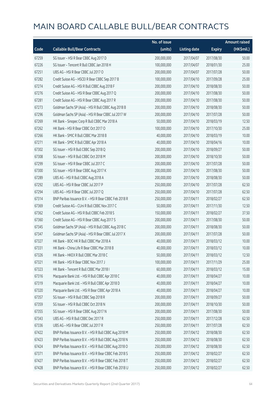|       |                                                        | No. of issue |                     |               | <b>Amount raised</b> |
|-------|--------------------------------------------------------|--------------|---------------------|---------------|----------------------|
| Code  | <b>Callable Bull/Bear Contracts</b>                    | (units)      | <b>Listing date</b> | <b>Expiry</b> | (HK\$mil.)           |
| 67259 | SG Issuer - HSI R Bear CBBC Aug 2017 D                 | 200,000,000  | 2017/04/07          | 2017/08/30    | 50.00                |
| 67226 | SG Issuer - Tencent R Bull CBBC Jan 2018 H             | 100,000,000  | 2017/04/07          | 2018/01/30    | 25.00                |
| 67251 | UBS AG - HSI R Bear CBBC Jul 2017 O                    | 200,000,000  | 2017/04/07          | 2017/07/28    | 50.00                |
| 67282 | Credit Suisse AG - HSCEI R Bear CBBC Sep 2017 B        | 100,000,000  | 2017/04/10          | 2017/09/28    | 25.00                |
| 67274 | Credit Suisse AG - HSI R Bull CBBC Aug 2018 F          | 200,000,000  | 2017/04/10          | 2018/08/30    | 50.00                |
| 67276 | Credit Suisse AG - HSI R Bear CBBC Aug 2017 Q          | 200,000,000  | 2017/04/10          | 2017/08/30    | 50.00                |
| 67281 | Credit Suisse AG - HSI R Bear CBBC Aug 2017 R          | 200,000,000  | 2017/04/10          | 2017/08/30    | 50.00                |
| 67273 | Goldman Sachs SP (Asia) - HSI R Bull CBBC Aug 2018 B   | 200,000,000  | 2017/04/10          | 2018/08/30    | 50.00                |
| 67296 | Goldman Sachs SP (Asia) - HSI R Bear CBBC Jul 2017 W   | 200,000,000  | 2017/04/10          | 2017/07/28    | 50.00                |
| 67269 | HK Bank - Sinopec Corp R Bull CBBC Mar 2018 A          | 50,000,000   | 2017/04/10          | 2018/03/19    | 12.50                |
| 67262 | HK Bank - HSI R Bear CBBC Oct 2017 O                   | 100,000,000  | 2017/04/10          | 2017/10/30    | 25.00                |
| 67266 | HK Bank - SMIC R Bull CBBC Mar 2018 B                  | 40,000,000   | 2017/04/10          | 2018/03/19    | 10.00                |
| 67271 | HK Bank - SMIC R Bull CBBC Apr 2018 A                  | 40,000,000   | 2017/04/10          | 2018/04/16    | 10.00                |
| 67302 | SG Issuer - HSI R Bull CBBC Sep 2018 Q                 | 200,000,000  | 2017/04/10          | 2018/09/27    | 50.00                |
| 67308 | SG Issuer - HSI R Bull CBBC Oct 2018 M                 | 200,000,000  | 2017/04/10          | 2018/10/30    | 50.00                |
| 67299 | SG Issuer - HSI R Bear CBBC Jul 2017 C                 | 200,000,000  | 2017/04/10          | 2017/07/28    | 50.00                |
| 67300 | SG Issuer - HSI R Bear CBBC Aug 2017 K                 | 200,000,000  | 2017/04/10          | 2017/08/30    | 50.00                |
| 67289 | UBS AG - HSI R Bull CBBC Aug 2018 A                    | 200,000,000  | 2017/04/10          | 2018/08/30    | 50.00                |
| 67292 | UBS AG - HSI R Bear CBBC Jul 2017 P                    | 250,000,000  | 2017/04/10          | 2017/07/28    | 62.50                |
| 67294 | UBS AG - HSI R Bear CBBC Jul 2017 Q                    | 250,000,000  | 2017/04/10          | 2017/07/28    | 62.50                |
| 67314 | BNP Paribas Issuance B.V. - HSI R Bear CBBC Feb 2018 R | 250,000,000  | 2017/04/11          | 2018/02/27    | 62.50                |
| 67369 | Credit Suisse AG - CUni R Bull CBBC Nov 2017 C         | 50,000,000   | 2017/04/11          | 2017/11/30    | 12.50                |
| 67362 | Credit Suisse AG - HSI R Bull CBBC Feb 2018 S          | 150,000,000  | 2017/04/11          | 2018/02/27    | 37.50                |
| 67360 | Credit Suisse AG - HSI R Bear CBBC Aug 2017 S          | 200,000,000  | 2017/04/11          | 2017/08/30    | 50.00                |
| 67345 | Goldman Sachs SP (Asia) - HSI R Bull CBBC Aug 2018 C   | 200,000,000  | 2017/04/11          | 2018/08/30    | 50.00                |
| 67347 | Goldman Sachs SP (Asia) - HSI R Bear CBBC Jul 2017 X   | 200,000,000  | 2017/04/11          | 2017/07/28    | 50.00                |
| 67327 | HK Bank - BOC HK R Bull CBBC Mar 2018 A                | 40,000,000   | 2017/04/11          | 2018/03/12    | 10.00                |
| 67331 | HK Bank – China Life R Bear CBBC Mar 2018 B            | 40,000,000   | 2017/04/11          | 2018/03/12    | 10.00                |
| 67326 | HK Bank - HKEX R Bull CBBC Mar 2018 C                  | 50,000,000   | 2017/04/11          | 2018/03/12    | 12.50                |
| 67321 | HK Bank - HSI R Bear CBBC Nov 2017 J                   | 100,000,000  | 2017/04/11          | 2017/11/29    | 25.00                |
| 67323 | HK Bank - Tencent R Bull CBBC Mar 2018 I               | 60,000,000   | 2017/04/11          | 2018/03/12    | 15.00                |
| 67316 | Macquarie Bank Ltd. - HSI R Bull CBBC Apr 2018 C       | 40,000,000   | 2017/04/11          | 2018/04/27    | 10.00                |
| 67319 | Macquarie Bank Ltd. - HSI R Bull CBBC Apr 2018 D       | 40,000,000   | 2017/04/11          | 2018/04/27    | 10.00                |
| 67320 | Macquarie Bank Ltd. - HSI R Bear CBBC Apr 2018 A       | 40,000,000   | 2017/04/11          | 2018/04/27    | 10.00                |
| 67357 | SG Issuer - HSI R Bull CBBC Sep 2018 R                 | 200,000,000  | 2017/04/11          | 2018/09/27    | 50.00                |
| 67359 | SG Issuer - HSI R Bull CBBC Oct 2018 N                 | 200,000,000  | 2017/04/11          | 2018/10/30    | 50.00                |
| 67355 | SG Issuer - HSI R Bear CBBC Aug 2017 N                 | 200,000,000  | 2017/04/11          | 2017/08/30    | 50.00                |
| 67343 | UBS AG - HSI R Bull CBBC Dec 2017 R                    | 250,000,000  | 2017/04/11          | 2017/12/28    | 62.50                |
| 67336 | UBS AG - HSI R Bear CBBC Jul 2017 R                    | 250,000,000  | 2017/04/11          | 2017/07/28    | 62.50                |
| 67422 | BNP Paribas Issuance B.V. - HSI R Bull CBBC Aug 2018 M | 250,000,000  | 2017/04/12          | 2018/08/30    | 62.50                |
| 67423 | BNP Paribas Issuance B.V. - HSI R Bull CBBC Aug 2018 N | 250,000,000  | 2017/04/12          | 2018/08/30    | 62.50                |
| 67424 | BNP Paribas Issuance B.V. - HSI R Bull CBBC Aug 2018 O | 250,000,000  | 2017/04/12          | 2018/08/30    | 62.50                |
| 67371 | BNP Paribas Issuance B.V. - HSI R Bear CBBC Feb 2018 S | 250,000,000  | 2017/04/12          | 2018/02/27    | 62.50                |
| 67427 | BNP Paribas Issuance B.V. - HSI R Bear CBBC Feb 2018 T | 250,000,000  | 2017/04/12          | 2018/02/27    | 62.50                |
| 67428 | BNP Paribas Issuance B.V. - HSI R Bear CBBC Feb 2018 U | 250,000,000  | 2017/04/12          | 2018/02/27    | 62.50                |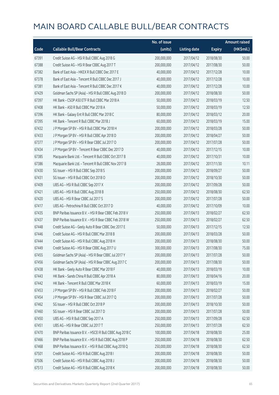|       |                                                          | No. of issue |                     |               | <b>Amount raised</b> |
|-------|----------------------------------------------------------|--------------|---------------------|---------------|----------------------|
| Code  | <b>Callable Bull/Bear Contracts</b>                      | (units)      | <b>Listing date</b> | <b>Expiry</b> | (HK\$mil.)           |
| 67391 | Credit Suisse AG - HSI R Bull CBBC Aug 2018 G            | 200,000,000  | 2017/04/12          | 2018/08/30    | 50.00                |
| 67388 | Credit Suisse AG - HSI R Bear CBBC Aug 2017 T            | 200,000,000  | 2017/04/12          | 2017/08/30    | 50.00                |
| 67382 | Bank of East Asia - HKEX R Bull CBBC Dec 2017 E          | 40,000,000   | 2017/04/12          | 2017/12/28    | 10.00                |
| 67378 | Bank of East Asia - Tencent R Bull CBBC Dec 2017 J       | 40,000,000   | 2017/04/12          | 2017/12/28    | 10.00                |
| 67381 | Bank of East Asia - Tencent R Bull CBBC Dec 2017 K       | 40,000,000   | 2017/04/12          | 2017/12/28    | 10.00                |
| 67429 | Goldman Sachs SP (Asia) - HSI R Bull CBBC Aug 2018 D     | 200,000,000  | 2017/04/12          | 2018/08/30    | 50.00                |
| 67397 | HK Bank - CSOP A50 ETF R Bull CBBC Mar 2018 A            | 50,000,000   | 2017/04/12          | 2018/03/19    | 12.50                |
| 67408 | HK Bank - A50 R Bull CBBC Mar 2018 A                     | 50,000,000   | 2017/04/12          | 2018/03/19    | 12.50                |
| 67396 | HK Bank - Galaxy Ent R Bull CBBC Mar 2018 C              | 80,000,000   | 2017/04/12          | 2018/03/12    | 20.00                |
| 67395 | HK Bank - Tencent R Bull CBBC Mar 2018 J                 | 60,000,000   | 2017/04/12          | 2018/03/19    | 15.00                |
| 67432 | J P Morgan SP BV - HSI R Bull CBBC Mar 2018 H            | 200,000,000  | 2017/04/12          | 2018/03/28    | 50.00                |
| 67433 | J P Morgan SP BV - HSI R Bull CBBC Apr 2018 D            | 200,000,000  | 2017/04/12          | 2018/04/27    | 50.00                |
| 67377 | J P Morgan SP BV - HSI R Bear CBBC Jul 2017 O            | 200,000,000  | 2017/04/12          | 2017/07/28    | 50.00                |
| 67434 | J P Morgan SP BV - Tencent R Bear CBBC Dec 2017 D        | 40,000,000   | 2017/04/12          | 2017/12/15    | 10.00                |
| 67385 | Macquarie Bank Ltd. - Tencent R Bull CBBC Oct 2017 B     | 40,000,000   | 2017/04/12          | 2017/10/31    | 10.00                |
| 67386 | Macquarie Bank Ltd. - Tencent R Bull CBBC Nov 2017 B     | 28,000,000   | 2017/04/12          | 2017/11/30    | 10.11                |
| 67430 | SG Issuer - HSI R Bull CBBC Sep 2018 S                   | 200,000,000  | 2017/04/12          | 2018/09/27    | 50.00                |
| 67431 | SG Issuer - HSI R Bull CBBC Oct 2018 O                   | 200,000,000  | 2017/04/12          | 2018/10/30    | 50.00                |
| 67409 | UBS AG - HSI R Bull CBBC Sep 2017 X                      | 200,000,000  | 2017/04/12          | 2017/09/28    | 50.00                |
| 67421 | UBS AG - HSI R Bull CBBC Aug 2018 B                      | 250,000,000  | 2017/04/12          | 2018/08/30    | 62.50                |
| 67420 | UBS AG - HSI R Bear CBBC Jul 2017 S                      | 200,000,000  | 2017/04/12          | 2017/07/28    | 50.00                |
| 67417 | UBS AG - Petrochina R Bull CBBC Oct 2017 D               | 40,000,000   | 2017/04/12          | 2017/10/09    | 10.00                |
| 67435 | BNP Paribas Issuance B.V. - HSI R Bear CBBC Feb 2018 V   | 250,000,000  | 2017/04/13          | 2018/02/27    | 62.50                |
| 67437 | BNP Paribas Issuance B.V. - HSI R Bear CBBC Feb 2018 W   | 250,000,000  | 2017/04/13          | 2018/02/27    | 62.50                |
| 67448 | Credit Suisse AG - Geely Auto R Bear CBBC Dec 2017 E     | 50,000,000   | 2017/04/13          | 2017/12/15    | 12.50                |
| 67446 | Credit Suisse AG - HSI R Bull CBBC Mar 2018 B            | 200,000,000  | 2017/04/13          | 2018/03/28    | 50.00                |
| 67444 | Credit Suisse AG - HSI R Bull CBBC Aug 2018 H            | 200,000,000  | 2017/04/13          | 2018/08/30    | 50.00                |
| 67449 | Credit Suisse AG - HSI R Bear CBBC Aug 2017 U            | 300,000,000  | 2017/04/13          | 2017/08/30    | 75.00                |
| 67455 | Goldman Sachs SP (Asia) - HSI R Bear CBBC Jul 2017 Y     | 200,000,000  | 2017/04/13          | 2017/07/28    | 50.00                |
| 67456 | Goldman Sachs SP (Asia) - HSI R Bear CBBC Aug 2017 C     | 200,000,000  | 2017/04/13          | 2017/08/30    | 50.00                |
| 67438 | HK Bank - Geely Auto R Bear CBBC Mar 2018 F              | 40,000,000   | 2017/04/13          | 2018/03/19    | 10.00                |
| 67443 | HK Bank - Sands China R Bull CBBC Apr 2018 A             | 80,000,000   | 2017/04/13          | 2018/04/16    | 20.00                |
| 67442 | HK Bank - Tencent R Bull CBBC Mar 2018 K                 | 60,000,000   | 2017/04/13          | 2018/03/19    | 15.00                |
| 67453 | J P Morgan SP BV - HSI R Bull CBBC Feb 2018 F            | 200,000,000  | 2017/04/13          | 2018/02/27    | 50.00                |
| 67454 | J P Morgan SP BV - HSI R Bear CBBC Jul 2017 Q            | 200,000,000  | 2017/04/13          | 2017/07/28    | 50.00                |
| 67462 | SG Issuer - HSI R Bull CBBC Oct 2018 P                   | 200,000,000  | 2017/04/13          | 2018/10/30    | 50.00                |
| 67460 | SG Issuer - HSI R Bear CBBC Jul 2017 D                   | 200,000,000  | 2017/04/13          | 2017/07/28    | 50.00                |
| 67450 | UBS AG - HSI R Bull CBBC Sep 2017 A                      | 250,000,000  | 2017/04/13          | 2017/09/28    | 62.50                |
| 67451 | UBS AG - HSI R Bear CBBC Jul 2017 T                      | 250,000,000  | 2017/04/13          | 2017/07/28    | 62.50                |
| 67470 | BNP Paribas Issuance B.V. - HSCEI R Bull CBBC Aug 2018 C | 100,000,000  | 2017/04/18          | 2018/08/30    | 25.00                |
| 67466 | BNP Paribas Issuance B.V. - HSI R Bull CBBC Aug 2018 P   | 250,000,000  | 2017/04/18          | 2018/08/30    | 62.50                |
| 67468 | BNP Paribas Issuance B.V. - HSI R Bull CBBC Aug 2018 Q   | 250,000,000  | 2017/04/18          | 2018/08/30    | 62.50                |
| 67501 | Credit Suisse AG - HSI R Bull CBBC Aug 2018 I            | 200,000,000  | 2017/04/18          | 2018/08/30    | 50.00                |
| 67506 | Credit Suisse AG - HSI R Bull CBBC Aug 2018 J            | 200,000,000  | 2017/04/18          | 2018/08/30    | 50.00                |
| 67513 | Credit Suisse AG - HSI R Bull CBBC Aug 2018 K            | 200,000,000  | 2017/04/18          | 2018/08/30    | 50.00                |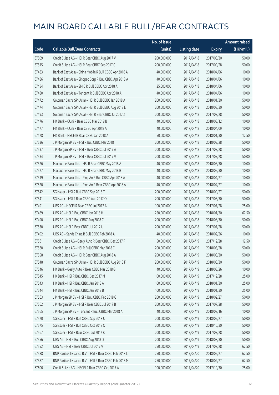|       |                                                         | No. of issue |                     |               | <b>Amount raised</b> |
|-------|---------------------------------------------------------|--------------|---------------------|---------------|----------------------|
| Code  | <b>Callable Bull/Bear Contracts</b>                     | (units)      | <b>Listing date</b> | <b>Expiry</b> | (HK\$mil.)           |
| 67509 | Credit Suisse AG - HSI R Bear CBBC Aug 2017 V           | 200,000,000  | 2017/04/18          | 2017/08/30    | 50.00                |
| 67515 | Credit Suisse AG - HSI R Bear CBBC Sep 2017 C           | 200,000,000  | 2017/04/18          | 2017/09/28    | 50.00                |
| 67483 | Bank of East Asia - China Mobile R Bull CBBC Apr 2018 A | 40,000,000   | 2017/04/18          | 2018/04/06    | 10.00                |
| 67486 | Bank of East Asia - Sinopec Corp R Bull CBBC Apr 2018 A | 40,000,000   | 2017/04/18          | 2018/04/06    | 10.00                |
| 67484 | Bank of East Asia - SMIC R Bull CBBC Apr 2018 A         | 25,000,000   | 2017/04/18          | 2018/04/06    | 10.00                |
| 67480 | Bank of East Asia - Tencent R Bull CBBC Apr 2018 A      | 40,000,000   | 2017/04/18          | 2018/04/06    | 10.00                |
| 67472 | Goldman Sachs SP (Asia) - HSI R Bull CBBC Jan 2018 A    | 200,000,000  | 2017/04/18          | 2018/01/30    | 50.00                |
| 67474 | Goldman Sachs SP (Asia) - HSI R Bull CBBC Aug 2018 E    | 200,000,000  | 2017/04/18          | 2018/08/30    | 50.00                |
| 67493 | Goldman Sachs SP (Asia) - HSI R Bear CBBC Jul 2017 Z    | 200,000,000  | 2017/04/18          | 2017/07/28    | 50.00                |
| 67476 | HK Bank - CUni R Bear CBBC Mar 2018 B                   | 40,000,000   | 2017/04/18          | 2018/03/12    | 10.00                |
| 67477 | HK Bank - CUni R Bear CBBC Apr 2018 A                   | 40,000,000   | 2017/04/18          | 2018/04/09    | 10.00                |
| 67478 | HK Bank - HSCEI R Bear CBBC Jan 2018 A                  | 50,000,000   | 2017/04/18          | 2018/01/30    | 12.50                |
| 67536 | J P Morgan SP BV - HSI R Bull CBBC Mar 2018 I           | 200,000,000  | 2017/04/18          | 2018/03/28    | 50.00                |
| 67537 | J P Morgan SP BV - HSI R Bear CBBC Jul 2017 A           | 200,000,000  | 2017/04/18          | 2017/07/28    | 50.00                |
| 67534 | J P Morgan SP BV - HSI R Bear CBBC Jul 2017 V           | 200,000,000  | 2017/04/18          | 2017/07/28    | 50.00                |
| 67526 | Macquarie Bank Ltd. - HSI R Bear CBBC May 2018 A        | 40,000,000   | 2017/04/18          | 2018/05/30    | 10.00                |
| 67527 | Macquarie Bank Ltd. - HSI R Bear CBBC May 2018 B        | 40,000,000   | 2017/04/18          | 2018/05/30    | 10.00                |
| 67519 | Macquarie Bank Ltd. - Ping An R Bull CBBC Apr 2018 A    | 40,000,000   | 2017/04/18          | 2018/04/27    | 10.00                |
| 67520 | Macquarie Bank Ltd. - Ping An R Bear CBBC Apr 2018 A    | 40,000,000   | 2017/04/18          | 2018/04/27    | 10.00                |
| 67542 | SG Issuer - HSI R Bull CBBC Sep 2018 T                  | 200,000,000  | 2017/04/18          | 2018/09/27    | 50.00                |
| 67541 | SG Issuer - HSI R Bear CBBC Aug 2017 O                  | 200,000,000  | 2017/04/18          | 2017/08/30    | 50.00                |
| 67491 | UBS AG - HSCEI R Bear CBBC Jul 2017 A                   | 100,000,000  | 2017/04/18          | 2017/07/28    | 25.00                |
| 67489 | UBS AG - HSI R Bull CBBC Jan 2018 H                     | 250,000,000  | 2017/04/18          | 2018/01/30    | 62.50                |
| 67490 | UBS AG - HSI R Bull CBBC Aug 2018 C                     | 200,000,000  | 2017/04/18          | 2018/08/30    | 50.00                |
| 67530 | UBS AG - HSI R Bear CBBC Jul 2017 U                     | 200,000,000  | 2017/04/18          | 2017/07/28    | 50.00                |
| 67492 | UBS AG - Sands China R Bull CBBC Feb 2018 A             | 40,000,000   | 2017/04/18          | 2018/02/26    | 10.00                |
| 67561 | Credit Suisse AG - Geely Auto R Bear CBBC Dec 2017 F    | 50,000,000   | 2017/04/19          | 2017/12/28    | 12.50                |
| 67560 | Credit Suisse AG - HSI R Bull CBBC Mar 2018 C           | 200,000,000  | 2017/04/19          | 2018/03/28    | 50.00                |
| 67558 | Credit Suisse AG - HSI R Bear CBBC Aug 2018 A           | 200,000,000  | 2017/04/19          | 2018/08/30    | 50.00                |
| 67548 | Goldman Sachs SP (Asia) - HSI R Bull CBBC Aug 2018 F    | 200,000,000  | 2017/04/19          | 2018/08/30    | 50.00                |
| 67546 | HK Bank - Geely Auto R Bear CBBC Mar 2018 G             | 40,000,000   | 2017/04/19          | 2018/03/26    | 10.00                |
| 67545 | HK Bank - HSI R Bull CBBC Dec 2017 M                    | 100,000,000  | 2017/04/19          | 2017/12/28    | 25.00                |
| 67543 | HK Bank - HSI R Bull CBBC Jan 2018 A                    | 100,000,000  | 2017/04/19          | 2018/01/30    | 25.00                |
| 67544 | HK Bank - HSI R Bull CBBC Jan 2018 B                    | 100,000,000  | 2017/04/19          | 2018/01/30    | 25.00                |
| 67563 | J P Morgan SP BV - HSI R Bull CBBC Feb 2018 G           | 200,000,000  | 2017/04/19          | 2018/02/27    | 50.00                |
| 67562 | J P Morgan SP BV - HSI R Bear CBBC Jul 2017 B           | 200,000,000  | 2017/04/19          | 2017/07/28    | 50.00                |
| 67565 | J P Morgan SP BV - Tencent R Bull CBBC Mar 2018 A       | 40,000,000   | 2017/04/19          | 2018/03/16    | 10.00                |
| 67570 | SG Issuer - HSI R Bull CBBC Sep 2018 U                  | 200,000,000  | 2017/04/19          | 2018/09/27    | 50.00                |
| 67575 | SG Issuer - HSI R Bull CBBC Oct 2018 Q                  | 200,000,000  | 2017/04/19          | 2018/10/30    | 50.00                |
| 67567 | SG Issuer - HSI R Bear CBBC Jul 2017 K                  | 200,000,000  | 2017/04/19          | 2017/07/28    | 50.00                |
| 67556 | UBS AG - HSI R Bull CBBC Aug 2018 D                     | 200,000,000  | 2017/04/19          | 2018/08/30    | 50.00                |
| 67552 | UBS AG - HSI R Bear CBBC Jul 2017 V                     | 250,000,000  | 2017/04/19          | 2017/07/28    | 62.50                |
| 67588 | BNP Paribas Issuance B.V. - HSI R Bear CBBC Feb 2018 L  | 250,000,000  | 2017/04/20          | 2018/02/27    | 62.50                |
| 67587 | BNP Paribas Issuance B.V. - HSI R Bear CBBC Feb 2018 M  | 250,000,000  | 2017/04/20          | 2018/02/27    | 62.50                |
| 67606 | Credit Suisse AG - HSCEI R Bear CBBC Oct 2017 A         | 100,000,000  | 2017/04/20          | 2017/10/30    | 25.00                |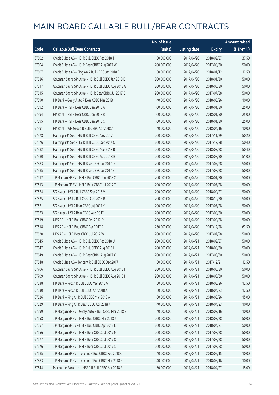|       |                                                      | No. of issue |                     |               | <b>Amount raised</b> |
|-------|------------------------------------------------------|--------------|---------------------|---------------|----------------------|
| Code  | <b>Callable Bull/Bear Contracts</b>                  | (units)      | <b>Listing date</b> | <b>Expiry</b> | (HK\$mil.)           |
| 67602 | Credit Suisse AG - HSI R Bull CBBC Feb 2018 T        | 150,000,000  | 2017/04/20          | 2018/02/27    | 37.50                |
| 67604 | Credit Suisse AG - HSI R Bear CBBC Aug 2017 W        | 200,000,000  | 2017/04/20          | 2017/08/30    | 50.00                |
| 67607 | Credit Suisse AG - Ping An R Bull CBBC Jan 2018 B    | 50,000,000   | 2017/04/20          | 2018/01/12    | 12.50                |
| 67586 | Goldman Sachs SP (Asia) - HSI R Bull CBBC Jan 2018 E | 200,000,000  | 2017/04/20          | 2018/01/30    | 50.00                |
| 67617 | Goldman Sachs SP (Asia) - HSI R Bull CBBC Aug 2018 G | 200,000,000  | 2017/04/20          | 2018/08/30    | 50.00                |
| 67615 | Goldman Sachs SP (Asia) - HSI R Bear CBBC Jul 2017 E | 200,000,000  | 2017/04/20          | 2017/07/28    | 50.00                |
| 67590 | HK Bank - Geely Auto R Bear CBBC Mar 2018 H          | 40,000,000   | 2017/04/20          | 2018/03/26    | 10.00                |
| 67592 | HK Bank - HSI R Bear CBBC Jan 2018 A                 | 100,000,000  | 2017/04/20          | 2018/01/30    | 25.00                |
| 67594 | HK Bank - HSI R Bear CBBC Jan 2018 B                 | 100,000,000  | 2017/04/20          | 2018/01/30    | 25.00                |
| 67595 | HK Bank - HSI R Bear CBBC Jan 2018 C                 | 100,000,000  | 2017/04/20          | 2018/01/30    | 25.00                |
| 67591 | HK Bank - WH Group R Bull CBBC Apr 2018 A            | 40,000,000   | 2017/04/20          | 2018/04/16    | 10.00                |
| 67578 | Haitong Int'l Sec - HSI R Bull CBBC Nov 2017 I       | 200,000,000  | 2017/04/20          | 2017/11/29    | 50.20                |
| 67576 | Haitong Int'l Sec - HSI R Bull CBBC Dec 2017 Q       | 200,000,000  | 2017/04/20          | 2017/12/28    | 50.40                |
| 67582 | Haitong Int'l Sec - HSI R Bull CBBC Mar 2018 B       | 200,000,000  | 2017/04/20          | 2018/03/28    | 50.40                |
| 67580 | Haitong Int'l Sec - HSI R Bull CBBC Aug 2018 B       | 200,000,000  | 2017/04/20          | 2018/08/30    | 51.00                |
| 67583 | Haitong Int'l Sec - HSI R Bear CBBC Jul 2017 D       | 200,000,000  | 2017/04/20          | 2017/07/28    | 50.00                |
| 67585 | Haitong Int'l Sec - HSI R Bear CBBC Jul 2017 E       | 200,000,000  | 2017/04/20          | 2017/07/28    | 50.00                |
| 67612 | J P Morgan SP BV - HSI R Bull CBBC Jan 2018 C        | 200,000,000  | 2017/04/20          | 2018/01/30    | 50.00                |
| 67613 | J P Morgan SP BV - HSI R Bear CBBC Jul 2017 T        | 200,000,000  | 2017/04/20          | 2017/07/28    | 50.00                |
| 67624 | SG Issuer - HSI R Bull CBBC Sep 2018 V               | 200,000,000  | 2017/04/20          | 2018/09/27    | 50.00                |
| 67625 | SG Issuer - HSI R Bull CBBC Oct 2018 R               | 200,000,000  | 2017/04/20          | 2018/10/30    | 50.00                |
| 67621 | SG Issuer - HSI R Bear CBBC Jul 2017 Y               | 200,000,000  | 2017/04/20          | 2017/07/28    | 50.00                |
| 67623 | SG Issuer - HSI R Bear CBBC Aug 2017 L               | 200,000,000  | 2017/04/20          | 2017/08/30    | 50.00                |
| 67619 | UBS AG - HSI R Bull CBBC Sep 2017 O                  | 200,000,000  | 2017/04/20          | 2017/09/28    | 50.00                |
| 67618 | UBS AG - HSI R Bull CBBC Dec 2017 R                  | 250,000,000  | 2017/04/20          | 2017/12/28    | 62.50                |
| 67620 | UBS AG - HSI R Bear CBBC Jul 2017 W                  | 200,000,000  | 2017/04/20          | 2017/07/28    | 50.00                |
| 67645 | Credit Suisse AG - HSI R Bull CBBC Feb 2018 U        | 200,000,000  | 2017/04/21          | 2018/02/27    | 50.00                |
| 67647 | Credit Suisse AG - HSI R Bull CBBC Aug 2018 L        | 200,000,000  | 2017/04/21          | 2018/08/30    | 50.00                |
| 67649 | Credit Suisse AG - HSI R Bear CBBC Aug 2017 X        | 200,000,000  | 2017/04/21          | 2017/08/30    | 50.00                |
| 67648 | Credit Suisse AG - Tencent R Bull CBBC Dec 2017 I    | 50,000,000   | 2017/04/21          | 2017/12/21    | 12.50                |
| 67706 | Goldman Sachs SP (Asia) - HSI R Bull CBBC Aug 2018 H | 200,000,000  | 2017/04/21          | 2018/08/30    | 50.00                |
| 67709 | Goldman Sachs SP (Asia) - HSI R Bull CBBC Aug 2018 I | 200,000,000  | 2017/04/21          | 2018/08/30    | 50.00                |
| 67638 | HK Bank - PetCh R Bull CBBC Mar 2018 A               | 50,000,000   | 2017/04/21          | 2018/03/26    | 12.50                |
| 67630 | HK Bank - PetCh R Bull CBBC Apr 2018 A               | 50,000,000   | 2017/04/21          | 2018/04/23    | 12.50                |
| 67626 | HK Bank - Ping An R Bull CBBC Mar 2018 A             | 60,000,000   | 2017/04/21          | 2018/03/26    | 15.00                |
| 67629 | HK Bank - Ping An R Bear CBBC Apr 2018 A             | 40,000,000   | 2017/04/21          | 2018/04/23    | 10.00                |
| 67699 | J P Morgan SP BV - Geely Auto R Bull CBBC Mar 2018 B | 40,000,000   | 2017/04/21          | 2018/03/16    | 10.00                |
| 67658 | J P Morgan SP BV - HSI R Bull CBBC Mar 2018 J        | 200,000,000  | 2017/04/21          | 2018/03/28    | 50.00                |
| 67657 | J P Morgan SP BV - HSI R Bull CBBC Apr 2018 E        | 200,000,000  | 2017/04/21          | 2018/04/27    | 50.00                |
| 67656 | J P Morgan SP BV - HSI R Bear CBBC Jul 2017 M        | 200,000,000  | 2017/04/21          | 2017/07/28    | 50.00                |
| 67677 | J P Morgan SP BV - HSI R Bear CBBC Jul 2017 O        | 200,000,000  | 2017/04/21          | 2017/07/28    | 50.00                |
| 67676 | J P Morgan SP BV - HSI R Bear CBBC Jul 2017 S        | 200,000,000  | 2017/04/21          | 2017/07/28    | 50.00                |
| 67685 | J P Morgan SP BV - Tencent R Bull CBBC Feb 2018 C    | 40,000,000   | 2017/04/21          | 2018/02/15    | 10.00                |
| 67683 | J P Morgan SP BV - Tencent R Bull CBBC Mar 2018 B    | 40,000,000   | 2017/04/21          | 2018/03/16    | 10.00                |
| 67644 | Macquarie Bank Ltd. - HSBC R Bull CBBC Apr 2018 A    | 60,000,000   | 2017/04/21          | 2018/04/27    | 15.00                |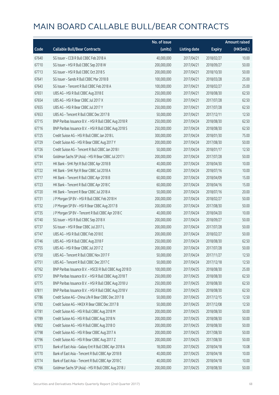|       |                                                          | No. of issue |                     |               | <b>Amount raised</b> |
|-------|----------------------------------------------------------|--------------|---------------------|---------------|----------------------|
| Code  | <b>Callable Bull/Bear Contracts</b>                      | (units)      | <b>Listing date</b> | <b>Expiry</b> | (HK\$mil.)           |
| 67640 | SG Issuer - CCB R Bull CBBC Feb 2018 A                   | 40,000,000   | 2017/04/21          | 2018/02/27    | 10.00                |
| 67710 | SG Issuer - HSI R Bull CBBC Sep 2018 W                   | 200,000,000  | 2017/04/21          | 2018/09/27    | 50.00                |
| 67713 | SG Issuer - HSI R Bull CBBC Oct 2018 S                   | 200,000,000  | 2017/04/21          | 2018/10/30    | 50.00                |
| 67641 | SG Issuer - Sands R Bull CBBC Mar 2018 B                 | 100,000,000  | 2017/04/21          | 2018/03/28    | 25.00                |
| 67643 | SG Issuer - Tencent R Bull CBBC Feb 2018 A               | 100,000,000  | 2017/04/21          | 2018/02/27    | 25.00                |
| 67651 | UBS AG - HSI R Bull CBBC Aug 2018 E                      | 250,000,000  | 2017/04/21          | 2018/08/30    | 62.50                |
| 67654 | UBS AG - HSI R Bear CBBC Jul 2017 X                      | 250,000,000  | 2017/04/21          | 2017/07/28    | 62.50                |
| 67655 | UBS AG - HSI R Bear CBBC Jul 2017 Y                      | 250,000,000  | 2017/04/21          | 2017/07/28    | 62.50                |
| 67653 | UBS AG - Tencent R Bull CBBC Dec 2017 B                  | 50,000,000   | 2017/04/21          | 2017/12/11    | 12.50                |
| 67715 | BNP Paribas Issuance B.V. - HSI R Bull CBBC Aug 2018 R   | 250,000,000  | 2017/04/24          | 2018/08/30    | 62.50                |
| 67716 | BNP Paribas Issuance B.V. - HSI R Bull CBBC Aug 2018 S   | 250,000,000  | 2017/04/24          | 2018/08/30    | 62.50                |
| 67725 | Credit Suisse AG - HSI R Bull CBBC Jan 2018 L            | 300,000,000  | 2017/04/24          | 2018/01/30    | 75.00                |
| 67729 | Credit Suisse AG - HSI R Bear CBBC Aug 2017 Y            | 200,000,000  | 2017/04/24          | 2017/08/30    | 50.00                |
| 67726 | Credit Suisse AG - Tencent R Bull CBBC Jan 2018 I        | 50,000,000   | 2017/04/24          | 2018/01/17    | 12.50                |
| 67744 | Goldman Sachs SP (Asia) - HSI R Bear CBBC Jul 2017 I     | 200,000,000  | 2017/04/24          | 2017/07/28    | 50.00                |
| 67721 | HK Bank - SHK Ppt R Bull CBBC Apr 2018 B                 | 40,000,000   | 2017/04/24          | 2018/04/30    | 10.00                |
| 67722 | HK Bank - SHK Ppt R Bear CBBC Jul 2018 A                 | 40,000,000   | 2017/04/24          | 2018/07/16    | 10.00                |
| 67717 | HK Bank - Tencent R Bull CBBC Apr 2018 B                 | 60,000,000   | 2017/04/24          | 2018/04/09    | 15.00                |
| 67723 | HK Bank - Tencent R Bull CBBC Apr 2018 C                 | 60,000,000   | 2017/04/24          | 2018/04/16    | 15.00                |
| 67720 | HK Bank - Tencent R Bear CBBC Jul 2018 A                 | 50,000,000   | 2017/04/24          | 2018/07/16    | 20.00                |
| 67731 | JP Morgan SP BV - HSIR Bull CBBC Feb 2018 H              | 200,000,000  | 2017/04/24          | 2018/02/27    | 50.00                |
| 67732 | J P Morgan SP BV - HSI R Bear CBBC Aug 2017 B            | 200,000,000  | 2017/04/24          | 2017/08/30    | 50.00                |
| 67735 | J P Morgan SP BV - Tencent R Bull CBBC Apr 2018 C        | 40,000,000   | 2017/04/24          | 2018/04/20    | 10.00                |
| 67740 | SG Issuer - HSI R Bull CBBC Sep 2018 X                   | 200,000,000  | 2017/04/24          | 2018/09/27    | 50.00                |
| 67737 | SG Issuer - HSI R Bear CBBC Jul 2017 L                   | 200,000,000  | 2017/04/24          | 2017/07/28    | 50.00                |
| 67747 | UBS AG - HSI R Bull CBBC Feb 2018 E                      | 200,000,000  | 2017/04/24          | 2018/02/27    | 50.00                |
| 67746 | UBS AG - HSI R Bull CBBC Aug 2018 F                      | 250,000,000  | 2017/04/24          | 2018/08/30    | 62.50                |
| 67755 | UBS AG - HSI R Bear CBBC Jul 2017 Z                      | 200,000,000  | 2017/04/24          | 2017/07/28    | 50.00                |
| 67750 | UBS AG - Tencent R Bull CBBC Nov 2017 F                  | 50,000,000   | 2017/04/24          | 2017/11/27    | 12.50                |
| 67751 | UBS AG - Tencent R Bull CBBC Dec 2017 C                  | 50,000,000   | 2017/04/24          | 2017/12/18    | 12.50                |
| 67762 | BNP Paribas Issuance B.V. - HSCEI R Bull CBBC Aug 2018 D | 100,000,000  | 2017/04/25          | 2018/08/30    | 25.00                |
| 67757 | BNP Paribas Issuance B.V. - HSI R Bull CBBC Aug 2018 T   | 250,000,000  | 2017/04/25          | 2018/08/30    | 62.50                |
| 67775 | BNP Paribas Issuance B.V. - HSI R Bull CBBC Aug 2018 U   | 250,000,000  | 2017/04/25          | 2018/08/30    | 62.50                |
| 67811 | BNP Paribas Issuance B.V. - HSI R Bull CBBC Aug 2018 V   | 250,000,000  | 2017/04/25          | 2018/08/30    | 62.50                |
| 67786 | Credit Suisse AG - China Life R Bear CBBC Dec 2017 B     | 50,000,000   | 2017/04/25          | 2017/12/15    | 12.50                |
| 67783 | Credit Suisse AG - HKEX R Bear CBBC Dec 2017 B           | 50,000,000   | 2017/04/25          | 2017/12/08    | 12.50                |
| 67781 | Credit Suisse AG - HSI R Bull CBBC Aug 2018 M            | 200,000,000  | 2017/04/25          | 2018/08/30    | 50.00                |
| 67789 | Credit Suisse AG - HSI R Bull CBBC Aug 2018 N            | 200,000,000  | 2017/04/25          | 2018/08/30    | 50.00                |
| 67802 | Credit Suisse AG - HSI R Bull CBBC Aug 2018 O            | 200,000,000  | 2017/04/25          | 2018/08/30    | 50.00                |
| 67798 | Credit Suisse AG - HSI R Bear CBBC Aug 2017 A            | 200,000,000  | 2017/04/25          | 2017/08/30    | 50.00                |
| 67796 | Credit Suisse AG - HSI R Bear CBBC Aug 2017 Z            | 200,000,000  | 2017/04/25          | 2017/08/30    | 50.00                |
| 67773 | Bank of East Asia - Galaxy Ent R Bull CBBC Apr 2018 A    | 18,000,000   | 2017/04/25          | 2018/04/18    | 10.08                |
| 67770 | Bank of East Asia - Tencent R Bull CBBC Apr 2018 B       | 40,000,000   | 2017/04/25          | 2018/04/18    | 10.00                |
| 67774 | Bank of East Asia - Tencent R Bull CBBC Apr 2018 C       | 40,000,000   | 2017/04/25          | 2018/04/18    | 10.00                |
| 67766 | Goldman Sachs SP (Asia) - HSI R Bull CBBC Aug 2018 J     | 200,000,000  | 2017/04/25          | 2018/08/30    | 50.00                |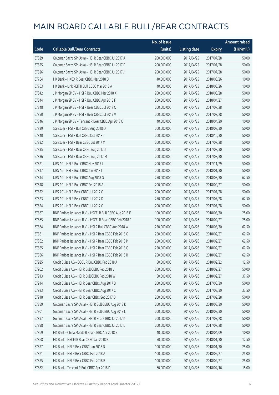|       |                                                          | No. of issue |                     |               | <b>Amount raised</b> |
|-------|----------------------------------------------------------|--------------|---------------------|---------------|----------------------|
| Code  | <b>Callable Bull/Bear Contracts</b>                      | (units)      | <b>Listing date</b> | <b>Expiry</b> | (HK\$mil.)           |
| 67829 | Goldman Sachs SP (Asia) - HSI R Bear CBBC Jul 2017 A     | 200,000,000  | 2017/04/25          | 2017/07/28    | 50.00                |
| 67825 | Goldman Sachs SP (Asia) - HSI R Bear CBBC Jul 2017 F     | 200,000,000  | 2017/04/25          | 2017/07/28    | 50.00                |
| 67826 | Goldman Sachs SP (Asia) - HSI R Bear CBBC Jul 2017 J     | 200,000,000  | 2017/04/25          | 2017/07/28    | 50.00                |
| 67764 | HK Bank - HKEX R Bear CBBC Mar 2018 D                    | 40,000,000   | 2017/04/25          | 2018/03/26    | 10.00                |
| 67763 | HK Bank - Link REIT R Bull CBBC Mar 2018 A               | 40,000,000   | 2017/04/25          | 2018/03/26    | 10.00                |
| 67842 | J P Morgan SP BV - HSI R Bull CBBC Mar 2018 K            | 200,000,000  | 2017/04/25          | 2018/03/28    | 50.00                |
| 67844 | J P Morgan SP BV - HSI R Bull CBBC Apr 2018 F            | 200,000,000  | 2017/04/25          | 2018/04/27    | 50.00                |
| 67848 | J P Morgan SP BV - HSI R Bear CBBC Jul 2017 Q            | 200,000,000  | 2017/04/25          | 2017/07/28    | 50.00                |
| 67850 | J P Morgan SP BV - HSI R Bear CBBC Jul 2017 V            | 200,000,000  | 2017/04/25          | 2017/07/28    | 50.00                |
| 67846 | J P Morgan SP BV - Tencent R Bear CBBC Apr 2018 C        | 40,000,000   | 2017/04/25          | 2018/04/20    | 10.00                |
| 67839 | SG Issuer - HSI R Bull CBBC Aug 2018 O                   | 200,000,000  | 2017/04/25          | 2018/08/30    | 50.00                |
| 67840 | SG Issuer - HSI R Bull CBBC Oct 2018 T                   | 200,000,000  | 2017/04/25          | 2018/10/30    | 50.00                |
| 67832 | SG Issuer - HSI R Bear CBBC Jul 2017 M                   | 200,000,000  | 2017/04/25          | 2017/07/28    | 50.00                |
| 67835 | SG Issuer - HSI R Bear CBBC Aug 2017 J                   | 200,000,000  | 2017/04/25          | 2017/08/30    | 50.00                |
| 67836 | SG Issuer - HSI R Bear CBBC Aug 2017 M                   | 200,000,000  | 2017/04/25          | 2017/08/30    | 50.00                |
| 67821 | UBS AG - HSI R Bull CBBC Nov 2017 L                      | 200,000,000  | 2017/04/25          | 2017/11/29    | 50.00                |
| 67817 | UBS AG - HSI R Bull CBBC Jan 2018 I                      | 200,000,000  | 2017/04/25          | 2018/01/30    | 50.00                |
| 67814 | UBS AG - HSI R Bull CBBC Aug 2018 G                      | 250,000,000  | 2017/04/25          | 2018/08/30    | 62.50                |
| 67818 | UBS AG - HSI R Bull CBBC Sep 2018 A                      | 200,000,000  | 2017/04/25          | 2018/09/27    | 50.00                |
| 67822 | UBS AG - HSI R Bear CBBC Jul 2017 C                      | 200,000,000  | 2017/04/25          | 2017/07/28    | 50.00                |
| 67823 | UBS AG - HSI R Bear CBBC Jul 2017 D                      | 250,000,000  | 2017/04/25          | 2017/07/28    | 62.50                |
| 67824 | UBS AG - HSI R Bear CBBC Jul 2017 G                      | 200,000,000  | 2017/04/25          | 2017/07/28    | 50.00                |
| 67867 | BNP Paribas Issuance B.V. - HSCEI R Bull CBBC Aug 2018 E | 100,000,000  | 2017/04/26          | 2018/08/30    | 25.00                |
| 67865 | BNP Paribas Issuance B.V. - HSCEI R Bear CBBC Feb 2018 F | 100,000,000  | 2017/04/26          | 2018/02/27    | 25.00                |
| 67864 | BNP Paribas Issuance B.V. - HSI R Bull CBBC Aug 2018 W   | 250,000,000  | 2017/04/26          | 2018/08/30    | 62.50                |
| 67861 | BNP Paribas Issuance B.V. - HSI R Bear CBBC Feb 2018 C   | 250,000,000  | 2017/04/26          | 2018/02/27    | 62.50                |
| 67862 | BNP Paribas Issuance B.V. - HSI R Bear CBBC Feb 2018 P   | 250,000,000  | 2017/04/26          | 2018/02/27    | 62.50                |
| 67885 | BNP Paribas Issuance B.V. - HSI R Bear CBBC Feb 2018 Q   | 250,000,000  | 2017/04/26          | 2018/02/27    | 62.50                |
| 67886 | BNP Paribas Issuance B.V. - HSI R Bear CBBC Feb 2018 R   | 250,000,000  | 2017/04/26          | 2018/02/27    | 62.50                |
| 67925 | Credit Suisse AG - BOCL R Bull CBBC Feb 2018 A           | 50,000,000   | 2017/04/26          | 2018/02/22    | 12.50                |
| 67902 | Credit Suisse AG - HSI R Bull CBBC Feb 2018 V            | 200,000,000  | 2017/04/26          | 2018/02/27    | 50.00                |
| 67913 | Credit Suisse AG - HSI R Bull CBBC Feb 2018 W            | 150,000,000  | 2017/04/26          | 2018/02/27    | 37.50                |
| 67914 | Credit Suisse AG - HSI R Bear CBBC Aug 2017 B            | 200,000,000  | 2017/04/26          | 2017/08/30    | 50.00                |
| 67923 | Credit Suisse AG - HSI R Bear CBBC Aug 2017 C            | 150,000,000  | 2017/04/26          | 2017/08/30    | 37.50                |
| 67918 | Credit Suisse AG - HSI R Bear CBBC Sep 2017 D            | 200,000,000  | 2017/04/26          | 2017/09/28    | 50.00                |
| 67859 | Goldman Sachs SP (Asia) - HSI R Bull CBBC Aug 2018 K     | 200,000,000  | 2017/04/26          | 2018/08/30    | 50.00                |
| 67901 | Goldman Sachs SP (Asia) - HSI R Bull CBBC Aug 2018 L     | 200,000,000  | 2017/04/26          | 2018/08/30    | 50.00                |
| 67897 | Goldman Sachs SP (Asia) - HSI R Bear CBBC Jul 2017 K     | 200,000,000  | 2017/04/26          | 2017/07/28    | 50.00                |
| 67898 | Goldman Sachs SP (Asia) - HSI R Bear CBBC Jul 2017 L     | 200,000,000  | 2017/04/26          | 2017/07/28    | 50.00                |
| 67869 | HK Bank - China Mobile R Bear CBBC Apr 2018 B            | 40,000,000   | 2017/04/26          | 2018/04/09    | 10.00                |
| 67868 | HK Bank - HSCEI R Bear CBBC Jan 2018 B                   | 50,000,000   | 2017/04/26          | 2018/01/30    | 12.50                |
| 67877 | HK Bank - HSI R Bear CBBC Jan 2018 D                     | 100,000,000  | 2017/04/26          | 2018/01/30    | 25.00                |
| 67871 | HK Bank - HSI R Bear CBBC Feb 2018 A                     | 100,000,000  | 2017/04/26          | 2018/02/27    | 25.00                |
| 67875 | HK Bank - HSI R Bear CBBC Feb 2018 B                     | 100,000,000  | 2017/04/26          | 2018/02/27    | 25.00                |
| 67882 | HK Bank - Tencent R Bull CBBC Apr 2018 D                 | 60,000,000   | 2017/04/26          | 2018/04/16    | 15.00                |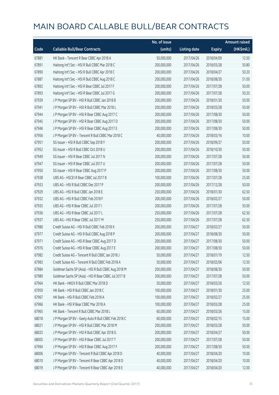|       |                                                      | No. of issue |                     |               | <b>Amount raised</b> |
|-------|------------------------------------------------------|--------------|---------------------|---------------|----------------------|
| Code  | <b>Callable Bull/Bear Contracts</b>                  | (units)      | <b>Listing date</b> | <b>Expiry</b> | (HK\$mil.)           |
| 67881 | HK Bank - Tencent R Bear CBBC Apr 2018 A             | 50,000,000   | 2017/04/26          | 2018/04/09    | 12.50                |
| 67891 | Haitong Int'l Sec - HSI R Bull CBBC Mar 2018 C       | 200,000,000  | 2017/04/26          | 2018/03/28    | 50.80                |
| 67890 | Haitong Int'l Sec - HSI R Bull CBBC Apr 2018 C       | 200,000,000  | 2017/04/26          | 2018/04/27    | 50.20                |
| 67887 | Haitong Int'l Sec - HSI R Bull CBBC Aug 2018 C       | 200,000,000  | 2017/04/26          | 2018/08/30    | 51.00                |
| 67892 | Haitong Int'l Sec - HSI R Bear CBBC Jul 2017 F       | 200,000,000  | 2017/04/26          | 2017/07/28    | 50.00                |
| 67893 | Haitong Int'l Sec - HSI R Bear CBBC Jul 2017 G       | 200,000,000  | 2017/04/26          | 2017/07/28    | 50.20                |
| 67939 | J P Morgan SP BV - HSI R Bull CBBC Jan 2018 B        | 200,000,000  | 2017/04/26          | 2018/01/30    | 50.00                |
| 67941 | J P Morgan SP BV - HSI R Bull CBBC Mar 2018 L        | 200,000,000  | 2017/04/26          | 2018/03/28    | 50.00                |
| 67944 | J P Morgan SP BV - HSI R Bear CBBC Aug 2017 C        | 200,000,000  | 2017/04/26          | 2017/08/30    | 50.00                |
| 67945 | J P Morgan SP BV - HSI R Bear CBBC Aug 2017 D        | 200,000,000  | 2017/04/26          | 2017/08/30    | 50.00                |
| 67946 | J P Morgan SP BV - HSI R Bear CBBC Aug 2017 E        | 200,000,000  | 2017/04/26          | 2017/08/30    | 50.00                |
| 67956 | J P Morgan SP BV - Tencent R Bull CBBC Mar 2018 C    | 40,000,000   | 2017/04/26          | 2018/03/16    | 10.00                |
| 67951 | SG Issuer - HSI R Bull CBBC Sep 2018 Y               | 200,000,000  | 2017/04/26          | 2018/09/27    | 50.00                |
| 67952 | SG Issuer - HSI R Bull CBBC Oct 2018 U               | 200,000,000  | 2017/04/26          | 2018/10/30    | 50.00                |
| 67949 | SG Issuer - HSI R Bear CBBC Jul 2017 N               | 200,000,000  | 2017/04/26          | 2017/07/28    | 50.00                |
| 67947 | SG Issuer - HSI R Bear CBBC Jul 2017 U               | 200,000,000  | 2017/04/26          | 2017/07/28    | 50.00                |
| 67950 | SG Issuer - HSI R Bear CBBC Aug 2017 P               | 200,000,000  | 2017/04/26          | 2017/08/30    | 50.00                |
| 67938 | UBS AG - HSCEI R Bear CBBC Jul 2017 B                | 100,000,000  | 2017/04/26          | 2017/07/28    | 25.00                |
| 67933 | UBS AG - HSI R Bull CBBC Dec 2017 P                  | 200,000,000  | 2017/04/26          | 2017/12/28    | 50.00                |
| 67929 | UBS AG - HSI R Bull CBBC Jan 2018 E                  | 250,000,000  | 2017/04/26          | 2018/01/30    | 62.50                |
| 67932 | UBS AG - HSI R Bull CBBC Feb 2018 F                  | 200,000,000  | 2017/04/26          | 2018/02/27    | 50.00                |
| 67935 | UBS AG - HSI R Bear CBBC Jul 2017 I                  | 200,000,000  | 2017/04/26          | 2017/07/28    | 50.00                |
| 67936 | UBS AG - HSI R Bear CBBC Jul 2017 L                  | 250,000,000  | 2017/04/26          | 2017/07/28    | 62.50                |
| 67937 | UBS AG - HSI R Bear CBBC Jul 2017 M                  | 250,000,000  | 2017/04/26          | 2017/07/28    | 62.50                |
| 67980 | Credit Suisse AG - HSI R Bull CBBC Feb 2018 X        | 200,000,000  | 2017/04/27          | 2018/02/27    | 50.00                |
| 67977 | Credit Suisse AG - HSI R Bull CBBC Aug 2018 P        | 200,000,000  | 2017/04/27          | 2018/08/30    | 50.00                |
| 67971 | Credit Suisse AG - HSI R Bear CBBC Aug 2017 D        | 200,000,000  | 2017/04/27          | 2017/08/30    | 50.00                |
| 67976 | Credit Suisse AG - HSI R Bear CBBC Aug 2017 E        | 200,000,000  | 2017/04/27          | 2017/08/30    | 50.00                |
| 67982 | Credit Suisse AG - Tencent R Bull CBBC Jan 2018 J    | 50,000,000   | 2017/04/27          | 2018/01/19    | 12.50                |
| 67983 | Credit Suisse AG - Tencent R Bull CBBC Feb 2018 A    | 50,000,000   | 2017/04/27          | 2018/02/06    | 12.50                |
| 67984 | Goldman Sachs SP (Asia) - HSI R Bull CBBC Aug 2018 M | 200,000,000  | 2017/04/27          | 2018/08/30    | 50.00                |
| 67989 | Goldman Sachs SP (Asia) - HSI R Bear CBBC Jul 2017 B | 200,000,000  | 2017/04/27          | 2017/07/28    | 50.00                |
| 67964 | HK Bank - HKEX R Bull CBBC Mar 2018 D                | 50,000,000   | 2017/04/27          | 2018/03/26    | 12.50                |
| 67959 | HK Bank - HSI R Bull CBBC Jan 2018 C                 | 100,000,000  | 2017/04/27          | 2018/01/30    | 25.00                |
| 67967 | HK Bank - HSI R Bull CBBC Feb 2018 A                 | 100,000,000  | 2017/04/27          | 2018/02/27    | 25.00                |
| 67966 | HK Bank - HSI R Bear CBBC Mar 2018 A                 | 100,000,000  | 2017/04/27          | 2018/03/28    | 25.00                |
| 67965 | HK Bank - Tencent R Bull CBBC Mar 2018 L             | 60,000,000   | 2017/04/27          | 2018/03/26    | 15.00                |
| 68018 | J P Morgan SP BV - Geely Auto R Bull CBBC Feb 2018 C | 60,000,000   | 2017/04/27          | 2018/02/15    | 15.00                |
| 68021 | J P Morgan SP BV - HSI R Bull CBBC Mar 2018 M        | 200,000,000  | 2017/04/27          | 2018/03/28    | 50.00                |
| 68025 | J P Morgan SP BV - HSI R Bull CBBC Apr 2018 G        | 200,000,000  | 2017/04/27          | 2018/04/27    | 50.00                |
| 68005 | J P Morgan SP BV - HSI R Bear CBBC Jul 2017 T        | 200,000,000  | 2017/04/27          | 2017/07/28    | 50.00                |
| 67994 | J P Morgan SP BV - HSI R Bear CBBC Aug 2017 F        | 200,000,000  | 2017/04/27          | 2017/08/30    | 50.00                |
| 68006 | JP Morgan SP BV - Tencent R Bull CBBC Apr 2018 D     | 40,000,000   | 2017/04/27          | 2018/04/20    | 10.00                |
| 68010 | J P Morgan SP BV - Tencent R Bear CBBC Apr 2018 D    | 40,000,000   | 2017/04/27          | 2018/04/20    | 10.00                |
| 68019 | J P Morgan SP BV - Tencent R Bear CBBC Apr 2018 E    | 40,000,000   | 2017/04/27          | 2018/04/20    | 12.00                |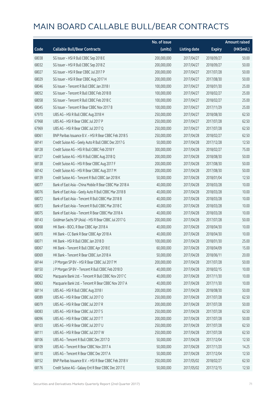|       |                                                         | No. of issue |                     |               | <b>Amount raised</b> |
|-------|---------------------------------------------------------|--------------|---------------------|---------------|----------------------|
| Code  | <b>Callable Bull/Bear Contracts</b>                     | (units)      | <b>Listing date</b> | <b>Expiry</b> | (HK\$mil.)           |
| 68038 | SG Issuer - HSI R Bull CBBC Sep 2018 E                  | 200,000,000  | 2017/04/27          | 2018/09/27    | 50.00                |
| 68032 | SG Issuer - HSI R Bull CBBC Sep 2018 Z                  | 200,000,000  | 2017/04/27          | 2018/09/27    | 50.00                |
| 68027 | SG Issuer - HSI R Bear CBBC Jul 2017 P                  | 200,000,000  | 2017/04/27          | 2017/07/28    | 50.00                |
| 68029 | SG Issuer - HSI R Bear CBBC Aug 2017 H                  | 200,000,000  | 2017/04/27          | 2017/08/30    | 50.00                |
| 68046 | SG Issuer - Tencent R Bull CBBC Jan 2018 I              | 100,000,000  | 2017/04/27          | 2018/01/30    | 25.00                |
| 68052 | SG Issuer - Tencent R Bull CBBC Feb 2018 B              | 100,000,000  | 2017/04/27          | 2018/02/27    | 25.00                |
| 68058 | SG Issuer - Tencent R Bull CBBC Feb 2018 C              | 100,000,000  | 2017/04/27          | 2018/02/27    | 25.00                |
| 68045 | SG Issuer - Tencent R Bear CBBC Nov 2017 B              | 100,000,000  | 2017/04/27          | 2017/11/29    | 25.00                |
| 67970 | UBS AG - HSI R Bull CBBC Aug 2018 H                     | 250,000,000  | 2017/04/27          | 2018/08/30    | 62.50                |
| 67968 | UBS AG - HSI R Bear CBBC Jul 2017 P                     | 250,000,000  | 2017/04/27          | 2017/07/28    | 62.50                |
| 67969 | UBS AG - HSI R Bear CBBC Jul 2017 Q                     | 250,000,000  | 2017/04/27          | 2017/07/28    | 62.50                |
| 68061 | BNP Paribas Issuance B.V. - HSI R Bear CBBC Feb 2018 S  | 250,000,000  | 2017/04/28          | 2018/02/27    | 62.50                |
| 68141 | Credit Suisse AG - Geely Auto R Bull CBBC Dec 2017 G    | 50,000,000   | 2017/04/28          | 2017/12/28    | 12.50                |
| 68128 | Credit Suisse AG - HSI R Bull CBBC Feb 2018 Y           | 300,000,000  | 2017/04/28          | 2018/02/27    | 75.00                |
| 68127 | Credit Suisse AG - HSI R Bull CBBC Aug 2018 Q           | 200,000,000  | 2017/04/28          | 2018/08/30    | 50.00                |
| 68138 | Credit Suisse AG - HSI R Bear CBBC Aug 2017 F           | 200,000,000  | 2017/04/28          | 2017/08/30    | 50.00                |
| 68142 | Credit Suisse AG - HSI R Bear CBBC Aug 2017 M           | 200,000,000  | 2017/04/28          | 2017/08/30    | 50.00                |
| 68139 | Credit Suisse AG - Tencent R Bull CBBC Jan 2018 K       | 50,000,000   | 2017/04/28          | 2018/01/04    | 12.50                |
| 68077 | Bank of East Asia - China Mobile R Bear CBBC Mar 2018 A | 40,000,000   | 2017/04/28          | 2018/03/28    | 10.00                |
| 68076 | Bank of East Asia - Geely Auto R Bull CBBC Mar 2018 B   | 40,000,000   | 2017/04/28          | 2018/03/28    | 10.00                |
| 68072 | Bank of East Asia - Tencent R Bull CBBC Mar 2018 B      | 40,000,000   | 2017/04/28          | 2018/03/28    | 10.00                |
| 68073 | Bank of East Asia - Tencent R Bull CBBC Mar 2018 C      | 40,000,000   | 2017/04/28          | 2018/03/28    | 10.00                |
| 68075 | Bank of East Asia - Tencent R Bear CBBC Mar 2018 A      | 40,000,000   | 2017/04/28          | 2018/03/28    | 10.00                |
| 68143 | Goldman Sachs SP (Asia) - HSI R Bear CBBC Jul 2017 G    | 200,000,000  | 2017/04/28          | 2017/07/28    | 50.00                |
| 68068 | HK Bank - BOCL R Bear CBBC Apr 2018 A                   | 40,000,000   | 2017/04/28          | 2018/04/30    | 10.00                |
| 68070 | HK Bank - CC Bank R Bear CBBC Apr 2018 A                | 40,000,000   | 2017/04/28          | 2018/04/30    | 10.00                |
| 68071 | HK Bank - HSI R Bull CBBC Jan 2018 D                    | 100,000,000  | 2017/04/28          | 2018/01/30    | 25.00                |
| 68067 | HK Bank - Tencent R Bull CBBC Apr 2018 E                | 60,000,000   | 2017/04/28          | 2018/04/09    | 15.00                |
| 68069 | HK Bank - Tencent R Bear CBBC Jun 2018 A                | 50,000,000   | 2017/04/28          | 2018/06/11    | 20.00                |
| 68144 | J P Morgan SP BV - HSI R Bear CBBC Jul 2017 M           | 200,000,000  | 2017/04/28          | 2017/07/28    | 50.00                |
| 68150 | J P Morgan SP BV - Tencent R Bull CBBC Feb 2018 D       | 40,000,000   | 2017/04/28          | 2018/02/15    | 10.00                |
| 68062 | Macquarie Bank Ltd. - Tencent R Bull CBBC Nov 2017 C    | 40,000,000   | 2017/04/28          | 2017/11/30    | 10.00                |
| 68063 | Macquarie Bank Ltd. - Tencent R Bear CBBC Nov 2017 A    | 40,000,000   | 2017/04/28          | 2017/11/30    | 10.00                |
| 68114 | UBS AG - HSI R Bull CBBC Aug 2018 I                     | 200,000,000  | 2017/04/28          | 2018/08/30    | 50.00                |
| 68089 | UBS AG - HSI R Bear CBBC Jul 2017 O                     | 250,000,000  | 2017/04/28          | 2017/07/28    | 62.50                |
| 68079 | UBS AG - HSI R Bear CBBC Jul 2017 R                     | 200,000,000  | 2017/04/28          | 2017/07/28    | 50.00                |
| 68083 | UBS AG - HSI R Bear CBBC Jul 2017 S                     | 250,000,000  | 2017/04/28          | 2017/07/28    | 62.50                |
| 68096 | UBS AG - HSI R Bear CBBC Jul 2017 T                     | 200,000,000  | 2017/04/28          | 2017/07/28    | 50.00                |
| 68103 | UBS AG - HSI R Bear CBBC Jul 2017 U                     | 250,000,000  | 2017/04/28          | 2017/07/28    | 62.50                |
| 68111 | UBS AG - HSI R Bear CBBC Jul 2017 W                     | 250,000,000  | 2017/04/28          | 2017/07/28    | 62.50                |
| 68106 | UBS AG - Tencent R Bull CBBC Dec 2017 D                 | 50,000,000   | 2017/04/28          | 2017/12/04    | 12.50                |
| 68109 | UBS AG - Tencent R Bear CBBC Nov 2017 A                 | 50,000,000   | 2017/04/28          | 2017/11/20    | 14.25                |
| 68110 | UBS AG - Tencent R Bear CBBC Dec 2017 A                 | 50,000,000   | 2017/04/28          | 2017/12/04    | 12.50                |
| 68152 | BNP Paribas Issuance B.V. - HSI R Bear CBBC Feb 2018 V  | 250,000,000  | 2017/05/02          | 2018/02/27    | 62.50                |
| 68176 | Credit Suisse AG - Galaxy Ent R Bear CBBC Dec 2017 E    | 50,000,000   | 2017/05/02          | 2017/12/15    | 12.50                |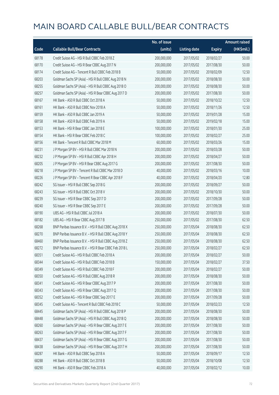|       |                                                        | No. of issue |                     |               | <b>Amount raised</b> |
|-------|--------------------------------------------------------|--------------|---------------------|---------------|----------------------|
| Code  | <b>Callable Bull/Bear Contracts</b>                    | (units)      | <b>Listing date</b> | <b>Expiry</b> | (HK\$mil.)           |
| 68178 | Credit Suisse AG - HSI R Bull CBBC Feb 2018 Z          | 200,000,000  | 2017/05/02          | 2018/02/27    | 50.00                |
| 68170 | Credit Suisse AG - HSI R Bear CBBC Aug 2017 N          | 200,000,000  | 2017/05/02          | 2017/08/30    | 50.00                |
| 68174 | Credit Suisse AG - Tencent R Bull CBBC Feb 2018 B      | 50,000,000   | 2017/05/02          | 2018/02/09    | 12.50                |
| 68203 | Goldman Sachs SP (Asia) - HSI R Bull CBBC Aug 2018 N   | 200,000,000  | 2017/05/02          | 2018/08/30    | 50.00                |
| 68255 | Goldman Sachs SP (Asia) - HSI R Bull CBBC Aug 2018 O   | 200,000,000  | 2017/05/02          | 2018/08/30    | 50.00                |
| 68257 | Goldman Sachs SP (Asia) - HSI R Bear CBBC Aug 2017 D   | 200,000,000  | 2017/05/02          | 2017/08/30    | 50.00                |
| 68167 | HK Bank - A50 R Bull CBBC Oct 2018 A                   | 50,000,000   | 2017/05/02          | 2018/10/22    | 12.50                |
| 68161 | HK Bank - A50 R Bull CBBC Nov 2018 A                   | 50,000,000   | 2017/05/02          | 2018/11/26    | 12.50                |
| 68159 | HK Bank - A50 R Bull CBBC Jan 2019 A                   | 50,000,000   | 2017/05/02          | 2019/01/28    | 15.00                |
| 68158 | HK Bank - A50 R Bull CBBC Feb 2019 A                   | 50,000,000   | 2017/05/02          | 2019/02/18    | 15.00                |
| 68153 | HK Bank - HSI R Bear CBBC Jan 2018 E                   | 100,000,000  | 2017/05/02          | 2018/01/30    | 25.00                |
| 68154 | HK Bank - HSI R Bear CBBC Feb 2018 C                   | 100,000,000  | 2017/05/02          | 2018/02/27    | 25.00                |
| 68156 | HK Bank - Tencent R Bull CBBC Mar 2018 M               | 60,000,000   | 2017/05/02          | 2018/03/26    | 15.00                |
| 68231 | J P Morgan SP BV - HSI R Bull CBBC Mar 2018 N          | 200,000,000  | 2017/05/02          | 2018/03/28    | 50.00                |
| 68232 | J P Morgan SP BV - HSI R Bull CBBC Apr 2018 H          | 200,000,000  | 2017/05/02          | 2018/04/27    | 50.00                |
| 68205 | J P Morgan SP BV - HSI R Bear CBBC Aug 2017 G          | 200,000,000  | 2017/05/02          | 2017/08/30    | 50.00                |
| 68218 | JP Morgan SP BV - Tencent R Bull CBBC Mar 2018 D       | 40,000,000   | 2017/05/02          | 2018/03/16    | 10.00                |
| 68226 | J P Morgan SP BV - Tencent R Bear CBBC Apr 2018 F      | 40,000,000   | 2017/05/02          | 2018/04/20    | 12.80                |
| 68242 | SG Issuer - HSI R Bull CBBC Sep 2018 G                 | 200,000,000  | 2017/05/02          | 2018/09/27    | 50.00                |
| 68243 | SG Issuer - HSI R Bull CBBC Oct 2018 V                 | 200,000,000  | 2017/05/02          | 2018/10/30    | 50.00                |
| 68239 | SG Issuer - HSI R Bear CBBC Sep 2017 D                 | 200,000,000  | 2017/05/02          | 2017/09/28    | 50.00                |
| 68240 | SG Issuer - HSI R Bear CBBC Sep 2017 E                 | 200,000,000  | 2017/05/02          | 2017/09/28    | 50.00                |
| 68190 | UBS AG - HSI R Bull CBBC Jul 2018 A                    | 200,000,000  | 2017/05/02          | 2018/07/30    | 50.00                |
| 68182 | UBS AG - HSI R Bear CBBC Aug 2017 B                    | 250,000,000  | 2017/05/02          | 2017/08/30    | 62.50                |
| 68268 | BNP Paribas Issuance B.V. - HSI R Bull CBBC Aug 2018 X | 250,000,000  | 2017/05/04          | 2018/08/30    | 62.50                |
| 68270 | BNP Paribas Issuance B.V. - HSI R Bull CBBC Aug 2018 Y | 250,000,000  | 2017/05/04          | 2018/08/30    | 62.50                |
| 68460 | BNP Paribas Issuance B.V. - HSI R Bull CBBC Aug 2018 Z | 250,000,000  | 2017/05/04          | 2018/08/30    | 62.50                |
| 68272 | BNP Paribas Issuance B.V. - HSI R Bear CBBC Feb 2018 L | 250,000,000  | 2017/05/04          | 2018/02/27    | 62.50                |
| 68351 | Credit Suisse AG - HSI R Bull CBBC Feb 2018 A          | 200,000,000  | 2017/05/04          | 2018/02/27    | 50.00                |
| 68344 | Credit Suisse AG - HSI R Bull CBBC Feb 2018 B          | 150,000,000  | 2017/05/04          | 2018/02/27    | 37.50                |
| 68349 | Credit Suisse AG - HSI R Bull CBBC Feb 2018 F          | 200,000,000  | 2017/05/04          | 2018/02/27    | 50.00                |
| 68350 | Credit Suisse AG - HSI R Bull CBBC Aug 2018 R          | 200,000,000  | 2017/05/04          | 2018/08/30    | 50.00                |
| 68341 | Credit Suisse AG - HSI R Bear CBBC Aug 2017 P          | 200,000,000  | 2017/05/04          | 2017/08/30    | 50.00                |
| 68343 | Credit Suisse AG - HSI R Bear CBBC Aug 2017 Q          | 200,000,000  | 2017/05/04          | 2017/08/30    | 50.00                |
| 68352 | Credit Suisse AG - HSI R Bear CBBC Sep 2017 E          | 200,000,000  | 2017/05/04          | 2017/09/28    | 50.00                |
| 68345 | Credit Suisse AG - Tencent R Bull CBBC Feb 2018 C      | 50,000,000   | 2017/05/04          | 2018/02/23    | 12.50                |
| 68445 | Goldman Sachs SP (Asia) - HSI R Bull CBBC Aug 2018 P   | 200,000,000  | 2017/05/04          | 2018/08/30    | 50.00                |
| 68448 | Goldman Sachs SP (Asia) - HSI R Bull CBBC Aug 2018 Q   | 200,000,000  | 2017/05/04          | 2018/08/30    | 50.00                |
| 68260 | Goldman Sachs SP (Asia) - HSI R Bear CBBC Aug 2017 E   | 200,000,000  | 2017/05/04          | 2017/08/30    | 50.00                |
| 68263 | Goldman Sachs SP (Asia) - HSI R Bear CBBC Aug 2017 F   | 200,000,000  | 2017/05/04          | 2017/08/30    | 50.00                |
| 68437 | Goldman Sachs SP (Asia) - HSI R Bear CBBC Aug 2017 G   | 200,000,000  | 2017/05/04          | 2017/08/30    | 50.00                |
| 68438 | Goldman Sachs SP (Asia) - HSI R Bear CBBC Aug 2017 H   | 200,000,000  | 2017/05/04          | 2017/08/30    | 50.00                |
| 68287 | HK Bank - A50 R Bull CBBC Sep 2018 A                   | 50,000,000   | 2017/05/04          | 2018/09/17    | 12.50                |
| 68288 | HK Bank - A50 R Bull CBBC Oct 2018 B                   | 50,000,000   | 2017/05/04          | 2018/10/08    | 12.50                |
| 68290 | HK Bank - A50 R Bear CBBC Feb 2018 A                   | 40,000,000   | 2017/05/04          | 2018/02/12    | 10.00                |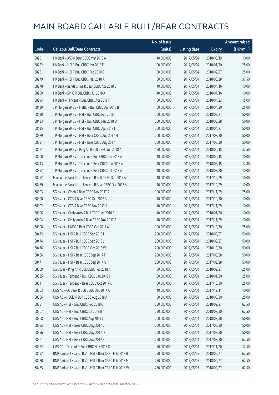|       |                                                        | No. of issue |                     |               | <b>Amount raised</b> |
|-------|--------------------------------------------------------|--------------|---------------------|---------------|----------------------|
| Code  | <b>Callable Bull/Bear Contracts</b>                    | (units)      | <b>Listing date</b> | <b>Expiry</b> | (HK\$mil.)           |
| 68291 | HK Bank - A50 R Bear CBBC Mar 2018 A                   | 40,000,000   | 2017/05/04          | 2018/03/19    | 10.00                |
| 68282 | HK Bank - HSI R Bull CBBC Jan 2018 E                   | 100,000,000  | 2017/05/04          | 2018/01/30    | 25.00                |
| 68281 | HK Bank - HSI R Bull CBBC Feb 2018 B                   | 100,000,000  | 2017/05/04          | 2018/02/27    | 25.00                |
| 68279 | HK Bank - HSI R Bull CBBC Mar 2018 A                   | 150,000,000  | 2017/05/04          | 2018/03/28    | 37.50                |
| 68278 | HK Bank - Sands China R Bear CBBC Apr 2018 C           | 40,000,000   | 2017/05/04          | 2018/04/16    | 10.00                |
| 68299 | HK Bank - SMIC R Bull CBBC Jul 2018 A                  | 40,000,000   | 2017/05/04          | 2018/07/16    | 10.00                |
| 68294 | HK Bank - Tencent R Bull CBBC Apr 2018 F               | 60,000,000   | 2017/05/04          | 2018/04/23    | 15.00                |
| 68429 | J P Morgan SP BV - HSBC R Bull CBBC Apr 2018 B         | 100,000,000  | 2017/05/04          | 2018/04/20    | 25.00                |
| 68430 | J P Morgan SP BV - HSI R Bull CBBC Feb 2018 I          | 200,000,000  | 2017/05/04          | 2018/02/27    | 50.00                |
| 68433 | J P Morgan SP BV - HSI R Bull CBBC Mar 2018 O          | 200,000,000  | 2017/05/04          | 2018/03/28    | 50.00                |
| 68435 | J P Morgan SP BV - HSI R Bull CBBC Apr 2018 I          | 200,000,000  | 2017/05/04          | 2018/04/27    | 50.00                |
| 68389 | J P Morgan SP BV - HSI R Bear CBBC Aug 2017 H          | 200,000,000  | 2017/05/04          | 2017/08/30    | 50.00                |
| 68391 | J P Morgan SP BV - HSI R Bear CBBC Aug 2017 I          | 200,000,000  | 2017/05/04          | 2017/08/30    | 50.00                |
| 68427 | J P Morgan SP BV - Ping An R Bull CBBC Jun 2018 A      | 150,000,000  | 2017/05/04          | 2018/06/15    | 37.50                |
| 68400 | J P Morgan SP BV - Tencent R Bull CBBC Jun 2018 A      | 40,000,000   | 2017/05/04          | 2018/06/15    | 10.00                |
| 68413 | J P Morgan SP BV - Tencent R Bear CBBC Jun 2018 A      | 40,000,000   | 2017/05/04          | 2018/06/15    | 12.80                |
| 68392 | J P Morgan SP BV - Tencent R Bear CBBC Jul 2018 A      | 40,000,000   | 2017/05/04          | 2018/07/20    | 10.00                |
| 68452 | Macquarie Bank Ltd. - Tencent R Bull CBBC Dec 2017 A   | 40,000,000   | 2017/05/04          | 2017/12/29    | 10.00                |
| 68459 | Macquarie Bank Ltd. - Tencent R Bear CBBC Dec 2017 A   | 40,000,000   | 2017/05/04          | 2017/12/29    | 10.00                |
| 68303 | SG Issuer - CMob R Bear CBBC Nov 2017 A                | 100,000,000  | 2017/05/04          | 2017/11/29    | 25.00                |
| 68300 | SG Issuer - CCB R Bear CBBC Oct 2017 A                 | 40,000,000   | 2017/05/04          | 2017/10/30    | 10.00                |
| 68302 | SG Issuer - CCB R Bear CBBC Nov 2017 A                 | 40,000,000   | 2017/05/04          | 2017/11/29    | 10.00                |
| 68306 | SG Issuer - Geely Auto R Bull CBBC Jan 2018 B          | 40,000,000   | 2017/05/04          | 2018/01/30    | 10.00                |
| 68304 | SG Issuer - Geely Auto R Bear CBBC Nov 2017 A          | 40,000,000   | 2017/05/04          | 2017/11/29    | 10.00                |
| 68308 | SG Issuer - HKEX R Bear CBBC Oct 2017 A                | 100,000,000  | 2017/05/04          | 2017/10/30    | 25.00                |
| 68472 | SG Issuer - HSI R Bull CBBC Sep 2018 I                 | 200,000,000  | 2017/05/04          | 2018/09/27    | 50.00                |
| 68474 | SG Issuer - HSI R Bull CBBC Sep 2018 J                 | 200,000,000  | 2017/05/04          | 2018/09/27    | 50.00                |
| 68476 | SG Issuer - HSI R Bull CBBC Oct 2018 W                 | 200,000,000  | 2017/05/04          | 2018/10/30    | 50.00                |
| 68466 | SG Issuer - HSI R Bear CBBC Sep 2017 F                 | 200,000,000  | 2017/05/04          | 2017/09/28    | 50.00                |
| 68471 | SG Issuer - HSI R Bear CBBC Sep 2017 G                 | 200,000,000  | 2017/05/04          | 2017/09/28    | 50.00                |
| 68309 | SG Issuer - Ping An R Bull CBBC Feb 2018 A             | 100,000,000  | 2017/05/04          | 2018/02/27    | 25.00                |
| 68335 | SG Issuer - Tencent R Bull CBBC Jan 2018 J             | 100,000,000  | 2017/05/04          | 2018/01/30    | 25.00                |
| 68311 | SG Issuer - Tencent R Bear CBBC Oct 2017 C             | 100,000,000  | 2017/05/04          | 2017/10/30    | 25.00                |
| 68363 | UBS AG - CC Bank R Bull CBBC Dec 2017 A                | 40,000,000   | 2017/05/04          | 2017/12/11    | 10.00                |
| 68366 | UBS AG - HSCEI R Bull CBBC Aug 2018 A                  | 100,000,000  | 2017/05/04          | 2018/08/30    | 25.00                |
| 68381 | UBS AG - HSI R Bull CBBC Feb 2018 G                    | 250,000,000  | 2017/05/04          | 2018/02/27    | 62.50                |
| 68367 | UBS AG - HSI R Bull CBBC Jul 2018 B                    | 250,000,000  | 2017/05/04          | 2018/07/30    | 62.50                |
| 68368 | UBS AG - HSI R Bull CBBC Aug 2018 J                    | 200,000,000  | 2017/05/04          | 2018/08/30    | 50.00                |
| 68355 | UBS AG - HSI R Bear CBBC Aug 2017 C                    | 200,000,000  | 2017/05/04          | 2017/08/30    | 50.00                |
| 68356 | UBS AG - HSI R Bear CBBC Aug 2017 D                    | 200,000,000  | 2017/05/04          | 2017/08/30    | 50.00                |
| 68361 | UBS AG - HSI R Bear CBBC Aug 2017 E                    | 250,000,000  | 2017/05/04          | 2017/08/30    | 62.50                |
| 68362 | UBS AG - Tencent R Bull CBBC Nov 2017 G                | 50,000,000   | 2017/05/04          | 2017/11/20    | 12.50                |
| 68492 | BNP Paribas Issuance B.V. - HSI R Bear CBBC Feb 2018 B | 250,000,000  | 2017/05/05          | 2018/02/27    | 62.50                |
| 68480 | BNP Paribas Issuance B.V. - HSI R Bear CBBC Feb 2018 M | 250,000,000  | 2017/05/05          | 2018/02/27    | 62.50                |
| 68485 | BNP Paribas Issuance B.V. - HSI R Bear CBBC Feb 2018 W | 250,000,000  | 2017/05/05          | 2018/02/27    | 62.50                |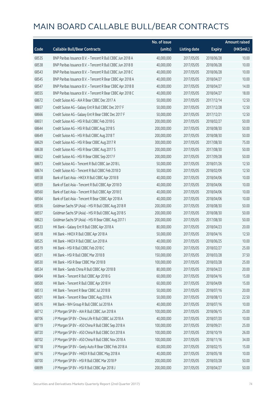|       |                                                            | No. of issue |                     |               | <b>Amount raised</b> |
|-------|------------------------------------------------------------|--------------|---------------------|---------------|----------------------|
| Code  | <b>Callable Bull/Bear Contracts</b>                        | (units)      | <b>Listing date</b> | <b>Expiry</b> | (HK\$mil.)           |
| 68535 | BNP Paribas Issuance B.V. - Tencent R Bull CBBC Jun 2018 A | 40,000,000   | 2017/05/05          | 2018/06/28    | 10.00                |
| 68538 | BNP Paribas Issuance B.V. - Tencent R Bull CBBC Jun 2018 B | 40,000,000   | 2017/05/05          | 2018/06/28    | 10.00                |
| 68543 | BNP Paribas Issuance B.V. - Tencent R Bull CBBC Jun 2018 C | 40,000,000   | 2017/05/05          | 2018/06/28    | 10.00                |
| 68545 | BNP Paribas Issuance B.V. - Tencent R Bear CBBC Apr 2018 A | 40,000,000   | 2017/05/05          | 2018/04/27    | 10.00                |
| 68547 | BNP Paribas Issuance B.V. - Tencent R Bear CBBC Apr 2018 B | 40,000,000   | 2017/05/05          | 2018/04/27    | 14.00                |
| 68555 | BNP Paribas Issuance B.V. - Tencent R Bear CBBC Apr 2018 C | 40,000,000   | 2017/05/05          | 2018/04/27    | 18.00                |
| 68672 | Credit Suisse AG - AIA R Bear CBBC Dec 2017 A              | 50,000,000   | 2017/05/05          | 2017/12/14    | 12.50                |
| 68657 | Credit Suisse AG - Galaxy Ent R Bull CBBC Dec 2017 F       | 50,000,000   | 2017/05/05          | 2017/12/28    | 12.50                |
| 68666 | Credit Suisse AG - Galaxy Ent R Bear CBBC Dec 2017 F       | 50,000,000   | 2017/05/05          | 2017/12/21    | 12.50                |
| 68651 | Credit Suisse AG - HSI R Bull CBBC Feb 2018 G              | 200,000,000  | 2017/05/05          | 2018/02/27    | 50.00                |
| 68644 | Credit Suisse AG - HSI R Bull CBBC Aug 2018 S              | 200,000,000  | 2017/05/05          | 2018/08/30    | 50.00                |
| 68649 | Credit Suisse AG - HSI R Bull CBBC Aug 2018 T              | 200,000,000  | 2017/05/05          | 2018/08/30    | 50.00                |
| 68629 | Credit Suisse AG - HSI R Bear CBBC Aug 2017 R              | 300,000,000  | 2017/05/05          | 2017/08/30    | 75.00                |
| 68638 | Credit Suisse AG - HSI R Bear CBBC Aug 2017 S              | 200,000,000  | 2017/05/05          | 2017/08/30    | 50.00                |
| 68652 | Credit Suisse AG - HSI R Bear CBBC Sep 2017 F              | 200,000,000  | 2017/05/05          | 2017/09/28    | 50.00                |
| 68673 | Credit Suisse AG - Tencent R Bull CBBC Jan 2018 L          | 50,000,000   | 2017/05/05          | 2018/01/26    | 12.50                |
| 68674 | Credit Suisse AG - Tencent R Bull CBBC Feb 2018 D          | 50,000,000   | 2017/05/05          | 2018/02/09    | 12.50                |
| 68558 | Bank of East Asia - HKEX R Bull CBBC Apr 2018 B            | 40,000,000   | 2017/05/05          | 2018/04/06    | 10.00                |
| 68559 | Bank of East Asia - Tencent R Bull CBBC Apr 2018 D         | 40,000,000   | 2017/05/05          | 2018/04/06    | 10.00                |
| 68560 | Bank of East Asia - Tencent R Bull CBBC Apr 2018 E         | 40,000,000   | 2017/05/05          | 2018/04/06    | 10.00                |
| 68564 | Bank of East Asia - Tencent R Bear CBBC Apr 2018 A         | 40,000,000   | 2017/05/05          | 2018/04/06    | 10.00                |
| 68556 | Goldman Sachs SP (Asia) - HSI R Bull CBBC Aug 2018 R       | 200,000,000  | 2017/05/05          | 2018/08/30    | 50.00                |
| 68557 | Goldman Sachs SP (Asia) - HSI R Bull CBBC Aug 2018 S       | 200,000,000  | 2017/05/05          | 2018/08/30    | 50.00                |
| 68623 | Goldman Sachs SP (Asia) - HSI R Bear CBBC Aug 2017 I       | 200,000,000  | 2017/05/05          | 2017/08/30    | 50.00                |
| 68533 | HK Bank - Galaxy Ent R Bull CBBC Apr 2018 A                | 80,000,000   | 2017/05/05          | 2018/04/23    | 20.00                |
| 68518 | HK Bank - HKEX R Bull CBBC Apr 2018 A                      | 50,000,000   | 2017/05/05          | 2018/04/16    | 12.50                |
| 68525 | HK Bank - HKEX R Bull CBBC Jun 2018 A                      | 40,000,000   | 2017/05/05          | 2018/06/25    | 10.00                |
| 68519 | HK Bank - HSI R Bull CBBC Feb 2018 C                       | 100,000,000  | 2017/05/05          | 2018/02/27    | 25.00                |
| 68531 | HK Bank - HSI R Bull CBBC Mar 2018 B                       | 150,000,000  | 2017/05/05          | 2018/03/28    | 37.50                |
| 68530 | HK Bank - HSI R Bear CBBC Mar 2018 B                       | 100,000,000  | 2017/05/05          | 2018/03/28    | 25.00                |
| 68534 | HK Bank - Sands China R Bull CBBC Apr 2018 B               | 80,000,000   | 2017/05/05          | 2018/04/23    | 20.00                |
| 68494 | HK Bank - Tencent R Bull CBBC Apr 2018 G                   | 60,000,000   | 2017/05/05          | 2018/04/16    | 15.00                |
| 68500 | HK Bank - Tencent R Bull CBBC Apr 2018 H                   | 60,000,000   | 2017/05/05          | 2018/04/09    | 15.00                |
| 68513 | HK Bank - Tencent R Bear CBBC Jul 2018 B                   | 50,000,000   | 2017/05/05          | 2018/07/16    | 20.00                |
| 68501 | HK Bank - Tencent R Bear CBBC Aug 2018 A                   | 50,000,000   | 2017/05/05          | 2018/08/13    | 22.50                |
| 68516 | HK Bank - WH Group R Bull CBBC Jul 2018 A                  | 40,000,000   | 2017/05/05          | 2018/07/16    | 10.00                |
| 68712 | J P Morgan SP BV - AIA R Bull CBBC Jun 2018 A              | 100,000,000  | 2017/05/05          | 2018/06/15    | 25.00                |
| 68706 | J P Morgan SP BV - China Life R Bull CBBC Jul 2018 A       | 40,000,000   | 2017/05/05          | 2018/07/20    | 10.00                |
| 68719 | J P Morgan SP BV - A50 China R Bull CBBC Sep 2018 A        | 100,000,000  | 2017/05/05          | 2018/09/21    | 25.00                |
| 68720 | J P Morgan SP BV - A50 China R Bull CBBC Oct 2018 A        | 100,000,000  | 2017/05/05          | 2018/10/19    | 26.00                |
| 68702 | J P Morgan SP BV - A50 China R Bull CBBC Nov 2018 A        | 100,000,000  | 2017/05/05          | 2018/11/16    | 34.00                |
| 68718 | J P Morgan SP BV - Geely Auto R Bear CBBC Feb 2018 A       | 60,000,000   | 2017/05/05          | 2018/02/15    | 15.00                |
| 68716 | J P Morgan SP BV - HKEX R Bull CBBC May 2018 A             | 40,000,000   | 2017/05/05          | 2018/05/18    | 10.00                |
| 68700 | J P Morgan SP BV - HSI R Bull CBBC Mar 2018 P              | 200,000,000  | 2017/05/05          | 2018/03/28    | 50.00                |
| 68699 | J P Morgan SP BV - HSI R Bull CBBC Apr 2018 J              | 200,000,000  | 2017/05/05          | 2018/04/27    | 50.00                |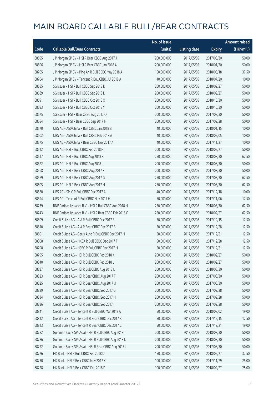|       |                                                        | No. of issue |                     |               | <b>Amount raised</b> |
|-------|--------------------------------------------------------|--------------|---------------------|---------------|----------------------|
| Code  | <b>Callable Bull/Bear Contracts</b>                    | (units)      | <b>Listing date</b> | <b>Expiry</b> | (HK\$mil.)           |
| 68695 | J P Morgan SP BV - HSI R Bear CBBC Aug 2017 J          | 200,000,000  | 2017/05/05          | 2017/08/30    | 50.00                |
| 68696 | J P Morgan SP BV - HSI R Bear CBBC Jan 2018 A          | 200,000,000  | 2017/05/05          | 2018/01/30    | 50.00                |
| 68705 | J P Morgan SP BV - Ping An R Bull CBBC May 2018 A      | 150,000,000  | 2017/05/05          | 2018/05/18    | 37.50                |
| 68704 | J P Morgan SP BV - Tencent R Bull CBBC Jul 2018 A      | 40,000,000   | 2017/05/05          | 2018/07/20    | 10.00                |
| 68685 | SG Issuer - HSI R Bull CBBC Sep 2018 K                 | 200,000,000  | 2017/05/05          | 2018/09/27    | 50.00                |
| 68689 | SG Issuer - HSI R Bull CBBC Sep 2018 L                 | 200,000,000  | 2017/05/05          | 2018/09/27    | 50.00                |
| 68691 | SG Issuer - HSI R Bull CBBC Oct 2018 X                 | 200,000,000  | 2017/05/05          | 2018/10/30    | 50.00                |
| 68693 | SG Issuer - HSI R Bull CBBC Oct 2018 Y                 | 200,000,000  | 2017/05/05          | 2018/10/30    | 50.00                |
| 68675 | SG Issuer - HSI R Bear CBBC Aug 2017 Q                 | 200,000,000  | 2017/05/05          | 2017/08/30    | 50.00                |
| 68684 | SG Issuer - HSI R Bear CBBC Sep 2017 H                 | 200,000,000  | 2017/05/05          | 2017/09/28    | 50.00                |
| 68570 | UBS AG - A50 China R Bull CBBC Jan 2018 B              | 40,000,000   | 2017/05/05          | 2018/01/15    | 10.00                |
| 68602 | UBS AG - A50 China R Bull CBBC Feb 2018 A              | 40,000,000   | 2017/05/05          | 2018/02/05    | 10.00                |
| 68575 | UBS AG - A50 China R Bear CBBC Nov 2017 A              | 40,000,000   | 2017/05/05          | 2017/11/27    | 10.00                |
| 68612 | UBS AG - HSI R Bull CBBC Feb 2018 H                    | 200,000,000  | 2017/05/05          | 2018/02/27    | 50.00                |
| 68617 | UBS AG - HSI R Bull CBBC Aug 2018 K                    | 250,000,000  | 2017/05/05          | 2018/08/30    | 62.50                |
| 68622 | UBS AG - HSI R Bull CBBC Aug 2018 L                    | 200,000,000  | 2017/05/05          | 2018/08/30    | 50.00                |
| 68568 | UBS AG - HSI R Bear CBBC Aug 2017 F                    | 200,000,000  | 2017/05/05          | 2017/08/30    | 50.00                |
| 68569 | UBS AG - HSI R Bear CBBC Aug 2017 G                    | 250,000,000  | 2017/05/05          | 2017/08/30    | 62.50                |
| 68605 | UBS AG - HSI R Bear CBBC Aug 2017 H                    | 250,000,000  | 2017/05/05          | 2017/08/30    | 62.50                |
| 68580 | UBS AG - SMIC R Bull CBBC Dec 2017 A                   | 40,000,000   | 2017/05/05          | 2017/12/18    | 10.00                |
| 68594 | UBS AG - Tencent R Bull CBBC Nov 2017 H                | 50,000,000   | 2017/05/05          | 2017/11/06    | 12.50                |
| 68739 | BNP Paribas Issuance B.V. - HSI R Bull CBBC Aug 2018 H | 250,000,000  | 2017/05/08          | 2018/08/30    | 62.50                |
| 68743 | BNP Paribas Issuance B.V. - HSI R Bear CBBC Feb 2018 C | 250,000,000  | 2017/05/08          | 2018/02/27    | 62.50                |
| 68809 | Credit Suisse AG - AIA R Bull CBBC Dec 2017 B          | 50,000,000   | 2017/05/08          | 2017/12/15    | 12.50                |
| 68810 | Credit Suisse AG - AIA R Bear CBBC Dec 2017 B          | 50,000,000   | 2017/05/08          | 2017/12/28    | 12.50                |
| 68801 | Credit Suisse AG - Geely Auto R Bull CBBC Dec 2017 H   | 50,000,000   | 2017/05/08          | 2017/12/21    | 12.50                |
| 68808 | Credit Suisse AG - HKEX R Bull CBBC Dec 2017 F         | 50,000,000   | 2017/05/08          | 2017/12/28    | 12.50                |
| 68798 | Credit Suisse AG - HSBC R Bull CBBC Dec 2017 H         | 50,000,000   | 2017/05/08          | 2017/12/21    | 12.50                |
| 68795 | Credit Suisse AG - HSI R Bull CBBC Feb 2018 K          | 200,000,000  | 2017/05/08          | 2018/02/27    | 50.00                |
| 68840 | Credit Suisse AG - HSI R Bull CBBC Feb 2018 L          | 200,000,000  | 2017/05/08          | 2018/02/27    | 50.00                |
| 68837 | Credit Suisse AG - HSI R Bull CBBC Aug 2018 U          | 200,000,000  | 2017/05/08          | 2018/08/30    | 50.00                |
| 68823 | Credit Suisse AG - HSI R Bear CBBC Aug 2017 T          | 200,000,000  | 2017/05/08          | 2017/08/30    | 50.00                |
| 68825 | Credit Suisse AG - HSI R Bear CBBC Aug 2017 U          | 200,000,000  | 2017/05/08          | 2017/08/30    | 50.00                |
| 68829 | Credit Suisse AG - HSI R Bear CBBC Sep 2017 G          | 200,000,000  | 2017/05/08          | 2017/09/28    | 50.00                |
| 68834 | Credit Suisse AG - HSI R Bear CBBC Sep 2017 H          | 200,000,000  | 2017/05/08          | 2017/09/28    | 50.00                |
| 68836 | Credit Suisse AG - HSI R Bear CBBC Sep 2017 I          | 200,000,000  | 2017/05/08          | 2017/09/28    | 50.00                |
| 68841 | Credit Suisse AG - Tencent R Bull CBBC Mar 2018 A      | 50,000,000   | 2017/05/08          | 2018/03/02    | 19.00                |
| 68812 | Credit Suisse AG - Tencent R Bear CBBC Dec 2017 B      | 50,000,000   | 2017/05/08          | 2017/12/15    | 12.50                |
| 68813 | Credit Suisse AG - Tencent R Bear CBBC Dec 2017 C      | 50,000,000   | 2017/05/08          | 2017/12/21    | 19.00                |
| 68782 | Goldman Sachs SP (Asia) - HSI R Bull CBBC Aug 2018 T   | 200,000,000  | 2017/05/08          | 2018/08/30    | 50.00                |
| 68786 | Goldman Sachs SP (Asia) - HSI R Bull CBBC Aug 2018 U   | 200,000,000  | 2017/05/08          | 2018/08/30    | 50.00                |
| 68772 | Goldman Sachs SP (Asia) - HSI R Bear CBBC Aug 2017 J   | 200,000,000  | 2017/05/08          | 2017/08/30    | 50.00                |
| 68726 | HK Bank - HSI R Bull CBBC Feb 2018 D                   | 150,000,000  | 2017/05/08          | 2018/02/27    | 37.50                |
| 68730 | HK Bank - HSI R Bear CBBC Nov 2017 K                   | 100,000,000  | 2017/05/08          | 2017/11/29    | 25.00                |
| 68728 | HK Bank - HSI R Bear CBBC Feb 2018 D                   | 100,000,000  | 2017/05/08          | 2018/02/27    | 25.00                |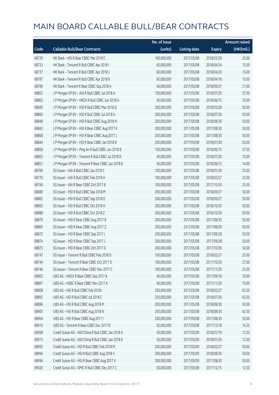|       |                                                     | No. of issue |                     |               | <b>Amount raised</b> |
|-------|-----------------------------------------------------|--------------|---------------------|---------------|----------------------|
| Code  | <b>Callable Bull/Bear Contracts</b>                 | (units)      | <b>Listing date</b> | <b>Expiry</b> | (HK\$mil.)           |
| 68729 | HK Bank - HSI R Bear CBBC Mar 2018 C                | 100,000,000  | 2017/05/08          | 2018/03/28    | 25.00                |
| 68733 | HK Bank - Tencent R Bull CBBC Apr 2018 I            | 60,000,000   | 2017/05/08          | 2018/04/24    | 15.00                |
| 68737 | HK Bank - Tencent R Bull CBBC Apr 2018 J            | 60,000,000   | 2017/05/08          | 2018/04/20    | 15.00                |
| 68787 | HK Bank - Tencent R Bull CBBC Apr 2018 K            | 60,000,000   | 2017/05/08          | 2018/04/18    | 15.00                |
| 68789 | HK Bank - Tencent R Bear CBBC Sep 2018 A            | 40,000,000   | 2017/05/08          | 2018/09/21    | 21.60                |
| 68852 | J P Morgan SP BV - AIA R Bull CBBC Jul 2018 A       | 150,000,000  | 2017/05/08          | 2018/07/20    | 37.50                |
| 68863 | J P Morgan SP BV - HKEX R Bull CBBC Jun 2018 A      | 40,000,000   | 2017/05/08          | 2018/06/15    | 10.00                |
| 68845 | J P Morgan SP BV - HSI R Bull CBBC Mar 2018 Q       | 200,000,000  | 2017/05/08          | 2018/03/28    | 50.00                |
| 68866 | J P Morgan SP BV - HSI R Bull CBBC Jul 2018 A       | 200,000,000  | 2017/05/08          | 2018/07/30    | 50.00                |
| 68848 | J P Morgan SP BV - HSI R Bull CBBC Aug 2018 H       | 200,000,000  | 2017/05/08          | 2018/08/30    | 50.00                |
| 68843 | J P Morgan SP BV - HSI R Bear CBBC Aug 2017 K       | 200,000,000  | 2017/05/08          | 2017/08/30    | 50.00                |
| 68868 | J P Morgan SP BV - HSI R Bear CBBC Aug 2017 L       | 200,000,000  | 2017/05/08          | 2017/08/30    | 50.00                |
| 68844 | J P Morgan SP BV - HSI R Bear CBBC Jan 2018 B       | 200,000,000  | 2017/05/08          | 2018/01/30    | 50.00                |
| 68858 | J P Morgan SP BV - Ping An R Bull CBBC Jun 2018 B   | 150,000,000  | 2017/05/08          | 2018/06/15    | 37.50                |
| 68855 | J P Morgan SP BV - Tencent R Bull CBBC Jul 2018 B   | 40,000,000   | 2017/05/08          | 2018/07/20    | 10.00                |
| 68857 | J P Morgan SP BV - Tencent R Bear CBBC Jun 2018 B   | 40,000,000   | 2017/05/08          | 2018/06/15    | 14.00                |
| 68769 | SG Issuer - AIA R Bull CBBC Jan 2018 C              | 100,000,000  | 2017/05/08          | 2018/01/30    | 25.00                |
| 68770 | SG Issuer - AIA R Bull CBBC Feb 2018 A              | 100,000,000  | 2017/05/08          | 2018/02/27    | 25.00                |
| 68760 | SG Issuer - AIA R Bear CBBC Oct 2017 B              | 100,000,000  | 2017/05/08          | 2017/10/30    | 25.00                |
| 68880 | SG Issuer - HSI R Bull CBBC Sep 2018 M              | 200,000,000  | 2017/05/08          | 2018/09/27    | 50.00                |
| 68882 | SG Issuer - HSI R Bull CBBC Sep 2018 O              | 200,000,000  | 2017/05/08          | 2018/09/27    | 50.00                |
| 68893 | SG Issuer - HSI R Bull CBBC Oct 2018 H              | 200,000,000  | 2017/05/08          | 2018/10/30    | 50.00                |
| 68888 | SG Issuer - HSI R Bull CBBC Oct 2018 Z              | 200,000,000  | 2017/05/08          | 2018/10/30    | 50.00                |
| 68870 | SG Issuer - HSI R Bear CBBC Aug 2017 B              | 200,000,000  | 2017/05/08          | 2017/08/30    | 50.00                |
| 68869 | SG Issuer - HSI R Bear CBBC Aug 2017 Z              | 200,000,000  | 2017/05/08          | 2017/08/30    | 50.00                |
| 68872 | SG Issuer - HSI R Bear CBBC Sep 2017 I              | 200,000,000  | 2017/05/08          | 2017/09/28    | 50.00                |
| 68874 | SG Issuer - HSI R Bear CBBC Sep 2017 J              | 200,000,000  | 2017/05/08          | 2017/09/28    | 50.00                |
| 68875 | SG Issuer – HSI R Bear CBBC Oct 2017 D              | 200,000,000  | 2017/05/08          | 2017/10/30    | 50.00                |
| 68747 | SG Issuer - Tencent R Bull CBBC Feb 2018 D          | 100,000,000  | 2017/05/08          | 2018/02/27    | 25.00                |
| 68744 | SG Issuer - Tencent R Bear CBBC Oct 2017 D          | 100,000,000  | 2017/05/08          | 2017/10/30    | 27.00                |
| 68746 | SG Issuer - Tencent R Bear CBBC Nov 2017 C          | 100,000,000  | 2017/05/08          | 2017/11/29    | 25.00                |
| 68903 | UBS AG - HKEX R Bear CBBC Sep 2017 A                | 40,000,000   | 2017/05/08          | 2017/09/18    | 10.00                |
| 68897 | UBS AG - HSBC R Bear CBBC Nov 2017 A                | 40,000,000   | 2017/05/08          | 2017/11/20    | 10.00                |
| 68908 | UBS AG - HSI R Bull CBBC Feb 2018 I                 | 250,000,000  | 2017/05/08          | 2018/02/27    | 62.50                |
| 68895 | UBS AG - HSI R Bull CBBC Jul 2018 C                 | 250,000,000  | 2017/05/08          | 2018/07/30    | 62.50                |
| 68896 | UBS AG - HSI R Bull CBBC Aug 2018 M                 | 200,000,000  | 2017/05/08          | 2018/08/30    | 50.00                |
| 68905 | UBS AG - HSI R Bull CBBC Aug 2018 N                 | 250,000,000  | 2017/05/08          | 2018/08/30    | 62.50                |
| 68904 | UBS AG - HSI R Bear CBBC Aug 2017 I                 | 200,000,000  | 2017/05/08          | 2017/08/30    | 50.00                |
| 68910 | UBS AG - Tencent R Bear CBBC Dec 2017 B             | 50,000,000   | 2017/05/08          | 2017/12/18    | 14.25                |
| 69008 | Credit Suisse AG - A50 China R Bull CBBC Jan 2018 A | 50,000,000   | 2017/05/09          | 2018/01/19    | 12.50                |
| 69013 | Credit Suisse AG - A50 China R Bull CBBC Jan 2018 B | 50,000,000   | 2017/05/09          | 2018/01/26    | 12.50                |
| 68993 | Credit Suisse AG - HSI R Bull CBBC Feb 2018 M       | 200,000,000  | 2017/05/09          | 2018/02/27    | 50.00                |
| 68994 | Credit Suisse AG - HSI R Bull CBBC Aug 2018 V       | 200,000,000  | 2017/05/09          | 2018/08/30    | 50.00                |
| 68996 | Credit Suisse AG - HSI R Bear CBBC Aug 2017 V       | 200,000,000  | 2017/05/09          | 2017/08/30    | 50.00                |
| 69020 | Credit Suisse AG - SMIC R Bull CBBC Dec 2017 C      | 50,000,000   | 2017/05/09          | 2017/12/15    | 12.50                |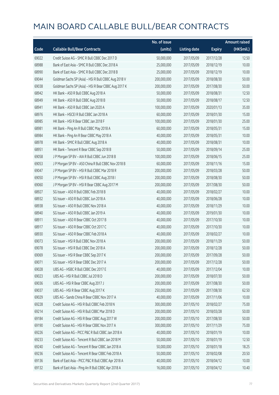|       |                                                      | No. of issue |                     |               | <b>Amount raised</b> |
|-------|------------------------------------------------------|--------------|---------------------|---------------|----------------------|
| Code  | <b>Callable Bull/Bear Contracts</b>                  | (units)      | <b>Listing date</b> | <b>Expiry</b> | (HK\$mil.)           |
| 69022 | Credit Suisse AG - SMIC R Bull CBBC Dec 2017 D       | 50,000,000   | 2017/05/09          | 2017/12/28    | 12.50                |
| 68988 | Bank of East Asia - SMIC R Bull CBBC Dec 2018 A      | 25,000,000   | 2017/05/09          | 2018/12/19    | 10.00                |
| 68990 | Bank of East Asia - SMIC R Bull CBBC Dec 2018 B      | 25,000,000   | 2017/05/09          | 2018/12/19    | 10.00                |
| 69044 | Goldman Sachs SP (Asia) - HSI R Bull CBBC Aug 2018 V | 200,000,000  | 2017/05/09          | 2018/08/30    | 50.00                |
| 69038 | Goldman Sachs SP (Asia) - HSI R Bear CBBC Aug 2017 K | 200,000,000  | 2017/05/09          | 2017/08/30    | 50.00                |
| 68942 | HK Bank - A50 R Bull CBBC Aug 2018 A                 | 50,000,000   | 2017/05/09          | 2018/08/31    | 12.50                |
| 68949 | HK Bank - A50 R Bull CBBC Aug 2018 B                 | 50,000,000   | 2017/05/09          | 2018/08/17    | 12.50                |
| 68941 | HK Bank - A50 R Bull CBBC Jan 2020 A                 | 100,000,000  | 2017/05/09          | 2020/01/13    | 35.00                |
| 68976 | HK Bank - HSCEI R Bull CBBC Jan 2018 A               | 60,000,000   | 2017/05/09          | 2018/01/30    | 15.00                |
| 68985 | HK Bank - HSI R Bear CBBC Jan 2018 F                 | 100,000,000  | 2017/05/09          | 2018/01/30    | 25.00                |
| 68981 | HK Bank - Ping An R Bull CBBC May 2018 A             | 60,000,000   | 2017/05/09          | 2018/05/31    | 15.00                |
| 68984 | HK Bank - Ping An R Bear CBBC May 2018 A             | 40,000,000   | 2017/05/09          | 2018/05/31    | 10.00                |
| 68978 | HK Bank - SMIC R Bull CBBC Aug 2018 A                | 40,000,000   | 2017/05/09          | 2018/08/31    | 10.00                |
| 68951 | HK Bank - Tencent R Bear CBBC Sep 2018 B             | 50,000,000   | 2017/05/09          | 2018/09/14    | 25.00                |
| 69058 | J P Morgan SP BV - AIA R Bull CBBC Jun 2018 B        | 100,000,000  | 2017/05/09          | 2018/06/15    | 25.00                |
| 69053 | J P Morgan SP BV - A50 China R Bull CBBC Nov 2018 B  | 60,000,000   | 2017/05/09          | 2018/11/16    | 15.00                |
| 69047 | J P Morgan SP BV - HSI R Bull CBBC Mar 2018 R        | 200,000,000  | 2017/05/09          | 2018/03/28    | 50.00                |
| 69050 | JP Morgan SP BV - HSIR Bull CBBC Aug 2018 I          | 200,000,000  | 2017/05/09          | 2018/08/30    | 50.00                |
| 69060 | J P Morgan SP BV - HSI R Bear CBBC Aug 2017 M        | 200,000,000  | 2017/05/09          | 2017/08/30    | 50.00                |
| 68927 | SG Issuer - A50 R Bull CBBC Feb 2018 B               | 40,000,000   | 2017/05/09          | 2018/02/27    | 10.00                |
| 68932 | SG Issuer - A50 R Bull CBBC Jun 2018 A               | 40,000,000   | 2017/05/09          | 2018/06/28    | 10.00                |
| 68938 | SG Issuer - A50 R Bull CBBC Nov 2018 A               | 40,000,000   | 2017/05/09          | 2018/11/29    | 10.00                |
| 68940 | SG Issuer - A50 R Bull CBBC Jan 2019 A               | 40,000,000   | 2017/05/09          | 2019/01/30    | 10.00                |
| 68911 | SG Issuer - A50 R Bear CBBC Oct 2017 B               | 40,000,000   | 2017/05/09          | 2017/10/30    | 10.00                |
| 68917 | SG Issuer - A50 R Bear CBBC Oct 2017 C               | 40,000,000   | 2017/05/09          | 2017/10/30    | 10.00                |
| 68930 | SG Issuer - A50 R Bear CBBC Feb 2018 A               | 40,000,000   | 2017/05/09          | 2018/02/27    | 10.00                |
| 69073 | SG Issuer - HSI R Bull CBBC Nov 2018 A               | 200,000,000  | 2017/05/09          | 2018/11/29    | 50.00                |
| 69078 | SG Issuer - HSI R Bull CBBC Dec 2018 A               | 200,000,000  | 2017/05/09          | 2018/12/28    | 50.00                |
| 69069 | SG Issuer - HSI R Bear CBBC Sep 2017 K               | 200,000,000  | 2017/05/09          | 2017/09/28    | 50.00                |
| 69071 | SG Issuer - HSI R Bear CBBC Dec 2017 A               | 200,000,000  | 2017/05/09          | 2017/12/28    | 50.00                |
| 69028 | UBS AG - HSBC R Bull CBBC Dec 2017 E                 | 40,000,000   | 2017/05/09          | 2017/12/04    | 10.00                |
| 69023 | UBS AG - HSI R Bull CBBC Jul 2018 D                  | 200,000,000  | 2017/05/09          | 2018/07/30    | 50.00                |
| 69036 | UBS AG - HSI R Bear CBBC Aug 2017 J                  | 200,000,000  | 2017/05/09          | 2017/08/30    | 50.00                |
| 69037 | UBS AG - HSI R Bear CBBC Aug 2017 K                  | 250,000,000  | 2017/05/09          | 2017/08/30    | 62.50                |
| 69029 | UBS AG - Sands China R Bear CBBC Nov 2017 A          | 40,000,000   | 2017/05/09          | 2017/11/06    | 10.00                |
| 69228 | Credit Suisse AG - HSI R Bull CBBC Feb 2018 N        | 300,000,000  | 2017/05/10          | 2018/02/27    | 75.00                |
| 69214 | Credit Suisse AG - HSI R Bull CBBC Mar 2018 D        | 200,000,000  | 2017/05/10          | 2018/03/28    | 50.00                |
| 69184 | Credit Suisse AG - HSI R Bear CBBC Aug 2017 W        | 200,000,000  | 2017/05/10          | 2017/08/30    | 50.00                |
| 69190 | Credit Suisse AG - HSI R Bear CBBC Nov 2017 A        | 300,000,000  | 2017/05/10          | 2017/11/29    | 75.00                |
| 69226 | Credit Suisse AG - PICC P&C R Bull CBBC Jan 2018 A   | 40,000,000   | 2017/05/10          | 2018/01/19    | 10.00                |
| 69233 | Credit Suisse AG - Tencent R Bull CBBC Jan 2018 M    | 50,000,000   | 2017/05/10          | 2018/01/19    | 12.50                |
| 69240 | Credit Suisse AG - Tencent R Bear CBBC Jan 2018 A    | 50,000,000   | 2017/05/10          | 2018/01/18    | 18.25                |
| 69236 | Credit Suisse AG - Tencent R Bear CBBC Feb 2018 A    | 50,000,000   | 2017/05/10          | 2018/02/08    | 20.50                |
| 69136 | Bank of East Asia - PICC P&C R Bull CBBC Apr 2018 A  | 40,000,000   | 2017/05/10          | 2018/04/12    | 10.00                |
| 69132 | Bank of East Asia - Ping An R Bull CBBC Apr 2018 A   | 16,000,000   | 2017/05/10          | 2018/04/12    | 10.40                |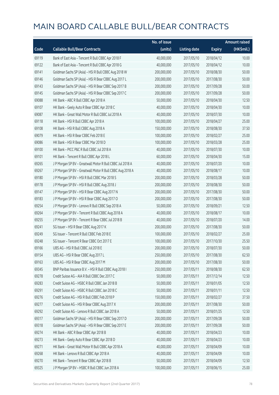|       |                                                           | No. of issue |                     |               | <b>Amount raised</b> |
|-------|-----------------------------------------------------------|--------------|---------------------|---------------|----------------------|
| Code  | <b>Callable Bull/Bear Contracts</b>                       | (units)      | <b>Listing date</b> | <b>Expiry</b> | (HK\$mil.)           |
| 69119 | Bank of East Asia - Tencent R Bull CBBC Apr 2018 F        | 40,000,000   | 2017/05/10          | 2018/04/12    | 10.00                |
| 69122 | Bank of East Asia - Tencent R Bull CBBC Apr 2018 G        | 40,000,000   | 2017/05/10          | 2018/04/12    | 10.00                |
| 69141 | Goldman Sachs SP (Asia) - HSI R Bull CBBC Aug 2018 W      | 200,000,000  | 2017/05/10          | 2018/08/30    | 50.00                |
| 69146 | Goldman Sachs SP (Asia) - HSI R Bear CBBC Aug 2017 L      | 200,000,000  | 2017/05/10          | 2017/08/30    | 50.00                |
| 69143 | Goldman Sachs SP (Asia) - HSI R Bear CBBC Sep 2017 B      | 200,000,000  | 2017/05/10          | 2017/09/28    | 50.00                |
| 69145 | Goldman Sachs SP (Asia) - HSI R Bear CBBC Sep 2017 C      | 200,000,000  | 2017/05/10          | 2017/09/28    | 50.00                |
| 69088 | HK Bank - ABC R Bull CBBC Apr 2018 A                      | 50,000,000   | 2017/05/10          | 2018/04/30    | 12.50                |
| 69107 | HK Bank - Geely Auto R Bear CBBC Apr 2018 C               | 40,000,000   | 2017/05/10          | 2018/04/30    | 10.00                |
| 69087 | HK Bank - Great Wall Motor R Bull CBBC Jul 2018 A         | 40,000,000   | 2017/05/10          | 2018/07/30    | 10.00                |
| 69118 | HK Bank - HSI R Bull CBBC Apr 2018 A                      | 100,000,000  | 2017/05/10          | 2018/04/27    | 25.00                |
| 69108 | HK Bank - HSI R Bull CBBC Aug 2018 A                      | 150,000,000  | 2017/05/10          | 2018/08/30    | 37.50                |
| 69079 | HK Bank - HSI R Bear CBBC Feb 2018 E                      | 100,000,000  | 2017/05/10          | 2018/02/27    | 25.00                |
| 69086 | HK Bank - HSI R Bear CBBC Mar 2018 D                      | 100,000,000  | 2017/05/10          | 2018/03/28    | 25.00                |
| 69100 | HK Bank - PICC P&C R Bull CBBC Jul 2018 A                 | 40,000,000   | 2017/05/10          | 2018/07/30    | 10.00                |
| 69101 | HK Bank - Tencent R Bull CBBC Apr 2018 L                  | 60,000,000   | 2017/05/10          | 2018/04/30    | 15.00                |
| 69265 | J P Morgan SP BV - Greatwall Motor R Bull CBBC Jul 2018 A | 40,000,000   | 2017/05/10          | 2018/07/20    | 10.00                |
| 69267 | J P Morgan SP BV - Greatwall Motor R Bull CBBC Aug 2018 A | 40,000,000   | 2017/05/10          | 2018/08/17    | 10.00                |
| 69180 | JP Morgan SP BV - HSIR Bull CBBC Mar 2018 S               | 200,000,000  | 2017/05/10          | 2018/03/28    | 50.00                |
| 69178 | J P Morgan SP BV - HSI R Bull CBBC Aug 2018 J             | 200,000,000  | 2017/05/10          | 2018/08/30    | 50.00                |
| 69147 | J P Morgan SP BV - HSI R Bear CBBC Aug 2017 N             | 200,000,000  | 2017/05/10          | 2017/08/30    | 50.00                |
| 69183 | J P Morgan SP BV - HSI R Bear CBBC Aug 2017 O             | 200,000,000  | 2017/05/10          | 2017/08/30    | 50.00                |
| 69254 | J P Morgan SP BV - Lenovo R Bull CBBC Sep 2018 A          | 50,000,000   | 2017/05/10          | 2018/09/21    | 12.50                |
| 69264 | J P Morgan SP BV - Tencent R Bull CBBC Aug 2018 A         | 40,000,000   | 2017/05/10          | 2018/08/17    | 10.00                |
| 69255 | J P Morgan SP BV - Tencent R Bear CBBC Jul 2018 B         | 40,000,000   | 2017/05/10          | 2018/07/20    | 14.00                |
| 69241 | SG Issuer - HSI R Bear CBBC Aug 2017 K                    | 200,000,000  | 2017/05/10          | 2017/08/30    | 50.00                |
| 69249 | SG Issuer - Tencent R Bull CBBC Feb 2018 E                | 100,000,000  | 2017/05/10          | 2018/02/27    | 25.00                |
| 69248 | SG Issuer - Tencent R Bear CBBC Oct 2017 E                | 100,000,000  | 2017/05/10          | 2017/10/30    | 25.50                |
| 69166 | UBS AG - HSI R Bull CBBC Jul 2018 E                       | 200,000,000  | 2017/05/10          | 2018/07/30    | 50.00                |
| 69154 | UBS AG - HSI R Bear CBBC Aug 2017 L                       | 250,000,000  | 2017/05/10          | 2017/08/30    | 62.50                |
| 69163 | UBS AG - HSI R Bear CBBC Aug 2017 M                       | 200,000,000  | 2017/05/10          | 2017/08/30    | 50.00                |
| 69345 | BNP Paribas Issuance B.V. - HSI R Bull CBBC Aug 2018 I    | 250,000,000  | 2017/05/11          | 2018/08/30    | 62.50                |
| 69278 | Credit Suisse AG - AIA R Bull CBBC Dec 2017 C             | 50,000,000   | 2017/05/11          | 2017/12/14    | 12.50                |
| 69283 | Credit Suisse AG - HSBC R Bull CBBC Jan 2018 B            | 50,000,000   | 2017/05/11          | 2018/01/05    | 12.50                |
| 69291 | Credit Suisse AG - HSBC R Bull CBBC Jan 2018 C            | 50,000,000   | 2017/05/11          | 2018/01/11    | 12.50                |
| 69276 | Credit Suisse AG - HSI R Bull CBBC Feb 2018 P             | 150,000,000  | 2017/05/11          | 2018/02/27    | 37.50                |
| 69277 | Credit Suisse AG - HSI R Bear CBBC Aug 2017 X             | 200,000,000  | 2017/05/11          | 2017/08/30    | 50.00                |
| 69292 | Credit Suisse AG - Lenovo R Bull CBBC Jan 2018 A          | 50,000,000   | 2017/05/11          | 2018/01/25    | 12.50                |
| 69317 | Goldman Sachs SP (Asia) - HSI R Bear CBBC Sep 2017 D      | 200,000,000  | 2017/05/11          | 2017/09/28    | 50.00                |
| 69318 | Goldman Sachs SP (Asia) - HSI R Bear CBBC Sep 2017 E      | 200,000,000  | 2017/05/11          | 2017/09/28    | 50.00                |
| 69274 | HK Bank - ABC R Bear CBBC Apr 2018 B                      | 40,000,000   | 2017/05/11          | 2018/04/23    | 10.00                |
| 69273 | HK Bank - Geely Auto R Bear CBBC Apr 2018 D               | 40,000,000   | 2017/05/11          | 2018/04/23    | 10.00                |
| 69271 | HK Bank - Great Wall Motor R Bull CBBC Apr 2018 A         | 40,000,000   | 2017/05/11          | 2018/04/09    | 10.00                |
| 69268 | HK Bank - Lenovo R Bull CBBC Apr 2018 A                   | 40,000,000   | 2017/05/11          | 2018/04/09    | 10.00                |
| 69270 | HK Bank - Tencent R Bear CBBC Apr 2018 B                  | 50,000,000   | 2017/05/11          | 2018/04/09    | 12.50                |
| 69325 | J P Morgan SP BV - HSBC R Bull CBBC Jun 2018 A            | 100,000,000  | 2017/05/11          | 2018/06/15    | 25.00                |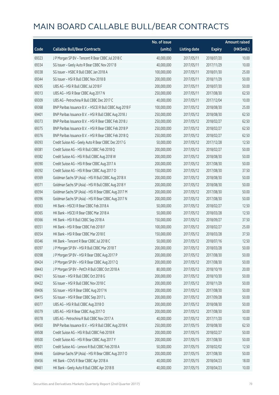|       |                                                          | No. of issue |                     |               | <b>Amount raised</b> |
|-------|----------------------------------------------------------|--------------|---------------------|---------------|----------------------|
| Code  | <b>Callable Bull/Bear Contracts</b>                      | (units)      | <b>Listing date</b> | <b>Expiry</b> | (HK\$mil.)           |
| 69323 | J P Morgan SP BV - Tencent R Bear CBBC Jul 2018 C        | 40,000,000   | 2017/05/11          | 2018/07/20    | 10.00                |
| 69334 | SG Issuer - Geely Auto R Bear CBBC Nov 2017 B            | 40,000,000   | 2017/05/11          | 2017/11/29    | 10.00                |
| 69338 | SG Issuer - HSBC R Bull CBBC Jan 2018 A                  | 100,000,000  | 2017/05/11          | 2018/01/30    | 25.00                |
| 69344 | SG Issuer - HSI R Bull CBBC Nov 2018 B                   | 200,000,000  | 2017/05/11          | 2018/11/29    | 50.00                |
| 69295 | UBS AG - HSI R Bull CBBC Jul 2018 F                      | 200,000,000  | 2017/05/11          | 2018/07/30    | 50.00                |
| 69313 | UBS AG - HSI R Bear CBBC Aug 2017 N                      | 250,000,000  | 2017/05/11          | 2017/08/30    | 62.50                |
| 69309 | UBS AG - Petrochina R Bull CBBC Dec 2017 C               | 40,000,000   | 2017/05/11          | 2017/12/04    | 10.00                |
| 69368 | BNP Paribas Issuance B.V. - HSCEI R Bull CBBC Aug 2018 F | 100,000,000  | 2017/05/12          | 2018/08/30    | 25.00                |
| 69401 | BNP Paribas Issuance B.V. - HSI R Bull CBBC Aug 2018 J   | 250,000,000  | 2017/05/12          | 2018/08/30    | 62.50                |
| 69373 | BNP Paribas Issuance B.V. - HSI R Bear CBBC Feb 2018 J   | 250,000,000  | 2017/05/12          | 2018/02/27    | 62.50                |
| 69375 | BNP Paribas Issuance B.V. - HSI R Bear CBBC Feb 2018 P   | 250,000,000  | 2017/05/12          | 2018/02/27    | 62.50                |
| 69376 | BNP Paribas Issuance B.V. - HSI R Bear CBBC Feb 2018 Q   | 250,000,000  | 2017/05/12          | 2018/02/27    | 62.50                |
| 69393 | Credit Suisse AG - Geely Auto R Bear CBBC Dec 2017 G     | 50,000,000   | 2017/05/12          | 2017/12/28    | 12.50                |
| 69381 | Credit Suisse AG - HSI R Bull CBBC Feb 2018 Q            | 200,000,000  | 2017/05/12          | 2018/02/27    | 50.00                |
| 69382 | Credit Suisse AG - HSI R Bull CBBC Aug 2018 W            | 200,000,000  | 2017/05/12          | 2018/08/30    | 50.00                |
| 69390 | Credit Suisse AG - HSI R Bear CBBC Aug 2017 A            | 200,000,000  | 2017/05/12          | 2017/08/30    | 50.00                |
| 69392 | Credit Suisse AG - HSI R Bear CBBC Aug 2017 O            | 150,000,000  | 2017/05/12          | 2017/08/30    | 37.50                |
| 69369 | Goldman Sachs SP (Asia) - HSI R Bull CBBC Aug 2018 X     | 200,000,000  | 2017/05/12          | 2018/08/30    | 50.00                |
| 69371 | Goldman Sachs SP (Asia) - HSI R Bull CBBC Aug 2018 Y     | 200,000,000  | 2017/05/12          | 2018/08/30    | 50.00                |
| 69394 | Goldman Sachs SP (Asia) - HSI R Bear CBBC Aug 2017 M     | 200,000,000  | 2017/05/12          | 2017/08/30    | 50.00                |
| 69396 | Goldman Sachs SP (Asia) - HSI R Bear CBBC Aug 2017 N     | 200,000,000  | 2017/05/12          | 2017/08/30    | 50.00                |
| 69363 | HK Bank - HSCEI R Bear CBBC Feb 2018 A                   | 50,000,000   | 2017/05/12          | 2018/02/27    | 12.50                |
| 69365 | HK Bank - HSCEI R Bear CBBC Mar 2018 A                   | 50,000,000   | 2017/05/12          | 2018/03/28    | 12.50                |
| 69366 | HK Bank - HSI R Bull CBBC Sep 2018 A                     | 150,000,000  | 2017/05/12          | 2018/09/27    | 37.50                |
| 69351 | HK Bank - HSI R Bear CBBC Feb 2018 F                     | 100,000,000  | 2017/05/12          | 2018/02/27    | 25.00                |
| 69354 | HK Bank - HSI R Bear CBBC Mar 2018 E                     | 150,000,000  | 2017/05/12          | 2018/03/28    | 37.50                |
| 69346 | HK Bank - Tencent R Bear CBBC Jul 2018 C                 | 50,000,000   | 2017/05/12          | 2018/07/16    | 12.50                |
| 69397 | J P Morgan SP BV - HSI R Bull CBBC Mar 2018 T            | 200,000,000  | 2017/05/12          | 2018/03/28    | 50.00                |
| 69398 | J P Morgan SP BV - HSI R Bear CBBC Aug 2017 P            | 200,000,000  | 2017/05/12          | 2017/08/30    | 50.00                |
| 69424 | J P Morgan SP BV - HSI R Bear CBBC Aug 2017 Q            | 200,000,000  | 2017/05/12          | 2017/08/30    | 50.00                |
| 69443 | J P Morgan SP BV - PetCh R Bull CBBC Oct 2018 A          | 80,000,000   | 2017/05/12          | 2018/10/19    | 20.00                |
| 69421 | SG Issuer - HSI R Bull CBBC Oct 2018 G                   | 200,000,000  | 2017/05/12          | 2018/10/30    | 50.00                |
| 69422 | SG Issuer - HSI R Bull CBBC Nov 2018 C                   | 200,000,000  | 2017/05/12          | 2018/11/29    | 50.00                |
| 69406 | SG Issuer - HSI R Bear CBBC Aug 2017 N                   | 200,000,000  | 2017/05/12          | 2017/08/30    | 50.00                |
| 69415 | SG Issuer - HSI R Bear CBBC Sep 2017 L                   | 200,000,000  | 2017/05/12          | 2017/09/28    | 50.00                |
| 69377 | UBS AG - HSI R Bull CBBC Aug 2018 O                      | 200,000,000  | 2017/05/12          | 2018/08/30    | 50.00                |
| 69379 | UBS AG - HSI R Bear CBBC Aug 2017 O                      | 200,000,000  | 2017/05/12          | 2017/08/30    | 50.00                |
| 69378 | UBS AG - Petrochina R Bull CBBC Nov 2017 A               | 40,000,000   | 2017/05/12          | 2017/11/20    | 10.00                |
| 69450 | BNP Paribas Issuance B.V. - HSI R Bull CBBC Aug 2018 K   | 250,000,000  | 2017/05/15          | 2018/08/30    | 62.50                |
| 69508 | Credit Suisse AG - HSI R Bull CBBC Feb 2018 R            | 200,000,000  | 2017/05/15          | 2018/02/27    | 50.00                |
| 69500 | Credit Suisse AG - HSI R Bear CBBC Aug 2017 Y            | 200,000,000  | 2017/05/15          | 2017/08/30    | 50.00                |
| 69501 | Credit Suisse AG - Lenovo R Bull CBBC Feb 2018 A         | 50,000,000   | 2017/05/15          | 2018/02/02    | 12.50                |
| 69446 | Goldman Sachs SP (Asia) - HSI R Bear CBBC Aug 2017 O     | 200,000,000  | 2017/05/15          | 2017/08/30    | 50.00                |
| 69456 | HK Bank - COVS R Bear CBBC Apr 2018 A                    | 40,000,000   | 2017/05/15          | 2018/04/23    | 18.00                |
| 69461 | HK Bank - Geely Auto R Bull CBBC Apr 2018 B              | 40,000,000   | 2017/05/15          | 2018/04/23    | 10.00                |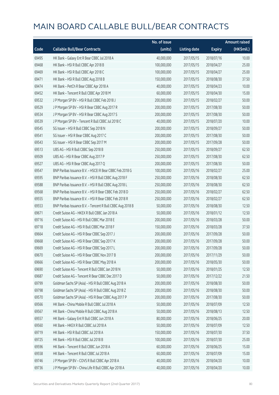|       |                                                            | No. of issue |                     |               | <b>Amount raised</b> |
|-------|------------------------------------------------------------|--------------|---------------------|---------------|----------------------|
| Code  | <b>Callable Bull/Bear Contracts</b>                        | (units)      | <b>Listing date</b> | <b>Expiry</b> | (HK\$mil.)           |
| 69495 | HK Bank - Galaxy Ent R Bear CBBC Jul 2018 A                | 40,000,000   | 2017/05/15          | 2018/07/16    | 10.00                |
| 69468 | HK Bank - HSI R Bull CBBC Apr 2018 B                       | 100,000,000  | 2017/05/15          | 2018/04/27    | 25.00                |
| 69469 | HK Bank - HSI R Bull CBBC Apr 2018 C                       | 100,000,000  | 2017/05/15          | 2018/04/27    | 25.00                |
| 69471 | HK Bank - HSI R Bull CBBC Aug 2018 B                       | 150,000,000  | 2017/05/15          | 2018/08/30    | 37.50                |
| 69474 | HK Bank - PetCh R Bear CBBC Apr 2018 A                     | 40,000,000   | 2017/05/15          | 2018/04/23    | 10.00                |
| 69452 | HK Bank - Tencent R Bull CBBC Apr 2018 M                   | 60,000,000   | 2017/05/15          | 2018/04/30    | 15.00                |
| 69532 | J P Morgan SP BV - HSI R Bull CBBC Feb 2018 J              | 200,000,000  | 2017/05/15          | 2018/02/27    | 50.00                |
| 69529 | J P Morgan SP BV - HSI R Bear CBBC Aug 2017 R              | 200,000,000  | 2017/05/15          | 2017/08/30    | 50.00                |
| 69534 | J P Morgan SP BV - HSI R Bear CBBC Aug 2017 S              | 200,000,000  | 2017/05/15          | 2017/08/30    | 50.00                |
| 69539 | J P Morgan SP BV - Tencent R Bull CBBC Jul 2018 C          | 40,000,000   | 2017/05/15          | 2018/07/20    | 10.00                |
| 69545 | SG Issuer - HSI R Bull CBBC Sep 2018 N                     | 200,000,000  | 2017/05/15          | 2018/09/27    | 50.00                |
| 69541 | SG Issuer - HSI R Bear CBBC Aug 2017 C                     | 200,000,000  | 2017/05/15          | 2017/08/30    | 50.00                |
| 69543 | SG Issuer - HSI R Bear CBBC Sep 2017 M                     | 200,000,000  | 2017/05/15          | 2017/09/28    | 50.00                |
| 69513 | UBS AG - HSI R Bull CBBC Sep 2018 B                        | 250,000,000  | 2017/05/15          | 2018/09/27    | 62.50                |
| 69509 | UBS AG - HSI R Bear CBBC Aug 2017 P                        | 250,000,000  | 2017/05/15          | 2017/08/30    | 62.50                |
| 69527 | UBS AG - HSI R Bear CBBC Aug 2017 Q                        | 200,000,000  | 2017/05/15          | 2017/08/30    | 50.00                |
| 69547 | BNP Paribas Issuance B.V. - HSCEI R Bear CBBC Feb 2018 G   | 100,000,000  | 2017/05/16          | 2018/02/27    | 25.00                |
| 69595 | BNP Paribas Issuance B.V. - HSI R Bull CBBC Aug 2018 F     | 250,000,000  | 2017/05/16          | 2018/08/30    | 62.50                |
| 69588 | BNP Paribas Issuance B.V. - HSI R Bull CBBC Aug 2018 L     | 250,000,000  | 2017/05/16          | 2018/08/30    | 62.50                |
| 69568 | BNP Paribas Issuance B.V. - HSI R Bear CBBC Feb 2018 D     | 250,000,000  | 2017/05/16          | 2018/02/27    | 62.50                |
| 69555 | BNP Paribas Issuance B.V. - HSI R Bear CBBC Feb 2018 R     | 250,000,000  | 2017/05/16          | 2018/02/27    | 62.50                |
| 69553 | BNP Paribas Issuance B.V. - Tencent R Bull CBBC Aug 2018 B | 50,000,000   | 2017/05/16          | 2018/08/30    | 12.50                |
| 69671 | Credit Suisse AG - HKEX R Bull CBBC Jan 2018 A             | 50,000,000   | 2017/05/16          | 2018/01/12    | 12.50                |
| 69716 | Credit Suisse AG - HSI R Bull CBBC Mar 2018 E              | 200,000,000  | 2017/05/16          | 2018/03/28    | 50.00                |
| 69718 | Credit Suisse AG - HSI R Bull CBBC Mar 2018 F              | 150,000,000  | 2017/05/16          | 2018/03/28    | 37.50                |
| 69664 | Credit Suisse AG - HSI R Bear CBBC Sep 2017 J              | 200,000,000  | 2017/05/16          | 2017/09/28    | 50.00                |
| 69668 | Credit Suisse AG - HSI R Bear CBBC Sep 2017 K              | 200,000,000  | 2017/05/16          | 2017/09/28    | 50.00                |
| 69669 | Credit Suisse AG - HSI R Bear CBBC Sep 2017 L              | 200,000,000  | 2017/05/16          | 2017/09/28    | 50.00                |
| 69670 | Credit Suisse AG - HSI R Bear CBBC Nov 2017 B              | 200,000,000  | 2017/05/16          | 2017/11/29    | 50.00                |
| 69666 | Credit Suisse AG - HSI R Bear CBBC May 2018 A              | 200,000,000  | 2017/05/16          | 2018/05/30    | 50.00                |
| 69690 | Credit Suisse AG - Tencent R Bull CBBC Jan 2018 N          | 50,000,000   | 2017/05/16          | 2018/01/25    | 12.50                |
| 69687 | Credit Suisse AG - Tencent R Bear CBBC Dec 2017 D          | 50,000,000   | 2017/05/16          | 2017/12/22    | 21.50                |
| 69799 | Goldman Sachs SP (Asia) - HSI R Bull CBBC Aug 2018 A       | 200,000,000  | 2017/05/16          | 2018/08/30    | 50.00                |
| 69798 | Goldman Sachs SP (Asia) - HSI R Bull CBBC Aug 2018 Z       | 200,000,000  | 2017/05/16          | 2018/08/30    | 50.00                |
| 69570 | Goldman Sachs SP (Asia) - HSI R Bear CBBC Aug 2017 P       | 200,000,000  | 2017/05/16          | 2017/08/30    | 50.00                |
| 69566 | HK Bank - China Mobile R Bull CBBC Jul 2018 A              | 50,000,000   | 2017/05/16          | 2018/07/09    | 12.50                |
| 69567 | HK Bank - China Mobile R Bull CBBC Aug 2018 A              | 50,000,000   | 2017/05/16          | 2018/08/13    | 12.50                |
| 69557 | HK Bank - Galaxy Ent R Bull CBBC Jun 2018 A                | 80,000,000   | 2017/05/16          | 2018/06/25    | 20.00                |
| 69560 | HK Bank - HKEX R Bull CBBC Jul 2018 A                      | 50,000,000   | 2017/05/16          | 2018/07/09    | 12.50                |
| 69719 | HK Bank - HSI R Bull CBBC Jul 2018 A                       | 150,000,000  | 2017/05/16          | 2018/07/30    | 37.50                |
| 69725 | HK Bank - HSI R Bull CBBC Jul 2018 B                       | 100,000,000  | 2017/05/16          | 2018/07/30    | 25.00                |
| 69596 | HK Bank - Tencent R Bull CBBC Jun 2018 A                   | 60,000,000   | 2017/05/16          | 2018/06/25    | 15.00                |
| 69558 | HK Bank - Tencent R Bull CBBC Jul 2018 A                   | 60,000,000   | 2017/05/16          | 2018/07/09    | 15.00                |
| 69746 | J P Morgan SP BV - COVS R Bull CBBC Apr 2018 A             | 40,000,000   | 2017/05/16          | 2018/04/20    | 10.00                |
| 69736 | J P Morgan SP BV - China Life R Bull CBBC Apr 2018 A       | 40,000,000   | 2017/05/16          | 2018/04/20    | 10.00                |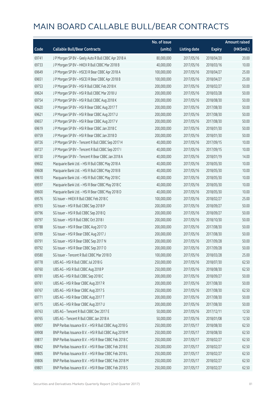|       |                                                        | No. of issue |                     |               | <b>Amount raised</b> |
|-------|--------------------------------------------------------|--------------|---------------------|---------------|----------------------|
| Code  | <b>Callable Bull/Bear Contracts</b>                    | (units)      | <b>Listing date</b> | <b>Expiry</b> | (HK\$mil.)           |
| 69741 | J P Morgan SP BV - Geely Auto R Bull CBBC Apr 2018 A   | 80,000,000   | 2017/05/16          | 2018/04/20    | 20.00                |
| 69733 | J P Morgan SP BV - HKEX R Bull CBBC Mar 2018 B         | 40,000,000   | 2017/05/16          | 2018/03/16    | 10.00                |
| 69649 | J P Morgan SP BV - HSCEI R Bear CBBC Apr 2018 A        | 100,000,000  | 2017/05/16          | 2018/04/27    | 25.00                |
| 69651 | J P Morgan SP BV - HSCEI R Bear CBBC Apr 2018 B        | 100,000,000  | 2017/05/16          | 2018/04/27    | 25.00                |
| 69753 | JP Morgan SP BV - HSIR Bull CBBC Feb 2018 K            | 200,000,000  | 2017/05/16          | 2018/02/27    | 50.00                |
| 69624 | J P Morgan SP BV - HSI R Bull CBBC Mar 2018 U          | 200,000,000  | 2017/05/16          | 2018/03/28    | 50.00                |
| 69754 | J P Morgan SP BV - HSI R Bull CBBC Aug 2018 K          | 200,000,000  | 2017/05/16          | 2018/08/30    | 50.00                |
| 69620 | J P Morgan SP BV - HSI R Bear CBBC Aug 2017 T          | 200,000,000  | 2017/05/16          | 2017/08/30    | 50.00                |
| 69621 | J P Morgan SP BV - HSI R Bear CBBC Aug 2017 U          | 200,000,000  | 2017/05/16          | 2017/08/30    | 50.00                |
| 69657 | J P Morgan SP BV - HSI R Bear CBBC Aug 2017 V          | 200,000,000  | 2017/05/16          | 2017/08/30    | 50.00                |
| 69619 | J P Morgan SP BV - HSI R Bear CBBC Jan 2018 C          | 200,000,000  | 2017/05/16          | 2018/01/30    | 50.00                |
| 69759 | J P Morgan SP BV - HSI R Bear CBBC Jan 2018 D          | 200,000,000  | 2017/05/16          | 2018/01/30    | 50.00                |
| 69726 | J P Morgan SP BV - Tencent R Bull CBBC Sep 2017 H      | 40,000,000   | 2017/05/16          | 2017/09/15    | 10.00                |
| 69727 | J P Morgan SP BV - Tencent R Bull CBBC Sep 2017 I      | 40,000,000   | 2017/05/16          | 2017/09/15    | 10.00                |
| 69730 | J P Morgan SP BV - Tencent R Bear CBBC Jan 2018 A      | 40,000,000   | 2017/05/16          | 2018/01/19    | 14.00                |
| 69602 | Macquarie Bank Ltd. - HSI R Bull CBBC May 2018 A       | 40,000,000   | 2017/05/16          | 2018/05/30    | 10.00                |
| 69608 | Macquarie Bank Ltd. - HSI R Bull CBBC May 2018 B       | 40,000,000   | 2017/05/16          | 2018/05/30    | 10.00                |
| 69610 | Macquarie Bank Ltd. - HSI R Bull CBBC May 2018 C       | 40,000,000   | 2017/05/16          | 2018/05/30    | 10.00                |
| 69597 | Macquarie Bank Ltd. - HSI R Bear CBBC May 2018 C       | 40,000,000   | 2017/05/16          | 2018/05/30    | 10.00                |
| 69600 | Macquarie Bank Ltd. - HSI R Bear CBBC May 2018 D       | 40,000,000   | 2017/05/16          | 2018/05/30    | 10.00                |
| 69576 | SG Issuer - HKEX R Bull CBBC Feb 2018 C                | 100,000,000  | 2017/05/16          | 2018/02/27    | 25.00                |
| 69793 | SG Issuer - HSI R Bull CBBC Sep 2018 P                 | 200,000,000  | 2017/05/16          | 2018/09/27    | 50.00                |
| 69796 | SG Issuer - HSI R Bull CBBC Sep 2018 Q                 | 200,000,000  | 2017/05/16          | 2018/09/27    | 50.00                |
| 69797 | SG Issuer - HSI R Bull CBBC Oct 2018 I                 | 200,000,000  | 2017/05/16          | 2018/10/30    | 50.00                |
| 69788 | SG Issuer - HSI R Bear CBBC Aug 2017 D                 | 200,000,000  | 2017/05/16          | 2017/08/30    | 50.00                |
| 69789 | SG Issuer - HSI R Bear CBBC Aug 2017 J                 | 200,000,000  | 2017/05/16          | 2017/08/30    | 50.00                |
| 69791 | SG Issuer - HSI R Bear CBBC Sep 2017 N                 | 200,000,000  | 2017/05/16          | 2017/09/28    | 50.00                |
| 69792 | SG Issuer - HSI R Bear CBBC Sep 2017 O                 | 200,000,000  | 2017/05/16          | 2017/09/28    | 50.00                |
| 69580 | SG Issuer - Tencent R Bull CBBC Mar 2018 D             | 100,000,000  | 2017/05/16          | 2018/03/28    | 25.00                |
| 69778 | UBS AG - HSI R Bull CBBC Jul 2018 G                    | 250,000,000  | 2017/05/16          | 2018/07/30    | 62.50                |
| 69760 | UBS AG - HSI R Bull CBBC Aug 2018 P                    | 250,000,000  | 2017/05/16          | 2018/08/30    | 62.50                |
| 69781 | UBS AG - HSI R Bull CBBC Sep 2018 C                    | 200,000,000  | 2017/05/16          | 2018/09/27    | 50.00                |
| 69761 | UBS AG - HSI R Bear CBBC Aug 2017 R                    | 200,000,000  | 2017/05/16          | 2017/08/30    | 50.00                |
| 69767 | UBS AG - HSI R Bear CBBC Aug 2017 S                    | 250,000,000  | 2017/05/16          | 2017/08/30    | 62.50                |
| 69771 | UBS AG - HSI R Bear CBBC Aug 2017 T                    | 200,000,000  | 2017/05/16          | 2017/08/30    | 50.00                |
| 69775 | UBS AG - HSI R Bear CBBC Aug 2017 U                    | 200,000,000  | 2017/05/16          | 2017/08/30    | 50.00                |
| 69763 | UBS AG - Tencent R Bull CBBC Dec 2017 E                | 50,000,000   | 2017/05/16          | 2017/12/11    | 12.50                |
| 69765 | UBS AG - Tencent R Bull CBBC Jan 2018 A                | 50,000,000   | 2017/05/16          | 2018/01/08    | 12.50                |
| 69907 | BNP Paribas Issuance B.V. - HSI R Bull CBBC Aug 2018 G | 250,000,000  | 2017/05/17          | 2018/08/30    | 62.50                |
| 69908 | BNP Paribas Issuance B.V. - HSI R Bull CBBC Aug 2018 M | 250,000,000  | 2017/05/17          | 2018/08/30    | 62.50                |
| 69817 | BNP Paribas Issuance B.V. - HSI R Bear CBBC Feb 2018 C | 250,000,000  | 2017/05/17          | 2018/02/27    | 62.50                |
| 69842 | BNP Paribas Issuance B.V. - HSI R Bear CBBC Feb 2018 E | 250,000,000  | 2017/05/17          | 2018/02/27    | 62.50                |
| 69805 | BNP Paribas Issuance B.V. - HSI R Bear CBBC Feb 2018 L | 250,000,000  | 2017/05/17          | 2018/02/27    | 62.50                |
| 69806 | BNP Paribas Issuance B.V. - HSI R Bear CBBC Feb 2018 M | 250,000,000  | 2017/05/17          | 2018/02/27    | 62.50                |
| 69801 | BNP Paribas Issuance B.V. - HSI R Bear CBBC Feb 2018 S | 250,000,000  | 2017/05/17          | 2018/02/27    | 62.50                |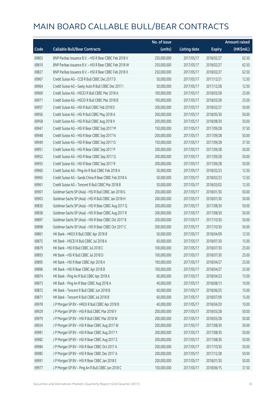|       |                                                        | No. of issue |                     |               | <b>Amount raised</b> |
|-------|--------------------------------------------------------|--------------|---------------------|---------------|----------------------|
| Code  | <b>Callable Bull/Bear Contracts</b>                    | (units)      | <b>Listing date</b> | <b>Expiry</b> | (HK\$mil.)           |
| 69803 | BNP Paribas Issuance B.V. - HSI R Bear CBBC Feb 2018 V | 250,000,000  | 2017/05/17          | 2018/02/27    | 62.50                |
| 69810 | BNP Paribas Issuance B.V. - HSI R Bear CBBC Feb 2018 W | 250,000,000  | 2017/05/17          | 2018/02/27    | 62.50                |
| 69827 | BNP Paribas Issuance B.V. - HSI R Bear CBBC Feb 2018 X | 250,000,000  | 2017/05/17          | 2018/02/27    | 62.50                |
| 69967 | Credit Suisse AG - CCB R Bull CBBC Dec 2017 D          | 50,000,000   | 2017/05/17          | 2017/12/21    | 12.50                |
| 69964 | Credit Suisse AG - Geely Auto R Bull CBBC Dec 2017 I   | 50,000,000   | 2017/05/17          | 2017/12/28    | 12.50                |
| 69969 | Credit Suisse AG - HSCEI R Bull CBBC Mar 2018 A        | 100,000,000  | 2017/05/17          | 2018/03/28    | 25.00                |
| 69971 | Credit Suisse AG - HSCEI R Bull CBBC Mar 2018 B        | 100,000,000  | 2017/05/17          | 2018/03/28    | 25.00                |
| 69957 | Credit Suisse AG - HSI R Bull CBBC Feb 2018 D          | 200,000,000  | 2017/05/17          | 2018/02/27    | 50.00                |
| 69956 | Credit Suisse AG - HSI R Bull CBBC May 2018 A          | 200,000,000  | 2017/05/17          | 2018/05/30    | 50.00                |
| 69958 | Credit Suisse AG - HSI R Bull CBBC Aug 2018 X          | 200,000,000  | 2017/05/17          | 2018/08/30    | 50.00                |
| 69947 | Credit Suisse AG - HSI R Bear CBBC Sep 2017 M          | 150,000,000  | 2017/05/17          | 2017/09/28    | 37.50                |
| 69948 | Credit Suisse AG - HSI R Bear CBBC Sep 2017 N          | 200,000,000  | 2017/05/17          | 2017/09/28    | 50.00                |
| 69949 | Credit Suisse AG - HSI R Bear CBBC Sep 2017 O          | 150,000,000  | 2017/05/17          | 2017/09/28    | 37.50                |
| 69951 | Credit Suisse AG - HSI R Bear CBBC Sep 2017 P          | 200,000,000  | 2017/05/17          | 2017/09/28    | 50.00                |
| 69952 | Credit Suisse AG - HSI R Bear CBBC Sep 2017 Q          | 200,000,000  | 2017/05/17          | 2017/09/28    | 50.00                |
| 69955 | Credit Suisse AG - HSI R Bear CBBC Sep 2017 R          | 200,000,000  | 2017/05/17          | 2017/09/28    | 50.00                |
| 69960 | Credit Suisse AG - Ping An R Bull CBBC Feb 2018 A      | 50,000,000   | 2017/05/17          | 2018/02/23    | 12.50                |
| 69965 | Credit Suisse AG - Sands China R Bear CBBC Feb 2018 A  | 50,000,000   | 2017/05/17          | 2018/02/23    | 12.50                |
| 69961 | Credit Suisse AG - Tencent R Bull CBBC Mar 2018 B      | 50,000,000   | 2017/05/17          | 2018/03/02    | 12.50                |
| 69901 | Goldman Sachs SP (Asia) - HSI R Bull CBBC Jan 2018 G   | 200,000,000  | 2017/05/17          | 2018/01/30    | 50.00                |
| 69903 | Goldman Sachs SP (Asia) - HSI R Bull CBBC Jan 2018 H   | 200,000,000  | 2017/05/17          | 2018/01/30    | 50.00                |
| 69830 | Goldman Sachs SP (Asia) - HSI R Bear CBBC Aug 2017 Q   | 200,000,000  | 2017/05/17          | 2017/08/30    | 50.00                |
| 69838 | Goldman Sachs SP (Asia) - HSI R Bear CBBC Aug 2017 R   | 200,000,000  | 2017/05/17          | 2017/08/30    | 50.00                |
| 69897 | Goldman Sachs SP (Asia) - HSI R Bear CBBC Oct 2017 B   | 200,000,000  | 2017/05/17          | 2017/10/30    | 50.00                |
| 69898 | Goldman Sachs SP (Asia) - HSI R Bear CBBC Oct 2017 C   | 200,000,000  | 2017/05/17          | 2017/10/30    | 50.00                |
| 69861 | HK Bank - HKEX R Bull CBBC Apr 2018 B                  | 50,000,000   | 2017/05/17          | 2018/04/09    | 12.50                |
| 69875 | HK Bank - HSCEI R Bull CBBC Jul 2018 A                 | 60,000,000   | 2017/05/17          | 2018/07/30    | 15.00                |
| 69879 | HK Bank - HSI R Bull CBBC Jul 2018 C                   | 100,000,000  | 2017/05/17          | 2018/07/30    | 25.00                |
| 69893 | HK Bank - HSI R Bull CBBC Jul 2018 D                   | 100,000,000  | 2017/05/17          | 2018/07/30    | 25.00                |
| 69895 | HK Bank - HSI R Bear CBBC Apr 2018 A                   | 100,000,000  | 2017/05/17          | 2018/04/27    | 25.00                |
| 69896 | HK Bank - HSI R Bear CBBC Apr 2018 B                   | 100,000,000  | 2017/05/17          | 2018/04/27    | 25.00                |
| 69874 | HK Bank - Ping An R Bull CBBC Apr 2018 A               | 60,000,000   | 2017/05/17          | 2018/04/23    | 15.00                |
| 69873 | HK Bank - Ping An R Bear CBBC Aug 2018 A               | 40,000,000   | 2017/05/17          | 2018/08/13    | 10.00                |
| 69872 | HK Bank - Tencent R Bull CBBC Jun 2018 B               | 60,000,000   | 2017/05/17          | 2018/06/25    | 15.00                |
| 69871 | HK Bank - Tencent R Bull CBBC Jul 2018 B               | 60,000,000   | 2017/05/17          | 2018/07/09    | 15.00                |
| 69978 | J P Morgan SP BV - HKEX R Bull CBBC Apr 2018 B         | 40,000,000   | 2017/05/17          | 2018/04/20    | 10.00                |
| 69929 | J P Morgan SP BV - HSI R Bull CBBC Mar 2018 V          | 200,000,000  | 2017/05/17          | 2018/03/28    | 50.00                |
| 69979 | J P Morgan SP BV - HSI R Bull CBBC Mar 2018 W          | 200,000,000  | 2017/05/17          | 2018/03/28    | 50.00                |
| 69924 | J P Morgan SP BV - HSI R Bear CBBC Aug 2017 W          | 200,000,000  | 2017/05/17          | 2017/08/30    | 50.00                |
| 69981 | J P Morgan SP BV - HSI R Bear CBBC Aug 2017 Y          | 200,000,000  | 2017/05/17          | 2017/08/30    | 50.00                |
| 69982 | J P Morgan SP BV - HSI R Bear CBBC Aug 2017 Z          | 200,000,000  | 2017/05/17          | 2017/08/30    | 50.00                |
| 69984 | J P Morgan SP BV - HSI R Bear CBBC Oct 2017 A          | 200,000,000  | 2017/05/17          | 2017/10/30    | 50.00                |
| 69985 | J P Morgan SP BV - HSI R Bear CBBC Dec 2017 A          | 200,000,000  | 2017/05/17          | 2017/12/28    | 50.00                |
| 69991 | J P Morgan SP BV - HSI R Bear CBBC Jan 2018 E          | 200,000,000  | 2017/05/17          | 2018/01/30    | 50.00                |
| 69977 | J P Morgan SP BV - Ping An R Bull CBBC Jun 2018 C      | 150,000,000  | 2017/05/17          | 2018/06/15    | 37.50                |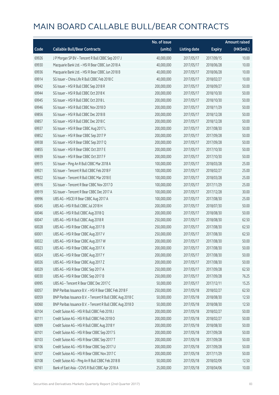|       |                                                            | No. of issue |                     |               | <b>Amount raised</b> |
|-------|------------------------------------------------------------|--------------|---------------------|---------------|----------------------|
| Code  | <b>Callable Bull/Bear Contracts</b>                        | (units)      | <b>Listing date</b> | <b>Expiry</b> | (HK\$mil.)           |
| 69926 | J P Morgan SP BV - Tencent R Bull CBBC Sep 2017 J          | 40,000,000   | 2017/05/17          | 2017/09/15    | 10.00                |
| 69930 | Macquarie Bank Ltd. - HSI R Bear CBBC Jun 2018 A           | 40,000,000   | 2017/05/17          | 2018/06/28    | 10.00                |
| 69936 | Macquarie Bank Ltd. - HSI R Bear CBBC Jun 2018 B           | 40,000,000   | 2017/05/17          | 2018/06/28    | 10.00                |
| 69914 | SG Issuer - China Life R Bull CBBC Feb 2018 C              | 40,000,000   | 2017/05/17          | 2018/02/27    | 10.00                |
| 69942 | SG Issuer - HSI R Bull CBBC Sep 2018 R                     | 200,000,000  | 2017/05/17          | 2018/09/27    | 50.00                |
| 69944 | SG Issuer - HSI R Bull CBBC Oct 2018 K                     | 200,000,000  | 2017/05/17          | 2018/10/30    | 50.00                |
| 69945 | SG Issuer - HSI R Bull CBBC Oct 2018 L                     | 200,000,000  | 2017/05/17          | 2018/10/30    | 50.00                |
| 69946 | SG Issuer - HSI R Bull CBBC Nov 2018 D                     | 200,000,000  | 2017/05/17          | 2018/11/29    | 50.00                |
| 69856 | SG Issuer - HSI R Bull CBBC Dec 2018 B                     | 200,000,000  | 2017/05/17          | 2018/12/28    | 50.00                |
| 69857 | SG Issuer - HSI R Bull CBBC Dec 2018 C                     | 200,000,000  | 2017/05/17          | 2018/12/28    | 50.00                |
| 69937 | SG Issuer - HSI R Bear CBBC Aug 2017 L                     | 200,000,000  | 2017/05/17          | 2017/08/30    | 50.00                |
| 69852 | SG Issuer - HSI R Bear CBBC Sep 2017 P                     | 200,000,000  | 2017/05/17          | 2017/09/28    | 50.00                |
| 69938 | SG Issuer - HSI R Bear CBBC Sep 2017 Q                     | 200,000,000  | 2017/05/17          | 2017/09/28    | 50.00                |
| 69855 | SG Issuer - HSI R Bear CBBC Oct 2017 E                     | 200,000,000  | 2017/05/17          | 2017/10/30    | 50.00                |
| 69939 | SG Issuer - HSI R Bear CBBC Oct 2017 F                     | 200,000,000  | 2017/05/17          | 2017/10/30    | 50.00                |
| 69915 | SG Issuer - Ping An R Bull CBBC Mar 2018 A                 | 100,000,000  | 2017/05/17          | 2018/03/28    | 25.00                |
| 69921 | SG Issuer - Tencent R Bull CBBC Feb 2018 F                 | 100,000,000  | 2017/05/17          | 2018/02/27    | 25.00                |
| 69922 | SG Issuer - Tencent R Bull CBBC Mar 2018 E                 | 100,000,000  | 2017/05/17          | 2018/03/28    | 25.00                |
| 69916 | SG Issuer - Tencent R Bear CBBC Nov 2017 D                 | 100,000,000  | 2017/05/17          | 2017/11/29    | 25.00                |
| 69919 | SG Issuer - Tencent R Bear CBBC Dec 2017 A                 | 100,000,000  | 2017/05/17          | 2017/12/28    | 30.00                |
| 69996 | UBS AG - HSCEI R Bear CBBC Aug 2017 A                      | 100,000,000  | 2017/05/17          | 2017/08/30    | 25.00                |
| 60045 | UBS AG - HSI R Bull CBBC Jul 2018 H                        | 200,000,000  | 2017/05/17          | 2018/07/30    | 50.00                |
| 60046 | UBS AG - HSI R Bull CBBC Aug 2018 Q                        | 200,000,000  | 2017/05/17          | 2018/08/30    | 50.00                |
| 60047 | UBS AG - HSI R Bull CBBC Aug 2018 R                        | 250,000,000  | 2017/05/17          | 2018/08/30    | 62.50                |
| 60028 | UBS AG - HSI R Bear CBBC Aug 2017 B                        | 250,000,000  | 2017/05/17          | 2017/08/30    | 62.50                |
| 60001 | UBS AG - HSI R Bear CBBC Aug 2017 V                        | 250,000,000  | 2017/05/17          | 2017/08/30    | 62.50                |
| 60022 | UBS AG - HSI R Bear CBBC Aug 2017 W                        | 200,000,000  | 2017/05/17          | 2017/08/30    | 50.00                |
| 60023 | UBS AG - HSI R Bear CBBC Aug 2017 X                        | 200,000,000  | 2017/05/17          | 2017/08/30    | 50.00                |
| 60024 | UBS AG - HSI R Bear CBBC Aug 2017 Y                        | 200,000,000  | 2017/05/17          | 2017/08/30    | 50.00                |
| 60026 | UBS AG - HSI R Bear CBBC Aug 2017 Z                        | 200,000,000  | 2017/05/17          | 2017/08/30    | 50.00                |
| 60029 | UBS AG - HSI R Bear CBBC Sep 2017 A                        | 250,000,000  | 2017/05/17          | 2017/09/28    | 62.50                |
| 60030 | UBS AG - HSI R Bear CBBC Sep 2017 B                        | 250,000,000  | 2017/05/17          | 2017/09/28    | 76.25                |
| 69995 | UBS AG - Tencent R Bear CBBC Dec 2017 C                    | 50,000,000   | 2017/05/17          | 2017/12/11    | 15.25                |
| 60057 | BNP Paribas Issuance B.V. - HSI R Bear CBBC Feb 2018 F     | 250,000,000  | 2017/05/18          | 2018/02/27    | 62.50                |
| 60059 | BNP Paribas Issuance B.V. - Tencent R Bull CBBC Aug 2018 C | 50,000,000   | 2017/05/18          | 2018/08/30    | 12.50                |
| 60060 | BNP Paribas Issuance B.V. - Tencent R Bull CBBC Aug 2018 D | 50,000,000   | 2017/05/18          | 2018/08/30    | 12.50                |
| 60104 | Credit Suisse AG - HSI R Bull CBBC Feb 2018 J              | 200,000,000  | 2017/05/18          | 2018/02/27    | 50.00                |
| 60111 | Credit Suisse AG - HSI R Bull CBBC Feb 2018 O              | 200,000,000  | 2017/05/18          | 2018/02/27    | 50.00                |
| 60099 | Credit Suisse AG - HSI R Bull CBBC Aug 2018 Y              | 200,000,000  | 2017/05/18          | 2018/08/30    | 50.00                |
| 60101 | Credit Suisse AG - HSI R Bear CBBC Sep 2017 S              | 200,000,000  | 2017/05/18          | 2017/09/28    | 50.00                |
| 60103 | Credit Suisse AG - HSI R Bear CBBC Sep 2017 T              | 200,000,000  | 2017/05/18          | 2017/09/28    | 50.00                |
| 60106 | Credit Suisse AG - HSI R Bear CBBC Sep 2017 U              | 200,000,000  | 2017/05/18          | 2017/09/28    | 50.00                |
| 60107 | Credit Suisse AG - HSI R Bear CBBC Nov 2017 C              | 200,000,000  | 2017/05/18          | 2017/11/29    | 50.00                |
| 60108 | Credit Suisse AG - Ping An R Bull CBBC Feb 2018 B          | 50,000,000   | 2017/05/18          | 2018/02/09    | 12.50                |
| 60161 | Bank of East Asia - COVS R Bull CBBC Apr 2018 A            | 25,000,000   | 2017/05/18          | 2018/04/06    | 10.00                |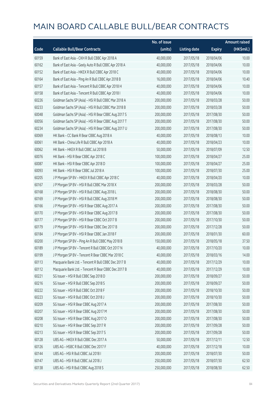|       |                                                       | No. of issue |                     |               | <b>Amount raised</b> |
|-------|-------------------------------------------------------|--------------|---------------------|---------------|----------------------|
| Code  | <b>Callable Bull/Bear Contracts</b>                   | (units)      | <b>Listing date</b> | <b>Expiry</b> | (HK\$mil.)           |
| 60159 | Bank of East Asia - CKH R Bull CBBC Apr 2018 A        | 40,000,000   | 2017/05/18          | 2018/04/06    | 10.00                |
| 60162 | Bank of East Asia - Geely Auto R Bull CBBC Apr 2018 A | 40,000,000   | 2017/05/18          | 2018/04/06    | 10.00                |
| 60152 | Bank of East Asia - HKEX R Bull CBBC Apr 2018 C       | 40,000,000   | 2017/05/18          | 2018/04/06    | 10.00                |
| 60164 | Bank of East Asia - Ping An R Bull CBBC Apr 2018 B    | 16,000,000   | 2017/05/18          | 2018/04/06    | 10.40                |
| 60157 | Bank of East Asia - Tencent R Bull CBBC Apr 2018 H    | 40,000,000   | 2017/05/18          | 2018/04/06    | 10.00                |
| 60158 | Bank of East Asia - Tencent R Bull CBBC Apr 2018 I    | 40,000,000   | 2017/05/18          | 2018/04/06    | 10.00                |
| 60226 | Goldman Sachs SP (Asia) - HSI R Bull CBBC Mar 2018 A  | 200,000,000  | 2017/05/18          | 2018/03/28    | 50.00                |
| 60233 | Goldman Sachs SP (Asia) - HSI R Bull CBBC Mar 2018 B  | 200,000,000  | 2017/05/18          | 2018/03/28    | 50.00                |
| 60048 | Goldman Sachs SP (Asia) - HSI R Bear CBBC Aug 2017 S  | 200,000,000  | 2017/05/18          | 2017/08/30    | 50.00                |
| 60056 | Goldman Sachs SP (Asia) - HSI R Bear CBBC Aug 2017 T  | 200,000,000  | 2017/05/18          | 2017/08/30    | 50.00                |
| 60234 | Goldman Sachs SP (Asia) - HSI R Bear CBBC Aug 2017 U  | 200,000,000  | 2017/05/18          | 2017/08/30    | 50.00                |
| 60069 | HK Bank - CC Bank R Bear CBBC Aug 2018 A              | 40,000,000   | 2017/05/18          | 2018/08/13    | 10.00                |
| 60061 | HK Bank - China Life R Bull CBBC Apr 2018 A           | 40,000,000   | 2017/05/18          | 2018/04/23    | 10.00                |
| 60062 | HK Bank - HKEX R Bull CBBC Jul 2018 B                 | 50,000,000   | 2017/05/18          | 2018/07/09    | 12.50                |
| 60076 | HK Bank - HSI R Bear CBBC Apr 2018 C                  | 100,000,000  | 2017/05/18          | 2018/04/27    | 25.00                |
| 60087 | HK Bank - HSI R Bear CBBC Apr 2018 D                  | 100,000,000  | 2017/05/18          | 2018/04/27    | 25.00                |
| 60093 | HK Bank - HSI R Bear CBBC Jul 2018 A                  | 100,000,000  | 2017/05/18          | 2018/07/30    | 25.00                |
| 60205 | J P Morgan SP BV - HKEX R Bull CBBC Apr 2018 C        | 40,000,000   | 2017/05/18          | 2018/04/20    | 10.00                |
| 60167 | J P Morgan SP BV - HSI R Bull CBBC Mar 2018 X         | 200,000,000  | 2017/05/18          | 2018/03/28    | 50.00                |
| 60168 | J P Morgan SP BV - HSI R Bull CBBC Aug 2018 L         | 200,000,000  | 2017/05/18          | 2018/08/30    | 50.00                |
| 60169 | J P Morgan SP BV - HSI R Bull CBBC Aug 2018 M         | 200,000,000  | 2017/05/18          | 2018/08/30    | 50.00                |
| 60166 | J P Morgan SP BV - HSI R Bear CBBC Aug 2017 A         | 200,000,000  | 2017/05/18          | 2017/08/30    | 50.00                |
| 60170 | J P Morgan SP BV - HSI R Bear CBBC Aug 2017 B         | 200,000,000  | 2017/05/18          | 2017/08/30    | 50.00                |
| 60177 | J P Morgan SP BV - HSI R Bear CBBC Oct 2017 B         | 200,000,000  | 2017/05/18          | 2017/10/30    | 50.00                |
| 60179 | J P Morgan SP BV - HSI R Bear CBBC Dec 2017 B         | 200,000,000  | 2017/05/18          | 2017/12/28    | 50.00                |
| 60184 | J P Morgan SP BV - HSI R Bear CBBC Jan 2018 F         | 200,000,000  | 2017/05/18          | 2018/01/30    | 60.00                |
| 60200 | J P Morgan SP BV - Ping An R Bull CBBC May 2018 B     | 150,000,000  | 2017/05/18          | 2018/05/18    | 37.50                |
| 60189 | J P Morgan SP BV - Tencent R Bull CBBC Oct 2017 N     | 40,000,000   | 2017/05/18          | 2017/10/20    | 10.00                |
| 60199 | J P Morgan SP BV - Tencent R Bear CBBC Mar 2018 C     | 40,000,000   | 2017/05/18          | 2018/03/16    | 14.00                |
| 60113 | Macquarie Bank Ltd. - Tencent R Bull CBBC Dec 2017 B  | 40,000,000   | 2017/05/18          | 2017/12/29    | 10.00                |
| 60112 | Macquarie Bank Ltd. - Tencent R Bear CBBC Dec 2017 B  | 40,000,000   | 2017/05/18          | 2017/12/29    | 10.00                |
| 60221 | SG Issuer - HSI R Bull CBBC Sep 2018 D                | 200,000,000  | 2017/05/18          | 2018/09/27    | 50.00                |
| 60216 | SG Issuer - HSI R Bull CBBC Sep 2018 S                | 200,000,000  | 2017/05/18          | 2018/09/27    | 50.00                |
| 60222 | SG Issuer - HSI R Bull CBBC Oct 2018 F                | 200,000,000  | 2017/05/18          | 2018/10/30    | 50.00                |
| 60223 | SG Issuer - HSI R Bull CBBC Oct 2018 J                | 200,000,000  | 2017/05/18          | 2018/10/30    | 50.00                |
| 60209 | SG Issuer - HSI R Bear CBBC Aug 2017 A                | 200,000,000  | 2017/05/18          | 2017/08/30    | 50.00                |
| 60207 | SG Issuer - HSI R Bear CBBC Aug 2017 M                | 200,000,000  | 2017/05/18          | 2017/08/30    | 50.00                |
| 60208 | SG Issuer - HSI R Bear CBBC Aug 2017 O                | 200,000,000  | 2017/05/18          | 2017/08/30    | 50.00                |
| 60210 | SG Issuer - HSI R Bear CBBC Sep 2017 R                | 200,000,000  | 2017/05/18          | 2017/09/28    | 50.00                |
| 60213 | SG Issuer - HSI R Bear CBBC Sep 2017 S                | 200,000,000  | 2017/05/18          | 2017/09/28    | 50.00                |
| 60128 | UBS AG - HKEX R Bull CBBC Dec 2017 A                  | 50,000,000   | 2017/05/18          | 2017/12/11    | 12.50                |
| 60126 | UBS AG - HSBC R Bull CBBC Dec 2017 F                  | 40,000,000   | 2017/05/18          | 2017/12/18    | 10.00                |
| 60144 | UBS AG - HSI R Bull CBBC Jul 2018 I                   | 200,000,000  | 2017/05/18          | 2018/07/30    | 50.00                |
| 60147 | UBS AG - HSI R Bull CBBC Jul 2018 J                   | 250,000,000  | 2017/05/18          | 2018/07/30    | 62.50                |
| 60138 | UBS AG - HSI R Bull CBBC Aug 2018 S                   | 250,000,000  | 2017/05/18          | 2018/08/30    | 62.50                |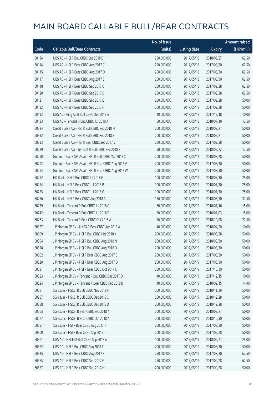|       |                                                      | No. of issue |                     |               | <b>Amount raised</b> |
|-------|------------------------------------------------------|--------------|---------------------|---------------|----------------------|
| Code  | <b>Callable Bull/Bear Contracts</b>                  | (units)      | <b>Listing date</b> | <b>Expiry</b> | (HK\$mil.)           |
| 60134 | UBS AG - HSI R Bull CBBC Sep 2018 D                  | 250,000,000  | 2017/05/18          | 2018/09/27    | 62.50                |
| 60114 | UBS AG - HSI R Bear CBBC Aug 2017 C                  | 250,000,000  | 2017/05/18          | 2017/08/30    | 62.50                |
| 60115 | UBS AG - HSI R Bear CBBC Aug 2017 D                  | 250,000,000  | 2017/05/18          | 2017/08/30    | 62.50                |
| 60117 | UBS AG - HSI R Bear CBBC Aug 2017 E                  | 250,000,000  | 2017/05/18          | 2017/08/30    | 62.50                |
| 60118 | UBS AG - HSI R Bear CBBC Sep 2017 C                  | 250,000,000  | 2017/05/18          | 2017/09/28    | 62.50                |
| 60120 | UBS AG - HSI R Bear CBBC Sep 2017 D                  | 250,000,000  | 2017/05/18          | 2017/09/28    | 62.50                |
| 60121 | UBS AG - HSI R Bear CBBC Sep 2017 E                  | 200,000,000  | 2017/05/18          | 2017/09/28    | 50.00                |
| 60122 | UBS AG - HSI R Bear CBBC Sep 2017 F                  | 200,000,000  | 2017/05/18          | 2017/09/28    | 50.00                |
| 60132 | UBS AG - Ping An R Bull CBBC Dec 2017 A              | 40,000,000   | 2017/05/18          | 2017/12/18    | 10.00                |
| 60123 | UBS AG - Tencent R Bull CBBC Jul 2018 A              | 50,000,000   | 2017/05/18          | 2018/07/10    | 12.50                |
| 60334 | Credit Suisse AG - HSI R Bull CBBC Feb 2018 H        | 200,000,000  | 2017/05/19          | 2018/02/27    | 50.00                |
| 60332 | Credit Suisse AG - HSI R Bull CBBC Feb 2018 S        | 200,000,000  | 2017/05/19          | 2018/02/27    | 50.00                |
| 60333 | Credit Suisse AG - HSI R Bear CBBC Sep 2017 V        | 200,000,000  | 2017/05/19          | 2017/09/28    | 50.00                |
| 60289 | Credit Suisse AG - Tencent R Bull CBBC Feb 2018 E    | 50,000,000   | 2017/05/19          | 2018/02/22    | 12.50                |
| 60290 | Goldman Sachs SP (Asia) - HSI R Bull CBBC Mar 2018 C | 200,000,000  | 2017/05/19          | 2018/03/28    | 50.00                |
| 60292 | Goldman Sachs SP (Asia) - HSI R Bear CBBC Aug 2017 V | 200,000,000  | 2017/05/19          | 2017/08/30    | 50.00                |
| 60294 | Goldman Sachs SP (Asia) - HSI R Bear CBBC Aug 2017 W | 200,000,000  | 2017/05/19          | 2017/08/30    | 50.00                |
| 60252 | HK Bank - HSI R Bull CBBC Jul 2018 E                 | 100,000,000  | 2017/05/19          | 2018/07/30    | 25.00                |
| 60254 | HK Bank - HSI R Bear CBBC Jul 2018 B                 | 100,000,000  | 2017/05/19          | 2018/07/30    | 25.00                |
| 60255 | HK Bank - HSI R Bear CBBC Jul 2018 C                 | 100,000,000  | 2017/05/19          | 2018/07/30    | 25.00                |
| 60256 | HK Bank - HSI R Bear CBBC Aug 2018 A                 | 150,000,000  | 2017/05/19          | 2018/08/30    | 37.50                |
| 60239 | HK Bank - Tencent R Bull CBBC Jul 2018 C             | 60,000,000   | 2017/05/19          | 2018/07/16    | 15.00                |
| 60242 | HK Bank - Tencent R Bull CBBC Jul 2018 D             | 60,000,000   | 2017/05/19          | 2018/07/03    | 15.00                |
| 60263 | HK Bank - Tencent R Bear CBBC Oct 2018 A             | 50,000,000   | 2017/05/19          | 2018/10/08    | 22.50                |
| 60327 | J P Morgan SP BV - HKEX R Bear CBBC Apr 2018 A       | 40,000,000   | 2017/05/19          | 2018/04/20    | 10.00                |
| 60309 | J P Morgan SP BV - HSI R Bull CBBC Mar 2018 Y        | 200,000,000  | 2017/05/19          | 2018/03/28    | 50.00                |
| 60304 | J P Morgan SP BV - HSI R Bull CBBC Aug 2018 N        | 200,000,000  | 2017/05/19          | 2018/08/30    | 50.00                |
| 60328 | J P Morgan SP BV - HSI R Bull CBBC Aug 2018 O        | 200,000,000  | 2017/05/19          | 2018/08/30    | 50.00                |
| 60302 | J P Morgan SP BV - HSI R Bear CBBC Aug 2017 C        | 200,000,000  | 2017/05/19          | 2017/08/30    | 50.00                |
| 60320 | J P Morgan SP BV - HSI R Bear CBBC Aug 2017 D        | 200,000,000  | 2017/05/19          | 2017/08/30    | 50.00                |
| 60321 | J P Morgan SP BV - HSI R Bear CBBC Oct 2017 C        | 200,000,000  | 2017/05/19          | 2017/10/30    | 50.00                |
| 60323 | JP Morgan SP BV - Tencent R Bull CBBC Dec 2017 Q     | 40,000,000   | 2017/05/19          | 2017/12/15    | 10.00                |
| 60324 | J P Morgan SP BV - Tencent R Bear CBBC Feb 2018 B    | 40,000,000   | 2017/05/19          | 2018/02/15    | 14.40                |
| 60281 | SG Issuer - HSCEI R Bull CBBC Nov 2018 F             | 200,000,000  | 2017/05/19          | 2018/11/29    | 50.00                |
| 60287 | SG Issuer - HSCEI R Bull CBBC Dec 2018 C             | 200,000,000  | 2017/05/19          | 2018/12/28    | 50.00                |
| 60288 | SG Issuer - HSCEI R Bull CBBC Dec 2018 D             | 200,000,000  | 2017/05/19          | 2018/12/28    | 50.00                |
| 60265 | SG Issuer - HSCEI R Bear CBBC Sep 2018 A             | 200,000,000  | 2017/05/19          | 2018/09/27    | 50.00                |
| 60277 | SG Issuer - HSCEI R Bear CBBC Oct 2018 A             | 200,000,000  | 2017/05/19          | 2018/10/30    | 50.00                |
| 60297 | SG Issuer - HSI R Bear CBBC Aug 2017 P               | 200,000,000  | 2017/05/19          | 2017/08/30    | 50.00                |
| 60300 | SG Issuer - HSI R Bear CBBC Sep 2017 T               | 200,000,000  | 2017/05/19          | 2017/09/28    | 50.00                |
| 60361 | UBS AG - HSCEI R Bull CBBC Sep 2018 A                | 100,000,000  | 2017/05/19          | 2018/09/27    | 25.00                |
| 60362 | UBS AG - HSI R Bull CBBC Aug 2018 T                  | 200,000,000  | 2017/05/19          | 2018/08/30    | 50.00                |
| 60335 | UBS AG - HSI R Bear CBBC Aug 2017 F                  | 250,000,000  | 2017/05/19          | 2017/08/30    | 62.50                |
| 60355 | UBS AG - HSI R Bear CBBC Sep 2017 G                  | 250,000,000  | 2017/05/19          | 2017/09/28    | 62.50                |
| 60357 | UBS AG - HSI R Bear CBBC Sep 2017 H                  | 200,000,000  | 2017/05/19          | 2017/09/28    | 50.00                |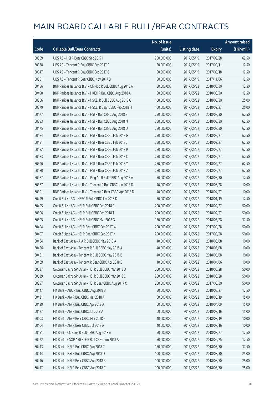|       |                                                            | No. of issue |                     |               | <b>Amount raised</b> |
|-------|------------------------------------------------------------|--------------|---------------------|---------------|----------------------|
| Code  | <b>Callable Bull/Bear Contracts</b>                        | (units)      | <b>Listing date</b> | <b>Expiry</b> | (HK\$mil.)           |
| 60359 | UBS AG - HSI R Bear CBBC Sep 2017 I                        | 250,000,000  | 2017/05/19          | 2017/09/28    | 62.50                |
| 60338 | UBS AG - Tencent R Bull CBBC Sep 2017 F                    | 50,000,000   | 2017/05/19          | 2017/09/11    | 12.50                |
| 60347 | UBS AG - Tencent R Bull CBBC Sep 2017 G                    | 50,000,000   | 2017/05/19          | 2017/09/18    | 12.50                |
| 60351 | UBS AG - Tencent R Bear CBBC Nov 2017 B                    | 50,000,000   | 2017/05/19          | 2017/11/06    | 12.50                |
| 60486 | BNP Paribas Issuance B.V. - Ch Mob R Bull CBBC Aug 2018 A  | 50,000,000   | 2017/05/22          | 2018/08/30    | 12.50                |
| 60490 | BNP Paribas Issuance B.V. - HKEX R Bull CBBC Aug 2018 A    | 50,000,000   | 2017/05/22          | 2018/08/30    | 12.50                |
| 60366 | BNP Paribas Issuance B.V. - HSCEI R Bull CBBC Aug 2018 G   | 100,000,000  | 2017/05/22          | 2018/08/30    | 25.00                |
| 60379 | BNP Paribas Issuance B.V. - HSCEI R Bear CBBC Feb 2018 H   | 100,000,000  | 2017/05/22          | 2018/02/27    | 25.00                |
| 60477 | BNP Paribas Issuance B.V. - HSI R Bull CBBC Aug 2018 E     | 250,000,000  | 2017/05/22          | 2018/08/30    | 62.50                |
| 60393 | BNP Paribas Issuance B.V. - HSI R Bull CBBC Aug 2018 N     | 250,000,000  | 2017/05/22          | 2018/08/30    | 62.50                |
| 60475 | BNP Paribas Issuance B.V. - HSI R Bull CBBC Aug 2018 O     | 250,000,000  | 2017/05/22          | 2018/08/30    | 62.50                |
| 60484 | BNP Paribas Issuance B.V. - HSI R Bear CBBC Feb 2018 G     | 250,000,000  | 2017/05/22          | 2018/02/27    | 62.50                |
| 60481 | BNP Paribas Issuance B.V. - HSI R Bear CBBC Feb 2018 J     | 250,000,000  | 2017/05/22          | 2018/02/27    | 62.50                |
| 60482 | BNP Paribas Issuance B.V. - HSI R Bear CBBC Feb 2018 P     | 250,000,000  | 2017/05/22          | 2018/02/27    | 62.50                |
| 60483 | BNP Paribas Issuance B.V. - HSI R Bear CBBC Feb 2018 Q     | 250,000,000  | 2017/05/22          | 2018/02/27    | 62.50                |
| 60396 | BNP Paribas Issuance B.V. - HSI R Bear CBBC Feb 2018 Y     | 250,000,000  | 2017/05/22          | 2018/02/27    | 62.50                |
| 60480 | BNP Paribas Issuance B.V. - HSI R Bear CBBC Feb 2018 Z     | 250,000,000  | 2017/05/22          | 2018/02/27    | 62.50                |
| 60487 | BNP Paribas Issuance B.V. - Ping An R Bull CBBC Aug 2018 A | 50,000,000   | 2017/05/22          | 2018/08/30    | 12.50                |
| 60387 | BNP Paribas Issuance B.V. - Tencent R Bull CBBC Jun 2018 D | 40,000,000   | 2017/05/22          | 2018/06/28    | 10.00                |
| 60391 | BNP Paribas Issuance B.V. - Tencent R Bear CBBC Apr 2018 D | 40,000,000   | 2017/05/22          | 2018/04/27    | 10.00                |
| 60499 | Credit Suisse AG - HSBC R Bull CBBC Jan 2018 D             | 50,000,000   | 2017/05/22          | 2018/01/19    | 12.50                |
| 60495 | Credit Suisse AG - HSI R Bull CBBC Feb 2018 C              | 200,000,000  | 2017/05/22          | 2018/02/27    | 50.00                |
| 60506 | Credit Suisse AG - HSI R Bull CBBC Feb 2018 T              | 200,000,000  | 2017/05/22          | 2018/02/27    | 50.00                |
| 60505 | Credit Suisse AG - HSI R Bull CBBC Mar 2018 G              | 150,000,000  | 2017/05/22          | 2018/03/28    | 37.50                |
| 60494 | Credit Suisse AG - HSI R Bear CBBC Sep 2017 W              | 200,000,000  | 2017/05/22          | 2017/09/28    | 50.00                |
| 60497 | Credit Suisse AG - HSI R Bear CBBC Sep 2017 X              | 200,000,000  | 2017/05/22          | 2017/09/28    | 50.00                |
| 60464 | Bank of East Asia - AIA R Bull CBBC May 2018 A             | 40,000,000   | 2017/05/22          | 2018/05/08    | 10.00                |
| 60456 | Bank of East Asia - Tencent R Bull CBBC May 2018 A         | 40,000,000   | 2017/05/22          | 2018/05/08    | 10.00                |
| 60461 | Bank of East Asia - Tencent R Bull CBBC May 2018 B         | 40,000,000   | 2017/05/22          | 2018/05/08    | 10.00                |
| 60469 | Bank of East Asia - Tencent R Bear CBBC Apr 2018 B         | 40,000,000   | 2017/05/22          | 2018/04/06    | 10.00                |
| 60537 | Goldman Sachs SP (Asia) - HSI R Bull CBBC Mar 2018 D       | 200,000,000  | 2017/05/22          | 2018/03/28    | 50.00                |
| 60539 | Goldman Sachs SP (Asia) - HSI R Bull CBBC Mar 2018 E       | 200,000,000  | 2017/05/22          | 2018/03/28    | 50.00                |
| 60397 | Goldman Sachs SP (Asia) - HSI R Bear CBBC Aug 2017 X       | 200,000,000  | 2017/05/22          | 2017/08/30    | 50.00                |
| 60447 | HK Bank - ABC R Bull CBBC Aug 2018 B                       | 50,000,000   | 2017/05/22          | 2018/08/27    | 12.50                |
| 60431 | HK Bank - AIA R Bull CBBC Mar 2018 A                       | 60,000,000   | 2017/05/22          | 2018/03/19    | 15.00                |
| 60429 | HK Bank - AIA R Bull CBBC Apr 2018 A                       | 60,000,000   | 2017/05/22          | 2018/04/09    | 15.00                |
| 60427 | HK Bank - AIA R Bull CBBC Jul 2018 A                       | 60,000,000   | 2017/05/22          | 2018/07/16    | 15.00                |
| 60403 | HK Bank - AIA R Bear CBBC Mar 2018 C                       | 40,000,000   | 2017/05/22          | 2018/03/19    | 10.00                |
| 60404 | HK Bank - AIA R Bear CBBC Jul 2018 A                       | 40,000,000   | 2017/05/22          | 2018/07/16    | 10.00                |
| 60451 | HK Bank - CC Bank R Bull CBBC Aug 2018 A                   | 50,000,000   | 2017/05/22          | 2018/08/27    | 12.50                |
| 60422 | HK Bank - CSOP A50 ETF R Bull CBBC Jun 2018 A              | 50,000,000   | 2017/05/22          | 2018/06/25    | 12.50                |
| 60413 | HK Bank - HSI R Bull CBBC Aug 2018 C                       | 150,000,000  | 2017/05/22          | 2018/08/30    | 37.50                |
| 60414 | HK Bank - HSI R Bull CBBC Aug 2018 D                       | 100,000,000  | 2017/05/22          | 2018/08/30    | 25.00                |
| 60416 | HK Bank - HSI R Bear CBBC Aug 2018 B                       | 100,000,000  | 2017/05/22          | 2018/08/30    | 25.00                |
| 60417 | HK Bank - HSI R Bear CBBC Aug 2018 C                       | 100,000,000  | 2017/05/22          | 2018/08/30    | 25.00                |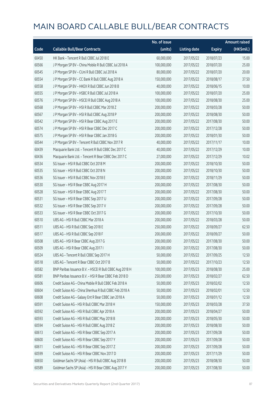|       |                                                          | No. of issue |                     |               | <b>Amount raised</b> |
|-------|----------------------------------------------------------|--------------|---------------------|---------------|----------------------|
| Code  | <b>Callable Bull/Bear Contracts</b>                      | (units)      | <b>Listing date</b> | <b>Expiry</b> | (HK\$mil.)           |
| 60450 | HK Bank - Tencent R Bull CBBC Jul 2018 E                 | 60,000,000   | 2017/05/22          | 2018/07/23    | 15.00                |
| 60566 | J P Morgan SP BV - China Mobile R Bull CBBC Jul 2018 A   | 100,000,000  | 2017/05/22          | 2018/07/20    | 25.00                |
| 60545 | J P Morgan SP BV - CUni R Bull CBBC Jul 2018 A           | 80,000,000   | 2017/05/22          | 2018/07/20    | 20.00                |
| 60554 | J P Morgan SP BV - CC Bank R Bull CBBC Aug 2018 A        | 150,000,000  | 2017/05/22          | 2018/08/17    | 37.50                |
| 60558 | J P Morgan SP BV - HKEX R Bull CBBC Jun 2018 B           | 40,000,000   | 2017/05/22          | 2018/06/15    | 10.00                |
| 60555 | J P Morgan SP BV - HSBC R Bull CBBC Jul 2018 A           | 100,000,000  | 2017/05/22          | 2018/07/20    | 25.00                |
| 60576 | J P Morgan SP BV - HSCEI R Bull CBBC Aug 2018 A          | 100,000,000  | 2017/05/22          | 2018/08/30    | 25.00                |
| 60568 | J P Morgan SP BV - HSI R Bull CBBC Mar 2018 Z            | 200,000,000  | 2017/05/22          | 2018/03/28    | 50.00                |
| 60567 | J P Morgan SP BV - HSI R Bull CBBC Aug 2018 P            | 200,000,000  | 2017/05/22          | 2018/08/30    | 50.00                |
| 60542 | J P Morgan SP BV - HSI R Bear CBBC Aug 2017 E            | 200,000,000  | 2017/05/22          | 2017/08/30    | 50.00                |
| 60574 | J P Morgan SP BV - HSI R Bear CBBC Dec 2017 C            | 200,000,000  | 2017/05/22          | 2017/12/28    | 50.00                |
| 60575 | J P Morgan SP BV - HSI R Bear CBBC Jan 2018 G            | 200,000,000  | 2017/05/22          | 2018/01/30    | 50.00                |
| 60544 | J P Morgan SP BV - Tencent R Bull CBBC Nov 2017 R        | 40,000,000   | 2017/05/22          | 2017/11/17    | 10.00                |
| 60439 | Macquarie Bank Ltd. - Tencent R Bull CBBC Dec 2017 C     | 40,000,000   | 2017/05/22          | 2017/12/29    | 10.00                |
| 60436 | Macquarie Bank Ltd. - Tencent R Bear CBBC Dec 2017 C     | 27,000,000   | 2017/05/22          | 2017/12/29    | 10.02                |
| 60534 | SG Issuer - HSI R Bull CBBC Oct 2018 M                   | 200,000,000  | 2017/05/22          | 2018/10/30    | 50.00                |
| 60535 | SG Issuer - HSI R Bull CBBC Oct 2018 N                   | 200,000,000  | 2017/05/22          | 2018/10/30    | 50.00                |
| 60536 | SG Issuer - HSI R Bull CBBC Nov 2018 E                   | 200,000,000  | 2017/05/22          | 2018/11/29    | 50.00                |
| 60530 | SG Issuer - HSI R Bear CBBC Aug 2017 H                   | 200,000,000  | 2017/05/22          | 2017/08/30    | 50.00                |
| 60528 | SG Issuer - HSI R Bear CBBC Aug 2017 T                   | 200,000,000  | 2017/05/22          | 2017/08/30    | 50.00                |
| 60531 | SG Issuer - HSI R Bear CBBC Sep 2017 U                   | 200,000,000  | 2017/05/22          | 2017/09/28    | 50.00                |
| 60532 | SG Issuer - HSI R Bear CBBC Sep 2017 V                   | 200,000,000  | 2017/05/22          | 2017/09/28    | 50.00                |
| 60533 | SG Issuer - HSI R Bear CBBC Oct 2017 G                   | 200,000,000  | 2017/05/22          | 2017/10/30    | 50.00                |
| 60510 | UBS AG - HSI R Bull CBBC Mar 2018 A                      | 200,000,000  | 2017/05/22          | 2018/03/28    | 50.00                |
| 60511 | UBS AG - HSI R Bull CBBC Sep 2018 E                      | 250,000,000  | 2017/05/22          | 2018/09/27    | 62.50                |
| 60517 | UBS AG - HSI R Bull CBBC Sep 2018 F                      | 200,000,000  | 2017/05/22          | 2018/09/27    | 50.00                |
| 60508 | UBS AG - HSI R Bear CBBC Aug 2017 G                      | 200,000,000  | 2017/05/22          | 2017/08/30    | 50.00                |
| 60509 | UBS AG - HSI R Bear CBBC Aug 2017 I                      | 200,000,000  | 2017/05/22          | 2017/08/30    | 50.00                |
| 60524 | UBS AG - Tencent R Bull CBBC Sep 2017 H                  | 50,000,000   | 2017/05/22          | 2017/09/25    | 12.50                |
| 60518 | UBS AG - Tencent R Bear CBBC Oct 2017 B                  | 50,000,000   | 2017/05/22          | 2017/10/23    | 12.50                |
| 60582 | BNP Paribas Issuance B.V. - HSCEI R Bull CBBC Aug 2018 H | 100,000,000  | 2017/05/23          | 2018/08/30    | 25.00                |
| 60581 | BNP Paribas Issuance B.V. - HSI R Bear CBBC Feb 2018 D   | 250,000,000  | 2017/05/23          | 2018/02/27    | 62.50                |
| 60606 | Credit Suisse AG - China Mobile R Bull CBBC Feb 2018 A   | 50,000,000   | 2017/05/23          | 2018/02/02    | 12.50                |
| 60604 | Credit Suisse AG - China Shenhua R Bull CBBC Feb 2018 A  | 50,000,000   | 2017/05/23          | 2018/02/01    | 12.50                |
| 60608 | Credit Suisse AG - Galaxy Ent R Bear CBBC Jan 2018 A     | 50,000,000   | 2017/05/23          | 2018/01/12    | 12.50                |
| 60591 | Credit Suisse AG - HSI R Bull CBBC Mar 2018 H            | 150,000,000  | 2017/05/23          | 2018/03/28    | 37.50                |
| 60592 | Credit Suisse AG - HSI R Bull CBBC Apr 2018 A            | 200,000,000  | 2017/05/23          | 2018/04/27    | 50.00                |
| 60593 | Credit Suisse AG - HSI R Bull CBBC May 2018 B            | 200,000,000  | 2017/05/23          | 2018/05/30    | 50.00                |
| 60594 | Credit Suisse AG - HSI R Bull CBBC Aug 2018 Z            | 200,000,000  | 2017/05/23          | 2018/08/30    | 50.00                |
| 60613 | Credit Suisse AG - HSI R Bear CBBC Sep 2017 A            | 200,000,000  | 2017/05/23          | 2017/09/28    | 50.00                |
| 60600 | Credit Suisse AG - HSI R Bear CBBC Sep 2017 Y            | 200,000,000  | 2017/05/23          | 2017/09/28    | 50.00                |
| 60611 | Credit Suisse AG - HSI R Bear CBBC Sep 2017 Z            | 200,000,000  | 2017/05/23          | 2017/09/28    | 50.00                |
| 60599 | Credit Suisse AG - HSI R Bear CBBC Nov 2017 D            | 200,000,000  | 2017/05/23          | 2017/11/29    | 50.00                |
| 60650 | Goldman Sachs SP (Asia) - HSI R Bull CBBC Aug 2018 B     | 200,000,000  | 2017/05/23          | 2018/08/30    | 50.00                |
| 60589 | Goldman Sachs SP (Asia) - HSI R Bear CBBC Aug 2017 Y     | 200,000,000  | 2017/05/23          | 2017/08/30    | 50.00                |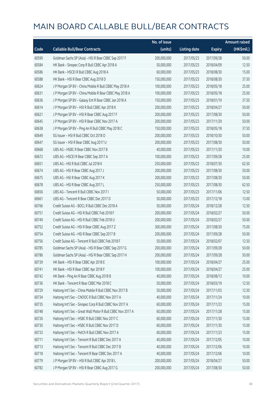|       |                                                             | No. of issue |                     |               | <b>Amount raised</b> |
|-------|-------------------------------------------------------------|--------------|---------------------|---------------|----------------------|
| Code  | <b>Callable Bull/Bear Contracts</b>                         | (units)      | <b>Listing date</b> | <b>Expiry</b> | (HK\$mil.)           |
| 60590 | Goldman Sachs SP (Asia) - HSI R Bear CBBC Sep 2017 F        | 200,000,000  | 2017/05/23          | 2017/09/28    | 50.00                |
| 60584 | HK Bank - Sinopec Corp R Bull CBBC Apr 2018 A               | 50,000,000   | 2017/05/23          | 2018/04/09    | 12.50                |
| 60586 | HK Bank - HSCEI R Bull CBBC Aug 2018 A                      | 60,000,000   | 2017/05/23          | 2018/08/30    | 15.00                |
| 60588 | HK Bank - HSI R Bear CBBC Aug 2018 D                        | 150,000,000  | 2017/05/23          | 2018/08/30    | 37.50                |
| 60624 | J P Morgan SP BV - China Mobile R Bull CBBC May 2018 A      | 100,000,000  | 2017/05/23          | 2018/05/18    | 25.00                |
| 60631 | J P Morgan SP BV - China Mobile R Bear CBBC May 2018 A      | 100,000,000  | 2017/05/23          | 2018/05/18    | 25.00                |
| 60636 | J P Morgan SP BV - Galaxy Ent R Bear CBBC Jan 2018 A        | 150,000,000  | 2017/05/23          | 2018/01/19    | 37.50                |
| 60614 | J P Morgan SP BV - HSI R Bull CBBC Apr 2018 K               | 200,000,000  | 2017/05/23          | 2018/04/27    | 50.00                |
| 60621 | J P Morgan SP BV - HSI R Bear CBBC Aug 2017 F               | 200,000,000  | 2017/05/23          | 2017/08/30    | 50.00                |
| 60645 | J P Morgan SP BV - HSI R Bear CBBC Nov 2017 A               | 200,000,000  | 2017/05/23          | 2017/11/29    | 50.00                |
| 60638 | J P Morgan SP BV - Ping An R Bull CBBC May 2018 C           | 150,000,000  | 2017/05/23          | 2018/05/18    | 37.50                |
| 60649 | SG Issuer - HSI R Bull CBBC Oct 2018 O                      | 200,000,000  | 2017/05/23          | 2018/10/30    | 50.00                |
| 60647 | SG Issuer - HSI R Bear CBBC Aug 2017 U                      | 200,000,000  | 2017/05/23          | 2017/08/30    | 50.00                |
| 60668 | UBS AG - HSBC R Bear CBBC Nov 2017 B                        | 40,000,000   | 2017/05/23          | 2017/11/20    | 10.00                |
| 60672 | UBS AG - HSCEI R Bear CBBC Sep 2017 A                       | 100,000,000  | 2017/05/23          | 2017/09/28    | 25.00                |
| 60651 | UBS AG - HSI R Bull CBBC Jul 2018 K                         | 250,000,000  | 2017/05/23          | 2018/07/30    | 62.50                |
| 60674 | UBS AG - HSI R Bear CBBC Aug 2017 J                         | 200,000,000  | 2017/05/23          | 2017/08/30    | 50.00                |
| 60675 | UBS AG - HSI R Bear CBBC Aug 2017 K                         | 200,000,000  | 2017/05/23          | 2017/08/30    | 50.00                |
| 60678 | UBS AG - HSI R Bear CBBC Aug 2017 L                         | 250,000,000  | 2017/05/23          | 2017/08/30    | 62.50                |
| 60656 | UBS AG - Tencent R Bull CBBC Nov 2017 I                     | 50,000,000   | 2017/05/23          | 2017/11/06    | 12.50                |
| 60661 | UBS AG - Tencent R Bear CBBC Dec 2017 D                     | 50,000,000   | 2017/05/23          | 2017/12/18    | 13.00                |
| 60766 | Credit Suisse AG - BOCL R Bull CBBC Dec 2018 A              | 50,000,000   | 2017/05/24          | 2018/12/28    | 12.50                |
| 60751 | Credit Suisse AG - HSI R Bull CBBC Feb 2018 F               | 200,000,000  | 2017/05/24          | 2018/02/27    | 50.00                |
| 60749 | Credit Suisse AG - HSI R Bull CBBC Feb 2018 U               | 200,000,000  | 2017/05/24          | 2018/02/27    | 50.00                |
| 60752 | Credit Suisse AG - HSI R Bear CBBC Aug 2017 Z               | 300,000,000  | 2017/05/24          | 2017/08/30    | 75.00                |
| 60754 | Credit Suisse AG - HSI R Bear CBBC Sep 2017 B               | 200,000,000  | 2017/05/24          | 2017/09/28    | 50.00                |
| 60756 | Credit Suisse AG - Tencent R Bull CBBC Feb 2018 F           | 50,000,000   | 2017/05/24          | 2018/02/07    | 12.50                |
| 60785 | Goldman Sachs SP (Asia) - HSI R Bear CBBC Sep 2017 G        | 200,000,000  | 2017/05/24          | 2017/09/28    | 50.00                |
| 60786 | Goldman Sachs SP (Asia) - HSI R Bear CBBC Sep 2017 H        | 200,000,000  | 2017/05/24          | 2017/09/28    | 50.00                |
| 60739 | HK Bank - HSI R Bear CBBC Apr 2018 E                        | 100,000,000  | 2017/05/24          | 2018/04/27    | 25.00                |
| 60741 | HK Bank - HSI R Bear CBBC Apr 2018 F                        | 100,000,000  | 2017/05/24          | 2018/04/27    | 25.00                |
| 60742 | HK Bank - Ping An R Bear CBBC Aug 2018 B                    | 40,000,000   | 2017/05/24          | 2018/08/13    | 10.00                |
| 60736 | HK Bank - Tencent R Bear CBBC Mar 2018 C                    | 50,000,000   | 2017/05/24          | 2018/03/19    | 12.50                |
| 60729 | Haitong Int'l Sec - China Mobile R Bull CBBC Nov 2017 B     | 50,000,000   | 2017/05/24          | 2017/11/03    | 12.50                |
| 60734 | Haitong Int'l Sec - CNOOC R Bull CBBC Nov 2017 A            | 40,000,000   | 2017/05/24          | 2017/11/24    | 10.00                |
| 60735 | Haitong Int'l Sec - Sinopec Corp R Bull CBBC Nov 2017 A     | 60,000,000   | 2017/05/24          | 2017/11/23    | 15.00                |
| 60748 | Haitong Int'l Sec - Great Wall Motor R Bull CBBC Nov 2017 A | 60,000,000   | 2017/05/24          | 2017/11/28    | 15.00                |
| 60726 | Haitong Int'l Sec - HSBC R Bull CBBC Nov 2017 C             | 60,000,000   | 2017/05/24          | 2017/11/30    | 15.00                |
| 60730 | Haitong Int'l Sec - HSBC R Bull CBBC Nov 2017 D             | 60,000,000   | 2017/05/24          | 2017/11/30    | 15.00                |
| 60733 | Haitong Int'l Sec - PetCh R Bull CBBC Nov 2017 A            | 60,000,000   | 2017/05/24          | 2017/11/23    | 15.00                |
| 60711 | Haitong Int'l Sec - Tencent R Bull CBBC Dec 2017 A          | 40,000,000   | 2017/05/24          | 2017/12/05    | 10.00                |
| 60713 | Haitong Int'l Sec - Tencent R Bull CBBC Dec 2017 B          | 40,000,000   | 2017/05/24          | 2017/12/06    | 10.00                |
| 60718 | Haitong Int'l Sec - Tencent R Bear CBBC Dec 2017 A          | 40,000,000   | 2017/05/24          | 2017/12/06    | 10.00                |
| 60779 | J P Morgan SP BV - HSI R Bull CBBC Apr 2018 L               | 200,000,000  | 2017/05/24          | 2018/04/27    | 50.00                |
| 60782 | J P Morgan SP BV - HSI R Bear CBBC Aug 2017 G               | 200,000,000  | 2017/05/24          | 2017/08/30    | 50.00                |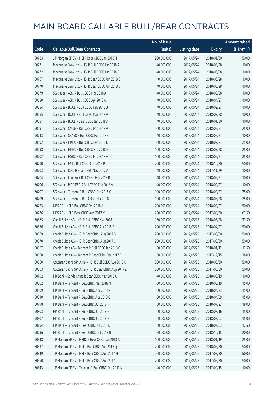|       |                                                      | No. of issue |                     |               | <b>Amount raised</b> |
|-------|------------------------------------------------------|--------------|---------------------|---------------|----------------------|
| Code  | <b>Callable Bull/Bear Contracts</b>                  | (units)      | <b>Listing date</b> | <b>Expiry</b> | (HK\$mil.)           |
| 60783 | J P Morgan SP BV - HSI R Bear CBBC Jan 2018 H        | 200,000,000  | 2017/05/24          | 2018/01/30    | 50.00                |
| 60771 | Macquarie Bank Ltd. - HSI R Bull CBBC Jun 2018 A     | 40,000,000   | 2017/05/24          | 2018/06/28    | 10.00                |
| 60772 | Macquarie Bank Ltd. - HSI R Bull CBBC Jun 2018 B     | 40,000,000   | 2017/05/24          | 2018/06/28    | 10.00                |
| 60767 | Macquarie Bank Ltd. - HSI R Bear CBBC Jun 2018 C     | 40,000,000   | 2017/05/24          | 2018/06/28    | 10.00                |
| 60770 | Macquarie Bank Ltd. - HSI R Bear CBBC Jun 2018 D     | 40,000,000   | 2017/05/24          | 2018/06/28    | 10.00                |
| 60679 | SG Issuer - ABC R Bull CBBC Mar 2018 A               | 40,000,000   | 2017/05/24          | 2018/03/28    | 10.00                |
| 60680 | SG Issuer - ABC R Bull CBBC Apr 2018 A               | 40,000,000   | 2017/05/24          | 2018/04/27    | 10.00                |
| 60684 | SG Issuer - BOCL R Bull CBBC Feb 2018 B              | 40,000,000   | 2017/05/24          | 2018/02/27    | 10.00                |
| 60685 | SG Issuer - BOCL R Bull CBBC Mar 2018 A              | 40,000,000   | 2017/05/24          | 2018/03/28    | 10.00                |
| 60681 | SG Issuer - BOCL R Bear CBBC Jan 2018 A              | 40,000,000   | 2017/05/24          | 2018/01/30    | 10.00                |
| 60691 | SG Issuer - CMob R Bull CBBC Feb 2018 A              | 100,000,000  | 2017/05/24          | 2018/02/27    | 25.00                |
| 60743 | SG Issuer - CSA50 R Bull CBBC Feb 2018 C             | 40,000,000   | 2017/05/24          | 2018/02/27    | 10.00                |
| 60692 | SG Issuer - HKEX R Bull CBBC Feb 2018 D              | 100,000,000  | 2017/05/24          | 2018/02/27    | 25.00                |
| 60698 | SG Issuer - HKEX R Bull CBBC Mar 2018 B              | 100,000,000  | 2017/05/24          | 2018/03/28    | 25.00                |
| 60702 | SG Issuer - HSBC R Bull CBBC Feb 2018 A              | 100,000,000  | 2017/05/24          | 2018/02/27    | 25.00                |
| 60790 | SG Issuer - HSI R Bull CBBC Oct 2018 P               | 200,000,000  | 2017/05/24          | 2018/10/30    | 50.00                |
| 60703 | SG Issuer - ICBC R Bear CBBC Nov 2017 A              | 40,000,000   | 2017/05/24          | 2017/11/29    | 10.00                |
| 60704 | SG Issuer - Lenovo R Bull CBBC Feb 2018 B            | 40,000,000   | 2017/05/24          | 2018/02/27    | 10.00                |
| 60706 | SG Issuer - PICC P&C R Bull CBBC Feb 2018 A          | 40,000,000   | 2017/05/24          | 2018/02/27    | 10.00                |
| 60707 | SG Issuer - Tencent R Bull CBBC Feb 2018 G           | 100,000,000  | 2017/05/24          | 2018/02/27    | 25.00                |
| 60709 | SG Issuer - Tencent R Bull CBBC Mar 2018 F           | 100,000,000  | 2017/05/24          | 2018/03/28    | 25.00                |
| 60773 | UBS AG - HSI R Bull CBBC Feb 2018 J                  | 200,000,000  | 2017/05/24          | 2018/02/27    | 50.00                |
| 60776 | UBS AG - HSI R Bear CBBC Aug 2017 M                  | 250,000,000  | 2017/05/24          | 2017/08/30    | 62.50                |
| 60865 | Credit Suisse AG - HSI R Bull CBBC Mar 2018 I        | 150,000,000  | 2017/05/25          | 2018/03/28    | 37.50                |
| 60866 | Credit Suisse AG - HSI R Bull CBBC Apr 2018 B        | 200,000,000  | 2017/05/25          | 2018/04/27    | 50.00                |
| 60869 | Credit Suisse AG - HSI R Bear CBBC Aug 2017 B        | 200,000,000  | 2017/05/25          | 2017/08/30    | 50.00                |
| 60870 | Credit Suisse AG - HSI R Bear CBBC Aug 2017 C        | 200,000,000  | 2017/05/25          | 2017/08/30    | 50.00                |
| 60867 | Credit Suisse AG - Tencent R Bull CBBC Jan 2018 O    | 50,000,000   | 2017/05/25          | 2018/01/12    | 12.50                |
| 60868 | Credit Suisse AG - Tencent R Bear CBBC Dec 2017 E    | 50,000,000   | 2017/05/25          | 2017/12/15    | 18.00                |
| 60860 | Goldman Sachs SP (Asia) - HSI R Bull CBBC Aug 2018 C | 200,000,000  | 2017/05/25          | 2018/08/30    | 50.00                |
| 60863 | Goldman Sachs SP (Asia) - HSI R Bear CBBC Aug 2017 Z | 200,000,000  | 2017/05/25          | 2017/08/30    | 50.00                |
| 60792 | HK Bank - Sands China R Bear CBBC Mar 2018 A         | 40,000,000   | 2017/05/25          | 2018/03/19    | 10.00                |
| 60802 | HK Bank - Tencent R Bull CBBC Mar 2018 N             | 60,000,000   | 2017/05/25          | 2018/03/19    | 15.00                |
| 60809 | HK Bank - Tencent R Bull CBBC Apr 2018 N             | 60,000,000   | 2017/05/25          | 2018/04/23    | 15.00                |
| 60810 | HK Bank - Tencent R Bull CBBC Apr 2018 O             | 60,000,000   | 2017/05/25          | 2018/04/09    | 15.00                |
| 60798 | HK Bank - Tencent R Bull CBBC Jul 2018 F             | 60,000,000   | 2017/05/25          | 2018/07/23    | 18.00                |
| 60803 | HK Bank - Tencent R Bull CBBC Jul 2018 G             | 60,000,000   | 2017/05/25          | 2018/07/16    | 15.00                |
| 60807 | HK Bank - Tencent R Bull CBBC Jul 2018 H             | 60,000,000   | 2017/05/25          | 2018/07/03    | 15.00                |
| 60794 | HK Bank - Tencent R Bear CBBC Jul 2018 D             | 50,000,000   | 2017/05/25          | 2018/07/03    | 12.50                |
| 60796 | HK Bank - Tencent R Bear CBBC Oct 2018 B             | 50,000,000   | 2017/05/25          | 2018/10/15    | 20.00                |
| 60848 | J P Morgan SP BV - HSBC R Bear CBBC Jan 2018 A       | 100,000,000  | 2017/05/25          | 2018/01/19    | 25.00                |
| 60837 | J P Morgan SP BV - HSI R Bull CBBC Aug 2018 Q        | 200,000,000  | 2017/05/25          | 2018/08/30    | 50.00                |
| 60849 | J P Morgan SP BV - HSI R Bear CBBC Aug 2017 H        | 200,000,000  | 2017/05/25          | 2017/08/30    | 50.00                |
| 60850 | J P Morgan SP BV - HSI R Bear CBBC Aug 2017 I        | 200,000,000  | 2017/05/25          | 2017/08/30    | 50.00                |
| 60843 | J P Morgan SP BV - Tencent R Bull CBBC Sep 2017 K    | 40,000,000   | 2017/05/25          | 2017/09/15    | 10.00                |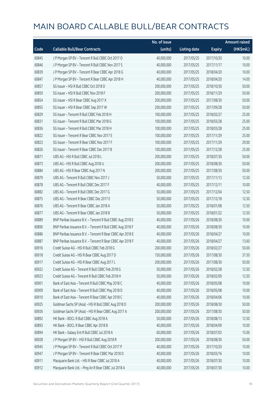|       |                                                            | No. of issue |                     |               | <b>Amount raised</b> |
|-------|------------------------------------------------------------|--------------|---------------------|---------------|----------------------|
| Code  | <b>Callable Bull/Bear Contracts</b>                        | (units)      | <b>Listing date</b> | <b>Expiry</b> | (HK\$mil.)           |
| 60845 | J P Morgan SP BV - Tencent R Bull CBBC Oct 2017 O          | 40,000,000   | 2017/05/25          | 2017/10/20    | 10.00                |
| 60846 | J P Morgan SP BV - Tencent R Bull CBBC Nov 2017 S          | 40,000,000   | 2017/05/25          | 2017/11/17    | 10.00                |
| 60839 | J P Morgan SP BV - Tencent R Bear CBBC Apr 2018 G          | 40,000,000   | 2017/05/25          | 2018/04/20    | 10.00                |
| 60847 | J P Morgan SP BV - Tencent R Bear CBBC Apr 2018 H          | 40,000,000   | 2017/05/25          | 2018/04/20    | 14.00                |
| 60857 | SG Issuer - HSI R Bull CBBC Oct 2018 D                     | 200,000,000  | 2017/05/25          | 2018/10/30    | 50.00                |
| 60859 | SG Issuer - HSI R Bull CBBC Nov 2018 F                     | 200,000,000  | 2017/05/25          | 2018/11/29    | 50.00                |
| 60854 | SG Issuer - HSI R Bear CBBC Aug 2017 X                     | 200,000,000  | 2017/05/25          | 2017/08/30    | 50.00                |
| 60855 | SG Issuer - HSI R Bear CBBC Sep 2017 W                     | 200,000,000  | 2017/05/25          | 2017/09/28    | 50.00                |
| 60829 | SG Issuer - Tencent R Bull CBBC Feb 2018 H                 | 100,000,000  | 2017/05/25          | 2018/02/27    | 25.00                |
| 60831 | SG Issuer - Tencent R Bull CBBC Mar 2018 G                 | 100,000,000  | 2017/05/25          | 2018/03/28    | 25.00                |
| 60836 | SG Issuer - Tencent R Bull CBBC Mar 2018 H                 | 100,000,000  | 2017/05/25          | 2018/03/28    | 25.00                |
| 60822 | SG Issuer - Tencent R Bear CBBC Nov 2017 E                 | 100,000,000  | 2017/05/25          | 2017/11/29    | 25.00                |
| 60823 | SG Issuer - Tencent R Bear CBBC Nov 2017 F                 | 100,000,000  | 2017/05/25          | 2017/11/29    | 29.00                |
| 60826 | SG Issuer - Tencent R Bear CBBC Dec 2017 B                 | 100,000,000  | 2017/05/25          | 2017/12/28    | 25.00                |
| 60871 | UBS AG - HSI R Bull CBBC Jul 2018 L                        | 200,000,000  | 2017/05/25          | 2018/07/30    | 50.00                |
| 60873 | UBS AG - HSI R Bull CBBC Aug 2018 U                        | 200,000,000  | 2017/05/25          | 2018/08/30    | 50.00                |
| 60884 | UBS AG - HSI R Bear CBBC Aug 2017 N                        | 200,000,000  | 2017/05/25          | 2017/08/30    | 50.00                |
| 60879 | UBS AG - Tencent R Bull CBBC Nov 2017 J                    | 50,000,000   | 2017/05/25          | 2017/11/13    | 12.50                |
| 60878 | UBS AG - Tencent R Bull CBBC Dec 2017 F                    | 40,000,000   | 2017/05/25          | 2017/12/11    | 10.00                |
| 60882 | UBS AG - Tencent R Bull CBBC Dec 2017 G                    | 50,000,000   | 2017/05/25          | 2017/12/04    | 12.50                |
| 60875 | UBS AG - Tencent R Bear CBBC Dec 2017 E                    | 50,000,000   | 2017/05/25          | 2017/12/18    | 12.50                |
| 60876 | UBS AG - Tencent R Bear CBBC Jan 2018 A                    | 50,000,000   | 2017/05/25          | 2018/01/08    | 12.50                |
| 60877 | UBS AG - Tencent R Bear CBBC Jan 2018 B                    | 50,000,000   | 2017/05/25          | 2018/01/22    | 12.50                |
| 60889 | BNP Paribas Issuance B.V. - Tencent R Bull CBBC Aug 2018 E | 40,000,000   | 2017/05/26          | 2018/08/30    | 10.00                |
| 60890 | BNP Paribas Issuance B.V. - Tencent R Bull CBBC Aug 2018 F | 40,000,000   | 2017/05/26          | 2018/08/30    | 10.00                |
| 60886 | BNP Paribas Issuance B.V. - Tencent R Bear CBBC Apr 2018 E | 40,000,000   | 2017/05/26          | 2018/04/27    | 10.00                |
| 60887 | BNP Paribas Issuance B.V. - Tencent R Bear CBBC Apr 2018 F | 40,000,000   | 2017/05/26          | 2018/04/27    | 13.60                |
| 60916 | Credit Suisse AG - HSI R Bull CBBC Feb 2018 G              | 200,000,000  | 2017/05/26          | 2018/02/27    | 50.00                |
| 60918 | Credit Suisse AG - HSI R Bear CBBC Aug 2017 D              | 150,000,000  | 2017/05/26          | 2017/08/30    | 37.50                |
| 60917 | Credit Suisse AG - HSI R Bear CBBC Aug 2017 L              | 200,000,000  | 2017/05/26          | 2017/08/30    | 50.00                |
| 60922 | Credit Suisse AG - Tencent R Bull CBBC Feb 2018 G          | 50,000,000   | 2017/05/26          | 2018/02/28    | 12.50                |
| 60923 | Credit Suisse AG - Tencent R Bull CBBC Feb 2018 H          | 50,000,000   | 2017/05/26          | 2018/02/09    | 12.50                |
| 60901 | Bank of East Asia - Tencent R Bull CBBC May 2018 C         | 40,000,000   | 2017/05/26          | 2018/05/08    | 10.00                |
| 60909 | Bank of East Asia - Tencent R Bull CBBC May 2018 D         | 40,000,000   | 2017/05/26          | 2018/05/08    | 10.00                |
| 60910 | Bank of East Asia - Tencent R Bear CBBC Apr 2018 C         | 40,000,000   | 2017/05/26          | 2018/04/06    | 10.00                |
| 60925 | Goldman Sachs SP (Asia) - HSI R Bull CBBC Aug 2018 D       | 200,000,000  | 2017/05/26          | 2018/08/30    | 50.00                |
| 60926 | Goldman Sachs SP (Asia) - HSI R Bear CBBC Aug 2017 A       | 200,000,000  | 2017/05/26          | 2017/08/30    | 50.00                |
| 60892 | HK Bank - BOCL R Bull CBBC Aug 2018 A                      | 50,000,000   | 2017/05/26          | 2018/08/13    | 12.50                |
| 60893 | HK Bank - BOCL R Bear CBBC Apr 2018 B                      | 40,000,000   | 2017/05/26          | 2018/04/09    | 10.00                |
| 60894 | HK Bank - Galaxy Ent R Bull CBBC Jul 2018 A                | 60,000,000   | 2017/05/26          | 2018/07/03    | 15.00                |
| 60928 | J P Morgan SP BV - HSI R Bull CBBC Aug 2018 R              | 200,000,000  | 2017/05/26          | 2018/08/30    | 50.00                |
| 60945 | J P Morgan SP BV - Tencent R Bull CBBC Oct 2017 P          | 40,000,000   | 2017/05/26          | 2017/10/20    | 10.00                |
| 60947 | J P Morgan SP BV - Tencent R Bear CBBC Mar 2018 D          | 40,000,000   | 2017/05/26          | 2018/03/16    | 10.00                |
| 60911 | Macquarie Bank Ltd. - HSI R Bear CBBC Jul 2018 A           | 40,000,000   | 2017/05/26          | 2018/07/30    | 10.00                |
| 60912 | Macquarie Bank Ltd. - Ping An R Bear CBBC Jul 2018 A       | 40,000,000   | 2017/05/26          | 2018/07/30    | 10.00                |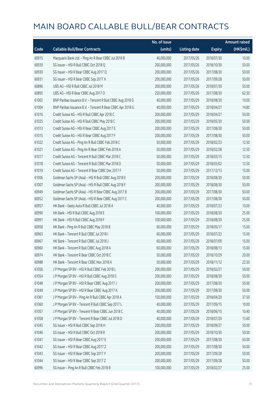|       |                                                            | No. of issue |                     |               | <b>Amount raised</b> |
|-------|------------------------------------------------------------|--------------|---------------------|---------------|----------------------|
| Code  | <b>Callable Bull/Bear Contracts</b>                        | (units)      | <b>Listing date</b> | <b>Expiry</b> | (HK\$mil.)           |
| 60915 | Macquarie Bank Ltd. - Ping An R Bear CBBC Jul 2018 B       | 40,000,000   | 2017/05/26          | 2018/07/30    | 10.00                |
| 60939 | SG Issuer - HSI R Bull CBBC Oct 2018 Q                     | 200,000,000  | 2017/05/26          | 2018/10/30    | 50.00                |
| 60930 | SG Issuer - HSI R Bear CBBC Aug 2017 Q                     | 200,000,000  | 2017/05/26          | 2017/08/30    | 50.00                |
| 60931 | SG Issuer - HSI R Bear CBBC Sep 2017 X                     | 200,000,000  | 2017/05/26          | 2017/09/28    | 50.00                |
| 60896 | UBS AG - HSI R Bull CBBC Jul 2018 M                        | 200,000,000  | 2017/05/26          | 2018/07/30    | 50.00                |
| 60895 | UBS AG - HSI R Bear CBBC Aug 2017 O                        | 250,000,000  | 2017/05/26          | 2017/08/30    | 62.50                |
| 61002 | BNP Paribas Issuance B.V. - Tencent R Bull CBBC Aug 2018 G | 40,000,000   | 2017/05/29          | 2018/08/30    | 10.00                |
| 61004 | BNP Paribas Issuance B.V. - Tencent R Bear CBBC Apr 2018 G | 40,000,000   | 2017/05/29          | 2018/04/27    | 14.80                |
| 61016 | Credit Suisse AG - HSI R Bull CBBC Apr 2018 C              | 200,000,000  | 2017/05/29          | 2018/04/27    | 50.00                |
| 61025 | Credit Suisse AG - HSI R Bull CBBC May 2018 C              | 200,000,000  | 2017/05/29          | 2018/05/30    | 50.00                |
| 61013 | Credit Suisse AG - HSI R Bear CBBC Aug 2017 E              | 200,000,000  | 2017/05/29          | 2017/08/30    | 50.00                |
| 61015 | Credit Suisse AG - HSI R Bear CBBC Aug 2017 F              | 200,000,000  | 2017/05/29          | 2017/08/30    | 50.00                |
| 61022 | Credit Suisse AG - Ping An R Bull CBBC Feb 2018 C          | 50,000,000   | 2017/05/29          | 2018/02/23    | 12.50                |
| 61021 | Credit Suisse AG - Ping An R Bear CBBC Feb 2018 A          | 50,000,000   | 2017/05/29          | 2018/02/28    | 12.50                |
| 61017 | Credit Suisse AG - Tencent R Bull CBBC Mar 2018 C          | 50,000,000   | 2017/05/29          | 2018/03/15    | 12.50                |
| 61018 | Credit Suisse AG - Tencent R Bull CBBC Mar 2018 D          | 50,000,000   | 2017/05/29          | 2018/03/02    | 12.50                |
| 61019 | Credit Suisse AG - Tencent R Bear CBBC Dec 2017 F          | 50,000,000   | 2017/05/29          | 2017/12/13    | 15.00                |
| 61006 | Goldman Sachs SP (Asia) - HSI R Bull CBBC Aug 2018 E       | 200,000,000  | 2017/05/29          | 2018/08/30    | 50.00                |
| 61007 | Goldman Sachs SP (Asia) - HSI R Bull CBBC Aug 2018 F       | 200,000,000  | 2017/05/29          | 2018/08/30    | 50.00                |
| 60949 | Goldman Sachs SP (Asia) - HSI R Bear CBBC Aug 2017 B       | 200,000,000  | 2017/05/29          | 2017/08/30    | 50.00                |
| 60952 | Goldman Sachs SP (Asia) - HSI R Bear CBBC Aug 2017 C       | 200,000,000  | 2017/05/29          | 2017/08/30    | 50.00                |
| 60957 | HK Bank - Geely Auto R Bull CBBC Jul 2018 A                | 40,000,000   | 2017/05/29          | 2018/07/23    | 10.00                |
| 60990 | HK Bank - HSI R Bull CBBC Aug 2018 E                       | 100,000,000  | 2017/05/29          | 2018/08/30    | 25.00                |
| 60991 | HK Bank - HSI R Bull CBBC Aug 2018 F                       | 100,000,000  | 2017/05/29          | 2018/08/30    | 25.00                |
| 60958 | HK Bank - Ping An R Bull CBBC May 2018 B                   | 60,000,000   | 2017/05/29          | 2018/05/17    | 15.00                |
| 60963 | HK Bank - Tencent R Bull CBBC Jul 2018 I                   | 60,000,000   | 2017/05/29          | 2018/07/23    | 15.00                |
| 60967 | HK Bank - Tencent R Bull CBBC Jul 2018 J                   | 60,000,000   | 2017/05/29          | 2018/07/09    | 15.00                |
| 60960 | HK Bank - Tencent R Bull CBBC Aug 2018 A                   | 60,000,000   | 2017/05/29          | 2018/08/13    | 15.00                |
| 60974 | HK Bank - Tencent R Bear CBBC Oct 2018 C                   | 50,000,000   | 2017/05/29          | 2018/10/29    | 20.00                |
| 60988 | HK Bank - Tencent R Bear CBBC Nov 2018 A                   | 50,000,000   | 2017/05/29          | 2018/11/12    | 22.50                |
| 61056 | J P Morgan SP BV - HSI R Bull CBBC Feb 2018 L              | 200,000,000  | 2017/05/29          | 2018/02/27    | 50.00                |
| 61054 | J P Morgan SP BV - HSI R Bull CBBC Aug 2018 S              | 200,000,000  | 2017/05/29          | 2018/08/30    | 50.00                |
| 61048 | J P Morgan SP BV - HSI R Bear CBBC Aug 2017 J              | 200,000,000  | 2017/05/29          | 2017/08/30    | 50.00                |
| 61049 | J P Morgan SP BV - HSI R Bear CBBC Aug 2017 K              | 200,000,000  | 2017/05/29          | 2017/08/30    | 50.00                |
| 61061 | J P Morgan SP BV - Ping An R Bull CBBC Apr 2018 A          | 150,000,000  | 2017/05/29          | 2018/04/20    | 37.50                |
| 61060 | J P Morgan SP BV - Tencent R Bull CBBC Sep 2017 L          | 40,000,000   | 2017/05/29          | 2017/09/15    | 10.00                |
| 61057 | J P Morgan SP BV - Tencent R Bear CBBC Jun 2018 C          | 40,000,000   | 2017/05/29          | 2018/06/15    | 10.40                |
| 61058 | J P Morgan SP BV - Tencent R Bear CBBC Jul 2018 D          | 40,000,000   | 2017/05/29          | 2018/07/20    | 13.60                |
| 61045 | SG Issuer - HSI R Bull CBBC Sep 2018 H                     | 200,000,000  | 2017/05/29          | 2018/09/27    | 50.00                |
| 61046 | SG Issuer - HSI R Bull CBBC Oct 2018 R                     | 200,000,000  | 2017/05/29          | 2018/10/30    | 50.00                |
| 61041 | SG Issuer - HSI R Bear CBBC Aug 2017 E                     | 200,000,000  | 2017/05/29          | 2017/08/30    | 50.00                |
| 61042 | SG Issuer - HSI R Bear CBBC Aug 2017 Z                     | 200,000,000  | 2017/05/29          | 2017/08/30    | 50.00                |
| 61043 | SG Issuer - HSI R Bear CBBC Sep 2017 Y                     | 200,000,000  | 2017/05/29          | 2017/09/28    | 50.00                |
| 61044 | SG Issuer - HSI R Bear CBBC Sep 2017 Z                     | 200,000,000  | 2017/05/29          | 2017/09/28    | 50.00                |
| 60996 | SG Issuer - Ping An R Bull CBBC Feb 2018 B                 | 100,000,000  | 2017/05/29          | 2018/02/27    | 25.00                |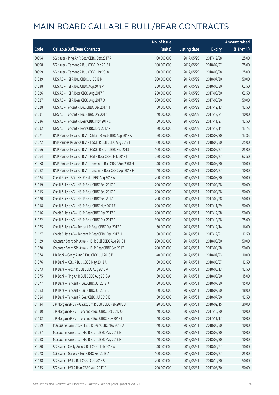|       |                                                            | No. of issue |                     |               | <b>Amount raised</b> |
|-------|------------------------------------------------------------|--------------|---------------------|---------------|----------------------|
| Code  | <b>Callable Bull/Bear Contracts</b>                        | (units)      | <b>Listing date</b> | <b>Expiry</b> | (HK\$mil.)           |
| 60994 | SG Issuer - Ping An R Bear CBBC Dec 2017 A                 | 100,000,000  | 2017/05/29          | 2017/12/28    | 25.00                |
| 60998 | SG Issuer - Tencent R Bull CBBC Feb 2018 I                 | 100,000,000  | 2017/05/29          | 2018/02/27    | 25.00                |
| 60999 | SG Issuer - Tencent R Bull CBBC Mar 2018 I                 | 100,000,000  | 2017/05/29          | 2018/03/28    | 25.00                |
| 61039 | UBS AG - HSI R Bull CBBC Jul 2018 N                        | 200,000,000  | 2017/05/29          | 2018/07/30    | 50.00                |
| 61038 | UBS AG - HSI R Bull CBBC Aug 2018 V                        | 250,000,000  | 2017/05/29          | 2018/08/30    | 62.50                |
| 61026 | UBS AG - HSI R Bear CBBC Aug 2017 P                        | 250,000,000  | 2017/05/29          | 2017/08/30    | 62.50                |
| 61027 | UBS AG - HSI R Bear CBBC Aug 2017 Q                        | 200,000,000  | 2017/05/29          | 2017/08/30    | 50.00                |
| 61028 | UBS AG - Tencent R Bull CBBC Dec 2017 H                    | 50,000,000   | 2017/05/29          | 2017/12/13    | 12.50                |
| 61031 | UBS AG - Tencent R Bull CBBC Dec 2017 I                    | 40,000,000   | 2017/05/29          | 2017/12/21    | 10.00                |
| 61036 | UBS AG - Tencent R Bear CBBC Nov 2017 C                    | 50,000,000   | 2017/05/29          | 2017/11/27    | 12.50                |
| 61032 | UBS AG - Tencent R Bear CBBC Dec 2017 F                    | 50,000,000   | 2017/05/29          | 2017/12/11    | 13.75                |
| 61071 | BNP Paribas Issuance B.V. - Ch Life R Bull CBBC Aug 2018 A | 50,000,000   | 2017/05/31          | 2018/08/30    | 13.85                |
| 61072 | BNP Paribas Issuance B.V. - HSCEI R Bull CBBC Aug 2018 I   | 100,000,000  | 2017/05/31          | 2018/08/30    | 25.00                |
| 61066 | BNP Paribas Issuance B.V. - HSCEI R Bear CBBC Feb 2018 I   | 100,000,000  | 2017/05/31          | 2018/02/27    | 25.00                |
| 61064 | BNP Paribas Issuance B.V. - HSI R Bear CBBC Feb 2018 I     | 250,000,000  | 2017/05/31          | 2018/02/27    | 62.50                |
| 61068 | BNP Paribas Issuance B.V. - Tencent R Bull CBBC Aug 2018 H | 40,000,000   | 2017/05/31          | 2018/08/30    | 10.00                |
| 61082 | BNP Paribas Issuance B.V. - Tencent R Bear CBBC Apr 2018 H | 40,000,000   | 2017/05/31          | 2018/04/27    | 10.00                |
| 61124 | Credit Suisse AG - HSI R Bull CBBC Aug 2018 A              | 200,000,000  | 2017/05/31          | 2018/08/30    | 50.00                |
| 61119 | Credit Suisse AG - HSI R Bear CBBC Sep 2017 C              | 200,000,000  | 2017/05/31          | 2017/09/28    | 50.00                |
| 61115 | Credit Suisse AG - HSI R Bear CBBC Sep 2017 D              | 200,000,000  | 2017/05/31          | 2017/09/28    | 50.00                |
| 61120 | Credit Suisse AG - HSI R Bear CBBC Sep 2017 F              | 200,000,000  | 2017/05/31          | 2017/09/28    | 50.00                |
| 61118 | Credit Suisse AG - HSI R Bear CBBC Nov 2017 E              | 200,000,000  | 2017/05/31          | 2017/11/29    | 50.00                |
| 61116 | Credit Suisse AG - HSI R Bear CBBC Dec 2017 B              | 200,000,000  | 2017/05/31          | 2017/12/28    | 50.00                |
| 61122 | Credit Suisse AG - HSI R Bear CBBC Dec 2017 C              | 300,000,000  | 2017/05/31          | 2017/12/28    | 75.00                |
| 61125 | Credit Suisse AG - Tencent R Bear CBBC Dec 2017 G          | 50,000,000   | 2017/05/31          | 2017/12/14    | 16.00                |
| 61127 | Credit Suisse AG - Tencent R Bear CBBC Dec 2017 H          | 50,000,000   | 2017/05/31          | 2017/12/21    | 12.50                |
| 61129 | Goldman Sachs SP (Asia) - HSI R Bull CBBC Aug 2018 H       | 200,000,000  | 2017/05/31          | 2018/08/30    | 50.00                |
| 61070 | Goldman Sachs SP (Asia) - HSI R Bear CBBC Sep 2017 I       | 200,000,000  | 2017/05/31          | 2017/09/28    | 50.00                |
| 61074 | HK Bank - Geely Auto R Bull CBBC Jul 2018 B                | 40,000,000   | 2017/05/31          | 2018/07/23    | 10.00                |
| 61076 | HK Bank - ICBC R Bull CBBC May 2018 A                      | 50,000,000   | 2017/05/31          | 2018/05/07    | 12.50                |
| 61073 | HK Bank - PetCh R Bull CBBC Aug 2018 A                     | 50,000,000   | 2017/05/31          | 2018/08/13    | 12.50                |
| 61075 | HK Bank - Ping An R Bull CBBC Aug 2018 A                   | 60,000,000   | 2017/05/31          | 2018/08/20    | 15.00                |
| 61077 | HK Bank - Tencent R Bull CBBC Jul 2018 K                   | 60,000,000   | 2017/05/31          | 2018/07/30    | 15.00                |
| 61083 | HK Bank - Tencent R Bull CBBC Jul 2018 L                   | 60,000,000   | 2017/05/31          | 2018/07/30    | 18.00                |
| 61084 | HK Bank - Tencent R Bear CBBC Jul 2018 E                   | 50,000,000   | 2017/05/31          | 2018/07/30    | 12.50                |
| 61134 | J P Morgan SP BV - Galaxy Ent R Bull CBBC Feb 2018 B       | 120,000,000  | 2017/05/31          | 2018/02/15    | 30.00                |
| 61130 | J P Morgan SP BV - Tencent R Bull CBBC Oct 2017 Q          | 40,000,000   | 2017/05/31          | 2017/10/20    | 10.00                |
| 61132 | J P Morgan SP BV - Tencent R Bull CBBC Nov 2017 T          | 40,000,000   | 2017/05/31          | 2017/11/17    | 10.00                |
| 61089 | Macquarie Bank Ltd. - HSBC R Bear CBBC May 2018 A          | 40,000,000   | 2017/05/31          | 2018/05/30    | 10.00                |
| 61087 | Macquarie Bank Ltd. - HSI R Bear CBBC May 2018 E           | 40,000,000   | 2017/05/31          | 2018/05/30    | 10.00                |
| 61088 | Macquarie Bank Ltd. - HSI R Bear CBBC May 2018 F           | 40,000,000   | 2017/05/31          | 2018/05/30    | 10.00                |
| 61080 | SG Issuer - Geely Auto R Bull CBBC Feb 2018 A              | 40,000,000   | 2017/05/31          | 2018/02/27    | 10.00                |
| 61078 | SG Issuer - Galaxy R Bull CBBC Feb 2018 A                  | 100,000,000  | 2017/05/31          | 2018/02/27    | 25.00                |
| 61138 | SG Issuer - HSI R Bull CBBC Oct 2018 S                     | 200,000,000  | 2017/05/31          | 2018/10/30    | 50.00                |
| 61135 | SG Issuer - HSI R Bear CBBC Aug 2017 F                     | 200,000,000  | 2017/05/31          | 2017/08/30    | 50.00                |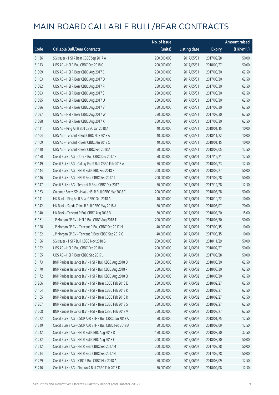|       |                                                        | No. of issue |                     |               | <b>Amount raised</b> |
|-------|--------------------------------------------------------|--------------|---------------------|---------------|----------------------|
| Code  | <b>Callable Bull/Bear Contracts</b>                    | (units)      | <b>Listing date</b> | <b>Expiry</b> | (HK\$mil.)           |
| 61136 | SG Issuer - HSI R Bear CBBC Sep 2017 A                 | 200,000,000  | 2017/05/31          | 2017/09/28    | 50.00                |
| 61113 | UBS AG - HSI R Bull CBBC Sep 2018 G                    | 200,000,000  | 2017/05/31          | 2018/09/27    | 50.00                |
| 61099 | UBS AG - HSI R Bear CBBC Aug 2017 C                    | 250,000,000  | 2017/05/31          | 2017/08/30    | 62.50                |
| 61103 | UBS AG - HSI R Bear CBBC Aug 2017 D                    | 250,000,000  | 2017/05/31          | 2017/08/30    | 62.50                |
| 61092 | UBS AG - HSI R Bear CBBC Aug 2017 R                    | 250,000,000  | 2017/05/31          | 2017/08/30    | 62.50                |
| 61093 | UBS AG - HSI R Bear CBBC Aug 2017 S                    | 250,000,000  | 2017/05/31          | 2017/08/30    | 62.50                |
| 61095 | UBS AG - HSI R Bear CBBC Aug 2017 U                    | 250,000,000  | 2017/05/31          | 2017/08/30    | 62.50                |
| 61096 | UBS AG - HSI R Bear CBBC Aug 2017 V                    | 250,000,000  | 2017/05/31          | 2017/08/30    | 62.50                |
| 61097 | UBS AG - HSI R Bear CBBC Aug 2017 W                    | 250,000,000  | 2017/05/31          | 2017/08/30    | 62.50                |
| 61098 | UBS AG - HSI R Bear CBBC Aug 2017 X                    | 250,000,000  | 2017/05/31          | 2017/08/30    | 62.50                |
| 61111 | UBS AG - Ping An R Bull CBBC Jan 2018 A                | 40,000,000   | 2017/05/31          | 2018/01/15    | 10.00                |
| 61104 | UBS AG - Tencent R Bull CBBC Nov 2018 A                | 40,000,000   | 2017/05/31          | 2018/11/22    | 10.00                |
| 61109 | UBS AG - Tencent R Bear CBBC Jan 2018 C                | 40,000,000   | 2017/05/31          | 2018/01/15    | 10.00                |
| 61110 | UBS AG - Tencent R Bear CBBC Feb 2018 A                | 50,000,000   | 2017/05/31          | 2018/02/05    | 17.50                |
| 61150 | Credit Suisse AG - CUni R Bull CBBC Dec 2017 B         | 50,000,000   | 2017/06/01          | 2017/12/21    | 12.50                |
| 61149 | Credit Suisse AG - Galaxy Ent R Bull CBBC Feb 2018 A   | 50,000,000   | 2017/06/01          | 2018/02/23    | 12.50                |
| 61144 | Credit Suisse AG - HSI R Bull CBBC Feb 2018 K          | 200,000,000  | 2017/06/01          | 2018/02/27    | 50.00                |
| 61146 | Credit Suisse AG - HSI R Bear CBBC Sep 2017 J          | 200,000,000  | 2017/06/01          | 2017/09/28    | 50.00                |
| 61147 | Credit Suisse AG - Tencent R Bear CBBC Dec 2017 I      | 50,000,000   | 2017/06/01          | 2017/12/28    | 12.50                |
| 61163 | Goldman Sachs SP (Asia) - HSI R Bull CBBC Mar 2018 F   | 200,000,000  | 2017/06/01          | 2018/03/28    | 50.00                |
| 61141 | HK Bank - Ping An R Bear CBBC Oct 2018 A               | 40,000,000   | 2017/06/01          | 2018/10/22    | 10.00                |
| 61142 | HK Bank - Sands China R Bull CBBC May 2018 A           | 80,000,000   | 2017/06/01          | 2018/05/07    | 20.00                |
| 61140 | HK Bank - Tencent R Bull CBBC Aug 2018 B               | 60,000,000   | 2017/06/01          | 2018/08/20    | 15.00                |
| 61161 | J P Morgan SP BV - HSI R Bull CBBC Aug 2018 T          | 200,000,000  | 2017/06/01          | 2018/08/30    | 50.00                |
| 61158 | J P Morgan SP BV - Tencent R Bull CBBC Sep 2017 M      | 40,000,000   | 2017/06/01          | 2017/09/15    | 10.00                |
| 61162 | J P Morgan SP BV - Tencent R Bear CBBC Sep 2017 C      | 40,000,000   | 2017/06/01          | 2017/09/15    | 10.00                |
| 61156 | SG Issuer - HSI R Bull CBBC Nov 2018 G                 | 200,000,000  | 2017/06/01          | 2018/11/29    | 50.00                |
| 61152 | UBS AG - HSI R Bull CBBC Feb 2018 K                    | 200,000,000  | 2017/06/01          | 2018/02/27    | 50.00                |
| 61155 | UBS AG - HSI R Bear CBBC Sep 2017 J                    | 200,000,000  | 2017/06/01          | 2017/09/28    | 50.00                |
| 61173 | BNP Paribas Issuance B.V. - HSI R Bull CBBC Aug 2018 D | 250,000,000  | 2017/06/02          | 2018/08/30    | 62.50                |
| 61170 | BNP Paribas Issuance B.V. - HSI R Bull CBBC Aug 2018 P | 250,000,000  | 2017/06/02          | 2018/08/30    | 62.50                |
| 61172 | BNP Paribas Issuance B.V. - HSI R Bull CBBC Aug 2018 Q | 250,000,000  | 2017/06/02          | 2018/08/30    | 62.50                |
| 61206 | BNP Paribas Issuance B.V. - HSI R Bear CBBC Feb 2018 E | 250,000,000  | 2017/06/02          | 2018/02/27    | 62.50                |
| 61164 | BNP Paribas Issuance B.V. - HSI R Bear CBBC Feb 2018 K | 250,000,000  | 2017/06/02          | 2018/02/27    | 62.50                |
| 61165 | BNP Paribas Issuance B.V. - HSI R Bear CBBC Feb 2018 R | 250,000,000  | 2017/06/02          | 2018/02/27    | 62.50                |
| 61207 | BNP Paribas Issuance B.V. - HSI R Bear CBBC Feb 2018 S | 250,000,000  | 2017/06/02          | 2018/02/27    | 62.50                |
| 61208 | BNP Paribas Issuance B.V. - HSI R Bear CBBC Feb 2018 V | 250,000,000  | 2017/06/02          | 2018/02/27    | 62.50                |
| 61222 | Credit Suisse AG - CSOP A50 ETF R Bull CBBC Jan 2018 A | 50,000,000   | 2017/06/02          | 2018/01/25    | 12.50                |
| 61219 | Credit Suisse AG - CSOP A50 ETF R Bull CBBC Feb 2018 A | 50,000,000   | 2017/06/02          | 2018/02/09    | 12.50                |
| 61242 | Credit Suisse AG - HSI R Bull CBBC Aug 2018 D          | 150,000,000  | 2017/06/02          | 2018/08/30    | 37.50                |
| 61232 | Credit Suisse AG - HSI R Bull CBBC Aug 2018 E          | 200,000,000  | 2017/06/02          | 2018/08/30    | 50.00                |
| 61212 | Credit Suisse AG - HSI R Bear CBBC Sep 2017 M          | 200,000,000  | 2017/06/02          | 2017/09/28    | 50.00                |
| 61214 | Credit Suisse AG - HSI R Bear CBBC Sep 2017 N          | 200,000,000  | 2017/06/02          | 2017/09/28    | 50.00                |
| 61229 | Credit Suisse AG - ICBC R Bull CBBC Mar 2018 A         | 50,000,000   | 2017/06/02          | 2018/03/09    | 12.50                |
| 61216 | Credit Suisse AG - Ping An R Bull CBBC Feb 2018 D      | 50,000,000   | 2017/06/02          | 2018/02/08    | 12.50                |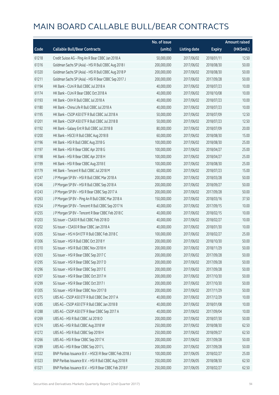|       |                                                          | No. of issue |                     |               | <b>Amount raised</b> |
|-------|----------------------------------------------------------|--------------|---------------------|---------------|----------------------|
| Code  | <b>Callable Bull/Bear Contracts</b>                      | (units)      | <b>Listing date</b> | <b>Expiry</b> | (HK\$mil.)           |
| 61218 | Credit Suisse AG - Ping An R Bear CBBC Jan 2018 A        | 50,000,000   | 2017/06/02          | 2018/01/11    | 12.50                |
| 61316 | Goldman Sachs SP (Asia) - HSI R Bull CBBC Aug 2018 I     | 200,000,000  | 2017/06/02          | 2018/08/30    | 50.00                |
| 61320 | Goldman Sachs SP (Asia) - HSI R Bull CBBC Aug 2018 P     | 200,000,000  | 2017/06/02          | 2018/08/30    | 50.00                |
| 61211 | Goldman Sachs SP (Asia) - HSI R Bear CBBC Sep 2017 J     | 200,000,000  | 2017/06/02          | 2017/09/28    | 50.00                |
| 61194 | HK Bank - CUni R Bull CBBC Jul 2018 A                    | 40,000,000   | 2017/06/02          | 2018/07/23    | 10.00                |
| 61174 | HK Bank - CUni R Bear CBBC Oct 2018 A                    | 40,000,000   | 2017/06/02          | 2018/10/08    | 10.00                |
| 61193 | HK Bank - CKH R Bull CBBC Jul 2018 A                     | 40,000,000   | 2017/06/02          | 2018/07/23    | 10.00                |
| 61180 | HK Bank - China Life R Bull CBBC Jul 2018 A              | 40,000,000   | 2017/06/02          | 2018/07/23    | 10.00                |
| 61195 | HK Bank - CSOP A50 ETF R Bull CBBC Jul 2018 A            | 50,000,000   | 2017/06/02          | 2018/07/09    | 12.50                |
| 61201 | HK Bank - CSOP A50 ETF R Bull CBBC Jul 2018 B            | 50,000,000   | 2017/06/02          | 2018/07/23    | 12.50                |
| 61192 | HK Bank - Galaxy Ent R Bull CBBC Jul 2018 B              | 80,000,000   | 2017/06/02          | 2018/07/09    | 20.00                |
| 61200 | HK Bank - HSCEI R Bull CBBC Aug 2018 B                   | 60,000,000   | 2017/06/02          | 2018/08/30    | 15.00                |
| 61196 | HK Bank - HSI R Bull CBBC Aug 2018 G                     | 100,000,000  | 2017/06/02          | 2018/08/30    | 25.00                |
| 61197 | HK Bank - HSI R Bear CBBC Apr 2018 G                     | 100,000,000  | 2017/06/02          | 2018/04/27    | 25.00                |
| 61198 | HK Bank - HSI R Bear CBBC Apr 2018 H                     | 100,000,000  | 2017/06/02          | 2018/04/27    | 25.00                |
| 61199 | HK Bank - HSI R Bear CBBC Aug 2018 E                     | 100,000,000  | 2017/06/02          | 2018/08/30    | 25.00                |
| 61179 | HK Bank - Tencent R Bull CBBC Jul 2018 M                 | 60,000,000   | 2017/06/02          | 2018/07/23    | 15.00                |
| 61247 | J P Morgan SP BV - HSI R Bull CBBC Mar 2018 A            | 200,000,000  | 2017/06/02          | 2018/03/28    | 50.00                |
| 61246 | J P Morgan SP BV - HSI R Bull CBBC Sep 2018 A            | 200,000,000  | 2017/06/02          | 2018/09/27    | 50.00                |
| 61243 | J P Morgan SP BV - HSI R Bear CBBC Sep 2017 A            | 200,000,000  | 2017/06/02          | 2017/09/28    | 50.00                |
| 61263 | J P Morgan SP BV - Ping An R Bull CBBC Mar 2018 A        | 150,000,000  | 2017/06/02          | 2018/03/16    | 37.50                |
| 61254 | J P Morgan SP BV - Tencent R Bull CBBC Sep 2017 N        | 40,000,000   | 2017/06/02          | 2017/09/15    | 10.00                |
| 61255 | J P Morgan SP BV - Tencent R Bear CBBC Feb 2018 C        | 40,000,000   | 2017/06/02          | 2018/02/15    | 10.00                |
| 61203 | SG Issuer - CSA50 R Bull CBBC Feb 2018 D                 | 40,000,000   | 2017/06/02          | 2018/02/27    | 10.00                |
| 61202 | SG Issuer - CSA50 R Bear CBBC Jan 2018 A                 | 40,000,000   | 2017/06/02          | 2018/01/30    | 10.00                |
| 61205 | SG Issuer - HS H-SH ETF R Bull CBBC Feb 2018 C           | 100,000,000  | 2017/06/02          | 2018/02/27    | 25.00                |
| 61306 | SG Issuer - HSI R Bull CBBC Oct 2018 Y                   | 200,000,000  | 2017/06/02          | 2018/10/30    | 50.00                |
| 61310 | SG Issuer - HSI R Bull CBBC Nov 2018 H                   | 200,000,000  | 2017/06/02          | 2018/11/29    | 50.00                |
| 61293 | SG Issuer - HSI R Bear CBBC Sep 2017 C                   | 200,000,000  | 2017/06/02          | 2017/09/28    | 50.00                |
| 61295 | SG Issuer - HSI R Bear CBBC Sep 2017 D                   | 200,000,000  | 2017/06/02          | 2017/09/28    | 50.00                |
| 61296 | SG Issuer - HSI R Bear CBBC Sep 2017 E                   | 200,000,000  | 2017/06/02          | 2017/09/28    | 50.00                |
| 61297 | SG Issuer - HSI R Bear CBBC Oct 2017 H                   | 200,000,000  | 2017/06/02          | 2017/10/30    | 50.00                |
| 61299 | SG Issuer - HSI R Bear CBBC Oct 2017 I                   | 200,000,000  | 2017/06/02          | 2017/10/30    | 50.00                |
| 61305 | SG Issuer - HSI R Bear CBBC Nov 2017 B                   | 200,000,000  | 2017/06/02          | 2017/11/29    | 50.00                |
| 61275 | UBS AG - CSOP A50 ETF R Bull CBBC Dec 2017 A             | 40,000,000   | 2017/06/02          | 2017/12/29    | 10.00                |
| 61285 | UBS AG - CSOP A50 ETF R Bull CBBC Jan 2018 B             | 40,000,000   | 2017/06/02          | 2018/01/08    | 10.00                |
| 61288 | UBS AG - CSOP A50 ETF R Bear CBBC Sep 2017 A             | 40,000,000   | 2017/06/02          | 2017/09/04    | 10.00                |
| 61269 | UBS AG - HSI R Bull CBBC Jul 2018 O                      | 200,000,000  | 2017/06/02          | 2018/07/30    | 50.00                |
| 61274 | UBS AG - HSI R Bull CBBC Aug 2018 W                      | 250,000,000  | 2017/06/02          | 2018/08/30    | 62.50                |
| 61272 | UBS AG - HSI R Bull CBBC Sep 2018 H                      | 250,000,000  | 2017/06/02          | 2018/09/27    | 62.50                |
| 61266 | UBS AG - HSI R Bear CBBC Sep 2017 K                      | 200,000,000  | 2017/06/02          | 2017/09/28    | 50.00                |
| 61289 | UBS AG - HSI R Bear CBBC Sep 2017 L                      | 200,000,000  | 2017/06/02          | 2017/09/28    | 50.00                |
| 61322 | BNP Paribas Issuance B.V. - HSCEI R Bear CBBC Feb 2018 J | 100,000,000  | 2017/06/05          | 2018/02/27    | 25.00                |
| 61323 | BNP Paribas Issuance B.V. - HSI R Bull CBBC Aug 2018 R   | 250,000,000  | 2017/06/05          | 2018/08/30    | 62.50                |
| 61321 | BNP Paribas Issuance B.V. - HSI R Bear CBBC Feb 2018 F   | 250,000,000  | 2017/06/05          | 2018/02/27    | 62.50                |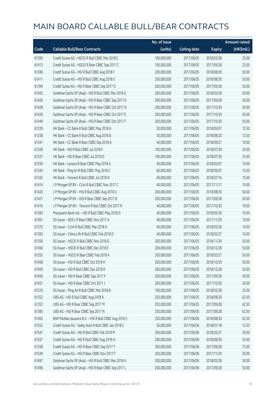|       |                                                        | No. of issue |                     |               | <b>Amount raised</b> |
|-------|--------------------------------------------------------|--------------|---------------------|---------------|----------------------|
| Code  | <b>Callable Bull/Bear Contracts</b>                    | (units)      | <b>Listing date</b> | <b>Expiry</b> | (HK\$mil.)           |
| 61395 | Credit Suisse AG - HSCEI R Bull CBBC Mar 2018 C        | 100,000,000  | 2017/06/05          | 2018/03/28    | 25.00                |
| 61413 | Credit Suisse AG - HSCEI R Bear CBBC Sep 2017 C        | 100,000,000  | 2017/06/05          | 2017/09/28    | 25.00                |
| 61386 | Credit Suisse AG - HSI R Bull CBBC Aug 2018 F          | 200,000,000  | 2017/06/05          | 2018/08/30    | 50.00                |
| 61411 | Credit Suisse AG - HSI R Bull CBBC Aug 2018 G          | 200,000,000  | 2017/06/05          | 2018/08/30    | 50.00                |
| 61394 | Credit Suisse AG - HSI R Bear CBBC Sep 2017 O          | 200,000,000  | 2017/06/05          | 2017/09/28    | 50.00                |
| 61455 | Goldman Sachs SP (Asia) - HSI R Bull CBBC Mar 2018 G   | 200,000,000  | 2017/06/05          | 2018/03/28    | 50.00                |
| 61426 | Goldman Sachs SP (Asia) - HSI R Bear CBBC Sep 2017 K   | 200,000,000  | 2017/06/05          | 2017/09/28    | 50.00                |
| 61428 | Goldman Sachs SP (Asia) - HSI R Bear CBBC Oct 2017 D   | 200,000,000  | 2017/06/05          | 2017/10/30    | 50.00                |
| 61430 | Goldman Sachs SP (Asia) - HSI R Bear CBBC Oct 2017 E   | 200,000,000  | 2017/06/05          | 2017/10/30    | 50.00                |
| 61449 | Goldman Sachs SP (Asia) - HSI R Bear CBBC Oct 2017 F   | 200,000,000  | 2017/06/05          | 2017/10/30    | 50.00                |
| 61339 | HK Bank - CC Bank R Bull CBBC May 2018 A               | 50,000,000   | 2017/06/05          | 2018/05/07    | 12.50                |
| 61338 | HK Bank - CC Bank R Bull CBBC Aug 2018 B               | 50,000,000   | 2017/06/05          | 2018/08/20    | 12.50                |
| 61341 | HK Bank - CC Bank R Bear CBBC Sep 2018 A               | 40,000,000   | 2017/06/05          | 2018/09/21    | 10.00                |
| 61328 | HK Bank - HSI R Bull CBBC Jul 2018 F                   | 100,000,000  | 2017/06/05          | 2018/07/30    | 25.00                |
| 61337 | HK Bank - HSI R Bear CBBC Jul 2018 D                   | 100,000,000  | 2017/06/05          | 2018/07/30    | 25.00                |
| 61350 | HK Bank - Lenovo R Bear CBBC May 2018 A                | 40,000,000   | 2017/06/05          | 2018/05/07    | 10.00                |
| 61343 | HK Bank - Ping An R Bull CBBC May 2018 C               | 60,000,000   | 2017/06/05          | 2018/05/07    | 15.00                |
| 61342 | HK Bank - Tencent R Bull CBBC Jul 2018 N               | 60,000,000   | 2017/06/05          | 2018/07/16    | 15.00                |
| 61414 | J P Morgan SP BV - CUni R Bull CBBC Nov 2017 C         | 40,000,000   | 2017/06/05          | 2017/11/17    | 10.00                |
| 61420 | J P Morgan SP BV - HSI R Bull CBBC Aug 2018 U          | 200,000,000  | 2017/06/05          | 2018/08/30    | 50.00                |
| 61421 | J P Morgan SP BV - HSI R Bear CBBC Sep 2017 B          | 200,000,000  | 2017/06/05          | 2017/09/28    | 50.00                |
| 61416 | J P Morgan SP BV - Tencent R Bull CBBC Oct 2017 R      | 40,000,000   | 2017/06/05          | 2017/10/20    | 10.00                |
| 61383 | Macquarie Bank Ltd. - HSI R Bull CBBC May 2018 D       | 40,000,000   | 2017/06/05          | 2018/05/30    | 10.00                |
| 61361 | SG Issuer - BOCL R Bear CBBC Nov 2017 A                | 40,000,000   | 2017/06/05          | 2017/11/29    | 10.00                |
| 61375 | SG Issuer - CUni R Bull CBBC Mar 2018 A                | 40,000,000   | 2017/06/05          | 2018/03/28    | 10.00                |
| 61365 | SG Issuer - China Life R Bull CBBC Feb 2018 D          | 40,000,000   | 2017/06/05          | 2018/02/27    | 10.00                |
| 61356 | SG Issuer - HSCEI R Bull CBBC Nov 2018 G               | 200,000,000  | 2017/06/05          | 2018/11/29    | 50.00                |
| 61360 | SG Issuer – HSCELR Bull CBBC Dec 2018 E                | 200,000,000  | 2017/06/05          | 2018/12/28    | 50.00                |
| 61355 | SG Issuer - HSCEI R Bear CBBC Feb 2018 A               | 200,000,000  | 2017/06/05          | 2018/02/27    | 50.00                |
| 61458 | SG Issuer - HSI R Bull CBBC Oct 2018 H                 | 200,000,000  | 2017/06/05          | 2018/10/30    | 50.00                |
| 61459 | SG Issuer - HSI R Bull CBBC Dec 2018 D                 | 200,000,000  | 2017/06/05          | 2018/12/28    | 50.00                |
| 61456 | SG Issuer - HSI R Bear CBBC Sep 2017 F                 | 200,000,000  | 2017/06/05          | 2017/09/28    | 50.00                |
| 61457 | SG Issuer - HSI R Bear CBBC Oct 2017 J                 | 200,000,000  | 2017/06/05          | 2017/10/30    | 50.00                |
| 61376 | SG Issuer - Ping An R Bull CBBC Mar 2018 B             | 100,000,000  | 2017/06/05          | 2018/03/28    | 25.00                |
| 61352 | UBS AG - HSI R Bull CBBC Aug 2018 X                    | 250,000,000  | 2017/06/05          | 2018/08/30    | 62.50                |
| 61353 | UBS AG - HSI R Bear CBBC Sep 2017 M                    | 250,000,000  | 2017/06/05          | 2017/09/28    | 62.50                |
| 61385 | UBS AG - HSI R Bear CBBC Sep 2017 N                    | 250,000,000  | 2017/06/05          | 2017/09/28    | 62.50                |
| 61492 | BNP Paribas Issuance B.V. - HSI R Bull CBBC Aug 2018 S | 250,000,000  | 2017/06/06          | 2018/08/30    | 62.50                |
| 61552 | Credit Suisse AG - Geely Auto R Bull CBBC Jan 2018 C   | 50,000,000   | 2017/06/06          | 2018/01/18    | 12.50                |
| 61547 | Credit Suisse AG - HSI R Bull CBBC Feb 2018 M          | 200,000,000  | 2017/06/06          | 2018/02/27    | 50.00                |
| 61557 | Credit Suisse AG - HSI R Bull CBBC Aug 2018 H          | 200,000,000  | 2017/06/06          | 2018/08/30    | 50.00                |
| 61558 | Credit Suisse AG - HSI R Bear CBBC Sep 2017 T          | 300,000,000  | 2017/06/06          | 2017/09/28    | 75.00                |
| 61549 | Credit Suisse AG - HSI R Bear CBBC Nov 2017 F          | 200,000,000  | 2017/06/06          | 2017/11/29    | 50.00                |
| 61497 | Goldman Sachs SP (Asia) - HSI R Bull CBBC Mar 2018 H   | 200,000,000  | 2017/06/06          | 2018/03/28    | 50.00                |
| 61496 | Goldman Sachs SP (Asia) - HSI R Bear CBBC Sep 2017 L   | 200,000,000  | 2017/06/06          | 2017/09/28    | 50.00                |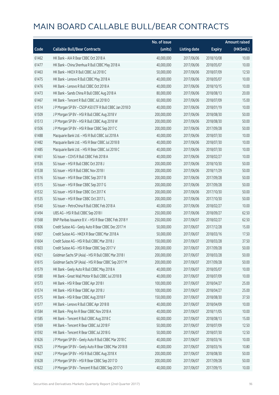|       |                                                        | No. of issue |                     |               | <b>Amount raised</b> |
|-------|--------------------------------------------------------|--------------|---------------------|---------------|----------------------|
| Code  | <b>Callable Bull/Bear Contracts</b>                    | (units)      | <b>Listing date</b> | <b>Expiry</b> | (HK\$mil.)           |
| 61462 | HK Bank - AIA R Bear CBBC Oct 2018 A                   | 40,000,000   | 2017/06/06          | 2018/10/08    | 10.00                |
| 61477 | HK Bank - China Shenhua R Bull CBBC May 2018 A         | 40,000,000   | 2017/06/06          | 2018/05/07    | 10.00                |
| 61463 | HK Bank - HKEX R Bull CBBC Jul 2018 C                  | 50,000,000   | 2017/06/06          | 2018/07/09    | 12.50                |
| 61475 | HK Bank - Lenovo R Bull CBBC May 2018 A                | 40,000,000   | 2017/06/06          | 2018/05/07    | 10.00                |
| 61476 | HK Bank - Lenovo R Bull CBBC Oct 2018 A                | 40,000,000   | 2017/06/06          | 2018/10/15    | 10.00                |
| 61473 | HK Bank - Sands China R Bull CBBC Aug 2018 A           | 80,000,000   | 2017/06/06          | 2018/08/13    | 20.00                |
| 61467 | HK Bank - Tencent R Bull CBBC Jul 2018 O               | 60,000,000   | 2017/06/06          | 2018/07/09    | 15.00                |
| 61514 | J P Morgan SP BV - CSOP A50 ETF R Bull CBBC Jan 2018 D | 40,000,000   | 2017/06/06          | 2018/01/19    | 10.00                |
| 61509 | J P Morgan SP BV - HSI R Bull CBBC Aug 2018 V          | 200,000,000  | 2017/06/06          | 2018/08/30    | 50.00                |
| 61513 | J P Morgan SP BV - HSI R Bull CBBC Aug 2018 W          | 200,000,000  | 2017/06/06          | 2018/08/30    | 50.00                |
| 61506 | J P Morgan SP BV - HSI R Bear CBBC Sep 2017 C          | 200,000,000  | 2017/06/06          | 2017/09/28    | 50.00                |
| 61488 | Macquarie Bank Ltd. - HSI R Bull CBBC Jul 2018 A       | 40,000,000   | 2017/06/06          | 2018/07/30    | 10.00                |
| 61482 | Macquarie Bank Ltd. - HSI R Bear CBBC Jul 2018 B       | 40,000,000   | 2017/06/06          | 2018/07/30    | 10.00                |
| 61485 | Macquarie Bank Ltd. - HSI R Bear CBBC Jul 2018 C       | 40,000,000   | 2017/06/06          | 2018/07/30    | 10.00                |
| 61461 | SG Issuer - COVS R Bull CBBC Feb 2018 A                | 40,000,000   | 2017/06/06          | 2018/02/27    | 10.00                |
| 61536 | SG Issuer - HSI R Bull CBBC Oct 2018 J                 | 200,000,000  | 2017/06/06          | 2018/10/30    | 50.00                |
| 61538 | SG Issuer - HSI R Bull CBBC Nov 2018 I                 | 200,000,000  | 2017/06/06          | 2018/11/29    | 50.00                |
| 61516 | SG Issuer - HSI R Bear CBBC Sep 2017 B                 | 200,000,000  | 2017/06/06          | 2017/09/28    | 50.00                |
| 61515 | SG Issuer - HSI R Bear CBBC Sep 2017 G                 | 200,000,000  | 2017/06/06          | 2017/09/28    | 50.00                |
| 61532 | SG Issuer - HSI R Bear CBBC Oct 2017 K                 | 200,000,000  | 2017/06/06          | 2017/10/30    | 50.00                |
| 61535 | SG Issuer - HSI R Bear CBBC Oct 2017 L                 | 200,000,000  | 2017/06/06          | 2017/10/30    | 50.00                |
| 61540 | SG Issuer - PetroChina R Bull CBBC Feb 2018 A          | 40,000,000   | 2017/06/06          | 2018/02/27    | 10.00                |
| 61494 | UBS AG - HSI R Bull CBBC Sep 2018 I                    | 250,000,000  | 2017/06/06          | 2018/09/27    | 62.50                |
| 61568 | BNP Paribas Issuance B.V. - HSI R Bear CBBC Feb 2018 Y | 250,000,000  | 2017/06/07          | 2018/02/27    | 62.50                |
| 61606 | Credit Suisse AG - Geely Auto R Bear CBBC Dec 2017 H   | 50,000,000   | 2017/06/07          | 2017/12/28    | 15.00                |
| 61607 | Credit Suisse AG - HKEX R Bear CBBC Mar 2018 A         | 50,000,000   | 2017/06/07          | 2018/03/16    | 17.50                |
| 61604 | Credit Suisse AG - HSI R Bull CBBC Mar 2018 J          | 150,000,000  | 2017/06/07          | 2018/03/28    | 37.50                |
| 61603 | Credit Suisse AG - HSI R Bear CBBC Sep 2017 V          | 200,000,000  | 2017/06/07          | 2017/09/28    | 50.00                |
| 61621 | Goldman Sachs SP (Asia) - HSI R Bull CBBC Mar 2018 I   | 200,000,000  | 2017/06/07          | 2018/03/28    | 50.00                |
| 61615 | Goldman Sachs SP (Asia) - HSI R Bear CBBC Sep 2017 M   | 200,000,000  | 2017/06/07          | 2017/09/28    | 50.00                |
| 61579 | HK Bank - Geely Auto R Bull CBBC May 2018 A            | 40,000,000   | 2017/06/07          | 2018/05/07    | 10.00                |
| 61580 | HK Bank - Great Wall Motor R Bull CBBC Jul 2018 B      | 40,000,000   | 2017/06/07          | 2018/07/09    | 10.00                |
| 61573 | HK Bank - HSI R Bear CBBC Apr 2018 I                   | 100,000,000  | 2017/06/07          | 2018/04/27    | 25.00                |
| 61574 | HK Bank - HSI R Bear CBBC Apr 2018 J                   | 100,000,000  | 2017/06/07          | 2018/04/27    | 25.00                |
| 61575 | HK Bank - HSI R Bear CBBC Aug 2018 F                   | 150,000,000  | 2017/06/07          | 2018/08/30    | 37.50                |
| 61577 | HK Bank - Lenovo R Bull CBBC Apr 2018 B                | 40,000,000   | 2017/06/07          | 2018/04/09    | 10.00                |
| 61584 | HK Bank - Ping An R Bear CBBC Nov 2018 A               | 40,000,000   | 2017/06/07          | 2018/11/05    | 10.00                |
| 61585 | HK Bank - Tencent R Bull CBBC Aug 2018 C               | 60,000,000   | 2017/06/07          | 2018/08/13    | 15.00                |
| 61569 | HK Bank - Tencent R Bear CBBC Jul 2018 F               | 50,000,000   | 2017/06/07          | 2018/07/09    | 12.50                |
| 61592 | HK Bank - Tencent R Bear CBBC Jul 2018 G               | 50,000,000   | 2017/06/07          | 2018/07/30    | 12.50                |
| 61626 | J P Morgan SP BV - Geely Auto R Bull CBBC Mar 2018 C   | 40,000,000   | 2017/06/07          | 2018/03/16    | 10.00                |
| 61625 | J P Morgan SP BV - Geely Auto R Bear CBBC Mar 2018 B   | 40,000,000   | 2017/06/07          | 2018/03/16    | 10.80                |
| 61627 | J P Morgan SP BV - HSI R Bull CBBC Aug 2018 X          | 200,000,000  | 2017/06/07          | 2018/08/30    | 50.00                |
| 61628 | J P Morgan SP BV - HSI R Bear CBBC Sep 2017 D          | 200,000,000  | 2017/06/07          | 2017/09/28    | 50.00                |
| 61622 | J P Morgan SP BV - Tencent R Bull CBBC Sep 2017 O      | 40,000,000   | 2017/06/07          | 2017/09/15    | 10.00                |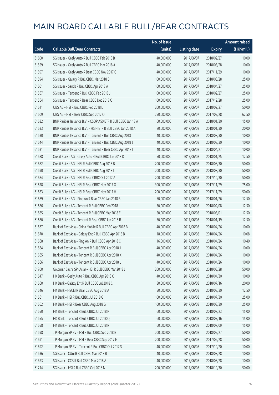|       |                                                               | No. of issue |                     |               | <b>Amount raised</b> |
|-------|---------------------------------------------------------------|--------------|---------------------|---------------|----------------------|
| Code  | <b>Callable Bull/Bear Contracts</b>                           | (units)      | <b>Listing date</b> | <b>Expiry</b> | (HK\$mil.)           |
| 61600 | SG Issuer - Geely Auto R Bull CBBC Feb 2018 B                 | 40,000,000   | 2017/06/07          | 2018/02/27    | 10.00                |
| 61559 | SG Issuer - Geely Auto R Bull CBBC Mar 2018 A                 | 40,000,000   | 2017/06/07          | 2018/03/28    | 10.00                |
| 61597 | SG Issuer - Geely Auto R Bear CBBC Nov 2017 C                 | 40,000,000   | 2017/06/07          | 2017/11/29    | 10.00                |
| 61594 | SG Issuer - Galaxy R Bull CBBC Mar 2018 B                     | 100,000,000  | 2017/06/07          | 2018/03/28    | 25.00                |
| 61601 | SG Issuer - Sands R Bull CBBC Apr 2018 A                      | 100,000,000  | 2017/06/07          | 2018/04/27    | 25.00                |
| 61567 | SG Issuer - Tencent R Bull CBBC Feb 2018 J                    | 100,000,000  | 2017/06/07          | 2018/02/27    | 25.00                |
| 61564 | SG Issuer - Tencent R Bear CBBC Dec 2017 C                    | 100,000,000  | 2017/06/07          | 2017/12/28    | 25.00                |
| 61611 | UBS AG - HSI R Bull CBBC Feb 2018 L                           | 200,000,000  | 2017/06/07          | 2018/02/27    | 50.00                |
| 61609 | UBS AG - HSI R Bear CBBC Sep 2017 O                           | 250,000,000  | 2017/06/07          | 2017/09/28    | 62.50                |
| 61632 | BNP Paribas Issuance B.V. - CSOP A50 ETF R Bull CBBC Jan 18 A | 60,000,000   | 2017/06/08          | 2018/01/30    | 15.00                |
| 61633 | BNP Paribas Issuance B.V - HS H ETF R Bull CBBC Jan 2018 A    | 80,000,000   | 2017/06/08          | 2018/01/30    | 20.00                |
| 61630 | BNP Paribas Issuance B.V. - Tencent R Bull CBBC Aug 2018 I    | 40,000,000   | 2017/06/08          | 2018/08/30    | 10.00                |
| 61644 | BNP Paribas Issuance B.V. - Tencent R Bull CBBC Aug 2018 J    | 40,000,000   | 2017/06/08          | 2018/08/30    | 10.00                |
| 61631 | BNP Paribas Issuance B.V. - Tencent R Bear CBBC Apr 2018 I    | 40,000,000   | 2017/06/08          | 2018/04/27    | 10.00                |
| 61688 | Credit Suisse AG - Geely Auto R Bull CBBC Jan 2018 D          | 50,000,000   | 2017/06/08          | 2018/01/25    | 12.50                |
| 61682 | Credit Suisse AG - HSI R Bull CBBC Aug 2018 B                 | 200,000,000  | 2017/06/08          | 2018/08/30    | 50.00                |
| 61690 | Credit Suisse AG - HSI R Bull CBBC Aug 2018 I                 | 200,000,000  | 2017/06/08          | 2018/08/30    | 50.00                |
| 61684 | Credit Suisse AG - HSI R Bear CBBC Oct 2017 A                 | 200,000,000  | 2017/06/08          | 2017/10/30    | 50.00                |
| 61678 | Credit Suisse AG - HSI R Bear CBBC Nov 2017 G                 | 300,000,000  | 2017/06/08          | 2017/11/29    | 75.00                |
| 61683 | Credit Suisse AG - HSI R Bear CBBC Nov 2017 H                 | 200,000,000  | 2017/06/08          | 2017/11/29    | 50.00                |
| 61689 | Credit Suisse AG - Ping An R Bear CBBC Jan 2018 B             | 50,000,000   | 2017/06/08          | 2018/01/26    | 12.50                |
| 61686 | Credit Suisse AG - Tencent R Bull CBBC Feb 2018 I             | 50,000,000   | 2017/06/08          | 2018/02/08    | 12.50                |
| 61685 | Credit Suisse AG - Tencent R Bull CBBC Mar 2018 E             | 50,000,000   | 2017/06/08          | 2018/03/01    | 12.50                |
| 61680 | Credit Suisse AG - Tencent R Bear CBBC Jan 2018 B             | 50,000,000   | 2017/06/08          | 2018/01/19    | 12.50                |
| 61667 | Bank of East Asia - China Mobile R Bull CBBC Apr 2018 B       | 40,000,000   | 2017/06/08          | 2018/04/26    | 10.00                |
| 61670 | Bank of East Asia - Galaxy Ent R Bull CBBC Apr 2018 B         | 18,000,000   | 2017/06/08          | 2018/04/26    | 10.08                |
| 61668 | Bank of East Asia - Ping An R Bull CBBC Apr 2018 C            | 16,000,000   | 2017/06/08          | 2018/04/26    | 10.40                |
| 61664 | Bank of East Asia - Tencent R Bull CBBC Apr 2018 J            | 40,000,000   | 2017/06/08          | 2018/04/26    | 10.00                |
| 61665 | Bank of East Asia - Tencent R Bull CBBC Apr 2018 K            | 40,000,000   | 2017/06/08          | 2018/04/26    | 10.00                |
| 61666 | Bank of East Asia - Tencent R Bull CBBC Apr 2018 L            | 40,000,000   | 2017/06/08          | 2018/04/26    | 10.00                |
| 61700 | Goldman Sachs SP (Asia) - HSI R Bull CBBC Mar 2018 J          | 200,000,000  | 2017/06/08          | 2018/03/28    | 50.00                |
| 61647 | HK Bank - Geely Auto R Bull CBBC Apr 2018 C                   | 40,000,000   | 2017/06/08          | 2018/04/30    | 10.00                |
| 61660 | HK Bank - Galaxy Ent R Bull CBBC Jul 2018 C                   | 80,000,000   | 2017/06/08          | 2018/07/16    | 20.00                |
| 61646 | HK Bank - HSCEI R Bear CBBC Aug 2018 A                        | 50,000,000   | 2017/06/08          | 2018/08/30    | 12.50                |
| 61661 | HK Bank - HSI R Bull CBBC Jul 2018 G                          | 100,000,000  | 2017/06/08          | 2018/07/30    | 25.00                |
| 61662 | HK Bank - HSI R Bear CBBC Aug 2018 G                          | 100,000,000  | 2017/06/08          | 2018/08/30    | 25.00                |
| 61650 | HK Bank - Tencent R Bull CBBC Jul 2018 P                      | 60,000,000   | 2017/06/08          | 2018/07/23    | 15.00                |
| 61655 | HK Bank - Tencent R Bull CBBC Jul 2018 Q                      | 60,000,000   | 2017/06/08          | 2018/07/16    | 15.00                |
| 61658 | HK Bank - Tencent R Bull CBBC Jul 2018 R                      | 60,000,000   | 2017/06/08          | 2018/07/09    | 15.00                |
| 61698 | J P Morgan SP BV - HSI R Bull CBBC Sep 2018 B                 | 200,000,000  | 2017/06/08          | 2018/09/27    | 50.00                |
| 61691 | J P Morgan SP BV - HSI R Bear CBBC Sep 2017 E                 | 200,000,000  | 2017/06/08          | 2017/09/28    | 50.00                |
| 61692 | J P Morgan SP BV - Tencent R Bull CBBC Oct 2017 S             | 40,000,000   | 2017/06/08          | 2017/10/20    | 10.00                |
| 61636 | SG Issuer - CUni R Bull CBBC Mar 2018 B                       | 40,000,000   | 2017/06/08          | 2018/03/28    | 10.00                |
| 61673 | SG Issuer - CCB R Bull CBBC Mar 2018 A                        | 40,000,000   | 2017/06/08          | 2018/03/28    | 10.00                |
| 61714 | SG Issuer - HSI R Bull CBBC Oct 2018 N                        | 200,000,000  | 2017/06/08          | 2018/10/30    | 50.00                |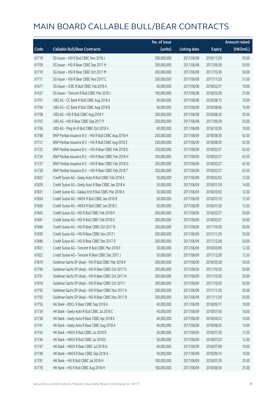|       |                                                        | No. of issue |                     |               | <b>Amount raised</b> |
|-------|--------------------------------------------------------|--------------|---------------------|---------------|----------------------|
| Code  | <b>Callable Bull/Bear Contracts</b>                    | (units)      | <b>Listing date</b> | <b>Expiry</b> | (HK\$mil.)           |
| 61718 | SG Issuer - HSI R Bull CBBC Nov 2018 J                 | 200,000,000  | 2017/06/08          | 2018/11/29    | 50.00                |
| 61709 | SG Issuer - HSI R Bear CBBC Sep 2017 H                 | 200,000,000  | 2017/06/08          | 2017/09/28    | 50.00                |
| 61710 | SG Issuer - HSI R Bear CBBC Oct 2017 M                 | 200,000,000  | 2017/06/08          | 2017/10/30    | 50.00                |
| 61711 | SG Issuer - HSI R Bear CBBC Nov 2017 C                 | 200,000,000  | 2017/06/08          | 2017/11/29    | 51.00                |
| 61677 | SG Issuer - ICBC R Bull CBBC Feb 2018 A                | 40,000,000   | 2017/06/08          | 2018/02/27    | 10.00                |
| 61637 | SG Issuer - Tencent R Bull CBBC Mar 2018 J             | 100,000,000  | 2017/06/08          | 2018/03/28    | 25.00                |
| 61701 | UBS AG - CC Bank R Bull CBBC Aug 2018 A                | 40,000,000   | 2017/06/08          | 2018/08/13    | 10.00                |
| 61704 | UBS AG - CC Bank R Bull CBBC Aug 2018 B                | 40,000,000   | 2017/06/08          | 2018/08/06    | 10.00                |
| 61708 | UBS AG - HSI R Bull CBBC Aug 2018 Y                    | 200,000,000  | 2017/06/08          | 2018/08/30    | 50.00                |
| 61707 | UBS AG - HSI R Bear CBBC Sep 2017 P                    | 200,000,000  | 2017/06/08          | 2017/09/28    | 50.00                |
| 61706 | UBS AG - Ping An R Bull CBBC Oct 2018 A                | 40,000,000   | 2017/06/08          | 2018/10/29    | 10.00                |
| 61788 | BNP Paribas Issuance B.V. - HSI R Bull CBBC Aug 2018 H | 250,000,000  | 2017/06/09          | 2018/08/30    | 62.50                |
| 61721 | BNP Paribas Issuance B.V. - HSI R Bull CBBC Aug 2018 Z | 250,000,000  | 2017/06/09          | 2018/08/30    | 62.50                |
| 61723 | BNP Paribas Issuance B.V. - HSI R Bear CBBC Feb 2018 D | 250,000,000  | 2017/06/09          | 2018/02/27    | 62.50                |
| 61726 | BNP Paribas Issuance B.V. - HSI R Bear CBBC Feb 2018 H | 250,000,000  | 2017/06/09          | 2018/02/27    | 62.50                |
| 61727 | BNP Paribas Issuance B.V. - HSI R Bear CBBC Feb 2018 O | 250,000,000  | 2017/06/09          | 2018/02/27    | 62.50                |
| 61728 | BNP Paribas Issuance B.V. - HSI R Bear CBBC Feb 2018 T | 250,000,000  | 2017/06/09          | 2018/02/27    | 62.50                |
| 61823 | Credit Suisse AG - Geely Auto R Bull CBBC Feb 2018 A   | 50,000,000   | 2017/06/09          | 2018/02/02    | 12.50                |
| 61829 | Credit Suisse AG - Geely Auto R Bear CBBC Jan 2018 A   | 50,000,000   | 2017/06/09          | 2018/01/29    | 14.00                |
| 61831 | Credit Suisse AG - Galaxy Ent R Bull CBBC Mar 2018 A   | 50,000,000   | 2017/06/09          | 2018/03/02    | 12.50                |
| 61834 | Credit Suisse AG - HKEX R Bull CBBC Jan 2018 B         | 50,000,000   | 2017/06/09          | 2018/01/19    | 12.50                |
| 61836 | Credit Suisse AG - HKEX R Bull CBBC Jan 2018 C         | 50,000,000   | 2017/06/09          | 2018/01/26    | 12.50                |
| 61842 | Credit Suisse AG - HSI R Bull CBBC Feb 2018 H          | 200,000,000  | 2017/06/09          | 2018/02/27    | 50.00                |
| 61841 | Credit Suisse AG - HSI R Bull CBBC Feb 2018 O          | 200,000,000  | 2017/06/09          | 2018/02/27    | 50.00                |
| 61840 | Credit Suisse AG - HSI R Bear CBBC Oct 2017 B          | 200,000,000  | 2017/06/09          | 2017/10/30    | 50.00                |
| 61839 | Credit Suisse AG - HSI R Bear CBBC Nov 2017 I          | 200,000,000  | 2017/06/09          | 2017/11/29    | 50.00                |
| 61846 | Credit Suisse AG - HSI R Bear CBBC Dec 2017 D          | 200,000,000  | 2017/06/09          | 2017/12/28    | 50.00                |
| 61821 | Credit Suisse AG - Tencent R Bull CBBC Mar 2018 F      | 50,000,000   | 2017/06/09          | 2018/03/09    | 12.50                |
| 61822 | Credit Suisse AG - Tencent R Bear CBBC Dec 2017 J      | 50,000,000   | 2017/06/09          | 2017/12/28    | 12.50                |
| 61819 | Goldman Sachs SP (Asia) - HSI R Bull CBBC Mar 2018 K   | 200,000,000  | 2017/06/09          | 2018/03/28    | 50.00                |
| 61790 | Goldman Sachs SP (Asia) - HSI R Bear CBBC Oct 2017 G   | 200,000,000  | 2017/06/09          | 2017/10/30    | 50.00                |
| 61791 | Goldman Sachs SP (Asia) - HSI R Bear CBBC Oct 2017 H   | 200,000,000  | 2017/06/09          | 2017/10/30    | 50.00                |
| 61818 | Goldman Sachs SP (Asia) - HSI R Bear CBBC Oct 2017 I   | 200,000,000  | 2017/06/09          | 2017/10/30    | 50.00                |
| 61792 | Goldman Sachs SP (Asia) - HSI R Bear CBBC Nov 2017 A   | 200,000,000  | 2017/06/09          | 2017/11/29    | 50.00                |
| 61793 | Goldman Sachs SP (Asia) - HSI R Bear CBBC Nov 2017 B   | 200,000,000  | 2017/06/09          | 2017/11/29    | 50.00                |
| 61755 | HK Bank - BOCL R Bear CBBC Sep 2018 A                  | 40,000,000   | 2017/06/09          | 2018/09/17    | 10.00                |
| 61739 | HK Bank - Geely Auto R Bull CBBC Jul 2018 C            | 40,000,000   | 2017/06/09          | 2018/07/30    | 10.00                |
| 61738 | HK Bank - Geely Auto R Bear CBBC Apr 2018 E            | 40,000,000   | 2017/06/09          | 2018/04/23    | 10.00                |
| 61741 | HK Bank - Geely Auto R Bear CBBC Aug 2018 A            | 40,000,000   | 2017/06/09          | 2018/08/20    | 10.00                |
| 61743 | HK Bank - HKEX R Bull CBBC Jul 2018 D                  | 50,000,000   | 2017/06/09          | 2018/07/30    | 12.50                |
| 61744 | HK Bank - HKEX R Bull CBBC Jul 2018 E                  | 50,000,000   | 2017/06/09          | 2018/07/23    | 12.50                |
| 61747 | HK Bank - HKEX R Bear CBBC Jul 2018 A                  | 40,000,000   | 2017/06/09          | 2018/07/09    | 10.00                |
| 61748 | HK Bank - HKEX R Bear CBBC Sep 2018 A                  | 40,000,000   | 2017/06/09          | 2018/09/14    | 10.00                |
| 61781 | HK Bank - HSI R Bull CBBC Jul 2018 H                   | 100,000,000  | 2017/06/09          | 2018/07/30    | 25.00                |
| 61778 | HK Bank - HSI R Bull CBBC Aug 2018 H                   | 100,000,000  | 2017/06/09          | 2018/08/30    | 25.00                |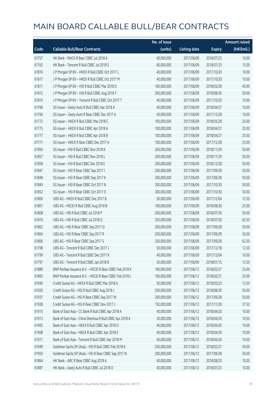|       |                                                          | No. of issue |                     |               | <b>Amount raised</b> |
|-------|----------------------------------------------------------|--------------|---------------------|---------------|----------------------|
| Code  | <b>Callable Bull/Bear Contracts</b>                      | (units)      | <b>Listing date</b> | <b>Expiry</b> | (HK\$mil.)           |
| 61757 | HK Bank - PetCh R Bear CBBC Jul 2018 A                   | 40,000,000   | 2017/06/09          | 2018/07/23    | 10.00                |
| 61763 | HK Bank - Tencent R Bull CBBC Jul 2018 S                 | 60,000,000   | 2017/06/09          | 2018/07/23    | 15.00                |
| 61816 | J P Morgan SP BV - HKEX R Bull CBBC Oct 2017 L           | 40,000,000   | 2017/06/09          | 2017/10/20    | 10.00                |
| 61817 | J P Morgan SP BV - HKEX R Bull CBBC Oct 2017 M           | 40,000,000   | 2017/06/09          | 2017/10/20    | 10.00                |
| 61811 | J P Morgan SP BV - HSI R Bull CBBC Mar 2018 D            | 160,000,000  | 2017/06/09          | 2018/03/28    | 40.00                |
| 61812 | J P Morgan SP BV - HSI R Bull CBBC Aug 2018 Y            | 200,000,000  | 2017/06/09          | 2018/08/30    | 50.00                |
| 61815 | J P Morgan SP BV - Tencent R Bull CBBC Oct 2017 T        | 40,000,000   | 2017/06/09          | 2017/10/20    | 10.00                |
| 61768 | SG Issuer - Geely Auto R Bull CBBC Apr 2018 A            | 40,000,000   | 2017/06/09          | 2018/04/27    | 10.00                |
| 61764 | SG Issuer - Geely Auto R Bear CBBC Dec 2017 A            | 40,000,000   | 2017/06/09          | 2017/12/28    | 10.00                |
| 61772 | SG Issuer - HKEX R Bull CBBC Mar 2018 C                  | 100,000,000  | 2017/06/09          | 2018/03/28    | 25.00                |
| 61775 | SG Issuer - HKEX R Bull CBBC Apr 2018 A                  | 100,000,000  | 2017/06/09          | 2018/04/27    | 25.00                |
| 61777 | SG Issuer - HKEX R Bull CBBC Apr 2018 B                  | 100,000,000  | 2017/06/09          | 2018/04/27    | 25.00                |
| 61771 | SG Issuer - HKEX R Bear CBBC Dec 2017 A                  | 100,000,000  | 2017/06/09          | 2017/12/28    | 25.00                |
| 61856 | SG Issuer - HSI R Bull CBBC Nov 2018 K                   | 200,000,000  | 2017/06/09          | 2018/11/29    | 50.00                |
| 61857 | SG Issuer - HSI R Bull CBBC Nov 2018 L                   | 200,000,000  | 2017/06/09          | 2018/11/29    | 50.00                |
| 61858 | SG Issuer - HSI R Bull CBBC Dec 2018 E                   | 200,000,000  | 2017/06/09          | 2018/12/28    | 50.00                |
| 61847 | SG Issuer - HSI R Bear CBBC Sep 2017 I                   | 200,000,000  | 2017/06/09          | 2017/09/28    | 50.00                |
| 61848 | SG Issuer - HSI R Bear CBBC Sep 2017 K                   | 200,000,000  | 2017/06/09          | 2017/09/28    | 50.00                |
| 61849 | SG Issuer - HSI R Bear CBBC Oct 2017 N                   | 200,000,000  | 2017/06/09          | 2017/10/30    | 50.00                |
| 61852 | SG Issuer - HSI R Bear CBBC Oct 2017 O                   | 200,000,000  | 2017/06/09          | 2017/10/30    | 50.00                |
| 61800 | UBS AG - HKEX R Bull CBBC Dec 2017 B                     | 50,000,000   | 2017/06/09          | 2017/12/04    | 12.50                |
| 61801 | UBS AG - HSCEI R Bull CBBC Aug 2018 B                    | 100,000,000  | 2017/06/09          | 2018/08/30    | 25.00                |
| 61808 | UBS AG - HSI R Bull CBBC Jul 2018 P                      | 200,000,000  | 2017/06/09          | 2018/07/30    | 50.00                |
| 61810 | UBS AG - HSI R Bull CBBC Jul 2018 Q                      | 250,000,000  | 2017/06/09          | 2018/07/30    | 62.50                |
| 61802 | UBS AG - HSI R Bear CBBC Sep 2017 Q                      | 200,000,000  | 2017/06/09          | 2017/09/28    | 50.00                |
| 61804 | UBS AG - HSI R Bear CBBC Sep 2017 R                      | 200,000,000  | 2017/06/09          | 2017/09/28    | 50.00                |
| 61806 | UBS AG - HSI R Bear CBBC Sep 2017 S                      | 250,000,000  | 2017/06/09          | 2017/09/28    | 62.50                |
| 61798 | UBS AG - Tencent R Bull CBBC Dec 2017 J                  | 50,000,000   | 2017/06/09          | 2017/12/18    | 12.50                |
| 61799 | UBS AG - Tencent R Bull CBBC Dec 2017 K                  | 40,000,000   | 2017/06/09          | 2017/12/04    | 10.00                |
| 61797 | UBS AG - Tencent R Bull CBBC Jan 2018 B                  | 50,000,000   | 2017/06/09          | 2018/01/15    | 12.50                |
| 61889 | BNP Paribas Issuance B.V. - HSCEI R Bear CBBC Feb 2018 K | 100,000,000  | 2017/06/12          | 2018/02/27    | 25.00                |
| 61892 | BNP Paribas Issuance B.V. - HSCEI R Bear CBBC Feb 2018 L | 100,000,000  | 2017/06/12          | 2018/02/27    | 25.00                |
| 61940 | Credit Suisse AG - HKEX R Bull CBBC Mar 2018 A           | 50,000,000   | 2017/06/12          | 2018/03/23    | 12.50                |
| 61920 | Credit Suisse AG - HSI R Bull CBBC Aug 2018 J            | 200,000,000  | 2017/06/12          | 2018/08/30    | 50.00                |
| 61937 | Credit Suisse AG - HSI R Bear CBBC Sep 2017 W            | 200,000,000  | 2017/06/12          | 2017/09/28    | 50.00                |
| 61938 | Credit Suisse AG - HSI R Bear CBBC Nov 2017 J            | 150,000,000  | 2017/06/12          | 2017/11/29    | 37.50                |
| 61915 | Bank of East Asia - CC Bank R Bull CBBC Apr 2018 A       | 40,000,000   | 2017/06/12          | 2018/04/20    | 10.00                |
| 61913 | Bank of East Asia - China Shenhua R Bull CBBC Apr 2018 A | 30,000,000   | 2017/06/12          | 2018/04/20    | 10.50                |
| 61905 | Bank of East Asia - HKEX R Bull CBBC Apr 2018 D          | 40,000,000   | 2017/06/12          | 2018/04/20    | 10.00                |
| 61908 | Bank of East Asia - HKEX R Bull CBBC Apr 2018 E          | 40,000,000   | 2017/06/12          | 2018/04/20    | 10.00                |
| 61911 | Bank of East Asia - Tencent R Bull CBBC Apr 2018 M       | 40,000,000   | 2017/06/12          | 2018/04/20    | 10.00                |
| 61949 | Goldman Sachs SP (Asia) - HSI R Bull CBBC Feb 2018 K     | 200,000,000  | 2017/06/12          | 2018/02/27    | 50.00                |
| 61950 | Goldman Sachs SP (Asia) - HSI R Bear CBBC Sep 2017 N     | 200,000,000  | 2017/06/12          | 2017/09/28    | 50.00                |
| 61864 | HK Bank - ABC R Bear CBBC Aug 2018 A                     | 40,000,000   | 2017/06/12          | 2018/08/20    | 10.00                |
| 61887 | HK Bank - Geely Auto R Bull CBBC Jul 2018 D              | 40,000,000   | 2017/06/12          | 2018/07/23    | 10.00                |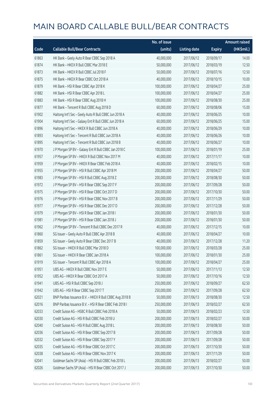|       |                                                         | No. of issue |                     |               | <b>Amount raised</b> |
|-------|---------------------------------------------------------|--------------|---------------------|---------------|----------------------|
| Code  | <b>Callable Bull/Bear Contracts</b>                     | (units)      | <b>Listing date</b> | <b>Expiry</b> | (HK\$mil.)           |
| 61863 | HK Bank - Geely Auto R Bear CBBC Sep 2018 A             | 40,000,000   | 2017/06/12          | 2018/09/17    | 14.00                |
| 61874 | HK Bank - HKEX R Bull CBBC Mar 2018 E                   | 50,000,000   | 2017/06/12          | 2018/03/19    | 12.50                |
| 61873 | HK Bank - HKEX R Bull CBBC Jul 2018 F                   | 50,000,000   | 2017/06/12          | 2018/07/16    | 12.50                |
| 61875 | HK Bank - HKEX R Bear CBBC Oct 2018 A                   | 40,000,000   | 2017/06/12          | 2018/10/15    | 10.00                |
| 61879 | HK Bank - HSI R Bear CBBC Apr 2018 K                    | 100,000,000  | 2017/06/12          | 2018/04/27    | 25.00                |
| 61882 | HK Bank - HSI R Bear CBBC Apr 2018 L                    | 100,000,000  | 2017/06/12          | 2018/04/27    | 25.00                |
| 61883 | HK Bank - HSI R Bear CBBC Aug 2018 H                    | 100,000,000  | 2017/06/12          | 2018/08/30    | 25.00                |
| 61877 | HK Bank - Tencent R Bull CBBC Aug 2018 D                | 60,000,000   | 2017/06/12          | 2018/08/06    | 15.00                |
| 61902 | Haitong Int'l Sec - Geely Auto R Bull CBBC Jun 2018 A   | 40,000,000   | 2017/06/12          | 2018/06/25    | 10.00                |
| 61904 | Haitong Int'l Sec - Galaxy Ent R Bull CBBC Jun 2018 A   | 60,000,000   | 2017/06/12          | 2018/06/25    | 15.00                |
| 61896 | Haitong Int'l Sec - HKEX R Bull CBBC Jun 2018 A         | 40,000,000   | 2017/06/12          | 2018/06/29    | 10.00                |
| 61893 | Haitong Int'l Sec - Tencent R Bull CBBC Jun 2018 A      | 40,000,000   | 2017/06/12          | 2018/06/26    | 10.00                |
| 61895 | Haitong Int'l Sec - Tencent R Bull CBBC Jun 2018 B      | 40,000,000   | 2017/06/12          | 2018/06/27    | 10.00                |
| 61970 | J P Morgan SP BV - Galaxy Ent R Bull CBBC Jan 2018 C    | 100,000,000  | 2017/06/12          | 2018/01/19    | 25.00                |
| 61957 | J P Morgan SP BV - HKEX R Bull CBBC Nov 2017 M          | 40,000,000   | 2017/06/12          | 2017/11/17    | 10.00                |
| 61959 | J P Morgan SP BV - HKEX R Bear CBBC Feb 2018 A          | 40,000,000   | 2017/06/12          | 2018/02/15    | 10.00                |
| 61955 | J P Morgan SP BV - HSI R Bull CBBC Apr 2018 M           | 200,000,000  | 2017/06/12          | 2018/04/27    | 50.00                |
| 61983 | J P Morgan SP BV - HSI R Bull CBBC Aug 2018 Z           | 200,000,000  | 2017/06/12          | 2018/08/30    | 50.00                |
| 61972 | J P Morgan SP BV - HSI R Bear CBBC Sep 2017 F           | 200,000,000  | 2017/06/12          | 2017/09/28    | 50.00                |
| 61975 | J P Morgan SP BV - HSI R Bear CBBC Oct 2017 D           | 200,000,000  | 2017/06/12          | 2017/10/30    | 50.00                |
| 61976 | J P Morgan SP BV - HSI R Bear CBBC Nov 2017 B           | 200,000,000  | 2017/06/12          | 2017/11/29    | 50.00                |
| 61977 | J P Morgan SP BV - HSI R Bear CBBC Dec 2017 D           | 200,000,000  | 2017/06/12          | 2017/12/28    | 50.00                |
| 61979 | J P Morgan SP BV - HSI R Bear CBBC Jan 2018 I           | 200,000,000  | 2017/06/12          | 2018/01/30    | 50.00                |
| 61981 | J P Morgan SP BV - HSI R Bear CBBC Jan 2018 J           | 200,000,000  | 2017/06/12          | 2018/01/30    | 50.00                |
| 61962 | J P Morgan SP BV - Tencent R Bull CBBC Dec 2017 R       | 40,000,000   | 2017/06/12          | 2017/12/15    | 10.00                |
| 61860 | SG Issuer - Geely Auto R Bull CBBC Apr 2018 B           | 40,000,000   | 2017/06/12          | 2018/04/27    | 10.00                |
| 61859 | SG Issuer - Geely Auto R Bear CBBC Dec 2017 B           | 40,000,000   | 2017/06/12          | 2017/12/28    | 11.20                |
| 61862 | SG Issuer - HKEX R Bull CBBC Mar 2018 D                 | 100,000,000  | 2017/06/12          | 2018/03/28    | 25.00                |
| 61861 | SG Issuer - HKEX R Bear CBBC Jan 2018 A                 | 100,000,000  | 2017/06/12          | 2018/01/30    | 25.00                |
| 61919 | SG Issuer - Tencent R Bull CBBC Apr 2018 A              | 100,000,000  | 2017/06/12          | 2018/04/27    | 25.00                |
| 61951 | UBS AG - HKEX R Bull CBBC Nov 2017 E                    | 50,000,000   | 2017/06/12          | 2017/11/13    | 12.50                |
| 61952 | UBS AG - HKEX R Bear CBBC Oct 2017 A                    | 50,000,000   | 2017/06/12          | 2017/10/16    | 12.50                |
| 61941 | UBS AG - HSI R Bull CBBC Sep 2018 J                     | 250,000,000  | 2017/06/12          | 2018/09/27    | 62.50                |
| 61942 | UBS AG - HSI R Bear CBBC Sep 2017 T                     | 250,000,000  | 2017/06/12          | 2017/09/28    | 62.50                |
| 62021 | BNP Paribas Issuance B.V. - HKEX R Bull CBBC Aug 2018 B | 50,000,000   | 2017/06/13          | 2018/08/30    | 12.50                |
| 62016 | BNP Paribas Issuance B.V. - HSI R Bear CBBC Feb 2018 I  | 250,000,000  | 2017/06/13          | 2018/02/27    | 62.50                |
| 62033 | Credit Suisse AG - HSBC R Bull CBBC Feb 2018 A          | 50,000,000   | 2017/06/13          | 2018/02/23    | 12.50                |
| 62030 | Credit Suisse AG - HSI R Bull CBBC Feb 2018 U           | 200,000,000  | 2017/06/13          | 2018/02/27    | 50.00                |
| 62040 | Credit Suisse AG - HSI R Bull CBBC Aug 2018 L           | 200,000,000  | 2017/06/13          | 2018/08/30    | 50.00                |
| 62036 | Credit Suisse AG - HSI R Bear CBBC Sep 2017 B           | 200,000,000  | 2017/06/13          | 2017/09/28    | 50.00                |
| 62032 | Credit Suisse AG - HSI R Bear CBBC Sep 2017 Y           | 200,000,000  | 2017/06/13          | 2017/09/28    | 50.00                |
| 62035 | Credit Suisse AG - HSI R Bear CBBC Oct 2017 C           | 200,000,000  | 2017/06/13          | 2017/10/30    | 50.00                |
| 62038 | Credit Suisse AG - HSI R Bear CBBC Nov 2017 K           | 200,000,000  | 2017/06/13          | 2017/11/29    | 50.00                |
| 62041 | Goldman Sachs SP (Asia) - HSI R Bull CBBC Feb 2018 L    | 200,000,000  | 2017/06/13          | 2018/02/27    | 50.00                |
| 62026 | Goldman Sachs SP (Asia) - HSI R Bear CBBC Oct 2017 J    | 200,000,000  | 2017/06/13          | 2017/10/30    | 50.00                |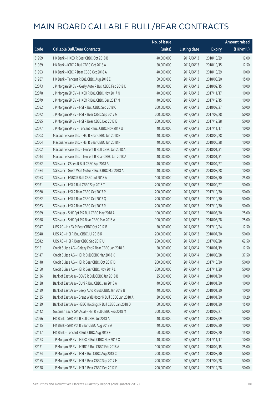|       |                                                             | No. of issue |                     |               | <b>Amount raised</b> |
|-------|-------------------------------------------------------------|--------------|---------------------|---------------|----------------------|
| Code  | <b>Callable Bull/Bear Contracts</b>                         | (units)      | <b>Listing date</b> | <b>Expiry</b> | (HK\$mil.)           |
| 61999 | HK Bank - HKEX R Bear CBBC Oct 2018 B                       | 40,000,000   | 2017/06/13          | 2018/10/29    | 12.00                |
| 61989 | HK Bank - ICBC R Bull CBBC Oct 2018 A                       | 50,000,000   | 2017/06/13          | 2018/10/15    | 12.50                |
| 61993 | HK Bank - ICBC R Bear CBBC Oct 2018 A                       | 40,000,000   | 2017/06/13          | 2018/10/29    | 10.00                |
| 61987 | HK Bank - Tencent R Bull CBBC Aug 2018 E                    | 60,000,000   | 2017/06/13          | 2018/08/20    | 15.00                |
| 62073 | J P Morgan SP BV - Geely Auto R Bull CBBC Feb 2018 D        | 40,000,000   | 2017/06/13          | 2018/02/15    | 10.00                |
| 62078 | J P Morgan SP BV - HKEX R Bull CBBC Nov 2017 N              | 40,000,000   | 2017/06/13          | 2017/11/17    | 10.00                |
| 62079 | J P Morgan SP BV - HKEX R Bull CBBC Dec 2017 M              | 40,000,000   | 2017/06/13          | 2017/12/15    | 10.00                |
| 62082 | J P Morgan SP BV - HSI R Bull CBBC Sep 2018 C               | 200,000,000  | 2017/06/13          | 2018/09/27    | 50.00                |
| 62072 | J P Morgan SP BV - HSI R Bear CBBC Sep 2017 G               | 200,000,000  | 2017/06/13          | 2017/09/28    | 50.00                |
| 62095 | J P Morgan SP BV - HSI R Bear CBBC Dec 2017 E               | 200,000,000  | 2017/06/13          | 2017/12/28    | 50.00                |
| 62077 | J P Morgan SP BV - Tencent R Bull CBBC Nov 2017 U           | 40,000,000   | 2017/06/13          | 2017/11/17    | 10.00                |
| 62003 | Macquarie Bank Ltd. - HSI R Bear CBBC Jun 2018 E            | 40,000,000   | 2017/06/13          | 2018/06/28    | 10.00                |
| 62004 | Macquarie Bank Ltd. - HSI R Bear CBBC Jun 2018 F            | 40,000,000   | 2017/06/13          | 2018/06/28    | 10.00                |
| 62002 | Macquarie Bank Ltd. - Tencent R Bull CBBC Jan 2018 A        | 40,000,000   | 2017/06/13          | 2018/01/31    | 10.00                |
| 62014 | Macquarie Bank Ltd. - Tencent R Bear CBBC Jan 2018 A        | 40,000,000   | 2017/06/13          | 2018/01/31    | 10.00                |
| 62052 | SG Issuer - CShen R Bull CBBC Apr 2018 A                    | 40,000,000   | 2017/06/13          | 2018/04/27    | 10.00                |
| 61984 | SG Issuer - Great Wall Motor R Bull CBBC Mar 2018 A         | 40,000,000   | 2017/06/13          | 2018/03/28    | 10.00                |
| 62053 | SG Issuer - HSBC R Bull CBBC Jul 2018 A                     | 100,000,000  | 2017/06/13          | 2018/07/30    | 25.00                |
| 62071 | SG Issuer - HSI R Bull CBBC Sep 2018 T                      | 200,000,000  | 2017/06/13          | 2018/09/27    | 50.00                |
| 62060 | SG Issuer - HSI R Bear CBBC Oct 2017 P                      | 200,000,000  | 2017/06/13          | 2017/10/30    | 50.00                |
| 62062 | SG Issuer - HSI R Bear CBBC Oct 2017 Q                      | 200,000,000  | 2017/06/13          | 2017/10/30    | 50.00                |
| 62063 | SG Issuer - HSI R Bear CBBC Oct 2017 R                      | 200,000,000  | 2017/06/13          | 2017/10/30    | 50.00                |
| 62059 | SG Issuer - SHK Ppt P R Bull CBBC May 2018 A                | 100,000,000  | 2017/06/13          | 2018/05/30    | 25.00                |
| 62058 | SG Issuer - SHK Ppt P R Bear CBBC Mar 2018 A                | 100,000,000  | 2017/06/13          | 2018/03/28    | 25.00                |
| 62047 | UBS AG - HKEX R Bear CBBC Oct 2017 B                        | 50,000,000   | 2017/06/13          | 2017/10/24    | 12.50                |
| 62048 | UBS AG - HSI R Bull CBBC Jul 2018 R                         | 200,000,000  | 2017/06/13          | 2018/07/30    | 50.00                |
| 62042 | UBS AG - HSI R Bear CBBC Sep 2017 U                         | 250,000,000  | 2017/06/13          | 2017/09/28    | 62.50                |
| 62151 | Credit Suisse AG - Galaxy Ent R Bear CBBC Jan 2018 B        | 50,000,000   | 2017/06/14          | 2018/01/19    | 12.50                |
| 62147 | Credit Suisse AG - HSI R Bull CBBC Mar 2018 K               | 150,000,000  | 2017/06/14          | 2018/03/28    | 37.50                |
| 62148 | Credit Suisse AG - HSI R Bear CBBC Oct 2017 D               | 200,000,000  | 2017/06/14          | 2017/10/30    | 50.00                |
| 62150 | Credit Suisse AG - HSI R Bear CBBC Nov 2017 L               | 200,000,000  | 2017/06/14          | 2017/11/29    | 50.00                |
| 62136 | Bank of East Asia - COVS R Bull CBBC Jan 2018 B             | 25,000,000   | 2017/06/14          | 2018/01/30    | 10.00                |
| 62138 | Bank of East Asia - CUni R Bull CBBC Jan 2018 A             | 40,000,000   | 2017/06/14          | 2018/01/30    | 10.00                |
| 62139 | Bank of East Asia - Geely Auto R Bull CBBC Jan 2018 B       | 40,000,000   | 2017/06/14          | 2018/01/30    | 10.00                |
| 62135 | Bank of East Asia - Great Wall Motor R Bull CBBC Jan 2018 A | 30,000,000   | 2017/06/14          | 2018/01/30    | 10.20                |
| 62129 | Bank of East Asia - HSBC Holdings R Bull CBBC Jan 2018 D    | 60,000,000   | 2017/06/14          | 2018/01/30    | 15.00                |
| 62142 | Goldman Sachs SP (Asia) - HSI R Bull CBBC Feb 2018 M        | 200,000,000  | 2017/06/14          | 2018/02/27    | 50.00                |
| 62096 | HK Bank - SHK Ppt R Bull CBBC Jul 2018 A                    | 40,000,000   | 2017/06/14          | 2018/07/09    | 10.00                |
| 62115 | HK Bank - SHK Ppt R Bear CBBC Aug 2018 A                    | 40,000,000   | 2017/06/14          | 2018/08/20    | 10.00                |
| 62117 | HK Bank - Tencent R Bull CBBC Aug 2018 F                    | 60,000,000   | 2017/06/14          | 2018/08/20    | 15.00                |
| 62173 | J P Morgan SP BV - HKEX R Bull CBBC Nov 2017 O              | 40,000,000   | 2017/06/14          | 2017/11/17    | 10.00                |
| 62171 | J P Morgan SP BV - HSBC R Bull CBBC Feb 2018 A              | 100,000,000  | 2017/06/14          | 2018/02/15    | 25.00                |
| 62174 | J P Morgan SP BV - HSI R Bull CBBC Aug 2018 C               | 200,000,000  | 2017/06/14          | 2018/08/30    | 50.00                |
| 62155 | J P Morgan SP BV - HSI R Bear CBBC Sep 2017 H               | 200,000,000  | 2017/06/14          | 2017/09/28    | 50.00                |
| 62178 | J P Morgan SP BV - HSI R Bear CBBC Dec 2017 F               | 200,000,000  | 2017/06/14          | 2017/12/28    | 50.00                |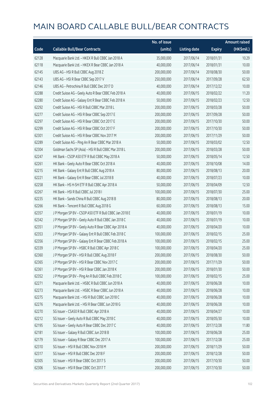|       |                                                        | No. of issue |                     |               | <b>Amount raised</b> |
|-------|--------------------------------------------------------|--------------|---------------------|---------------|----------------------|
| Code  | <b>Callable Bull/Bear Contracts</b>                    | (units)      | <b>Listing date</b> | <b>Expiry</b> | (HK\$mil.)           |
| 62128 | Macquarie Bank Ltd. - HKEX R Bull CBBC Jan 2018 A      | 35,000,000   | 2017/06/14          | 2018/01/31    | 10.29                |
| 62118 | Macquarie Bank Ltd. - HKEX R Bear CBBC Jan 2018 A      | 40,000,000   | 2017/06/14          | 2018/01/31    | 10.00                |
| 62145 | UBS AG - HSI R Bull CBBC Aug 2018 Z                    | 200,000,000  | 2017/06/14          | 2018/08/30    | 50.00                |
| 62143 | UBS AG - HSI R Bear CBBC Sep 2017 V                    | 250,000,000  | 2017/06/14          | 2017/09/28    | 62.50                |
| 62146 | UBS AG - Petrochina R Bull CBBC Dec 2017 D             | 40,000,000   | 2017/06/14          | 2017/12/22    | 10.00                |
| 62288 | Credit Suisse AG - Geely Auto R Bear CBBC Feb 2018 A   | 40,000,000   | 2017/06/15          | 2018/02/22    | 11.20                |
| 62280 | Credit Suisse AG - Galaxy Ent R Bear CBBC Feb 2018 A   | 50,000,000   | 2017/06/15          | 2018/02/23    | 12.50                |
| 62292 | Credit Suisse AG - HSI R Bull CBBC Mar 2018 L          | 200,000,000  | 2017/06/15          | 2018/03/28    | 50.00                |
| 62277 | Credit Suisse AG - HSI R Bear CBBC Sep 2017 E          | 200,000,000  | 2017/06/15          | 2017/09/28    | 50.00                |
| 62297 | Credit Suisse AG - HSI R Bear CBBC Oct 2017 E          | 200,000,000  | 2017/06/15          | 2017/10/30    | 50.00                |
| 62299 | Credit Suisse AG - HSI R Bear CBBC Oct 2017 F          | 200,000,000  | 2017/06/15          | 2017/10/30    | 50.00                |
| 62301 | Credit Suisse AG - HSI R Bear CBBC Nov 2017 M          | 200,000,000  | 2017/06/15          | 2017/11/29    | 50.00                |
| 62289 | Credit Suisse AG - Ping An R Bear CBBC Mar 2018 A      | 50,000,000   | 2017/06/15          | 2018/03/02    | 12.50                |
| 62304 | Goldman Sachs SP (Asia) - HSI R Bull CBBC Mar 2018 L   | 200,000,000  | 2017/06/15          | 2018/03/28    | 50.00                |
| 62247 | HK Bank - CSOP A50 ETF R Bull CBBC May 2018 A          | 50,000,000   | 2017/06/15          | 2018/05/14    | 12.50                |
| 62261 | HK Bank - Geely Auto R Bear CBBC Oct 2018 A            | 40,000,000   | 2017/06/15          | 2018/10/08    | 14.00                |
| 62215 | HK Bank - Galaxy Ent R Bull CBBC Aug 2018 A            | 80,000,000   | 2017/06/15          | 2018/08/13    | 20.00                |
| 62221 | HK Bank - Galaxy Ent R Bear CBBC Jul 2018 B            | 40,000,000   | 2017/06/15          | 2018/07/23    | 10.00                |
| 62258 | HK Bank - HS H-SH ETF R Bull CBBC Apr 2018 A           | 50,000,000   | 2017/06/15          | 2018/04/09    | 12.50                |
| 62267 | HK Bank - HSI R Bull CBBC Jul 2018 I                   | 100,000,000  | 2017/06/15          | 2018/07/30    | 25.00                |
| 62235 | HK Bank - Sands China R Bull CBBC Aug 2018 B           | 80,000,000   | 2017/06/15          | 2018/08/13    | 20.00                |
| 62266 | HK Bank - Tencent R Bull CBBC Aug 2018 G               | 60,000,000   | 2017/06/15          | 2018/08/13    | 15.00                |
| 62357 | J P Morgan SP BV - CSOP A50 ETF R Bull CBBC Jan 2018 E | 40,000,000   | 2017/06/15          | 2018/01/19    | 10.00                |
| 62342 | J P Morgan SP BV - Geely Auto R Bull CBBC Jan 2018 C   | 40,000,000   | 2017/06/15          | 2018/01/19    | 10.00                |
| 62351 | J P Morgan SP BV - Geely Auto R Bear CBBC Apr 2018 A   | 40,000,000   | 2017/06/15          | 2018/04/20    | 10.00                |
| 62353 | J P Morgan SP BV - Galaxy Ent R Bull CBBC Feb 2018 C   | 100,000,000  | 2017/06/15          | 2018/02/15    | 25.00                |
| 62356 | J P Morgan SP BV - Galaxy Ent R Bear CBBC Feb 2018 A   | 100,000,000  | 2017/06/15          | 2018/02/15    | 25.00                |
| 62339 | J P Morgan SP BV - HSBC R Bull CBBC Apr 2018 C         | 100,000,000  | 2017/06/15          | 2018/04/20    | 25.00                |
| 62360 | J P Morgan SP BV - HSI R Bull CBBC Aug 2018 F          | 200,000,000  | 2017/06/15          | 2018/08/30    | 50.00                |
| 62365 | J P Morgan SP BV - HSI R Bear CBBC Nov 2017 C          | 200,000,000  | 2017/06/15          | 2017/11/29    | 50.00                |
| 62361 | J P Morgan SP BV - HSI R Bear CBBC Jan 2018 K          | 200,000,000  | 2017/06/15          | 2018/01/30    | 50.00                |
| 62352 | J P Morgan SP BV - Ping An R Bull CBBC Feb 2018 C      | 100,000,000  | 2017/06/15          | 2018/02/15    | 25.00                |
| 62271 | Macquarie Bank Ltd. - HSBC R Bull CBBC Jun 2018 A      | 40,000,000   | 2017/06/15          | 2018/06/28    | 10.00                |
| 62273 | Macquarie Bank Ltd. - HSBC R Bear CBBC Jun 2018 A      | 40,000,000   | 2017/06/15          | 2018/06/28    | 10.00                |
| 62275 | Macquarie Bank Ltd. - HSI R Bull CBBC Jun 2018 C       | 40,000,000   | 2017/06/15          | 2018/06/28    | 10.00                |
| 62276 | Macquarie Bank Ltd. - HSI R Bear CBBC Jun 2018 G       | 40,000,000   | 2017/06/15          | 2018/06/28    | 10.00                |
| 62270 | SG Issuer - CSA50 R Bull CBBC Apr 2018 A               | 40,000,000   | 2017/06/15          | 2018/04/27    | 10.00                |
| 62212 | SG Issuer - Geely Auto R Bull CBBC May 2018 C          | 40,000,000   | 2017/06/15          | 2018/05/30    | 10.00                |
| 62195 | SG Issuer - Geely Auto R Bear CBBC Dec 2017 C          | 40,000,000   | 2017/06/15          | 2017/12/28    | 11.80                |
| 62181 | SG Issuer - Galaxy R Bull CBBC Jun 2018 B              | 100,000,000  | 2017/06/15          | 2018/06/28    | 25.00                |
| 62179 | SG Issuer - Galaxy R Bear CBBC Dec 2017 A              | 100,000,000  | 2017/06/15          | 2017/12/28    | 25.00                |
| 62310 | SG Issuer - HSI R Bull CBBC Nov 2018 M                 | 200,000,000  | 2017/06/15          | 2018/11/29    | 50.00                |
| 62317 | SG Issuer - HSI R Bull CBBC Dec 2018 F                 | 200,000,000  | 2017/06/15          | 2018/12/28    | 50.00                |
| 62305 | SG Issuer - HSI R Bear CBBC Oct 2017 S                 | 200,000,000  | 2017/06/15          | 2017/10/30    | 50.00                |
| 62306 | SG Issuer - HSI R Bear CBBC Oct 2017 T                 | 200,000,000  | 2017/06/15          | 2017/10/30    | 50.00                |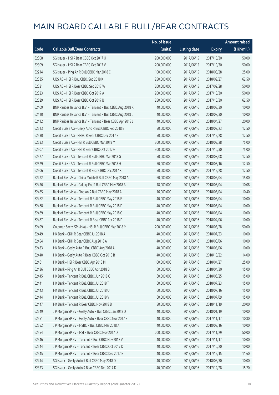|       |                                                            | No. of issue |                     |               | <b>Amount raised</b> |
|-------|------------------------------------------------------------|--------------|---------------------|---------------|----------------------|
| Code  | <b>Callable Bull/Bear Contracts</b>                        | (units)      | <b>Listing date</b> | <b>Expiry</b> | (HK\$mil.)           |
| 62308 | SG Issuer - HSI R Bear CBBC Oct 2017 U                     | 200,000,000  | 2017/06/15          | 2017/10/30    | 50.00                |
| 62309 | SG Issuer - HSI R Bear CBBC Oct 2017 V                     | 200,000,000  | 2017/06/15          | 2017/10/30    | 50.00                |
| 62214 | SG Issuer - Ping An R Bull CBBC Mar 2018 C                 | 100,000,000  | 2017/06/15          | 2018/03/28    | 25.00                |
| 62335 | UBS AG - HSI R Bull CBBC Sep 2018 K                        | 250,000,000  | 2017/06/15          | 2018/09/27    | 62.50                |
| 62321 | UBS AG - HSI R Bear CBBC Sep 2017 W                        | 200,000,000  | 2017/06/15          | 2017/09/28    | 50.00                |
| 62323 | UBS AG - HSI R Bear CBBC Oct 2017 A                        | 200,000,000  | 2017/06/15          | 2017/10/30    | 50.00                |
| 62329 | UBS AG - HSI R Bear CBBC Oct 2017 B                        | 250,000,000  | 2017/06/15          | 2017/10/30    | 62.50                |
| 62409 | BNP Paribas Issuance B.V. - Tencent R Bull CBBC Aug 2018 K | 40,000,000   | 2017/06/16          | 2018/08/30    | 10.00                |
| 62410 | BNP Paribas Issuance B.V. - Tencent R Bull CBBC Aug 2018 L | 40,000,000   | 2017/06/16          | 2018/08/30    | 10.00                |
| 62412 | BNP Paribas Issuance B.V. - Tencent R Bear CBBC Apr 2018 J | 40,000,000   | 2017/06/16          | 2018/04/27    | 20.00                |
| 62513 | Credit Suisse AG - Geely Auto R Bull CBBC Feb 2018 B       | 50,000,000   | 2017/06/16          | 2018/02/23    | 12.50                |
| 62530 | Credit Suisse AG - HSBC R Bear CBBC Dec 2017 B             | 50,000,000   | 2017/06/16          | 2017/12/28    | 12.50                |
| 62533 | Credit Suisse AG - HSI R Bull CBBC Mar 2018 M              | 300,000,000  | 2017/06/16          | 2018/03/28    | 75.00                |
| 62507 | Credit Suisse AG - HSI R Bear CBBC Oct 2017 G              | 300,000,000  | 2017/06/16          | 2017/10/30    | 75.00                |
| 62527 | Credit Suisse AG - Tencent R Bull CBBC Mar 2018 G          | 50,000,000   | 2017/06/16          | 2018/03/08    | 12.50                |
| 62529 | Credit Suisse AG - Tencent R Bull CBBC Mar 2018 H          | 50,000,000   | 2017/06/16          | 2018/03/16    | 12.50                |
| 62506 | Credit Suisse AG - Tencent R Bear CBBC Dec 2017 K          | 50,000,000   | 2017/06/16          | 2017/12/28    | 12.50                |
| 62472 | Bank of East Asia - China Mobile R Bull CBBC May 2018 A    | 60,000,000   | 2017/06/16          | 2018/05/04    | 15.00                |
| 62476 | Bank of East Asia - Galaxy Ent R Bull CBBC May 2018 A      | 18,000,000   | 2017/06/16          | 2018/05/04    | 10.08                |
| 62485 | Bank of East Asia - Ping An R Bull CBBC May 2018 A         | 16,000,000   | 2017/06/16          | 2018/05/04    | 10.40                |
| 62462 | Bank of East Asia - Tencent R Bull CBBC May 2018 E         | 40,000,000   | 2017/06/16          | 2018/05/04    | 10.00                |
| 62468 | Bank of East Asia - Tencent R Bull CBBC May 2018 F         | 40,000,000   | 2017/06/16          | 2018/05/04    | 10.00                |
| 62469 | Bank of East Asia - Tencent R Bull CBBC May 2018 G         | 40,000,000   | 2017/06/16          | 2018/05/04    | 10.00                |
| 62487 | Bank of East Asia - Tencent R Bear CBBC Apr 2018 D         | 40,000,000   | 2017/06/16          | 2018/04/06    | 10.00                |
| 62499 | Goldman Sachs SP (Asia) - HSI R Bull CBBC Mar 2018 M       | 200,000,000  | 2017/06/16          | 2018/03/28    | 50.00                |
| 62449 | HK Bank - CKH R Bear CBBC Jul 2018 A                       | 40,000,000   | 2017/06/16          | 2018/07/23    | 10.00                |
| 62454 | HK Bank - CKH R Bear CBBC Aug 2018 A                       | 40,000,000   | 2017/06/16          | 2018/08/06    | 10.00                |
| 62433 | HK Bank - Geely Auto R Bull CBBC Aug 2018 A                | 40,000,000   | 2017/06/16          | 2018/08/06    | 10.00                |
| 62440 | HK Bank - Geely Auto R Bear CBBC Oct 2018 B                | 40,000,000   | 2017/06/16          | 2018/10/22    | 14.00                |
| 62461 | HK Bank - HSI R Bear CBBC Apr 2018 M                       | 100,000,000  | 2017/06/16          | 2018/04/27    | 25.00                |
| 62436 | HK Bank - Ping An R Bull CBBC Apr 2018 B                   | 60,000,000   | 2017/06/16          | 2018/04/30    | 15.00                |
| 62445 | HK Bank - Tencent R Bull CBBC Jun 2018 C                   | 60,000,000   | 2017/06/16          | 2018/06/25    | 15.00                |
| 62441 | HK Bank - Tencent R Bull CBBC Jul 2018 T                   | 60,000,000   | 2017/06/16          | 2018/07/23    | 15.00                |
| 62443 | HK Bank - Tencent R Bull CBBC Jul 2018 U                   | 60,000,000   | 2017/06/16          | 2018/07/16    | 15.00                |
| 62444 | HK Bank - Tencent R Bull CBBC Jul 2018 V                   | 60,000,000   | 2017/06/16          | 2018/07/09    | 15.00                |
| 62447 | HK Bank - Tencent R Bear CBBC Nov 2018 B                   | 50,000,000   | 2017/06/16          | 2018/11/19    | 20.00                |
| 62549 | J P Morgan SP BV - Geely Auto R Bull CBBC Jan 2018 D       | 40,000,000   | 2017/06/16          | 2018/01/19    | 10.00                |
| 62551 | J P Morgan SP BV - Geely Auto R Bear CBBC Nov 2017 B       | 40,000,000   | 2017/06/16          | 2017/11/17    | 10.80                |
| 62552 | J P Morgan SP BV - HSBC R Bull CBBC Mar 2018 A             | 40,000,000   | 2017/06/16          | 2018/03/16    | 10.00                |
| 62554 | J P Morgan SP BV - HSI R Bear CBBC Nov 2017 D              | 200,000,000  | 2017/06/16          | 2017/11/29    | 50.00                |
| 62546 | J P Morgan SP BV - Tencent R Bull CBBC Nov 2017 V          | 40,000,000   | 2017/06/16          | 2017/11/17    | 10.00                |
| 62544 | J P Morgan SP BV - Tencent R Bear CBBC Oct 2017 D          | 40,000,000   | 2017/06/16          | 2017/10/20    | 10.00                |
| 62545 | J P Morgan SP BV - Tencent R Bear CBBC Dec 2017 E          | 40,000,000   | 2017/06/16          | 2017/12/15    | 11.60                |
| 62414 | SG Issuer - Geely Auto R Bull CBBC May 2018 D              | 40,000,000   | 2017/06/16          | 2018/05/30    | 10.00                |
| 62373 | SG Issuer - Geely Auto R Bear CBBC Dec 2017 D              | 40,000,000   | 2017/06/16          | 2017/12/28    | 15.20                |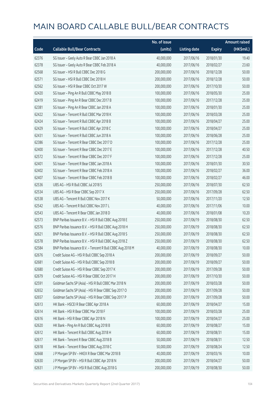|       |                                                            | No. of issue |                     |               | <b>Amount raised</b> |
|-------|------------------------------------------------------------|--------------|---------------------|---------------|----------------------|
| Code  | <b>Callable Bull/Bear Contracts</b>                        | (units)      | <b>Listing date</b> | <b>Expiry</b> | (HK\$mil.)           |
| 62376 | SG Issuer - Geely Auto R Bear CBBC Jan 2018 A              | 40,000,000   | 2017/06/16          | 2018/01/30    | 19.40                |
| 62378 | SG Issuer - Geely Auto R Bear CBBC Feb 2018 A              | 40,000,000   | 2017/06/16          | 2018/02/27    | 23.60                |
| 62568 | SG Issuer - HSI R Bull CBBC Dec 2018 G                     | 200,000,000  | 2017/06/16          | 2018/12/28    | 50.00                |
| 62571 | SG Issuer - HSI R Bull CBBC Dec 2018 H                     | 200,000,000  | 2017/06/16          | 2018/12/28    | 50.00                |
| 62562 | SG Issuer - HSI R Bear CBBC Oct 2017 W                     | 200,000,000  | 2017/06/16          | 2017/10/30    | 50.00                |
| 62420 | SG Issuer - Ping An R Bull CBBC May 2018 B                 | 100,000,000  | 2017/06/16          | 2018/05/30    | 25.00                |
| 62419 | SG Issuer - Ping An R Bear CBBC Dec 2017 B                 | 100,000,000  | 2017/06/16          | 2017/12/28    | 25.00                |
| 62381 | SG Issuer - Ping An R Bear CBBC Jan 2018 A                 | 100,000,000  | 2017/06/16          | 2018/01/30    | 25.00                |
| 62422 | SG Issuer - Tencent R Bull CBBC Mar 2018 K                 | 100,000,000  | 2017/06/16          | 2018/03/28    | 25.00                |
| 62424 | SG Issuer - Tencent R Bull CBBC Apr 2018 B                 | 100,000,000  | 2017/06/16          | 2018/04/27    | 25.00                |
| 62429 | SG Issuer - Tencent R Bull CBBC Apr 2018 C                 | 100,000,000  | 2017/06/16          | 2018/04/27    | 25.00                |
| 62431 | SG Issuer - Tencent R Bull CBBC Jun 2018 A                 | 100,000,000  | 2017/06/16          | 2018/06/28    | 25.00                |
| 62386 | SG Issuer - Tencent R Bear CBBC Dec 2017 D                 | 100,000,000  | 2017/06/16          | 2017/12/28    | 25.00                |
| 62400 | SG Issuer - Tencent R Bear CBBC Dec 2017 E                 | 100,000,000  | 2017/06/16          | 2017/12/28    | 40.50                |
| 62572 | SG Issuer - Tencent R Bear CBBC Dec 2017 F                 | 100,000,000  | 2017/06/16          | 2017/12/28    | 25.00                |
| 62401 | SG Issuer - Tencent R Bear CBBC Jan 2018 A                 | 100,000,000  | 2017/06/16          | 2018/01/30    | 30.50                |
| 62402 | SG Issuer - Tencent R Bear CBBC Feb 2018 A                 | 100,000,000  | 2017/06/16          | 2018/02/27    | 36.00                |
| 62407 | SG Issuer - Tencent R Bear CBBC Feb 2018 B                 | 100,000,000  | 2017/06/16          | 2018/02/27    | 46.00                |
| 62536 | UBS AG - HSI R Bull CBBC Jul 2018 S                        | 250,000,000  | 2017/06/16          | 2018/07/30    | 62.50                |
| 62534 | UBS AG - HSI R Bear CBBC Sep 2017 X                        | 250,000,000  | 2017/06/16          | 2017/09/28    | 62.50                |
| 62538 | UBS AG - Tencent R Bull CBBC Nov 2017 K                    | 50,000,000   | 2017/06/16          | 2017/11/20    | 12.50                |
| 62542 | UBS AG - Tencent R Bull CBBC Nov 2017 L                    | 40,000,000   | 2017/06/16          | 2017/11/06    | 10.00                |
| 62543 | UBS AG - Tencent R Bear CBBC Jan 2018 D                    | 40,000,000   | 2017/06/16          | 2018/01/08    | 10.20                |
| 62573 | BNP Paribas Issuance B.V. - HSI R Bull CBBC Aug 2018 E     | 250,000,000  | 2017/06/19          | 2018/08/30    | 62.50                |
| 62576 | BNP Paribas Issuance B.V. - HSI R Bull CBBC Aug 2018 H     | 250,000,000  | 2017/06/19          | 2018/08/30    | 62.50                |
| 62621 | BNP Paribas Issuance B.V. - HSI R Bull CBBC Aug 2018 S     | 250,000,000  | 2017/06/19          | 2018/08/30    | 62.50                |
| 62578 | BNP Paribas Issuance B.V. - HSI R Bull CBBC Aug 2018 Z     | 250,000,000  | 2017/06/19          | 2018/08/30    | 62.50                |
| 62584 | BNP Paribas Issuance B.V. - Tencent R Bull CBBC Aug 2018 M | 40,000,000   | 2017/06/19          | 2018/08/30    | 10.00                |
| 62676 | Credit Suisse AG - HSI R Bull CBBC Sep 2018 A              | 200,000,000  | 2017/06/19          | 2018/09/27    | 50.00                |
| 62681 | Credit Suisse AG - HSI R Bull CBBC Sep 2018 B              | 200,000,000  | 2017/06/19          | 2018/09/27    | 50.00                |
| 62680 | Credit Suisse AG - HSI R Bear CBBC Sep 2017 K              | 200,000,000  | 2017/06/19          | 2017/09/28    | 50.00                |
| 62679 | Credit Suisse AG - HSI R Bear CBBC Oct 2017 H              | 200,000,000  | 2017/06/19          | 2017/10/30    | 50.00                |
| 62591 | Goldman Sachs SP (Asia) - HSI R Bull CBBC Mar 2018 N       | 200,000,000  | 2017/06/19          | 2018/03/28    | 50.00                |
| 62652 | Goldman Sachs SP (Asia) - HSI R Bear CBBC Sep 2017 O       | 200,000,000  | 2017/06/19          | 2017/09/28    | 50.00                |
| 62657 | Goldman Sachs SP (Asia) - HSI R Bear CBBC Sep 2017 P       | 200,000,000  | 2017/06/19          | 2017/09/28    | 50.00                |
| 62613 | HK Bank - HSCEI R Bear CBBC Apr 2018 A                     | 60,000,000   | 2017/06/19          | 2018/04/27    | 15.00                |
| 62614 | HK Bank - HSI R Bear CBBC Mar 2018 F                       | 100,000,000  | 2017/06/19          | 2018/03/28    | 25.00                |
| 62616 | HK Bank - HSI R Bear CBBC Apr 2018 N                       | 100,000,000  | 2017/06/19          | 2018/04/27    | 25.00                |
| 62620 | HK Bank - Ping An R Bull CBBC Aug 2018 B                   | 60,000,000   | 2017/06/19          | 2018/08/27    | 15.00                |
| 62612 | HK Bank - Tencent R Bull CBBC Aug 2018 H                   | 60,000,000   | 2017/06/19          | 2018/08/31    | 15.00                |
| 62617 | HK Bank - Tencent R Bear CBBC Aug 2018 B                   | 50,000,000   | 2017/06/19          | 2018/08/31    | 12.50                |
| 62618 | HK Bank - Tencent R Bear CBBC Aug 2018 C                   | 50,000,000   | 2017/06/19          | 2018/08/24    | 12.50                |
| 62668 | J P Morgan SP BV - HKEX R Bear CBBC Mar 2018 B             | 40,000,000   | 2017/06/19          | 2018/03/16    | 10.00                |
| 62630 | J P Morgan SP BV - HSI R Bull CBBC Apr 2018 N              | 200,000,000  | 2017/06/19          | 2018/04/27    | 50.00                |
| 62631 | J P Morgan SP BV - HSI R Bull CBBC Aug 2018 G              | 200,000,000  | 2017/06/19          | 2018/08/30    | 50.00                |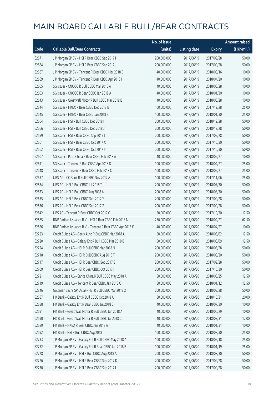|       |                                                            | No. of issue |                     |               | <b>Amount raised</b> |
|-------|------------------------------------------------------------|--------------|---------------------|---------------|----------------------|
| Code  | <b>Callable Bull/Bear Contracts</b>                        | (units)      | <b>Listing date</b> | <b>Expiry</b> | (HK\$mil.)           |
| 62671 | J P Morgan SP BV - HSI R Bear CBBC Sep 2017 I              | 200,000,000  | 2017/06/19          | 2017/09/28    | 50.00                |
| 62684 | J P Morgan SP BV - HSI R Bear CBBC Sep 2017 J              | 200,000,000  | 2017/06/19          | 2017/09/28    | 50.00                |
| 62667 | J P Morgan SP BV - Tencent R Bear CBBC Mar 2018 E          | 40,000,000   | 2017/06/19          | 2018/03/16    | 10.00                |
| 62669 | J P Morgan SP BV - Tencent R Bear CBBC Apr 2018 I          | 40,000,000   | 2017/06/19          | 2018/04/20    | 10.00                |
| 62605 | SG Issuer - CNOOC R Bull CBBC Mar 2018 A                   | 40,000,000   | 2017/06/19          | 2018/03/28    | 10.00                |
| 62603 | SG Issuer - CNOOC R Bear CBBC Jan 2018 A                   | 40,000,000   | 2017/06/19          | 2018/01/30    | 10.00                |
| 62643 | SG Issuer - Greatwall Motor R Bull CBBC Mar 2018 B         | 40,000,000   | 2017/06/19          | 2018/03/28    | 10.00                |
| 62644 | SG Issuer - HKEX R Bear CBBC Dec 2017 B                    | 100,000,000  | 2017/06/19          | 2017/12/28    | 25.00                |
| 62645 | SG Issuer - HKEX R Bear CBBC Jan 2018 B                    | 100,000,000  | 2017/06/19          | 2018/01/30    | 25.00                |
| 62664 | SG Issuer - HSI R Bull CBBC Dec 2018 I                     | 200,000,000  | 2017/06/19          | 2018/12/28    | 50.00                |
| 62666 | SG Issuer - HSI R Bull CBBC Dec 2018 J                     | 200,000,000  | 2017/06/19          | 2018/12/28    | 50.00                |
| 62659 | SG Issuer - HSI R Bear CBBC Sep 2017 L                     | 200,000,000  | 2017/06/19          | 2017/09/28    | 50.00                |
| 62661 | SG Issuer - HSI R Bear CBBC Oct 2017 X                     | 200,000,000  | 2017/06/19          | 2017/10/30    | 50.00                |
| 62662 | SG Issuer - HSI R Bear CBBC Oct 2017 Y                     | 200,000,000  | 2017/06/19          | 2017/10/30    | 50.00                |
| 62607 | SG Issuer - PetroChina R Bear CBBC Feb 2018 A              | 40,000,000   | 2017/06/19          | 2018/02/27    | 10.00                |
| 62611 | SG Issuer - Tencent R Bull CBBC Apr 2018 D                 | 100,000,000  | 2017/06/19          | 2018/04/27    | 25.00                |
| 62648 | SG Issuer - Tencent R Bear CBBC Feb 2018 C                 | 100,000,000  | 2017/06/19          | 2018/02/27    | 25.00                |
| 62637 | UBS AG - CC Bank R Bull CBBC Nov 2017 A                    | 100,000,000  | 2017/06/19          | 2017/11/06    | 25.00                |
| 62634 | UBS AG - HSI R Bull CBBC Jul 2018 T                        | 200,000,000  | 2017/06/19          | 2018/07/30    | 50.00                |
| 62633 | UBS AG - HSI R Bull CBBC Aug 2018 A                        | 200,000,000  | 2017/06/19          | 2018/08/30    | 50.00                |
| 62635 | UBS AG - HSI R Bear CBBC Sep 2017 Y                        | 200,000,000  | 2017/06/19          | 2017/09/28    | 50.00                |
| 62636 | UBS AG - HSI R Bear CBBC Sep 2017 Z                        | 200,000,000  | 2017/06/19          | 2017/09/28    | 50.00                |
| 62642 | UBS AG - Tencent R Bear CBBC Oct 2017 C                    | 50,000,000   | 2017/06/19          | 2017/10/30    | 12.50                |
| 62685 | BNP Paribas Issuance B.V. - HSI R Bear CBBC Feb 2018 N     | 250,000,000  | 2017/06/20          | 2018/02/27    | 62.50                |
| 62686 | BNP Paribas Issuance B.V. - Tencent R Bear CBBC Apr 2018 K | 40,000,000   | 2017/06/20          | 2018/04/27    | 10.00                |
| 62723 | Credit Suisse AG - Geely Auto R Bull CBBC Mar 2018 A       | 50,000,000   | 2017/06/20          | 2018/03/02    | 12.50                |
| 62720 | Credit Suisse AG - Galaxy Ent R Bull CBBC Mar 2018 B       | 50,000,000   | 2017/06/20          | 2018/03/09    | 12.50                |
| 62724 | Credit Suisse AG - HSI R Bull CBBC Mar 2018 N              | 200,000,000  | 2017/06/20          | 2018/03/28    | 50.00                |
| 62718 | Credit Suisse AG - HSI R Bull CBBC Aug 2018 T              | 200,000,000  | 2017/06/20          | 2018/08/30    | 50.00                |
| 62717 | Credit Suisse AG - HSI R Bear CBBC Sep 2017 S              | 200,000,000  | 2017/06/20          | 2017/09/28    | 50.00                |
| 62709 | Credit Suisse AG - HSI R Bear CBBC Oct 2017 I              | 200,000,000  | 2017/06/20          | 2017/10/30    | 50.00                |
| 62721 | Credit Suisse AG - Sands China R Bull CBBC May 2018 A      | 50,000,000   | 2017/06/20          | 2018/05/25    | 12.50                |
| 62719 | Credit Suisse AG - Tencent R Bear CBBC Jan 2018 C          | 50,000,000   | 2017/06/20          | 2018/01/12    | 12.50                |
| 62746 | Goldman Sachs SP (Asia) - HSI R Bull CBBC Mar 2018 O       | 200,000,000  | 2017/06/20          | 2018/03/28    | 50.00                |
| 62687 | HK Bank - Galaxy Ent R Bull CBBC Oct 2018 A                | 80,000,000   | 2017/06/20          | 2018/10/31    | 20.00                |
| 62688 | HK Bank - Galaxy Ent R Bear CBBC Jul 2018 C                | 40,000,000   | 2017/06/20          | 2018/07/30    | 10.00                |
| 62691 | HK Bank - Great Wall Motor R Bull CBBC Jun 2018 A          | 40,000,000   | 2017/06/20          | 2018/06/29    | 10.00                |
| 62690 | HK Bank - Great Wall Motor R Bull CBBC Jul 2018 C          | 40,000,000   | 2017/06/20          | 2018/07/31    | 12.00                |
| 62689 | HK Bank - HKEX R Bear CBBC Jan 2018 A                      | 40,000,000   | 2017/06/20          | 2018/01/31    | 10.00                |
| 62692 | HK Bank - HSI R Bull CBBC Aug 2018 I                       | 100,000,000  | 2017/06/20          | 2018/08/30    | 25.00                |
| 62733 | J P Morgan SP BV - Galaxy Ent R Bull CBBC May 2018 A       | 100,000,000  | 2017/06/20          | 2018/05/18    | 25.00                |
| 62732 | J P Morgan SP BV - Galaxy Ent R Bear CBBC Jan 2018 B       | 100,000,000  | 2017/06/20          | 2018/01/19    | 25.00                |
| 62728 | J P Morgan SP BV - HSI R Bull CBBC Aug 2018 A              | 200,000,000  | 2017/06/20          | 2018/08/30    | 50.00                |
| 62726 | J P Morgan SP BV - HSI R Bear CBBC Sep 2017 K              | 200,000,000  | 2017/06/20          | 2017/09/28    | 50.00                |
| 62730 | J P Morgan SP BV - HSI R Bear CBBC Sep 2017 L              | 200,000,000  | 2017/06/20          | 2017/09/28    | 50.00                |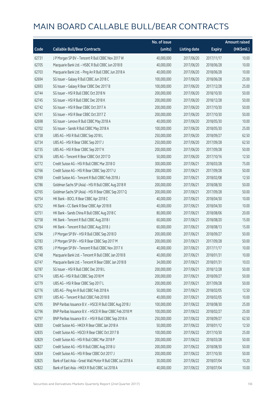|       |                                                             | No. of issue |                     |               | <b>Amount raised</b> |
|-------|-------------------------------------------------------------|--------------|---------------------|---------------|----------------------|
| Code  | <b>Callable Bull/Bear Contracts</b>                         | (units)      | <b>Listing date</b> | <b>Expiry</b> | (HK\$mil.)           |
| 62731 | J P Morgan SP BV - Tencent R Bull CBBC Nov 2017 W           | 40,000,000   | 2017/06/20          | 2017/11/17    | 10.00                |
| 62705 | Macquarie Bank Ltd. - HSBC R Bull CBBC Jun 2018 B           | 40,000,000   | 2017/06/20          | 2018/06/28    | 10.00                |
| 62703 | Macquarie Bank Ltd. - Ping An R Bull CBBC Jun 2018 A        | 40,000,000   | 2017/06/20          | 2018/06/28    | 10.00                |
| 62694 | SG Issuer - Galaxy R Bull CBBC Jun 2018 C                   | 100,000,000  | 2017/06/20          | 2018/06/28    | 25.00                |
| 62693 | SG Issuer - Galaxy R Bear CBBC Dec 2017 B                   | 100,000,000  | 2017/06/20          | 2017/12/28    | 25.00                |
| 62744 | SG Issuer - HSI R Bull CBBC Oct 2018 N                      | 200,000,000  | 2017/06/20          | 2018/10/30    | 50.00                |
| 62745 | SG Issuer - HSI R Bull CBBC Dec 2018 K                      | 200,000,000  | 2017/06/20          | 2018/12/28    | 50.00                |
| 62742 | SG Issuer - HSI R Bear CBBC Oct 2017 A                      | 200,000,000  | 2017/06/20          | 2017/10/30    | 50.00                |
| 62741 | SG Issuer - HSI R Bear CBBC Oct 2017 Z                      | 200,000,000  | 2017/06/20          | 2017/10/30    | 50.00                |
| 62698 | SG Issuer - Lenovo R Bull CBBC May 2018 A                   | 40,000,000   | 2017/06/20          | 2018/05/30    | 10.00                |
| 62702 | SG Issuer - Sands R Bull CBBC May 2018 A                    | 100,000,000  | 2017/06/20          | 2018/05/30    | 25.00                |
| 62738 | UBS AG - HSI R Bull CBBC Sep 2018 L                         | 250,000,000  | 2017/06/20          | 2018/09/27    | 62.50                |
| 62734 | UBS AG - HSI R Bear CBBC Sep 2017 J                         | 250,000,000  | 2017/06/20          | 2017/09/28    | 62.50                |
| 62735 | UBS AG - HSI R Bear CBBC Sep 2017 K                         | 200,000,000  | 2017/06/20          | 2017/09/28    | 50.00                |
| 62736 | UBS AG - Tencent R Bear CBBC Oct 2017 D                     | 50,000,000   | 2017/06/20          | 2017/10/16    | 12.50                |
| 62772 | Credit Suisse AG - HSI R Bull CBBC Mar 2018 O               | 300,000,000  | 2017/06/21          | 2018/03/28    | 75.00                |
| 62766 | Credit Suisse AG - HSI R Bear CBBC Sep 2017 U               | 200,000,000  | 2017/06/21          | 2017/09/28    | 50.00                |
| 62769 | Credit Suisse AG - Tencent R Bull CBBC Feb 2018 J           | 50,000,000   | 2017/06/21          | 2018/02/08    | 12.50                |
| 62786 | Goldman Sachs SP (Asia) - HSI R Bull CBBC Aug 2018 R        | 200,000,000  | 2017/06/21          | 2018/08/30    | 50.00                |
| 62765 | Goldman Sachs SP (Asia) - HSI R Bear CBBC Sep 2017 Q        | 200,000,000  | 2017/06/21          | 2017/09/28    | 50.00                |
| 62754 | HK Bank - BOCL R Bear CBBC Apr 2018 C                       | 40,000,000   | 2017/06/21          | 2018/04/30    | 10.00                |
| 62752 | HK Bank - CC Bank R Bear CBBC Apr 2018 B                    | 40,000,000   | 2017/06/21          | 2018/04/30    | 10.00                |
| 62751 | HK Bank - Sands China R Bull CBBC Aug 2018 C                | 80,000,000   | 2017/06/21          | 2018/08/06    | 20.00                |
| 62758 | HK Bank - Tencent R Bull CBBC Aug 2018 I                    | 60,000,000   | 2017/06/21          | 2018/08/20    | 15.00                |
| 62764 | HK Bank - Tencent R Bull CBBC Aug 2018 J                    | 60,000,000   | 2017/06/21          | 2018/08/13    | 15.00                |
| 62784 | J P Morgan SP BV - HSI R Bull CBBC Sep 2018 D               | 200,000,000  | 2017/06/21          | 2018/09/27    | 50.00                |
| 62783 | J P Morgan SP BV - HSI R Bear CBBC Sep 2017 M               | 200,000,000  | 2017/06/21          | 2017/09/28    | 50.00                |
| 62785 | J P Morgan SP BV - Tencent R Bull CBBC Nov 2017 X           | 40,000,000   | 2017/06/21          | 2017/11/17    | 10.00                |
| 62748 | Macquarie Bank Ltd. - Tencent R Bull CBBC Jan 2018 B        | 40,000,000   | 2017/06/21          | 2018/01/31    | 10.00                |
| 62747 | Macquarie Bank Ltd. - Tencent R Bear CBBC Jan 2018 B        | 34,000,000   | 2017/06/21          | 2018/01/31    | 10.03                |
| 62787 | SG Issuer - HSI R Bull CBBC Dec 2018 L                      | 200,000,000  | 2017/06/21          | 2018/12/28    | 50.00                |
| 62774 | UBS AG - HSI R Bull CBBC Sep 2018 M                         | 200,000,000  | 2017/06/21          | 2018/09/27    | 50.00                |
| 62779 | UBS AG - HSI R Bear CBBC Sep 2017 L                         | 200,000,000  | 2017/06/21          | 2017/09/28    | 50.00                |
| 62776 | UBS AG - Ping An R Bull CBBC Feb 2018 A                     | 50,000,000   | 2017/06/21          | 2018/02/05    | 12.50                |
| 62781 | UBS AG - Tencent R Bull CBBC Feb 2018 B                     | 40,000,000   | 2017/06/21          | 2018/02/05    | 10.00                |
| 62795 | BNP Paribas Issuance B.V. - HSCEI R Bull CBBC Aug 2018 J    | 100,000,000  | 2017/06/22          | 2018/08/30    | 25.00                |
| 62796 | BNP Paribas Issuance B.V. - HSCEI R Bear CBBC Feb 2018 M    | 100,000,000  | 2017/06/22          | 2018/02/27    | 25.00                |
| 62797 | BNP Paribas Issuance B.V. - HSI R Bull CBBC Sep 2018 A      | 250,000,000  | 2017/06/22          | 2018/09/27    | 62.50                |
| 62830 | Credit Suisse AG - HKEX R Bear CBBC Jan 2018 A              | 50,000,000   | 2017/06/22          | 2018/01/12    | 12.50                |
| 62835 | Credit Suisse AG - HSCEI R Bear CBBC Oct 2017 B             | 100,000,000  | 2017/06/22          | 2017/10/30    | 25.00                |
| 62829 | Credit Suisse AG - HSI R Bull CBBC Mar 2018 P               | 200,000,000  | 2017/06/22          | 2018/03/28    | 50.00                |
| 62827 | Credit Suisse AG - HSI R Bull CBBC Aug 2018 U               | 200,000,000  | 2017/06/22          | 2018/08/30    | 50.00                |
| 62834 | Credit Suisse AG - HSI R Bear CBBC Oct 2017 J               | 200,000,000  | 2017/06/22          | 2017/10/30    | 50.00                |
| 62825 | Bank of East Asia - Great Wall Motor R Bull CBBC Jul 2018 A | 30,000,000   | 2017/06/22          | 2018/07/04    | 10.20                |
| 62822 | Bank of East Asia - HKEX R Bull CBBC Jul 2018 A             | 40,000,000   | 2017/06/22          | 2018/07/04    | 10.00                |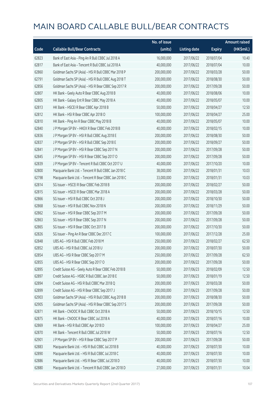|       |                                                      | No. of issue |                     |               | <b>Amount raised</b> |
|-------|------------------------------------------------------|--------------|---------------------|---------------|----------------------|
| Code  | <b>Callable Bull/Bear Contracts</b>                  | (units)      | <b>Listing date</b> | <b>Expiry</b> | (HK\$mil.)           |
| 62823 | Bank of East Asia - Ping An R Bull CBBC Jul 2018 A   | 16,000,000   | 2017/06/22          | 2018/07/04    | 10.40                |
| 62817 | Bank of East Asia - Tencent R Bull CBBC Jul 2018 A   | 40,000,000   | 2017/06/22          | 2018/07/04    | 10.00                |
| 62860 | Goldman Sachs SP (Asia) - HSI R Bull CBBC Mar 2018 P | 200,000,000  | 2017/06/22          | 2018/03/28    | 50.00                |
| 62791 | Goldman Sachs SP (Asia) - HSI R Bull CBBC Aug 2018 T | 200,000,000  | 2017/06/22          | 2018/08/30    | 50.00                |
| 62856 | Goldman Sachs SP (Asia) - HSI R Bear CBBC Sep 2017 R | 200,000,000  | 2017/06/22          | 2017/09/28    | 50.00                |
| 62807 | HK Bank - Geely Auto R Bear CBBC Aug 2018 B          | 40,000,000   | 2017/06/22          | 2018/08/06    | 10.00                |
| 62805 | HK Bank - Galaxy Ent R Bear CBBC May 2018 A          | 40,000,000   | 2017/06/22          | 2018/05/07    | 10.00                |
| 62813 | HK Bank - HSCEI R Bear CBBC Apr 2018 B               | 50,000,000   | 2017/06/22          | 2018/04/27    | 12.50                |
| 62812 | HK Bank - HSI R Bear CBBC Apr 2018 O                 | 100,000,000  | 2017/06/22          | 2018/04/27    | 25.00                |
| 62810 | HK Bank - Ping An R Bear CBBC May 2018 B             | 40,000,000   | 2017/06/22          | 2018/05/07    | 10.00                |
| 62840 | J P Morgan SP BV - HKEX R Bear CBBC Feb 2018 B       | 40,000,000   | 2017/06/22          | 2018/02/15    | 10.00                |
| 62836 | J P Morgan SP BV - HSI R Bull CBBC Aug 2018 E        | 200,000,000  | 2017/06/22          | 2018/08/30    | 50.00                |
| 62837 | J P Morgan SP BV - HSI R Bull CBBC Sep 2018 E        | 200,000,000  | 2017/06/22          | 2018/09/27    | 50.00                |
| 62841 | J P Morgan SP BV - HSI R Bear CBBC Sep 2017 N        | 200,000,000  | 2017/06/22          | 2017/09/28    | 50.00                |
| 62845 | J P Morgan SP BV - HSI R Bear CBBC Sep 2017 O        | 200,000,000  | 2017/06/22          | 2017/09/28    | 50.00                |
| 62839 | J P Morgan SP BV - Tencent R Bull CBBC Oct 2017 U    | 40,000,000   | 2017/06/22          | 2017/10/20    | 10.00                |
| 62800 | Macquarie Bank Ltd. - Tencent R Bull CBBC Jan 2018 C | 38,000,000   | 2017/06/22          | 2018/01/31    | 10.03                |
| 62798 | Macquarie Bank Ltd. - Tencent R Bear CBBC Jan 2018 C | 33,000,000   | 2017/06/22          | 2018/01/31    | 10.03                |
| 62814 | SG Issuer - HSCEI R Bear CBBC Feb 2018 B             | 200,000,000  | 2017/06/22          | 2018/02/27    | 50.00                |
| 62815 | SG Issuer - HSCEI R Bear CBBC Mar 2018 A             | 200,000,000  | 2017/06/22          | 2018/03/28    | 50.00                |
| 62866 | SG Issuer - HSI R Bull CBBC Oct 2018 J               | 200,000,000  | 2017/06/22          | 2018/10/30    | 50.00                |
| 62868 | SG Issuer - HSI R Bull CBBC Nov 2018 N               | 200,000,000  | 2017/06/22          | 2018/11/29    | 50.00                |
| 62862 | SG Issuer - HSI R Bear CBBC Sep 2017 M               | 200,000,000  | 2017/06/22          | 2017/09/28    | 50.00                |
| 62863 | SG Issuer - HSI R Bear CBBC Sep 2017 N               | 200,000,000  | 2017/06/22          | 2017/09/28    | 50.00                |
| 62865 | SG Issuer - HSI R Bear CBBC Oct 2017 B               | 200,000,000  | 2017/06/22          | 2017/10/30    | 50.00                |
| 62826 | SG Issuer - Ping An R Bear CBBC Dec 2017 C           | 100,000,000  | 2017/06/22          | 2017/12/28    | 25.00                |
| 62848 | UBS AG - HSI R Bull CBBC Feb 2018 M                  | 250,000,000  | 2017/06/22          | 2018/02/27    | 62.50                |
| 62852 | UBS AG - HSI R Bull CBBC Jul 2018 U                  | 200,000,000  | 2017/06/22          | 2018/07/30    | 50.00                |
| 62854 | UBS AG - HSI R Bear CBBC Sep 2017 M                  | 250,000,000  | 2017/06/22          | 2017/09/28    | 62.50                |
| 62855 | UBS AG - HSI R Bear CBBC Sep 2017 O                  | 200,000,000  | 2017/06/22          | 2017/09/28    | 50.00                |
| 62895 | Credit Suisse AG - Geely Auto R Bear CBBC Feb 2018 B | 50,000,000   | 2017/06/23          | 2018/02/09    | 12.50                |
| 62897 | Credit Suisse AG - HSBC R Bull CBBC Jan 2018 E       | 50,000,000   | 2017/06/23          | 2018/01/19    | 12.50                |
| 62894 | Credit Suisse AG - HSI R Bull CBBC Mar 2018 Q        | 200,000,000  | 2017/06/23          | 2018/03/28    | 50.00                |
| 62899 | Credit Suisse AG - HSI R Bear CBBC Sep 2017 J        | 200,000,000  | 2017/06/23          | 2017/09/28    | 50.00                |
| 62903 | Goldman Sachs SP (Asia) - HSI R Bull CBBC Aug 2018 B | 200,000,000  | 2017/06/23          | 2018/08/30    | 50.00                |
| 62905 | Goldman Sachs SP (Asia) - HSI R Bear CBBC Sep 2017 S | 200,000,000  | 2017/06/23          | 2017/09/28    | 50.00                |
| 62871 | HK Bank - CNOOC R Bull CBBC Oct 2018 A               | 50,000,000   | 2017/06/23          | 2018/10/15    | 12.50                |
| 62875 | HK Bank - CNOOC R Bear CBBC Jul 2018 A               | 40,000,000   | 2017/06/23          | 2018/07/16    | 10.00                |
| 62869 | HK Bank - HSI R Bull CBBC Apr 2018 D                 | 100,000,000  | 2017/06/23          | 2018/04/27    | 25.00                |
| 62870 | HK Bank - Tencent R Bull CBBC Jul 2018 W             | 50,000,000   | 2017/06/23          | 2018/07/16    | 12.50                |
| 62901 | J P Morgan SP BV - HSI R Bear CBBC Sep 2017 P        | 200,000,000  | 2017/06/23          | 2017/09/28    | 50.00                |
| 62883 | Macquarie Bank Ltd. - HSI R Bull CBBC Jul 2018 B     | 40,000,000   | 2017/06/23          | 2018/07/30    | 10.00                |
| 62890 | Macquarie Bank Ltd. - HSI R Bull CBBC Jul 2018 C     | 40,000,000   | 2017/06/23          | 2018/07/30    | 10.00                |
| 62886 | Macquarie Bank Ltd. - HSI R Bear CBBC Jul 2018 D     | 40,000,000   | 2017/06/23          | 2018/07/30    | 10.00                |
| 62880 | Macquarie Bank Ltd. - Tencent R Bull CBBC Jan 2018 D | 27,000,000   | 2017/06/23          | 2018/01/31    | 10.04                |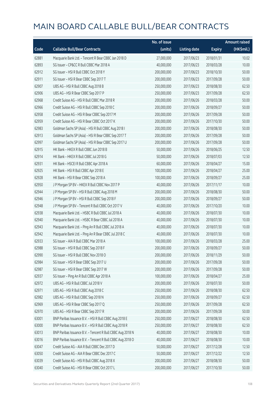|       |                                                            | No. of issue |                     |               | <b>Amount raised</b> |
|-------|------------------------------------------------------------|--------------|---------------------|---------------|----------------------|
| Code  | <b>Callable Bull/Bear Contracts</b>                        | (units)      | <b>Listing date</b> | <b>Expiry</b> | (HK\$mil.)           |
| 62881 | Macquarie Bank Ltd. - Tencent R Bear CBBC Jan 2018 D       | 27,000,000   | 2017/06/23          | 2018/01/31    | 10.02                |
| 62893 | SG Issuer - CP&CC R Bull CBBC Mar 2018 A                   | 40,000,000   | 2017/06/23          | 2018/03/28    | 10.00                |
| 62912 | SG Issuer - HSI R Bull CBBC Oct 2018 Y                     | 200,000,000  | 2017/06/23          | 2018/10/30    | 50.00                |
| 62911 | SG Issuer - HSI R Bear CBBC Sep 2017 T                     | 200,000,000  | 2017/06/23          | 2017/09/28    | 50.00                |
| 62907 | UBS AG - HSI R Bull CBBC Aug 2018 B                        | 250,000,000  | 2017/06/23          | 2018/08/30    | 62.50                |
| 62906 | UBS AG - HSI R Bear CBBC Sep 2017 P                        | 250,000,000  | 2017/06/23          | 2017/09/28    | 62.50                |
| 62968 | Credit Suisse AG - HSI R Bull CBBC Mar 2018 R              | 200,000,000  | 2017/06/26          | 2018/03/28    | 50.00                |
| 62966 | Credit Suisse AG - HSI R Bull CBBC Sep 2018 C              | 200,000,000  | 2017/06/26          | 2018/09/27    | 50.00                |
| 62958 | Credit Suisse AG - HSI R Bear CBBC Sep 2017 M              | 200,000,000  | 2017/06/26          | 2017/09/28    | 50.00                |
| 62959 | Credit Suisse AG - HSI R Bear CBBC Oct 2017 K              | 200,000,000  | 2017/06/26          | 2017/10/30    | 50.00                |
| 62983 | Goldman Sachs SP (Asia) - HSI R Bull CBBC Aug 2018 I       | 200,000,000  | 2017/06/26          | 2018/08/30    | 50.00                |
| 62913 | Goldman Sachs SP (Asia) - HSI R Bear CBBC Sep 2017 T       | 200,000,000  | 2017/06/26          | 2017/09/28    | 50.00                |
| 62997 | Goldman Sachs SP (Asia) - HSI R Bear CBBC Sep 2017 U       | 200,000,000  | 2017/06/26          | 2017/09/28    | 50.00                |
| 62915 | HK Bank - HKEX R Bull CBBC Jun 2018 B                      | 50,000,000   | 2017/06/26          | 2018/06/25    | 12.50                |
| 62914 | HK Bank - HKEX R Bull CBBC Jul 2018 G                      | 50,000,000   | 2017/06/26          | 2018/07/03    | 12.50                |
| 62931 | HK Bank - HSCEI R Bull CBBC Apr 2018 A                     | 60,000,000   | 2017/06/26          | 2018/04/27    | 15.00                |
| 62925 | HK Bank - HSI R Bull CBBC Apr 2018 E                       | 100,000,000  | 2017/06/26          | 2018/04/27    | 25.00                |
| 62928 | HK Bank - HSI R Bear CBBC Sep 2018 A                       | 100,000,000  | 2017/06/26          | 2018/09/27    | 25.00                |
| 62950 | J P Morgan SP BV - HKEX R Bull CBBC Nov 2017 P             | 40,000,000   | 2017/06/26          | 2017/11/17    | 10.00                |
| 62944 | J P Morgan SP BV - HSI R Bull CBBC Aug 2018 M              | 200,000,000  | 2017/06/26          | 2018/08/30    | 50.00                |
| 62946 | J P Morgan SP BV - HSI R Bull CBBC Sep 2018 F              | 200,000,000  | 2017/06/26          | 2018/09/27    | 50.00                |
| 62948 | J P Morgan SP BV - Tencent R Bull CBBC Oct 2017 V          | 40,000,000   | 2017/06/26          | 2017/10/20    | 10.00                |
| 62938 | Macquarie Bank Ltd. - HSBC R Bull CBBC Jul 2018 A          | 40,000,000   | 2017/06/26          | 2018/07/30    | 10.00                |
| 62940 | Macquarie Bank Ltd. - HSBC R Bear CBBC Jul 2018 A          | 40,000,000   | 2017/06/26          | 2018/07/30    | 10.00                |
| 62943 | Macquarie Bank Ltd. - Ping An R Bull CBBC Jul 2018 A       | 40,000,000   | 2017/06/26          | 2018/07/30    | 10.00                |
| 62942 | Macquarie Bank Ltd. - Ping An R Bear CBBC Jul 2018 C       | 40,000,000   | 2017/06/26          | 2018/07/30    | 10.00                |
| 62933 | SG Issuer - AIA R Bull CBBC Mar 2018 A                     | 100,000,000  | 2017/06/26          | 2018/03/28    | 25.00                |
| 62988 | SG Issuer - HSI R Bull CBBC Sep 2018 F                     | 200,000,000  | 2017/06/26          | 2018/09/27    | 50.00                |
| 62990 | SG Issuer - HSI R Bull CBBC Nov 2018 O                     | 200,000,000  | 2017/06/26          | 2018/11/29    | 50.00                |
| 62984 | SG Issuer - HSI R Bear CBBC Sep 2017 U                     | 200,000,000  | 2017/06/26          | 2017/09/28    | 50.00                |
| 62987 | SG Issuer - HSI R Bear CBBC Sep 2017 W                     | 200,000,000  | 2017/06/26          | 2017/09/28    | 50.00                |
| 62937 | SG Issuer - Ping An R Bull CBBC Apr 2018 A                 | 100,000,000  | 2017/06/26          | 2018/04/27    | 25.00                |
| 62972 | UBS AG - HSI R Bull CBBC Jul 2018 V                        | 200,000,000  | 2017/06/26          | 2018/07/30    | 50.00                |
| 62971 | UBS AG - HSI R Bull CBBC Aug 2018 C                        | 250,000,000  | 2017/06/26          | 2018/08/30    | 62.50                |
| 62982 | UBS AG - HSI R Bull CBBC Sep 2018 N                        | 250,000,000  | 2017/06/26          | 2018/09/27    | 62.50                |
| 62969 | UBS AG - HSI R Bear CBBC Sep 2017 Q                        | 250,000,000  | 2017/06/26          | 2017/09/28    | 62.50                |
| 62970 | UBS AG - HSI R Bear CBBC Sep 2017 R                        | 200,000,000  | 2017/06/26          | 2017/09/28    | 50.00                |
| 63001 | BNP Paribas Issuance B.V. - HSI R Bull CBBC Aug 2018 E     | 250,000,000  | 2017/06/27          | 2018/08/30    | 62.50                |
| 63000 | BNP Paribas Issuance B.V. - HSI R Bull CBBC Aug 2018 R     | 250,000,000  | 2017/06/27          | 2018/08/30    | 62.50                |
| 63013 | BNP Paribas Issuance B.V. - Tencent R Bull CBBC Aug 2018 N | 40,000,000   | 2017/06/27          | 2018/08/30    | 10.00                |
| 63016 | BNP Paribas Issuance B.V. - Tencent R Bull CBBC Aug 2018 O | 40,000,000   | 2017/06/27          | 2018/08/30    | 10.00                |
| 63047 | Credit Suisse AG - AIA R Bull CBBC Dec 2017 D              | 50,000,000   | 2017/06/27          | 2017/12/28    | 12.50                |
| 63050 | Credit Suisse AG - AIA R Bear CBBC Dec 2017 C              | 50,000,000   | 2017/06/27          | 2017/12/22    | 12.50                |
| 63039 | Credit Suisse AG - HSI R Bull CBBC Aug 2018 X              | 200,000,000  | 2017/06/27          | 2018/08/30    | 50.00                |
| 63040 | Credit Suisse AG - HSI R Bear CBBC Oct 2017 L              | 200,000,000  | 2017/06/27          | 2017/10/30    | 50.00                |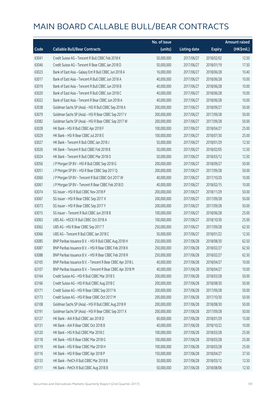|       |                                                            | No. of issue |                     |               | <b>Amount raised</b> |
|-------|------------------------------------------------------------|--------------|---------------------|---------------|----------------------|
| Code  | <b>Callable Bull/Bear Contracts</b>                        | (units)      | <b>Listing date</b> | <b>Expiry</b> | (HK\$mil.)           |
| 63041 | Credit Suisse AG - Tencent R Bull CBBC Feb 2018 K          | 50,000,000   | 2017/06/27          | 2018/02/02    | 12.50                |
| 63046 | Credit Suisse AG - Tencent R Bear CBBC Jan 2018 D          | 50,000,000   | 2017/06/27          | 2018/01/19    | 17.50                |
| 63023 | Bank of East Asia - Galaxy Ent R Bull CBBC Jun 2018 A      | 16,000,000   | 2017/06/27          | 2018/06/28    | 10.40                |
| 63017 | Bank of East Asia - Tencent R Bull CBBC Jun 2018 A         | 40,000,000   | 2017/06/27          | 2018/06/28    | 10.00                |
| 63019 | Bank of East Asia - Tencent R Bull CBBC Jun 2018 B         | 40,000,000   | 2017/06/27          | 2018/06/28    | 10.00                |
| 63020 | Bank of East Asia - Tencent R Bull CBBC Jun 2018 C         | 40,000,000   | 2017/06/27          | 2018/06/28    | 10.00                |
| 63022 | Bank of East Asia - Tencent R Bear CBBC Jun 2018 A         | 40,000,000   | 2017/06/27          | 2018/06/28    | 10.00                |
| 63038 | Goldman Sachs SP (Asia) - HSI R Bull CBBC Sep 2018 A       | 200,000,000  | 2017/06/27          | 2018/09/27    | 50.00                |
| 63079 | Goldman Sachs SP (Asia) - HSI R Bear CBBC Sep 2017 V       | 200,000,000  | 2017/06/27          | 2017/09/28    | 50.00                |
| 63082 | Goldman Sachs SP (Asia) - HSI R Bear CBBC Sep 2017 W       | 200,000,000  | 2017/06/27          | 2017/09/28    | 50.00                |
| 63028 | HK Bank - HSI R Bull CBBC Apr 2018 F                       | 100,000,000  | 2017/06/27          | 2018/04/27    | 25.00                |
| 63029 | HK Bank - HSI R Bear CBBC Jul 2018 E                       | 100,000,000  | 2017/06/27          | 2018/07/30    | 25.00                |
| 63027 | HK Bank - Tencent R Bull CBBC Jan 2018 J                   | 50,000,000   | 2017/06/27          | 2018/01/29    | 12.50                |
| 63026 | HK Bank - Tencent R Bull CBBC Feb 2018 B                   | 50,000,000   | 2017/06/27          | 2018/02/05    | 12.50                |
| 63024 | HK Bank - Tencent R Bull CBBC Mar 2018 O                   | 50,000,000   | 2017/06/27          | 2018/03/12    | 12.50                |
| 63056 | J P Morgan SP BV - HSI R Bull CBBC Sep 2018 G              | 200,000,000  | 2017/06/27          | 2018/09/27    | 50.00                |
| 63051 | J P Morgan SP BV - HSI R Bear CBBC Sep 2017 Q              | 200,000,000  | 2017/06/27          | 2017/09/28    | 50.00                |
| 63060 | J P Morgan SP BV - Tencent R Bull CBBC Oct 2017 W          | 40,000,000   | 2017/06/27          | 2017/10/20    | 10.00                |
| 63061 | J P Morgan SP BV - Tencent R Bear CBBC Feb 2018 D          | 40,000,000   | 2017/06/27          | 2018/02/15    | 10.00                |
| 63074 | SG Issuer - HSI R Bull CBBC Nov 2018 P                     | 200,000,000  | 2017/06/27          | 2018/11/29    | 50.00                |
| 63067 | SG Issuer - HSI R Bear CBBC Sep 2017 X                     | 200,000,000  | 2017/06/27          | 2017/09/28    | 50.00                |
| 63073 | SG Issuer - HSI R Bear CBBC Sep 2017 Y                     | 200,000,000  | 2017/06/27          | 2017/09/28    | 50.00                |
| 63015 | SG Issuer - Tencent R Bull CBBC Jun 2018 B                 | 100,000,000  | 2017/06/27          | 2018/06/28    | 25.00                |
| 63063 | UBS AG - HSCEI R Bull CBBC Oct 2018 A                      | 100,000,000  | 2017/06/27          | 2018/10/30    | 25.00                |
| 63062 | UBS AG - HSI R Bear CBBC Sep 2017 T                        | 250,000,000  | 2017/06/27          | 2017/09/28    | 62.50                |
| 63066 | UBS AG - Tencent R Bull CBBC Jan 2018 C                    | 50,000,000   | 2017/06/27          | 2018/01/22    | 12.50                |
| 63085 | BNP Paribas Issuance B.V. - HSI R Bull CBBC Aug 2018 H     | 250,000,000  | 2017/06/28          | 2018/08/30    | 62.50                |
| 63087 | BNP Paribas Issuance B.V. - HSI R Bear CBBC Feb 2018 K     | 250,000,000  | 2017/06/28          | 2018/02/27    | 62.50                |
| 63088 | BNP Paribas Issuance B.V. - HSI R Bear CBBC Feb 2018 R     | 250,000,000  | 2017/06/28          | 2018/02/27    | 62.50                |
| 63105 | BNP Paribas Issuance B.V. - Tencent R Bear CBBC Apr 2018 L | 40,000,000   | 2017/06/28          | 2018/04/27    | 10.00                |
| 63107 | BNP Paribas Issuance B.V. - Tencent R Bear CBBC Apr 2018 M | 40,000,000   | 2017/06/28          | 2018/04/27    | 10.00                |
| 63164 | Credit Suisse AG - HSI R Bull CBBC Mar 2018 S              | 200,000,000  | 2017/06/28          | 2018/03/28    | 50.00                |
| 63166 | Credit Suisse AG - HSI R Bull CBBC Aug 2018 C              | 200,000,000  | 2017/06/28          | 2018/08/30    | 50.00                |
| 63171 | Credit Suisse AG - HSI R Bear CBBC Sep 2017 N              | 200,000,000  | 2017/06/28          | 2017/09/28    | 50.00                |
| 63173 | Credit Suisse AG - HSI R Bear CBBC Oct 2017 M              | 200,000,000  | 2017/06/28          | 2017/10/30    | 50.00                |
| 63108 | Goldman Sachs SP (Asia) - HSI R Bull CBBC Aug 2018 R       | 200,000,000  | 2017/06/28          | 2018/08/30    | 50.00                |
| 63191 | Goldman Sachs SP (Asia) - HSI R Bear CBBC Sep 2017 X       | 200,000,000  | 2017/06/28          | 2017/09/28    | 50.00                |
| 63127 | HK Bank - AIA R Bull CBBC Jan 2018 D                       | 60,000,000   | 2017/06/28          | 2018/01/29    | 15.00                |
| 63131 | HK Bank - AIA R Bear CBBC Oct 2018 B                       | 40,000,000   | 2017/06/28          | 2018/10/22    | 10.00                |
| 63120 | HK Bank - HSI R Bull CBBC Mar 2018 C                       | 100,000,000  | 2017/06/28          | 2018/03/28    | 25.00                |
| 63118 | HK Bank - HSI R Bear CBBC Mar 2018 G                       | 100,000,000  | 2017/06/28          | 2018/03/28    | 25.00                |
| 63119 | HK Bank - HSI R Bear CBBC Mar 2018 H                       | 100,000,000  | 2017/06/28          | 2018/03/28    | 25.00                |
| 63116 | HK Bank - HSI R Bear CBBC Apr 2018 P                       | 150,000,000  | 2017/06/28          | 2018/04/27    | 37.50                |
| 63133 | HK Bank - PetCh R Bull CBBC Mar 2018 B                     | 50,000,000   | 2017/06/28          | 2018/03/12    | 12.50                |
| 63111 | HK Bank - PetCh R Bull CBBC Aug 2018 B                     | 50,000,000   | 2017/06/28          | 2018/08/06    | 12.50                |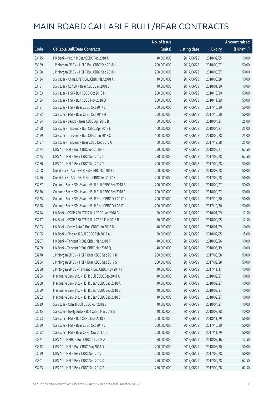|       |                                                      | No. of issue |                     |               | <b>Amount raised</b> |
|-------|------------------------------------------------------|--------------|---------------------|---------------|----------------------|
| Code  | <b>Callable Bull/Bear Contracts</b>                  | (units)      | <b>Listing date</b> | <b>Expiry</b> | (HK\$mil.)           |
| 63115 | HK Bank - PetCh R Bear CBBC Feb 2018 A               | 40,000,000   | 2017/06/28          | 2018/02/05    | 10.00                |
| 63189 | J P Morgan SP BV - HSI R Bull CBBC Sep 2018 H        | 200,000,000  | 2017/06/28          | 2018/09/27    | 50.00                |
| 63190 | J P Morgan SP BV - HSI R Bull CBBC Sep 2018 I        | 200,000,000  | 2017/06/28          | 2018/09/27    | 50.00                |
| 63134 | SG Issuer - China Life R Bull CBBC Mar 2018 A        | 40,000,000   | 2017/06/28          | 2018/03/28    | 10.00                |
| 63151 | SG Issuer - CSA50 R Bear CBBC Jan 2018 B             | 40,000,000   | 2017/06/28          | 2018/01/30    | 10.00                |
| 63183 | SG Issuer - HSI R Bull CBBC Oct 2018 N               | 200,000,000  | 2017/06/28          | 2018/10/30    | 50.00                |
| 63184 | SG Issuer - HSI R Bull CBBC Nov 2018 Q               | 200,000,000  | 2017/06/28          | 2018/11/29    | 50.00                |
| 63181 | SG Issuer - HSI R Bear CBBC Oct 2017 E               | 200,000,000  | 2017/06/28          | 2017/10/30    | 50.00                |
| 63182 | SG Issuer - HSI R Bear CBBC Oct 2017 H               | 200,000,000  | 2017/06/28          | 2017/10/30    | 50.00                |
| 63154 | SG Issuer - Sands R Bear CBBC Apr 2018 B             | 100,000,000  | 2017/06/28          | 2018/04/27    | 25.00                |
| 63158 | SG Issuer - Tencent R Bull CBBC Apr 2018 E           | 100,000,000  | 2017/06/28          | 2018/04/27    | 25.00                |
| 63159 | SG Issuer - Tencent R Bull CBBC Jun 2018 C           | 100,000,000  | 2017/06/28          | 2018/06/28    | 25.00                |
| 63157 | SG Issuer - Tencent R Bear CBBC Dec 2017 G           | 100,000,000  | 2017/06/28          | 2017/12/28    | 25.00                |
| 63174 | UBS AG - HSI R Bull CBBC Sep 2018 O                  | 250,000,000  | 2017/06/28          | 2018/09/27    | 62.50                |
| 63175 | UBS AG - HSI R Bear CBBC Sep 2017 U                  | 250,000,000  | 2017/06/28          | 2017/09/28    | 62.50                |
| 63180 | UBS AG - HSI R Bear CBBC Sep 2017 Y                  | 200,000,000  | 2017/06/28          | 2017/09/28    | 50.00                |
| 63268 | Credit Suisse AG - HSI R Bull CBBC Mar 2018 T        | 200,000,000  | 2017/06/29          | 2018/03/28    | 50.00                |
| 63276 | Credit Suisse AG - HSI R Bear CBBC Sep 2017 X        | 200,000,000  | 2017/06/29          | 2017/09/28    | 50.00                |
| 63267 | Goldman Sachs SP (Asia) - HSI R Bull CBBC Sep 2018 B | 200,000,000  | 2017/06/29          | 2018/09/27    | 50.00                |
| 63330 | Goldman Sachs SP (Asia) - HSI R Bull CBBC Sep 2018 C | 200,000,000  | 2017/06/29          | 2018/09/27    | 50.00                |
| 63325 | Goldman Sachs SP (Asia) - HSI R Bear CBBC Oct 2017 K | 200,000,000  | 2017/06/29          | 2017/10/30    | 50.00                |
| 63328 | Goldman Sachs SP (Asia) - HSI R Bear CBBC Oct 2017 L | 200,000,000  | 2017/06/29          | 2017/10/30    | 50.00                |
| 63224 | HK Bank - CSOP A50 ETF R Bull CBBC Jan 2018 G        | 50,000,000   | 2017/06/29          | 2018/01/29    | 12.50                |
| 63217 | HK Bank - CSOP A50 ETF R Bull CBBC Feb 2018 B        | 50,000,000   | 2017/06/29          | 2018/02/05    | 12.50                |
| 63193 | HK Bank - Geely Auto R Bull CBBC Jan 2018 D          | 40,000,000   | 2017/06/29          | 2018/01/29    | 10.00                |
| 63195 | HK Bank - Ping An R Bull CBBC Feb 2018 A             | 60,000,000   | 2017/06/29          | 2018/02/05    | 15.00                |
| 63207 | HK Bank - Tencent R Bull CBBC Mar 2018 P             | 40,000,000   | 2017/06/29          | 2018/03/26    | 10.00                |
| 63209 | HK Bank - Tencent R Bull CBBC Mar 2018 Q             | 40,000,000   | 2017/06/29          | 2018/03/19    | 10.00                |
| 63278 | J P Morgan SP BV - HSI R Bear CBBC Sep 2017 R        | 200,000,000  | 2017/06/29          | 2017/09/28    | 50.00                |
| 63284 | J P Morgan SP BV - HSI R Bear CBBC Sep 2017 S        | 200,000,000  | 2017/06/29          | 2017/09/28    | 50.00                |
| 63288 | J P Morgan SP BV - Tencent R Bull CBBC Nov 2017 Y    | 40,000,000   | 2017/06/29          | 2017/11/17    | 10.00                |
| 63264 | Macquarie Bank Ltd. - HSI R Bull CBBC Sep 2018 A     | 40,000,000   | 2017/06/29          | 2018/09/27    | 10.00                |
| 63258 | Macquarie Bank Ltd. - HSI R Bear CBBC Sep 2018 A     | 40,000,000   | 2017/06/29          | 2018/09/27    | 10.00                |
| 63259 | Macquarie Bank Ltd. - HSI R Bear CBBC Sep 2018 B     | 40,000,000   | 2017/06/29          | 2018/09/27    | 10.00                |
| 63262 | Macquarie Bank Ltd. - HSI R Bear CBBC Sep 2018 C     | 40,000,000   | 2017/06/29          | 2018/09/27    | 10.00                |
| 63239 | SG Issuer - CUni R Bull CBBC Apr 2018 B              | 40,000,000   | 2017/06/29          | 2018/04/27    | 10.00                |
| 63245 | SG Issuer - Geely Auto R Bull CBBC Mar 2018 B        | 40,000,000   | 2017/06/29          | 2018/03/28    | 10.00                |
| 63293 | SG Issuer - HSI R Bull CBBC Nov 2018 R               | 200,000,000  | 2017/06/29          | 2018/11/29    | 50.00                |
| 63289 | SG Issuer - HSI R Bear CBBC Oct 2017 J               | 200,000,000  | 2017/06/29          | 2017/10/30    | 50.00                |
| 63292 | SG Issuer - HSI R Bear CBBC Nov 2017 D               | 200,000,000  | 2017/06/29          | 2017/11/29    | 50.00                |
| 63321 | UBS AG - HSBC R Bull CBBC Jul 2018 A                 | 50,000,000   | 2017/06/29          | 2018/07/16    | 12.50                |
| 63312 | UBS AG - HSI R Bull CBBC Aug 2018 D                  | 200,000,000  | 2017/06/29          | 2018/08/30    | 50.00                |
| 63299 | UBS AG - HSI R Bear CBBC Sep 2017 J                  | 200,000,000  | 2017/06/29          | 2017/09/28    | 50.00                |
| 63301 | UBS AG - HSI R Bear CBBC Sep 2017 K                  | 250,000,000  | 2017/06/29          | 2017/09/28    | 62.50                |
| 63295 | UBS AG - HSI R Bear CBBC Sep 2017 Z                  | 250,000,000  | 2017/06/29          | 2017/09/28    | 62.50                |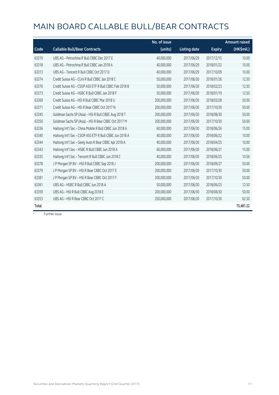|       |                                                         | No. of issue |                     |               | <b>Amount raised</b> |
|-------|---------------------------------------------------------|--------------|---------------------|---------------|----------------------|
| Code  | <b>Callable Bull/Bear Contracts</b>                     | (units)      | <b>Listing date</b> | <b>Expiry</b> | (HK\$mil.)           |
| 63319 | UBS AG - Petrochina R Bull CBBC Dec 2017 E              | 40,000,000   | 2017/06/29          | 2017/12/15    | 10.00                |
| 63318 | UBS AG - Petrochina R Bull CBBC Jan 2018 A              | 40,000,000   | 2017/06/29          | 2018/01/22    | 10.00                |
| 63313 | UBS AG - Tencent R Bull CBBC Oct 2017 D                 | 40,000,000   | 2017/06/29          | 2017/10/09    | 10.00                |
| 63374 | Credit Suisse AG - CUni R Bull CBBC Jan 2018 C          | 50,000,000   | 2017/06/30          | 2018/01/26    | 12.50                |
| 63376 | Credit Suisse AG - CSOP A50 ETF R Bull CBBC Feb 2018 B  | 50,000,000   | 2017/06/30          | 2018/02/23    | 12.50                |
| 63373 | Credit Suisse AG - HSBC R Bull CBBC Jan 2018 F          | 50,000,000   | 2017/06/30          | 2018/01/19    | 12.50                |
| 63369 | Credit Suisse AG - HSI R Bull CBBC Mar 2018 U           | 200,000,000  | 2017/06/30          | 2018/03/28    | 50.00                |
| 63371 | Credit Suisse AG - HSI R Bear CBBC Oct 2017 N           | 200,000,000  | 2017/06/30          | 2017/10/30    | 50.00                |
| 63345 | Goldman Sachs SP (Asia) - HSI R Bull CBBC Aug 2018 T    | 200,000,000  | 2017/06/30          | 2018/08/30    | 50.00                |
| 63350 | Goldman Sachs SP (Asia) - HSI R Bear CBBC Oct 2017 M    | 200,000,000  | 2017/06/30          | 2017/10/30    | 50.00                |
| 63336 | Haitong Int'l Sec - China Mobile R Bull CBBC Jun 2018 A | 60,000,000   | 2017/06/30          | 2018/06/26    | 15.00                |
| 63340 | Haitong Int'l Sec - CSOP A50 ETF R Bull CBBC Jun 2018 A | 40,000,000   | 2017/06/30          | 2018/06/22    | 10.00                |
| 63344 | Haitong Int'l Sec - Geely Auto R Bear CBBC Apr 2018 A   | 40,000,000   | 2017/06/30          | 2018/04/25    | 10.00                |
| 63343 | Haitong Int'l Sec - HSBC R Bull CBBC Jun 2018 A         | 60,000,000   | 2017/06/30          | 2018/06/21    | 15.00                |
| 63335 | Haitong Int'l Sec - Tencent R Bull CBBC Jun 2018 C      | 40,000,000   | 2017/06/30          | 2018/06/25    | 10.56                |
| 63378 | J P Morgan SP BV - HSI R Bull CBBC Sep 2018 J           | 200,000,000  | 2017/06/30          | 2018/09/27    | 50.00                |
| 63379 | J P Morgan SP BV - HSI R Bear CBBC Oct 2017 E           | 200,000,000  | 2017/06/30          | 2017/10/30    | 50.00                |
| 63381 | JP Morgan SP BV - HSIR Bear CBBC Oct 2017 F             | 200,000,000  | 2017/06/30          | 2017/10/30    | 50.00                |
| 63361 | UBS AG - HSBC R Bull CBBC Jun 2018 A                    | 50,000,000   | 2017/06/30          | 2018/06/25    | 12.50                |
| 63359 | UBS AG - HSI R Bull CBBC Aug 2018 E                     | 200,000,000  | 2017/06/30          | 2018/08/30    | 50.00                |
| 63353 | UBS AG - HSI R Bear CBBC Oct 2017 C                     | 250,000,000  | 2017/06/30          | 2017/10/30    | 62.50                |
| Total |                                                         |              |                     |               | 75,481.22            |

# Further issue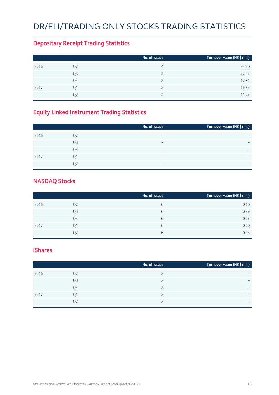# DR/ELI/TRADING ONLY STOCKS TRADING STATISTICS

### **Depositary Receipt Trading Statistics**

|      |                | No. of issues | Turnover value (HK\$ mil.) |
|------|----------------|---------------|----------------------------|
| 2016 | Q <sub>2</sub> | 4             | 54.20                      |
|      | Q3             |               | 22.02                      |
|      | Q4             |               | 12.84                      |
| 2017 | Q1             |               | 15.32                      |
|      | Q2             |               | 11.27                      |

## **Equity Linked Instrument Trading Statistics**

|      |                | No. of issues            | Turnover value (HK\$ mil.) |
|------|----------------|--------------------------|----------------------------|
| 2016 | Q <sub>2</sub> | $\overline{\phantom{0}}$ |                            |
|      | Q3             | $\overline{\phantom{0}}$ | -                          |
|      | Q4             | $\overline{\phantom{0}}$ | -                          |
| 2017 | 01             | $\overline{\phantom{0}}$ |                            |
|      | Ο2             | $\overline{\phantom{0}}$ | -                          |

#### **NASDAQ Stocks**

|      |                | No. of issues | Turnover value (HK\$ mil.) |
|------|----------------|---------------|----------------------------|
| 2016 | Q <sub>2</sub> | 6             | 0.10                       |
|      | Q3             | 6             | 0.29                       |
|      | Q4             | 6             | 0.03                       |
| 2017 | Q1             | 6             | 0.00                       |
|      | Q2             | 6             | 0.05                       |

#### **iShares**

|      |                | No. of issues | Turnover value (HK\$ mil.) |
|------|----------------|---------------|----------------------------|
| 2016 | Q2             |               | -                          |
|      | Q <sub>3</sub> |               | $\overline{\phantom{0}}$   |
|      | Q4             |               | $\overline{\phantom{0}}$   |
| 2017 | Q1             |               | -                          |
|      | Q <sub>2</sub> |               | $\overline{\phantom{0}}$   |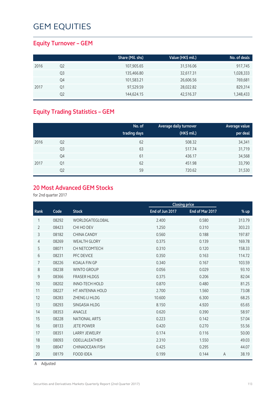### **Equity Turnover – GEM**

|      |    | Share (Mil. shs) | Value (HK\$ mil.) | No. of deals |
|------|----|------------------|-------------------|--------------|
| 2016 | Q2 | 107,905.65       | 31,516.06         | 917,745      |
|      | Q3 | 135,466.80       | 32,617.31         | 1,028,333    |
|      | Q4 | 101,583.21       | 26,606.56         | 769,681      |
| 2017 | Q1 | 97,529.59        | 28,022.82         | 829,314      |
|      | O2 | 144,624.15       | 42,516.37         | 1,348,433    |

## **Equity Trading Statistics – GEM**

|      |                | No. of<br>trading days | Average daily turnover<br>(HK\$ mil.) | Average value<br>per deal |
|------|----------------|------------------------|---------------------------------------|---------------------------|
| 2016 | Q <sub>2</sub> | 62                     | 508.32                                | 34,341                    |
|      | Q3             | 63                     | 517.74                                | 31,719                    |
|      | Q4             | 61                     | 436.17                                | 34,568                    |
| 2017 | Q1             | 62                     | 451.98                                | 33,790                    |
|      | Q <sub>2</sub> | 59                     | 720.62                                | 31,530                    |

#### **20 Most Advanced GEM Stocks**

for 2nd quarter 2017

|                |       |                        |                 | <b>Closing price</b> |   |        |
|----------------|-------|------------------------|-----------------|----------------------|---|--------|
| Rank           | Code  | <b>Stock</b>           | End of Jun 2017 | End of Mar 2017      |   | $%$ up |
| 1              | 08292 | WORLDGATEGLOBAL        | 2.400           | 0.580                |   | 313.79 |
| $\overline{2}$ | 08423 | CHI HO DEV             | 1.250           | 0.310                |   | 303.23 |
| 3              | 08182 | <b>CHINA CANDY</b>     | 0.560           | 0.188                |   | 197.87 |
| $\overline{4}$ | 08269 | <b>WEALTH GLORY</b>    | 0.375           | 0.139                |   | 169.78 |
| 5              | 08071 | CH NETCOMTECH          | 0.310           | 0.120                |   | 158.33 |
| 6              | 08231 | PFC DEVICE             | 0.350           | 0.163                |   | 114.72 |
| $\overline{7}$ | 08226 | <b>KOALA FIN GP</b>    | 0.340           | 0.167                |   | 103.59 |
| 8              | 08238 | <b>WINTO GROUP</b>     | 0.056           | 0.029                |   | 93.10  |
| 9              | 08366 | <b>FRASER HLDGS</b>    | 0.375           | 0.206                |   | 82.04  |
| 10             | 08202 | <b>INNO-TECH HOLD</b>  | 0.870           | 0.480                |   | 81.25  |
| 11             | 08227 | HT ANTENNA HOLD        | 2.700           | 1.560                |   | 73.08  |
| 12             | 08283 | ZHENG LI HLDG          | 10.600          | 6.300                |   | 68.25  |
| 13             | 08293 | SINGASIA HLDG          | 8.150           | 4.920                |   | 65.65  |
| 14             | 08353 | ANACLE                 | 0.620           | 0.390                |   | 58.97  |
| 15             | 08228 | NATIONAL ARTS          | 0.223           | 0.142                |   | 57.04  |
| 16             | 08133 | <b>JETE POWER</b>      | 0.420           | 0.270                |   | 55.56  |
| 17             | 08351 | <b>LARRY JEWELRY</b>   | 0.174           | 0.116                |   | 50.00  |
| 18             | 08093 | ODELLALEATHER          | 2.310           | 1.550                |   | 49.03  |
| 19             | 08047 | <b>CHINAOCEAN FISH</b> | 0.425           | 0.295                |   | 44.07  |
| 20             | 08179 | <b>FOOD IDEA</b>       | 0.199           | 0.144                | A | 38.19  |

A Adjusted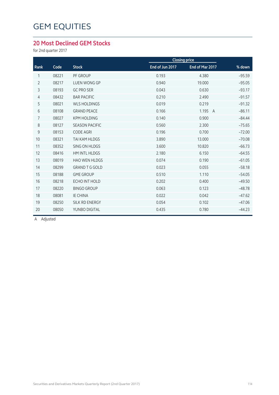#### **20 Most Declined GEM Stocks**

for 2nd quarter 2017

|                |       |                       |                 | <b>Closing price</b> |               |
|----------------|-------|-----------------------|-----------------|----------------------|---------------|
| Rank           | Code  | <b>Stock</b>          | End of Jun 2017 | End of Mar 2017      | % down        |
| 1              | 08221 | PF GROUP              | 0.193           | 4.380                | $-95.59$      |
| $\overline{2}$ | 08217 | <b>LUEN WONG GP</b>   | 0.940           | 19.000               | $-95.05$      |
| 3              | 08193 | <b>GC PRO SER</b>     | 0.043           | 0.630                | $-93.17$      |
| 4              | 08432 | <b>BAR PACIFIC</b>    | 0.210           | 2.490                | $-91.57$      |
| 5              | 08021 | <b>WLS HOLDINGS</b>   | 0.019           | 0.219                | $-91.32$      |
| 6              | 08108 | <b>GRAND PEACE</b>    | 0.166           | 1.195                | $-86.11$<br>A |
| $\overline{7}$ | 08027 | <b>KPM HOLDING</b>    | 0.140           | 0.900                | $-84.44$      |
| 8              | 08127 | <b>SEASON PACIFIC</b> | 0.560           | 2.300                | $-75.65$      |
| 9              | 08153 | <b>CODE AGRI</b>      | 0.196           | 0.700                | $-72.00$      |
| 10             | 08321 | TAI KAM HLDGS         | 3.890           | 13.000               | $-70.08$      |
| 11             | 08352 | SING ON HLDGS         | 3.600           | 10.820               | $-66.73$      |
| 12             | 08416 | HM INTL HLDGS         | 2.180           | 6.150                | $-64.55$      |
| 13             | 08019 | <b>HAO WEN HLDGS</b>  | 0.074           | 0.190                | $-61.05$      |
| 14             | 08299 | <b>GRAND T G GOLD</b> | 0.023           | 0.055                | $-58.18$      |
| 15             | 08188 | <b>GME GROUP</b>      | 0.510           | 1.110                | $-54.05$      |
| 16             | 08218 | ECHO INT HOLD         | 0.202           | 0.400                | $-49.50$      |
| 17             | 08220 | <b>BINGO GROUP</b>    | 0.063           | 0.123                | $-48.78$      |
| 18             | 08081 | <b>IE CHINA</b>       | 0.022           | 0.042                | $-47.62$      |
| 19             | 08250 | <b>SILK RD ENERGY</b> | 0.054           | 0.102                | $-47.06$      |
| 20             | 08050 | YUNBO DIGITAL         | 0.435           | 0.780                | $-44.23$      |
|                |       |                       |                 |                      |               |

A Adjusted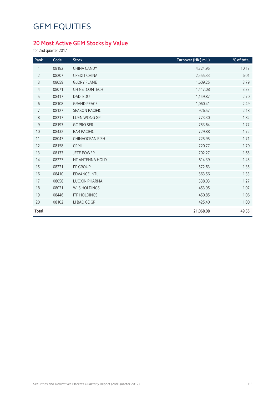## **20 Most Active GEM Stocks by Value**

for 2nd quarter 2017

|           | 10.17    |
|-----------|----------|
| 2,555.33  | 6.01     |
| 1,609.25  | 3.79     |
| 1,417.08  | 3.33     |
| 1,149.87  | 2.70     |
| 1,060.41  | 2.49     |
| 926.57    | 2.18     |
| 773.30    | 1.82     |
| 753.64    | 1.77     |
| 729.88    | 1.72     |
| 725.95    | 1.71     |
| 720.77    | 1.70     |
| 702.27    | 1.65     |
| 614.39    | 1.45     |
| 572.63    | 1.35     |
| 563.56    | 1.33     |
| 538.03    | 1.27     |
| 453.95    | 1.07     |
| 450.85    | 1.06     |
| 425.40    | 1.00     |
| 21,068.08 | 49.55    |
|           | 4,324.95 |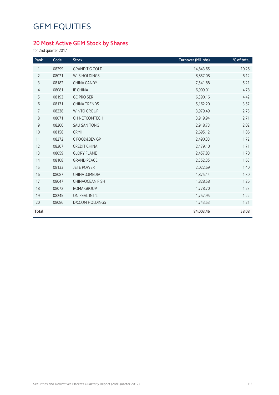## **20 Most Active GEM Stock by Shares**

for 2nd quarter 2017

| Rank           | Code  | <b>Stock</b>           | Turnover (Mil. shs) | % of total |
|----------------|-------|------------------------|---------------------|------------|
| 1              | 08299 | <b>GRAND T G GOLD</b>  | 14,843.65           | 10.26      |
| $\overline{2}$ | 08021 | <b>WLS HOLDINGS</b>    | 8,857.08            | 6.12       |
| $\mathsf{3}$   | 08182 | <b>CHINA CANDY</b>     | 7,541.88            | 5.21       |
| $\overline{4}$ | 08081 | <b>IE CHINA</b>        | 6,909.01            | 4.78       |
| 5              | 08193 | <b>GC PRO SER</b>      | 6,390.16            | 4.42       |
| 6              | 08171 | <b>CHINA TRENDS</b>    | 5,162.20            | 3.57       |
| 7              | 08238 | <b>WINTO GROUP</b>     | 3,979.49            | 2.75       |
| 8              | 08071 | CH NETCOMTECH          | 3,919.94            | 2.71       |
| 9              | 08200 | <b>SAU SAN TONG</b>    | 2,918.73            | 2.02       |
| 10             | 08158 | CRMI                   | 2,695.12            | 1.86       |
| 11             | 08272 | C FOOD&BEV GP          | 2,490.33            | 1.72       |
| 12             | 08207 | <b>CREDIT CHINA</b>    | 2,479.10            | 1.71       |
| 13             | 08059 | <b>GLORY FLAME</b>     | 2,457.83            | 1.70       |
| 14             | 08108 | <b>GRAND PEACE</b>     | 2,352.35            | 1.63       |
| 15             | 08133 | <b>JETE POWER</b>      | 2,022.69            | 1.40       |
| 16             | 08087 | CHINA 33MEDIA          | 1,875.14            | 1.30       |
| 17             | 08047 | <b>CHINAOCEAN FISH</b> | 1,828.58            | 1.26       |
| 18             | 08072 | ROMA GROUP             | 1,778.70            | 1.23       |
| 19             | 08245 | ON REAL INT'L          | 1,757.95            | 1.22       |
| 20             | 08086 | <b>DX.COM HOLDINGS</b> | 1,743.53            | 1.21       |
| <b>Total</b>   |       |                        | 84,003.46           | 58.08      |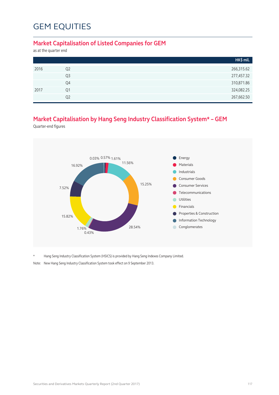#### **Market Capitalisation of Listed Companies for GEM**

as at the quarter end

|      |                | HK\$ mil.  |
|------|----------------|------------|
| 2016 | Q <sub>2</sub> | 266,315.62 |
|      | Q <sub>3</sub> | 277,457.32 |
|      | Q4             | 310,871.86 |
| 2017 | Q1             | 324,082.25 |
|      | Q <sub>2</sub> | 267,662.50 |

### **Market Capitalisation by Hang Seng Industry Classification System\* – GEM**

Quarter-end figures



\* Hang Seng Industry Classification System (HSICS) is provided by Hang Seng Indexes Company Limited.

Note: New Hang Seng Industry Classification System took effect on 9 September 2013.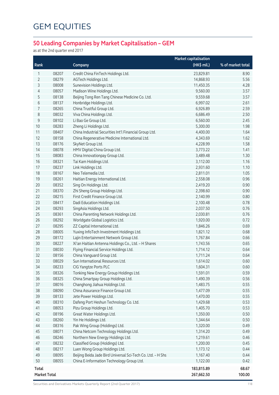## **50 Leading Companies by Market Capitalisation – GEM**

as at the 2nd quarter end 2017

|                     |       |                                                             | <b>Market capitalisation</b> |                   |
|---------------------|-------|-------------------------------------------------------------|------------------------------|-------------------|
| Rank                |       | Company                                                     | (HK\$ mil.)                  | % of market total |
| 1                   | 08207 | Credit China FinTech Holdings Ltd.                          | 23,829.81                    | 8.90              |
| 2                   | 08279 | AGTech Holdings Ltd.                                        | 14,868.93                    | 5.56              |
| 3                   | 08008 | Sunevision Holdings Ltd.                                    | 11,450.35                    | 4.28              |
| 4                   | 08057 | Madison Wine Holdings Ltd.                                  | 9,560.00                     | 3.57              |
| 5                   | 08138 | Beijing Tong Ren Tang Chinese Medicine Co. Ltd.             | 9,559.68                     | 3.57              |
| 6                   | 08137 | Honbridge Holdings Ltd.                                     | 6,997.02                     | 2.61              |
| 7                   | 08265 | China Trustful Group Ltd.                                   | 6,926.89                     | 2.59              |
| 8                   | 08032 | Viva China Holdings Ltd.                                    | 6,686.49                     | 2.50              |
| 9                   | 08102 | Li Bao Ge Group Ltd.                                        | 6,560.00                     | 2.45              |
| 10                  | 08283 | Zheng Li Holdings Ltd.                                      | 5,300.00                     | 1.98              |
| 11                  | 08407 | China Industrial Securities Int'l Financial Group Ltd.      | 4,400.00                     | 1.64              |
| 12                  | 08158 | China Regenerative Medicine International Ltd.              | 4,343.69                     | 1.62              |
| 13                  | 08176 | SkyNet Group Ltd.                                           | 4,228.99                     | 1.58              |
| 14                  | 08078 | HMV Digital China Group Ltd.                                | 3,773.22                     | 1.41              |
| 15                  | 08083 | China Innovationpay Group Ltd.                              | 3,489.48                     | 1.30              |
| 16                  | 08321 | Tai Kam Holdings Ltd.                                       | 3,112.00                     | 1.16              |
| 17                  | 08237 | Link Holdings Ltd.                                          | 2,931.60                     | 1.10              |
| 18                  | 08167 | Neo Telemedia Ltd.                                          | 2,811.01                     | 1.05              |
| 19                  | 08261 | Haitian Energy International Ltd.                           | 2,558.08                     | 0.96              |
| 20                  | 08352 | Sing On Holdings Ltd.                                       | 2,419.20                     | 0.90              |
| 21                  | 08370 | Zhi Sheng Group Holdings Ltd.                               | 2,398.60                     | 0.90              |
| 22                  | 08215 | First Credit Finance Group Ltd.                             | 2,140.99                     | 0.80              |
| 23                  | 08417 | Dadi Education Holdings Ltd.                                | 2,100.48                     | 0.78              |
| 24                  | 08293 | SingAsia Holdings Ltd.                                      | 2,037.50                     | 0.76              |
| 25                  | 08361 | China Parenting Network Holdings Ltd.                       | 2,030.81                     | 0.76              |
| 26                  | 08292 | Worldgate Global Logistics Ltd.                             | 1,920.00                     | 0.72              |
| 27                  | 08295 | ZZ Capital International Ltd.                               | 1,846.26                     | 0.69              |
| 28                  | 08005 | Yuxing InfoTech Investment Holdings Ltd.                    | 1,821.12                     | 0.68              |
| 29                  | 08172 | Lajin Entertainment Network Group Ltd.                      | 1,767.84                     | 0.66              |
| 30                  | 08227 | Xi'an Haitian Antenna Holdings Co., Ltd. - H Shares         | 1,743.56                     | 0.65              |
| 31                  | 08030 | Flying Financial Service Holdings Ltd.                      | 1,714.12                     | 0.64              |
| 32                  | 08156 | China Vanguard Group Ltd.                                   | 1,711.24                     | 0.64              |
| 33                  | 08029 | Sun International Resources Ltd.                            | 1,614.02                     | 0.60              |
| 34                  | 08233 | CIG Yangtze Ports PLC                                       | 1,604.31                     | 0.60              |
| 35                  | 08326 | Tonking New Energy Group Holdings Ltd.                      | 1,591.01                     | 0.59              |
| 36                  | 08325 | China Smartpay Group Holdings Ltd.                          | 1,490.39                     | 0.56              |
| 37                  | 08016 | Changhong Jiahua Holdings Ltd.                              | 1,483.75                     | 0.55              |
| 38                  | 08090 | China Assurance Finance Group Ltd.                          | 1,477.09                     | 0.55              |
| 39                  | 08133 | Jete Power Holdings Ltd.                                    | 1,470.00                     | 0.55              |
| 40                  | 08310 | Dafeng Port Heshun Technology Co. Ltd.                      | 1,429.68                     | 0.53              |
| 41                  | 08053 | Pizu Group Holdings Ltd.                                    | 1,405.70                     | 0.53              |
| 42                  | 08196 | Great Water Holdings Ltd.                                   | 1,350.00                     | 0.50              |
| 43                  | 08260 | Yin He Holdings Ltd.                                        | 1,344.64                     | 0.50              |
| 44                  | 08316 | Pak Wing Group (Holdings) Ltd.                              | 1,320.00                     | 0.49              |
| 45                  | 08071 | China Netcom Technology Holdings Ltd.                       | 1,314.20                     | 0.49              |
| 46                  | 08246 | Northern New Energy Holdings Ltd.                           | 1,219.61                     | 0.46              |
| 47                  | 08232 | Classified Group (Holdings) Ltd.                            | 1,200.00                     | 0.45              |
| 48                  | 08217 | Luen Wong Group Holdings Ltd.                               | 1,173.12                     | 0.44              |
| 49                  | 08095 | Beijing Beida Jade Bird Universal Sci-Tech Co. Ltd. - H Shs | 1,167.40                     | 0.44              |
| 50                  | 08055 | China E-Information Technology Group Ltd.                   | 1,122.00                     | 0.42              |
| <b>Total</b>        |       |                                                             | 183,815.89                   | 68.67             |
| <b>Market Total</b> |       |                                                             | 267,662.50                   | 100.00            |

Securities and Derivatives Markets Quarterly Report (2nd Quarter 2017) 118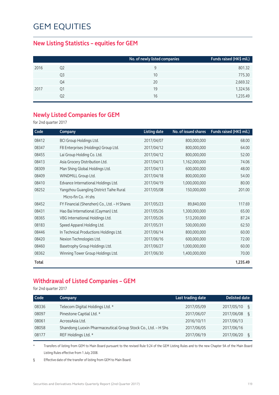#### **New Listing Statistics – equities for GEM**

|      |                | No. of newly listed companies | Funds raised (HK\$ mil.) |
|------|----------------|-------------------------------|--------------------------|
| 2016 | Q <sub>2</sub> | 9                             | 801.32                   |
|      | Q3             | 10                            | 775.30                   |
|      | Q4             | 20                            | 2,669.32                 |
| 2017 | Q1             | 19                            | 1,324.56                 |
|      | Q2             | 16                            | 1,235.49                 |

#### **Newly Listed Companies for GEM**

for 2nd quarter 2017

| Code  | Company                                      | <b>Listing date</b> | No. of issued shares | Funds raised (HK\$ mil.) |
|-------|----------------------------------------------|---------------------|----------------------|--------------------------|
| 08412 | <b>BCI Group Holdings Ltd.</b>               | 2017/04/07          | 800,000,000          | 68.00                    |
| 08347 | F8 Enterprises (Holdings) Group Ltd.         | 2017/04/12          | 800,000,000          | 64.00                    |
| 08455 | Lai Group Holding Co. Ltd.                   | 2017/04/12          | 800,000,000          | 52.00                    |
| 08413 | Asia Grocery Distribution Ltd.               | 2017/04/13          | 1,162,000,000        | 74.06                    |
| 08309 | Man Shing Global Holdings Ltd.               | 2017/04/13          | 600,000,000          | 48.00                    |
| 08409 | WINDMILL Group Ltd.                          | 2017/04/18          | 800,000,000          | 54.00                    |
| 08410 | Edvance International Holdings Ltd.          | 2017/04/19          | 1,000,000,000        | 80.00                    |
| 08252 | Yangzhou Guangling District Taihe Rural      | 2017/05/08          | 150,000,000          | 201.00                   |
|       | Micro-fin Co. -H shs                         |                     |                      |                          |
| 08452 | FY Financial (Shenzhen) Co., Ltd. - H Shares | 2017/05/23          | 89,840,000           | 117.69                   |
| 08431 | Hao Bai International (Cayman) Ltd.          | 2017/05/26          | 1,300,000,000        | 65.00                    |
| 08365 | VBG International Holdings Ltd.              | 2017/05/26          | 513,200,000          | 87.24                    |
| 08183 | Speed Apparel Holding Ltd.                   | 2017/05/31          | 500,000,000          | 62.50                    |
| 08446 | In Technical Productions Holdings Ltd.       | 2017/06/14          | 800,000,000          | 60.00                    |
| 08420 | Nexion Technologies Ltd.                     | 2017/06/16          | 600,000,000          | 72.00                    |
| 08460 | Basetrophy Group Holdings Ltd.               | 2017/06/27          | 1,000,000,000        | 60.00                    |
| 08362 | Winning Tower Group Holdings Ltd.            | 2017/06/30          | 1,400,000,000        | 70.00                    |
| Total |                                              |                     |                      | 1,235.49                 |

### **Withdrawal of Listed Companies – GEM**

for 2nd quarter 2017

| Code  | Company                                                      | Last trading date | <b>Delisted date</b> |  |
|-------|--------------------------------------------------------------|-------------------|----------------------|--|
| 08336 | Telecom Digital Holdings Ltd. *                              | 2017/05/09        | 2017/05/10<br>ξ      |  |
| 08097 | Pinestone Captial Ltd. *                                     | 2017/06/07        | 2017/06/08<br>ξ      |  |
| 08061 | AcrossAsia Ltd.                                              | 2016/10/11        | 2017/06/13           |  |
| 08058 | Shandong Luoxin Pharmaceutical Group Stock Co., Ltd. - H Shs | 2017/06/05        | 2017/06/16           |  |
| 08177 | REF Holdings Ltd. *                                          | 2017/06/19        | 2017/06/20<br>ξ      |  |

\* Transfers of listing from GEM to Main Board pursuant to the revised Rule 9.24 of the GEM Listing Rules and to the new Chapter 9A of the Main Board Listing Rules effective from 1 July 2008.

§ Effective date of the transfer of listing from GEM to Main Board.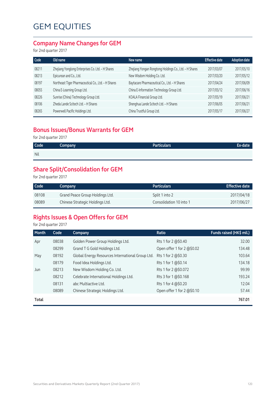#### **Company Name Changes for GEM**

for 2nd quarter 2017

| Code  | Old name                                            | New name                                               | <b>Effective date</b> | <b>Adoption date</b> |
|-------|-----------------------------------------------------|--------------------------------------------------------|-----------------------|----------------------|
| 08211 | Zhejiang Yonglong Enterprises Co. Ltd. - H Shares   | Zhejiang Yongan Rongtong Holdings Co., Ltd. - H Shares | 2017/03/07            | 2017/05/10           |
| 08213 | Epicurean and Co., Ltd.                             | New Wisdom Holding Co. Ltd.                            | 2017/03/20            | 2017/05/12           |
| 08197 | Northeast Tiger Pharmaceutical Co., Ltd. - H Shares | Baytacare Pharmaceutical Co., Ltd. - H Shares          | 2017/04/24            | 2017/06/09           |
| 08055 | China E-Learning Group Ltd.                         | China E-Information Technology Group Ltd.              | 2017/05/12            | 2017/06/16           |
| 08226 | Sunrise (China) Technology Group Ltd.               | KOALA Financial Group Ltd.                             | 2017/05/19            | 2017/06/21           |
| 08106 | Zheda Lande Scitech Ltd. - H Shares                 | Shenghua Lande Scitech Ltd. - H Shares                 | 2017/06/05            | 2017/06/21           |
| 08265 | Powerwell Pacific Holdings Ltd.                     | China Trustful Group Ltd.                              | 2017/05/17            | 2017/06/27           |

#### **Bonus Issues/Bonus Warrants for GEM**

for 2nd quarter 2017

| <b>Code</b> | Company | <b>Particulars</b> | Ex-date |
|-------------|---------|--------------------|---------|
| <b>Nil</b>  |         |                    |         |

## **Share Split/Consolidation for GEM**

for 2nd quarter 2017

| Code  | Company                         | <b>Particulars</b>      | <b>Effective date</b> |
|-------|---------------------------------|-------------------------|-----------------------|
| 08108 | Grand Peace Group Holdings Ltd. | Split 1 into 2          | 2017/04/18            |
| 08089 | Chinese Strategic Holdings Ltd. | Consolidation 10 into 1 | 2017/06/27            |

### **Rights Issues & Open Offers for GEM**

for 2nd quarter 2017

| Month | Code  | Company                                          | Ratio                      | Funds raised (HK\$ mil.) |
|-------|-------|--------------------------------------------------|----------------------------|--------------------------|
| Apr   | 08038 | Golden Power Group Holdings Ltd.                 | Rts 1 for 2 @\$0.40        | 32.00                    |
|       | 08299 | Grand T G Gold Holdings Ltd.                     | Open offer 1 for 2 @\$0.02 | 134.48                   |
| May   | 08192 | Global Energy Resources International Group Ltd. | Rts 1 for 2 @\$0.30        | 103.64                   |
|       | 08179 | Food Idea Holdings Ltd.                          | Rts 1 for 1 @\$0.14        | 134.18                   |
| Jun   | 08213 | New Wisdom Holding Co. Ltd.                      | Rts 1 for 2 @\$0.072       | 99.99                    |
|       | 08212 | Celebrate International Holdings Ltd.            | Rts 3 for 1 @\$0.168       | 193.24                   |
|       | 08131 | abc Multiactive Ltd.                             | Rts 1 for 4 @\$0.20        | 12.04                    |
|       | 08089 | Chinese Strategic Holdings Ltd.                  | Open offer 1 for 2 @\$0.10 | 57.44                    |
| Total |       |                                                  |                            | 767.01                   |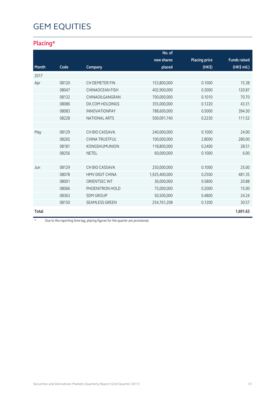## **Placing\***

|              |       |                        | No. of        |                      |                     |
|--------------|-------|------------------------|---------------|----------------------|---------------------|
|              |       |                        | new shares    | <b>Placing price</b> | <b>Funds raised</b> |
| Month        | Code  | Company                | placed        | (HK\$)               | (HK\$ mil.)         |
| 2017         |       |                        |               |                      |                     |
| Apr          | 08120 | CH DEMETER FIN         | 153,800,000   | 0.1000               | 15.38               |
|              | 08047 | <b>CHINAOCEAN FISH</b> | 402,900,000   | 0.3000               | 120.87              |
|              | 08132 | CHINAOILGANGRAN        | 700,000,000   | 0.1010               | 70.70               |
|              | 08086 | <b>DX.COM HOLDINGS</b> | 355,000,000   | 0.1220               | 43.31               |
|              | 08083 | <b>INNOVATIONPAY</b>   | 788,600,000   | 0.5000               | 394.30              |
|              | 08228 | <b>NATIONAL ARTS</b>   | 500,091,740   | 0.2230               | 111.52              |
|              |       |                        |               |                      |                     |
| May          | 08129 | CH BIO CASSAVA         | 240,000,000   | 0.1000               | 24.00               |
|              | 08265 | <b>CHINA TRUSTFUL</b>  | 100,000,000   | 2.8000               | 280.00              |
|              | 08181 | <b>KONGSHUMUNION</b>   | 118,800,000   | 0.2400               | 28.51               |
|              | 08256 | <b>NETEL</b>           | 60,000,000    | 0.1000               | 6.00                |
|              |       |                        |               |                      |                     |
| Jun          | 08129 | CH BIO CASSAVA         | 250,000,000   | 0.1000               | 25.00               |
|              | 08078 | <b>HMV DIGIT CHINA</b> | 1,925,400,000 | 0.2500               | 481.35              |
|              | 08001 | <b>ORIENTSEC INT</b>   | 36,000,000    | 0.5800               | 20.88               |
|              | 08066 | PHOENITRON HOLD        | 75,000,000    | 0.2000               | 15.00               |
|              | 08363 | <b>SDM GROUP</b>       | 50,500,000    | 0.4800               | 24.24               |
|              | 08150 | <b>SEAMLESS GREEN</b>  | 254,761,208   | 0.1200               | 30.57               |
| <b>Total</b> |       |                        |               |                      | 1,691.63            |

\* Due to the reporting time-lag, placing figures for the quarter are provisional.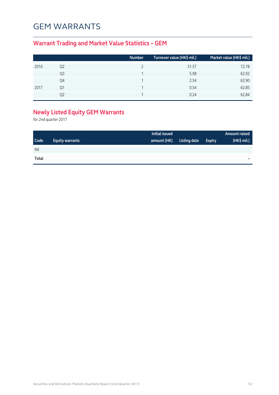## GEM WARRANTS

## **Warrant Trading and Market Value Statistics – GEM**

|      |    | <b>Number</b> | Turnover value (HK\$ mil.) | Market value (HK\$ mil.) |
|------|----|---------------|----------------------------|--------------------------|
| 2016 | Q2 |               | 31.57                      | 72.78                    |
|      | Q3 |               | 5.98                       | 62.92                    |
|      | Q4 |               | 2.54                       | 62.90                    |
| 2017 | Q1 |               | 0.54                       | 62.85                    |
|      | 02 |               | 0.24                       | 62.84                    |

## **Newly Listed Equity GEM Warrants**

for 2nd quarter 2017

|             |                        | Initial issued |              |               | <b>Amount raised</b> |
|-------------|------------------------|----------------|--------------|---------------|----------------------|
| <b>Code</b> | <b>Equity warrants</b> | amount (HK)    | Listing date | <b>Expiry</b> | $(HK\$ mil.)         |
| Nil         |                        |                |              |               |                      |
| Total       |                        |                |              |               | -                    |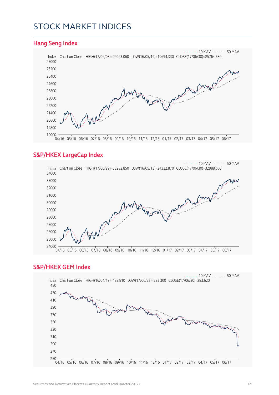## STOCK MARKET INDICES

#### **Hang Seng Index** Index Chart on Close HIGH(17/06/08)=26063.060 LOW(16/05/19)=19694.330 CLOSE(17/06/30)=25764.580  $- - - 10$  MAV  $- - - - - 50$  MAV 04/16 05/16 06/16 07/16 08/16 09/16 10/16 11/16 12/16 01/17 02/17 03/17 04/17 05/17 06/17

#### **S&P/HKEX LargeCap Index**



#### **S&P/HKEX GEM Index**

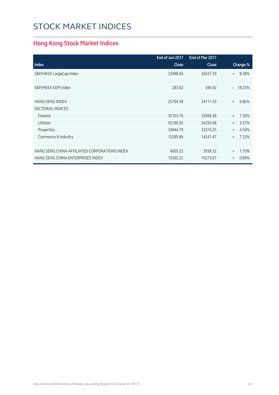# STOCK MARKET INDICES

## **Hong Kong Stock Market Indices**

|                                               | End of Jun 2017 | End of Mar 2017 |                          |
|-----------------------------------------------|-----------------|-----------------|--------------------------|
| <b>Index</b>                                  | <b>Close</b>    | <b>Close</b>    | Change %                 |
| S&P/HKEX LargeCap Index                       | 32988.66        | 30437.39        | 8.38%<br>$^{+}$          |
|                                               |                 |                 |                          |
| S&P/HKEX GEM Index                            | 283.62          | 346.92          | 18.25%<br>$\overline{a}$ |
|                                               |                 |                 |                          |
| <b>HANG SENG INDEX</b>                        | 25764.58        | 24111.59        | 6.86%<br>$+$             |
| <b>SECTORIAL INDICES</b>                      |                 |                 |                          |
| Finance                                       | 35103.76        | 32696.38        | 7.36%<br>$+$             |
| <b>Utilities</b>                              | 56186.92        | 54250.48        | 3.57%<br>$^{+}$          |
| Properties                                    | 34844.79        | 33316.25        | 4.59%<br>$+$             |
| Commerce & Industry                           | 15285.86        | 14241.47        | 7.33%<br>$+$             |
|                                               |                 |                 |                          |
| HANG SENG CHINA-AFFILIATED CORPORATIONS INDEX | 4005.23         | 3938.32         | 1.70%<br>$^{+}$          |
| HANG SENG CHINA ENTERPRISES INDEX             | 10365.22        | 10273.67        | 0.89%<br>$^{+}$          |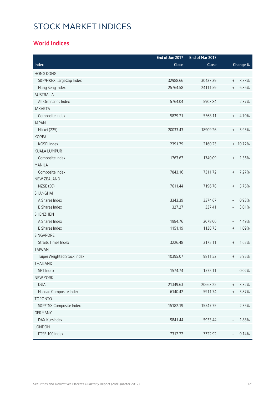# STOCK MARKET INDICES

#### **World Indices**

|                             | End of Jun 2017 | End of Mar 2017 |                                  |          |
|-----------------------------|-----------------|-----------------|----------------------------------|----------|
| Index                       | Close           | Close           |                                  | Change % |
| <b>HONG KONG</b>            |                 |                 |                                  |          |
| S&P/HKEX LargeCap Index     | 32988.66        | 30437.39        | $\begin{array}{c} + \end{array}$ | 8.38%    |
| Hang Seng Index             | 25764.58        | 24111.59        | $\begin{array}{c} + \end{array}$ | 6.86%    |
| <b>AUSTRALIA</b>            |                 |                 |                                  |          |
| All Ordinaries Index        | 5764.04         | 5903.84         | $\overline{\phantom{a}}$         | 2.37%    |
| <b>JAKARTA</b>              |                 |                 |                                  |          |
| Composite Index             | 5829.71         | 5568.11         | $\begin{array}{c} + \end{array}$ | 4.70%    |
| <b>JAPAN</b>                |                 |                 |                                  |          |
| Nikkei (225)                | 20033.43        | 18909.26        | $\, +$                           | 5.95%    |
| <b>KOREA</b>                |                 |                 |                                  |          |
| KOSPI Index                 | 2391.79         | 2160.23         |                                  | + 10.72% |
| <b>KUALA LUMPUR</b>         |                 |                 |                                  |          |
| Composite Index             | 1763.67         | 1740.09         | $\begin{array}{c} + \end{array}$ | 1.36%    |
| <b>MANILA</b>               |                 |                 |                                  |          |
| Composite Index             | 7843.16         | 7311.72         | $\begin{array}{c} + \end{array}$ | 7.27%    |
| NEW ZEALAND                 |                 |                 |                                  |          |
| <b>NZSE (50)</b>            | 7611.44         | 7196.78         | $\begin{array}{c} + \end{array}$ | 5.76%    |
| SHANGHAI                    |                 |                 |                                  |          |
| A Shares Index              | 3343.39         | 3374.67         | $\overline{\phantom{a}}$         | 0.93%    |
| <b>B Shares Index</b>       | 327.27          | 337.41          | $\overline{\phantom{a}}$         | 3.01%    |
| <b>SHENZHEN</b>             |                 |                 |                                  |          |
| A Shares Index              | 1984.76         | 2078.06         | $\overline{\phantom{a}}$         | 4.49%    |
| <b>B Shares Index</b>       | 1151.19         | 1138.73         | $\begin{array}{c} + \end{array}$ | 1.09%    |
| <b>SINGAPORE</b>            |                 |                 |                                  |          |
| <b>Straits Times Index</b>  | 3226.48         | 3175.11         | $\begin{array}{c} + \end{array}$ | 1.62%    |
| <b>TAIWAN</b>               |                 |                 |                                  |          |
| Taipei Weighted Stock Index | 10395.07        | 9811.52         | $^{+}$                           | 5.95%    |
| THAILAND                    |                 |                 |                                  |          |
| <b>SET Index</b>            | 1574.74         | 1575.11         |                                  | 0.02%    |
| <b>NEW YORK</b>             |                 |                 |                                  |          |
| <b>DJIA</b>                 | 21349.63        | 20663.22        | $\begin{array}{c} + \end{array}$ | 3.32%    |
| Nasdaq Composite Index      | 6140.42         | 5911.74         | $^{+}$                           | 3.87%    |
| <b>TORONTO</b>              |                 |                 |                                  |          |
| S&P/TSX Composite Index     | 15182.19        | 15547.75        | $\overline{\phantom{a}}$         | 2.35%    |
| <b>GERMANY</b>              |                 |                 |                                  |          |
| DAX Kursindex               | 5841.44         | 5953.44         |                                  | 1.88%    |
| LONDON                      |                 |                 |                                  |          |
| FTSE 100 Index              | 7312.72         | 7322.92         |                                  | 0.14%    |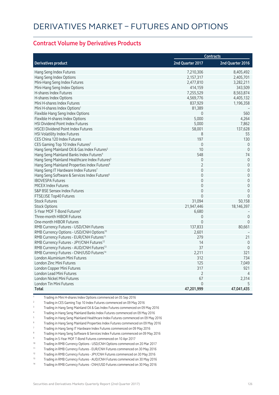#### **Contract Volume by Derivatives Products**

|                                                          |                  | <b>Contracts</b>    |
|----------------------------------------------------------|------------------|---------------------|
| <b>Derivatives product</b>                               | 2nd Quarter 2017 | 2nd Quarter 2016    |
| Hang Seng Index Futures                                  | 7,210,306        | 8,405,492           |
| Hang Seng Index Options                                  | 2,157,317        | 2,405,701           |
| Mini-Hang Seng Index Futures                             | 2,477,810        | 3,282,211           |
| Mini-Hang Seng Index Options                             | 414,159          | 343,509             |
| H-shares Index Futures                                   | 7,255,529        | 8,563,874           |
| H-shares Index Options                                   | 4,569,776        | 4,405,132           |
| Mini H-shares Index Futures                              | 837,929          | 1,196,358           |
| Mini H-shares Index Options <sup>1</sup>                 | 81,389           |                     |
| Flexible Hang Seng Index Options                         | $\Omega$         | 560                 |
| Flexible H-shares Index Options                          | 5,000            | 4,264               |
| <b>HSI Dividend Point Index Futures</b>                  | 5,000            | 7,862               |
| <b>HSCEI Dividend Point Index Futures</b>                | 58,001           | 137,628             |
| <b>HSI Volatility Index Futures</b>                      | 8                | 55                  |
| CES China 120 Index Futures                              | 197              | 130                 |
| CES Gaming Top 10 Index Futures <sup>2</sup>             | $\mathbf 0$      | $\overline{0}$      |
| Hang Seng Mainland Oil & Gas Index Futures <sup>3</sup>  | 10               | $\mathbf{0}$        |
| Hang Seng Mainland Banks Index Futures <sup>4</sup>      | 548              | 74                  |
| Hang Seng Mainland Healthcare Index Futures <sup>5</sup> | $\mathbf 0$      | $\mathbf{0}$        |
| Hang Seng Mainland Properties Index Futures <sup>6</sup> | $\overline{2}$   | $\mathsf{O}\xspace$ |
| Hang Seng IT Hardware Index Futures7                     | $\mathbf 0$      | $\mathsf{O}\xspace$ |
| Hang Seng Software & Services Index Futures <sup>8</sup> | $\Omega$         | $\overline{0}$      |
| <b>IBOVESPA Futures</b>                                  | $\Omega$         | $\mathsf{O}\xspace$ |
| <b>MICEX Index Futures</b>                               | $\Omega$         | $\mathsf{O}\xspace$ |
| S&P BSE Sensex Index Futures                             | $\Omega$         | $\overline{0}$      |
| FTSE/JSE Top40 Futures                                   | $\Omega$         | $\mathbf 0$         |
| <b>Stock Futures</b>                                     | 31,094           | 50,158              |
| <b>Stock Options</b>                                     | 21,947,446       | 18,146,397          |
| 5-Year MOF T-Bond Futures <sup>9</sup>                   | 6,680            |                     |
| Three-month HIBOR Futures                                | 0                | $\overline{0}$      |
| One-month HIBOR Futures                                  | $\mathbf{0}$     | $\mathbf 0$         |
| RMB Currency Futures - USD/CNH Futures                   | 137,833          | 80,661              |
| RMB Currency Options - USD/CNH Options <sup>10</sup>     | 2,601            |                     |
| RMB Currency Futures - EUR/CNH Futures <sup>11</sup>     | 279              | 21                  |
| RMB Currency Futures - JPY/CNH Futures <sup>12</sup>     | 14               | $\overline{0}$      |
| RMB Currency Futures - AUD/CNH Futures <sup>13</sup>     | 37               | $\mathbf 0$         |
| RMB Currency Futures - CNH/USD Futures <sup>14</sup>     | 2,211            | 321                 |
| London Aluminium Mini Futures                            | 312              | 734                 |
| <b>London Zinc Mini Futures</b>                          | 125              | 7,049               |
| London Copper Mini Futures                               | 317              | 921                 |
| London Lead Mini Futures                                 | $\overline{2}$   | $\overline{4}$      |
| London Nickel Mini Futures                               | 67               | 2,314               |
| London Tin Mini Futures                                  | $\Omega$         | 5                   |
| <b>Total</b>                                             | 47,201,999       | 47,041,435          |

<sup>1</sup> Trading in Mini H-shares Index Options commenced on 05 Sep 2016

- 2 Trading in CES Gaming Top 10 Index Futures commenced on 09 May 2016
- 3 Trading in Hang Seng Mainland Oil & Gas Index Futures commenced on 09 May 2016
- 4 Trading in Hang Seng Mainland Banks Index Futures commenced on 09 May 2016
- 5 Trading in Hang Seng Mainland Healthcare Index Futures commenced on 09 May 2016

6 Trading in Hang Seng Mainland Properties Index Futures commenced on 09 May 2016

- 7 Trading in Hang Seng IT Hardware Index Futures commenced on 09 May 2016
- 8 Trading in Hang Seng Software & Services Index Futures commenced on 09 May 2016
- 9 Trading in 5-Year MOF T-Bond Futures commenced on 10 Apr 2017
- 10 Trading in RMB Currency Options USD/CNH Options commenced on 20 Mar 2017
- 11 Trading in RMB Currency Futures EUR/CNH Futures commenced on 30 May 2016
- <sup>12</sup> Trading in RMB Currency Futures JPY/CNH Futures commenced on 30 May 2016
- 13 Trading in RMB Currency Futures AUD/CNH Futures commenced on 30 May 2016
- 14 Trading in RMB Currency Futures CNH/USD Futures commenced on 30 May 2016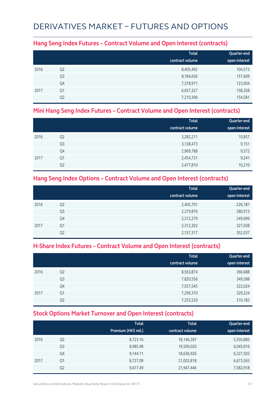## DERIVATIVES MARKET – FUTURES AND OPTIONS

#### **Hang Seng Index Futures – Contract Volume and Open Interest (contracts)**

|      |                | <b>Total</b>    | Quarter-end   |
|------|----------------|-----------------|---------------|
|      |                | contract volume | open interest |
| 2016 | Q <sub>2</sub> | 8,405,492       | 104,573       |
|      | Q <sub>3</sub> | 8,184,656       | 157,669       |
|      | Q4             | 7,378,971       | 123,004       |
| 2017 | Q1             | 6,657,327       | 158,358       |
|      | Q <sub>2</sub> | 7,210,306       | 154,581       |

#### **Mini Hang Seng Index Futures – Contract Volume and Open Interest (contracts)**

|      |                | <b>Total</b><br>contract volume | Quarter-end<br>open interest |
|------|----------------|---------------------------------|------------------------------|
| 2016 | Q <sub>2</sub> | 3,282,211                       | 10,857                       |
|      | Q <sub>3</sub> | 3,138,473                       | 9,151                        |
|      | Q4             | 2,969,788                       | 9,572                        |
| 2017 | Q1             | 2,454,731                       | 9,241                        |
|      | Q <sub>2</sub> | 2,477,810                       | 10,210                       |

#### **Hang Seng Index Options – Contract Volume and Open Interest (contracts)**

|      |                | <b>Total</b>    | Quarter-end   |
|------|----------------|-----------------|---------------|
|      |                | contract volume | open interest |
| 2016 | Q <sub>2</sub> | 2,405,701       | 226,187       |
|      | Q <sub>3</sub> | 2,379,876       | 280,913       |
|      | Q4             | 2,312,279       | 249,699       |
| 2017 | Q1             | 2,312,202       | 327,038       |
|      | Q <sub>2</sub> | 2,157,317       | 352,037       |

### **H-Share Index Futures – Contract Volume and Open Interest (contracts)**

|      |                | <b>Total</b><br>contract volume | Quarter-end<br>open interest |
|------|----------------|---------------------------------|------------------------------|
| 2016 | Q <sub>2</sub> | 8,563,874                       | 366,688                      |
|      | Q <sub>3</sub> | 7,820,556                       | 349,588                      |
|      | Q4             | 7,557,545                       | 322,024                      |
| 2017 | Q1             | 7,299,370                       | 329,224                      |
|      | Q <sub>2</sub> | 7,255,529                       | 310,182                      |

### **Stock Options Market Turnover and Open Interest (contracts)**

|      |                | <b>Total</b><br>Premium (HK\$ mil.) | <b>Total</b><br>contract volume | Quarter-end<br>open interest |
|------|----------------|-------------------------------------|---------------------------------|------------------------------|
| 2016 | Q <sub>2</sub> | 8,723.16                            | 18,146,397                      | 5,550,885                    |
|      | Q <sub>3</sub> | 8,985.98                            | 19,509,020                      | 6,045,816                    |
|      | Q4             | 9,144.11                            | 18,636,926                      | 6,327,503                    |
| 2017 | Q1             | 8,727.09                            | 21,003,818                      | 6,673,563                    |
|      | Q <sub>2</sub> | 9,477.49                            | 21,947,446                      | 7,582,918                    |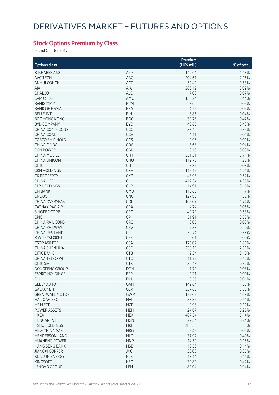## **Stock Options Premium by Class**

for 2nd Quarter 2017

|                                         |                 | Premium       |            |
|-----------------------------------------|-----------------|---------------|------------|
| <b>Options class</b>                    |                 | (HK\$ mil.)   | % of total |
| X ISHARES A50                           | A50             | 140.64        | 1.48%      |
| AAC TECH                                | AAC             | 204.67        | 2.16%      |
| <b>ANHUI CONCH</b>                      | ACC             | 50.42         | 0.53%      |
| AIA                                     | AIA             | 286.12        | 3.02%      |
| CHALCO                                  | <b>ALC</b>      | 7.08          | 0.07%      |
| CAM CSI300                              | AMC             | 136.24        | 1.44%      |
| <b>BANKCOMM</b>                         | <b>BCM</b>      | 8.60          | 0.09%      |
| <b>BANK OF E ASIA</b>                   | <b>BEA</b>      | 4.59          | 0.05%      |
| <b>BELLE INT'L</b>                      | <b>BIH</b>      | 3.85          | 0.04%      |
| <b>BOC HONG KONG</b>                    | <b>BOC</b>      | 39.73         | 0.42%      |
| <b>BYD COMPANY</b>                      | <b>BYD</b>      | 40.66         | 0.43%      |
|                                         |                 |               |            |
| CHINA COMM CONS                         | CCC             | 33.40         | 0.35%      |
| <b>CHINA COAL</b>                       | CCE             | 4.11          | 0.04%      |
| <b>COSCO SHIP HOLD</b>                  | CCS             | 0.96          | 0.01%      |
| CHINA CINDA                             | CDA             | 3.68          | 0.04%      |
| <b>CGN POWER</b>                        | CGN             | 3.18          | 0.03%      |
| <b>CHINA MOBILE</b>                     | <b>CHT</b>      | 351.31        | 3.71%      |
| <b>CHINA UNICOM</b>                     | <b>CHU</b>      | 119.75        | 1.26%      |
| <b>CITIC</b>                            | <b>CIT</b>      | 7.89          | 0.08%      |
| <b>CKH HOLDINGS</b>                     | <b>CKH</b>      | 115.15        | 1.21%      |
| <b>CK PROPERTY</b>                      | <b>CKP</b>      | 48.93         | 0.52%      |
| <b>CHINA LIFE</b>                       | <b>CLI</b>      | 412.34        | 4.35%      |
| <b>CLP HOLDINGS</b>                     | <b>CLP</b>      | 14.91         | 0.16%      |
| <b>CM BANK</b>                          | <b>CMB</b>      | 110.65        | 1.17%      |
| <b>CNOOC</b>                            | <b>CNC</b>      | 127.83        | 1.35%      |
| <b>CHINA OVERSEAS</b>                   | <b>COL</b>      | 165.07        | 1.74%      |
| CATHAY PAC AIR                          | CPA             | 4.74          | 0.05%      |
| SINOPEC CORP                            | CPC             | 49.79         | 0.53%      |
| <b>CPIC</b>                             | <b>CPI</b>      | 51.91         | 0.55%      |
| <b>CHINA RAIL CONS</b>                  | CRC             | 8.05          | 0.08%      |
| <b>CHINA RAILWAY</b>                    | CRG             | 9.33          | 0.10%      |
| <b>CHINA RES LAND</b>                   | <b>CRL</b>      | 52.74         | 0.56%      |
| X WISECSI300ETF                         | CS <sub>3</sub> | 0.01          | 0.00%      |
| CSOP A50 ETF                            | <b>CSA</b>      | 175.02        | 1.85%      |
| CHINA SHENHUA                           | CSE             | 238.19        | 2.51%      |
| <b>CITIC BANK</b>                       | <b>CTB</b>      | 9.34          | 0.10%      |
| <b>CHINA TELECOM</b>                    | <b>CTC</b>      | 11.79         | 0.12%      |
| <b>CITIC SEC</b>                        | <b>CTS</b>      | 30.48         | 0.32%      |
| DONGFENG GROUP                          | DFM             | 7.70          | 0.08%      |
| <b>ESPRIT HOLDINGS</b>                  | <b>ESP</b>      | 0.21          | 0.00%      |
| <b>FIH</b>                              | <b>FIH</b>      | 0.56          | 0.01%      |
| <b>GEELY AUTO</b>                       | GAH             | 149.64        | 1.58%      |
| <b>GALAXY ENT</b>                       | GLX             | 337.65        | 3.56%      |
| <b>GREATWALL MOTOR</b>                  | <b>GWM</b>      | 159.05        | 1.68%      |
| <b>HAITONG SEC</b>                      | HAI             | 38.85         | 0.41%      |
| <b>HSHETF</b>                           | <b>HCF</b>      | 9.98          | 0.11%      |
| POWER ASSETS                            | <b>HEH</b>      | 24.67         | 0.26%      |
| <b>HKEX</b>                             | <b>HEX</b>      | 487.54        | 5.14%      |
| <b>HENGAN INT'L</b>                     | <b>HGN</b>      | 22.34         | 0.24%      |
|                                         |                 | 486.58        | 5.13%      |
| <b>HSBC HOLDINGS</b>                    | <b>HKB</b>      |               |            |
| HK & CHINA GAS<br><b>HENDERSON LAND</b> | <b>HKG</b>      | 5.49<br>37.92 | 0.06%      |
|                                         | <b>HLD</b>      |               | 0.40%      |
| <b>HUANENG POWER</b>                    | <b>HNP</b>      | 14.59         | 0.15%      |
| <b>HANG SENG BANK</b>                   | <b>HSB</b>      | 13.56         | 0.14%      |
| <b>JIANGXI COPPER</b>                   | <b>JXC</b>      | 33.08         | 0.35%      |
| <b>KUNLUN ENERGY</b>                    | <b>KLE</b>      | 13.14         | 0.14%      |
| <b>KINGSOFT</b>                         | <b>KSO</b>      | 39.80         | 0.42%      |
| LENOVO GROUP                            | LEN             | 89.04         | 0.94%      |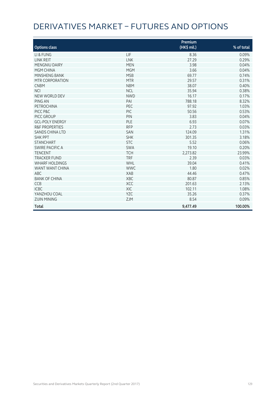# DERIVATIVES MARKET – FUTURES AND OPTIONS

| <b>Options class</b>      |            | Premium<br>(HK\$ mil.) | % of total |
|---------------------------|------------|------------------------|------------|
| LI & FUNG                 | LIF        | 8.36                   | 0.09%      |
| <b>LINK REIT</b>          | <b>LNK</b> | 27.29                  | 0.29%      |
| <b>MENGNIU DAIRY</b>      | <b>MEN</b> | 3.98                   | 0.04%      |
| MGM CHINA                 | <b>MGM</b> | 3.66                   | 0.04%      |
| MINSHENG BANK             | <b>MSB</b> | 69.77                  | 0.74%      |
| MTR CORPORATION           | <b>MTR</b> | 29.57                  | 0.31%      |
| <b>CNBM</b>               | <b>NBM</b> | 38.07                  | 0.40%      |
| <b>NCI</b>                | <b>NCL</b> | 35.94                  | 0.38%      |
| NEW WORLD DEV             | <b>NWD</b> | 16.17                  | 0.17%      |
| PING AN                   | PAI        | 788.18                 | 8.32%      |
| PETROCHINA                | PEC        | 97.92                  | 1.03%      |
| PICC P&C                  | PIC        | 50.56                  | 0.53%      |
| PICC GROUP                | PIN        | 3.83                   | 0.04%      |
| <b>GCL-POLY ENERGY</b>    | PLE        | 6.93                   | 0.07%      |
| <b>R&amp;F PROPERTIES</b> | <b>RFP</b> | 2.73                   | 0.03%      |
| <b>SANDS CHINA LTD</b>    | SAN        | 124.09                 | 1.31%      |
| <b>SHK PPT</b>            | <b>SHK</b> | 301.35                 | 3.18%      |
| <b>STANCHART</b>          | <b>STC</b> | 5.52                   | 0.06%      |
| SWIRE PACIFIC A           | <b>SWA</b> | 19.10                  | 0.20%      |
| <b>TENCENT</b>            | <b>TCH</b> | 2,273.82               | 23.99%     |
| <b>TRACKER FUND</b>       | <b>TRF</b> | 2.39                   | 0.03%      |
| <b>WHARF HOLDINGS</b>     | WHL        | 39.04                  | 0.41%      |
| WANT WANT CHINA           | <b>WWC</b> | 1.80                   | 0.02%      |
| <b>ABC</b>                | XAB        | 44.46                  | 0.47%      |
| <b>BANK OF CHINA</b>      | XBC        | 80.87                  | 0.85%      |
| <b>CCB</b>                | <b>XCC</b> | 201.63                 | 2.13%      |
| <b>ICBC</b>               | <b>XIC</b> | 102.11                 | 1.08%      |
| YANZHOU COAL              | <b>YZC</b> | 35.26                  | 0.37%      |
| <b>ZIJIN MINING</b>       | <b>ZJM</b> | 8.54                   | 0.09%      |
| <b>Total</b>              |            | 9,477.49               | 100.00%    |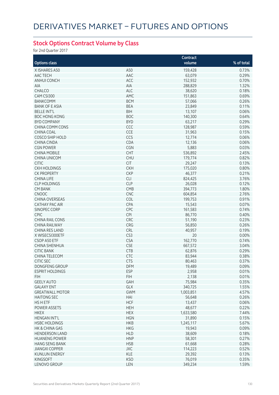## **Stock Options Contract Volume by Class**

for 2nd Quarter 2017

|                        |                 | Contract  |            |
|------------------------|-----------------|-----------|------------|
| <b>Options class</b>   |                 | volume    | % of total |
| X ISHARES A50          | A50             | 159,428   | 0.73%      |
| AAC TECH               | AAC             | 63,079    | 0.29%      |
| <b>ANHUI CONCH</b>     | ACC             | 152,932   | 0.70%      |
| AIA                    | AIA             | 288,829   | 1.32%      |
| CHALCO                 | <b>ALC</b>      | 38,620    | 0.18%      |
|                        | AMC             |           | 0.69%      |
| CAM CSI300             |                 | 151,863   |            |
| <b>BANKCOMM</b>        | <b>BCM</b>      | 57,066    | 0.26%      |
| <b>BANK OF E ASIA</b>  | <b>BEA</b>      | 23,849    | 0.11%      |
| <b>BELLE INT'L</b>     | <b>BIH</b>      | 13,107    | 0.06%      |
| <b>BOC HONG KONG</b>   | <b>BOC</b>      | 140,300   | 0.64%      |
| <b>BYD COMPANY</b>     | <b>BYD</b>      | 63,217    | 0.29%      |
| CHINA COMM CONS        | CCC             | 128,987   | 0.59%      |
| <b>CHINA COAL</b>      | CCE             | 31,963    | 0.15%      |
| <b>COSCO SHIP HOLD</b> | CCS             | 12,774    | 0.06%      |
| <b>CHINA CINDA</b>     | CDA             | 12,136    | 0.06%      |
| <b>CGN POWER</b>       | CGN             | 5,883     | 0.03%      |
| <b>CHINA MOBILE</b>    | CHT             | 536,892   | 2.45%      |
| <b>CHINA UNICOM</b>    | <b>CHU</b>      | 179,774   | 0.82%      |
| <b>CITIC</b>           | <b>CIT</b>      | 29,247    | 0.13%      |
| <b>CKH HOLDINGS</b>    | <b>CKH</b>      | 175,020   | 0.80%      |
| <b>CK PROPERTY</b>     | <b>CKP</b>      | 46,377    | 0.21%      |
| <b>CHINA LIFE</b>      | <b>CLI</b>      | 824,425   | 3.76%      |
|                        | <b>CLP</b>      |           |            |
| <b>CLP HOLDINGS</b>    |                 | 26,028    | 0.12%      |
| <b>CM BANK</b>         | CMB             | 394,773   | 1.80%      |
| <b>CNOOC</b>           | <b>CNC</b>      | 604,854   | 2.76%      |
| <b>CHINA OVERSEAS</b>  | COL             | 199,753   | 0.91%      |
| <b>CATHAY PAC AIR</b>  | CPA             | 15,543    | 0.07%      |
| SINOPEC CORP           | CPC             | 161,583   | 0.74%      |
| <b>CPIC</b>            | CPI             | 86,770    | 0.40%      |
| <b>CHINA RAIL CONS</b> | CRC             | 51,190    | 0.23%      |
| <b>CHINA RAILWAY</b>   | CRG             | 56,850    | 0.26%      |
| <b>CHINA RES LAND</b>  | CRL             | 40,957    | 0.19%      |
| X WISECSI300ETF        | CS <sub>3</sub> | 20        | 0.00%      |
| CSOP A50 ETF           | <b>CSA</b>      | 162,770   | 0.74%      |
| CHINA SHENHUA          | <b>CSE</b>      | 667,572   | 3.04%      |
| <b>CITIC BANK</b>      | <b>CTB</b>      | 62,876    | 0.29%      |
| CHINA TELECOM          | CTC             | 83,944    | 0.38%      |
| <b>CITIC SEC</b>       | <b>CTS</b>      | 80,463    | 0.37%      |
| DONGFENG GROUP         | DFM             | 19,489    | $0.09\%$   |
| <b>ESPRIT HOLDINGS</b> | <b>ESP</b>      | 2,958     | 0.01%      |
| <b>FIH</b>             | <b>FIH</b>      | 2,138     | 0.01%      |
|                        |                 |           |            |
| <b>GEELY AUTO</b>      | GAH             | 75,984    | 0.35%      |
| <b>GALAXY ENT</b>      | GLX             | 340,725   | 1.55%      |
| <b>GREATWALL MOTOR</b> | <b>GWM</b>      | 1,003,851 | 4.57%      |
| <b>HAITONG SEC</b>     | HAI             | 56,648    | 0.26%      |
| HS H ETF               | <b>HCF</b>      | 13,437    | 0.06%      |
| POWER ASSETS           | <b>HEH</b>      | 48,677    | 0.22%      |
| <b>HKEX</b>            | <b>HEX</b>      | 1,633,580 | 7.44%      |
| <b>HENGAN INT'L</b>    | <b>HGN</b>      | 31,890    | 0.15%      |
| <b>HSBC HOLDINGS</b>   | <b>HKB</b>      | 1,245,117 | 5.67%      |
| HK & CHINA GAS         | <b>HKG</b>      | 19,943    | 0.09%      |
| <b>HENDERSON LAND</b>  | <b>HLD</b>      | 38,609    | 0.18%      |
| <b>HUANENG POWER</b>   | <b>HNP</b>      | 58,301    | 0.27%      |
| <b>HANG SENG BANK</b>  | <b>HSB</b>      | 61,668    | 0.28%      |
| <b>JIANGXI COPPER</b>  | <b>JXC</b>      | 114,223   | 0.52%      |
| <b>KUNLUN ENERGY</b>   | <b>KLE</b>      | 29,392    | 0.13%      |
|                        |                 |           |            |
| <b>KINGSOFT</b>        | <b>KSO</b>      | 76,019    | 0.35%      |
| LENOVO GROUP           | LEN             | 349,234   | 1.59%      |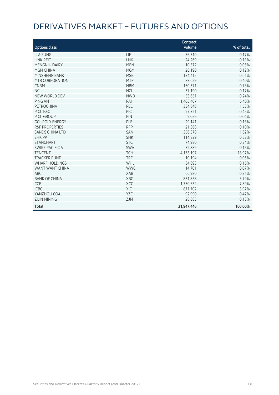# DERIVATIVES MARKET – FUTURES AND OPTIONS

| <b>Options class</b>      |            | Contract<br>volume | % of total |
|---------------------------|------------|--------------------|------------|
| LI & FUNG                 | LIF        | 36,310             | 0.17%      |
| <b>LINK REIT</b>          | <b>LNK</b> | 24,269             | 0.11%      |
| <b>MENGNIU DAIRY</b>      | <b>MEN</b> | 10,572             | 0.05%      |
| <b>MGM CHINA</b>          | <b>MGM</b> | 26,190             | 0.12%      |
| MINSHENG BANK             | <b>MSB</b> | 134,415            | 0.61%      |
| MTR CORPORATION           | <b>MTR</b> | 88,629             | 0.40%      |
| <b>CNBM</b>               | <b>NBM</b> | 160,371            | 0.73%      |
| <b>NCI</b>                | <b>NCL</b> | 37,190             | 0.17%      |
| NEW WORLD DEV             | <b>NWD</b> | 53,651             | 0.24%      |
| PING AN                   | PAI        | 1,405,407          | 6.40%      |
| PETROCHINA                | PEC        | 334,848            | 1.53%      |
| PICC P&C                  | <b>PIC</b> | 97,721             | 0.45%      |
| PICC GROUP                | PIN        | 9,059              | 0.04%      |
| <b>GCL-POLY ENERGY</b>    | PLE        | 29,141             | 0.13%      |
| <b>R&amp;F PROPERTIES</b> | <b>RFP</b> | 21,368             | 0.10%      |
| <b>SANDS CHINA LTD</b>    | SAN        | 356,378            | 1.62%      |
| <b>SHK PPT</b>            | <b>SHK</b> | 114,829            | 0.52%      |
| <b>STANCHART</b>          | <b>STC</b> | 74,980             | 0.34%      |
| <b>SWIRE PACIFIC A</b>    | <b>SWA</b> | 32,889             | 0.15%      |
| <b>TENCENT</b>            | <b>TCH</b> | 4, 163, 197        | 18.97%     |
| <b>TRACKER FUND</b>       | <b>TRF</b> | 10,194             | 0.05%      |
| <b>WHARF HOLDINGS</b>     | WHL        | 34,693             | 0.16%      |
| WANT WANT CHINA           | <b>WWC</b> | 14,701             | 0.07%      |
| <b>ABC</b>                | XAB        | 66,980             | 0.31%      |
| <b>BANK OF CHINA</b>      | XBC        | 831,858            | 3.79%      |
| <b>CCB</b>                | <b>XCC</b> | 1,730,632          | 7.89%      |
| <b>ICBC</b>               | XIC        | 871,702            | 3.97%      |
| YANZHOU COAL              | <b>YZC</b> | 92,990             | 0.42%      |
| <b>ZIJIN MINING</b>       | <b>ZJM</b> | 28,685             | 0.13%      |
| <b>Total</b>              |            | 21,947,446         | 100.00%    |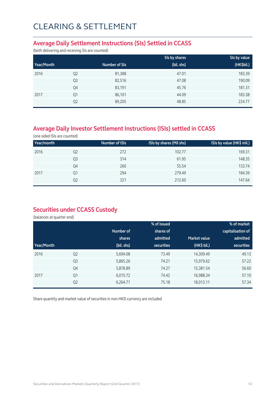#### **Average Daily Settlement Instructions (SIs) Settled in CCASS**

(both delivering and receiving SIs are counted)

|            |                |               | SIs by shares | SIs by value |
|------------|----------------|---------------|---------------|--------------|
| Year/Month |                | Number of SIs | (bil. shs)    | (HK\$bil.)   |
| 2016       | Q <sub>2</sub> | 81,388        | 47.01         | 183.39       |
|            | Q <sub>3</sub> | 82,516        | 47.08         | 190.09       |
|            | Q4             | 83,191        | 45.76         | 181.31       |
| 2017       | Q1             | 86,101        | 44.09         | 183.38       |
|            | Q <sub>2</sub> | 89,205        | 48.85         | 224.77       |

## **Average Daily Investor Settlement Instructions (ISIs) settled in CCASS**

(one sided ISIs are counted)

| Year/month |    | <b>Number of ISIs</b> | ISIs by shares (Mil shs) | ISIs by value (HK\$ mil.) |
|------------|----|-----------------------|--------------------------|---------------------------|
| 2016       | Q2 | 272                   | 102.77                   | 169.31                    |
|            | Q3 | 314                   | 61.95                    | 148.35                    |
|            | Q4 | 266                   | 55.54                    | 133.74                    |
| 2017       | Q1 | 294                   | 279.49                   | 184.39                    |
|            | Q2 | 321                   | 212.60                   | 147.64                    |

### **Securities under CCASS Custody**

(balances at quarter end)

|            |                |            | % of issued       |                     | % of market       |
|------------|----------------|------------|-------------------|---------------------|-------------------|
|            |                | Number of  | shares of         |                     | capitalisation of |
|            |                | shares     | admitted          | <b>Market value</b> | admitted          |
| Year/Month |                | (bil. shs) | <b>securities</b> | (HK\$ bil.)         | securities        |
| 2016       | Q <sub>2</sub> | 5,694.08   | 73.49             | 14,309.49           | 49.13             |
|            | Q <sub>3</sub> | 5,865.26   | 74.21             | 15,979.62           | 57.22             |
|            | Q4             | 5,878.89   | 74.27             | 15,381.54           | 56.60             |
| 2017       | Q1             | 6,015.72   | 74.42             | 16,988.34           | 57.10             |
|            | Q <sub>2</sub> | 6,264.71   | 75.18             | 18,013.11           | 57.34             |

Share quantity and market value of securities in non-HKD currency are included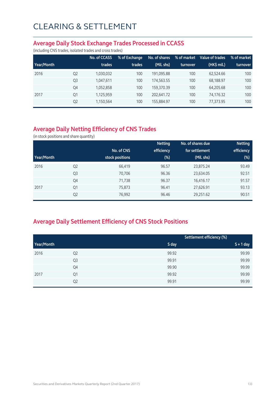#### **Average Daily Stock Exchange Trades Processed in CCASS**

(including CNS trades, isolated trades and cross trades)

|            |                | No. of CCASS | % of Exchange | No. of shares | % of market | Value of trades | % of market |
|------------|----------------|--------------|---------------|---------------|-------------|-----------------|-------------|
| Year/Month |                | trades       | trades        | (Mil. shs)    | turnover    | $(HK\$ mil.)    | turnover    |
| 2016       | Q <sub>2</sub> | 1,030,032    | 100           | 191,095.88    | 100         | 62.524.66       | 100         |
|            | Q <sub>3</sub> | 1,047,611    | 100           | 174,563.55    | 100         | 68,188.97       | 100         |
|            | Q4             | 1,052,858    | 100           | 159,370.39    | 100         | 64,205.68       | 100         |
| 2017       | Q1             | 1,125,959    | 100           | 202.641.72    | 100         | 74,176.32       | 100         |
|            | Q <sub>2</sub> | 1,150,564    | 100           | 155,884.97    | 100         | 77,373.95       | 100         |

## **Average Daily Netting Efficiency of CNS Trades**

(in stock positions and share quantity)

|            |                |                 | <b>Netting</b> | No. of shares due | <b>Netting</b> |
|------------|----------------|-----------------|----------------|-------------------|----------------|
|            |                | No. of CNS      | efficiency     | for settlement    | efficiency     |
| Year/Month |                | stock positions | $(\%)$         | (Mil. shs)        | (%)            |
| 2016       | Q <sub>2</sub> | 66,419          | 96.57          | 23,875.24         | 93.49          |
|            | Q <sub>3</sub> | 70,706          | 96.36          | 23,634.05         | 92.51          |
|            | Q4             | 71,738          | 96.37          | 16,416.17         | 91.57          |
| 2017       | Q <sub>1</sub> | 75,873          | 96.41          | 27,626.91         | 93.13          |
|            | Q <sub>2</sub> | 76,992          | 96.46          | 29,251.62         | 90.51          |

## **Average Daily Settlement Efficiency of CNS Stock Positions**

|            |                | Settlement efficiency (%) |             |
|------------|----------------|---------------------------|-------------|
| Year/Month |                | S day                     | $S + 1$ day |
| 2016       | Q <sub>2</sub> | 99.92                     | 99.99       |
|            | Q <sub>3</sub> | 99.91                     | 99.99       |
|            | Q4             | 99.90                     | 99.99       |
| 2017       | Q1             | 99.92                     | 99.99       |
|            | Q <sub>2</sub> | 99.91                     | 99.99       |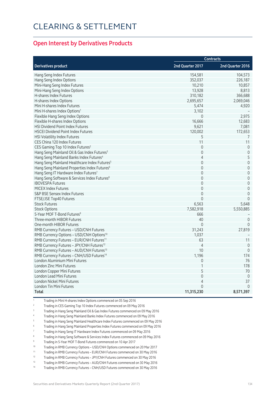#### **Open Interest by Derivatives Products**

|                                                          | <b>Contracts</b> |                     |  |
|----------------------------------------------------------|------------------|---------------------|--|
| <b>Derivatives product</b>                               | 2nd Quarter 2017 | 2nd Quarter 2016    |  |
| Hang Seng Index Futures                                  | 154,581          | 104,573             |  |
| Hang Seng Index Options                                  | 352,037          | 226,187             |  |
| Mini-Hang Seng Index Futures                             | 10,210           | 10,857              |  |
| Mini-Hang Seng Index Options                             | 13,928           | 8,813               |  |
| <b>H-shares Index Futures</b>                            | 310,182          | 366,688             |  |
| H-shares Index Options                                   | 2,695,657        | 2,069,046           |  |
| Mini H-shares Index Futures                              | 5,474            | 4,920               |  |
| Mini H-shares Index Options <sup>1</sup>                 | 3,102            |                     |  |
| Flexible Hang Seng Index Options                         | $\mathbf 0$      | 2,975               |  |
| Flexible H-shares Index Options                          | 16,666           | 12,683              |  |
| HSI Dividend Point Index Futures                         | 9,621            | 7,081               |  |
| <b>HSCEI Dividend Point Index Futures</b>                | 120,002          | 172,653             |  |
| <b>HSI Volatility Index Futures</b>                      | 5                | 7                   |  |
| CES China 120 Index Futures                              | 11               | 11                  |  |
| CES Gaming Top 10 Index Futures <sup>2</sup>             | $\mathbf 0$      | $\mathbf 0$         |  |
| Hang Seng Mainland Oil & Gas Index Futures <sup>3</sup>  | $\Omega$         | $\mathsf{O}\xspace$ |  |
| Hang Seng Mainland Banks Index Futures <sup>4</sup>      | $\overline{4}$   | 5                   |  |
| Hang Seng Mainland Healthcare Index Futures <sup>5</sup> | $\mathbf 0$      | $\mathsf{O}\xspace$ |  |
| Hang Seng Mainland Properties Index Futures <sup>6</sup> | $\mathbf{0}$     | $\mathbf 0$         |  |
| Hang Seng IT Hardware Index Futures7                     | $\mathbf 0$      | $\mathbf 0$         |  |
| Hang Seng Software & Services Index Futures <sup>8</sup> | $\mathbf{0}$     | $\mathbf 0$         |  |
| <b>IBOVESPA Futures</b>                                  | $\mathbf 0$      | $\mathsf{O}\xspace$ |  |
| <b>MICEX Index Futures</b>                               | $\mathbf 0$      | $\mathbf 0$         |  |
|                                                          | $\Omega$         | $\Omega$            |  |
| S&P BSE Sensex Index Futures                             | $\Omega$         | $\Omega$            |  |
| FTSE/JSE Top40 Futures                                   |                  |                     |  |
| <b>Stock Futures</b>                                     | 6,563            | 5,648               |  |
| <b>Stock Options</b>                                     | 7,582,918        | 5,550,885           |  |
| 5-Year MOF T-Bond Futures <sup>9</sup>                   | 666              |                     |  |
| Three-month HIBOR Futures                                | 40               | $\overline{0}$      |  |
| One-month HIBOR Futures                                  | $\Omega$         | $\Omega$            |  |
| RMB Currency Futures - USD/CNH Futures                   | 31,243           | 27,819              |  |
| RMB Currency Options - USD/CNH Options <sup>10</sup>     | 1,037            |                     |  |
| RMB Currency Futures - EUR/CNH Futures <sup>11</sup>     | 63               | 11                  |  |
| RMB Currency Futures - JPY/CNH Futures <sup>12</sup>     | $\overline{4}$   | $\mathbf{0}$        |  |
| RMB Currency Futures - AUD/CNH Futures <sup>13</sup>     | 10               | $\mathbf{0}$        |  |
| RMB Currency Futures - CNH/USD Futures <sup>14</sup>     | 1,196            | 174                 |  |
| London Aluminium Mini Futures                            | $\mathbf 0$      | 76                  |  |
| <b>London Zinc Mini Futures</b>                          | 1                | 178                 |  |
| London Copper Mini Futures                               | 5                | 70                  |  |
| London Lead Mini Futures                                 | $\mathbf 0$      | $\theta$            |  |
| London Nickel Mini Futures                               | 4                | 37                  |  |
| London Tin Mini Futures                                  | 0                | $\overline{0}$      |  |
| Total                                                    | 11,315,230       | 8,571,397           |  |

1 Trading in Mini H-shares Index Options commenced on 05 Sep 2016

2 Trading in CES Gaming Top 10 Index Futures commenced on 09 May 2016

3 Trading in Hang Seng Mainland Oil & Gas Index Futures commenced on 09 May 2016

4 Trading in Hang Seng Mainland Banks Index Futures commenced on 09 May 2016

5 Trading in Hang Seng Mainland Healthcare Index Futures commenced on 09 May 2016

6 Trading in Hang Seng Mainland Properties Index Futures commenced on 09 May 2016

7 Trading in Hang Seng IT Hardware Index Futures commenced on 09 May 2016

8 Trading in Hang Seng Software & Services Index Futures commenced on 09 May 2016

<sup>9</sup> Trading in 5-Year MOF T-Bond Futures commenced on 10 Apr 2017<br><sup>10</sup> Trading in PMB Currancy Options LISD/CNH Options commenced

Trading in RMB Currency Options - USD/CNH Options commenced on 20 Mar 2017

11 Trading in RMB Currency Futures – EUR/CNH Futures commenced on 30 May 2016<br>12 Trading in RMB Currency Futures – IPY/CNH Futures commenced on 30 May 2016

<sup>12</sup> Trading in RMB Currency Futures – JPY/CNH Futures commenced on 30 May 2016<br><sup>13</sup> Trading in RMB Currency Futures – AUD/CNH Futures commenced on 30 May 2016

13 Trading in RMB Currency Futures – AUD/CNH Futures commenced on 30 May 2016

14 Trading in RMB Currency Futures – CNH/USD Futures commenced on 30 May 2016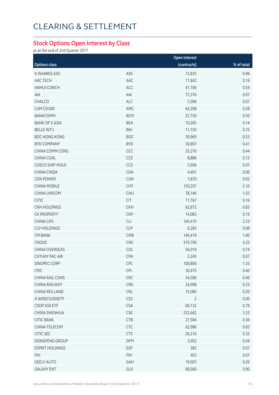## **Stock Options Open Interest by Class**

as at the end of 2nd Quarter 2017

|                        |            | Open interest  |            |  |  |  |
|------------------------|------------|----------------|------------|--|--|--|
| <b>Options class</b>   |            | (contracts)    | % of total |  |  |  |
| X ISHARES A50          | A50        | 72,835         | 0.96       |  |  |  |
| AAC TECH               | AAC        | 11,842         | 0.16       |  |  |  |
| ANHUI CONCH            | ACC        | 41,106         | 0.54       |  |  |  |
| AIA                    | AIA        | 73,376         | 0.97       |  |  |  |
| CHALCO                 | ALC        | 5,096          | 0.07       |  |  |  |
| CAM CSI300             | AMC        | 44,208         | 0.58       |  |  |  |
| <b>BANKCOMM</b>        | <b>BCM</b> | 37,759         | 0.50       |  |  |  |
| <b>BANK OF E ASIA</b>  | <b>BEA</b> | 10,265         | 0.14       |  |  |  |
| <b>BELLE INT'L</b>     | <b>BIH</b> | 11,150         | 0.15       |  |  |  |
| <b>BOC HONG KONG</b>   | <b>BOC</b> | 39,969         | 0.53       |  |  |  |
| <b>BYD COMPANY</b>     | <b>BYD</b> | 30,897         | 0.41       |  |  |  |
| CHINA COMM CONS        | CCC        | 33,270         | 0.44       |  |  |  |
| CHINA COAL             | CCE        | 8,886          | 0.12       |  |  |  |
| COSCO SHIP HOLD        | CCS        | 5,606          | 0.07       |  |  |  |
| CHINA CINDA            | CDA        | 4,601          | 0.06       |  |  |  |
| <b>CGN POWER</b>       | CGN        | 1,870          | 0.02       |  |  |  |
| <b>CHINA MOBILE</b>    | CHT        | 159,207        | 2.10       |  |  |  |
| <b>CHINA UNICOM</b>    | <b>CHU</b> | 78,146         | 1.03       |  |  |  |
| <b>CITIC</b>           | CIT        | 11,767         | 0.16       |  |  |  |
| <b>CKH HOLDINGS</b>    | <b>CKH</b> | 62,872         | 0.83       |  |  |  |
| <b>CK PROPERTY</b>     | <b>CKP</b> | 14,083         | 0.19       |  |  |  |
| <b>CHINA LIFE</b>      | CLI        | 169,410        | 2.23       |  |  |  |
| <b>CLP HOLDINGS</b>    | <b>CLP</b> | 6,283          | 0.08       |  |  |  |
| <b>CM BANK</b>         | CMB        | 144,419        | 1.90       |  |  |  |
| CNOOC                  | CNC        | 319,790        | 4.22       |  |  |  |
| CHINA OVERSEAS         | COL        | 56,019         | 0.74       |  |  |  |
| CATHAY PAC AIR         | CPA        | 5,245          | 0.07       |  |  |  |
| SINOPEC CORP           | CPC        | 100,806        | 1.33       |  |  |  |
| CPIC                   | CPI        | 30,475         | 0.40       |  |  |  |
| CHINA RAIL CONS        | CRC        | 34,580         | 0.46       |  |  |  |
| CHINA RAILWAY          | CRG        | 24,998         | 0.33       |  |  |  |
| CHINA RES LAND         | <b>CRL</b> | 15,080         | 0.20       |  |  |  |
| X WISECSI300ETF        | CS3        | $\overline{2}$ | 0.00       |  |  |  |
| CSOP A50 ETF           | <b>CSA</b> | 60,132         | 0.79       |  |  |  |
| CHINA SHENHUA          | <b>CSE</b> | 252,662        | 3.33       |  |  |  |
| <b>CITIC BANK</b>      | <b>CTB</b> | 27,584         | 0.36       |  |  |  |
| CHINA TELECOM          | <b>CTC</b> | 62,986         | 0.83       |  |  |  |
| CITIC SEC              | <b>CTS</b> | 26,316         | 0.35       |  |  |  |
| DONGFENG GROUP         | DFM        | 3,052          | 0.04       |  |  |  |
| <b>ESPRIT HOLDINGS</b> | <b>ESP</b> | 383            | 0.01       |  |  |  |
| <b>FIH</b>             | <b>FIH</b> | 403            | 0.01       |  |  |  |
| <b>GEELY AUTO</b>      | GAH        | 19,607         | 0.26       |  |  |  |
| <b>GALAXY ENT</b>      | GLX        | 68,560         | 0.90       |  |  |  |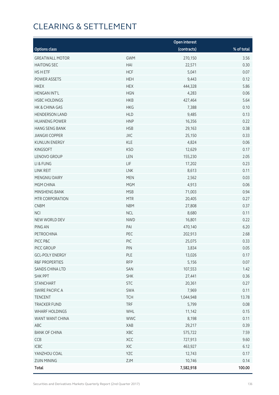|                        |            | <b>Open interest</b> |            |
|------------------------|------------|----------------------|------------|
| <b>Options class</b>   |            | (contracts)          | % of total |
| <b>GREATWALL MOTOR</b> | <b>GWM</b> | 270,150              | 3.56       |
| <b>HAITONG SEC</b>     | HAI        | 22,571               | 0.30       |
| HS H ETF               | <b>HCF</b> | 5,041                | 0.07       |
| POWER ASSETS           | <b>HEH</b> | 9,443                | 0.12       |
| <b>HKEX</b>            | <b>HEX</b> | 444,328              | 5.86       |
| <b>HENGAN INT'L</b>    | <b>HGN</b> | 4,283                | 0.06       |
| <b>HSBC HOLDINGS</b>   | <b>HKB</b> | 427,464              | 5.64       |
| HK & CHINA GAS         | <b>HKG</b> | 7,388                | 0.10       |
| <b>HENDERSON LAND</b>  | <b>HLD</b> | 9,485                | 0.13       |
| <b>HUANENG POWER</b>   | <b>HNP</b> | 16,356               | 0.22       |
| <b>HANG SENG BANK</b>  | <b>HSB</b> | 29,163               | 0.38       |
| <b>JIANGXI COPPER</b>  | <b>JXC</b> | 25,150               | 0.33       |
| <b>KUNLUN ENERGY</b>   | <b>KLE</b> | 4,824                | 0.06       |
| <b>KINGSOFT</b>        | <b>KSO</b> | 12,629               | 0.17       |
| LENOVO GROUP           | LEN        | 155,230              | 2.05       |
| LI & FUNG              | LIF        | 17,202               | 0.23       |
| LINK REIT              | <b>LNK</b> | 8,613                | 0.11       |
| MENGNIU DAIRY          | <b>MEN</b> | 2,562                | 0.03       |
| MGM CHINA              | <b>MGM</b> | 4,913                | 0.06       |
| MINSHENG BANK          | <b>MSB</b> | 71,003               | 0.94       |
| MTR CORPORATION        | <b>MTR</b> | 20,405               | 0.27       |
| <b>CNBM</b>            | <b>NBM</b> | 27,808               | 0.37       |
| <b>NCI</b>             | <b>NCL</b> | 8,680                | 0.11       |
| NEW WORLD DEV          | <b>NWD</b> | 16,801               | 0.22       |
| PING AN                | PAI        | 470,140              | 6.20       |
| PETROCHINA             | PEC        | 202,913              | 2.68       |
| PICC P&C               | PIC        | 25,075               | 0.33       |
| PICC GROUP             | PIN        | 3,834                | 0.05       |
| <b>GCL-POLY ENERGY</b> | <b>PLE</b> | 13,026               | 0.17       |
| R&F PROPERTIES         | <b>RFP</b> | 5,156                | 0.07       |
| SANDS CHINA LTD        | SAN        | 107,553              | 1.42       |
| <b>SHK PPT</b>         | <b>SHK</b> | 27,441               | 0.36       |
| <b>STANCHART</b>       | <b>STC</b> | 20,361               | 0.27       |
| SWIRE PACIFIC A        | SWA        | 7,969                | 0.11       |
| <b>TENCENT</b>         | <b>TCH</b> | 1,044,948            | 13.78      |
| <b>TRACKER FUND</b>    | <b>TRF</b> | 5,799                | 0.08       |
| WHARF HOLDINGS         | WHL        | 11,142               | 0.15       |
| WANT WANT CHINA        | <b>WWC</b> | 8,198                | 0.11       |
| ABC                    | XAB        | 29,217               | 0.39       |
| <b>BANK OF CHINA</b>   | XBC        | 575,722              | 7.59       |
| CCB                    | XCC        | 727,913              | 9.60       |
| ICBC                   | XIC        | 463,927              | 6.12       |
| YANZHOU COAL           | YZC        | 12,743               | 0.17       |
| <b>ZIJIN MINING</b>    | ZJM        | 10,746               | 0.14       |
| <b>Total</b>           |            | 7,582,918            | 100.00     |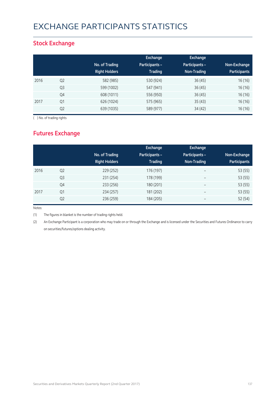# EXCHANGE PARTICIPANTS STATISTICS

### **Stock Exchange**

|      |                | No. of Trading<br><b>Right Holders</b> | Exchange<br><b>Participants -</b><br><b>Trading</b> | <b>Exchange</b><br><b>Participants -</b><br>Non-Trading | Non-Exchange<br><b>Participants</b> |
|------|----------------|----------------------------------------|-----------------------------------------------------|---------------------------------------------------------|-------------------------------------|
| 2016 | Q <sub>2</sub> | 582 (985)                              | 530 (924)                                           | 36(45)                                                  | 16(16)                              |
|      | Q <sub>3</sub> | 599 (1002)                             | 547 (941)                                           | 36(45)                                                  | 16(16)                              |
|      | Q4             | 608 (1011)                             | 556 (950)                                           | 36(45)                                                  | 16(16)                              |
| 2017 | Q1             | 626 (1024)                             | 575 (965)                                           | 35(43)                                                  | 16(16)                              |
|      | Q <sub>2</sub> | 639 (1035)                             | 589 (977)                                           | 34(42)                                                  | 16(16)                              |

( ) No. of trading rights

## **Futures Exchange**

|      |                | No. of Trading<br><b>Right Holders</b> | Exchange<br><b>Participants -</b><br><b>Trading</b> | <b>Exchange</b><br>Participants -<br>Non-Trading | Non-Exchange<br><b>Participants</b> |
|------|----------------|----------------------------------------|-----------------------------------------------------|--------------------------------------------------|-------------------------------------|
| 2016 | Q <sub>2</sub> | 229 (252)                              | 176 (197)                                           | $\overline{\phantom{a}}$                         | 53 (55)                             |
|      | Q <sub>3</sub> | 231 (254)                              | 178 (199)                                           | $\overline{\phantom{a}}$                         | 53 (55)                             |
|      | Q4             | 233 (256)                              | 180 (201)                                           | $\overline{\phantom{m}}$                         | 53 (55)                             |
| 2017 | Q1             | 234 (257)                              | 181 (202)                                           | $\overline{\phantom{m}}$                         | 53 (55)                             |
|      | Q <sub>2</sub> | 236 (259)                              | 184 (205)                                           |                                                  | 52 (54)                             |

Notes:

(1) The figures in blanket is the number of trading rights held.

(2) An Exchange Participant is a corporation who may trade on or through the Exchange and is licensed under the Securities and Futures Ordinance to carry on securities/futures/options dealing activity.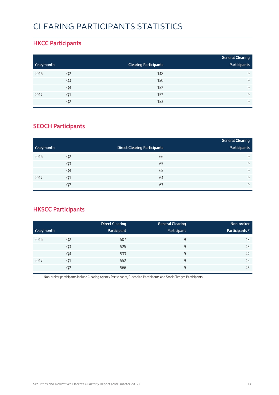# CLEARING PARTICIPANTS STATISTICS

### **HKCC Participants**

|            |                |                              | <b>General Clearing</b> |
|------------|----------------|------------------------------|-------------------------|
| Year/month |                | <b>Clearing Participants</b> | Participants            |
| 2016       | Q <sub>2</sub> | 148                          | 9                       |
|            | Q <sub>3</sub> | 150                          | 9                       |
|            | Q4             | 152                          | $\mathsf{Q}$            |
| 2017       | Q1             | 152                          | $\mathsf{Q}$            |
|            | Q2             | 153                          | $\mathsf{Q}$            |

### **SEOCH Participants**

|            |                |                                     | <b>General Clearing</b> |
|------------|----------------|-------------------------------------|-------------------------|
| Year/month |                | <b>Direct Clearing Participants</b> | Participants            |
| 2016       | Q <sub>2</sub> | 66                                  | 9                       |
|            | Q <sub>3</sub> | 65                                  | 9                       |
|            | Q4             | 65                                  | 9                       |
| 2017       | Q <sub>1</sub> | 64                                  | 9                       |
|            | Q <sub>2</sub> | 63                                  | 9                       |

## **HKSCC Participants**

|            |                | <b>Direct Clearing</b> | <b>General Clearing</b> | Non-broker     |
|------------|----------------|------------------------|-------------------------|----------------|
| Year/month |                | Participant            | Participant             | Participants * |
| 2016       | Q <sub>2</sub> | 507                    | 9                       | 43             |
|            | Q <sub>3</sub> | 525                    | 9                       | 43             |
|            | Q4             | 533                    | 9                       | 42             |
| 2017       | Q <sub>1</sub> | 552                    | 9                       | 45             |
|            | Q <sub>2</sub> | 566                    | 9                       | 45             |

\* Non-broker participants include Clearing Agency Participants, Custodian Participants and Stock Pledgee Participants.